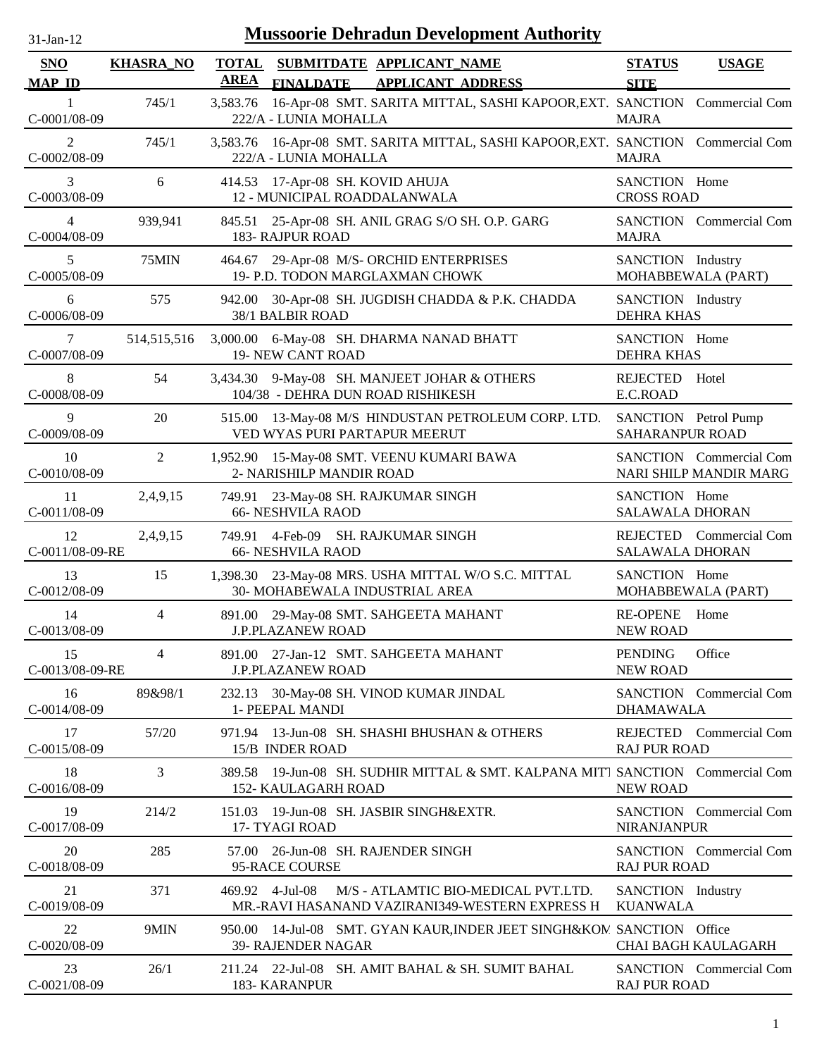| $31$ -Jan-12                |                  |                             | <b>Mussoorie Dehradun Development Authority</b>                                                              |                                                |                                                   |
|-----------------------------|------------------|-----------------------------|--------------------------------------------------------------------------------------------------------------|------------------------------------------------|---------------------------------------------------|
| <b>SNO</b><br><b>MAP ID</b> | <b>KHASRA_NO</b> | <b>TOTAL</b><br><b>AREA</b> | SUBMITDATE APPLICANT NAME<br>FINALDATE APPLICANT ADDRESS                                                     | <b>STATUS</b><br><b>SITE</b>                   | <b>USAGE</b>                                      |
| 1<br>C-0001/08-09           | 745/1            | 3,583.76                    | 16-Apr-08 SMT. SARITA MITTAL, SASHI KAPOOR, EXT. SANCTION Commercial Com<br>222/A - LUNIA MOHALLA            | <b>MAJRA</b>                                   |                                                   |
| 2<br>C-0002/08-09           | 745/1            |                             | 3,583.76 16-Apr-08 SMT. SARITA MITTAL, SASHI KAPOOR, EXT. SANCTION Commercial Com<br>222/A - LUNIA MOHALLA   | <b>MAJRA</b>                                   |                                                   |
| 3<br>C-0003/08-09           | 6                |                             | 414.53 17-Apr-08 SH. KOVID AHUJA<br>12 - MUNICIPAL ROADDALANWALA                                             | SANCTION Home<br><b>CROSS ROAD</b>             |                                                   |
| 4<br>C-0004/08-09           | 939,941          |                             | 845.51 25-Apr-08 SH. ANIL GRAG S/O SH. O.P. GARG<br>183- RAJPUR ROAD                                         | <b>MAJRA</b>                                   | <b>SANCTION</b> Commercial Com                    |
| 5<br>C-0005/08-09           | 75MIN            |                             | 464.67 29-Apr-08 M/S- ORCHID ENTERPRISES<br>19- P.D. TODON MARGLAXMAN CHOWK                                  | SANCTION Industry                              | MOHABBEWALA (PART)                                |
| 6<br>C-0006/08-09           | 575              |                             | 942.00 30-Apr-08 SH. JUGDISH CHADDA & P.K. CHADDA<br>38/1 BALBIR ROAD                                        | SANCTION Industry<br><b>DEHRA KHAS</b>         |                                                   |
| 7<br>C-0007/08-09           | 514,515,516      |                             | 3,000.00 6-May-08 SH. DHARMA NANAD BHATT<br><b>19- NEW CANT ROAD</b>                                         | SANCTION Home<br><b>DEHRA KHAS</b>             |                                                   |
| 8<br>C-0008/08-09           | 54               |                             | 3,434.30 9-May-08 SH. MANJEET JOHAR & OTHERS<br>104/38 - DEHRA DUN ROAD RISHIKESH                            | <b>REJECTED</b><br>E.C.ROAD                    | Hotel                                             |
| 9<br>C-0009/08-09           | 20               |                             | 515.00 13-May-08 M/S HINDUSTAN PETROLEUM CORP. LTD.<br>VED WYAS PURI PARTAPUR MEERUT                         | SANCTION Petrol Pump<br><b>SAHARANPUR ROAD</b> |                                                   |
| 10<br>C-0010/08-09          | 2                |                             | 1,952.90 15-May-08 SMT. VEENU KUMARI BAWA<br>2- NARISHILP MANDIR ROAD                                        |                                                | SANCTION Commercial Com<br>NARI SHILP MANDIR MARG |
| 11<br>$C-0011/08-09$        | 2,4,9,15         |                             | 749.91 23-May-08 SH. RAJKUMAR SINGH<br><b>66- NESHVILA RAOD</b>                                              | SANCTION Home<br><b>SALAWALA DHORAN</b>        |                                                   |
| 12<br>C-0011/08-09-RE       | 2,4,9,15         |                             | 749.91 4-Feb-09 SH. RAJKUMAR SINGH<br><b>66- NESHVILA RAOD</b>                                               | <b>SALAWALA DHORAN</b>                         | REJECTED Commercial Com                           |
| 13<br>C-0012/08-09          | 15               |                             | 1,398.30 23-May-08 MRS. USHA MITTAL W/O S.C. MITTAL<br>30- MOHABEWALA INDUSTRIAL AREA                        | SANCTION Home                                  | MOHABBEWALA (PART)                                |
| 14<br>C-0013/08-09          | 4                |                             | 891.00 29-May-08 SMT. SAHGEETA MAHANT<br><b>J.P.PLAZANEW ROAD</b>                                            | <b>RE-OPENE</b><br><b>NEW ROAD</b>             | Home                                              |
| 15<br>C-0013/08-09-RE       | $\overline{4}$   |                             | 891.00 27-Jan-12 SMT. SAHGEETA MAHANT<br><b>J.P.PLAZANEW ROAD</b>                                            | <b>PENDING</b><br><b>NEW ROAD</b>              | Office                                            |
| 16<br>C-0014/08-09          | 89&98/1          |                             | 232.13 30-May-08 SH. VINOD KUMAR JINDAL<br>1- PEEPAL MANDI                                                   | <b>DHAMAWALA</b>                               | SANCTION Commercial Com                           |
| 17<br>C-0015/08-09          | 57/20            |                             | 971.94 13-Jun-08 SH. SHASHI BHUSHAN & OTHERS<br>15/B INDER ROAD                                              | <b>RAJ PUR ROAD</b>                            | REJECTED Commercial Com                           |
| 18<br>C-0016/08-09          | 3                |                             | 389.58 19-Jun-08 SH. SUDHIR MITTAL & SMT. KALPANA MITT SANCTION Commercial Com<br><b>152- KAULAGARH ROAD</b> | <b>NEW ROAD</b>                                |                                                   |
| 19<br>C-0017/08-09          | 214/2            |                             | 151.03 19-Jun-08 SH. JASBIR SINGH&EXTR.<br>17- TYAGI ROAD                                                    | <b>NIRANJANPUR</b>                             | SANCTION Commercial Com                           |
| 20<br>C-0018/08-09          | 285              |                             | 57.00 26-Jun-08 SH. RAJENDER SINGH<br>95-RACE COURSE                                                         | <b>RAJ PUR ROAD</b>                            | SANCTION Commercial Com                           |
| 21<br>C-0019/08-09          | 371              |                             | M/S - ATLAMTIC BIO-MEDICAL PVT.LTD.<br>469.92 4-Jul-08<br>MR.-RAVI HASANAND VAZIRANI349-WESTERN EXPRESS H    | SANCTION Industry<br><b>KUANWALA</b>           |                                                   |
| 22<br>$C-0020/08-09$        | 9MIN             |                             | 950.00 14-Jul-08 SMT. GYAN KAUR, INDER JEET SINGH&KOM SANCTION Office<br>39- RAJENDER NAGAR                  |                                                | CHAI BAGH KAULAGARH                               |
| 23<br>C-0021/08-09          | 26/1             |                             | 211.24 22-Jul-08 SH. AMIT BAHAL & SH. SUMIT BAHAL<br>183- KARANPUR                                           | <b>RAJ PUR ROAD</b>                            | <b>SANCTION</b> Commercial Com                    |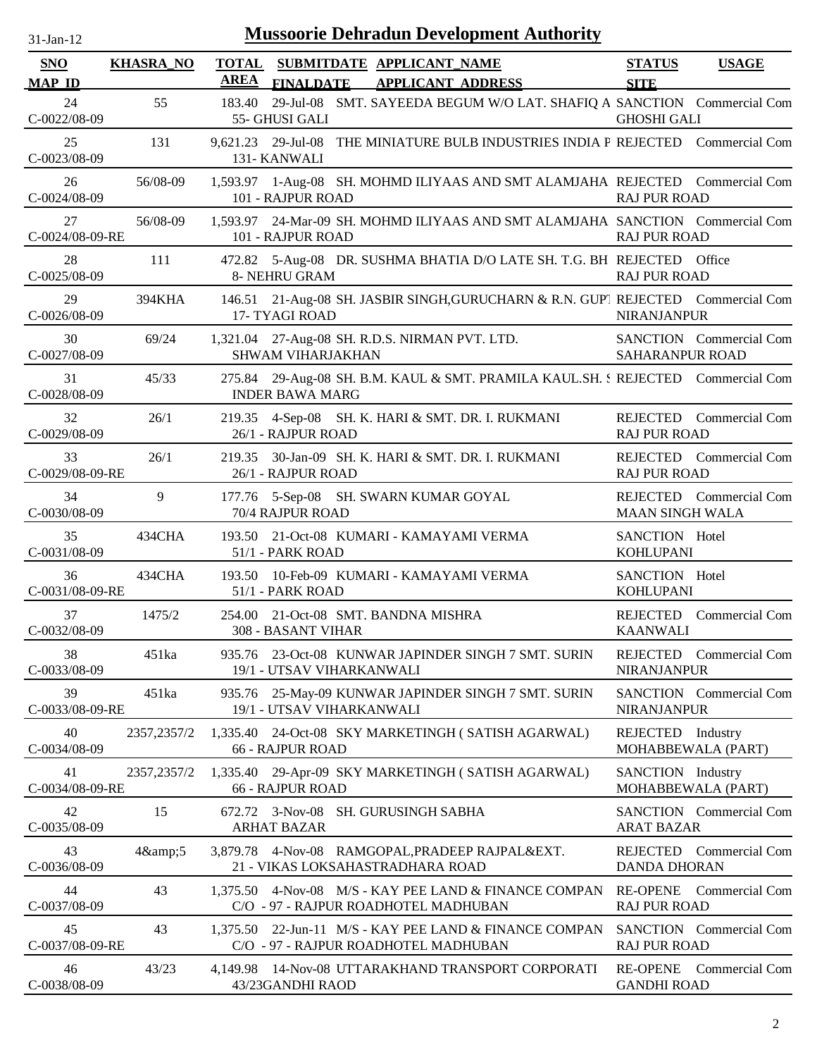| -Jan- |  |
|-------|--|

| <b>SNO</b><br><b>MAP ID</b> | <b>KHASRA_NO</b> | <b>TOTAL</b><br>AREA | <b>FINALDATE</b>                   | SUBMITDATE APPLICANT NAME<br><b>APPLICANT ADDRESS</b>                                          | <b>STATUS</b><br><b>SITE</b>            | <b>USAGE</b>            |
|-----------------------------|------------------|----------------------|------------------------------------|------------------------------------------------------------------------------------------------|-----------------------------------------|-------------------------|
| 24<br>C-0022/08-09          | 55               | 183.40               | 55- GHUSI GALI                     | 29-Jul-08 SMT. SAYEEDA BEGUM W/O LAT. SHAFIQ A SANCTION Commercial Com                         | <b>GHOSHI GALI</b>                      |                         |
| 25<br>C-0023/08-09          | 131              |                      | 9,621.23 29-Jul-08<br>131- KANWALI | THE MINIATURE BULB INDUSTRIES INDIA P REJECTED Commercial Com                                  |                                         |                         |
| 26<br>$C-0024/08-09$        | 56/08-09         |                      | 101 - RAJPUR ROAD                  | 1,593.97 1-Aug-08 SH. MOHMD ILIYAAS AND SMT ALAMJAHA REJECTED Commercial Com                   | <b>RAJ PUR ROAD</b>                     |                         |
| 27<br>C-0024/08-09-RE       | 56/08-09         |                      | 101 - RAJPUR ROAD                  | 1,593.97 24-Mar-09 SH. MOHMD ILIYAAS AND SMT ALAMJAHA SANCTION Commercial Com                  | <b>RAJ PUR ROAD</b>                     |                         |
| 28<br>$C-0025/08-09$        | 111              |                      | 8- NEHRU GRAM                      | 472.82 5-Aug-08 DR. SUSHMA BHATIA D/O LATE SH. T.G. BH REJECTED Office                         | <b>RAJ PUR ROAD</b>                     |                         |
| 29<br>C-0026/08-09          | 394KHA           |                      | 17- TYAGI ROAD                     | 146.51 21-Aug-08 SH. JASBIR SINGH, GURUCHARN & R.N. GUP1 REJECTED Commercial Com               | <b>NIRANJANPUR</b>                      |                         |
| 30<br>C-0027/08-09          | 69/24            |                      | <b>SHWAM VIHARJAKHAN</b>           | 1,321.04 27-Aug-08 SH. R.D.S. NIRMAN PVT. LTD.                                                 | SAHARANPUR ROAD                         | SANCTION Commercial Com |
| 31<br>$C-0028/08-09$        | 45/33            |                      | <b>INDER BAWA MARG</b>             | 275.84 29-Aug-08 SH. B.M. KAUL & SMT. PRAMILA KAUL.SH. S REJECTED Commercial Com               |                                         |                         |
| 32<br>C-0029/08-09          | 26/1             |                      | 26/1 - RAJPUR ROAD                 | 219.35 4-Sep-08 SH. K. HARI & SMT. DR. I. RUKMANI                                              | <b>RAJ PUR ROAD</b>                     | REJECTED Commercial Com |
| 33<br>C-0029/08-09-RE       | 26/1             | 219.35               | 26/1 - RAJPUR ROAD                 | 30-Jan-09 SH. K. HARI & SMT. DR. I. RUKMANI                                                    | <b>RAJ PUR ROAD</b>                     | REJECTED Commercial Com |
| 34<br>C-0030/08-09          | 9                |                      | 70/4 RAJPUR ROAD                   | 177.76 5-Sep-08 SH. SWARN KUMAR GOYAL                                                          | <b>MAAN SINGH WALA</b>                  | REJECTED Commercial Com |
| 35<br>$C-0031/08-09$        | 434CHA           |                      | 51/1 - PARK ROAD                   | 193.50 21-Oct-08 KUMARI - KAMAYAMI VERMA                                                       | SANCTION Hotel<br><b>KOHLUPANI</b>      |                         |
| 36<br>C-0031/08-09-RE       | 434CHA           | 193.50               | 51/1 - PARK ROAD                   | 10-Feb-09 KUMARI - KAMAYAMI VERMA                                                              | SANCTION Hotel<br><b>KOHLUPANI</b>      |                         |
| 37<br>C-0032/08-09          | 1475/2           |                      | <b>308 - BASANT VIHAR</b>          | 254.00 21-Oct-08 SMT. BANDNA MISHRA                                                            | REJECTED<br><b>KAANWALI</b>             | <b>Commercial Com</b>   |
| 38<br>C-0033/08-09          | 451ka            |                      | 19/1 - UTSAV VIHARKANWALI          | 935.76 23-Oct-08 KUNWAR JAPINDER SINGH 7 SMT. SURIN                                            | <b>NIRANJANPUR</b>                      | REJECTED Commercial Com |
| 39<br>C-0033/08-09-RE       | 451ka            |                      | 19/1 - UTSAV VIHARKANWALI          | 935.76 25-May-09 KUNWAR JAPINDER SINGH 7 SMT. SURIN                                            | <b>NIRANJANPUR</b>                      | SANCTION Commercial Com |
| 40<br>C-0034/08-09          | 2357,2357/2      |                      | <b>66 - RAJPUR ROAD</b>            | 1,335.40 24-Oct-08 SKY MARKETINGH (SATISH AGARWAL)                                             | REJECTED Industry<br>MOHABBEWALA (PART) |                         |
| 41<br>C-0034/08-09-RE       | 2357,2357/2      |                      | <b>66 - RAJPUR ROAD</b>            | 1,335.40 29-Apr-09 SKY MARKETINGH (SATISH AGARWAL)                                             | SANCTION Industry<br>MOHABBEWALA (PART) |                         |
| 42<br>C-0035/08-09          | 15               |                      | <b>ARHAT BAZAR</b>                 | 672.72 3-Nov-08 SH. GURUSINGH SABHA                                                            | <b>ARAT BAZAR</b>                       | SANCTION Commercial Com |
| 43<br>C-0036/08-09          | $4\&amp;3$       |                      |                                    | 3,879.78 4-Nov-08 RAMGOPAL, PRADEEP RAJPAL&EXT.<br>21 - VIKAS LOKSAHASTRADHARA ROAD            | <b>DANDA DHORAN</b>                     | REJECTED Commercial Com |
| 44<br>C-0037/08-09          | 43               |                      |                                    | 1,375.50 4-Nov-08 M/S - KAY PEE LAND & FINANCE COMPAN<br>C/O - 97 - RAJPUR ROADHOTEL MADHUBAN  | <b>RE-OPENE</b><br><b>RAJ PUR ROAD</b>  | Commercial Com          |
| 45<br>C-0037/08-09-RE       | 43               |                      |                                    | 1,375.50 22-Jun-11 M/S - KAY PEE LAND & FINANCE COMPAN<br>C/O - 97 - RAJPUR ROADHOTEL MADHUBAN | <b>RAJ PUR ROAD</b>                     | SANCTION Commercial Com |
| 46<br>C-0038/08-09          | 43/23            |                      | 43/23GANDHI RAOD                   | 4,149.98 14-Nov-08 UTTARAKHAND TRANSPORT CORPORATI                                             | <b>RE-OPENE</b><br><b>GANDHI ROAD</b>   | Commercial Com          |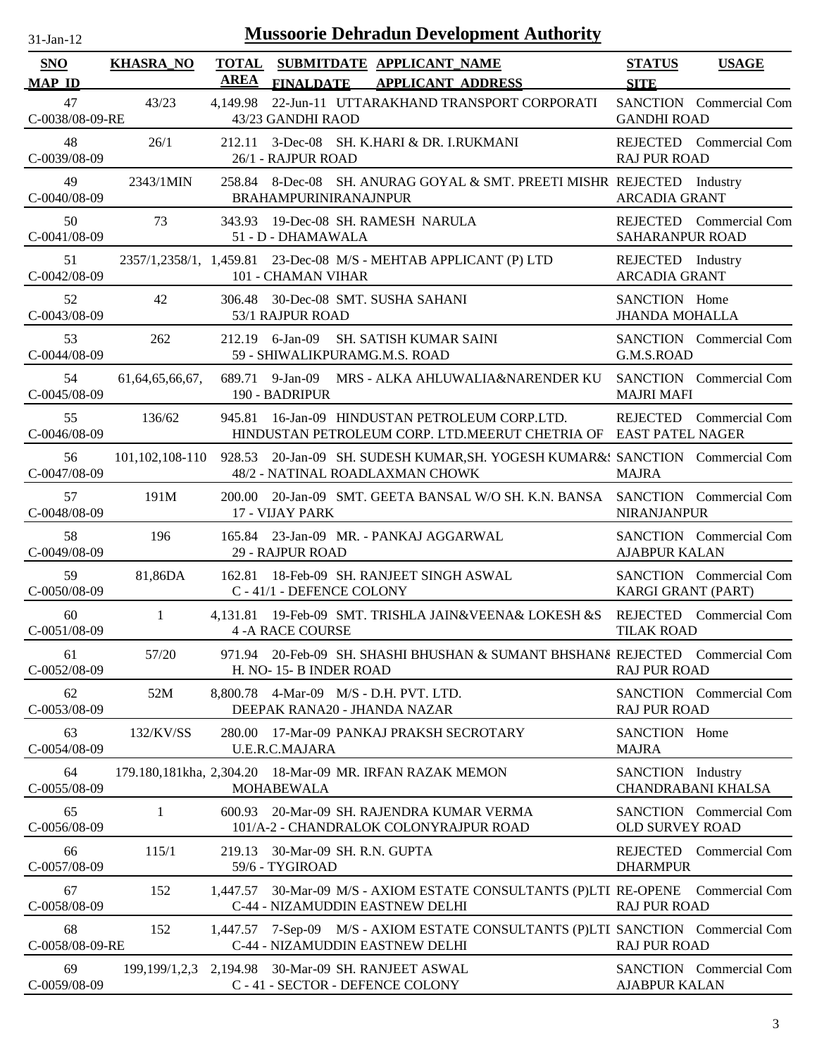| <b>Mussoorie Dehradun Development Authority</b><br>$31-Jan-12$ |                     |             |                                                                                                                                  |                                           |                                |
|----------------------------------------------------------------|---------------------|-------------|----------------------------------------------------------------------------------------------------------------------------------|-------------------------------------------|--------------------------------|
| <b>SNO</b><br><b>MAP ID</b>                                    | <b>KHASRA_NO</b>    | <b>AREA</b> | TOTAL SUBMITDATE APPLICANT NAME<br><b>APPLICANT ADDRESS</b><br><b>FINALDATE</b>                                                  | <b>STATUS</b><br><b>SITE</b>              | <b>USAGE</b>                   |
| 47<br>C-0038/08-09-RE                                          | 43/23               | 4.149.98    | 22-Jun-11 UTTARAKHAND TRANSPORT CORPORATI<br>43/23 GANDHI RAOD                                                                   | <b>GANDHI ROAD</b>                        | SANCTION Commercial Com        |
| 48<br>C-0039/08-09                                             | 26/1                | 212.11      | 3-Dec-08 SH. K.HARI & DR. I.RUKMANI<br>26/1 - RAJPUR ROAD                                                                        | <b>RAJ PUR ROAD</b>                       | REJECTED Commercial Com        |
| 49<br>C-0040/08-09                                             | 2343/1MIN           |             | 258.84 8-Dec-08 SH. ANURAG GOYAL & SMT. PREETI MISHR REJECTED Industry<br>BRAHAMPURINIRANAJNPUR                                  | <b>ARCADIA GRANT</b>                      |                                |
| 50<br>$C-0041/08-09$                                           | 73                  |             | 343.93 19-Dec-08 SH, RAMESH NARULA<br>51 - D - DHAMAWALA                                                                         | SAHARANPUR ROAD                           | REJECTED Commercial Com        |
| 51<br>C-0042/08-09                                             |                     |             | 2357/1,2358/1, 1,459.81 23-Dec-08 M/S - MEHTAB APPLICANT (P) LTD<br>101 - CHAMAN VIHAR                                           | REJECTED Industry<br><b>ARCADIA GRANT</b> |                                |
| 52<br>C-0043/08-09                                             | 42                  | 306.48      | 30-Dec-08 SMT. SUSHA SAHANI<br>53/1 RAJPUR ROAD                                                                                  | SANCTION Home<br><b>JHANDA MOHALLA</b>    |                                |
| 53<br>C-0044/08-09                                             | 262                 |             | 212.19 6-Jan-09 SH. SATISH KUMAR SAINI<br>59 - SHIWALIKPURAMG.M.S. ROAD                                                          | G.M.S.ROAD                                | <b>SANCTION</b> Commercial Com |
| 54<br>$C-0045/08-09$                                           | 61, 64, 65, 66, 67, |             | 689.71 9-Jan-09 MRS - ALKA AHLUWALIA&NARENDER KU<br>190 - BADRIPUR                                                               | <b>MAJRI MAFI</b>                         | SANCTION Commercial Com        |
| 55<br>C-0046/08-09                                             | 136/62              |             | 945.81 16-Jan-09 HINDUSTAN PETROLEUM CORP.LTD.<br>HINDUSTAN PETROLEUM CORP. LTD.MEERUT CHETRIA OF EAST PATEL NAGER               |                                           | REJECTED Commercial Com        |
| 56<br>C-0047/08-09                                             |                     |             | 101,102,108-110 928.53 20-Jan-09 SH. SUDESH KUMAR, SH. YOGESH KUMAR&: SANCTION Commercial Com<br>48/2 - NATINAL ROADLAXMAN CHOWK | <b>MAJRA</b>                              |                                |
| 57<br>C-0048/08-09                                             | 191M                | 200.00      | 20-Jan-09 SMT. GEETA BANSAL W/O SH. K.N. BANSA SANCTION Commercial Com<br>17 - VIJAY PARK                                        | <b>NIRANJANPUR</b>                        |                                |
| 58<br>C-0049/08-09                                             | 196                 |             | 165.84 23-Jan-09 MR. - PANKAJ AGGARWAL<br>29 - RAJPUR ROAD                                                                       | <b>AJABPUR KALAN</b>                      | SANCTION Commercial Com        |
| 59<br>$C - 0050/08 - 09$                                       | 81,86DA             |             | 162.81 18-Feb-09 SH. RANJEET SINGH ASWAL<br>C - 41/1 - DEFENCE COLONY                                                            | KARGI GRANT (PART)                        | SANCTION Commercial Com        |
| 60<br>$C-0051/08-09$                                           | 1                   |             | 4,131.81 19-Feb-09 SMT. TRISHLA JAIN&VEENA& LOKESH &S REJECTED Commercial Com<br><b>4 -A RACE COURSE</b>                         | <b>TILAK ROAD</b>                         |                                |
| 61<br>C-0052/08-09                                             | 57/20               |             | 971.94 20-Feb-09 SH. SHASHI BHUSHAN & SUMANT BHSHAN& REJECTED Commercial Com<br>H. NO-15-B INDER ROAD                            | <b>RAJ PUR ROAD</b>                       |                                |
| 62<br>C-0053/08-09                                             | 52M                 |             | 8,800.78 4-Mar-09 M/S - D.H. PVT. LTD.<br>DEEPAK RANA20 - JHANDA NAZAR                                                           | <b>RAJ PUR ROAD</b>                       | <b>SANCTION</b> Commercial Com |
| 63<br>C-0054/08-09                                             | 132/KV/SS           |             | 280.00 17-Mar-09 PANKAJ PRAKSH SECROTARY<br>U.E.R.C.MAJARA                                                                       | SANCTION Home<br><b>MAJRA</b>             |                                |
| 64<br>C-0055/08-09                                             |                     |             | 179.180,181kha, 2,304.20 18-Mar-09 MR. IRFAN RAZAK MEMON<br><b>MOHABEWALA</b>                                                    | SANCTION Industry                         | CHANDRABANI KHALSA             |
| 65<br>C-0056/08-09                                             | 1                   |             | 600.93 20-Mar-09 SH. RAJENDRA KUMAR VERMA<br>101/A-2 - CHANDRALOK COLONYRAJPUR ROAD                                              | <b>OLD SURVEY ROAD</b>                    | <b>SANCTION</b> Commercial Com |
| 66<br>C-0057/08-09                                             | 115/1               |             | 219.13 30-Mar-09 SH. R.N. GUPTA<br>59/6 - TYGIROAD                                                                               | <b>DHARMPUR</b>                           | REJECTED Commercial Com        |
| 67<br>C-0058/08-09                                             | 152                 |             | 1,447.57 30-Mar-09 M/S - AXIOM ESTATE CONSULTANTS (P)LTI RE-OPENE Commercial Com<br>C-44 - NIZAMUDDIN EASTNEW DELHI              | <b>RAJ PUR ROAD</b>                       |                                |
| 68<br>C-0058/08-09-RE                                          | 152                 |             | 1,447.57 7-Sep-09 M/S - AXIOM ESTATE CONSULTANTS (P)LTI SANCTION Commercial Com<br>C-44 - NIZAMUDDIN EASTNEW DELHI               | <b>RAJ PUR ROAD</b>                       |                                |
| 69<br>C-0059/08-09                                             | 199, 199/1, 2, 3    |             | 2,194.98 30-Mar-09 SH. RANJEET ASWAL<br>C-41-SECTOR-DEFENCE COLONY                                                               | <b>AJABPUR KALAN</b>                      | <b>SANCTION</b> Commercial Com |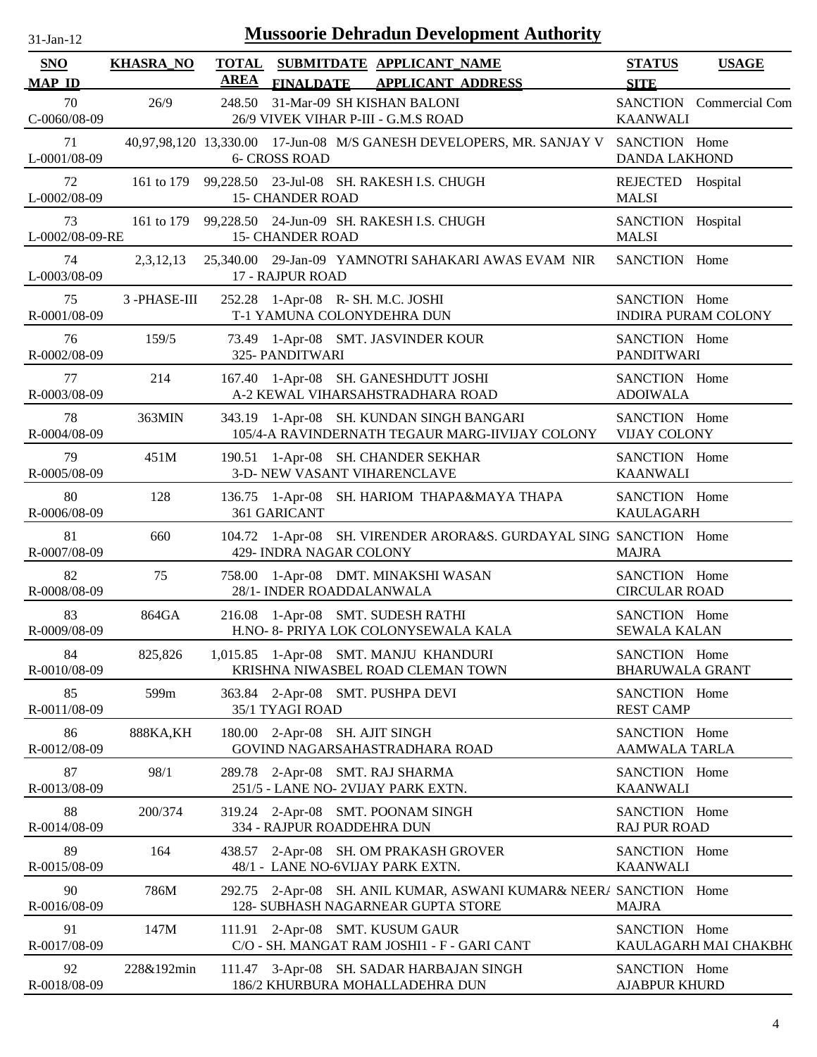| <b>Mussoorie Dehradun Development Authority</b><br>$31-Jan-12$ |                  |             |                                                                                                            |                                         |                            |
|----------------------------------------------------------------|------------------|-------------|------------------------------------------------------------------------------------------------------------|-----------------------------------------|----------------------------|
| <b>SNO</b><br><b>MAP ID</b>                                    | <b>KHASRA_NO</b> | <b>AREA</b> | <b>TOTAL SUBMITDATE APPLICANT NAME</b><br><b>APPLICANT ADDRESS</b><br><b>FINALDATE</b>                     | <b>STATUS</b><br><b>SITE</b>            | <b>USAGE</b>               |
| 70<br>C-0060/08-09                                             | 26/9             | 248.50      | 31-Mar-09 SH KISHAN BALONI<br>26/9 VIVEK VIHAR P-III - G.M.S ROAD                                          | <b>KAANWALI</b>                         | SANCTION Commercial Com    |
| 71<br>L-0001/08-09                                             |                  |             | 40,97,98,120 13,330.00 17-Jun-08 M/S GANESH DEVELOPERS, MR. SANJAY V SANCTION Home<br><b>6- CROSS ROAD</b> | <b>DANDA LAKHOND</b>                    |                            |
| 72<br>L-0002/08-09                                             |                  |             | 161 to 179 99,228.50 23-Jul-08 SH. RAKESH I.S. CHUGH<br><b>15- CHANDER ROAD</b>                            | REJECTED Hospital<br><b>MALSI</b>       |                            |
| 73<br>L-0002/08-09-RE                                          |                  |             | 161 to 179 99,228.50 24-Jun-09 SH. RAKESH I.S. CHUGH<br><b>15- CHANDER ROAD</b>                            | SANCTION Hospital<br><b>MALSI</b>       |                            |
| 74<br>L-0003/08-09                                             |                  |             | 2,3,12,13 25,340.00 29-Jan-09 YAMNOTRI SAHAKARI AWAS EVAM NIR<br>17 - RAJPUR ROAD                          | SANCTION Home                           |                            |
| 75<br>R-0001/08-09                                             | 3-PHASE-III      |             | 252.28 1-Apr-08 R- SH. M.C. JOSHI<br>T-1 YAMUNA COLONYDEHRA DUN                                            | SANCTION Home                           | <b>INDIRA PURAM COLONY</b> |
| 76<br>R-0002/08-09                                             | 159/5            |             | 73.49 1-Apr-08 SMT. JASVINDER KOUR<br>325- PANDITWARI                                                      | SANCTION Home<br><b>PANDITWARI</b>      |                            |
| 77<br>R-0003/08-09                                             | 214              |             | 167.40 1-Apr-08 SH. GANESHDUTT JOSHI<br>A-2 KEWAL VIHARSAHSTRADHARA ROAD                                   | SANCTION Home<br><b>ADOIWALA</b>        |                            |
| 78<br>R-0004/08-09                                             | 363MIN           |             | 343.19 1-Apr-08 SH. KUNDAN SINGH BANGARI<br>105/4-A RAVINDERNATH TEGAUR MARG-IIVIJAY COLONY                | SANCTION Home<br><b>VIJAY COLONY</b>    |                            |
| 79<br>R-0005/08-09                                             | 451M             |             | 190.51 1-Apr-08 SH. CHANDER SEKHAR<br>3-D- NEW VASANT VIHARENCLAVE                                         | SANCTION Home<br><b>KAANWALI</b>        |                            |
| 80<br>R-0006/08-09                                             | 128              |             | 136.75 1-Apr-08 SH. HARIOM THAPA&MAYA THAPA<br>361 GARICANT                                                | SANCTION Home<br><b>KAULAGARH</b>       |                            |
| 81<br>R-0007/08-09                                             | 660              |             | 104.72 1-Apr-08 SH. VIRENDER ARORA&S. GURDAYAL SING SANCTION Home<br>429- INDRA NAGAR COLONY               | <b>MAJRA</b>                            |                            |
| 82<br>R-0008/08-09                                             | 75               |             | 758.00 1-Apr-08 DMT. MINAKSHI WASAN<br>28/1- INDER ROADDALANWALA                                           | SANCTION Home<br><b>CIRCULAR ROAD</b>   |                            |
| 83<br>R-0009/08-09                                             | 864GA            |             | 216.08 1-Apr-08 SMT. SUDESH RATHI<br>H.NO- 8- PRIYA LOK COLONYSEWALA KALA                                  | SANCTION Home<br><b>SEWALA KALAN</b>    |                            |
| 84<br>R-0010/08-09                                             | 825,826          |             | 1,015.85 1-Apr-08 SMT. MANJU KHANDURI<br>KRISHNA NIWASBEL ROAD CLEMAN TOWN                                 | SANCTION Home<br><b>BHARUWALA GRANT</b> |                            |
| 85<br>R-0011/08-09                                             | 599m             |             | 363.84 2-Apr-08 SMT. PUSHPA DEVI<br>35/1 TYAGI ROAD                                                        | SANCTION Home<br><b>REST CAMP</b>       |                            |
| 86<br>R-0012/08-09                                             | 888KA, KH        |             | 180.00 2-Apr-08 SH. AJIT SINGH<br>GOVIND NAGARSAHASTRADHARA ROAD                                           | SANCTION Home<br><b>AAMWALA TARLA</b>   |                            |
| 87<br>R-0013/08-09                                             | 98/1             |             | 289.78 2-Apr-08 SMT. RAJ SHARMA<br>251/5 - LANE NO-2VIJAY PARK EXTN.                                       | SANCTION Home<br><b>KAANWALI</b>        |                            |
| 88<br>R-0014/08-09                                             | 200/374          |             | 319.24 2-Apr-08 SMT. POONAM SINGH<br>334 - RAJPUR ROADDEHRA DUN                                            | SANCTION Home<br><b>RAJ PUR ROAD</b>    |                            |
| 89<br>R-0015/08-09                                             | 164              |             | 438.57 2-Apr-08 SH. OM PRAKASH GROVER<br>48/1 - LANE NO-6VIJAY PARK EXTN.                                  | SANCTION Home<br><b>KAANWALI</b>        |                            |
| 90<br>R-0016/08-09                                             | 786M             |             | 292.75 2-Apr-08 SH. ANIL KUMAR, ASWANI KUMAR& NEER/ SANCTION Home<br>128- SUBHASH NAGARNEAR GUPTA STORE    | <b>MAJRA</b>                            |                            |
| 91<br>R-0017/08-09                                             | 147M             |             | 111.91 2-Apr-08 SMT. KUSUM GAUR<br>C/O - SH. MANGAT RAM JOSHI1 - F - GARI CANT                             | SANCTION Home                           | KAULAGARH MAI CHAKBH(      |
| 92<br>R-0018/08-09                                             | 228&192min       |             | 111.47 3-Apr-08 SH. SADAR HARBAJAN SINGH<br>186/2 KHURBURA MOHALLADEHRA DUN                                | SANCTION Home<br><b>AJABPUR KHURD</b>   |                            |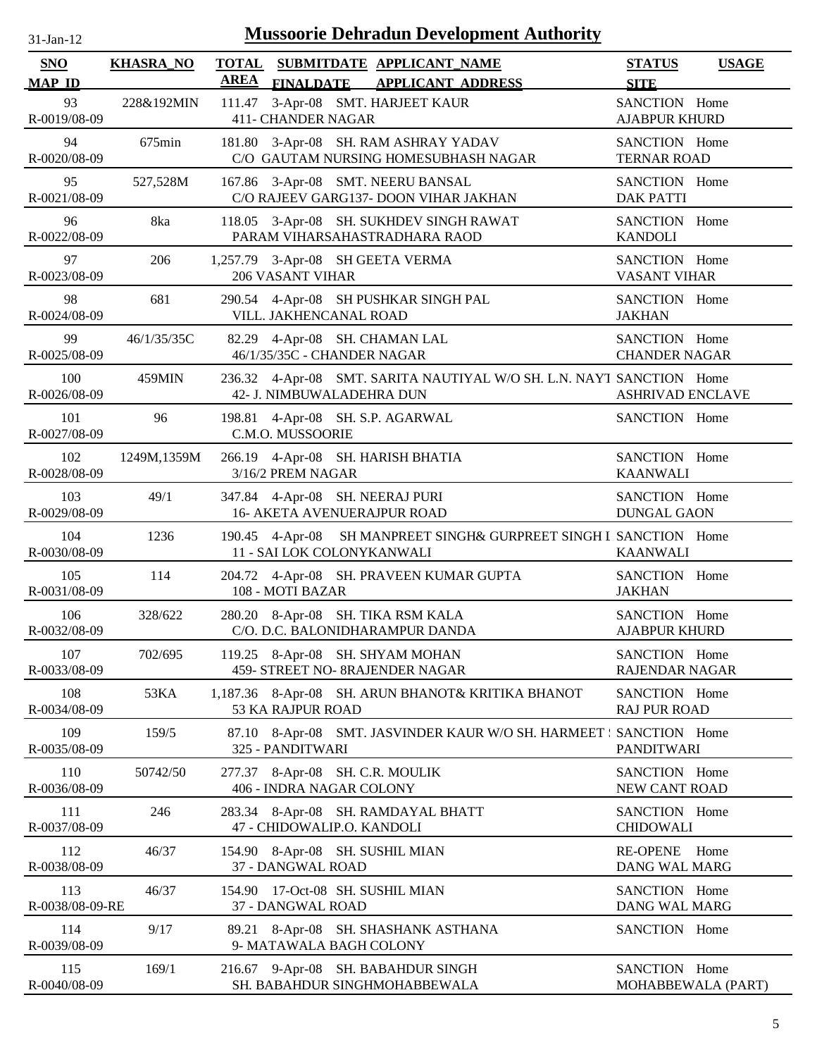| $31 - Jan - 12$ |  |
|-----------------|--|
|                 |  |

| SNO<br><b>MAP ID</b>   | <b>KHASRA_NO</b> | <b>AREA</b> | TOTAL SUBMITDATE APPLICANT NAME<br><b>APPLICANT ADDRESS</b><br><b>FINALDATE</b>                   | <b>STATUS</b><br><b>SITE</b>           | <b>USAGE</b>       |
|------------------------|------------------|-------------|---------------------------------------------------------------------------------------------------|----------------------------------------|--------------------|
| 93<br>R-0019/08-09     | 228&192MIN       |             | 111.47 3-Apr-08 SMT. HARJEET KAUR<br><b>411- CHANDER NAGAR</b>                                    | SANCTION Home<br><b>AJABPUR KHURD</b>  |                    |
| 94<br>R-0020/08-09     | 675min           |             | 181.80 3-Apr-08 SH. RAM ASHRAY YADAV<br>C/O GAUTAM NURSING HOMESUBHASH NAGAR                      | SANCTION Home<br><b>TERNAR ROAD</b>    |                    |
| 95<br>R-0021/08-09     | 527,528M         |             | 167.86 3-Apr-08 SMT. NEERU BANSAL<br>C/O RAJEEV GARG137- DOON VIHAR JAKHAN                        | SANCTION Home<br><b>DAK PATTI</b>      |                    |
| 96<br>R-0022/08-09     | 8ka              |             | 118.05 3-Apr-08 SH. SUKHDEV SINGH RAWAT<br>PARAM VIHARSAHASTRADHARA RAOD                          | SANCTION Home<br><b>KANDOLI</b>        |                    |
| 97<br>R-0023/08-09     | 206              |             | 1,257.79 3-Apr-08 SH GEETA VERMA<br>206 VASANT VIHAR                                              | SANCTION Home<br>VASANT VIHAR          |                    |
| 98<br>R-0024/08-09     | 681              |             | 290.54 4-Apr-08 SH PUSHKAR SINGH PAL<br>VILL. JAKHENCANAL ROAD                                    | SANCTION Home<br><b>JAKHAN</b>         |                    |
| 99<br>R-0025/08-09     | 46/1/35/35C      |             | 82.29 4-Apr-08 SH. CHAMAN LAL<br>46/1/35/35C - CHANDER NAGAR                                      | SANCTION Home<br><b>CHANDER NAGAR</b>  |                    |
| 100<br>R-0026/08-09    | 459MIN           |             | 236.32 4-Apr-08 SMT. SARITA NAUTIYAL W/O SH. L.N. NAYT SANCTION Home<br>42- J. NIMBUWALADEHRA DUN | <b>ASHRIVAD ENCLAVE</b>                |                    |
| 101<br>R-0027/08-09    | 96               |             | 198.81 4-Apr-08 SH. S.P. AGARWAL<br>C.M.O. MUSSOORIE                                              | SANCTION Home                          |                    |
| 102<br>R-0028/08-09    | 1249M,1359M      |             | 266.19 4-Apr-08 SH. HARISH BHATIA<br>3/16/2 PREM NAGAR                                            | SANCTION Home<br><b>KAANWALI</b>       |                    |
| 103<br>R-0029/08-09    | 49/1             |             | 347.84 4-Apr-08 SH. NEERAJ PURI<br><b>16- AKETA AVENUERAJPUR ROAD</b>                             | SANCTION Home<br><b>DUNGAL GAON</b>    |                    |
| 104<br>R-0030/08-09    | 1236             |             | 190.45 4-Apr-08 SH MANPREET SINGH& GURPREET SINGH I SANCTION Home<br>11 - SAI LOK COLONYKANWALI   | <b>KAANWALI</b>                        |                    |
| 105<br>R-0031/08-09    | 114              |             | 204.72 4-Apr-08 SH. PRAVEEN KUMAR GUPTA<br>108 - MOTI BAZAR                                       | SANCTION Home<br><b>JAKHAN</b>         |                    |
| 106<br>R-0032/08-09    | 328/622          |             | 280.20 8-Apr-08 SH. TIKA RSM KALA<br>C/O. D.C. BALONIDHARAMPUR DANDA                              | SANCTION Home<br><b>AJABPUR KHURD</b>  |                    |
| 107<br>R-0033/08-09    | 702/695          |             | 119.25 8-Apr-08 SH. SHYAM MOHAN<br>459- STREET NO- 8RAJENDER NAGAR                                | SANCTION Home<br><b>RAJENDAR NAGAR</b> |                    |
| 108<br>R-0034/08-09    | 53KA             |             | 1,187.36 8-Apr-08 SH. ARUN BHANOT& KRITIKA BHANOT<br>53 KA RAJPUR ROAD                            | SANCTION Home<br><b>RAJ PUR ROAD</b>   |                    |
| 109<br>R-0035/08-09    | 159/5            |             | 87.10 8-Apr-08 SMT. JASVINDER KAUR W/O SH. HARMEET : SANCTION Home<br>325 - PANDITWARI            | <b>PANDITWARI</b>                      |                    |
| 110<br>R-0036/08-09    | 50742/50         |             | 277.37 8-Apr-08 SH. C.R. MOULIK<br>406 - INDRA NAGAR COLONY                                       | SANCTION Home<br>NEW CANT ROAD         |                    |
| 111<br>R-0037/08-09    | 246              |             | 283.34 8-Apr-08 SH. RAMDAYAL BHATT<br>47 - CHIDOWALIP.O. KANDOLI                                  | SANCTION Home<br><b>CHIDOWALI</b>      |                    |
| 112<br>R-0038/08-09    | 46/37            |             | 154.90 8-Apr-08 SH. SUSHIL MIAN<br>37 - DANGWAL ROAD                                              | <b>RE-OPENE</b><br>DANG WAL MARG       | Home               |
| 113<br>R-0038/08-09-RE | 46/37            |             | 154.90 17-Oct-08 SH. SUSHIL MIAN<br>37 - DANGWAL ROAD                                             | SANCTION Home<br>DANG WAL MARG         |                    |
| 114<br>R-0039/08-09    | 9/17             |             | 89.21 8-Apr-08 SH. SHASHANK ASTHANA<br>9- MATAWALA BAGH COLONY                                    | SANCTION Home                          |                    |
| 115<br>R-0040/08-09    | 169/1            |             | 216.67 9-Apr-08 SH. BABAHDUR SINGH<br>SH. BABAHDUR SINGHMOHABBEWALA                               | SANCTION Home                          | MOHABBEWALA (PART) |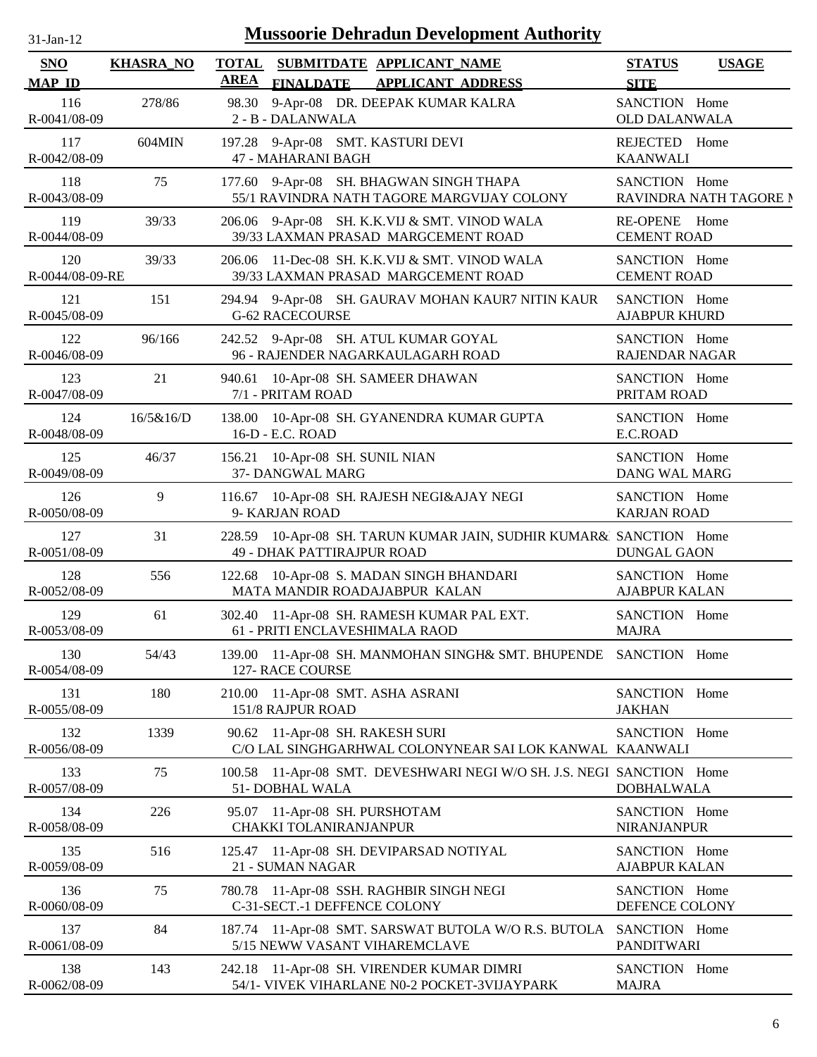| -Jan- |  |
|-------|--|
|       |  |

| SNO<br><b>MAP ID</b>   | <b>KHASRA_NO</b> | <b>TOTAL</b><br>SUBMITDATE APPLICANT_NAME<br><b>AREA</b><br><b>FINALDATE</b><br><b>APPLICANT ADDRESS</b> | <b>STATUS</b><br><b>USAGE</b><br><b>SITE</b> |
|------------------------|------------------|----------------------------------------------------------------------------------------------------------|----------------------------------------------|
| 116<br>R-0041/08-09    | 278/86           | 98.30<br>9-Apr-08 DR. DEEPAK KUMAR KALRA<br>2 - B - DALANWALA                                            | SANCTION Home<br><b>OLD DALANWALA</b>        |
| 117                    | 604MIN           | 197.28 9-Apr-08 SMT. KASTURI DEVI                                                                        | REJECTED Home                                |
| R-0042/08-09           |                  | 47 - MAHARANI BAGH                                                                                       | <b>KAANWALI</b>                              |
| 118<br>R-0043/08-09    | 75               | 9-Apr-08 SH. BHAGWAN SINGH THAPA<br>177.60<br>55/1 RAVINDRA NATH TAGORE MARGVIJAY COLONY                 | SANCTION Home<br>RAVINDRA NATH TAGORE N      |
| 119                    | 39/33            | 206.06 9-Apr-08 SH. K.K.VIJ & SMT. VINOD WALA                                                            | RE-OPENE Home                                |
| R-0044/08-09           |                  | 39/33 LAXMAN PRASAD MARGCEMENT ROAD                                                                      | <b>CEMENT ROAD</b>                           |
| 120<br>R-0044/08-09-RE | 39/33            | 11-Dec-08 SH. K.K.VIJ & SMT. VINOD WALA<br>206.06<br>39/33 LAXMAN PRASAD MARGCEMENT ROAD                 | SANCTION Home<br><b>CEMENT ROAD</b>          |
| 121                    | 151              | 294.94 9-Apr-08 SH. GAURAV MOHAN KAUR7 NITIN KAUR                                                        | SANCTION Home                                |
| R-0045/08-09           |                  | <b>G-62 RACECOURSE</b>                                                                                   | <b>AJABPUR KHURD</b>                         |
| 122                    | 96/166           | 242.52 9-Apr-08 SH. ATUL KUMAR GOYAL                                                                     | SANCTION Home                                |
| R-0046/08-09           |                  | 96 - RAJENDER NAGARKAULAGARH ROAD                                                                        | <b>RAJENDAR NAGAR</b>                        |
| 123                    | 21               | 940.61 10-Apr-08 SH. SAMEER DHAWAN                                                                       | SANCTION Home                                |
| R-0047/08-09           |                  | 7/1 - PRITAM ROAD                                                                                        | PRITAM ROAD                                  |
| 124                    | 16/5&16/D        | 138.00 10-Apr-08 SH. GYANENDRA KUMAR GUPTA                                                               | SANCTION Home                                |
| R-0048/08-09           |                  | 16-D - E.C. ROAD                                                                                         | E.C.ROAD                                     |
| 125                    | 46/37            | 156.21 10-Apr-08 SH. SUNIL NIAN                                                                          | SANCTION Home                                |
| R-0049/08-09           |                  | 37- DANGWAL MARG                                                                                         | <b>DANG WAL MARG</b>                         |
| 126                    | 9                | 116.67 10-Apr-08 SH. RAJESH NEGI&AJAY NEGI                                                               | SANCTION Home                                |
| R-0050/08-09           |                  | 9- KARJAN ROAD                                                                                           | <b>KARJAN ROAD</b>                           |
| 127<br>R-0051/08-09    | 31               | 228.59 10-Apr-08 SH. TARUN KUMAR JAIN, SUDHIR KUMAR&l SANCTION Home<br>49 - DHAK PATTIRAJPUR ROAD        | <b>DUNGAL GAON</b>                           |
| 128                    | 556              | 122.68 10-Apr-08 S. MADAN SINGH BHANDARI                                                                 | SANCTION Home                                |
| R-0052/08-09           |                  | MATA MANDIR ROADAJABPUR KALAN                                                                            | <b>AJABPUR KALAN</b>                         |
| 129<br>R-0053/08-09    | 61               | 302.40<br>11-Apr-08 SH. RAMESH KUMAR PAL EXT.<br>61 - PRITI ENCLAVESHIMALA RAOD                          | SANCTION Home<br><b>MAJRA</b>                |
| 130<br>R-0054/08-09    | 54/43            | 139.00 11-Apr-08 SH. MANMOHAN SINGH& SMT. BHUPENDE SANCTION Home<br>127- RACE COURSE                     |                                              |
| 131                    | 180              | 210.00 11-Apr-08 SMT. ASHA ASRANI                                                                        | SANCTION Home                                |
| R-0055/08-09           |                  | 151/8 RAJPUR ROAD                                                                                        | <b>JAKHAN</b>                                |
| 132<br>R-0056/08-09    | 1339             | 90.62 11-Apr-08 SH. RAKESH SURI<br>C/O LAL SINGHGARHWAL COLONYNEAR SAI LOK KANWAL KAANWALI               | SANCTION Home                                |
| 133<br>R-0057/08-09    | 75               | 100.58 11-Apr-08 SMT. DEVESHWARI NEGI W/O SH. J.S. NEGI SANCTION Home<br>51- DOBHAL WALA                 | <b>DOBHALWALA</b>                            |
| 134                    | 226              | 95.07 11-Apr-08 SH. PURSHOTAM                                                                            | SANCTION Home                                |
| R-0058/08-09           |                  | <b>CHAKKI TOLANIRANJANPUR</b>                                                                            | <b>NIRANJANPUR</b>                           |
| 135                    | 516              | 125.47 11-Apr-08 SH. DEVIPARSAD NOTIYAL                                                                  | SANCTION Home                                |
| R-0059/08-09           |                  | 21 - SUMAN NAGAR                                                                                         | <b>AJABPUR KALAN</b>                         |
| 136                    | 75               | 780.78 11-Apr-08 SSH. RAGHBIR SINGH NEGI                                                                 | SANCTION Home                                |
| R-0060/08-09           |                  | C-31-SECT.-1 DEFFENCE COLONY                                                                             | DEFENCE COLONY                               |
| 137<br>R-0061/08-09    | 84               | 187.74 11-Apr-08 SMT. SARSWAT BUTOLA W/O R.S. BUTOLA SANCTION Home<br>5/15 NEWW VASANT VIHAREMCLAVE      | <b>PANDITWARI</b>                            |
| 138                    | 143              | 242.18 11-Apr-08 SH. VIRENDER KUMAR DIMRI                                                                | SANCTION Home                                |
| R-0062/08-09           |                  | 54/1- VIVEK VIHARLANE N0-2 POCKET-3VIJAYPARK                                                             | <b>MAJRA</b>                                 |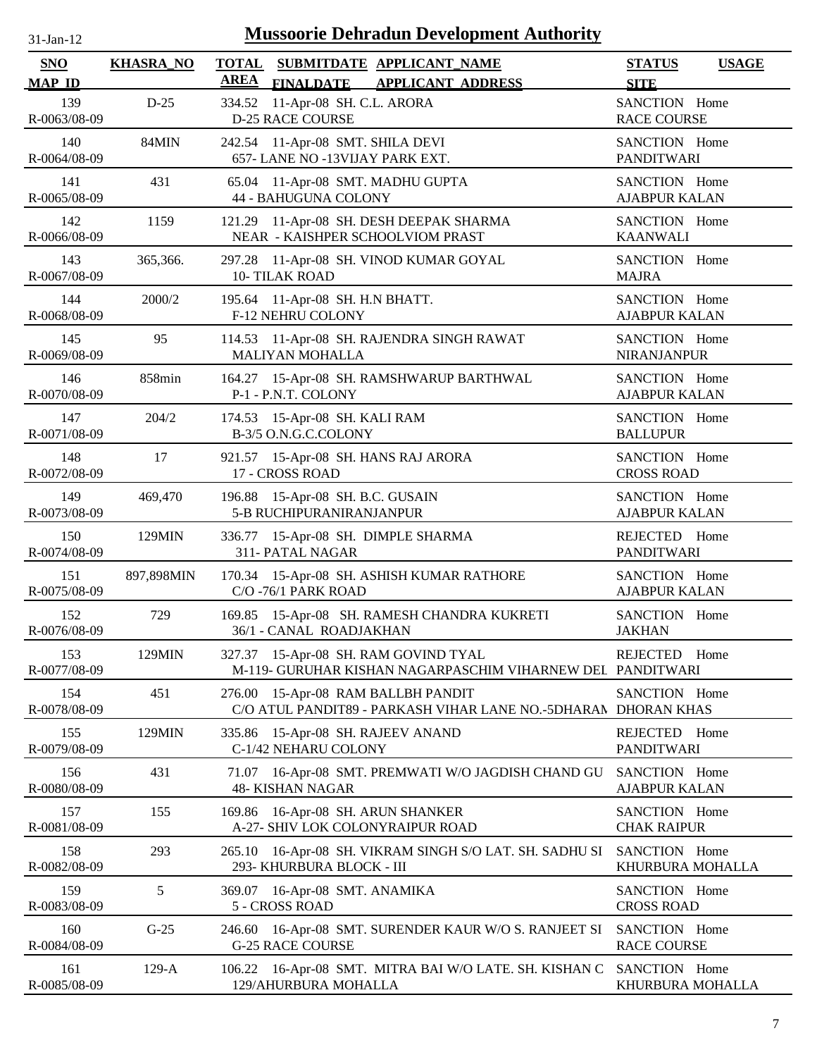| -Jan- |  |
|-------|--|
|       |  |

| <b>SNO</b><br><b>MAP ID</b> | <b>KHASRA_NO</b> | TOTAL SUBMITDATE APPLICANT NAME<br><b>AREA</b><br><b>FINALDATE</b><br><b>APPLICANT ADDRESS</b>          | <b>STATUS</b><br><b>USAGE</b><br><b>SITE</b> |
|-----------------------------|------------------|---------------------------------------------------------------------------------------------------------|----------------------------------------------|
| 139<br>R-0063/08-09         | $D-25$           | 11-Apr-08 SH. C.L. ARORA<br>334.52<br><b>D-25 RACE COURSE</b>                                           | SANCTION Home<br><b>RACE COURSE</b>          |
| 140                         | 84MIN            | 242.54 11-Apr-08 SMT. SHILA DEVI                                                                        | SANCTION Home                                |
| R-0064/08-09                |                  | 657- LANE NO -13VIJAY PARK EXT.                                                                         | <b>PANDITWARI</b>                            |
| 141                         | 431              | 65.04 11-Apr-08 SMT. MADHU GUPTA                                                                        | SANCTION Home                                |
| R-0065/08-09                |                  | <b>44 - BAHUGUNA COLONY</b>                                                                             | <b>AJABPUR KALAN</b>                         |
| 142                         | 1159             | 121.29 11-Apr-08 SH. DESH DEEPAK SHARMA                                                                 | SANCTION Home                                |
| R-0066/08-09                |                  | NEAR - KAISHPER SCHOOLVIOM PRAST                                                                        | <b>KAANWALI</b>                              |
| 143                         | 365,366.         | 297.28 11-Apr-08 SH. VINOD KUMAR GOYAL                                                                  | SANCTION Home                                |
| R-0067/08-09                |                  | 10-TILAK ROAD                                                                                           | <b>MAJRA</b>                                 |
| 144                         | 2000/2           | 195.64 11-Apr-08 SH. H.N BHATT.                                                                         | SANCTION Home                                |
| R-0068/08-09                |                  | F-12 NEHRU COLONY                                                                                       | <b>AJABPUR KALAN</b>                         |
| 145                         | 95               | 114.53 11-Apr-08 SH. RAJENDRA SINGH RAWAT                                                               | SANCTION Home                                |
| R-0069/08-09                |                  | <b>MALIYAN MOHALLA</b>                                                                                  | <b>NIRANJANPUR</b>                           |
| 146                         | 858min           | 164.27 15-Apr-08 SH. RAMSHWARUP BARTHWAL                                                                | SANCTION Home                                |
| R-0070/08-09                |                  | P-1 - P.N.T. COLONY                                                                                     | <b>AJABPUR KALAN</b>                         |
| 147                         | 204/2            | 174.53 15-Apr-08 SH. KALI RAM                                                                           | SANCTION Home                                |
| R-0071/08-09                |                  | B-3/5 O.N.G.C.COLONY                                                                                    | <b>BALLUPUR</b>                              |
| 148                         | 17               | 921.57 15-Apr-08 SH. HANS RAJ ARORA                                                                     | SANCTION Home                                |
| R-0072/08-09                |                  | 17 - CROSS ROAD                                                                                         | <b>CROSS ROAD</b>                            |
| 149                         | 469,470          | 196.88 15-Apr-08 SH. B.C. GUSAIN                                                                        | SANCTION Home                                |
| R-0073/08-09                |                  | 5-B RUCHIPURANIRANJANPUR                                                                                | <b>AJABPUR KALAN</b>                         |
| 150                         | 129MIN           | 336.77 15-Apr-08 SH. DIMPLE SHARMA                                                                      | REJECTED Home                                |
| R-0074/08-09                |                  | 311- PATAL NAGAR                                                                                        | <b>PANDITWARI</b>                            |
| 151                         | 897,898MIN       | 170.34 15-Apr-08 SH. ASHISH KUMAR RATHORE                                                               | SANCTION Home                                |
| R-0075/08-09                |                  | C/O-76/1 PARK ROAD                                                                                      | <b>AJABPUR KALAN</b>                         |
| 152                         | 729              | 169.85 15-Apr-08 SH. RAMESH CHANDRA KUKRETI                                                             | SANCTION Home                                |
| R-0076/08-09                |                  | 36/1 - CANAL ROADJAKHAN                                                                                 | <b>JAKHAN</b>                                |
| 153<br>R-0077/08-09         | 129MIN           | 327.37 15-Apr-08 SH. RAM GOVIND TYAL<br>M-119- GURUHAR KISHAN NAGARPASCHIM VIHARNEW DEL PANDITWARI      | REJECTED Home                                |
| 154<br>R-0078/08-09         | 451              | 15-Apr-08 RAM BALLBH PANDIT<br>276.00<br>C/O ATUL PANDIT89 - PARKASH VIHAR LANE NO.-5DHARAN DHORAN KHAS | SANCTION Home                                |
| 155<br>R-0079/08-09         | 129MIN           | 15-Apr-08 SH. RAJEEV ANAND<br>335.86<br>C-1/42 NEHARU COLONY                                            | REJECTED Home<br><b>PANDITWARI</b>           |
| 156<br>R-0080/08-09         | 431              | 16-Apr-08 SMT. PREMWATI W/O JAGDISH CHAND GU<br>71.07<br><b>48- KISHAN NAGAR</b>                        | SANCTION Home<br><b>AJABPUR KALAN</b>        |
| 157                         | 155              | 169.86 16-Apr-08 SH. ARUN SHANKER                                                                       | SANCTION Home                                |
| R-0081/08-09                |                  | A-27- SHIV LOK COLONYRAIPUR ROAD                                                                        | <b>CHAK RAIPUR</b>                           |
| 158<br>R-0082/08-09         | 293              | 16-Apr-08 SH. VIKRAM SINGH S/O LAT. SH. SADHU SI<br>265.10<br>293- KHURBURA BLOCK - III                 | SANCTION Home<br>KHURBURA MOHALLA            |
| 159<br>R-0083/08-09         | 5                | 16-Apr-08 SMT. ANAMIKA<br>369.07<br>5 - CROSS ROAD                                                      | SANCTION Home<br><b>CROSS ROAD</b>           |
| 160<br>R-0084/08-09         | $G-25$           | 16-Apr-08 SMT. SURENDER KAUR W/O S. RANJEET SI<br>246.60<br><b>G-25 RACE COURSE</b>                     | SANCTION Home<br><b>RACE COURSE</b>          |
| 161                         | $129-A$          | 106.22 16-Apr-08 SMT. MITRA BAI W/O LATE. SH. KISHAN C                                                  | SANCTION Home                                |
| R-0085/08-09                |                  | 129/AHURBURA MOHALLA                                                                                    | KHURBURA MOHALLA                             |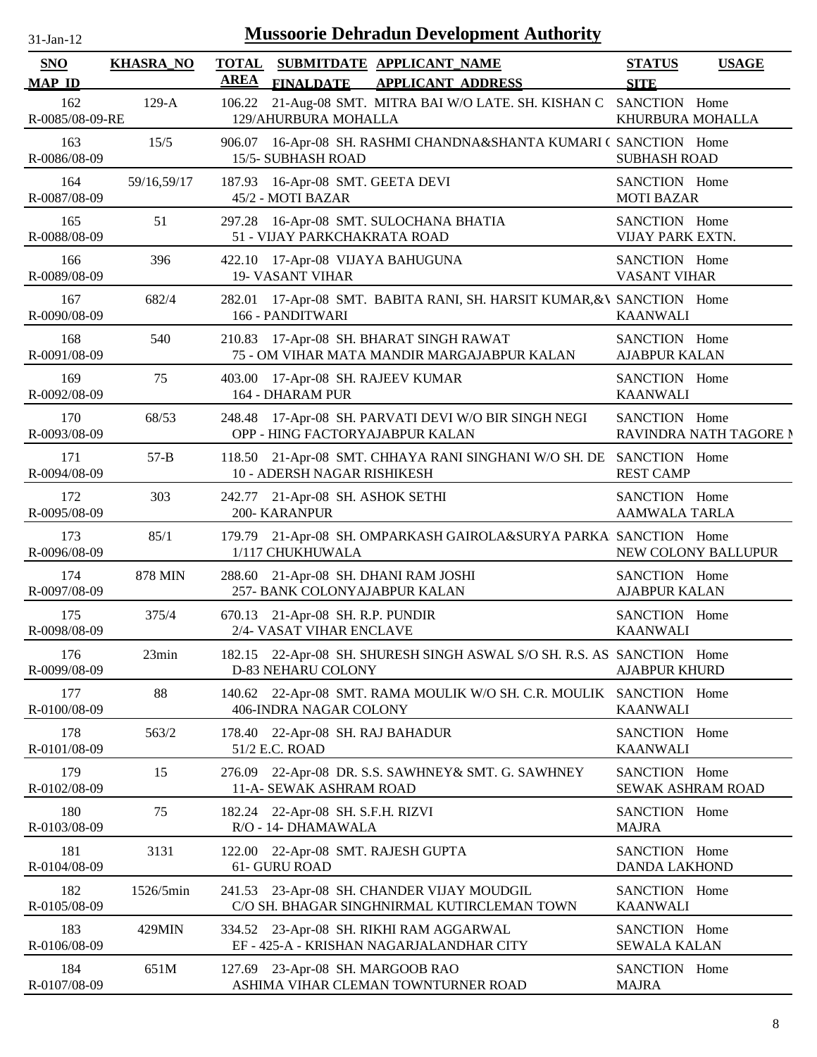| $31-Jan-12$                 |                  | <b>Mussoorie Dehradun Development Authority</b>                                                          |                                       |                        |
|-----------------------------|------------------|----------------------------------------------------------------------------------------------------------|---------------------------------------|------------------------|
| <b>SNO</b><br><b>MAP ID</b> | <b>KHASRA_NO</b> | <b>TOTAL</b><br>SUBMITDATE APPLICANT_NAME<br><b>AREA</b><br><b>FINALDATE</b><br><b>APPLICANT ADDRESS</b> | <b>STATUS</b><br><b>SITE</b>          | <b>USAGE</b>           |
| 162<br>R-0085/08-09-RE      | $129-A$          | 21-Aug-08 SMT. MITRA BAI W/O LATE. SH. KISHAN C SANCTION Home<br>106.22<br>129/AHURBURA MOHALLA          | KHURBURA MOHALLA                      |                        |
| 163<br>R-0086/08-09         | 15/5             | 16-Apr-08 SH. RASHMI CHANDNA&SHANTA KUMARI (SANCTION Home<br>906.07<br>15/5-SUBHASH ROAD                 | <b>SUBHASH ROAD</b>                   |                        |
| 164<br>R-0087/08-09         | 59/16,59/17      | 187.93 16-Apr-08 SMT. GEETA DEVI<br>45/2 - MOTI BAZAR                                                    | SANCTION Home<br><b>MOTI BAZAR</b>    |                        |
| 165<br>R-0088/08-09         | 51               | 16-Apr-08 SMT. SULOCHANA BHATIA<br>297.28<br>51 - VIJAY PARKCHAKRATA ROAD                                | SANCTION Home<br>VIJAY PARK EXTN.     |                        |
| 166<br>R-0089/08-09         | 396              | 422.10 17-Apr-08 VIJAYA BAHUGUNA<br><b>19- VASANT VIHAR</b>                                              | SANCTION Home<br><b>VASANT VIHAR</b>  |                        |
| 167<br>R-0090/08-09         | 682/4            | 17-Apr-08 SMT. BABITA RANI, SH. HARSIT KUMAR, & SANCTION Home<br>282.01<br>166 - PANDITWARI              | <b>KAANWALI</b>                       |                        |
| 168<br>R-0091/08-09         | 540              | 17-Apr-08 SH. BHARAT SINGH RAWAT<br>210.83<br>75 - OM VIHAR MATA MANDIR MARGAJABPUR KALAN                | SANCTION Home<br><b>AJABPUR KALAN</b> |                        |
| 169<br>R-0092/08-09         | 75               | 17-Apr-08 SH. RAJEEV KUMAR<br>403.00<br>164 - DHARAM PUR                                                 | SANCTION Home<br><b>KAANWALI</b>      |                        |
| 170<br>R-0093/08-09         | 68/53            | 17-Apr-08 SH. PARVATI DEVI W/O BIR SINGH NEGI<br>248.48<br>OPP - HING FACTORYAJABPUR KALAN               | SANCTION Home                         | RAVINDRA NATH TAGORE N |
| 171<br>R-0094/08-09         | $57 - B$         | 21-Apr-08 SMT. CHHAYA RANI SINGHANI W/O SH. DE SANCTION Home<br>118.50<br>10 - ADERSH NAGAR RISHIKESH    | <b>REST CAMP</b>                      |                        |
| 172<br>R-0095/08-09         | 303              | 242.77 21-Apr-08 SH. ASHOK SETHI<br><b>200- KARANPUR</b>                                                 | SANCTION Home<br>AAMWALA TARLA        |                        |
| 173<br>R-0096/08-09         | 85/1             | 179.79 21-Apr-08 SH. OMPARKASH GAIROLA&SURYA PARKA, SANCTION Home<br>1/117 CHUKHUWALA                    |                                       | NEW COLONY BALLUPUR    |
| 174<br>R-0097/08-09         | <b>878 MIN</b>   | 288.60 21-Apr-08 SH. DHANI RAM JOSHI<br>257- BANK COLONYAJABPUR KALAN                                    | SANCTION Home<br><b>AJABPUR KALAN</b> |                        |
| 175<br>R-0098/08-09         | 375/4            | 670.13 21-Apr-08 SH. R.P. PUNDIR<br>2/4- VASAT VIHAR ENCLAVE                                             | SANCTION Home<br><b>KAANWALI</b>      |                        |
| 176<br>R-0099/08-09         | 23min            | 182.15 22-Apr-08 SH. SHURESH SINGH ASWAL S/O SH. R.S. AS SANCTION Home<br>D-83 NEHARU COLONY             | <b>AJABPUR KHURD</b>                  |                        |
| 177<br>R-0100/08-09         | 88               | 140.62 22-Apr-08 SMT. RAMA MOULIK W/O SH. C.R. MOULIK SANCTION Home<br>406-INDRA NAGAR COLONY            | <b>KAANWALI</b>                       |                        |
| 178<br>R-0101/08-09         | 563/2            | 178.40 22-Apr-08 SH. RAJ BAHADUR<br>51/2 E.C. ROAD                                                       | SANCTION Home<br><b>KAANWALI</b>      |                        |
| 179<br>R-0102/08-09         | 15               | 22-Apr-08 DR. S.S. SAWHNEY& SMT. G. SAWHNEY<br>276.09<br>11-A- SEWAK ASHRAM ROAD                         | SANCTION Home                         | SEWAK ASHRAM ROAD      |
| 180<br>R-0103/08-09         | 75               | 182.24 22-Apr-08 SH. S.F.H. RIZVI<br>R/O - 14- DHAMAWALA                                                 | SANCTION Home<br><b>MAJRA</b>         |                        |
| 181<br>R-0104/08-09         | 3131             | 22-Apr-08 SMT. RAJESH GUPTA<br>122.00<br>61- GURU ROAD                                                   | SANCTION Home<br><b>DANDA LAKHOND</b> |                        |
| 182<br>R-0105/08-09         | 1526/5min        | 241.53 23-Apr-08 SH. CHANDER VIJAY MOUDGIL<br>C/O SH. BHAGAR SINGHNIRMAL KUTIRCLEMAN TOWN                | SANCTION Home<br><b>KAANWALI</b>      |                        |
| 183<br>R-0106/08-09         | 429MIN           | 334.52 23-Apr-08 SH. RIKHI RAM AGGARWAL<br>EF - 425-A - KRISHAN NAGARJALANDHAR CITY                      | SANCTION Home<br><b>SEWALA KALAN</b>  |                        |
| 184<br>R-0107/08-09         | 651M             | 127.69 23-Apr-08 SH. MARGOOB RAO<br>ASHIMA VIHAR CLEMAN TOWNTURNER ROAD                                  | SANCTION Home<br><b>MAJRA</b>         |                        |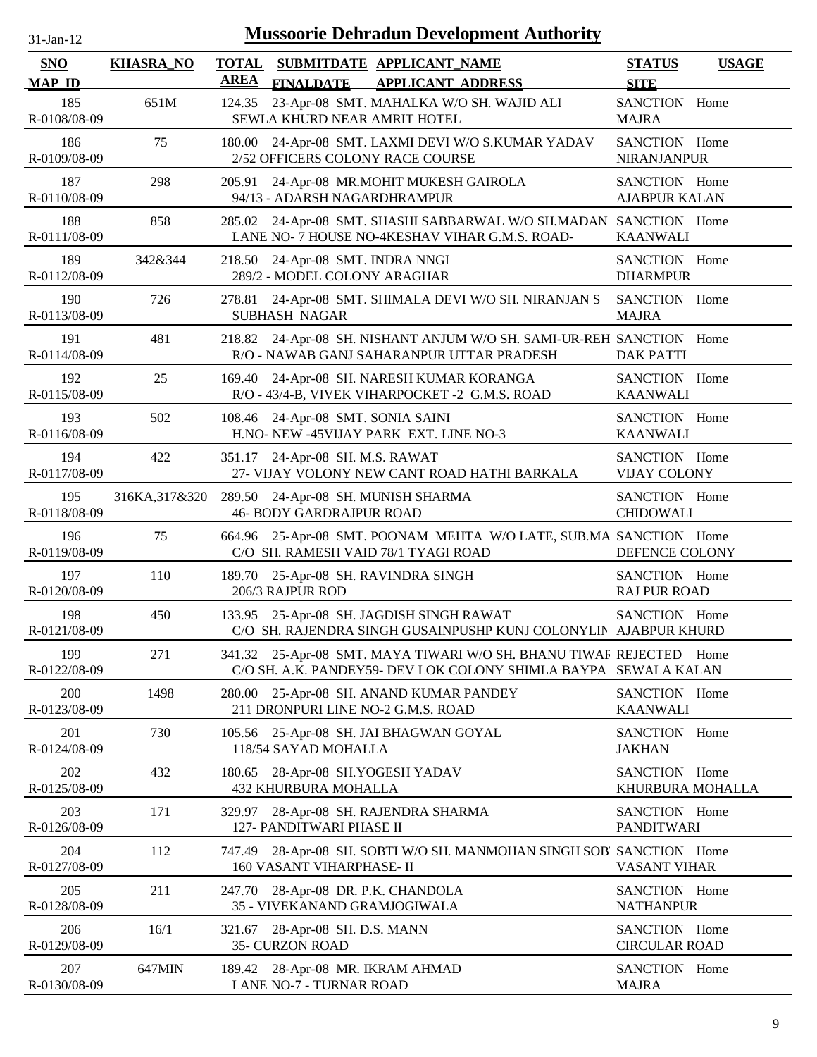| 1-Jan-1 |  |
|---------|--|
|         |  |

| <b>SNO</b>          | <b>KHASRA_NO</b> | <b>TOTAL</b><br><b>AREA</b> | SUBMITDATE APPLICANT_NAME                                                                                                              | <b>STATUS</b>                         | <b>USAGE</b> |
|---------------------|------------------|-----------------------------|----------------------------------------------------------------------------------------------------------------------------------------|---------------------------------------|--------------|
| <b>MAP ID</b>       |                  |                             | <b>FINALDATE</b><br><b>APPLICANT ADDRESS</b>                                                                                           | <b>SITE</b>                           |              |
| 185<br>R-0108/08-09 | 651M             | 124.35                      | 23-Apr-08 SMT. MAHALKA W/O SH. WAJID ALI<br>SEWLA KHURD NEAR AMRIT HOTEL                                                               | SANCTION Home<br><b>MAJRA</b>         |              |
| 186<br>R-0109/08-09 | 75               |                             | 180.00 24-Apr-08 SMT. LAXMI DEVI W/O S.KUMAR YADAV<br>2/52 OFFICERS COLONY RACE COURSE                                                 | SANCTION Home<br>NIRANJANPUR          |              |
| 187<br>R-0110/08-09 | 298              | 205.91                      | 24-Apr-08 MR.MOHIT MUKESH GAIROLA<br>94/13 - ADARSH NAGARDHRAMPUR                                                                      | SANCTION Home<br><b>AJABPUR KALAN</b> |              |
| 188<br>R-0111/08-09 | 858              | 285.02                      | 24-Apr-08 SMT. SHASHI SABBARWAL W/O SH.MADAN SANCTION Home<br>LANE NO- 7 HOUSE NO-4KESHAV VIHAR G.M.S. ROAD-                           | <b>KAANWALI</b>                       |              |
| 189<br>R-0112/08-09 | 342&344          | 218.50                      | 24-Apr-08 SMT. INDRA NNGI<br>289/2 - MODEL COLONY ARAGHAR                                                                              | SANCTION Home<br><b>DHARMPUR</b>      |              |
| 190<br>R-0113/08-09 | 726              | 278.81                      | 24-Apr-08 SMT. SHIMALA DEVI W/O SH. NIRANJAN S<br><b>SUBHASH NAGAR</b>                                                                 | SANCTION Home<br><b>MAJRA</b>         |              |
| 191<br>R-0114/08-09 | 481              | 218.82                      | 24-Apr-08 SH. NISHANT ANJUM W/O SH. SAMI-UR-REH SANCTION Home<br>R/O - NAWAB GANJ SAHARANPUR UTTAR PRADESH                             | <b>DAK PATTI</b>                      |              |
| 192<br>R-0115/08-09 | 25               |                             | 169.40 24-Apr-08 SH. NARESH KUMAR KORANGA<br>R/O - 43/4-B, VIVEK VIHARPOCKET -2 G.M.S. ROAD                                            | SANCTION Home<br><b>KAANWALI</b>      |              |
| 193<br>R-0116/08-09 | 502              |                             | 108.46 24-Apr-08 SMT. SONIA SAINI<br>H.NO- NEW -45VIJAY PARK EXT. LINE NO-3                                                            | SANCTION Home<br><b>KAANWALI</b>      |              |
| 194<br>R-0117/08-09 | 422              |                             | 351.17 24-Apr-08 SH. M.S. RAWAT<br>27- VIJAY VOLONY NEW CANT ROAD HATHI BARKALA                                                        | SANCTION Home<br><b>VIJAY COLONY</b>  |              |
| 195<br>R-0118/08-09 | 316KA, 317& 320  |                             | 289.50 24-Apr-08 SH. MUNISH SHARMA<br><b>46- BODY GARDRAJPUR ROAD</b>                                                                  | SANCTION Home<br><b>CHIDOWALI</b>     |              |
| 196<br>R-0119/08-09 | 75               |                             | 664.96 25-Apr-08 SMT. POONAM MEHTA W/O LATE, SUB.MA SANCTION Home<br>C/O SH. RAMESH VAID 78/1 TYAGI ROAD                               | DEFENCE COLONY                        |              |
| 197<br>R-0120/08-09 | 110              |                             | 189.70 25-Apr-08 SH. RAVINDRA SINGH<br>206/3 RAJPUR ROD                                                                                | SANCTION Home<br><b>RAJ PUR ROAD</b>  |              |
| 198<br>R-0121/08-09 | 450              |                             | 133.95 25-Apr-08 SH. JAGDISH SINGH RAWAT<br>C/O SH. RAJENDRA SINGH GUSAINPUSHP KUNJ COLONYLIN AJABPUR KHURD                            | SANCTION Home                         |              |
| 199<br>R-0122/08-09 | 271              |                             | 341.32 25-Apr-08 SMT. MAYA TIWARI W/O SH. BHANU TIWAF REJECTED Home<br>C/O SH. A.K. PANDEY59- DEV LOK COLONY SHIMLA BAYPA SEWALA KALAN |                                       |              |
| 200<br>R-0123/08-09 | 1498             |                             | 280.00 25-Apr-08 SH. ANAND KUMAR PANDEY<br>211 DRONPURI LINE NO-2 G.M.S. ROAD                                                          | SANCTION Home<br><b>KAANWALI</b>      |              |
| 201<br>R-0124/08-09 | 730              | 105.56                      | 25-Apr-08 SH. JAI BHAGWAN GOYAL<br>118/54 SAYAD MOHALLA                                                                                | SANCTION Home<br><b>JAKHAN</b>        |              |
| 202<br>R-0125/08-09 | 432              | 180.65                      | 28-Apr-08 SH.YOGESH YADAV<br>432 KHURBURA MOHALLA                                                                                      | SANCTION Home<br>KHURBURA MOHALLA     |              |
| 203<br>R-0126/08-09 | 171              | 329.97                      | 28-Apr-08 SH. RAJENDRA SHARMA<br>127- PANDITWARI PHASE II                                                                              | SANCTION Home<br><b>PANDITWARI</b>    |              |
| 204<br>R-0127/08-09 | 112              | 747.49                      | 28-Apr-08 SH. SOBTI W/O SH. MANMOHAN SINGH SOB' SANCTION Home<br>160 VASANT VIHARPHASE-II                                              | VASANT VIHAR                          |              |
| 205<br>R-0128/08-09 | 211              |                             | 247.70 28-Apr-08 DR. P.K. CHANDOLA<br>35 - VIVEKANAND GRAMJOGIWALA                                                                     | SANCTION Home<br><b>NATHANPUR</b>     |              |
| 206<br>R-0129/08-09 | 16/1             |                             | 321.67 28-Apr-08 SH. D.S. MANN<br>35- CURZON ROAD                                                                                      | SANCTION Home<br><b>CIRCULAR ROAD</b> |              |
| 207<br>R-0130/08-09 | 647MIN           |                             | 189.42 28-Apr-08 MR. IKRAM AHMAD<br>LANE NO-7 - TURNAR ROAD                                                                            | SANCTION Home<br><b>MAJRA</b>         |              |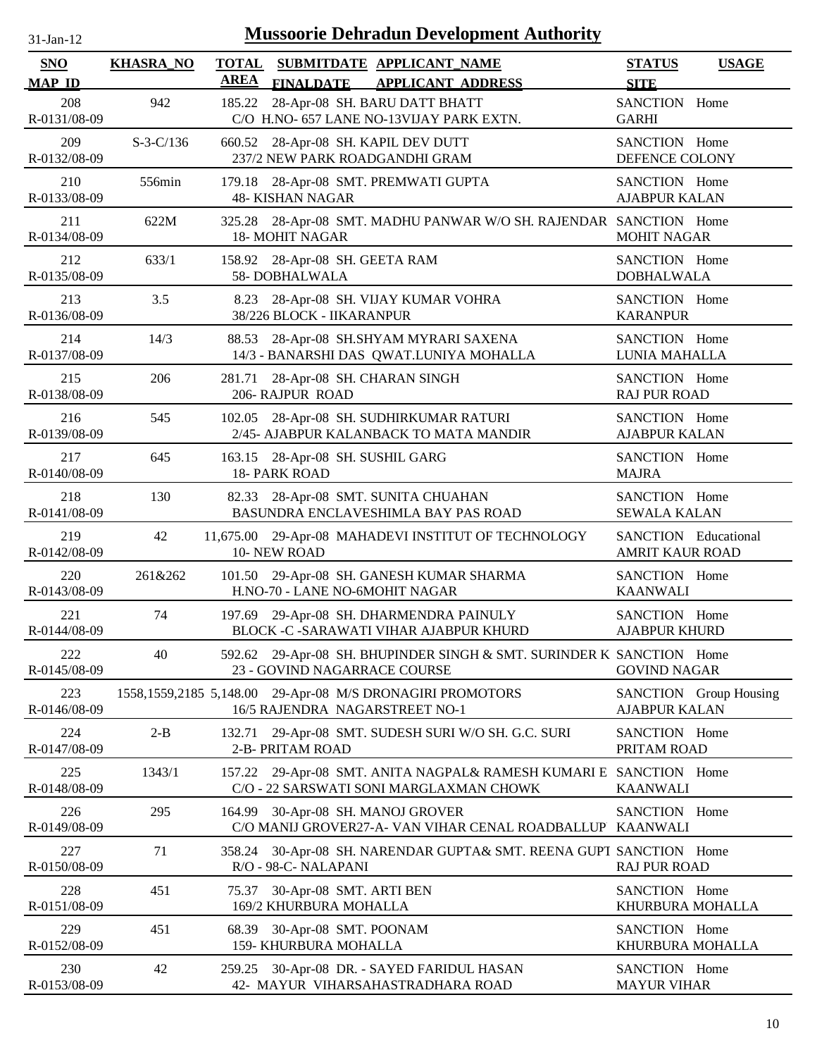| 31-Jan-12 |  |
|-----------|--|
|           |  |

| SNO                 | <b>KHASRA_NO</b> | <b>TOTAL</b><br><b>AREA</b> | SUBMITDATE APPLICANT NAME                                                                             | <b>STATUS</b>                                         | <b>USAGE</b>           |
|---------------------|------------------|-----------------------------|-------------------------------------------------------------------------------------------------------|-------------------------------------------------------|------------------------|
| <b>MAP ID</b>       |                  |                             | <b>FINALDATE</b><br><b>APPLICANT ADDRESS</b>                                                          | <b>SITE</b>                                           |                        |
| 208<br>R-0131/08-09 | 942              | 185.22                      | 28-Apr-08 SH. BARU DATT BHATT<br>C/O H.NO- 657 LANE NO-13VIJAY PARK EXTN.                             | SANCTION Home<br><b>GARHI</b>                         |                        |
| 209<br>R-0132/08-09 | $S-3-C/136$      |                             | 660.52 28-Apr-08 SH. KAPIL DEV DUTT<br>237/2 NEW PARK ROADGANDHI GRAM                                 | SANCTION Home<br>DEFENCE COLONY                       |                        |
| 210<br>R-0133/08-09 | 556min           |                             | 179.18 28-Apr-08 SMT. PREMWATI GUPTA<br><b>48- KISHAN NAGAR</b>                                       | SANCTION Home<br><b>AJABPUR KALAN</b>                 |                        |
| 211<br>R-0134/08-09 | 622M             |                             | 325.28 28-Apr-08 SMT. MADHU PANWAR W/O SH. RAJENDAR SANCTION Home<br><b>18- MOHIT NAGAR</b>           | <b>MOHIT NAGAR</b>                                    |                        |
| 212<br>R-0135/08-09 | 633/1            | 158.92                      | 28-Apr-08 SH. GEETA RAM<br>58-DOBHALWALA                                                              | SANCTION Home<br><b>DOBHALWALA</b>                    |                        |
| 213<br>R-0136/08-09 | 3.5              | 8.23                        | 28-Apr-08 SH. VIJAY KUMAR VOHRA<br>38/226 BLOCK - IIKARANPUR                                          | SANCTION Home<br><b>KARANPUR</b>                      |                        |
| 214<br>R-0137/08-09 | 14/3             | 88.53                       | 28-Apr-08 SH.SHYAM MYRARI SAXENA<br>14/3 - BANARSHI DAS QWAT.LUNIYA MOHALLA                           | SANCTION Home<br>LUNIA MAHALLA                        |                        |
| 215<br>R-0138/08-09 | 206              | 281.71                      | 28-Apr-08 SH. CHARAN SINGH<br>206-RAJPUR ROAD                                                         | SANCTION Home<br><b>RAJ PUR ROAD</b>                  |                        |
| 216<br>R-0139/08-09 | 545              |                             | 102.05 28-Apr-08 SH. SUDHIRKUMAR RATURI<br>2/45- AJABPUR KALANBACK TO MATA MANDIR                     | SANCTION Home<br><b>AJABPUR KALAN</b>                 |                        |
| 217<br>R-0140/08-09 | 645              |                             | 163.15 28-Apr-08 SH. SUSHIL GARG<br>18- PARK ROAD                                                     | SANCTION Home<br><b>MAJRA</b>                         |                        |
| 218<br>R-0141/08-09 | 130              |                             | 82.33 28-Apr-08 SMT. SUNITA CHUAHAN<br>BASUNDRA ENCLAVESHIMLA BAY PAS ROAD                            | SANCTION Home<br><b>SEWALA KALAN</b>                  |                        |
| 219<br>R-0142/08-09 | 42               |                             | 11,675.00 29-Apr-08 MAHADEVI INSTITUT OF TECHNOLOGY<br>10-NEW ROAD                                    | <b>SANCTION</b> Educational<br><b>AMRIT KAUR ROAD</b> |                        |
| 220<br>R-0143/08-09 | 261&262          |                             | 101.50 29-Apr-08 SH. GANESH KUMAR SHARMA<br>H.NO-70 - LANE NO-6MOHIT NAGAR                            | SANCTION Home<br><b>KAANWALI</b>                      |                        |
| 221<br>R-0144/08-09 | 74               |                             | 197.69 29-Apr-08 SH. DHARMENDRA PAINULY<br>BLOCK -C -SARAWATI VIHAR AJABPUR KHURD                     | SANCTION Home<br><b>AJABPUR KHURD</b>                 |                        |
| 222<br>R-0145/08-09 | 40               |                             | 592.62 29-Apr-08 SH. BHUPINDER SINGH & SMT. SURINDER K SANCTION Home<br>23 - GOVIND NAGARRACE COURSE  | <b>GOVIND NAGAR</b>                                   |                        |
| 223<br>R-0146/08-09 |                  |                             | 1558,1559,2185 5,148.00 29-Apr-08 M/S DRONAGIRI PROMOTORS<br>16/5 RAJENDRA NAGARSTREET NO-1           | <b>AJABPUR KALAN</b>                                  | SANCTION Group Housing |
| 224<br>R-0147/08-09 | $2 - B$          | 132.71                      | 29-Apr-08 SMT. SUDESH SURI W/O SH. G.C. SURI<br>2-B- PRITAM ROAD                                      | SANCTION Home<br>PRITAM ROAD                          |                        |
| 225<br>R-0148/08-09 | 1343/1           | 157.22                      | 29-Apr-08 SMT. ANITA NAGPAL& RAMESH KUMARI E SANCTION Home<br>C/O - 22 SARSWATI SONI MARGLAXMAN CHOWK | <b>KAANWALI</b>                                       |                        |
| 226<br>R-0149/08-09 | 295              | 164.99                      | 30-Apr-08 SH. MANOJ GROVER<br>C/O MANIJ GROVER27-A- VAN VIHAR CENAL ROADBALLUP KAANWALI               | SANCTION Home                                         |                        |
| 227<br>R-0150/08-09 | 71               | 358.24                      | 30-Apr-08 SH. NARENDAR GUPTA& SMT. REENA GUPT SANCTION Home<br>R/O - 98-C- NALAPANI                   | <b>RAJ PUR ROAD</b>                                   |                        |
| 228<br>R-0151/08-09 | 451              | 75.37                       | 30-Apr-08 SMT. ARTI BEN<br>169/2 KHURBURA MOHALLA                                                     | SANCTION Home<br>KHURBURA MOHALLA                     |                        |
| 229<br>R-0152/08-09 | 451              | 68.39                       | 30-Apr-08 SMT. POONAM<br>159- KHURBURA MOHALLA                                                        | SANCTION Home<br>KHURBURA MOHALLA                     |                        |
| 230<br>R-0153/08-09 | 42               |                             | 259.25 30-Apr-08 DR. - SAYED FARIDUL HASAN<br>42- MAYUR VIHARSAHASTRADHARA ROAD                       | SANCTION Home<br><b>MAYUR VIHAR</b>                   |                        |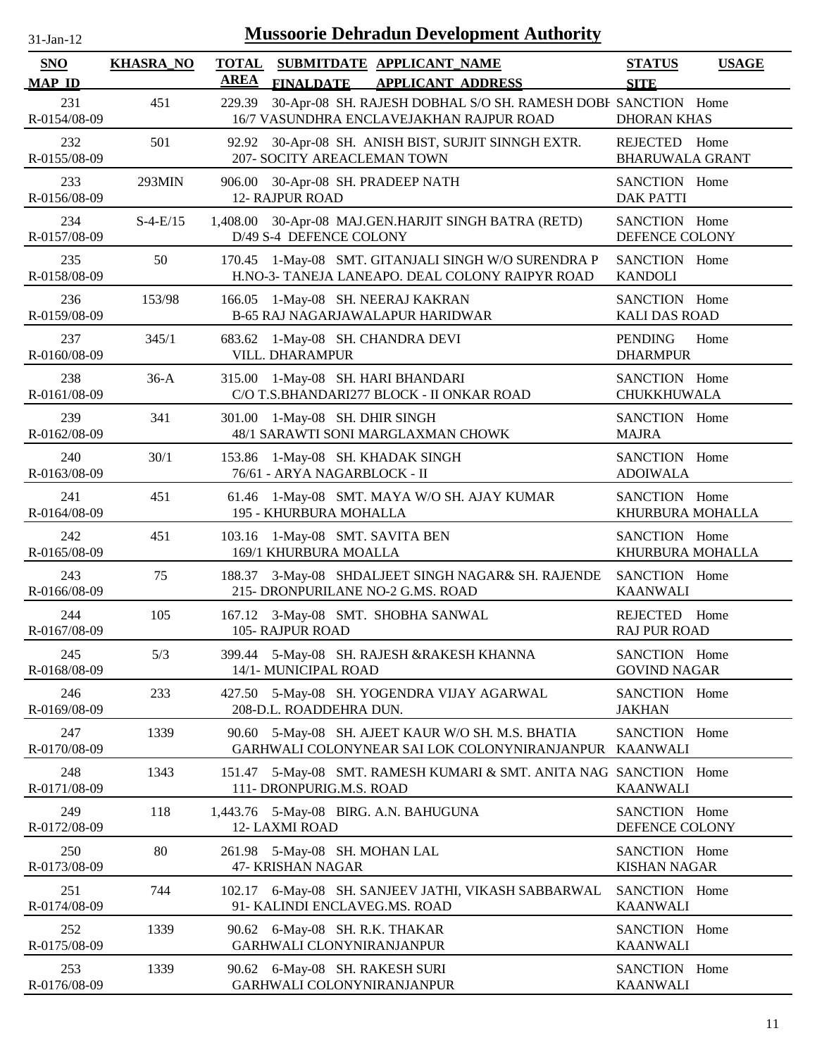| 31-Jan-12                   | <b>Mussoorie Dehradun Development Authority</b> |                             |                                                                                                           |                                         |              |
|-----------------------------|-------------------------------------------------|-----------------------------|-----------------------------------------------------------------------------------------------------------|-----------------------------------------|--------------|
| <b>SNO</b><br><b>MAP ID</b> | <b>KHASRA_NO</b>                                | <b>TOTAL</b><br><b>AREA</b> | SUBMITDATE APPLICANT NAME<br><b>FINALDATE</b><br><b>APPLICANT ADDRESS</b>                                 | <b>STATUS</b><br><b>SITE</b>            | <b>USAGE</b> |
| 231<br>R-0154/08-09         | 451                                             | 229.39                      | 30-Apr-08 SH. RAJESH DOBHAL S/O SH. RAMESH DOBE SANCTION Home<br>16/7 VASUNDHRA ENCLAVEJAKHAN RAJPUR ROAD | <b>DHORAN KHAS</b>                      |              |
| 232<br>R-0155/08-09         | 501                                             | 92.92                       | 30-Apr-08 SH. ANISH BIST, SURJIT SINNGH EXTR.<br>207- SOCITY AREACLEMAN TOWN                              | REJECTED Home<br><b>BHARUWALA GRANT</b> |              |
| 233<br>R-0156/08-09         | 293MIN                                          | 906.00                      | 30-Apr-08 SH. PRADEEP NATH<br><b>12- RAJPUR ROAD</b>                                                      | SANCTION Home<br><b>DAK PATTI</b>       |              |
| 234<br>R-0157/08-09         | $S-4-E/15$                                      |                             | 1,408.00 30-Apr-08 MAJ.GEN.HARJIT SINGH BATRA (RETD)<br>D/49 S-4 DEFENCE COLONY                           | SANCTION Home<br>DEFENCE COLONY         |              |
| 235<br>R-0158/08-09         | 50                                              |                             | 170.45 1-May-08 SMT. GITANJALI SINGH W/O SURENDRA P<br>H.NO-3- TANEJA LANEAPO. DEAL COLONY RAIPYR ROAD    | SANCTION Home<br><b>KANDOLI</b>         |              |
| 236<br>R-0159/08-09         | 153/98                                          |                             | 166.05 1-May-08 SH. NEERAJ KAKRAN<br>B-65 RAJ NAGARJAWALAPUR HARIDWAR                                     | SANCTION Home<br><b>KALI DAS ROAD</b>   |              |
| 237<br>R-0160/08-09         | 345/1                                           |                             | 683.62 1-May-08 SH. CHANDRA DEVI<br>VILL. DHARAMPUR                                                       | <b>PENDING</b><br><b>DHARMPUR</b>       | Home         |
| 238<br>R-0161/08-09         | $36-A$                                          |                             | 315.00 1-May-08 SH. HARI BHANDARI<br>C/O T.S.BHANDARI277 BLOCK - II ONKAR ROAD                            | SANCTION Home<br>CHUKKHUWALA            |              |
| 239<br>R-0162/08-09         | 341                                             |                             | 301.00 1-May-08 SH. DHIR SINGH<br>48/1 SARAWTI SONI MARGLAXMAN CHOWK                                      | SANCTION Home<br><b>MAJRA</b>           |              |
| 240<br>R-0163/08-09         | 30/1                                            |                             | 153.86 1-May-08 SH. KHADAK SINGH<br>76/61 - ARYA NAGARBLOCK - II                                          | SANCTION Home<br><b>ADOIWALA</b>        |              |
| 241<br>R-0164/08-09         | 451                                             | 61.46                       | 1-May-08 SMT. MAYA W/O SH. AJAY KUMAR<br>195 - KHURBURA MOHALLA                                           | SANCTION Home<br>KHURBURA MOHALLA       |              |
| 242<br>R-0165/08-09         | 451                                             | 103.16                      | 1-May-08 SMT. SAVITA BEN<br>169/1 KHURBURA MOALLA                                                         | SANCTION Home<br>KHURBURA MOHALLA       |              |
| 243<br>R-0166/08-09         | 75                                              | 188.37                      | 3-May-08 SHDALJEET SINGH NAGAR& SH. RAJENDE<br>215- DRONPURILANE NO-2 G.MS. ROAD                          | SANCTION Home<br><b>KAANWALI</b>        |              |
| 244<br>R-0167/08-09         | 105                                             |                             | 167.12 3-May-08 SMT. SHOBHA SANWAL<br>105-RAJPUR ROAD                                                     | REJECTED Home<br><b>RAJ PUR ROAD</b>    |              |
| 245<br>R-0168/08-09         | 5/3                                             | 399.44                      | 5-May-08 SH. RAJESH &RAKESH KHANNA<br>14/1- MUNICIPAL ROAD                                                | SANCTION Home<br><b>GOVIND NAGAR</b>    |              |
| 246<br>R-0169/08-09         | 233                                             |                             | 427.50 5-May-08 SH. YOGENDRA VIJAY AGARWAL<br>208-D.L. ROADDEHRA DUN.                                     | SANCTION Home<br><b>JAKHAN</b>          |              |
| 247<br>R-0170/08-09         | 1339                                            | 90.60                       | 5-May-08 SH. AJEET KAUR W/O SH. M.S. BHATIA<br>GARHWALI COLONYNEAR SAI LOK COLONYNIRANJANPUR KAANWALI     | SANCTION Home                           |              |
| 248<br>R-0171/08-09         | 1343                                            |                             | 151.47 5-May-08 SMT. RAMESH KUMARI & SMT. ANITA NAG SANCTION Home<br>111- DRONPURIG.M.S. ROAD             | <b>KAANWALI</b>                         |              |
| 249<br>R-0172/08-09         | 118                                             |                             | 1,443.76 5-May-08 BIRG. A.N. BAHUGUNA<br>12-LAXMI ROAD                                                    | SANCTION Home<br>DEFENCE COLONY         |              |
| 250<br>R-0173/08-09         | 80                                              |                             | 261.98 5-May-08 SH. MOHAN LAL<br>47- KRISHAN NAGAR                                                        | SANCTION Home<br><b>KISHAN NAGAR</b>    |              |
| 251<br>R-0174/08-09         | 744                                             |                             | 102.17 6-May-08 SH. SANJEEV JATHI, VIKASH SABBARWAL<br>91- KALINDI ENCLAVEG.MS. ROAD                      | SANCTION Home<br><b>KAANWALI</b>        |              |
| 252<br>R-0175/08-09         | 1339                                            |                             | 90.62 6-May-08 SH. R.K. THAKAR<br>GARHWALI CLONYNIRANJANPUR                                               | SANCTION Home<br><b>KAANWALI</b>        |              |
| 253<br>R-0176/08-09         | 1339                                            |                             | 90.62 6-May-08 SH. RAKESH SURI<br>GARHWALI COLONYNIRANJANPUR                                              | SANCTION Home<br><b>KAANWALI</b>        |              |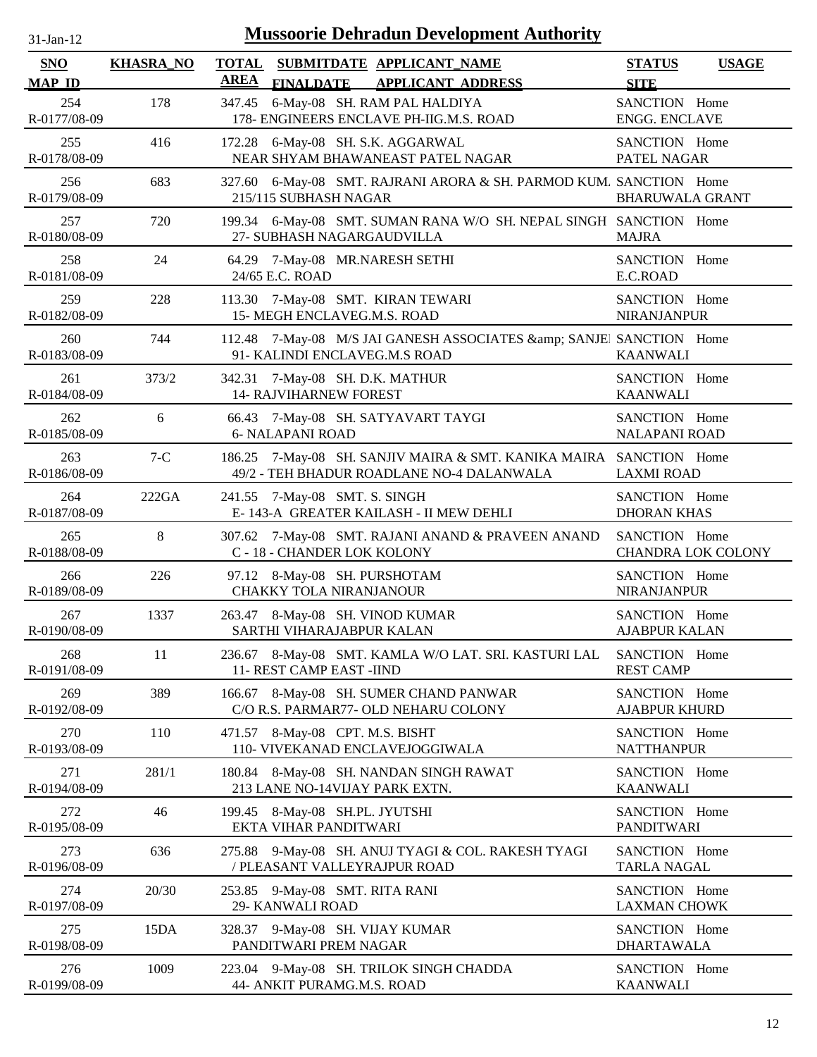| $31-Jan-12$          |                  | <b>Mussoorie Dehradun Development Authority</b>                                                                 |                                            |              |
|----------------------|------------------|-----------------------------------------------------------------------------------------------------------------|--------------------------------------------|--------------|
| SNO<br><b>MAP ID</b> | <b>KHASRA_NO</b> | <b>TOTAL</b><br>SUBMITDATE APPLICANT NAME<br><b>AREA</b><br><b>FINALDATE</b><br><b>APPLICANT ADDRESS</b>        | <b>STATUS</b><br><b>SITE</b>               | <b>USAGE</b> |
| 254<br>R-0177/08-09  | 178              | 6-May-08 SH. RAM PAL HALDIYA<br>347.45<br>178- ENGINEERS ENCLAVE PH-IIG.M.S. ROAD                               | SANCTION Home<br><b>ENGG. ENCLAVE</b>      |              |
| 255<br>R-0178/08-09  | 416              | 172.28<br>6-May-08 SH. S.K. AGGARWAL<br>NEAR SHYAM BHAWANEAST PATEL NAGAR                                       | SANCTION Home<br>PATEL NAGAR               |              |
| 256<br>R-0179/08-09  | 683              | 327.60 6-May-08 SMT. RAJRANI ARORA & SH. PARMOD KUM. SANCTION Home<br>215/115 SUBHASH NAGAR                     | <b>BHARUWALA GRANT</b>                     |              |
| 257<br>R-0180/08-09  | 720              | 199.34 6-May-08 SMT. SUMAN RANA W/O SH. NEPAL SINGH SANCTION Home<br>27- SUBHASH NAGARGAUDVILLA                 | <b>MAJRA</b>                               |              |
| 258<br>R-0181/08-09  | 24               | 64.29 7-May-08 MR.NARESH SETHI<br>24/65 E.C. ROAD                                                               | SANCTION Home<br>E.C.ROAD                  |              |
| 259<br>R-0182/08-09  | 228              | 7-May-08 SMT. KIRAN TEWARI<br>113.30<br>15- MEGH ENCLAVEG.M.S. ROAD                                             | SANCTION Home<br><b>NIRANJANPUR</b>        |              |
| 260<br>R-0183/08-09  | 744              | 112.48 7-May-08 M/S JAI GANESH ASSOCIATES & SANJEI SANCTION Home<br>91- KALINDI ENCLAVEG.M.S ROAD               | <b>KAANWALI</b>                            |              |
| 261<br>R-0184/08-09  | 373/2            | 342.31 7-May-08 SH. D.K. MATHUR<br><b>14- RAJVIHARNEW FOREST</b>                                                | SANCTION Home<br><b>KAANWALI</b>           |              |
| 262<br>R-0185/08-09  | 6                | 66.43 7-May-08 SH. SATYAVART TAYGI<br><b>6- NALAPANI ROAD</b>                                                   | SANCTION Home<br><b>NALAPANI ROAD</b>      |              |
| 263<br>R-0186/08-09  | $7-C$            | 186.25 7-May-08 SH. SANJIV MAIRA & SMT. KANIKA MAIRA SANCTION Home<br>49/2 - TEH BHADUR ROADLANE NO-4 DALANWALA | <b>LAXMI ROAD</b>                          |              |
| 264<br>R-0187/08-09  | 222GA            | 241.55 7-May-08 SMT. S. SINGH<br>E-143-A GREATER KAILASH - II MEW DEHLI                                         | SANCTION Home<br><b>DHORAN KHAS</b>        |              |
| 265<br>R-0188/08-09  | $8\,$            | 307.62 7-May-08 SMT. RAJANI ANAND & PRAVEEN ANAND<br>C - 18 - CHANDER LOK KOLONY                                | SANCTION Home<br><b>CHANDRA LOK COLONY</b> |              |
| 266<br>R-0189/08-09  | 226              | 97.12 8-May-08 SH. PURSHOTAM<br><b>CHAKKY TOLA NIRANJANOUR</b>                                                  | SANCTION Home<br><b>NIRANJANPUR</b>        |              |
| 267<br>R-0190/08-09  | 1337             | 263.47 8-May-08 SH. VINOD KUMAR<br>SARTHI VIHARAJABPUR KALAN                                                    | SANCTION Home<br><b>AJABPUR KALAN</b>      |              |
| 268<br>R-0191/08-09  | 11               | 236.67 8-May-08 SMT. KAMLA W/O LAT. SRI. KASTURI LAL<br>11- REST CAMP EAST -IIND                                | SANCTION Home<br><b>REST CAMP</b>          |              |
| 269<br>R-0192/08-09  | 389              | 8-May-08 SH. SUMER CHAND PANWAR<br>166.67<br>C/O R.S. PARMAR77- OLD NEHARU COLONY                               | SANCTION Home<br><b>AJABPUR KHURD</b>      |              |
| 270<br>R-0193/08-09  | 110              | 471.57 8-May-08 CPT. M.S. BISHT<br>110- VIVEKANAD ENCLAVEJOGGIWALA                                              | SANCTION Home<br><b>NATTHANPUR</b>         |              |
| 271<br>R-0194/08-09  | 281/1            | 180.84 8-May-08 SH. NANDAN SINGH RAWAT<br>213 LANE NO-14VIJAY PARK EXTN.                                        | SANCTION Home<br><b>KAANWALI</b>           |              |
| 272<br>R-0195/08-09  | 46               | 199.45 8-May-08 SH.PL. JYUTSHI<br>EKTA VIHAR PANDITWARI                                                         | SANCTION Home<br><b>PANDITWARI</b>         |              |
| 273<br>R-0196/08-09  | 636              | 9-May-08 SH. ANUJ TYAGI & COL. RAKESH TYAGI<br>275.88<br>/ PLEASANT VALLEYRAJPUR ROAD                           | SANCTION Home<br><b>TARLA NAGAL</b>        |              |
| 274<br>R-0197/08-09  | 20/30            | 253.85 9-May-08 SMT. RITA RANI<br>29- KANWALI ROAD                                                              | SANCTION Home<br><b>LAXMAN CHOWK</b>       |              |
| 275<br>R-0198/08-09  | 15DA             | 328.37 9-May-08 SH. VIJAY KUMAR<br>PANDITWARI PREM NAGAR                                                        | SANCTION Home<br><b>DHARTAWALA</b>         |              |
| 276<br>R-0199/08-09  | 1009             | 223.04 9-May-08 SH. TRILOK SINGH CHADDA<br>44- ANKIT PURAMG.M.S. ROAD                                           | SANCTION Home<br><b>KAANWALI</b>           |              |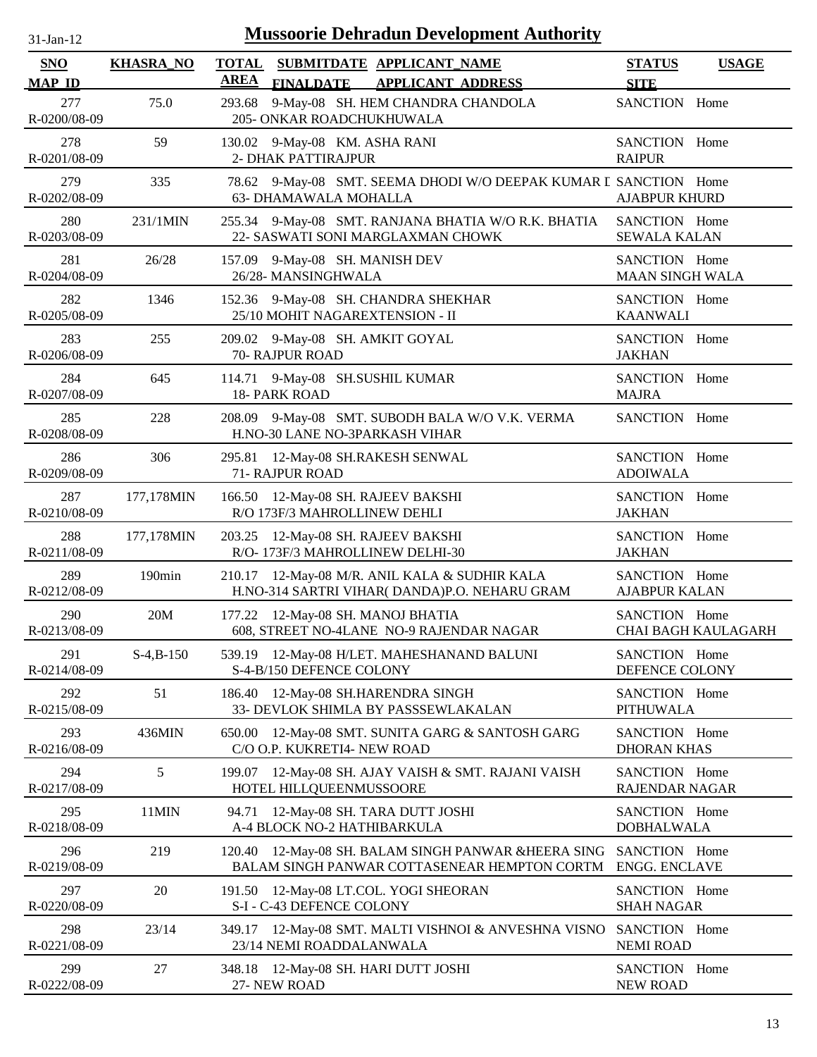| $31-Jan-12$                 | <b>Mussoorie Dehradun Development Authority</b> |                             |                                                                                                     |                                         |                            |  |
|-----------------------------|-------------------------------------------------|-----------------------------|-----------------------------------------------------------------------------------------------------|-----------------------------------------|----------------------------|--|
| <b>SNO</b><br><b>MAP ID</b> | <b>KHASRA_NO</b>                                | <b>TOTAL</b><br><b>AREA</b> | SUBMITDATE APPLICANT NAME<br><b>FINALDATE</b><br><b>APPLICANT ADDRESS</b>                           | <b>STATUS</b><br><b>SITE</b>            | <b>USAGE</b>               |  |
| 277<br>R-0200/08-09         | 75.0                                            | 293.68                      | 9-May-08 SH. HEM CHANDRA CHANDOLA<br>205- ONKAR ROADCHUKHUWALA                                      | SANCTION Home                           |                            |  |
| 278<br>R-0201/08-09         | 59                                              | 130.02                      | 9-May-08 KM. ASHA RANI<br>2- DHAK PATTIRAJPUR                                                       | SANCTION Home<br><b>RAIPUR</b>          |                            |  |
| 279<br>R-0202/08-09         | 335                                             |                             | 78.62 9-May-08 SMT. SEEMA DHODI W/O DEEPAK KUMAR I SANCTION Home<br>63- DHAMAWALA MOHALLA           | <b>AJABPUR KHURD</b>                    |                            |  |
| 280<br>R-0203/08-09         | 231/1MIN                                        |                             | 255.34 9-May-08 SMT. RANJANA BHATIA W/O R.K. BHATIA<br>22- SASWATI SONI MARGLAXMAN CHOWK            | SANCTION Home<br><b>SEWALA KALAN</b>    |                            |  |
| 281<br>R-0204/08-09         | 26/28                                           | 157.09                      | 9-May-08 SH. MANISH DEV<br>26/28-MANSINGHWALA                                                       | SANCTION Home<br><b>MAAN SINGH WALA</b> |                            |  |
| 282<br>R-0205/08-09         | 1346                                            |                             | 152.36 9-May-08 SH. CHANDRA SHEKHAR<br>25/10 MOHIT NAGAREXTENSION - II                              | SANCTION Home<br><b>KAANWALI</b>        |                            |  |
| 283<br>R-0206/08-09         | 255                                             |                             | 209.02 9-May-08 SH. AMKIT GOYAL<br>70- RAJPUR ROAD                                                  | SANCTION Home<br><b>JAKHAN</b>          |                            |  |
| 284<br>R-0207/08-09         | 645                                             |                             | 114.71 9-May-08 SH.SUSHIL KUMAR<br>18- PARK ROAD                                                    | SANCTION Home<br><b>MAJRA</b>           |                            |  |
| 285<br>R-0208/08-09         | 228                                             |                             | 208.09 9-May-08 SMT. SUBODH BALA W/O V.K. VERMA<br>H.NO-30 LANE NO-3PARKASH VIHAR                   | SANCTION Home                           |                            |  |
| 286<br>R-0209/08-09         | 306                                             | 295.81                      | 12-May-08 SH.RAKESH SENWAL<br>71- RAJPUR ROAD                                                       | SANCTION Home<br><b>ADOIWALA</b>        |                            |  |
| 287<br>R-0210/08-09         | 177,178MIN                                      | 166.50                      | 12-May-08 SH. RAJEEV BAKSHI<br>R/O 173F/3 MAHROLLINEW DEHLI                                         | SANCTION Home<br><b>JAKHAN</b>          |                            |  |
| 288<br>R-0211/08-09         | 177,178MIN                                      | 203.25                      | 12-May-08 SH. RAJEEV BAKSHI<br>R/O-173F/3 MAHROLLINEW DELHI-30                                      | SANCTION Home<br><b>JAKHAN</b>          |                            |  |
| 289<br>R-0212/08-09         | 190min                                          | 210.17                      | 12-May-08 M/R. ANIL KALA & SUDHIR KALA<br>H.NO-314 SARTRI VIHAR( DANDA)P.O. NEHARU GRAM             | SANCTION Home<br><b>AJABPUR KALAN</b>   |                            |  |
| 290<br>R-0213/08-09         | 20M                                             |                             | 177.22 12-May-08 SH. MANOJ BHATIA<br>608, STREET NO-4LANE NO-9 RAJENDAR NAGAR                       | SANCTION Home                           | <b>CHAI BAGH KAULAGARH</b> |  |
| 291<br>R-0214/08-09         | $S-4, B-150$                                    | 539.19                      | 12-May-08 H/LET. MAHESHANAND BALUNI<br>S-4-B/150 DEFENCE COLONY                                     | SANCTION Home<br>DEFENCE COLONY         |                            |  |
| 292<br>R-0215/08-09         | 51                                              | 186.40                      | 12-May-08 SH.HARENDRA SINGH<br>33- DEVLOK SHIMLA BY PASSSEWLAKALAN                                  | SANCTION Home<br><b>PITHUWALA</b>       |                            |  |
| 293<br>R-0216/08-09         | 436MIN                                          | 650.00                      | 12-May-08 SMT. SUNITA GARG & SANTOSH GARG<br>C/O O.P. KUKRETI4- NEW ROAD                            | SANCTION Home<br><b>DHORAN KHAS</b>     |                            |  |
| 294<br>R-0217/08-09         | 5                                               | 199.07                      | 12-May-08 SH. AJAY VAISH & SMT. RAJANI VAISH<br>HOTEL HILLQUEENMUSSOORE                             | SANCTION Home<br>RAJENDAR NAGAR         |                            |  |
| 295<br>R-0218/08-09         | 11MIN                                           | 94.71                       | 12-May-08 SH. TARA DUTT JOSHI<br>A-4 BLOCK NO-2 HATHIBARKULA                                        | SANCTION Home<br><b>DOBHALWALA</b>      |                            |  |
| 296<br>R-0219/08-09         | 219                                             |                             | 120.40 12-May-08 SH. BALAM SINGH PANWAR &HEERA SING<br>BALAM SINGH PANWAR COTTASENEAR HEMPTON CORTM | SANCTION Home<br><b>ENGG. ENCLAVE</b>   |                            |  |
| 297<br>R-0220/08-09         | $20\,$                                          |                             | 191.50 12-May-08 LT.COL. YOGI SHEORAN<br>S-I - C-43 DEFENCE COLONY                                  | SANCTION Home<br><b>SHAH NAGAR</b>      |                            |  |
| 298<br>R-0221/08-09         | 23/14                                           |                             | 349.17 12-May-08 SMT. MALTI VISHNOI & ANVESHNA VISNO<br>23/14 NEMI ROADDALANWALA                    | SANCTION Home<br><b>NEMI ROAD</b>       |                            |  |
| 299<br>R-0222/08-09         | 27                                              | 348.18                      | 12-May-08 SH. HARI DUTT JOSHI<br>27-NEW ROAD                                                        | SANCTION Home<br><b>NEW ROAD</b>        |                            |  |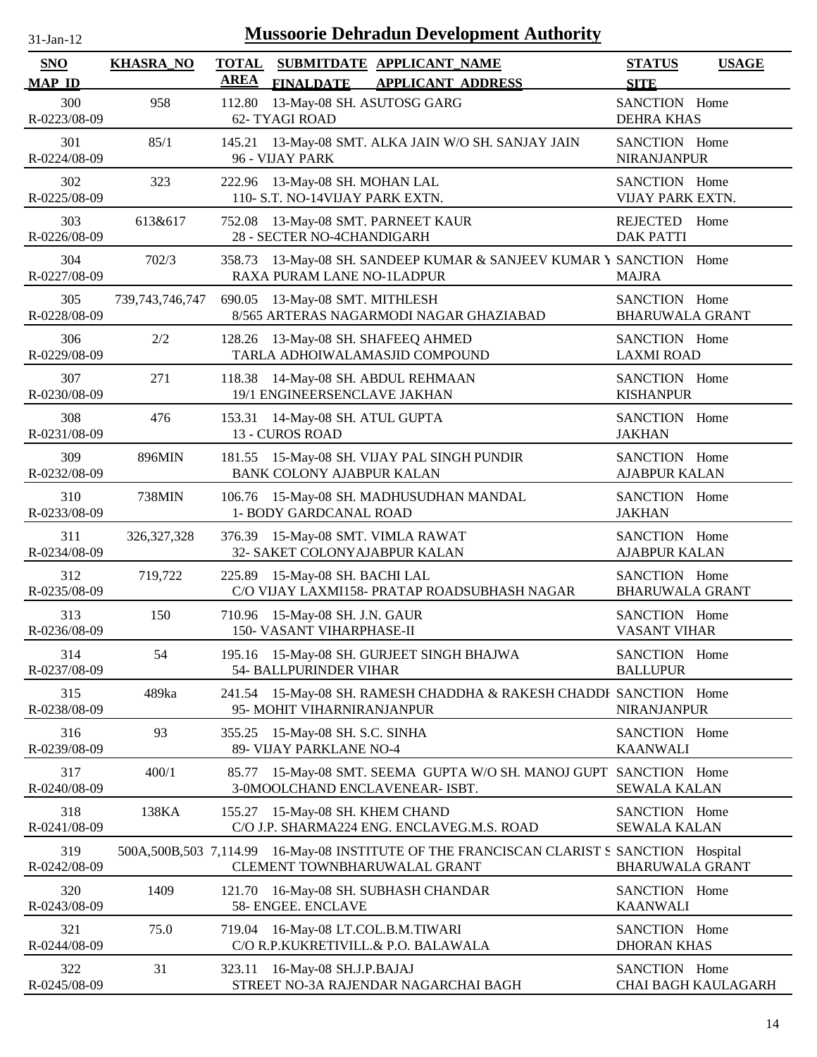| $31-Jan-12$                 |                           |                             | <b>Mussoorie Dehradun Development Authority</b>                                                   |                                         |                            |
|-----------------------------|---------------------------|-----------------------------|---------------------------------------------------------------------------------------------------|-----------------------------------------|----------------------------|
| <b>SNO</b><br><b>MAP ID</b> | <b>KHASRA_NO</b>          | <b>TOTAL</b><br><b>AREA</b> | SUBMITDATE APPLICANT_NAME<br><b>FINALDATE</b><br><b>APPLICANT ADDRESS</b>                         | <b>STATUS</b><br><b>SITE</b>            | <b>USAGE</b>               |
| 300<br>R-0223/08-09         | 958                       | 112.80                      | 13-May-08 SH. ASUTOSG GARG<br>62- TYAGI ROAD                                                      | SANCTION Home<br><b>DEHRA KHAS</b>      |                            |
| 301<br>R-0224/08-09         | 85/1                      |                             | 145.21 13-May-08 SMT. ALKA JAIN W/O SH. SANJAY JAIN<br>96 - VIJAY PARK                            | SANCTION Home<br><b>NIRANJANPUR</b>     |                            |
| 302<br>R-0225/08-09         | 323                       |                             | 222.96 13-May-08 SH. MOHAN LAL<br>110- S.T. NO-14VIJAY PARK EXTN.                                 | SANCTION Home<br>VIJAY PARK EXTN.       |                            |
| 303<br>R-0226/08-09         | 613&617                   |                             | 752.08 13-May-08 SMT. PARNEET KAUR<br>28 - SECTER NO-4CHANDIGARH                                  | <b>REJECTED</b><br><b>DAK PATTI</b>     | Home                       |
| 304<br>R-0227/08-09         | 702/3                     |                             | 358.73 13-May-08 SH. SANDEEP KUMAR & SANJEEV KUMAR Y SANCTION Home<br>RAXA PURAM LANE NO-1LADPUR  | <b>MAJRA</b>                            |                            |
| 305<br>R-0228/08-09         | 739, 743, 746, 747        | 690.05                      | 13-May-08 SMT. MITHLESH<br>8/565 ARTERAS NAGARMODI NAGAR GHAZIABAD                                | SANCTION Home<br><b>BHARUWALA GRANT</b> |                            |
| 306<br>R-0229/08-09         | 2/2                       | 128.26                      | 13-May-08 SH. SHAFEEQ AHMED<br>TARLA ADHOIWALAMASJID COMPOUND                                     | SANCTION Home<br><b>LAXMI ROAD</b>      |                            |
| 307<br>R-0230/08-09         | 271                       | 118.38                      | 14-May-08 SH. ABDUL REHMAAN<br>19/1 ENGINEERSENCLAVE JAKHAN                                       | SANCTION Home<br><b>KISHANPUR</b>       |                            |
| 308<br>R-0231/08-09         | 476                       |                             | 153.31 14-May-08 SH. ATUL GUPTA<br>13 - CUROS ROAD                                                | SANCTION Home<br><b>JAKHAN</b>          |                            |
| 309<br>R-0232/08-09         | 896MIN                    |                             | 181.55 15-May-08 SH. VIJAY PAL SINGH PUNDIR<br>BANK COLONY AJABPUR KALAN                          | SANCTION Home<br><b>AJABPUR KALAN</b>   |                            |
| 310<br>R-0233/08-09         | <b>738MIN</b>             | 106.76                      | 15-May-08 SH. MADHUSUDHAN MANDAL<br>1- BODY GARDCANAL ROAD                                        | SANCTION Home<br><b>JAKHAN</b>          |                            |
| 311<br>R-0234/08-09         | 326, 327, 328             |                             | 376.39 15-May-08 SMT. VIMLA RAWAT<br>32- SAKET COLONYAJABPUR KALAN                                | SANCTION Home<br><b>AJABPUR KALAN</b>   |                            |
| 312<br>R-0235/08-09         | 719,722                   |                             | 225.89 15-May-08 SH. BACHI LAL<br>C/O VIJAY LAXMI158- PRATAP ROADSUBHASH NAGAR                    | SANCTION Home<br><b>BHARUWALA GRANT</b> |                            |
| 313<br>R-0236/08-09         | 150                       |                             | 710.96 15-May-08 SH. J.N. GAUR<br>150- VASANT VIHARPHASE-II                                       | SANCTION Home<br><b>VASANT VIHAR</b>    |                            |
| 314<br>R-0237/08-09         | 54                        |                             | 195.16 15-May-08 SH. GURJEET SINGH BHAJWA<br>54- BALLPURINDER VIHAR                               | SANCTION Home<br><b>BALLUPUR</b>        |                            |
| 315<br>R-0238/08-09         | 489ka                     |                             | 241.54 15-May-08 SH. RAMESH CHADDHA & RAKESH CHADDI SANCTION Home<br>95- MOHIT VIHARNIRANJANPUR   | <b>NIRANJANPUR</b>                      |                            |
| 316<br>R-0239/08-09         | 93                        |                             | 355.25 15-May-08 SH. S.C. SINHA<br>89- VIJAY PARKLANE NO-4                                        | SANCTION Home<br><b>KAANWALI</b>        |                            |
| 317<br>R-0240/08-09         | 400/1                     | 85.77                       | 15-May-08 SMT. SEEMA GUPTA W/O SH. MANOJ GUPT SANCTION Home<br>3-0MOOLCHAND ENCLAVENEAR- ISBT.    | <b>SEWALA KALAN</b>                     |                            |
| 318<br>R-0241/08-09         | 138KA                     | 155.27                      | 15-May-08 SH. KHEM CHAND<br>C/O J.P. SHARMA224 ENG. ENCLAVEG.M.S. ROAD                            | SANCTION Home<br><b>SEWALA KALAN</b>    |                            |
| 319<br>R-0242/08-09         | 500A, 500B, 503 7, 114.99 |                             | 16-May-08 INSTITUTE OF THE FRANCISCAN CLARIST S SANCTION Hospital<br>CLEMENT TOWNBHARUWALAL GRANT | <b>BHARUWALA GRANT</b>                  |                            |
| 320<br>R-0243/08-09         | 1409                      | 121.70                      | 16-May-08 SH. SUBHASH CHANDAR<br>58- ENGEE. ENCLAVE                                               | SANCTION Home<br><b>KAANWALI</b>        |                            |
| 321<br>R-0244/08-09         | 75.0                      | 719.04                      | 16-May-08 LT.COL.B.M.TIWARI<br>C/O R.P.KUKRETIVILL.& P.O. BALAWALA                                | SANCTION Home<br><b>DHORAN KHAS</b>     |                            |
| 322<br>R-0245/08-09         | 31                        | 323.11                      | 16-May-08 SH.J.P.BAJAJ<br>STREET NO-3A RAJENDAR NAGARCHAI BAGH                                    | SANCTION Home                           | <b>CHAI BAGH KAULAGARH</b> |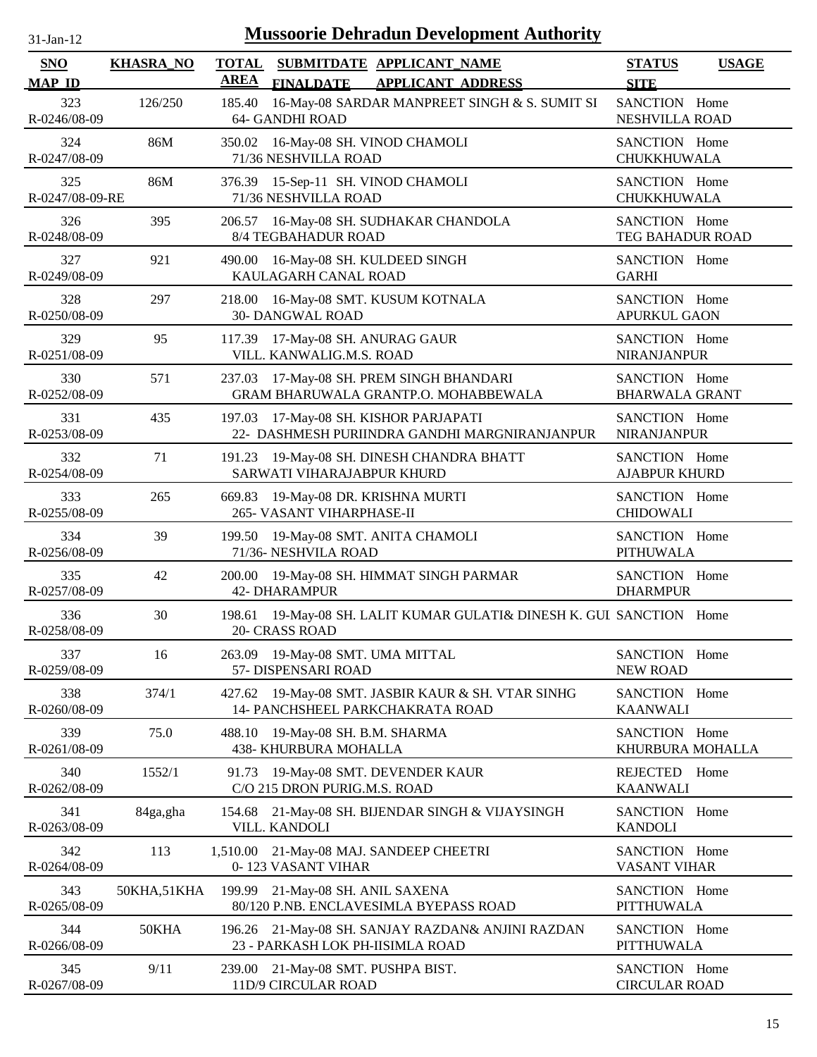| $31-Jan-12$                 | <b>Mussoorie Dehradun Development Authority</b> |                             |                                                                                        |                                        |              |
|-----------------------------|-------------------------------------------------|-----------------------------|----------------------------------------------------------------------------------------|----------------------------------------|--------------|
| <b>SNO</b><br><b>MAP ID</b> | <b>KHASRA_NO</b>                                | <b>TOTAL</b><br><b>AREA</b> | SUBMITDATE APPLICANT_NAME<br><b>FINALDATE</b><br><b>APPLICANT ADDRESS</b>              | <b>STATUS</b><br><b>SITE</b>           | <b>USAGE</b> |
| 323<br>R-0246/08-09         | 126/250                                         | 185.40                      | 16-May-08 SARDAR MANPREET SINGH & S. SUMIT SI<br>64- GANDHI ROAD                       | SANCTION Home<br>NESHVILLA ROAD        |              |
| 324<br>R-0247/08-09         | 86M                                             | 350.02                      | 16-May-08 SH. VINOD CHAMOLI<br>71/36 NESHVILLA ROAD                                    | SANCTION Home<br>CHUKKHUWALA           |              |
| 325<br>R-0247/08-09-RE      | 86M                                             |                             | 376.39 15-Sep-11 SH. VINOD CHAMOLI<br>71/36 NESHVILLA ROAD                             | SANCTION Home<br>CHUKKHUWALA           |              |
| 326<br>R-0248/08-09         | 395                                             | 206.57                      | 16-May-08 SH. SUDHAKAR CHANDOLA<br>8/4 TEGBAHADUR ROAD                                 | SANCTION Home<br>TEG BAHADUR ROAD      |              |
| 327<br>R-0249/08-09         | 921                                             | 490.00                      | 16-May-08 SH. KULDEED SINGH<br>KAULAGARH CANAL ROAD                                    | SANCTION Home<br><b>GARHI</b>          |              |
| 328<br>R-0250/08-09         | 297                                             | 218.00                      | 16-May-08 SMT. KUSUM KOTNALA<br><b>30- DANGWAL ROAD</b>                                | SANCTION Home<br>APURKUL GAON          |              |
| 329<br>R-0251/08-09         | 95                                              | 117.39                      | 17-May-08 SH. ANURAG GAUR<br>VILL. KANWALIG.M.S. ROAD                                  | SANCTION Home<br><b>NIRANJANPUR</b>    |              |
| 330<br>R-0252/08-09         | 571                                             | 237.03                      | 17-May-08 SH. PREM SINGH BHANDARI<br>GRAM BHARUWALA GRANTP.O. MOHABBEWALA              | SANCTION Home<br><b>BHARWALA GRANT</b> |              |
| 331<br>R-0253/08-09         | 435                                             | 197.03                      | 17-May-08 SH. KISHOR PARJAPATI<br>22- DASHMESH PURIINDRA GANDHI MARGNIRANJANPUR        | SANCTION Home<br><b>NIRANJANPUR</b>    |              |
| 332<br>R-0254/08-09         | 71                                              | 191.23                      | 19-May-08 SH. DINESH CHANDRA BHATT<br>SARWATI VIHARAJABPUR KHURD                       | SANCTION Home<br><b>AJABPUR KHURD</b>  |              |
| 333<br>R-0255/08-09         | 265                                             | 669.83                      | 19-May-08 DR. KRISHNA MURTI<br>265- VASANT VIHARPHASE-II                               | SANCTION Home<br><b>CHIDOWALI</b>      |              |
| 334<br>R-0256/08-09         | 39                                              | 199.50                      | 19-May-08 SMT. ANITA CHAMOLI<br>71/36- NESHVILA ROAD                                   | SANCTION Home<br><b>PITHUWALA</b>      |              |
| 335<br>R-0257/08-09         | 42                                              | 200.00                      | 19-May-08 SH. HIMMAT SINGH PARMAR<br><b>42- DHARAMPUR</b>                              | SANCTION Home<br><b>DHARMPUR</b>       |              |
| 336<br>R-0258/08-09         | 30                                              |                             | 198.61 19-May-08 SH. LALIT KUMAR GULATI& DINESH K. GUI SANCTION Home<br>20- CRASS ROAD |                                        |              |
| 337<br>R-0259/08-09         | 16                                              |                             | 263.09 19-May-08 SMT. UMA MITTAL<br>57- DISPENSARI ROAD                                | SANCTION Home<br><b>NEW ROAD</b>       |              |
| 338<br>R-0260/08-09         | 374/1                                           | 427.62                      | 19-May-08 SMT. JASBIR KAUR & SH. VTAR SINHG<br>14- PANCHSHEEL PARKCHAKRATA ROAD        | SANCTION Home<br><b>KAANWALI</b>       |              |
| 339<br>R-0261/08-09         | 75.0                                            | 488.10                      | 19-May-08 SH. B.M. SHARMA<br>438- KHURBURA MOHALLA                                     | SANCTION Home<br>KHURBURA MOHALLA      |              |
| 340<br>R-0262/08-09         | 1552/1                                          | 91.73                       | 19-May-08 SMT. DEVENDER KAUR<br>C/O 215 DRON PURIG.M.S. ROAD                           | <b>REJECTED</b><br><b>KAANWALI</b>     | Home         |
| 341<br>R-0263/08-09         | 84ga,gha                                        | 154.68                      | 21-May-08 SH. BIJENDAR SINGH & VIJAYSINGH<br>VILL. KANDOLI                             | SANCTION Home<br><b>KANDOLI</b>        |              |
| 342<br>R-0264/08-09         | 113                                             | 1,510.00                    | 21-May-08 MAJ. SANDEEP CHEETRI<br>0-123 VASANT VIHAR                                   | SANCTION Home<br>VASANT VIHAR          |              |
| 343<br>R-0265/08-09         | 50KHA,51KHA                                     | 199.99                      | 21-May-08 SH. ANIL SAXENA<br>80/120 P.NB. ENCLAVESIMLA BYEPASS ROAD                    | SANCTION Home<br>PITTHUWALA            |              |
| 344<br>R-0266/08-09         | 50KHA                                           |                             | 196.26 21-May-08 SH. SANJAY RAZDAN& ANJINI RAZDAN<br>23 - PARKASH LOK PH-IISIMLA ROAD  | SANCTION Home<br><b>PITTHUWALA</b>     |              |
| 345<br>R-0267/08-09         | 9/11                                            | 239.00                      | 21-May-08 SMT. PUSHPA BIST.<br>11D/9 CIRCULAR ROAD                                     | SANCTION Home<br><b>CIRCULAR ROAD</b>  |              |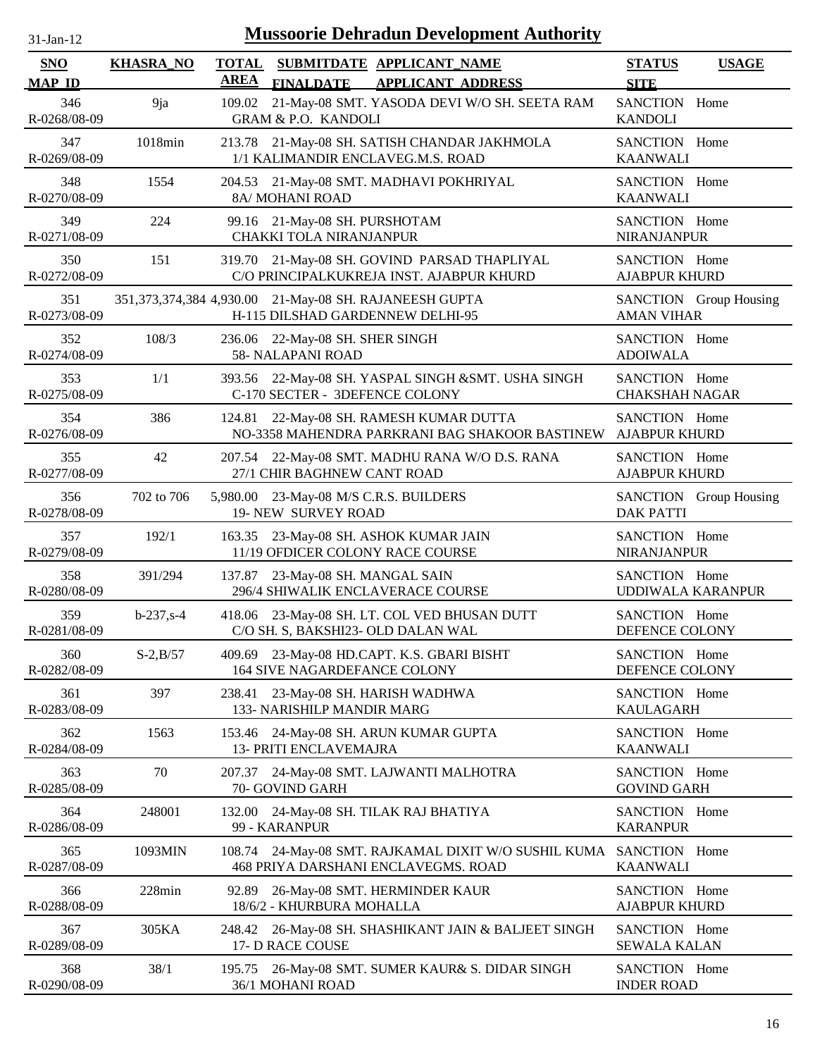| -Jan- |
|-------|
|       |

| <b>SNO</b><br><b>MAP ID</b> | <b>KHASRA_NO</b> | <b>TOTAL</b><br><b>AREA</b> | SUBMITDATE APPLICANT NAME<br><b>APPLICANT ADDRESS</b><br><b>FINALDATE</b>                          | <b>STATUS</b><br><b>USAGE</b><br><b>SITE</b> |
|-----------------------------|------------------|-----------------------------|----------------------------------------------------------------------------------------------------|----------------------------------------------|
| 346<br>R-0268/08-09         | 9ja              | 109.02                      | 21-May-08 SMT. YASODA DEVI W/O SH. SEETA RAM<br><b>GRAM &amp; P.O. KANDOLI</b>                     | SANCTION Home<br><b>KANDOLI</b>              |
| 347<br>R-0269/08-09         | 1018min          |                             | 213.78 21-May-08 SH. SATISH CHANDAR JAKHMOLA<br>1/1 KALIMANDIR ENCLAVEG.M.S. ROAD                  | SANCTION Home<br><b>KAANWALI</b>             |
| 348<br>R-0270/08-09         | 1554             |                             | 204.53 21-May-08 SMT. MADHAVI POKHRIYAL<br>8A/ MOHANI ROAD                                         | SANCTION Home<br><b>KAANWALI</b>             |
| 349<br>R-0271/08-09         | 224              |                             | 99.16 21-May-08 SH. PURSHOTAM<br>CHAKKI TOLA NIRANJANPUR                                           | SANCTION Home<br>NIRANJANPUR                 |
| 350<br>R-0272/08-09         | 151              | 319.70                      | 21-May-08 SH. GOVIND PARSAD THAPLIYAL<br>C/O PRINCIPALKUKREJA INST. AJABPUR KHURD                  | SANCTION Home<br><b>AJABPUR KHURD</b>        |
| 351<br>R-0273/08-09         |                  |                             | 351,373,374,384 4,930.00 21-May-08 SH. RAJANEESH GUPTA<br>H-115 DILSHAD GARDENNEW DELHI-95         | SANCTION Group Housing<br><b>AMAN VIHAR</b>  |
| 352<br>R-0274/08-09         | 108/3            | 236.06                      | 22-May-08 SH. SHER SINGH<br>58- NALAPANI ROAD                                                      | SANCTION Home<br><b>ADOIWALA</b>             |
| 353<br>R-0275/08-09         | 1/1              |                             | 393.56 22-May-08 SH. YASPAL SINGH &SMT. USHA SINGH<br>C-170 SECTER - 3DEFENCE COLONY               | SANCTION Home<br><b>CHAKSHAH NAGAR</b>       |
| 354<br>R-0276/08-09         | 386              |                             | 124.81 22-May-08 SH. RAMESH KUMAR DUTTA<br>NO-3358 MAHENDRA PARKRANI BAG SHAKOOR BASTINEW          | SANCTION Home<br><b>AJABPUR KHURD</b>        |
| 355<br>R-0277/08-09         | 42               |                             | 207.54 22-May-08 SMT. MADHU RANA W/O D.S. RANA<br>27/1 CHIR BAGHNEW CANT ROAD                      | SANCTION Home<br><b>AJABPUR KHURD</b>        |
| 356<br>R-0278/08-09         | 702 to 706       |                             | 5,980.00 23-May-08 M/S C.R.S. BUILDERS<br>19- NEW SURVEY ROAD                                      | SANCTION Group Housing<br><b>DAK PATTI</b>   |
| 357<br>R-0279/08-09         | 192/1            | 163.35                      | 23-May-08 SH. ASHOK KUMAR JAIN<br>11/19 OFDICER COLONY RACE COURSE                                 | SANCTION Home<br>NIRANJANPUR                 |
| 358<br>R-0280/08-09         | 391/294          |                             | 137.87 23-May-08 SH. MANGAL SAIN<br>296/4 SHIWALIK ENCLAVERACE COURSE                              | SANCTION Home<br><b>UDDIWALA KARANPUR</b>    |
| 359<br>R-0281/08-09         | $b - 237, s - 4$ |                             | 418.06 23-May-08 SH. LT. COL VED BHUSAN DUTT<br>C/O SH. S, BAKSHI23- OLD DALAN WAL                 | SANCTION Home<br>DEFENCE COLONY              |
| 360<br>R-0282/08-09         | $S-2, B/57$      |                             | 409.69 23-May-08 HD.CAPT. K.S. GBARI BISHT<br><b>164 SIVE NAGARDEFANCE COLONY</b>                  | SANCTION Home<br>DEFENCE COLONY              |
| 361<br>R-0283/08-09         | 397              | 238.41                      | 23-May-08 SH. HARISH WADHWA<br>133- NARISHILP MANDIR MARG                                          | SANCTION Home<br><b>KAULAGARH</b>            |
| 362<br>R-0284/08-09         | 1563             | 153.46                      | 24-May-08 SH. ARUN KUMAR GUPTA<br><b>13- PRITI ENCLAVEMAJRA</b>                                    | SANCTION Home<br><b>KAANWALI</b>             |
| 363<br>R-0285/08-09         | 70               | 207.37                      | 24-May-08 SMT. LAJWANTI MALHOTRA<br>70- GOVIND GARH                                                | SANCTION Home<br><b>GOVIND GARH</b>          |
| 364<br>R-0286/08-09         | 248001           | 132.00                      | 24-May-08 SH. TILAK RAJ BHATIYA<br>99 - KARANPUR                                                   | SANCTION Home<br><b>KARANPUR</b>             |
| 365<br>R-0287/08-09         | 1093MIN          | 108.74                      | 24-May-08 SMT. RAJKAMAL DIXIT W/O SUSHIL KUMA SANCTION Home<br>468 PRIYA DARSHANI ENCLAVEGMS. ROAD | <b>KAANWALI</b>                              |
| 366<br>R-0288/08-09         | 228min           | 92.89                       | 26-May-08 SMT. HERMINDER KAUR<br>18/6/2 - KHURBURA MOHALLA                                         | SANCTION Home<br><b>AJABPUR KHURD</b>        |
| 367<br>R-0289/08-09         | 305KA            | 248.42                      | 26-May-08 SH. SHASHIKANT JAIN & BALJEET SINGH<br>17- D RACE COUSE                                  | SANCTION Home<br><b>SEWALA KALAN</b>         |
| 368<br>R-0290/08-09         | 38/1             |                             | 195.75 26-May-08 SMT. SUMER KAUR& S. DIDAR SINGH<br>36/1 MOHANI ROAD                               | SANCTION Home<br><b>INDER ROAD</b>           |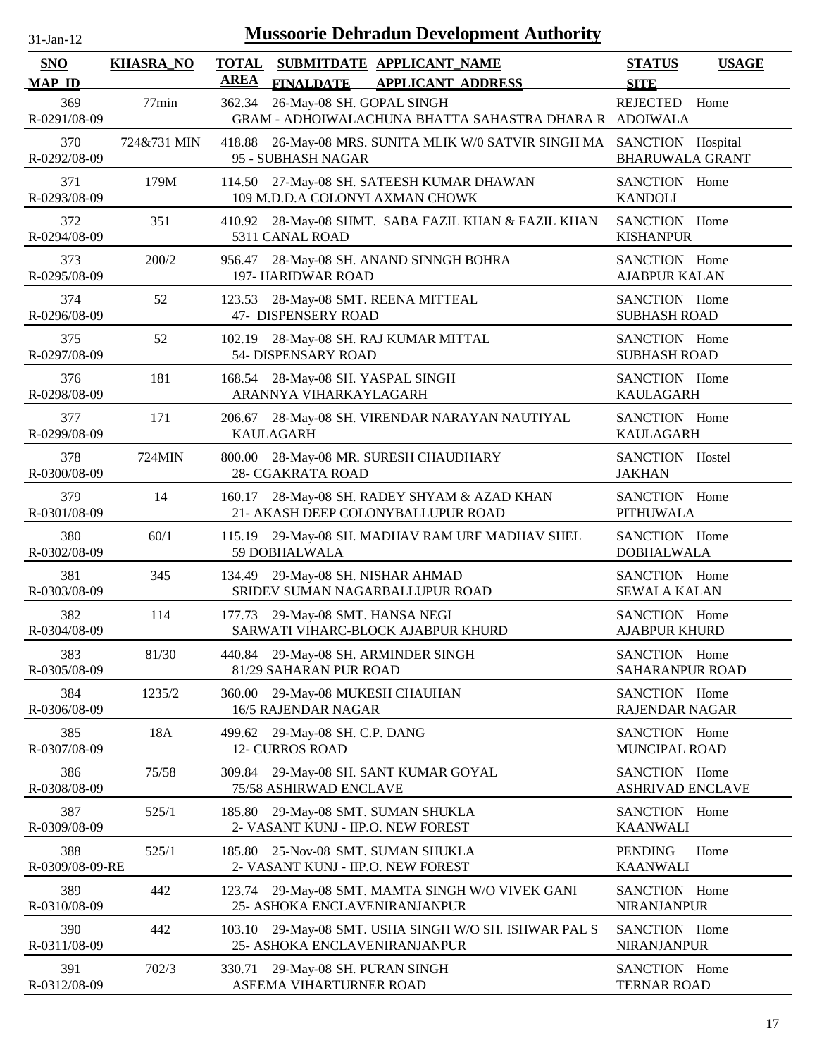| $31$ -Jan-12                |                  | <b>Mussoorie Dehradun Development Authority</b>                                                          |                                              |  |
|-----------------------------|------------------|----------------------------------------------------------------------------------------------------------|----------------------------------------------|--|
| <b>SNO</b><br><b>MAP ID</b> | <b>KHASRA_NO</b> | <b>TOTAL</b><br>SUBMITDATE APPLICANT_NAME<br><b>AREA</b><br><b>FINALDATE</b><br><b>APPLICANT ADDRESS</b> | <b>STATUS</b><br><b>USAGE</b><br><b>SITE</b> |  |
| 369<br>R-0291/08-09         | 77min            | 362.34<br>26-May-08 SH. GOPAL SINGH<br>GRAM - ADHOIWALACHUNA BHATTA SAHASTRA DHARA R ADOIWALA            | <b>REJECTED</b><br>Home                      |  |
| 370<br>R-0292/08-09         | 724&731 MIN      | 418.88<br>26-May-08 MRS. SUNITA MLIK W/0 SATVIR SINGH MA SANCTION Hospital<br>95 - SUBHASH NAGAR         | <b>BHARUWALA GRANT</b>                       |  |
| 371<br>R-0293/08-09         | 179M             | 114.50 27-May-08 SH. SATEESH KUMAR DHAWAN<br>109 M.D.D.A COLONYLAXMAN CHOWK                              | SANCTION Home<br><b>KANDOLI</b>              |  |
| 372<br>R-0294/08-09         | 351              | 28-May-08 SHMT. SABA FAZIL KHAN & FAZIL KHAN<br>410.92<br>5311 CANAL ROAD                                | SANCTION Home<br><b>KISHANPUR</b>            |  |
| 373<br>R-0295/08-09         | 200/2            | 28-May-08 SH. ANAND SINNGH BOHRA<br>956.47<br>197- HARIDWAR ROAD                                         | SANCTION Home<br><b>AJABPUR KALAN</b>        |  |
| 374<br>R-0296/08-09         | 52               | 28-May-08 SMT. REENA MITTEAL<br>123.53<br>47- DISPENSERY ROAD                                            | SANCTION Home<br><b>SUBHASH ROAD</b>         |  |
| 375<br>R-0297/08-09         | 52               | 102.19<br>28-May-08 SH. RAJ KUMAR MITTAL<br>54- DISPENSARY ROAD                                          | SANCTION Home<br><b>SUBHASH ROAD</b>         |  |
| 376<br>R-0298/08-09         | 181              | 168.54 28-May-08 SH. YASPAL SINGH<br>ARANNYA VIHARKAYLAGARH                                              | SANCTION Home<br><b>KAULAGARH</b>            |  |
| 377<br>R-0299/08-09         | 171              | 28-May-08 SH. VIRENDAR NARAYAN NAUTIYAL<br>206.67<br><b>KAULAGARH</b>                                    | SANCTION Home<br><b>KAULAGARH</b>            |  |
| 378<br>R-0300/08-09         | 724MIN           | 28-May-08 MR. SURESH CHAUDHARY<br>800.00<br>28- CGAKRATA ROAD                                            | SANCTION Hostel<br><b>JAKHAN</b>             |  |
| 379<br>R-0301/08-09         | 14               | 160.17<br>28-May-08 SH. RADEY SHYAM & AZAD KHAN<br>21- AKASH DEEP COLONYBALLUPUR ROAD                    | SANCTION Home<br><b>PITHUWALA</b>            |  |
| 380<br>R-0302/08-09         | 60/1             | 115.19 29-May-08 SH. MADHAV RAM URF MADHAV SHEL<br>59 DOBHALWALA                                         | SANCTION Home<br><b>DOBHALWALA</b>           |  |
| 381<br>R-0303/08-09         | 345              | 29-May-08 SH. NISHAR AHMAD<br>134.49<br>SRIDEV SUMAN NAGARBALLUPUR ROAD                                  | SANCTION Home<br><b>SEWALA KALAN</b>         |  |
| 382<br>R-0304/08-09         | 114              | 29-May-08 SMT. HANSA NEGI<br>177.73<br>SARWATI VIHARC-BLOCK AJABPUR KHURD                                | SANCTION Home<br><b>AJABPUR KHURD</b>        |  |
| 383<br>R-0305/08-09         | 81/30            | 29-May-08 SH. ARMINDER SINGH<br>440.84<br>81/29 SAHARAN PUR ROAD                                         | SANCTION Home<br>SAHARANPUR ROAD             |  |
| 384<br>R-0306/08-09         | 1235/2           | 360.00<br>29-May-08 MUKESH CHAUHAN<br>16/5 RAJENDAR NAGAR                                                | SANCTION Home<br>RAJENDAR NAGAR              |  |
| 385<br>R-0307/08-09         | 18A              | 29-May-08 SH. C.P. DANG<br>499.62<br><b>12- CURROS ROAD</b>                                              | SANCTION Home<br>MUNCIPAL ROAD               |  |
| 386<br>R-0308/08-09         | 75/58            | 29-May-08 SH. SANT KUMAR GOYAL<br>309.84<br>75/58 ASHIRWAD ENCLAVE                                       | SANCTION Home<br><b>ASHRIVAD ENCLAVE</b>     |  |
| 387<br>R-0309/08-09         | 525/1            | 29-May-08 SMT. SUMAN SHUKLA<br>185.80<br>2- VASANT KUNJ - IIP.O. NEW FOREST                              | SANCTION Home<br><b>KAANWALI</b>             |  |
| 388<br>R-0309/08-09-RE      | 525/1            | 25-Nov-08 SMT. SUMAN SHUKLA<br>185.80<br>2- VASANT KUNJ - IIP.O. NEW FOREST                              | <b>PENDING</b><br>Home<br><b>KAANWALI</b>    |  |
| 389<br>R-0310/08-09         | 442              | 29-May-08 SMT. MAMTA SINGH W/O VIVEK GANI<br>123.74<br>25- ASHOKA ENCLAVENIRANJANPUR                     | SANCTION Home<br><b>NIRANJANPUR</b>          |  |
| 390<br>R-0311/08-09         | 442              | 29-May-08 SMT. USHA SINGH W/O SH. ISHWAR PAL S<br>103.10<br>25- ASHOKA ENCLAVENIRANJANPUR                | SANCTION Home<br><b>NIRANJANPUR</b>          |  |
| 391<br>R-0312/08-09         | 702/3            | 29-May-08 SH. PURAN SINGH<br>330.71<br>ASEEMA VIHARTURNER ROAD                                           | SANCTION Home<br><b>TERNAR ROAD</b>          |  |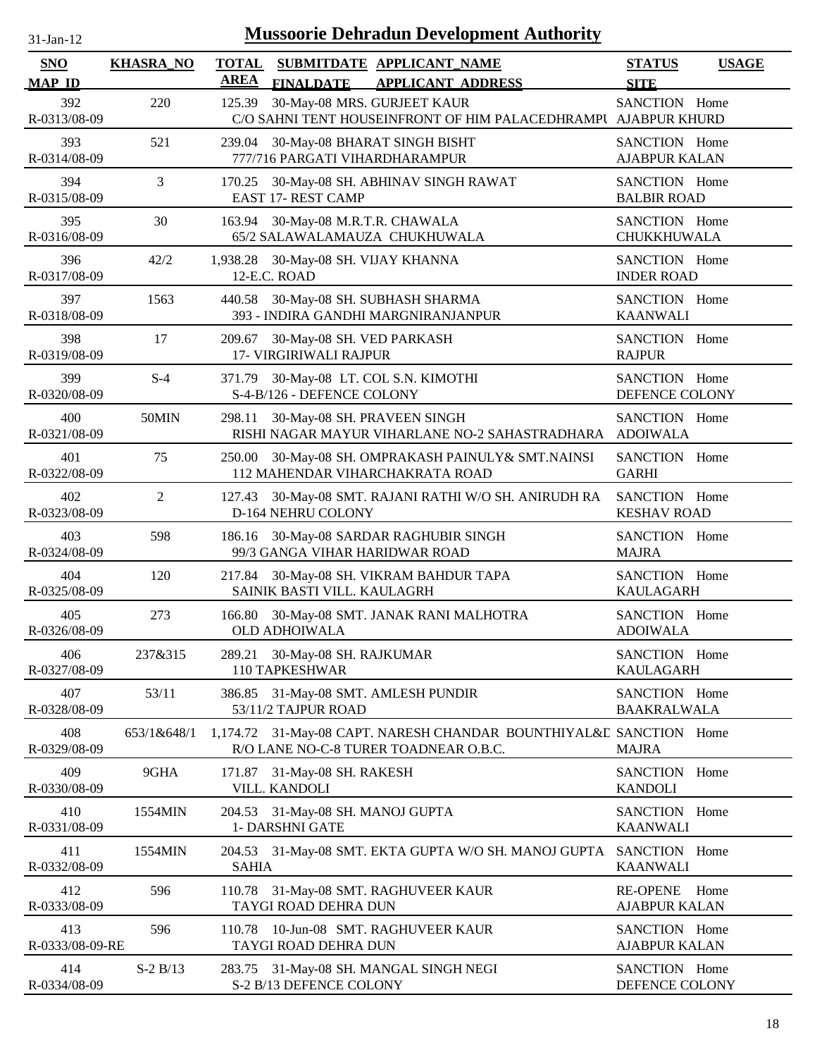| $31$ -Jan-12                |                  | <b>Mussoorie Dehradun Development Authority</b>                                                             |                                         |              |
|-----------------------------|------------------|-------------------------------------------------------------------------------------------------------------|-----------------------------------------|--------------|
| <b>SNO</b><br><b>MAP ID</b> | <b>KHASRA_NO</b> | <b>TOTAL</b><br>SUBMITDATE APPLICANT NAME<br><b>AREA</b><br><b>FINALDATE</b><br><b>APPLICANT ADDRESS</b>    | <b>STATUS</b><br><b>SITE</b>            | <b>USAGE</b> |
| 392<br>R-0313/08-09         | 220              | 30-May-08 MRS. GURJEET KAUR<br>125.39<br>C/O SAHNI TENT HOUSEINFRONT OF HIM PALACEDHRAMPU AJABPUR KHURD     | SANCTION Home                           |              |
| 393<br>R-0314/08-09         | 521              | 239.04<br>30-May-08 BHARAT SINGH BISHT<br>777/716 PARGATI VIHARDHARAMPUR                                    | SANCTION Home<br><b>AJABPUR KALAN</b>   |              |
| 394<br>R-0315/08-09         | 3                | 30-May-08 SH. ABHINAV SINGH RAWAT<br>170.25<br><b>EAST 17- REST CAMP</b>                                    | SANCTION Home<br><b>BALBIR ROAD</b>     |              |
| 395<br>R-0316/08-09         | 30               | 163.94<br>30-May-08 M.R.T.R. CHAWALA<br>65/2 SALAWALAMAUZA CHUKHUWALA                                       | SANCTION Home<br>CHUKKHUWALA            |              |
| 396<br>R-0317/08-09         | 42/2             | 1,938.28 30-May-08 SH. VIJAY KHANNA<br>12-E.C. ROAD                                                         | SANCTION Home<br><b>INDER ROAD</b>      |              |
| 397<br>R-0318/08-09         | 1563             | 30-May-08 SH. SUBHASH SHARMA<br>440.58<br>393 - INDIRA GANDHI MARGNIRANJANPUR                               | SANCTION Home<br><b>KAANWALI</b>        |              |
| 398<br>R-0319/08-09         | 17               | 30-May-08 SH. VED PARKASH<br>209.67<br><b>17- VIRGIRIWALI RAJPUR</b>                                        | SANCTION Home<br><b>RAJPUR</b>          |              |
| 399<br>R-0320/08-09         | $S-4$            | 371.79 30-May-08 LT. COL S.N. KIMOTHI<br>S-4-B/126 - DEFENCE COLONY                                         | SANCTION Home<br>DEFENCE COLONY         |              |
| 400<br>R-0321/08-09         | 50MIN            | 298.11<br>30-May-08 SH. PRAVEEN SINGH<br>RISHI NAGAR MAYUR VIHARLANE NO-2 SAHASTRADHARA                     | SANCTION Home<br><b>ADOIWALA</b>        |              |
| 401<br>R-0322/08-09         | 75               | 30-May-08 SH. OMPRAKASH PAINULY & SMT.NAINSI<br>250.00<br>112 MAHENDAR VIHARCHAKRATA ROAD                   | SANCTION Home<br><b>GARHI</b>           |              |
| 402<br>R-0323/08-09         | $\overline{2}$   | 30-May-08 SMT. RAJANI RATHI W/O SH. ANIRUDH RA<br>127.43<br>D-164 NEHRU COLONY                              | SANCTION Home<br><b>KESHAV ROAD</b>     |              |
| 403<br>R-0324/08-09         | 598              | 30-May-08 SARDAR RAGHUBIR SINGH<br>186.16<br>99/3 GANGA VIHAR HARIDWAR ROAD                                 | SANCTION Home<br><b>MAJRA</b>           |              |
| 404<br>R-0325/08-09         | 120              | 217.84 30-May-08 SH. VIKRAM BAHDUR TAPA<br>SAINIK BASTI VILL. KAULAGRH                                      | SANCTION Home<br><b>KAULAGARH</b>       |              |
| 405<br>R-0326/08-09         | 273              | 166.80<br>30-May-08 SMT. JANAK RANI MALHOTRA<br><b>OLD ADHOIWALA</b>                                        | SANCTION Home<br><b>ADOIWALA</b>        |              |
| 406<br>R-0327/08-09         | 237&315          | 30-May-08 SH. RAJKUMAR<br>289.21<br>110 TAPKESHWAR                                                          | SANCTION Home<br><b>KAULAGARH</b>       |              |
| 407<br>R-0328/08-09         | 53/11            | 386.85<br>31-May-08 SMT. AMLESH PUNDIR<br>53/11/2 TAJPUR ROAD                                               | SANCTION Home<br><b>BAAKRALWALA</b>     |              |
| 408<br>R-0329/08-09         | 653/1&648/1      | 1,174.72 31-May-08 CAPT. NARESH CHANDAR BOUNTHIYAL&E SANCTION Home<br>R/O LANE NO-C-8 TURER TOADNEAR O.B.C. | <b>MAJRA</b>                            |              |
| 409<br>R-0330/08-09         | 9GHA             | 31-May-08 SH. RAKESH<br>171.87<br>VILL. KANDOLI                                                             | SANCTION Home<br><b>KANDOLI</b>         |              |
| 410<br>R-0331/08-09         | 1554MIN          | 31-May-08 SH. MANOJ GUPTA<br>204.53<br>1- DARSHNI GATE                                                      | SANCTION Home<br><b>KAANWALI</b>        |              |
| 411<br>R-0332/08-09         | 1554MIN          | 204.53 31-May-08 SMT. EKTA GUPTA W/O SH. MANOJ GUPTA<br><b>SAHIA</b>                                        | SANCTION Home<br><b>KAANWALI</b>        |              |
| 412<br>R-0333/08-09         | 596              | 31-May-08 SMT. RAGHUVEER KAUR<br>110.78<br>TAYGI ROAD DEHRA DUN                                             | <b>RE-OPENE</b><br><b>AJABPUR KALAN</b> | Home         |
| 413<br>R-0333/08-09-RE      | 596              | 10-Jun-08 SMT. RAGHUVEER KAUR<br>110.78<br>TAYGI ROAD DEHRA DUN                                             | SANCTION Home<br><b>AJABPUR KALAN</b>   |              |
| 414<br>R-0334/08-09         | $S-2 B/13$       | 283.75 31-May-08 SH. MANGAL SINGH NEGI<br>S-2 B/13 DEFENCE COLONY                                           | SANCTION Home<br>DEFENCE COLONY         |              |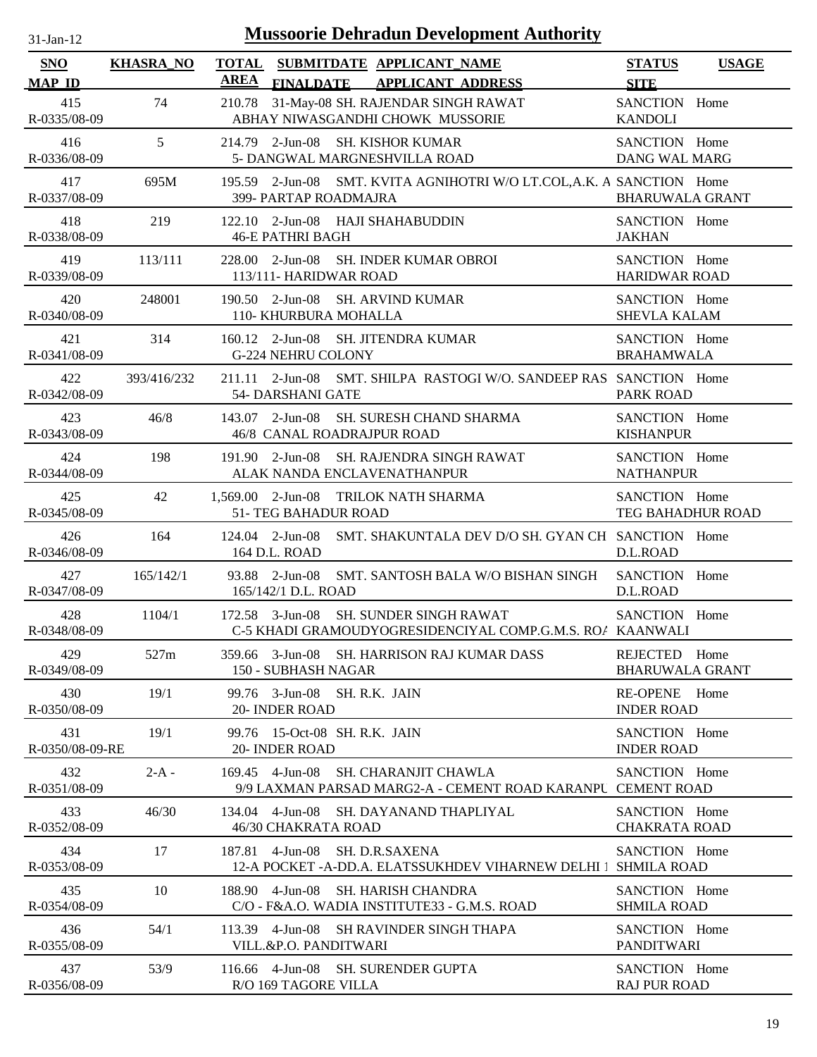| <b>Mussoorie Dehradun Development Authority</b><br>$31$ -Jan-12 |                  |                                                                                                               |                                         |              |  |  |  |  |
|-----------------------------------------------------------------|------------------|---------------------------------------------------------------------------------------------------------------|-----------------------------------------|--------------|--|--|--|--|
| <b>SNO</b><br><b>MAP ID</b>                                     | <b>KHASRA_NO</b> | <b>TOTAL</b><br>SUBMITDATE APPLICANT_NAME<br><b>AREA</b><br>FINALDATE APPLICANT ADDRESS                       | <b>STATUS</b><br><b>SITE</b>            | <b>USAGE</b> |  |  |  |  |
| 415<br>R-0335/08-09                                             | 74               | 31-May-08 SH. RAJENDAR SINGH RAWAT<br>210.78<br>ABHAY NIWASGANDHI CHOWK MUSSORIE                              | SANCTION Home<br><b>KANDOLI</b>         |              |  |  |  |  |
| 416<br>R-0336/08-09                                             | 5                | 214.79 2-Jun-08 SH. KISHOR KUMAR<br>5- DANGWAL MARGNESHVILLA ROAD                                             | SANCTION Home<br><b>DANG WAL MARG</b>   |              |  |  |  |  |
| 417<br>R-0337/08-09                                             | 695M             | 195.59 2-Jun-08 SMT. KVITA AGNIHOTRI W/O LT.COL, A.K. A SANCTION Home<br>399- PARTAP ROADMAJRA                | <b>BHARUWALA GRANT</b>                  |              |  |  |  |  |
| 418<br>R-0338/08-09                                             | 219              | 122.10 2-Jun-08 HAJI SHAHABUDDIN<br><b>46-E PATHRI BAGH</b>                                                   | SANCTION Home<br><b>JAKHAN</b>          |              |  |  |  |  |
| 419<br>R-0339/08-09                                             | 113/111          | 228.00 2-Jun-08 SH. INDER KUMAR OBROI<br>113/111- HARIDWAR ROAD                                               | SANCTION Home<br><b>HARIDWAR ROAD</b>   |              |  |  |  |  |
| 420<br>R-0340/08-09                                             | 248001           | 190.50 2-Jun-08 SH. ARVIND KUMAR<br>110- KHURBURA MOHALLA                                                     | SANCTION Home<br><b>SHEVLA KALAM</b>    |              |  |  |  |  |
| 421<br>R-0341/08-09                                             | 314              | 160.12 2-Jun-08 SH. JITENDRA KUMAR<br>G-224 NEHRU COLONY                                                      | SANCTION Home<br><b>BRAHAMWALA</b>      |              |  |  |  |  |
| 422<br>R-0342/08-09                                             | 393/416/232      | 211.11 2-Jun-08 SMT. SHILPA RASTOGI W/O. SANDEEP RAS SANCTION Home<br>54- DARSHANI GATE                       | <b>PARK ROAD</b>                        |              |  |  |  |  |
| 423<br>R-0343/08-09                                             | 46/8             | SH. SURESH CHAND SHARMA<br>$143.07$ 2-Jun-08<br>46/8 CANAL ROADRAJPUR ROAD                                    | SANCTION Home<br><b>KISHANPUR</b>       |              |  |  |  |  |
| 424<br>R-0344/08-09                                             | 198              | $191.90$ 2-Jun-08<br>SH. RAJENDRA SINGH RAWAT<br>ALAK NANDA ENCLAVENATHANPUR                                  | SANCTION Home<br><b>NATHANPUR</b>       |              |  |  |  |  |
| 425<br>R-0345/08-09                                             | 42               | 1,569.00 2-Jun-08 TRILOK NATH SHARMA<br>51- TEG BAHADUR ROAD                                                  | SANCTION Home<br>TEG BAHADHUR ROAD      |              |  |  |  |  |
| 426<br>R-0346/08-09                                             | 164              | $124.04$ 2-Jun-08<br>SMT. SHAKUNTALA DEV D/O SH. GYAN CH SANCTION Home<br>164 D.L. ROAD                       | D.L.ROAD                                |              |  |  |  |  |
| 427<br>R-0347/08-09                                             | 165/142/1        | 93.88 2-Jun-08<br>SMT. SANTOSH BALA W/O BISHAN SINGH<br>165/142/1 D.L. ROAD                                   | SANCTION Home<br>D.L.ROAD               |              |  |  |  |  |
| 428<br>R-0348/08-09                                             | 1104/1           | 172.58 3-Jun-08 SH. SUNDER SINGH RAWAT<br>C-5 KHADI GRAMOUDYOGRESIDENCIYAL COMP.G.M.S. RO/ KAANWALI           | SANCTION Home                           |              |  |  |  |  |
| 429<br>R-0349/08-09                                             | 527m             | 359.66 3-Jun-08 SH. HARRISON RAJ KUMAR DASS<br>150 - SUBHASH NAGAR                                            | REJECTED Home<br><b>BHARUWALA GRANT</b> |              |  |  |  |  |
| 430<br>R-0350/08-09                                             | 19/1             | 99.76 3-Jun-08<br>SH. R.K. JAIN<br>20- INDER ROAD                                                             | RE-OPENE Home<br><b>INDER ROAD</b>      |              |  |  |  |  |
| 431<br>R-0350/08-09-RE                                          | 19/1             | 99.76 15-Oct-08 SH. R.K. JAIN<br>20- INDER ROAD                                                               | SANCTION Home<br><b>INDER ROAD</b>      |              |  |  |  |  |
| 432<br>R-0351/08-09                                             | $2-A -$          | 169.45 4-Jun-08<br><b>SH. CHARANJIT CHAWLA</b><br>9/9 LAXMAN PARSAD MARG2-A - CEMENT ROAD KARANPU CEMENT ROAD | SANCTION Home                           |              |  |  |  |  |
| 433<br>R-0352/08-09                                             | 46/30            | 134.04 4-Jun-08<br>SH. DAYANAND THAPLIYAL<br>46/30 CHAKRATA ROAD                                              | SANCTION Home<br><b>CHAKRATA ROAD</b>   |              |  |  |  |  |
| 434<br>R-0353/08-09                                             | 17               | 4-Jun-08<br><b>SH. D.R.SAXENA</b><br>187.81<br>12-A POCKET -A-DD.A. ELATSSUKHDEV VIHARNEW DELHI 1             | SANCTION Home<br><b>SHMILA ROAD</b>     |              |  |  |  |  |
| 435<br>R-0354/08-09                                             | 10               | 188.90 4-Jun-08<br>SH. HARISH CHANDRA<br>C/O - F&A.O. WADIA INSTITUTE33 - G.M.S. ROAD                         | SANCTION Home<br><b>SHMILA ROAD</b>     |              |  |  |  |  |
| 436<br>R-0355/08-09                                             | 54/1             | $113.39$ 4-Jun-08<br>SH RAVINDER SINGH THAPA<br>VILL.&P.O. PANDITWARI                                         | SANCTION Home<br><b>PANDITWARI</b>      |              |  |  |  |  |
| 437<br>R-0356/08-09                                             | 53/9             | 116.66 4-Jun-08 SH. SURENDER GUPTA<br>R/O 169 TAGORE VILLA                                                    | SANCTION Home<br><b>RAJ PUR ROAD</b>    |              |  |  |  |  |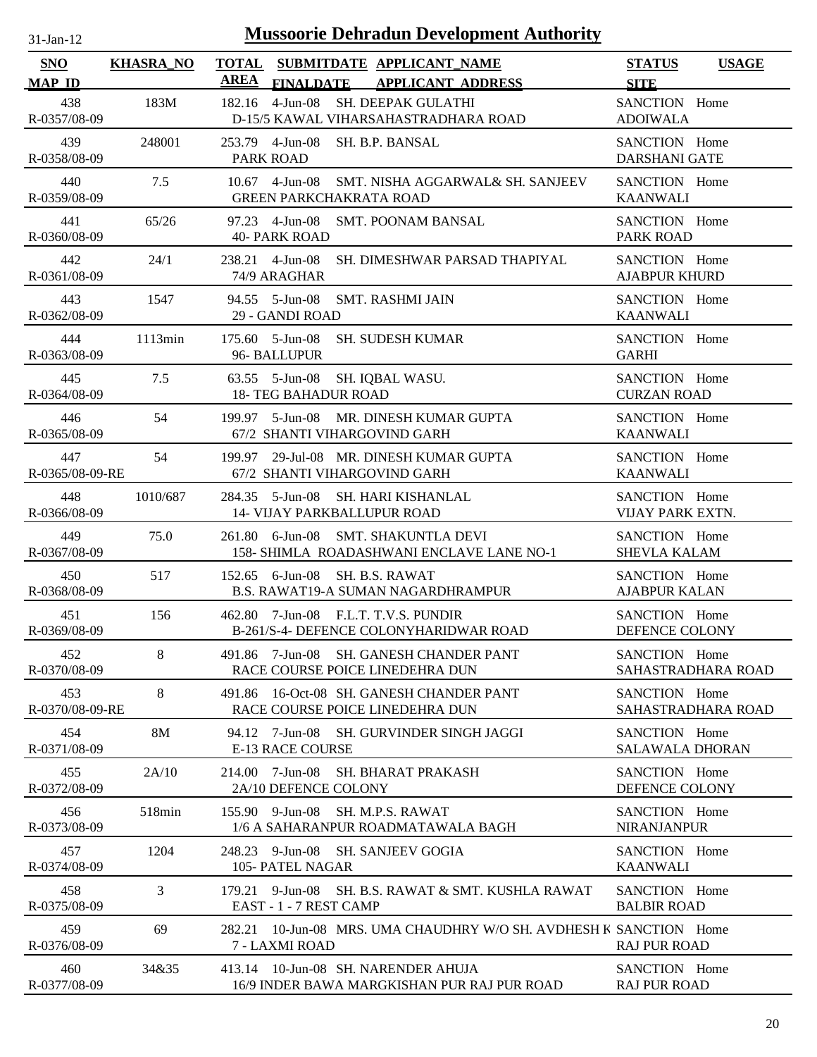| $31$ -Jan-12 |  |
|--------------|--|
|              |  |

| SNO                    | <b>KHASRA_NO</b> | <b>TOTAL</b><br>SUBMITDATE APPLICANT NAME<br><b>AREA</b>                             | <b>STATUS</b><br><b>USAGE</b>           |
|------------------------|------------------|--------------------------------------------------------------------------------------|-----------------------------------------|
| <b>MAP ID</b>          | 183M             | FINALDATE APPLICANT ADDRESS                                                          | <b>SITE</b>                             |
| 438                    |                  | 182.16 4-Jun-08 SH. DEEPAK GULATHI                                                   | SANCTION Home                           |
| R-0357/08-09           |                  | D-15/5 KAWAL VIHARSAHASTRADHARA ROAD                                                 | <b>ADOIWALA</b>                         |
| 439                    | 248001           | 253.79 4-Jun-08 SH. B.P. BANSAL                                                      | SANCTION Home                           |
| R-0358/08-09           |                  | <b>PARK ROAD</b>                                                                     | <b>DARSHANI GATE</b>                    |
| 440                    | 7.5              | 10.67 4-Jun-08 SMT. NISHA AGGARWAL& SH. SANJEEV                                      | SANCTION Home                           |
| R-0359/08-09           |                  | <b>GREEN PARKCHAKRATA ROAD</b>                                                       | <b>KAANWALI</b>                         |
| 441                    | 65/26            | 97.23 4-Jun-08 SMT. POONAM BANSAL                                                    | SANCTION Home                           |
| R-0360/08-09           |                  | <b>40- PARK ROAD</b>                                                                 | <b>PARK ROAD</b>                        |
| 442                    | 24/1             | 238.21 4-Jun-08 SH. DIMESHWAR PARSAD THAPIYAL                                        | SANCTION Home                           |
| R-0361/08-09           |                  | 74/9 ARAGHAR                                                                         | <b>AJABPUR KHURD</b>                    |
| 443                    | 1547             | 94.55 5-Jun-08 SMT. RASHMI JAIN                                                      | SANCTION Home                           |
| R-0362/08-09           |                  | 29 - GANDI ROAD                                                                      | <b>KAANWALI</b>                         |
| 444<br>R-0363/08-09    | 1113min          | 175.60 5-Jun-08<br><b>SH. SUDESH KUMAR</b><br>96- BALLUPUR                           | SANCTION Home<br><b>GARHI</b>           |
| 445<br>R-0364/08-09    | 7.5              | 63.55 5-Jun-08<br>SH. IQBAL WASU.<br><b>18- TEG BAHADUR ROAD</b>                     | SANCTION Home<br><b>CURZAN ROAD</b>     |
| 446                    | 54               | 199.97 5-Jun-08 MR. DINESH KUMAR GUPTA                                               | SANCTION Home                           |
| R-0365/08-09           |                  | 67/2 SHANTI VIHARGOVIND GARH                                                         | <b>KAANWALI</b>                         |
| 447                    | 54               | 199.97 29-Jul-08 MR. DINESH KUMAR GUPTA                                              | SANCTION Home                           |
| R-0365/08-09-RE        |                  | 67/2 SHANTI VIHARGOVIND GARH                                                         | <b>KAANWALI</b>                         |
| 448                    | 1010/687         | 284.35 5-Jun-08 SH. HARI KISHANLAL                                                   | SANCTION Home                           |
| R-0366/08-09           |                  | <b>14- VIJAY PARKBALLUPUR ROAD</b>                                                   | VIJAY PARK EXTN.                        |
| 449                    | 75.0             | 261.80 6-Jun-08 SMT. SHAKUNTLA DEVI                                                  | SANCTION Home                           |
| R-0367/08-09           |                  | 158- SHIMLA ROADASHWANI ENCLAVE LANE NO-1                                            | <b>SHEVLA KALAM</b>                     |
| 450                    | 517              | 152.65 6-Jun-08 SH. B.S. RAWAT                                                       | SANCTION Home                           |
| R-0368/08-09           |                  | B.S. RAWAT19-A SUMAN NAGARDHRAMPUR                                                   | <b>AJABPUR KALAN</b>                    |
| 451                    | 156              | 462.80 7-Jun-08 F.L.T. T.V.S. PUNDIR                                                 | SANCTION Home                           |
| R-0369/08-09           |                  | B-261/S-4- DEFENCE COLONYHARIDWAR ROAD                                               | DEFENCE COLONY                          |
| 452                    | 8                | 491.86 7-Jun-08 SH. GANESH CHANDER PANT                                              | SANCTION Home                           |
| R-0370/08-09           |                  | RACE COURSE POICE LINEDEHRA DUN                                                      | SAHASTRADHARA ROAD                      |
| 453<br>R-0370/08-09-RE | 8                | 16-Oct-08 SH. GANESH CHANDER PANT<br>491.86<br>RACE COURSE POICE LINEDEHRA DUN       | SANCTION Home<br>SAHASTRADHARA ROAD     |
| 454<br>R-0371/08-09    | <b>8M</b>        | 94.12 7-Jun-08<br><b>SH. GURVINDER SINGH JAGGI</b><br><b>E-13 RACE COURSE</b>        | SANCTION Home<br><b>SALAWALA DHORAN</b> |
| 455<br>R-0372/08-09    | 2A/10            | 7-Jun-08<br><b>SH. BHARAT PRAKASH</b><br>214.00<br>2A/10 DEFENCE COLONY              | SANCTION Home<br>DEFENCE COLONY         |
| 456<br>R-0373/08-09    | 518min           | $155.90$ 9-Jun-08<br>SH. M.P.S. RAWAT<br>1/6 A SAHARANPUR ROADMATAWALA BAGH          | SANCTION Home<br><b>NIRANJANPUR</b>     |
| 457                    | 1204             | 248.23 9-Jun-08 SH. SANJEEV GOGIA                                                    | SANCTION Home                           |
| R-0374/08-09           |                  | 105- PATEL NAGAR                                                                     | <b>KAANWALI</b>                         |
| 458                    | 3                | 179.21 9-Jun-08 SH, B.S. RAWAT & SMT, KUSHLA RAWAT                                   | SANCTION Home                           |
| R-0375/08-09           |                  | EAST - 1 - 7 REST CAMP                                                               | <b>BALBIR ROAD</b>                      |
| 459<br>R-0376/08-09    | 69               | 282.21 10-Jun-08 MRS. UMA CHAUDHRY W/O SH. AVDHESH K SANCTION Home<br>7 - LAXMI ROAD | <b>RAJ PUR ROAD</b>                     |
| 460                    | 34&35            | 413.14 10-Jun-08 SH. NARENDER AHUJA                                                  | SANCTION Home                           |
| R-0377/08-09           |                  | 16/9 INDER BAWA MARGKISHAN PUR RAJ PUR ROAD                                          | <b>RAJ PUR ROAD</b>                     |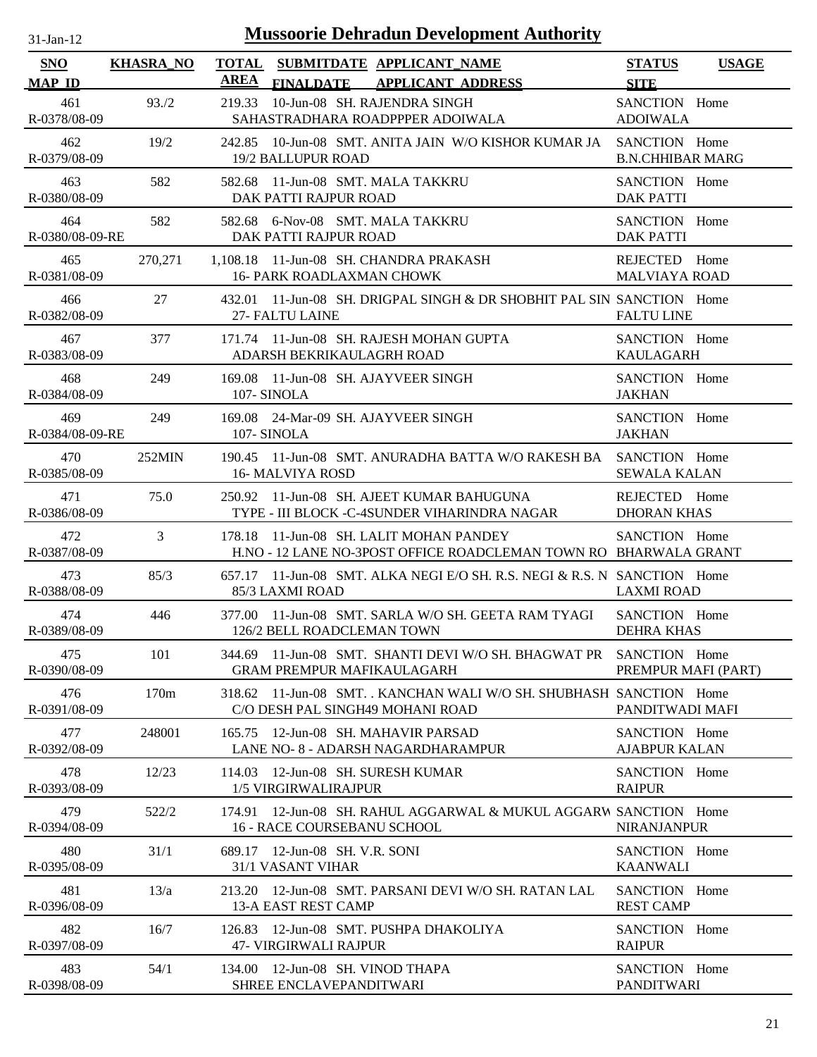| $1$ -Jan-1    |  |
|---------------|--|
| $\mathcal{L}$ |  |

| <b>SNO</b>                           | <b>KHASRA_NO</b> | TOTAL<br>AREA | <b>SUBMITDATE APPLICANT NAME</b>                                                                            | <b>STATUS</b>                                   | <b>USAGE</b> |
|--------------------------------------|------------------|---------------|-------------------------------------------------------------------------------------------------------------|-------------------------------------------------|--------------|
| <b>MAP ID</b><br>461<br>R-0378/08-09 | 93./2            | 219.33        | FINALDATE APPLICANT ADDRESS<br>10-Jun-08 SH. RAJENDRA SINGH<br>SAHASTRADHARA ROADPPPER ADOIWALA             | <b>SITE</b><br>SANCTION Home<br><b>ADOIWALA</b> |              |
| 462<br>R-0379/08-09                  | 19/2             |               | 242.85 10-Jun-08 SMT. ANITA JAIN W/O KISHOR KUMAR JA SANCTION Home<br><b>19/2 BALLUPUR ROAD</b>             | <b>B.N.CHHIBAR MARG</b>                         |              |
| 463<br>R-0380/08-09                  | 582              |               | 582.68 11-Jun-08 SMT. MALA TAKKRU<br>DAK PATTI RAJPUR ROAD                                                  | SANCTION Home<br><b>DAK PATTI</b>               |              |
| 464<br>R-0380/08-09-RE               | 582              |               | 582.68 6-Nov-08 SMT. MALA TAKKRU<br>DAK PATTI RAJPUR ROAD                                                   | SANCTION Home<br><b>DAK PATTI</b>               |              |
| 465<br>R-0381/08-09                  | 270,271          |               | 1,108.18 11-Jun-08 SH. CHANDRA PRAKASH<br><b>16- PARK ROADLAXMAN CHOWK</b>                                  | REJECTED Home<br><b>MALVIAYA ROAD</b>           |              |
| 466<br>R-0382/08-09                  | 27               |               | 432.01 11-Jun-08 SH. DRIGPAL SINGH & DR SHOBHIT PAL SIN SANCTION Home<br>27- FALTU LAINE                    | <b>FALTU LINE</b>                               |              |
| 467<br>R-0383/08-09                  | 377              |               | 171.74 11-Jun-08 SH. RAJESH MOHAN GUPTA<br>ADARSH BEKRIKAULAGRH ROAD                                        | SANCTION Home<br>KAULAGARH                      |              |
| 468<br>R-0384/08-09                  | 249              | 107- SINOLA   | 169.08 11-Jun-08 SH. AJAYVEER SINGH                                                                         | SANCTION Home<br><b>JAKHAN</b>                  |              |
| 469<br>R-0384/08-09-RE               | 249              | 107- SINOLA   | 169.08 24-Mar-09 SH, AJAYVEER SINGH                                                                         | SANCTION Home<br><b>JAKHAN</b>                  |              |
| 470<br>R-0385/08-09                  | $252$ MIN        |               | 190.45 11-Jun-08 SMT, ANURADHA BATTA W/O RAKESH BA SANCTION Home<br>16- MALVIYA ROSD                        | <b>SEWALA KALAN</b>                             |              |
| 471<br>R-0386/08-09                  | 75.0             |               | 250.92 11-Jun-08 SH. AJEET KUMAR BAHUGUNA<br>TYPE - III BLOCK -C-4SUNDER VIHARINDRA NAGAR                   | REJECTED Home<br><b>DHORAN KHAS</b>             |              |
| 472<br>R-0387/08-09                  | 3                |               | 178.18 11-Jun-08 SH. LALIT MOHAN PANDEY<br>H.NO - 12 LANE NO-3POST OFFICE ROADCLEMAN TOWN RO BHARWALA GRANT | SANCTION Home                                   |              |
| 473<br>R-0388/08-09                  | 85/3             |               | 657.17 11-Jun-08 SMT, ALKA NEGI E/O SH, R.S. NEGI & R.S. N SANCTION Home<br>85/3 LAXMI ROAD                 | <b>LAXMI ROAD</b>                               |              |
| 474<br>R-0389/08-09                  | 446              |               | 377.00 11-Jun-08 SMT, SARLA W/O SH, GEETA RAM TYAGI<br>126/2 BELL ROADCLEMAN TOWN                           | SANCTION Home<br><b>DEHRA KHAS</b>              |              |
| 475<br>R-0390/08-09                  | 101              |               | 344.69 11-Jun-08 SMT. SHANTI DEVI W/O SH. BHAGWAT PR SANCTION Home<br><b>GRAM PREMPUR MAFIKAULAGARH</b>     | PREMPUR MAFI (PART)                             |              |
| 476<br>R-0391/08-09                  | 170 <sub>m</sub> |               | 318.62 11-Jun-08 SMT. . KANCHAN WALI W/O SH. SHUBHASH SANCTION Home<br>C/O DESH PAL SINGH49 MOHANI ROAD     | PANDITWADI MAFI                                 |              |
| 477<br>R-0392/08-09                  | 248001           | 165.75        | 12-Jun-08 SH, MAHAVIR PARSAD<br>LANE NO- 8 - ADARSH NAGARDHARAMPUR                                          | SANCTION Home<br><b>AJABPUR KALAN</b>           |              |
| 478<br>R-0393/08-09                  | 12/23            | 114.03        | 12-Jun-08 SH. SURESH KUMAR<br>1/5 VIRGIRWALIRAJPUR                                                          | SANCTION Home<br><b>RAIPUR</b>                  |              |
| 479<br>R-0394/08-09                  | 522/2            | 174.91        | 12-Jun-08 SH. RAHUL AGGARWAL & MUKUL AGGARW SANCTION Home<br><b>16 - RACE COURSEBANU SCHOOL</b>             | <b>NIRANJANPUR</b>                              |              |
| 480<br>R-0395/08-09                  | 31/1             | 689.17        | 12-Jun-08 SH. V.R. SONI<br>31/1 VASANT VIHAR                                                                | SANCTION Home<br><b>KAANWALI</b>                |              |
| 481<br>R-0396/08-09                  | 13/a             |               | 213.20 12-Jun-08 SMT. PARSANI DEVI W/O SH. RATAN LAL<br><b>13-A EAST REST CAMP</b>                          | SANCTION Home<br><b>REST CAMP</b>               |              |
| 482<br>R-0397/08-09                  | 16/7             | 126.83        | 12-Jun-08 SMT. PUSHPA DHAKOLIYA<br><b>47- VIRGIRWALI RAJPUR</b>                                             | SANCTION Home<br><b>RAIPUR</b>                  |              |
| 483<br>R-0398/08-09                  | 54/1             |               | 134.00 12-Jun-08 SH. VINOD THAPA<br>SHREE ENCLAVEPANDITWARI                                                 | SANCTION Home<br><b>PANDITWARI</b>              |              |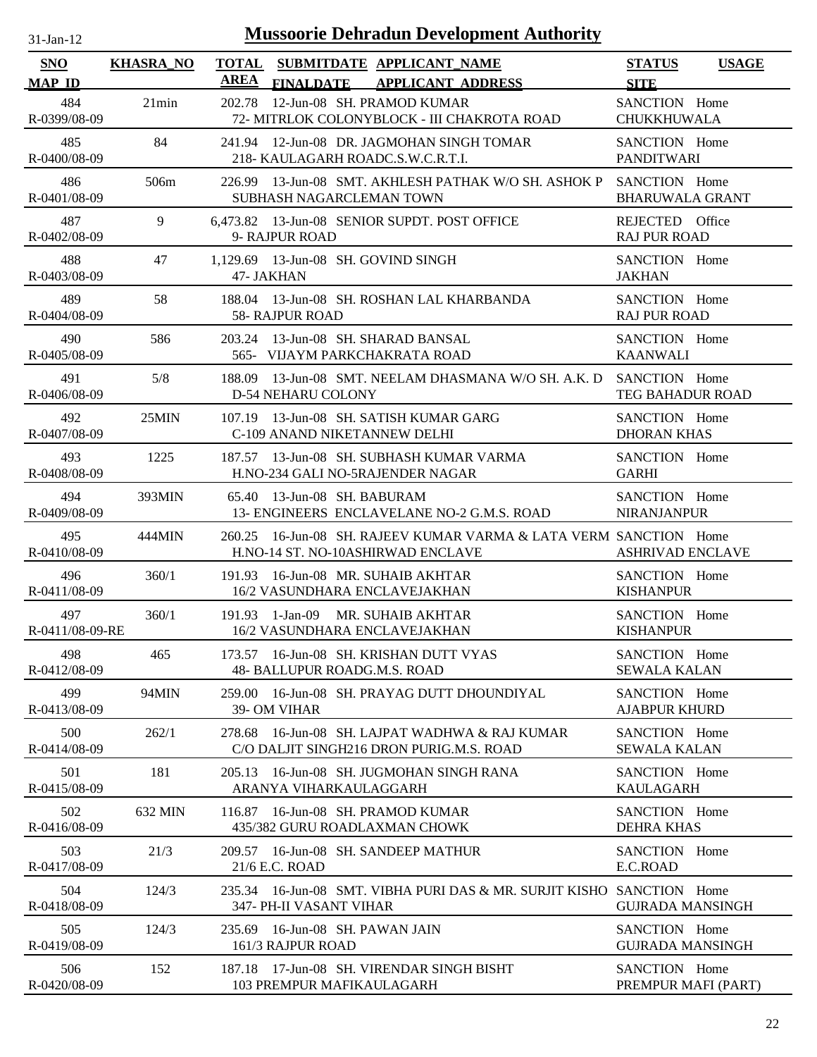| -jan- |  |
|-------|--|

| <b>SNO</b><br><b>MAP ID</b> | <b>KHASRA_NO</b> | <b>AREA</b> |                                                      | TOTAL SUBMITDATE APPLICANT_NAME<br>FINALDATE APPLICANT ADDRESS                                         | <b>STATUS</b><br><b>SITE</b>             | <b>USAGE</b> |
|-----------------------------|------------------|-------------|------------------------------------------------------|--------------------------------------------------------------------------------------------------------|------------------------------------------|--------------|
| 484<br>R-0399/08-09         | 21min            | 202.78      |                                                      | 12-Jun-08 SH. PRAMOD KUMAR<br>72- MITRLOK COLONYBLOCK - III CHAKROTA ROAD                              | SANCTION Home<br><b>CHUKKHUWALA</b>      |              |
| 485<br>R-0400/08-09         | 84               |             |                                                      | 241.94 12-Jun-08 DR. JAGMOHAN SINGH TOMAR<br>218- KAULAGARH ROADC.S.W.C.R.T.I.                         | SANCTION Home<br><b>PANDITWARI</b>       |              |
| 486<br>R-0401/08-09         | 506m             |             | SUBHASH NAGARCLEMAN TOWN                             | 226.99 13-Jun-08 SMT. AKHLESH PATHAK W/O SH. ASHOK P                                                   | SANCTION Home<br><b>BHARUWALA GRANT</b>  |              |
| 487<br>R-0402/08-09         | 9                |             | 9- RAJPUR ROAD                                       | 6,473.82 13-Jun-08 SENIOR SUPDT. POST OFFICE                                                           | REJECTED Office<br><b>RAJ PUR ROAD</b>   |              |
| 488<br>R-0403/08-09         | 47               |             | 1,129.69 13-Jun-08 SH. GOVIND SINGH<br>47- JAKHAN    |                                                                                                        | SANCTION Home<br><b>JAKHAN</b>           |              |
| 489<br>R-0404/08-09         | 58               |             | <b>58- RAJPUR ROAD</b>                               | 188.04 13-Jun-08 SH. ROSHAN LAL KHARBANDA                                                              | SANCTION Home<br><b>RAJ PUR ROAD</b>     |              |
| 490<br>R-0405/08-09         | 586              | 203.24      |                                                      | 13-Jun-08 SH, SHARAD BANSAL<br>565- VIJAYM PARKCHAKRATA ROAD                                           | SANCTION Home<br><b>KAANWALI</b>         |              |
| 491<br>R-0406/08-09         | 5/8              |             | D-54 NEHARU COLONY                                   | 188.09 13-Jun-08 SMT. NEELAM DHASMANA W/O SH. A.K. D                                                   | SANCTION Home<br>TEG BAHADUR ROAD        |              |
| 492<br>R-0407/08-09         | 25MIN            |             | C-109 ANAND NIKETANNEW DELHI                         | 107.19 13-Jun-08 SH, SATISH KUMAR GARG                                                                 | SANCTION Home<br><b>DHORAN KHAS</b>      |              |
| 493<br>R-0408/08-09         | 1225             |             |                                                      | 187.57 13-Jun-08 SH, SUBHASH KUMAR VARMA<br>H.NO-234 GALI NO-5RAJENDER NAGAR                           | SANCTION Home<br><b>GARHI</b>            |              |
| 494<br>R-0409/08-09         | 393MIN           |             | 65.40 13-Jun-08 SH. BABURAM                          | 13- ENGINEERS ENCLAVELANE NO-2 G.M.S. ROAD                                                             | SANCTION Home<br><b>NIRANJANPUR</b>      |              |
| 495<br>R-0410/08-09         | 444MIN           |             |                                                      | 260.25 16-Jun-08 SH, RAJEEV KUMAR VARMA & LATA VERM SANCTION Home<br>H.NO-14 ST. NO-10ASHIRWAD ENCLAVE | <b>ASHRIVAD ENCLAVE</b>                  |              |
| 496<br>R-0411/08-09         | 360/1            |             |                                                      | 191.93 16-Jun-08 MR. SUHAIB AKHTAR<br>16/2 VASUNDHARA ENCLAVEJAKHAN                                    | SANCTION Home<br><b>KISHANPUR</b>        |              |
| 497<br>R-0411/08-09-RE      | 360/1            |             |                                                      | 191.93 1-Jan-09 MR. SUHAIB AKHTAR<br>16/2 VASUNDHARA ENCLAVEJAKHAN                                     | SANCTION Home<br><b>KISHANPUR</b>        |              |
| 498<br>R-0412/08-09         | 465              |             | 48- BALLUPUR ROADG.M.S. ROAD                         | 173.57 16-Jun-08 SH. KRISHAN DUTT VYAS                                                                 | SANCTION Home<br><b>SEWALA KALAN</b>     |              |
| 499<br>R-0413/08-09         | 94MIN            | 259.00      | 39- OM VIHAR                                         | 16-Jun-08 SH. PRAYAG DUTT DHOUNDIYAL                                                                   | SANCTION Home<br><b>AJABPUR KHURD</b>    |              |
| 500<br>R-0414/08-09         | 262/1            |             |                                                      | 278.68 16-Jun-08 SH. LAJPAT WADHWA & RAJ KUMAR<br>C/O DALJIT SINGH216 DRON PURIG.M.S. ROAD             | SANCTION Home<br><b>SEWALA KALAN</b>     |              |
| 501<br>R-0415/08-09         | 181              |             | ARANYA VIHARKAULAGGARH                               | 205.13 16-Jun-08 SH. JUGMOHAN SINGH RANA                                                               | SANCTION Home<br><b>KAULAGARH</b>        |              |
| 502<br>R-0416/08-09         | 632 MIN          |             |                                                      | 116.87 16-Jun-08 SH. PRAMOD KUMAR<br>435/382 GURU ROADLAXMAN CHOWK                                     | SANCTION Home<br><b>DEHRA KHAS</b>       |              |
| 503<br>R-0417/08-09         | 21/3             |             | 21/6 E.C. ROAD                                       | 209.57 16-Jun-08 SH. SANDEEP MATHUR                                                                    | SANCTION Home<br>E.C.ROAD                |              |
| 504<br>R-0418/08-09         | 124/3            |             | 347- PH-II VASANT VIHAR                              | 235.34 16-Jun-08 SMT. VIBHA PURI DAS & MR. SURJIT KISHO SANCTION Home                                  | <b>GUJRADA MANSINGH</b>                  |              |
| 505<br>R-0419/08-09         | 124/3            |             | 235.69 16-Jun-08 SH. PAWAN JAIN<br>161/3 RAJPUR ROAD |                                                                                                        | SANCTION Home<br><b>GUJRADA MANSINGH</b> |              |
| 506<br>R-0420/08-09         | 152              |             | 103 PREMPUR MAFIKAULAGARH                            | 187.18 17-Jun-08 SH. VIRENDAR SINGH BISHT                                                              | SANCTION Home<br>PREMPUR MAFI (PART)     |              |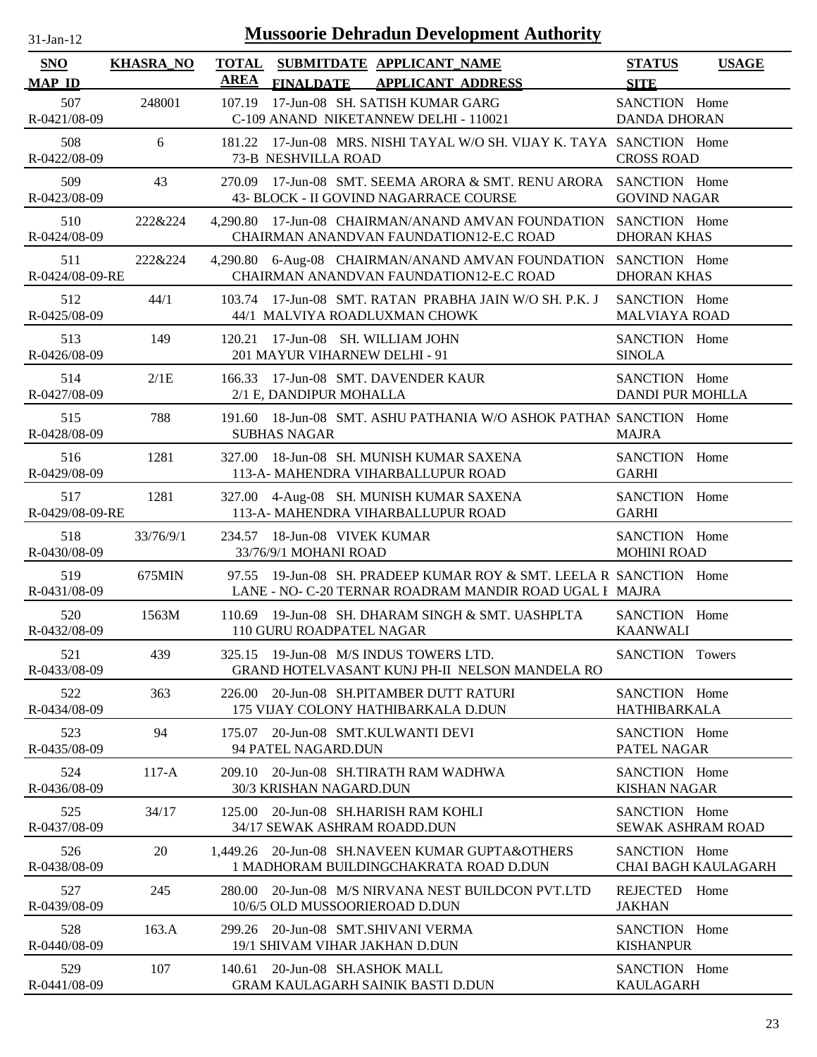| -Jan- |  |
|-------|--|
|       |  |

| SNO                    | <b>KHASRA_NO</b> | <b>TOTAL</b> |                                                             | SUBMITDATE APPLICANT_NAME                                                                                               | <b>STATUS</b>                             | <b>USAGE</b>               |
|------------------------|------------------|--------------|-------------------------------------------------------------|-------------------------------------------------------------------------------------------------------------------------|-------------------------------------------|----------------------------|
| <b>MAP ID</b>          |                  | <b>AREA</b>  | <b>FINALDATE</b>                                            | <b>APPLICANT ADDRESS</b>                                                                                                | <b>SITE</b>                               |                            |
| 507<br>R-0421/08-09    | 248001           | 107.19       |                                                             | 17-Jun-08 SH. SATISH KUMAR GARG<br>C-109 ANAND NIKETANNEW DELHI - 110021                                                | SANCTION Home<br><b>DANDA DHORAN</b>      |                            |
| 508<br>R-0422/08-09    | 6                | 181.22       | 73-B NESHVILLA ROAD                                         | 17-Jun-08 MRS. NISHI TAYAL W/O SH. VIJAY K. TAYA SANCTION Home                                                          | <b>CROSS ROAD</b>                         |                            |
| 509<br>R-0423/08-09    | 43               | 270.09       |                                                             | 17-Jun-08 SMT. SEEMA ARORA & SMT. RENU ARORA SANCTION Home<br>43- BLOCK - II GOVIND NAGARRACE COURSE                    | <b>GOVIND NAGAR</b>                       |                            |
| 510<br>R-0424/08-09    | 222&224          |              |                                                             | 4,290.80 17-Jun-08 CHAIRMAN/ANAND AMVAN FOUNDATION SANCTION Home<br>CHAIRMAN ANANDVAN FAUNDATION12-E.C ROAD             | <b>DHORAN KHAS</b>                        |                            |
| 511<br>R-0424/08-09-RE | 222&224          |              |                                                             | 4,290.80 6-Aug-08 CHAIRMAN/ANAND AMVAN FOUNDATION<br>CHAIRMAN ANANDVAN FAUNDATION12-E.C ROAD                            | SANCTION Home<br><b>DHORAN KHAS</b>       |                            |
| 512<br>R-0425/08-09    | 44/1             |              |                                                             | 103.74 17-Jun-08 SMT. RATAN PRABHA JAIN W/O SH. P.K. J<br>44/1 MALVIYA ROADLUXMAN CHOWK                                 | SANCTION Home<br><b>MALVIAYA ROAD</b>     |                            |
| 513<br>R-0426/08-09    | 149              | 120.21       | 17-Jun-08 SH. WILLIAM JOHN<br>201 MAYUR VIHARNEW DELHI - 91 |                                                                                                                         | SANCTION Home<br><b>SINOLA</b>            |                            |
| 514<br>R-0427/08-09    | 2/1E             |              | 2/1 E, DANDIPUR MOHALLA                                     | 166.33 17-Jun-08 SMT. DAVENDER KAUR                                                                                     | SANCTION Home<br><b>DANDI PUR MOHLLA</b>  |                            |
| 515<br>R-0428/08-09    | 788              |              | <b>SUBHAS NAGAR</b>                                         | 191.60 18-Jun-08 SMT. ASHU PATHANIA W/O ASHOK PATHAN SANCTION Home                                                      | <b>MAJRA</b>                              |                            |
| 516<br>R-0429/08-09    | 1281             | 327.00       |                                                             | 18-Jun-08 SH. MUNISH KUMAR SAXENA<br>113-A- MAHENDRA VIHARBALLUPUR ROAD                                                 | SANCTION Home<br><b>GARHI</b>             |                            |
| 517<br>R-0429/08-09-RE | 1281             |              |                                                             | 327.00 4-Aug-08 SH. MUNISH KUMAR SAXENA<br>113-A- MAHENDRA VIHARBALLUPUR ROAD                                           | SANCTION Home<br><b>GARHI</b>             |                            |
| 518<br>R-0430/08-09    | 33/76/9/1        |              | 234.57 18-Jun-08 VIVEK KUMAR<br>33/76/9/1 MOHANI ROAD       |                                                                                                                         | SANCTION Home<br><b>MOHINI ROAD</b>       |                            |
| 519<br>R-0431/08-09    | 675MIN           | 97.55        |                                                             | 19-Jun-08 SH. PRADEEP KUMAR ROY & SMT. LEELA R SANCTION Home<br>LANE - NO- C-20 TERNAR ROADRAM MANDIR ROAD UGAL I MAJRA |                                           |                            |
| 520<br>R-0432/08-09    | 1563M            |              | 110 GURU ROADPATEL NAGAR                                    | 110.69 19-Jun-08 SH. DHARAM SINGH & SMT. UASHPLTA                                                                       | SANCTION Home<br><b>KAANWALI</b>          |                            |
| 521<br>R-0433/08-09    | 439              |              |                                                             | 325.15 19-Jun-08 M/S INDUS TOWERS LTD.<br>GRAND HOTELVASANT KUNJ PH-II NELSON MANDELA RO                                | <b>SANCTION</b> Towers                    |                            |
| 522<br>R-0434/08-09    | 363              | 226.00       |                                                             | 20-Jun-08 SH.PITAMBER DUTT RATURI<br>175 VIJAY COLONY HATHIBARKALA D.DUN                                                | SANCTION Home<br><b>HATHIBARKALA</b>      |                            |
| 523<br>R-0435/08-09    | 94               | 175.07       | 94 PATEL NAGARD.DUN                                         | 20-Jun-08 SMT.KULWANTI DEVI                                                                                             | SANCTION Home<br>PATEL NAGAR              |                            |
| 524<br>R-0436/08-09    | $117-A$          | 209.10       | 30/3 KRISHAN NAGARD.DUN                                     | 20-Jun-08 SH.TIRATH RAM WADHWA                                                                                          | SANCTION Home<br><b>KISHAN NAGAR</b>      |                            |
| 525<br>R-0437/08-09    | 34/17            | 125.00       | 34/17 SEWAK ASHRAM ROADD.DUN                                | 20-Jun-08 SH.HARISH RAM KOHLI                                                                                           | SANCTION Home<br><b>SEWAK ASHRAM ROAD</b> |                            |
| 526<br>R-0438/08-09    | 20               |              |                                                             | 1.449.26 20-Jun-08 SH.NAVEEN KUMAR GUPTA&OTHERS<br>1 MADHORAM BUILDINGCHAKRATA ROAD D.DUN                               | SANCTION Home                             | <b>CHAI BAGH KAULAGARH</b> |
| 527<br>R-0439/08-09    | 245              |              | 10/6/5 OLD MUSSOORIEROAD D.DUN                              | 280.00 20-Jun-08 M/S NIRVANA NEST BUILDCON PVT.LTD                                                                      | <b>REJECTED</b><br><b>JAKHAN</b>          | Home                       |
| 528<br>R-0440/08-09    | 163.A            |              | 19/1 SHIVAM VIHAR JAKHAN D.DUN                              | 299.26 20-Jun-08 SMT.SHIVANI VERMA                                                                                      | SANCTION Home<br><b>KISHANPUR</b>         |                            |
| 529<br>R-0441/08-09    | 107              | 140.61       | 20-Jun-08 SH.ASHOK MALL                                     | <b>GRAM KAULAGARH SAINIK BASTI D.DUN</b>                                                                                | SANCTION Home<br><b>KAULAGARH</b>         |                            |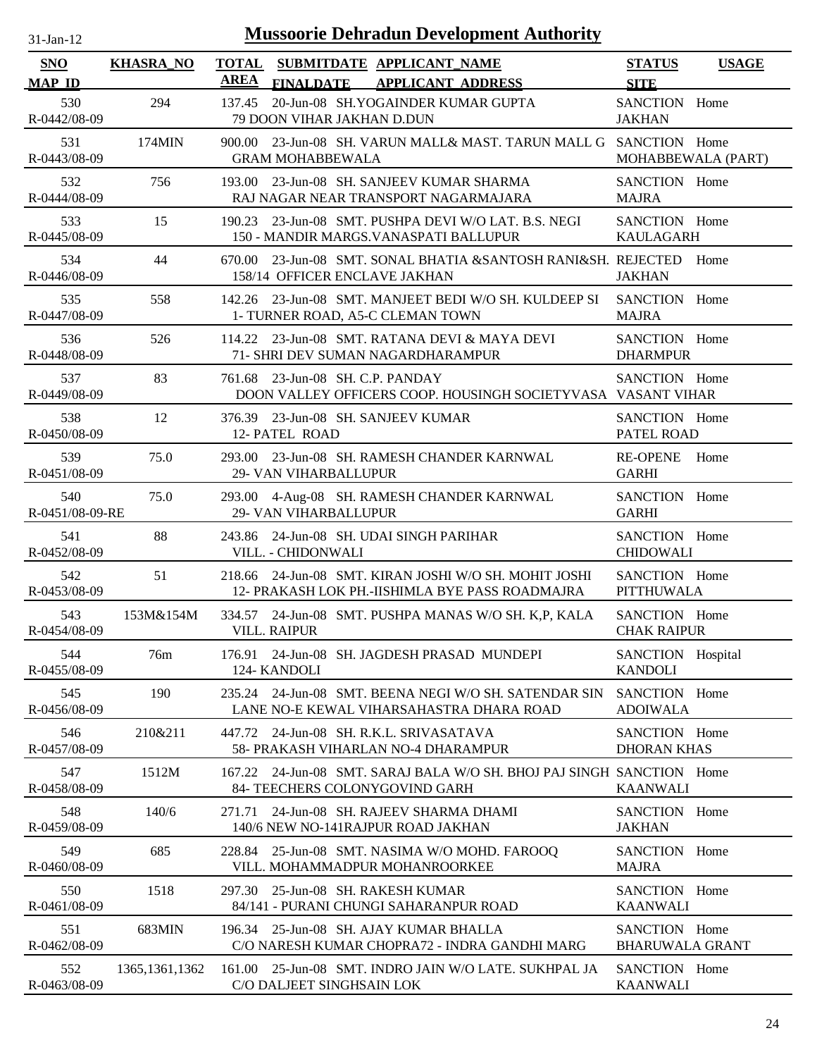| $31$ -Jan-12 |  |
|--------------|--|

| SNO                                  | <b>KHASRA_NO</b> | <b>AREA</b> | TOTAL SUBMITDATE APPLICANT NAME                                         |                                                                                                          | <b>STATUS</b>                                 | <b>USAGE</b> |
|--------------------------------------|------------------|-------------|-------------------------------------------------------------------------|----------------------------------------------------------------------------------------------------------|-----------------------------------------------|--------------|
| <b>MAP ID</b><br>530<br>R-0442/08-09 | 294              | 137.45      | 79 DOON VIHAR JAKHAN D.DUN                                              | FINALDATE APPLICANT ADDRESS<br>20-Jun-08 SH.YOGAINDER KUMAR GUPTA                                        | <b>SITE</b><br>SANCTION Home<br><b>JAKHAN</b> |              |
| 531<br>R-0443/08-09                  | 174MIN           |             | <b>GRAM MOHABBEWALA</b>                                                 | 900.00 23-Jun-08 SH. VARUN MALL& MAST. TARUN MALL G SANCTION Home                                        | MOHABBEWALA (PART)                            |              |
| 532<br>R-0444/08-09                  | 756              |             |                                                                         | 193.00 23-Jun-08 SH, SANJEEV KUMAR SHARMA<br>RAJ NAGAR NEAR TRANSPORT NAGARMAJARA                        | SANCTION Home<br><b>MAJRA</b>                 |              |
| 533<br>R-0445/08-09                  | 15               |             |                                                                         | 190.23 23-Jun-08 SMT. PUSHPA DEVI W/O LAT. B.S. NEGI<br>150 - MANDIR MARGS. VANASPATI BALLUPUR           | SANCTION Home<br><b>KAULAGARH</b>             |              |
| 534<br>R-0446/08-09                  | 44               | 670.00      | 158/14 OFFICER ENCLAVE JAKHAN                                           | 23-Jun-08 SMT. SONAL BHATIA &SANTOSH RANI&SH. REJECTED                                                   | <b>JAKHAN</b>                                 | Home         |
| 535<br>R-0447/08-09                  | 558              |             | 1- TURNER ROAD, A5-C CLEMAN TOWN                                        | 142.26 23-Jun-08 SMT. MANJEET BEDI W/O SH. KULDEEP SI                                                    | SANCTION Home<br><b>MAJRA</b>                 |              |
| 536<br>R-0448/08-09                  | 526              |             | 71- SHRI DEV SUMAN NAGARDHARAMPUR                                       | 114.22 23-Jun-08 SMT. RATANA DEVI & MAYA DEVI                                                            | SANCTION Home<br><b>DHARMPUR</b>              |              |
| 537<br>R-0449/08-09                  | 83               |             | 761.68 23-Jun-08 SH. C.P. PANDAY                                        | DOON VALLEY OFFICERS COOP. HOUSINGH SOCIETYVASA VASANT VIHAR                                             | SANCTION Home                                 |              |
| 538<br>R-0450/08-09                  | 12               |             | 376.39 23-Jun-08 SH. SANJEEV KUMAR<br>12- PATEL ROAD                    |                                                                                                          | SANCTION Home<br>PATEL ROAD                   |              |
| 539<br>R-0451/08-09                  | 75.0             |             | 29- VAN VIHARBALLUPUR                                                   | 293.00 23-Jun-08 SH. RAMESH CHANDER KARNWAL                                                              | <b>RE-OPENE</b><br><b>GARHI</b>               | Home         |
| 540<br>R-0451/08-09-RE               | 75.0             |             | 29- VAN VIHARBALLUPUR                                                   | 293.00 4-Aug-08 SH. RAMESH CHANDER KARNWAL                                                               | SANCTION Home<br><b>GARHI</b>                 |              |
| 541<br>R-0452/08-09                  | 88               |             | 243.86 24-Jun-08 SH. UDAI SINGH PARIHAR<br>VILL. - CHIDONWALI           |                                                                                                          | SANCTION Home<br><b>CHIDOWALI</b>             |              |
| 542<br>R-0453/08-09                  | 51               |             |                                                                         | 218.66 24-Jun-08 SMT. KIRAN JOSHI W/O SH. MOHIT JOSHI<br>12- PRAKASH LOK PH.-IISHIMLA BYE PASS ROADMAJRA | SANCTION Home<br><b>PITTHUWALA</b>            |              |
| 543<br>R-0454/08-09                  | 153M&154M        |             | <b>VILL. RAIPUR</b>                                                     | 334.57 24-Jun-08 SMT. PUSHPA MANAS W/O SH. K,P, KALA                                                     | SANCTION Home<br><b>CHAK RAIPUR</b>           |              |
| 544<br>R-0455/08-09                  | 76m              |             | 124- KANDOLI                                                            | 176.91 24-Jun-08 SH. JAGDESH PRASAD MUNDEPI                                                              | SANCTION Hospital<br><b>KANDOLI</b>           |              |
| 545<br>R-0456/08-09                  | 190              |             |                                                                         | 235.24 24-Jun-08 SMT. BEENA NEGI W/O SH. SATENDAR SIN<br>LANE NO-E KEWAL VIHARSAHASTRA DHARA ROAD        | SANCTION Home<br><b>ADOIWALA</b>              |              |
| 546<br>R-0457/08-09                  | 210&211          | 447.72      | 24-Jun-08 SH. R.K.L. SRIVASATAVA<br>58- PRAKASH VIHARLAN NO-4 DHARAMPUR |                                                                                                          | SANCTION Home<br><b>DHORAN KHAS</b>           |              |
| 547<br>R-0458/08-09                  | 1512M            | 167.22      | 84- TEECHERS COLONYGOVIND GARH                                          | 24-Jun-08 SMT. SARAJ BALA W/O SH. BHOJ PAJ SINGH SANCTION Home                                           | <b>KAANWALI</b>                               |              |
| 548<br>R-0459/08-09                  | 140/6            | 271.71      | 140/6 NEW NO-141RAJPUR ROAD JAKHAN                                      | 24-Jun-08 SH. RAJEEV SHARMA DHAMI                                                                        | SANCTION Home<br><b>JAKHAN</b>                |              |
| 549<br>R-0460/08-09                  | 685              |             | VILL. MOHAMMADPUR MOHANROORKEE                                          | 228.84 25-Jun-08 SMT. NASIMA W/O MOHD. FAROOQ                                                            | SANCTION Home<br><b>MAJRA</b>                 |              |
| 550<br>R-0461/08-09                  | 1518             | 297.30      | 25-Jun-08 SH. RAKESH KUMAR                                              | 84/141 - PURANI CHUNGI SAHARANPUR ROAD                                                                   | SANCTION Home<br><b>KAANWALI</b>              |              |
| 551<br>R-0462/08-09                  | 683MIN           |             | 196.34 25-Jun-08 SH. AJAY KUMAR BHALLA                                  | C/O NARESH KUMAR CHOPRA72 - INDRA GANDHI MARG                                                            | SANCTION Home<br><b>BHARUWALA GRANT</b>       |              |
| 552<br>R-0463/08-09                  | 1365, 1361, 1362 |             | C/O DALJEET SINGHSAIN LOK                                               | 161.00 25-Jun-08 SMT. INDRO JAIN W/O LATE. SUKHPAL JA                                                    | SANCTION Home<br><b>KAANWALI</b>              |              |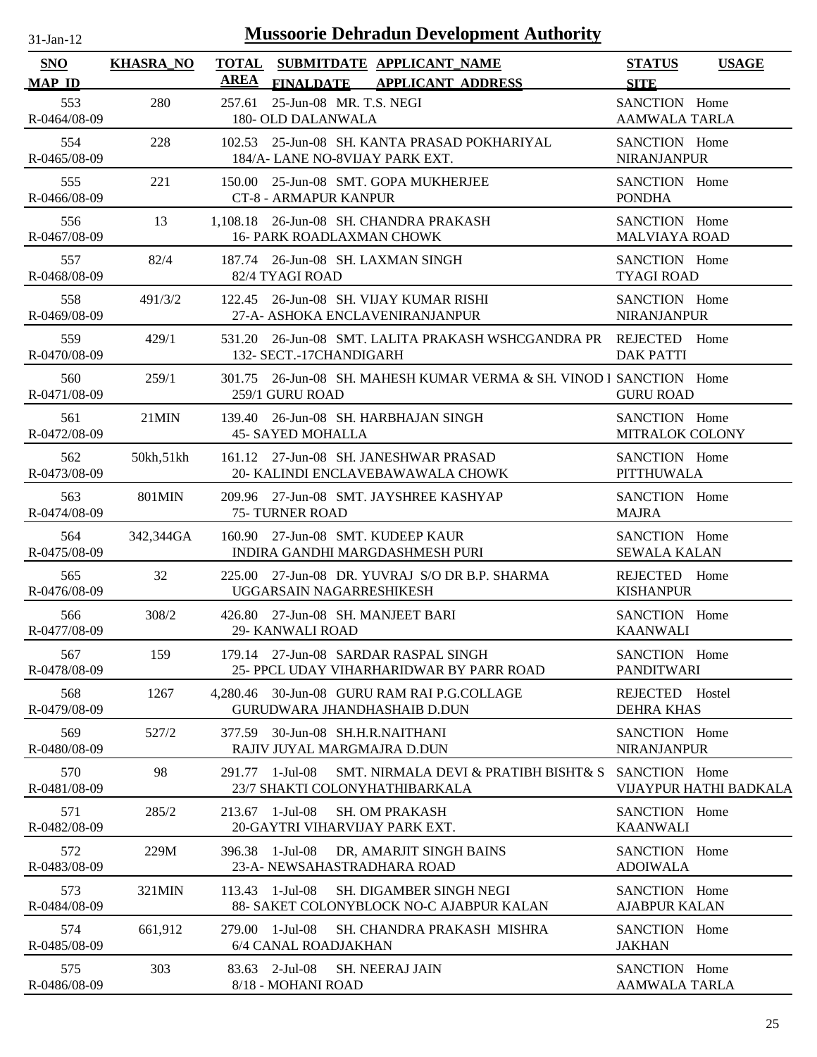| $31$ -Jan-12                |                  |             | <b>Mussoorie Dehradun Development Authority</b>                                                 |                                       |                        |
|-----------------------------|------------------|-------------|-------------------------------------------------------------------------------------------------|---------------------------------------|------------------------|
| <b>SNO</b><br><b>MAP ID</b> | <b>KHASRA NO</b> | <b>AREA</b> | TOTAL SUBMITDATE APPLICANT_NAME<br>FINALDATE APPLICANT ADDRESS                                  | <b>STATUS</b><br><b>SITE</b>          | <b>USAGE</b>           |
| 553<br>R-0464/08-09         | 280              | 257.61      | 25-Jun-08 MR. T.S. NEGI<br>180- OLD DALANWALA                                                   | SANCTION Home<br><b>AAMWALA TARLA</b> |                        |
| 554<br>R-0465/08-09         | 228              |             | 102.53 25-Jun-08 SH. KANTA PRASAD POKHARIYAL<br>184/A-LANE NO-8VIJAY PARK EXT.                  | SANCTION Home<br><b>NIRANJANPUR</b>   |                        |
| 555<br>R-0466/08-09         | 221              |             | 150.00 25-Jun-08 SMT. GOPA MUKHERJEE<br><b>CT-8 - ARMAPUR KANPUR</b>                            | SANCTION Home<br><b>PONDHA</b>        |                        |
| 556<br>R-0467/08-09         | 13               |             | 1,108.18 26-Jun-08 SH. CHANDRA PRAKASH<br><b>16- PARK ROADLAXMAN CHOWK</b>                      | SANCTION Home<br><b>MALVIAYA ROAD</b> |                        |
| 557<br>R-0468/08-09         | 82/4             |             | 187.74 26-Jun-08 SH. LAXMAN SINGH<br>82/4 TYAGI ROAD                                            | SANCTION Home<br><b>TYAGI ROAD</b>    |                        |
| 558<br>R-0469/08-09         | 491/3/2          |             | 122.45 26-Jun-08 SH, VIJAY KUMAR RISHI<br>27-A- ASHOKA ENCLAVENIRANJANPUR                       | SANCTION Home<br><b>NIRANJANPUR</b>   |                        |
| 559<br>R-0470/08-09         | 429/1            |             | 531.20 26-Jun-08 SMT. LALITA PRAKASH WSHCGANDRA PR REJECTED Home<br>132- SECT.-17CHANDIGARH     | <b>DAK PATTI</b>                      |                        |
| 560<br>R-0471/08-09         | 259/1            |             | 301.75 26-Jun-08 SH, MAHESH KUMAR VERMA & SH, VINOD I SANCTION Home<br>259/1 GURU ROAD          | <b>GURU ROAD</b>                      |                        |
| 561<br>R-0472/08-09         | $21$ MIN         |             | 139.40 26-Jun-08 SH. HARBHAJAN SINGH<br><b>45- SAYED MOHALLA</b>                                | SANCTION Home<br>MITRALOK COLONY      |                        |
| 562<br>R-0473/08-09         | 50kh, 51kh       |             | 161.12 27-Jun-08 SH. JANESHWAR PRASAD<br>20- KALINDI ENCLAVEBAWAWALA CHOWK                      | SANCTION Home<br><b>PITTHUWALA</b>    |                        |
| 563<br>R-0474/08-09         | <b>801MIN</b>    |             | 209.96 27-Jun-08 SMT. JAYSHREE KASHYAP<br>75- TURNER ROAD                                       | SANCTION Home<br><b>MAJRA</b>         |                        |
| 564<br>R-0475/08-09         | 342,344GA        |             | 160.90 27-Jun-08 SMT. KUDEEP KAUR<br>INDIRA GANDHI MARGDASHMESH PURI                            | SANCTION Home<br><b>SEWALA KALAN</b>  |                        |
| 565<br>R-0476/08-09         | 32               |             | 225.00 27-Jun-08 DR. YUVRAJ S/O DR B.P. SHARMA<br>UGGARSAIN NAGARRESHIKESH                      | REJECTED Home<br><b>KISHANPUR</b>     |                        |
| 566<br>R-0477/08-09         | 308/2            |             | 426.80 27-Jun-08 SH. MANJEET BARI<br><b>29- KANWALI ROAD</b>                                    | SANCTION Home<br><b>KAANWALI</b>      |                        |
| 567<br>R-0478/08-09         | 159              |             | 179.14 27-Jun-08 SARDAR RASPAL SINGH<br>25- PPCL UDAY VIHARHARIDWAR BY PARR ROAD                | SANCTION Home<br><b>PANDITWARI</b>    |                        |
| 568<br>R-0479/08-09         | 1267             |             | 4,280.46 30-Jun-08 GURU RAM RAI P.G.COLLAGE<br><b>GURUDWARA JHANDHASHAIB D.DUN</b>              | REJECTED Hostel<br><b>DEHRA KHAS</b>  |                        |
| 569<br>R-0480/08-09         | 527/2            | 377.59      | 30-Jun-08 SH.H.R.NAITHANI<br>RAJIV JUYAL MARGMAJRA D.DUN                                        | SANCTION Home<br><b>NIRANJANPUR</b>   |                        |
| 570<br>R-0481/08-09         | 98               |             | 291.77 1-Jul-08<br>SMT. NIRMALA DEVI & PRATIBH BISHT & S<br>23/7 SHAKTI COLONYHATHIBARKALA      | SANCTION Home                         | VIJAYPUR HATHI BADKALA |
| 571<br>R-0482/08-09         | 285/2            |             | 213.67 1-Jul-08<br><b>SH. OM PRAKASH</b><br>20-GAYTRI VIHARVIJAY PARK EXT.                      | SANCTION Home<br><b>KAANWALI</b>      |                        |
| 572<br>R-0483/08-09         | 229M             |             | 396.38 1-Jul-08<br>DR, AMARJIT SINGH BAINS<br>23-A- NEWSAHASTRADHARA ROAD                       | SANCTION Home<br><b>ADOIWALA</b>      |                        |
| 573<br>R-0484/08-09         | 321MIN           |             | $113.43$ 1-Jul-08<br><b>SH. DIGAMBER SINGH NEGI</b><br>88- SAKET COLONYBLOCK NO-C AJABPUR KALAN | SANCTION Home<br><b>AJABPUR KALAN</b> |                        |
| 574<br>R-0485/08-09         | 661,912          |             | 279.00 1-Jul-08<br>SH. CHANDRA PRAKASH MISHRA<br>6/4 CANAL ROADJAKHAN                           | SANCTION Home<br><b>JAKHAN</b>        |                        |
| 575                         | 303              |             | 83.63 2-Jul-08 SH. NEERAJ JAIN                                                                  | SANCTION Home                         |                        |

8/18 - MOHANI ROAD

R-0486/08-09

25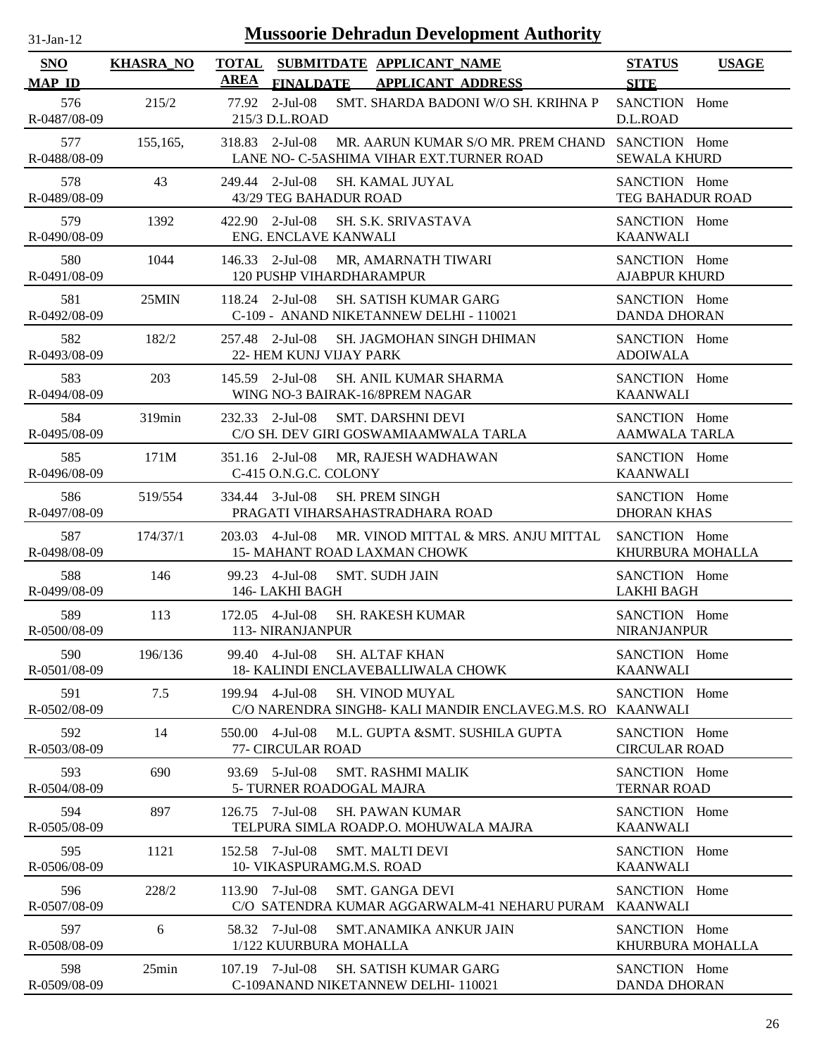| $31$ -Jan- $12$             |                  | <b>Mussoorie Dehradun Development Authority</b>                                                                 |                                          |
|-----------------------------|------------------|-----------------------------------------------------------------------------------------------------------------|------------------------------------------|
| <b>SNO</b><br><b>MAP ID</b> | <b>KHASRA_NO</b> | <b>TOTAL</b><br>SUBMITDATE APPLICANT NAME<br><b>AREA</b><br><b>FINALDATE</b><br><b>APPLICANT ADDRESS</b>        | <b>STATUS</b><br><b>USAGE</b>            |
| 576<br>R-0487/08-09         | 215/2            | 77.92 2-Jul-08<br>SMT. SHARDA BADONI W/O SH. KRIHNA P<br>215/3 D.L.ROAD                                         | <b>SITE</b><br>SANCTION Home<br>D.L.ROAD |
| 577<br>R-0488/08-09         | 155,165,         | 318.83 2-Jul-08<br>MR. AARUN KUMAR S/O MR. PREM CHAND SANCTION Home<br>LANE NO- C-5ASHIMA VIHAR EXT.TURNER ROAD | <b>SEWALA KHURD</b>                      |
| 578<br>R-0489/08-09         | 43               | 249.44 2-Jul-08<br><b>SH. KAMAL JUYAL</b><br>43/29 TEG BAHADUR ROAD                                             | SANCTION Home<br><b>TEG BAHADUR ROAD</b> |
| 579<br>R-0490/08-09         | 1392             | 2-Jul-08<br>SH. S.K. SRIVASTAVA<br>422.90<br>ENG. ENCLAVE KANWALI                                               | SANCTION Home<br><b>KAANWALI</b>         |
| 580<br>R-0491/08-09         | 1044             | 146.33 2-Jul-08<br>MR, AMARNATH TIWARI<br>120 PUSHP VIHARDHARAMPUR                                              | SANCTION Home<br><b>AJABPUR KHURD</b>    |
| 581<br>R-0492/08-09         | 25MIN            | $118.24$ 2-Jul-08<br><b>SH. SATISH KUMAR GARG</b><br>C-109 - ANAND NIKETANNEW DELHI - 110021                    | SANCTION Home<br><b>DANDA DHORAN</b>     |
| 582<br>R-0493/08-09         | 182/2            | 257.48 2-Jul-08<br>SH. JAGMOHAN SINGH DHIMAN<br>22- HEM KUNJ VIJAY PARK                                         | SANCTION Home<br><b>ADOIWALA</b>         |
| 583<br>R-0494/08-09         | 203              | 145.59 2-Jul-08<br><b>SH. ANIL KUMAR SHARMA</b><br>WING NO-3 BAIRAK-16/8PREM NAGAR                              | SANCTION Home<br><b>KAANWALI</b>         |
| 584<br>R-0495/08-09         | 319min           | 232.33 2-Jul-08<br><b>SMT. DARSHNI DEVI</b><br>C/O SH. DEV GIRI GOSWAMIAAMWALA TARLA                            | SANCTION Home<br><b>AAMWALA TARLA</b>    |
| 585<br>R-0496/08-09         | 171M             | 351.16 2-Jul-08<br>MR, RAJESH WADHAWAN<br>C-415 O.N.G.C. COLONY                                                 | SANCTION Home<br><b>KAANWALI</b>         |
| 586<br>R-0497/08-09         | 519/554          | 334.44 3-Jul-08<br><b>SH. PREM SINGH</b><br>PRAGATI VIHARSAHASTRADHARA ROAD                                     | SANCTION Home<br><b>DHORAN KHAS</b>      |
| 587<br>R-0498/08-09         | 174/37/1         | 4-Jul-08<br>MR. VINOD MITTAL & MRS. ANJU MITTAL<br>203.03<br>15- MAHANT ROAD LAXMAN CHOWK                       | SANCTION Home<br>KHURBURA MOHALLA        |
| 588<br>R-0499/08-09         | 146              | 99.23 4-Jul-08<br><b>SMT. SUDH JAIN</b><br>146- LAKHI BAGH                                                      | SANCTION Home<br><b>LAKHI BAGH</b>       |
| 589<br>R-0500/08-09         | 113              | 172.05 4-Jul-08<br><b>SH. RAKESH KUMAR</b><br>113- NIRANJANPUR                                                  | SANCTION Home<br><b>NIRANJANPUR</b>      |
| 590<br>R-0501/08-09         | 196/136          | 99.40 4-Jul-08<br><b>SH. ALTAF KHAN</b><br>18- KALINDI ENCLAVEBALLIWALA CHOWK                                   | SANCTION Home<br><b>KAANWALI</b>         |
| 591<br>R-0502/08-09         | 7.5              | 199.94 4-Jul-08<br><b>SH. VINOD MUYAL</b><br>C/O NARENDRA SINGH8- KALI MANDIR ENCLAVEG.M.S. RO                  | SANCTION Home<br><b>KAANWALI</b>         |
| 592<br>R-0503/08-09         | 14               | 4-Jul-08<br>M.L. GUPTA &SMT. SUSHILA GUPTA<br>550.00<br>77- CIRCULAR ROAD                                       | SANCTION Home<br><b>CIRCULAR ROAD</b>    |
| 593<br>R-0504/08-09         | 690              | $5$ -Jul-08<br><b>SMT. RASHMI MALIK</b><br>93.69<br>5- TURNER ROADOGAL MAJRA                                    | SANCTION Home<br><b>TERNAR ROAD</b>      |
| 594<br>R-0505/08-09         | 897              | 7-Jul-08<br><b>SH. PAWAN KUMAR</b><br>126.75<br>TELPURA SIMLA ROADP.O. MOHUWALA MAJRA                           | SANCTION Home<br><b>KAANWALI</b>         |
| 595<br>R-0506/08-09         | 1121             | 7-Jul-08<br><b>SMT. MALTI DEVI</b><br>152.58<br>10- VIKASPURAMG.M.S. ROAD                                       | SANCTION Home<br><b>KAANWALI</b>         |
| 596<br>R-0507/08-09         | 228/2            | $113.90$ 7-Jul-08<br><b>SMT. GANGA DEVI</b><br>C/O SATENDRA KUMAR AGGARWALM-41 NEHARU PURAM                     | SANCTION Home<br><b>KAANWALI</b>         |
| 597<br>R-0508/08-09         | 6                | 58.32 7-Jul-08<br>SMT. ANAMIKA ANKUR JAIN<br>1/122 KUURBURA MOHALLA                                             | SANCTION Home<br>KHURBURA MOHALLA        |
| 598<br>R-0509/08-09         | 25min            | 107.19 7-Jul-08<br><b>SH. SATISH KUMAR GARG</b><br>C-109ANAND NIKETANNEW DELHI-110021                           | SANCTION Home<br><b>DANDA DHORAN</b>     |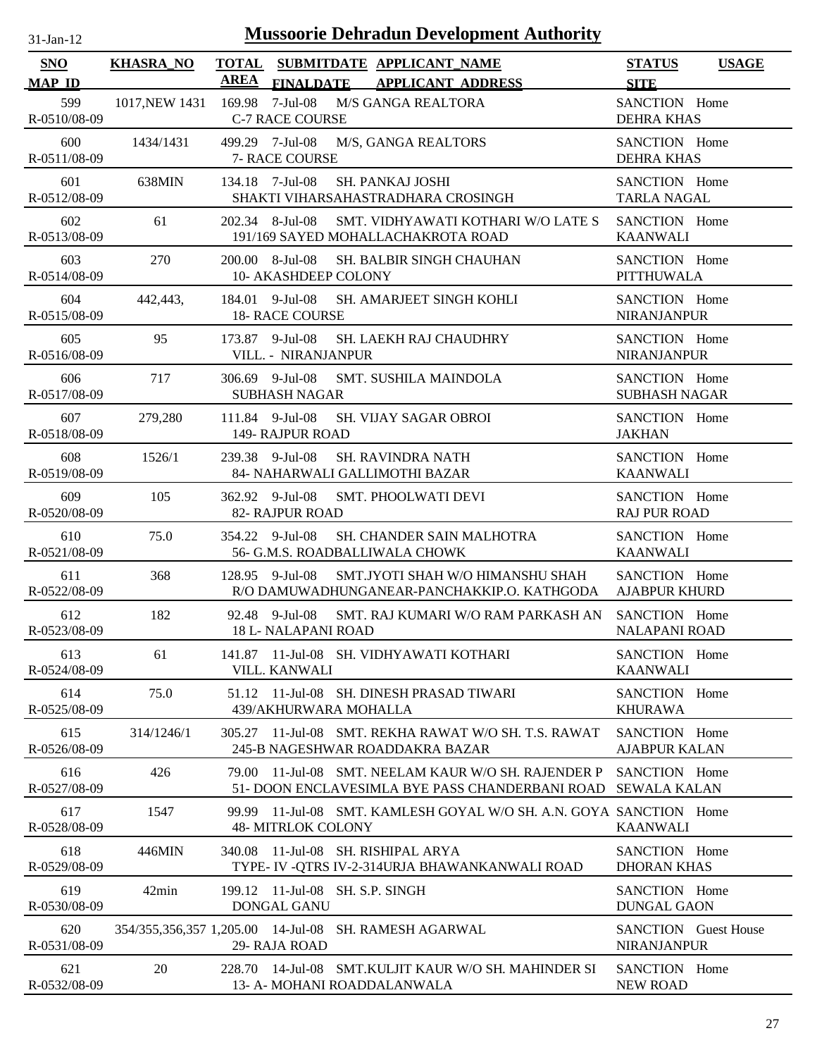| $31 - Jan - 12$ |  |
|-----------------|--|
|                 |  |

| <b>SNO</b><br><b>MAP ID</b> | <b>KHASRA_NO</b> | <b>AREA</b> |                                                | TOTAL SUBMITDATE APPLICANT_NAME<br>FINALDATE APPLICANT ADDRESS                                   | <b>STATUS</b><br><b>SITE</b>               | <b>USAGE</b> |
|-----------------------------|------------------|-------------|------------------------------------------------|--------------------------------------------------------------------------------------------------|--------------------------------------------|--------------|
| 599<br>R-0510/08-09         | 1017, NEW 1431   |             | <b>C-7 RACE COURSE</b>                         | 169.98 7-Jul-08 M/S GANGA REALTORA                                                               | SANCTION Home<br><b>DEHRA KHAS</b>         |              |
| 600<br>R-0511/08-09         | 1434/1431        |             | 499.29 7-Jul-08<br>7- RACE COURSE              | M/S, GANGA REALTORS                                                                              | SANCTION Home<br><b>DEHRA KHAS</b>         |              |
| 601<br>R-0512/08-09         | 638MIN           |             | 134.18 7-Jul-08                                | <b>SH. PANKAJ JOSHI</b><br>SHAKTI VIHARSAHASTRADHARA CROSINGH                                    | SANCTION Home<br><b>TARLA NAGAL</b>        |              |
| 602<br>R-0513/08-09         | 61               |             | 202.34 8-Jul-08                                | SMT. VIDHYAWATI KOTHARI W/O LATE S<br>191/169 SAYED MOHALLACHAKROTA ROAD                         | SANCTION Home<br><b>KAANWALI</b>           |              |
| 603<br>R-0514/08-09         | 270              |             | 200.00 8-Jul-08<br>10- AKASHDEEP COLONY        | SH. BALBIR SINGH CHAUHAN                                                                         | SANCTION Home<br><b>PITTHUWALA</b>         |              |
| 604<br>R-0515/08-09         | 442,443,         |             | 184.01 9-Jul-08<br>18- RACE COURSE             | SH. AMARJEET SINGH KOHLI                                                                         | SANCTION Home<br><b>NIRANJANPUR</b>        |              |
| 605<br>R-0516/08-09         | 95               |             | 173.87 9-Jul-08<br>VILL. - NIRANJANPUR         | SH. LAEKH RAJ CHAUDHRY                                                                           | SANCTION Home<br><b>NIRANJANPUR</b>        |              |
| 606<br>R-0517/08-09         | 717              |             | 306.69 9-Jul-08<br><b>SUBHASH NAGAR</b>        | SMT. SUSHILA MAINDOLA                                                                            | SANCTION Home<br><b>SUBHASH NAGAR</b>      |              |
| 607<br>R-0518/08-09         | 279,280          |             | 111.84 9-Jul-08<br>149- RAJPUR ROAD            | <b>SH. VIJAY SAGAR OBROI</b>                                                                     | SANCTION Home<br><b>JAKHAN</b>             |              |
| 608<br>R-0519/08-09         | 1526/1           |             | 239.38 9-Jul-08                                | <b>SH. RAVINDRA NATH</b><br>84- NAHARWALI GALLIMOTHI BAZAR                                       | SANCTION Home<br><b>KAANWALI</b>           |              |
| 609<br>R-0520/08-09         | 105              |             | 362.92 9-Jul-08<br>82- RAJPUR ROAD             | <b>SMT. PHOOLWATI DEVI</b>                                                                       | SANCTION Home<br><b>RAJ PUR ROAD</b>       |              |
| 610<br>R-0521/08-09         | 75.0             |             | 354.22 9-Jul-08                                | <b>SH. CHANDER SAIN MALHOTRA</b><br>56- G.M.S. ROADBALLIWALA CHOWK                               | SANCTION Home<br><b>KAANWALI</b>           |              |
| 611<br>R-0522/08-09         | 368              |             | 128.95 9-Jul-08                                | SMT.JYOTI SHAH W/O HIMANSHU SHAH<br>R/O DAMUWADHUNGANEAR-PANCHAKKIP.O. KATHGODA                  | SANCTION Home<br><b>AJABPUR KHURD</b>      |              |
| 612<br>R-0523/08-09         | 182              |             | 92.48 9-Jul-08<br><b>18 L- NALAPANI ROAD</b>   | SMT. RAJ KUMARI W/O RAM PARKASH AN                                                               | SANCTION Home<br><b>NALAPANI ROAD</b>      |              |
| 613<br>R-0524/08-09         | 61               |             | VILL. KANWALI                                  | 141.87 11-Jul-08 SH. VIDHYAWATI KOTHARI                                                          | SANCTION Home<br><b>KAANWALI</b>           |              |
| 614<br>R-0525/08-09         | 75.0             |             | 439/AKHURWARA MOHALLA                          | 51.12 11-Jul-08 SH. DINESH PRASAD TIWARI                                                         | SANCTION Home<br><b>KHURAWA</b>            |              |
| 615<br>R-0526/08-09         | 314/1246/1       |             |                                                | 305.27 11-Jul-08 SMT, REKHA RAWAT W/O SH, T.S. RAWAT<br>245-B NAGESHWAR ROADDAKRA BAZAR          | SANCTION Home<br><b>AJABPUR KALAN</b>      |              |
| 616<br>R-0527/08-09         | 426              | 79.00       |                                                | 11-Jul-08 SMT. NEELAM KAUR W/O SH. RAJENDER P<br>51- DOON ENCLAVESIMLA BYE PASS CHANDERBANI ROAD | SANCTION Home<br><b>SEWALA KALAN</b>       |              |
| 617<br>R-0528/08-09         | 1547             |             | <b>48- MITRLOK COLONY</b>                      | 99.99 11-Jul-08 SMT, KAMLESH GOYAL W/O SH, A.N. GOYA SANCTION Home                               | <b>KAANWALI</b>                            |              |
| 618<br>R-0529/08-09         | 446MIN           | 340.08      |                                                | 11-Jul-08 SH. RISHIPAL ARYA<br>TYPE- IV -QTRS IV-2-314URJA BHAWANKANWALI ROAD                    | SANCTION Home<br><b>DHORAN KHAS</b>        |              |
| 619<br>R-0530/08-09         | 42min            |             | 199.12 11-Jul-08 SH. S.P. SINGH<br>DONGAL GANU |                                                                                                  | SANCTION Home<br><b>DUNGAL GAON</b>        |              |
| 620<br>R-0531/08-09         |                  |             | 29- RAJA ROAD                                  | 354/355,356,357 1,205.00 14-Jul-08 SH. RAMESH AGARWAL                                            | <b>SANCTION</b> Guest House<br>NIRANJANPUR |              |
| 621<br>R-0532/08-09         | 20               |             |                                                | 228.70 14-Jul-08 SMT.KULJIT KAUR W/O SH. MAHINDER SI<br>13- A- MOHANI ROADDALANWALA              | SANCTION Home<br><b>NEW ROAD</b>           |              |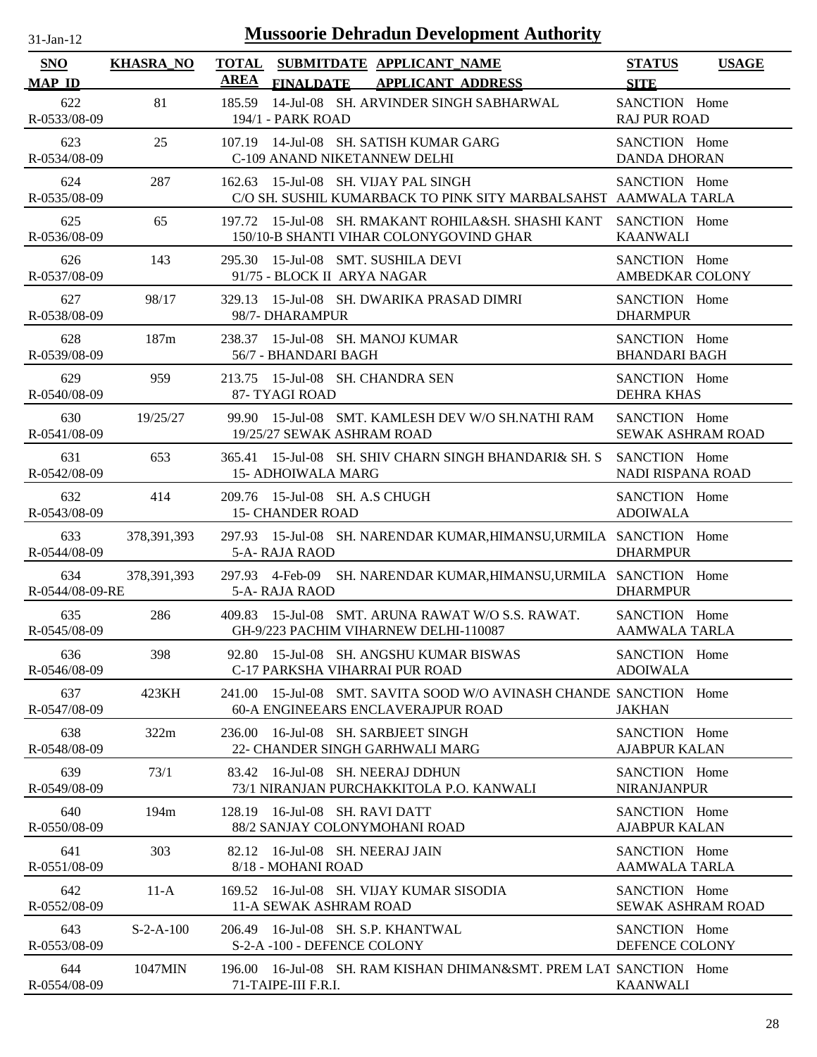| <b>Mussoorie Dehradun Development Authority</b><br>$31$ -Jan-12 |                  |                                                                                                             |                                              |  |  |  |
|-----------------------------------------------------------------|------------------|-------------------------------------------------------------------------------------------------------------|----------------------------------------------|--|--|--|
| <b>SNO</b><br><b>MAP ID</b>                                     | <b>KHASRA_NO</b> | <b>TOTAL</b><br>SUBMITDATE APPLICANT_NAME<br><b>AREA</b><br><b>FINALDATE</b><br><b>APPLICANT ADDRESS</b>    | <b>STATUS</b><br><b>USAGE</b><br><b>SITE</b> |  |  |  |
| 622<br>R-0533/08-09                                             | 81               | 185.59<br>14-Jul-08 SH. ARVINDER SINGH SABHARWAL<br>194/1 - PARK ROAD                                       | SANCTION Home<br><b>RAJ PUR ROAD</b>         |  |  |  |
| 623<br>R-0534/08-09                                             | 25               | 14-Jul-08 SH. SATISH KUMAR GARG<br>107.19<br>C-109 ANAND NIKETANNEW DELHI                                   | SANCTION Home<br><b>DANDA DHORAN</b>         |  |  |  |
| 624<br>R-0535/08-09                                             | 287              | 162.63 15-Jul-08 SH. VIJAY PAL SINGH<br>C/O SH. SUSHIL KUMARBACK TO PINK SITY MARBALSAHST AAMWALA TARLA     | SANCTION Home                                |  |  |  |
| 625<br>R-0536/08-09                                             | 65               | 197.72 15-Jul-08 SH. RMAKANT ROHILA&SH. SHASHI KANT<br>150/10-B SHANTI VIHAR COLONYGOVIND GHAR              | SANCTION Home<br><b>KAANWALI</b>             |  |  |  |
| 626<br>R-0537/08-09                                             | 143              | 15-Jul-08 SMT. SUSHILA DEVI<br>295.30<br>91/75 - BLOCK II ARYA NAGAR                                        | SANCTION Home<br>AMBEDKAR COLONY             |  |  |  |
| 627<br>R-0538/08-09                                             | 98/17            | 15-Jul-08 SH. DWARIKA PRASAD DIMRI<br>329.13<br>98/7- DHARAMPUR                                             | SANCTION Home<br><b>DHARMPUR</b>             |  |  |  |
| 628<br>R-0539/08-09                                             | 187m             | 15-Jul-08 SH. MANOJ KUMAR<br>238.37<br>56/7 - BHANDARI BAGH                                                 | SANCTION Home<br><b>BHANDARI BAGH</b>        |  |  |  |
| 629<br>R-0540/08-09                                             | 959              | 15-Jul-08 SH. CHANDRA SEN<br>213.75<br>87- TYAGI ROAD                                                       | SANCTION Home<br><b>DEHRA KHAS</b>           |  |  |  |
| 630<br>R-0541/08-09                                             | 19/25/27         | 99.90<br>15-Jul-08 SMT. KAMLESH DEV W/O SH.NATHI RAM<br>19/25/27 SEWAK ASHRAM ROAD                          | SANCTION Home<br><b>SEWAK ASHRAM ROAD</b>    |  |  |  |
| 631<br>R-0542/08-09                                             | 653              | 15-Jul-08 SH. SHIV CHARN SINGH BHANDARI& SH. S<br>365.41<br><b>15- ADHOIWALA MARG</b>                       | SANCTION Home<br>NADI RISPANA ROAD           |  |  |  |
| 632<br>R-0543/08-09                                             | 414              | 209.76 15-Jul-08 SH. A.S CHUGH<br><b>15- CHANDER ROAD</b>                                                   | SANCTION Home<br><b>ADOIWALA</b>             |  |  |  |
| 633<br>R-0544/08-09                                             | 378, 391, 393    | 297.93 15-Jul-08 SH. NARENDAR KUMAR, HIMANSU, URMILA SANCTION Home<br>5-A- RAJA RAOD                        | <b>DHARMPUR</b>                              |  |  |  |
| 634<br>R-0544/08-09-RE                                          | 378, 391, 393    | 297.93 4-Feb-09 SH. NARENDAR KUMAR, HIMANSU, URMILA SANCTION Home<br>5-A- RAJA RAOD                         | <b>DHARMPUR</b>                              |  |  |  |
| 635<br>R-0545/08-09                                             | 286              | 409.83 15-Jul-08 SMT. ARUNA RAWAT W/O S.S. RAWAT.<br>GH-9/223 PACHIM VIHARNEW DELHI-110087                  | SANCTION Home<br><b>AAMWALA TARLA</b>        |  |  |  |
| 636<br>R-0546/08-09                                             | 398              | 92.80 15-Jul-08 SH, ANGSHU KUMAR BISWAS<br>C-17 PARKSHA VIHARRAI PUR ROAD                                   | SANCTION Home<br><b>ADOIWALA</b>             |  |  |  |
| 637<br>R-0547/08-09                                             | 423KH            | 15-Jul-08 SMT, SAVITA SOOD W/O AVINASH CHANDE SANCTION Home<br>241.00<br>60-A ENGINEEARS ENCLAVERAJPUR ROAD | <b>JAKHAN</b>                                |  |  |  |
| 638<br>R-0548/08-09                                             | 322m             | 16-Jul-08 SH. SARBJEET SINGH<br>236.00<br>22- CHANDER SINGH GARHWALI MARG                                   | SANCTION Home<br><b>AJABPUR KALAN</b>        |  |  |  |
| 639<br>R-0549/08-09                                             | 73/1             | 16-Jul-08 SH. NEERAJ DDHUN<br>83.42<br>73/1 NIRANJAN PURCHAKKITOLA P.O. KANWALI                             | SANCTION Home<br><b>NIRANJANPUR</b>          |  |  |  |
| 640<br>R-0550/08-09                                             | 194m             | 16-Jul-08 SH. RAVI DATT<br>128.19<br>88/2 SANJAY COLONYMOHANI ROAD                                          | SANCTION Home<br><b>AJABPUR KALAN</b>        |  |  |  |
| 641<br>R-0551/08-09                                             | 303              | 16-Jul-08 SH. NEERAJ JAIN<br>82.12<br>8/18 - MOHANI ROAD                                                    | SANCTION Home<br><b>AAMWALA TARLA</b>        |  |  |  |
| 642<br>R-0552/08-09                                             | $11-A$           | 169.52 16-Jul-08 SH. VIJAY KUMAR SISODIA<br>11-A SEWAK ASHRAM ROAD                                          | SANCTION Home<br><b>SEWAK ASHRAM ROAD</b>    |  |  |  |
| 643<br>R-0553/08-09                                             | $S-2-A-100$      | 206.49 16-Jul-08 SH, S.P. KHANTWAL<br>S-2-A-100 - DEFENCE COLONY                                            | SANCTION Home<br>DEFENCE COLONY              |  |  |  |
| 644<br>R-0554/08-09                                             | 1047MIN          | 196.00 16-Jul-08 SH. RAM KISHAN DHIMAN&SMT. PREM LAT SANCTION Home<br>71-TAIPE-III F.R.I.                   | <b>KAANWALI</b>                              |  |  |  |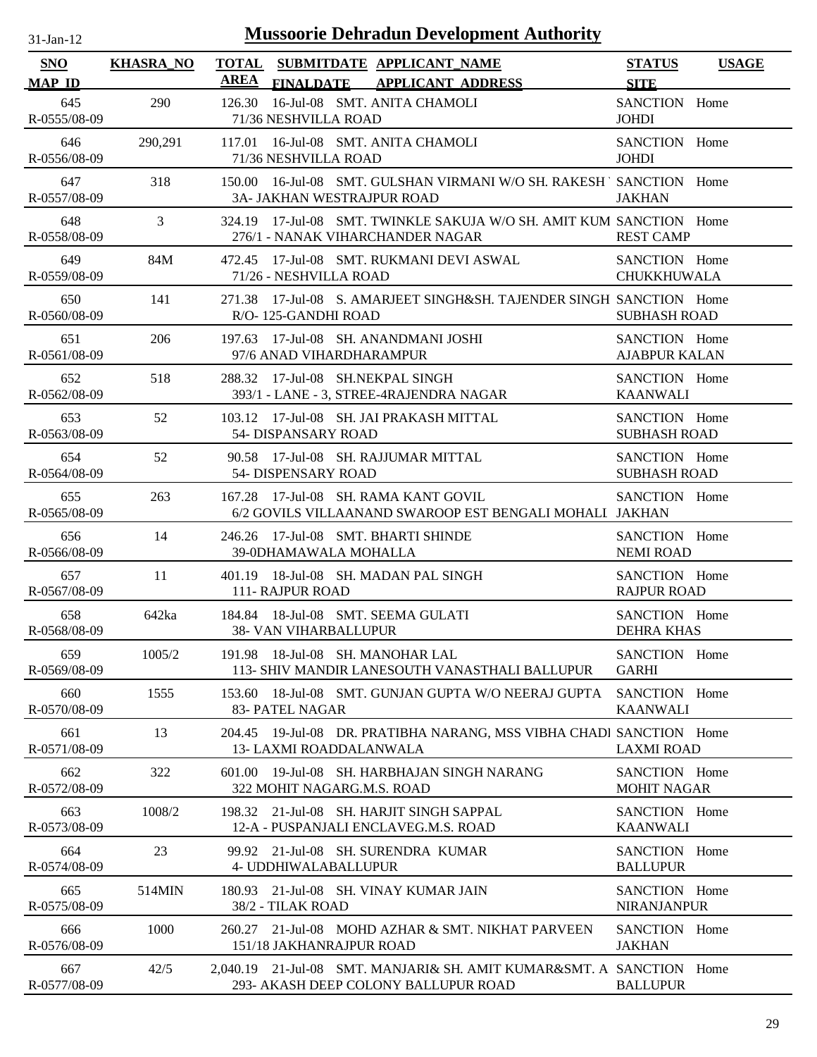| -Jan- |  |
|-------|--|
|       |  |

| <b>SNO</b>          | <b>KHASRA_NO</b> | SUBMITDATE APPLICANT_NAME<br><b>TOTAL</b>                                                                    | <b>STATUS</b>                         | <b>USAGE</b> |
|---------------------|------------------|--------------------------------------------------------------------------------------------------------------|---------------------------------------|--------------|
| <b>MAP ID</b>       |                  | AREA<br>FINALDATE APPLICANT ADDRESS                                                                          | <b>SITE</b>                           |              |
| 645<br>R-0555/08-09 | 290              | 16-Jul-08 SMT. ANITA CHAMOLI<br>126.30<br>71/36 NESHVILLA ROAD                                               | SANCTION Home<br><b>JOHDI</b>         |              |
| 646<br>R-0556/08-09 | 290,291          | 117.01 16-Jul-08 SMT. ANITA CHAMOLI<br>71/36 NESHVILLA ROAD                                                  | SANCTION Home<br><b>JOHDI</b>         |              |
| 647<br>R-0557/08-09 | 318              | 150.00 16-Jul-08 SMT. GULSHAN VIRMANI W/O SH. RAKESH 'SANCTION Home<br><b>3A- JAKHAN WESTRAJPUR ROAD</b>     | <b>JAKHAN</b>                         |              |
| 648<br>R-0558/08-09 | 3                | 324.19 17-Jul-08 SMT, TWINKLE SAKUJA W/O SH, AMIT KUM SANCTION Home<br>276/1 - NANAK VIHARCHANDER NAGAR      | <b>REST CAMP</b>                      |              |
| 649<br>R-0559/08-09 | 84M              | 472.45 17-Jul-08 SMT. RUKMANI DEVI ASWAL<br>71/26 - NESHVILLA ROAD                                           | SANCTION Home<br><b>CHUKKHUWALA</b>   |              |
| 650<br>R-0560/08-09 | 141              | 17-Jul-08 S. AMARJEET SINGH&SH. TAJENDER SINGH SANCTION Home<br>271.38<br>R/O-125-GANDHI ROAD                | <b>SUBHASH ROAD</b>                   |              |
| 651<br>R-0561/08-09 | 206              | 197.63 17-Jul-08 SH, ANANDMANI JOSHI<br>97/6 ANAD VIHARDHARAMPUR                                             | SANCTION Home<br><b>AJABPUR KALAN</b> |              |
| 652<br>R-0562/08-09 | 518              | 288.32 17-Jul-08 SH.NEKPAL SINGH<br>393/1 - LANE - 3, STREE-4RAJENDRA NAGAR                                  | SANCTION Home<br><b>KAANWALI</b>      |              |
| 653<br>R-0563/08-09 | 52               | 103.12 17-Jul-08 SH. JAI PRAKASH MITTAL<br>54- DISPANSARY ROAD                                               | SANCTION Home<br><b>SUBHASH ROAD</b>  |              |
| 654<br>R-0564/08-09 | 52               | 90.58 17-Jul-08 SH. RAJJUMAR MITTAL<br>54- DISPENSARY ROAD                                                   | SANCTION Home<br><b>SUBHASH ROAD</b>  |              |
| 655<br>R-0565/08-09 | 263              | 167.28 17-Jul-08 SH. RAMA KANT GOVIL<br>6/2 GOVILS VILLAANAND SWAROOP EST BENGALI MOHALI JAKHAN              | SANCTION Home                         |              |
| 656<br>R-0566/08-09 | 14               | 246.26 17-Jul-08 SMT. BHARTI SHINDE<br>39-0DHAMAWALA MOHALLA                                                 | SANCTION Home<br><b>NEMI ROAD</b>     |              |
| 657<br>R-0567/08-09 | 11               | 401.19 18-Jul-08 SH, MADAN PAL SINGH<br>111- RAJPUR ROAD                                                     | SANCTION Home<br><b>RAJPUR ROAD</b>   |              |
| 658<br>R-0568/08-09 | 642ka            | 184.84 18-Jul-08 SMT. SEEMA GULATI<br><b>38- VAN VIHARBALLUPUR</b>                                           | SANCTION Home<br><b>DEHRA KHAS</b>    |              |
| 659<br>R-0569/08-09 | 1005/2           | 191.98 18-Jul-08 SH. MANOHAR LAL<br>113- SHIV MANDIR LANESOUTH VANASTHALI BALLUPUR                           | SANCTION Home<br><b>GARHI</b>         |              |
| 660<br>R-0570/08-09 | 1555             | 18-Jul-08 SMT. GUNJAN GUPTA W/O NEERAJ GUPTA<br>153.60<br>83- PATEL NAGAR                                    | SANCTION Home<br><b>KAANWALI</b>      |              |
| 661<br>R-0571/08-09 | 13               | 204.45 19-Jul-08 DR. PRATIBHA NARANG, MSS VIBHA CHADI SANCTION Home<br><b>13- LAXMI ROADDALANWALA</b>        | <b>LAXMI ROAD</b>                     |              |
| 662<br>R-0572/08-09 | 322              | 19-Jul-08 SH. HARBHAJAN SINGH NARANG<br>601.00<br>322 MOHIT NAGARG.M.S. ROAD                                 | SANCTION Home<br><b>MOHIT NAGAR</b>   |              |
| 663<br>R-0573/08-09 | 1008/2           | 21-Jul-08 SH. HARJIT SINGH SAPPAL<br>198.32<br>12-A - PUSPANJALI ENCLAVEG.M.S. ROAD                          | SANCTION Home<br><b>KAANWALI</b>      |              |
| 664<br>R-0574/08-09 | 23               | 21-Jul-08 SH. SURENDRA KUMAR<br>99.92<br>4- UDDHIWALABALLUPUR                                                | SANCTION Home<br><b>BALLUPUR</b>      |              |
| 665<br>R-0575/08-09 | 514MIN           | 180.93 21-Jul-08 SH. VINAY KUMAR JAIN<br>38/2 - TILAK ROAD                                                   | SANCTION Home<br><b>NIRANJANPUR</b>   |              |
| 666<br>R-0576/08-09 | 1000             | 21-Jul-08 MOHD AZHAR & SMT. NIKHAT PARVEEN<br>260.27<br>151/18 JAKHANRAJPUR ROAD                             | SANCTION Home<br><b>JAKHAN</b>        |              |
| 667<br>R-0577/08-09 | 42/5             | 2,040.19 21-Jul-08 SMT. MANJARI& SH. AMIT KUMAR&SMT. A SANCTION Home<br>293- AKASH DEEP COLONY BALLUPUR ROAD | <b>BALLUPUR</b>                       |              |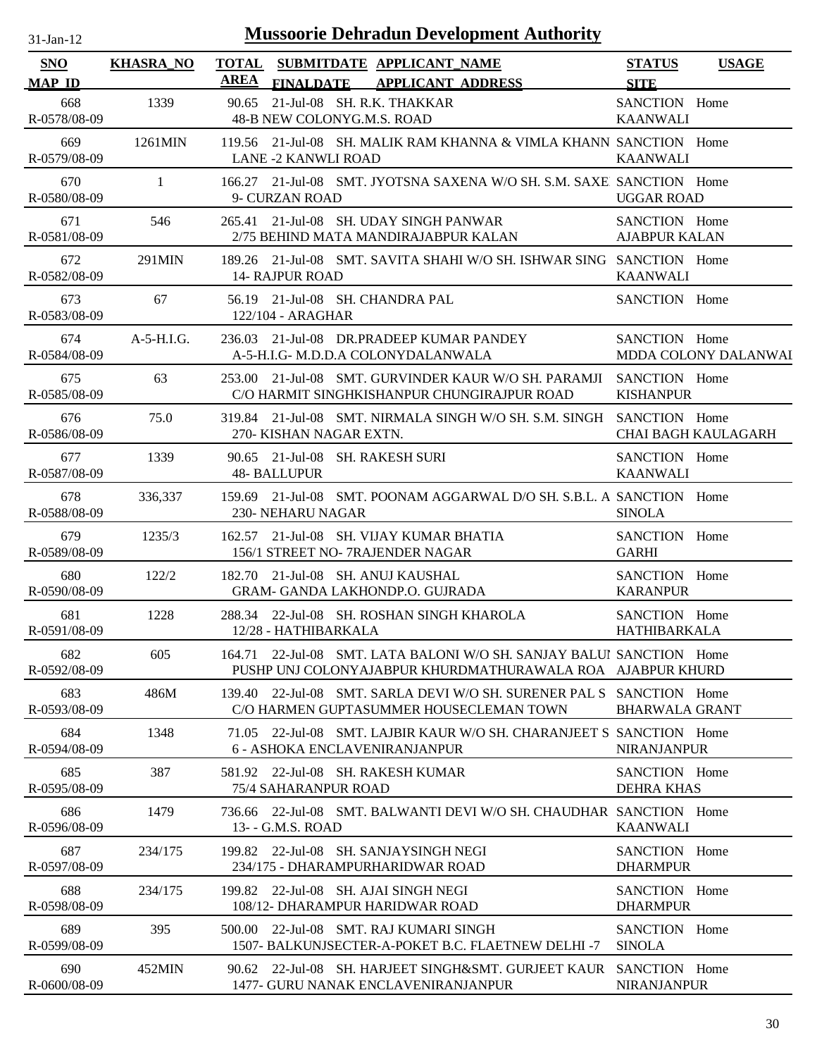| -Jan- |  |
|-------|--|
|       |  |

| <b>SNO</b><br><b>MAP ID</b> | <b>KHASRA_NO</b> | <b>TOTAL</b><br>SUBMITDATE APPLICANT_NAME<br><b>AREA</b><br><b>APPLICANT ADDRESS</b><br><b>FINALDATE</b>                           | <b>STATUS</b><br><b>USAGE</b><br><b>SITE</b> |
|-----------------------------|------------------|------------------------------------------------------------------------------------------------------------------------------------|----------------------------------------------|
| 668                         | 1339             | 21-Jul-08 SH. R.K. THAKKAR<br>90.65                                                                                                | SANCTION Home                                |
| R-0578/08-09                |                  | 48-B NEW COLONYG.M.S. ROAD                                                                                                         | <b>KAANWALI</b>                              |
| 669<br>R-0579/08-09         | 1261MIN          | 119.56 21-Jul-08 SH, MALIK RAM KHANNA & VIMLA KHANN SANCTION Home<br><b>LANE -2 KANWLI ROAD</b>                                    | <b>KAANWALI</b>                              |
| 670<br>R-0580/08-09         | $\mathbf{1}$     | 166.27 21-Jul-08 SMT, JYOTSNA SAXENA W/O SH, S.M. SAXE, SANCTION Home<br>9- CURZAN ROAD                                            | <b>UGGAR ROAD</b>                            |
| 671<br>R-0581/08-09         | 546              | 265.41 21-Jul-08 SH. UDAY SINGH PANWAR<br>2/75 BEHIND MATA MANDIRAJABPUR KALAN                                                     | SANCTION Home<br><b>AJABPUR KALAN</b>        |
| 672<br>R-0582/08-09         | 291MIN           | 189.26 21-Jul-08 SMT. SAVITA SHAHI W/O SH. ISHWAR SING SANCTION Home<br><b>14- RAJPUR ROAD</b>                                     | <b>KAANWALI</b>                              |
| 673<br>R-0583/08-09         | 67               | 56.19 21-Jul-08 SH. CHANDRA PAL<br>122/104 - ARAGHAR                                                                               | SANCTION Home                                |
| 674<br>R-0584/08-09         | $A-5-H.I.G.$     | 236.03 21-Jul-08 DR.PRADEEP KUMAR PANDEY<br>A-5-H.I.G- M.D.D.A COLONYDALANWALA                                                     | SANCTION Home<br>MDDA COLONY DALANWAI        |
| 675<br>R-0585/08-09         | 63               | 253.00 21-Jul-08 SMT. GURVINDER KAUR W/O SH. PARAMJI<br>C/O HARMIT SINGHKISHANPUR CHUNGIRAJPUR ROAD                                | SANCTION Home<br><b>KISHANPUR</b>            |
| 676<br>R-0586/08-09         | 75.0             | 319.84 21-Jul-08 SMT. NIRMALA SINGH W/O SH. S.M. SINGH<br>270- KISHAN NAGAR EXTN.                                                  | SANCTION Home<br><b>CHAI BAGH KAULAGARH</b>  |
| 677<br>R-0587/08-09         | 1339             | 90.65 21-Jul-08 SH. RAKESH SURI<br><b>48- BALLUPUR</b>                                                                             | SANCTION Home<br><b>KAANWALI</b>             |
| 678<br>R-0588/08-09         | 336,337          | 159.69 21-Jul-08 SMT. POONAM AGGARWAL D/O SH. S.B.L. A SANCTION Home<br>230- NEHARU NAGAR                                          | <b>SINOLA</b>                                |
| 679<br>R-0589/08-09         | 1235/3           | 21-Jul-08 SH. VIJAY KUMAR BHATIA<br>162.57<br>156/1 STREET NO-7RAJENDER NAGAR                                                      | SANCTION Home<br><b>GARHI</b>                |
| 680<br>R-0590/08-09         | 122/2            | 182.70 21-Jul-08 SH. ANUJ KAUSHAL<br><b>GRAM- GANDA LAKHONDP.O. GUJRADA</b>                                                        | SANCTION Home<br><b>KARANPUR</b>             |
| 681<br>R-0591/08-09         | 1228             | 288.34 22-Jul-08 SH. ROSHAN SINGH KHAROLA<br>12/28 - HATHIBARKALA                                                                  | SANCTION Home<br>HATHIBARKALA                |
| 682<br>R-0592/08-09         | 605              | 164.71 22-Jul-08 SMT, LATA BALONI W/O SH, SANJAY BALUI SANCTION Home<br>PUSHP UNJ COLONYAJABPUR KHURDMATHURAWALA ROA AJABPUR KHURD |                                              |
| 683<br>R-0593/08-09         | 486M             | 139.40 22-Jul-08 SMT, SARLA DEVI W/O SH, SURENER PAL S SANCTION Home<br>C/O HARMEN GUPTASUMMER HOUSECLEMAN TOWN                    | <b>BHARWALA GRANT</b>                        |
| 684<br>R-0594/08-09         | 1348             | 22-Jul-08 SMT, LAJBIR KAUR W/O SH, CHARANJEET S SANCTION Home<br>71.05<br>6 - ASHOKA ENCLAVENIRANJANPUR                            | <b>NIRANJANPUR</b>                           |
| 685<br>R-0595/08-09         | 387              | 581.92 22-Jul-08 SH. RAKESH KUMAR<br>75/4 SAHARANPUR ROAD                                                                          | SANCTION Home<br><b>DEHRA KHAS</b>           |
| 686<br>R-0596/08-09         | 1479             | 736.66 22-Jul-08 SMT, BALWANTI DEVI W/O SH, CHAUDHAR SANCTION Home<br>13- - G.M.S. ROAD                                            | <b>KAANWALI</b>                              |
| 687<br>R-0597/08-09         | 234/175          | 199.82 22-Jul-08 SH. SANJAYSINGH NEGI<br>234/175 - DHARAMPURHARIDWAR ROAD                                                          | SANCTION Home<br><b>DHARMPUR</b>             |
| 688<br>R-0598/08-09         | 234/175          | 199.82 22-Jul-08 SH. AJAI SINGH NEGI<br>108/12- DHARAMPUR HARIDWAR ROAD                                                            | SANCTION Home<br><b>DHARMPUR</b>             |
| 689<br>R-0599/08-09         | 395              | 22-Jul-08 SMT. RAJ KUMARI SINGH<br>500.00<br>1507- BALKUNJSECTER-A-POKET B.C. FLAETNEW DELHI-7                                     | SANCTION Home<br><b>SINOLA</b>               |
| 690<br>R-0600/08-09         | 452MIN           | 90.62 22-Jul-08 SH. HARJEET SINGH&SMT. GURJEET KAUR SANCTION Home<br>1477- GURU NANAK ENCLAVENIRANJANPUR                           | <b>NIRANJANPUR</b>                           |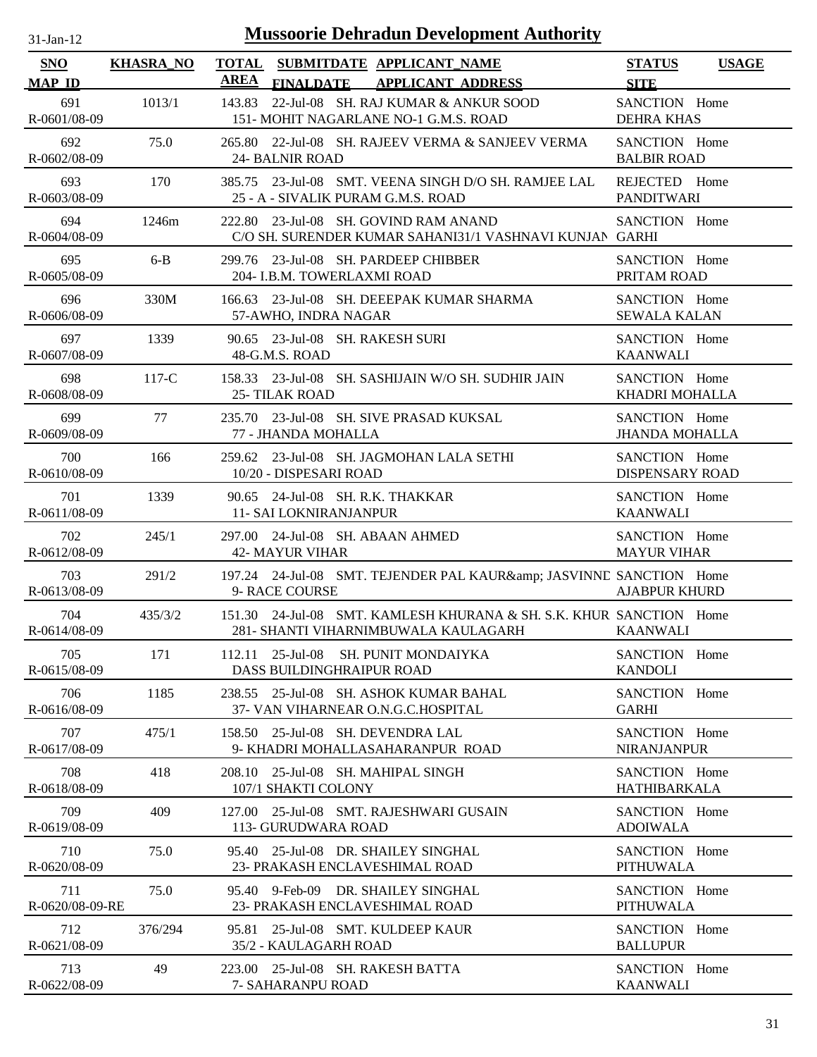| $31$ -Jan-12                |                  | <b>Mussoorie Dehradun Development Authority</b>                                                             |                                              |
|-----------------------------|------------------|-------------------------------------------------------------------------------------------------------------|----------------------------------------------|
| <b>SNO</b><br><b>MAP ID</b> | <b>KHASRA_NO</b> | <b>TOTAL</b><br>SUBMITDATE APPLICANT_NAME<br><b>AREA</b><br>FINALDATE APPLICANT ADDRESS                     | <b>STATUS</b><br><b>USAGE</b><br><b>SITE</b> |
| 691<br>R-0601/08-09         | 1013/1           | 143.83<br>22-Jul-08 SH. RAJ KUMAR & ANKUR SOOD<br>151- MOHIT NAGARLANE NO-1 G.M.S. ROAD                     | SANCTION Home<br><b>DEHRA KHAS</b>           |
| 692<br>R-0602/08-09         | 75.0             | 265.80 22-Jul-08 SH. RAJEEV VERMA & SANJEEV VERMA<br>24- BALNIR ROAD                                        | SANCTION Home<br><b>BALBIR ROAD</b>          |
| 693<br>R-0603/08-09         | 170              | 385.75 23-Jul-08 SMT. VEENA SINGH D/O SH. RAMJEE LAL<br>25 - A - SIVALIK PURAM G.M.S. ROAD                  | REJECTED Home<br><b>PANDITWARI</b>           |
| 694<br>R-0604/08-09         | 1246m            | 222.80 23-Jul-08 SH, GOVIND RAM ANAND<br>C/O SH. SURENDER KUMAR SAHANI31/1 VASHNAVI KUNJAN GARHI            | SANCTION Home                                |
| 695<br>R-0605/08-09         | $6 - B$          | 299.76 23-Jul-08 SH. PARDEEP CHIBBER<br>204- I.B.M. TOWERLAXMI ROAD                                         | SANCTION Home<br>PRITAM ROAD                 |
| 696<br>R-0606/08-09         | 330M             | 23-Jul-08 SH. DEEEPAK KUMAR SHARMA<br>166.63<br>57-AWHO, INDRA NAGAR                                        | SANCTION Home<br><b>SEWALA KALAN</b>         |
| 697<br>R-0607/08-09         | 1339             | 23-Jul-08 SH. RAKESH SURI<br>90.65<br>48-G.M.S. ROAD                                                        | SANCTION Home<br><b>KAANWALI</b>             |
| 698<br>R-0608/08-09         | $117-C$          | 158.33 23-Jul-08 SH, SASHIJAIN W/O SH, SUDHIR JAIN<br>25-TILAK ROAD                                         | SANCTION Home<br>KHADRI MOHALLA              |
| 699<br>R-0609/08-09         | 77               | 235.70 23-Jul-08 SH. SIVE PRASAD KUKSAL<br>77 - JHANDA MOHALLA                                              | SANCTION Home<br><b>JHANDA MOHALLA</b>       |
| 700<br>R-0610/08-09         | 166              | 259.62 23-Jul-08 SH. JAGMOHAN LALA SETHI<br>10/20 - DISPESARI ROAD                                          | SANCTION Home<br><b>DISPENSARY ROAD</b>      |
| 701<br>R-0611/08-09         | 1339             | 90.65 24-Jul-08 SH. R.K. THAKKAR<br><b>11- SAI LOKNIRANJANPUR</b>                                           | SANCTION Home<br><b>KAANWALI</b>             |
| 702<br>R-0612/08-09         | 245/1            | 297.00 24-Jul-08 SH, ABAAN AHMED<br><b>42- MAYUR VIHAR</b>                                                  | SANCTION Home<br><b>MAYUR VIHAR</b>          |
| 703<br>R-0613/08-09         | 291/2            | 197.24 24-Jul-08 SMT. TEJENDER PAL KAUR& JASVINND SANCTION Home<br>9- RACE COURSE                           | <b>AJABPUR KHURD</b>                         |
| 704<br>R-0614/08-09         | 435/3/2          | 151.30 24-Jul-08 SMT. KAMLESH KHURANA & SH. S.K. KHUR SANCTION Home<br>281- SHANTI VIHARNIMBUWALA KAULAGARH | <b>KAANWALI</b>                              |
| 705<br>R-0615/08-09         | 171              | 112.11 25-Jul-08<br>SH. PUNIT MONDAIYKA<br>DASS BUILDINGHRAIPUR ROAD                                        | SANCTION Home<br><b>KANDOLI</b>              |
| 706<br>R-0616/08-09         | 1185             | 238.55 25-Jul-08 SH, ASHOK KUMAR BAHAL<br>37- VAN VIHARNEAR O.N.G.C.HOSPITAL                                | SANCTION Home<br><b>GARHI</b>                |
| 707<br>R-0617/08-09         | 475/1            | 158.50 25-Jul-08 SH. DEVENDRA LAL<br>9- KHADRI MOHALLASAHARANPUR ROAD                                       | SANCTION Home<br><b>NIRANJANPUR</b>          |
| 708<br>R-0618/08-09         | 418              | 208.10<br>25-Jul-08 SH. MAHIPAL SINGH<br>107/1 SHAKTI COLONY                                                | SANCTION Home<br><b>HATHIBARKALA</b>         |
| 709<br>R-0619/08-09         | 409              | 25-Jul-08 SMT. RAJESHWARI GUSAIN<br>127.00<br>113- GURUDWARA ROAD                                           | SANCTION Home<br><b>ADOIWALA</b>             |
| 710<br>R-0620/08-09         | 75.0             | 25-Jul-08 DR. SHAILEY SINGHAL<br>95.40<br>23- PRAKASH ENCLAVESHIMAL ROAD                                    | SANCTION Home<br><b>PITHUWALA</b>            |
| 711<br>R-0620/08-09-RE      | 75.0             | 9-Feb-09 DR. SHAILEY SINGHAL<br>95.40<br>23- PRAKASH ENCLAVESHIMAL ROAD                                     | SANCTION Home<br><b>PITHUWALA</b>            |
| 712<br>R-0621/08-09         | 376/294          | 95.81 25-Jul-08 SMT. KULDEEP KAUR<br>35/2 - KAULAGARH ROAD                                                  | SANCTION Home<br><b>BALLUPUR</b>             |
| 713<br>R-0622/08-09         | 49               | 223.00 25-Jul-08 SH. RAKESH BATTA<br>7- SAHARANPU ROAD                                                      | SANCTION Home<br><b>KAANWALI</b>             |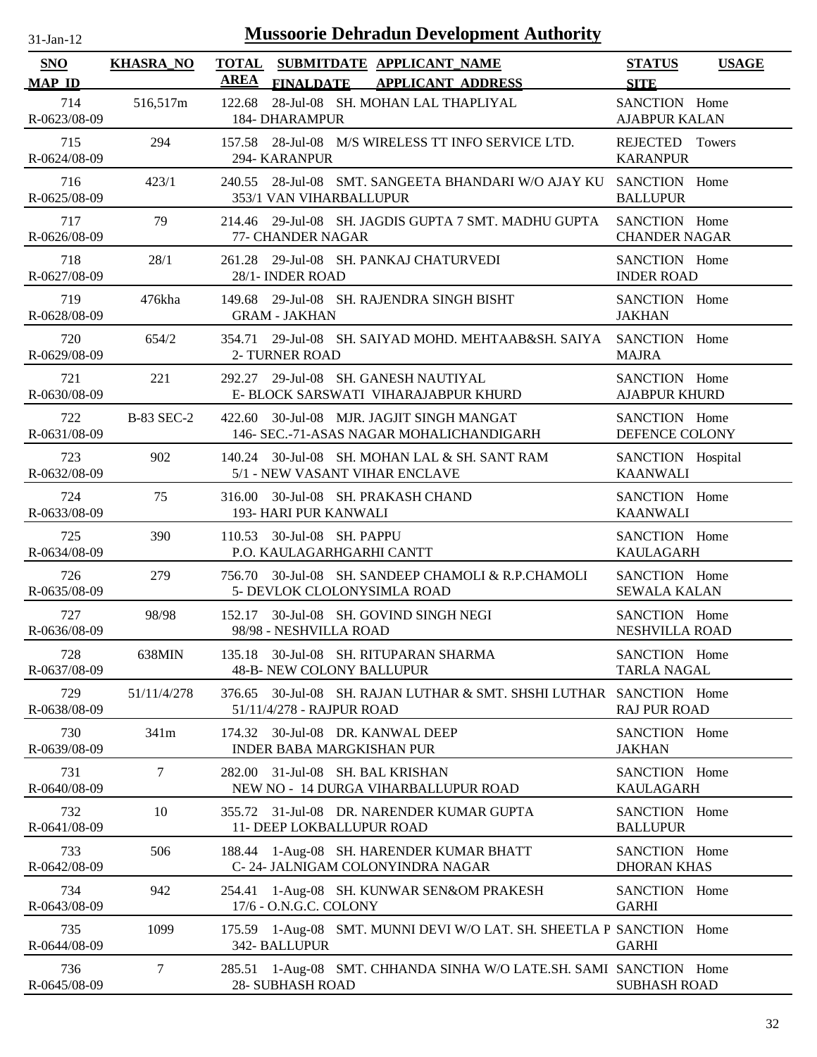| 31-Jan-12                   |                   | <b>Mussoorie Dehradun Development Authority</b>                                                     |                                              |
|-----------------------------|-------------------|-----------------------------------------------------------------------------------------------------|----------------------------------------------|
| <b>SNO</b><br><b>MAP ID</b> | <b>KHASRA_NO</b>  | <b>TOTAL</b><br>SUBMITDATE APPLICANT_NAME<br><b>AREA</b><br>FINALDATE APPLICANT ADDRESS             | <b>STATUS</b><br><b>USAGE</b><br><b>SITE</b> |
| 714<br>R-0623/08-09         | 516,517m          | 28-Jul-08 SH. MOHAN LAL THAPLIYAL<br>122.68<br><b>184- DHARAMPUR</b>                                | SANCTION Home<br><b>AJABPUR KALAN</b>        |
| 715<br>R-0624/08-09         | 294               | 157.58 28-Jul-08 M/S WIRELESS TT INFO SERVICE LTD.<br>294- KARANPUR                                 | REJECTED Towers<br><b>KARANPUR</b>           |
| 716<br>R-0625/08-09         | 423/1             | 240.55 28-Jul-08 SMT. SANGEETA BHANDARI W/O AJAY KU<br>353/1 VAN VIHARBALLUPUR                      | SANCTION Home<br><b>BALLUPUR</b>             |
| 717<br>R-0626/08-09         | 79                | 214.46 29-Jul-08 SH. JAGDIS GUPTA 7 SMT. MADHU GUPTA<br>77- CHANDER NAGAR                           | SANCTION Home<br><b>CHANDER NAGAR</b>        |
| 718<br>R-0627/08-09         | 28/1              | 261.28 29-Jul-08 SH. PANKAJ CHATURVEDI<br>28/1- INDER ROAD                                          | SANCTION Home<br><b>INDER ROAD</b>           |
| 719<br>R-0628/08-09         | 476kha            | 29-Jul-08 SH. RAJENDRA SINGH BISHT<br>149.68<br><b>GRAM - JAKHAN</b>                                | SANCTION Home<br><b>JAKHAN</b>               |
| 720<br>R-0629/08-09         | 654/2             | 354.71<br>29-Jul-08 SH, SAIYAD MOHD, MEHTAAB&SH, SAIYA<br>2- TURNER ROAD                            | SANCTION Home<br><b>MAJRA</b>                |
| 721<br>R-0630/08-09         | 221               | 29-Jul-08 SH. GANESH NAUTIYAL<br>292.27<br>E- BLOCK SARSWATI VIHARAJABPUR KHURD                     | SANCTION Home<br><b>AJABPUR KHURD</b>        |
| 722<br>R-0631/08-09         | <b>B-83 SEC-2</b> | 30-Jul-08 MJR. JAGJIT SINGH MANGAT<br>422.60<br>146- SEC.-71-ASAS NAGAR MOHALICHANDIGARH            | SANCTION Home<br>DEFENCE COLONY              |
| 723<br>R-0632/08-09         | 902               | 140.24 30-Jul-08 SH. MOHAN LAL & SH. SANT RAM<br>5/1 - NEW VASANT VIHAR ENCLAVE                     | SANCTION Hospital<br><b>KAANWALI</b>         |
| 724<br>R-0633/08-09         | 75                | 30-Jul-08 SH. PRAKASH CHAND<br>316.00<br>193- HARI PUR KANWALI                                      | SANCTION Home<br><b>KAANWALI</b>             |
| 725<br>R-0634/08-09         | 390               | 110.53 30-Jul-08 SH. PAPPU<br>P.O. KAULAGARHGARHI CANTT                                             | SANCTION Home<br><b>KAULAGARH</b>            |
| 726<br>R-0635/08-09         | 279               | 30-Jul-08 SH. SANDEEP CHAMOLI & R.P.CHAMOLI<br>756.70<br>5- DEVLOK CLOLONYSIMLA ROAD                | SANCTION Home<br><b>SEWALA KALAN</b>         |
| 727<br>R-0636/08-09         | 98/98             | 152.17 30-Jul-08 SH. GOVIND SINGH NEGI<br>98/98 - NESHVILLA ROAD                                    | SANCTION Home<br>NESHVILLA ROAD              |
| 728<br>R-0637/08-09         | 638MIN            | 135.18 30-Jul-08 SH. RITUPARAN SHARMA<br>48-B- NEW COLONY BALLUPUR                                  | SANCTION Home<br><b>TARLA NAGAL</b>          |
| 729<br>R-0638/08-09         | 51/11/4/278       | 30-Jul-08 SH. RAJAN LUTHAR & SMT. SHSHI LUTHAR SANCTION Home<br>376.65<br>51/11/4/278 - RAJPUR ROAD | <b>RAJ PUR ROAD</b>                          |
| 730<br>R-0639/08-09         | 341m              | 174.32 30-Jul-08 DR. KANWAL DEEP<br><b>INDER BABA MARGKISHAN PUR</b>                                | SANCTION Home<br><b>JAKHAN</b>               |
| 731<br>R-0640/08-09         | $\tau$            | 282.00<br>31-Jul-08 SH. BAL KRISHAN<br>NEW NO - 14 DURGA VIHARBALLUPUR ROAD                         | SANCTION Home<br><b>KAULAGARH</b>            |
| 732<br>R-0641/08-09         | 10                | 31-Jul-08 DR. NARENDER KUMAR GUPTA<br>355.72<br>11- DEEP LOKBALLUPUR ROAD                           | SANCTION Home<br><b>BALLUPUR</b>             |
| 733<br>R-0642/08-09         | 506               | 188.44 1-Aug-08 SH. HARENDER KUMAR BHATT<br>C-24- JALNIGAM COLONYINDRA NAGAR                        | SANCTION Home<br><b>DHORAN KHAS</b>          |
| 734<br>R-0643/08-09         | 942               | 1-Aug-08 SH. KUNWAR SEN&OM PRAKESH<br>254.41<br>17/6 - O.N.G.C. COLONY                              | SANCTION Home<br><b>GARHI</b>                |
| 735<br>R-0644/08-09         | 1099              | 175.59 1-Aug-08 SMT. MUNNI DEVI W/O LAT. SH. SHEETLA P SANCTION Home<br>342- BALLUPUR               | <b>GARHI</b>                                 |
| 736<br>R-0645/08-09         | 7                 | 1-Aug-08 SMT. CHHANDA SINHA W/O LATE.SH. SAMI SANCTION Home<br>285.51<br>28- SUBHASH ROAD           | <b>SUBHASH ROAD</b>                          |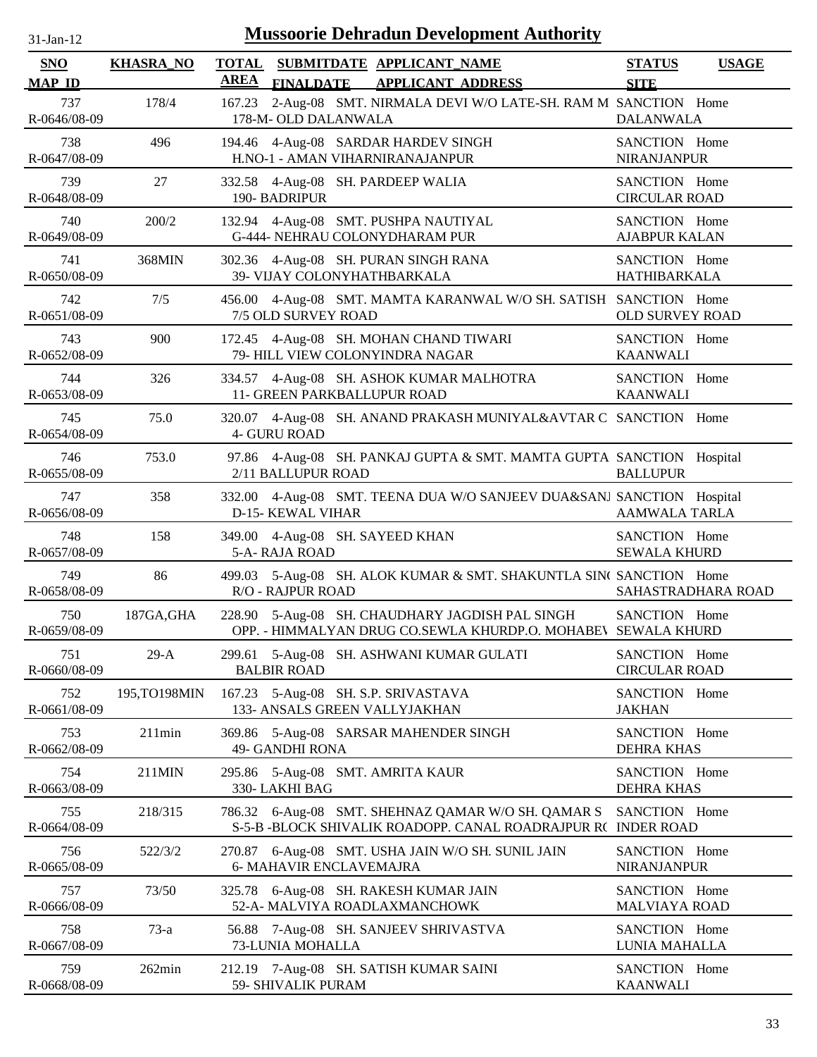| $31$ -Jan-12                | <b>Mussoorie Dehradun Development Authority</b> |             |                                                                                                                  |                                       |                    |  |  |
|-----------------------------|-------------------------------------------------|-------------|------------------------------------------------------------------------------------------------------------------|---------------------------------------|--------------------|--|--|
| <b>SNO</b><br><b>MAP ID</b> | <b>KHASRA_NO</b>                                | <b>AREA</b> | TOTAL SUBMITDATE APPLICANT NAME<br><b>FINALDATE</b><br><b>APPLICANT ADDRESS</b>                                  | <b>STATUS</b><br><b>SITE</b>          | <b>USAGE</b>       |  |  |
| 737<br>R-0646/08-09         | 178/4                                           | 167.23      | 2-Aug-08 SMT. NIRMALA DEVI W/O LATE-SH. RAM M SANCTION Home<br>178-M- OLD DALANWALA                              | <b>DALANWALA</b>                      |                    |  |  |
| 738<br>R-0647/08-09         | 496                                             | 194.46      | 4-Aug-08 SARDAR HARDEV SINGH<br>H.NO-1 - AMAN VIHARNIRANAJANPUR                                                  | SANCTION Home<br><b>NIRANJANPUR</b>   |                    |  |  |
| 739<br>R-0648/08-09         | 27                                              | 332.58      | 4-Aug-08 SH. PARDEEP WALIA<br>190-BADRIPUR                                                                       | SANCTION Home<br><b>CIRCULAR ROAD</b> |                    |  |  |
| 740<br>R-0649/08-09         | 200/2                                           |             | 132.94 4-Aug-08 SMT. PUSHPA NAUTIYAL<br>G-444- NEHRAU COLONYDHARAM PUR                                           | SANCTION Home<br><b>AJABPUR KALAN</b> |                    |  |  |
| 741<br>R-0650/08-09         | 368MIN                                          |             | 302.36 4-Aug-08 SH. PURAN SINGH RANA<br>39- VIJAY COLONYHATHBARKALA                                              | SANCTION Home<br><b>HATHIBARKALA</b>  |                    |  |  |
| 742<br>R-0651/08-09         | 7/5                                             |             | 456.00 4-Aug-08 SMT. MAMTA KARANWAL W/O SH. SATISH SANCTION Home<br>7/5 OLD SURVEY ROAD                          | <b>OLD SURVEY ROAD</b>                |                    |  |  |
| 743<br>R-0652/08-09         | 900                                             |             | 172.45 4-Aug-08 SH. MOHAN CHAND TIWARI<br>79- HILL VIEW COLONYINDRA NAGAR                                        | SANCTION Home<br><b>KAANWALI</b>      |                    |  |  |
| 744<br>R-0653/08-09         | 326                                             |             | 334.57 4-Aug-08 SH. ASHOK KUMAR MALHOTRA<br>11- GREEN PARKBALLUPUR ROAD                                          | SANCTION Home<br><b>KAANWALI</b>      |                    |  |  |
| 745<br>R-0654/08-09         | 75.0                                            |             | 320.07 4-Aug-08 SH. ANAND PRAKASH MUNIYAL&AVTAR C SANCTION Home<br><b>4- GURU ROAD</b>                           |                                       |                    |  |  |
| 746<br>R-0655/08-09         | 753.0                                           |             | 97.86 4-Aug-08 SH. PANKAJ GUPTA & SMT. MAMTA GUPTA SANCTION Hospital<br>2/11 BALLUPUR ROAD                       | <b>BALLUPUR</b>                       |                    |  |  |
| 747<br>R-0656/08-09         | 358                                             |             | 332.00 4-Aug-08 SMT. TEENA DUA W/O SANJEEV DUA&SANJ SANCTION Hospital<br>D-15- KEWAL VIHAR                       | <b>AAMWALA TARLA</b>                  |                    |  |  |
| 748<br>R-0657/08-09         | 158                                             | 349.00      | 4-Aug-08 SH. SAYEED KHAN<br>5-A-RAJA ROAD                                                                        | SANCTION Home<br><b>SEWALA KHURD</b>  |                    |  |  |
| 749<br>R-0658/08-09         | 86                                              | 499.03      | 5-Aug-08 SH. ALOK KUMAR & SMT. SHAKUNTLA SIN(SANCTION Home<br><b>R/O - RAJPUR ROAD</b>                           |                                       | SAHASTRADHARA ROAD |  |  |
| 750<br>R-0659/08-09         | 187GA, GHA                                      |             | 228.90 5-Aug-08 SH. CHAUDHARY JAGDISH PAL SINGH<br>OPP. - HIMMALYAN DRUG CO.SEWLA KHURDP.O. MOHABEV SEWALA KHURD | SANCTION Home                         |                    |  |  |
| 751<br>R-0660/08-09         | $29-A$                                          | 299.61      | 5-Aug-08 SH. ASHWANI KUMAR GULATI<br><b>BALBIR ROAD</b>                                                          | SANCTION Home<br><b>CIRCULAR ROAD</b> |                    |  |  |
| 752<br>R-0661/08-09         | 195,TO198MIN                                    |             | 167.23 5-Aug-08 SH. S.P. SRIVASTAVA<br>133- ANSALS GREEN VALLYJAKHAN                                             | SANCTION Home<br><b>JAKHAN</b>        |                    |  |  |
| 753<br>R-0662/08-09         | 211min                                          |             | 369.86 5-Aug-08 SARSAR MAHENDER SINGH<br><b>49- GANDHI RONA</b>                                                  | SANCTION Home<br><b>DEHRA KHAS</b>    |                    |  |  |
| 754<br>R-0663/08-09         | 211MIN                                          |             | 295.86 5-Aug-08 SMT. AMRITA KAUR<br>330-LAKHI BAG                                                                | SANCTION Home<br><b>DEHRA KHAS</b>    |                    |  |  |
| 755<br>R-0664/08-09         | 218/315                                         | 786.32      | 6-Aug-08 SMT. SHEHNAZ QAMAR W/O SH. QAMAR S<br>S-5-B -BLOCK SHIVALIK ROADOPP. CANAL ROADRAJPUR RO                | SANCTION Home<br><b>INDER ROAD</b>    |                    |  |  |
| 756<br>R-0665/08-09         | 522/3/2                                         |             | 270.87 6-Aug-08 SMT. USHA JAIN W/O SH. SUNIL JAIN<br>6- MAHAVIR ENCLAVEMAJRA                                     | SANCTION Home<br><b>NIRANJANPUR</b>   |                    |  |  |
| 757<br>R-0666/08-09         | 73/50                                           |             | 325.78 6-Aug-08 SH. RAKESH KUMAR JAIN<br>52-A- MALVIYA ROADLAXMANCHOWK                                           | SANCTION Home<br><b>MALVIAYA ROAD</b> |                    |  |  |
| 758<br>R-0667/08-09         | $73-a$                                          |             | 56.88 7-Aug-08 SH. SANJEEV SHRIVASTVA<br>73-LUNIA MOHALLA                                                        | SANCTION Home<br>LUNIA MAHALLA        |                    |  |  |
| 759<br>R-0668/08-09         | 262min                                          |             | 212.19 7-Aug-08 SH. SATISH KUMAR SAINI<br>59- SHIVALIK PURAM                                                     | SANCTION Home<br><b>KAANWALI</b>      |                    |  |  |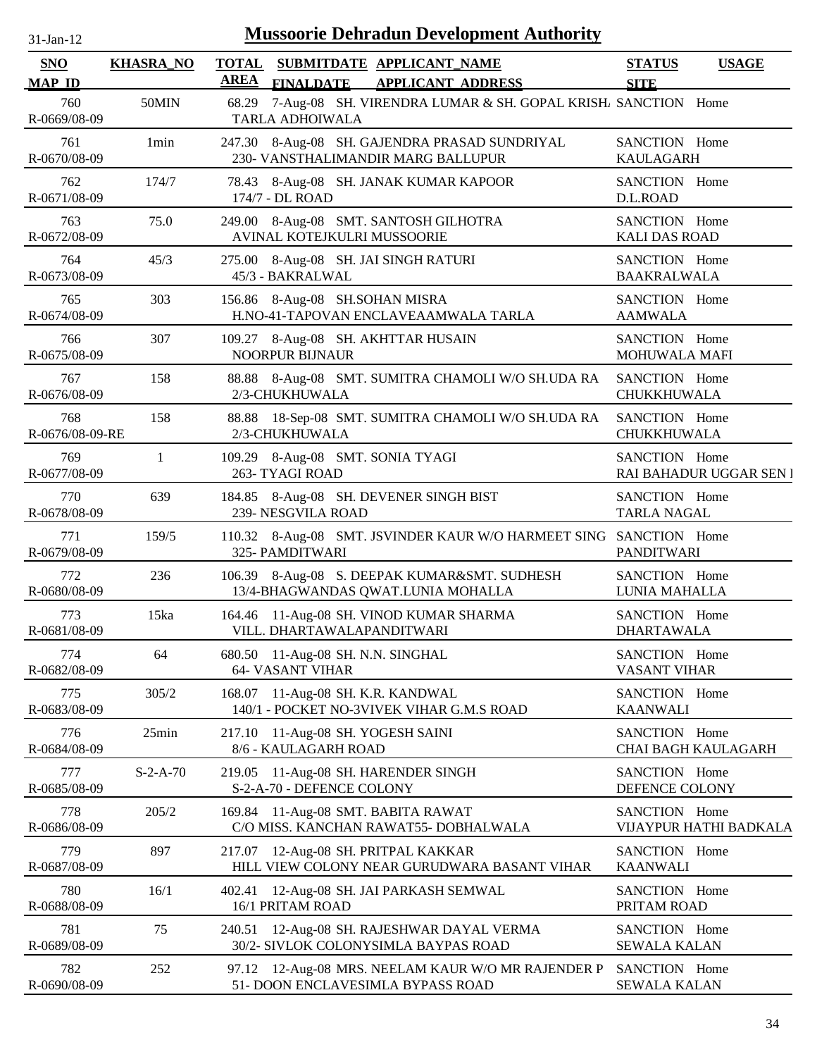| $31-Jan-12$                 |                  | <b>Mussoorie Dehradun Development Authority</b>                                              |                                       |                         |
|-----------------------------|------------------|----------------------------------------------------------------------------------------------|---------------------------------------|-------------------------|
| <b>SNO</b><br><b>MAP ID</b> | <b>KHASRA_NO</b> | TOTAL SUBMITDATE APPLICANT_NAME<br><b>AREA</b><br>FINALDATE APPLICANT ADDRESS                | <b>STATUS</b><br><b>SITE</b>          | <b>USAGE</b>            |
| 760<br>R-0669/08-09         | 50MIN            | 68.29 7-Aug-08 SH. VIRENDRA LUMAR & SH. GOPAL KRISH/ SANCTION Home<br><b>TARLA ADHOIWALA</b> |                                       |                         |
| 761<br>R-0670/08-09         | 1 <sub>min</sub> | 247.30 8-Aug-08 SH. GAJENDRA PRASAD SUNDRIYAL<br>230- VANSTHALIMANDIR MARG BALLUPUR          | SANCTION Home<br><b>KAULAGARH</b>     |                         |
| 762<br>R-0671/08-09         | 174/7            | 78.43 8-Aug-08 SH. JANAK KUMAR KAPOOR<br>174/7 - DL ROAD                                     | SANCTION Home<br>D.L.ROAD             |                         |
| 763<br>R-0672/08-09         | 75.0             | 249.00 8-Aug-08 SMT. SANTOSH GILHOTRA<br>AVINAL KOTEJKULRI MUSSOORIE                         | SANCTION Home<br><b>KALI DAS ROAD</b> |                         |
| 764<br>R-0673/08-09         | 45/3             | 275.00 8-Aug-08 SH. JAI SINGH RATURI<br>45/3 - BAKRALWAL                                     | SANCTION Home<br><b>BAAKRALWALA</b>   |                         |
| 765<br>R-0674/08-09         | 303              | 156.86 8-Aug-08 SH.SOHAN MISRA<br>H.NO-41-TAPOVAN ENCLAVEAAMWALA TARLA                       | SANCTION Home<br><b>AAMWALA</b>       |                         |
| 766<br>R-0675/08-09         | 307              | 109.27 8-Aug-08 SH. AKHTTAR HUSAIN<br>NOORPUR BIJNAUR                                        | SANCTION Home<br>MOHUWALA MAFI        |                         |
| 767<br>R-0676/08-09         | 158              | 88.88 8-Aug-08 SMT. SUMITRA CHAMOLI W/O SH.UDA RA<br>2/3-CHUKHUWALA                          | SANCTION Home<br>CHUKKHUWALA          |                         |
| 768<br>R-0676/08-09-RE      | 158              | 88.88 18-Sep-08 SMT. SUMITRA CHAMOLI W/O SH.UDA RA<br>2/3-CHUKHUWALA                         | SANCTION Home<br>CHUKKHUWALA          |                         |
| 769<br>R-0677/08-09         | 1                | 8-Aug-08 SMT. SONIA TYAGI<br>109.29<br>263- TYAGI ROAD                                       | SANCTION Home                         | RAI BAHADUR UGGAR SEN I |
| 770<br>R-0678/08-09         | 639              | 184.85 8-Aug-08 SH. DEVENER SINGH BIST<br>239- NESGVILA ROAD                                 | SANCTION Home<br><b>TARLA NAGAL</b>   |                         |
| 771<br>R-0679/08-09         | 159/5            | 110.32 8-Aug-08 SMT. JSVINDER KAUR W/O HARMEET SING SANCTION Home<br>325- PAMDITWARI         | <b>PANDITWARI</b>                     |                         |
| 772<br>R-0680/08-09         | 236              | 106.39 8-Aug-08 S. DEEPAK KUMAR&SMT. SUDHESH<br>13/4-BHAGWANDAS QWAT.LUNIA MOHALLA           | SANCTION Home<br>LUNIA MAHALLA        |                         |
| 773<br>R-0681/08-09         | 15ka             | 164.46 11-Aug-08 SH. VINOD KUMAR SHARMA<br>VILL. DHARTAWALAPANDITWARI                        | SANCTION Home<br><b>DHARTAWALA</b>    |                         |
| 774<br>R-0682/08-09         | 64               | 680.50 11-Aug-08 SH. N.N. SINGHAL<br><b>64- VASANT VIHAR</b>                                 | SANCTION Home<br><b>VASANT VIHAR</b>  |                         |
| 775<br>R-0683/08-09         | 305/2            | 168.07 11-Aug-08 SH. K.R. KANDWAL<br>140/1 - POCKET NO-3VIVEK VIHAR G.M.S ROAD               | SANCTION Home<br><b>KAANWALI</b>      |                         |
| 776<br>R-0684/08-09         | 25min            | 217.10 11-Aug-08 SH. YOGESH SAINI<br>8/6 - KAULAGARH ROAD                                    | SANCTION Home                         | CHAI BAGH KAULAGARH     |
| 777<br>R-0685/08-09         | $S-2-A-70$       | 11-Aug-08 SH. HARENDER SINGH<br>219.05<br>S-2-A-70 - DEFENCE COLONY                          | SANCTION Home<br>DEFENCE COLONY       |                         |
| 778<br>R-0686/08-09         | 205/2            | 169.84 11-Aug-08 SMT. BABITA RAWAT<br>C/O MISS. KANCHAN RAWAT55- DOBHALWALA                  | SANCTION Home                         | VIJAYPUR HATHI BADKALA  |
| 779<br>R-0687/08-09         | 897              | 12-Aug-08 SH. PRITPAL KAKKAR<br>217.07<br>HILL VIEW COLONY NEAR GURUDWARA BASANT VIHAR       | SANCTION Home<br><b>KAANWALI</b>      |                         |
| 780<br>R-0688/08-09         | 16/1             | 12-Aug-08 SH. JAI PARKASH SEMWAL<br>402.41<br>16/1 PRITAM ROAD                               | SANCTION Home<br>PRITAM ROAD          |                         |
| 781<br>R-0689/08-09         | 75               | 12-Aug-08 SH. RAJESHWAR DAYAL VERMA<br>240.51<br>30/2- SIVLOK COLONYSIMLA BAYPAS ROAD        | SANCTION Home<br><b>SEWALA KALAN</b>  |                         |
| 782<br>R-0690/08-09         | 252              | 97.12 12-Aug-08 MRS. NEELAM KAUR W/O MR RAJENDER P<br>51- DOON ENCLAVESIMLA BYPASS ROAD      | SANCTION Home<br><b>SEWALA KALAN</b>  |                         |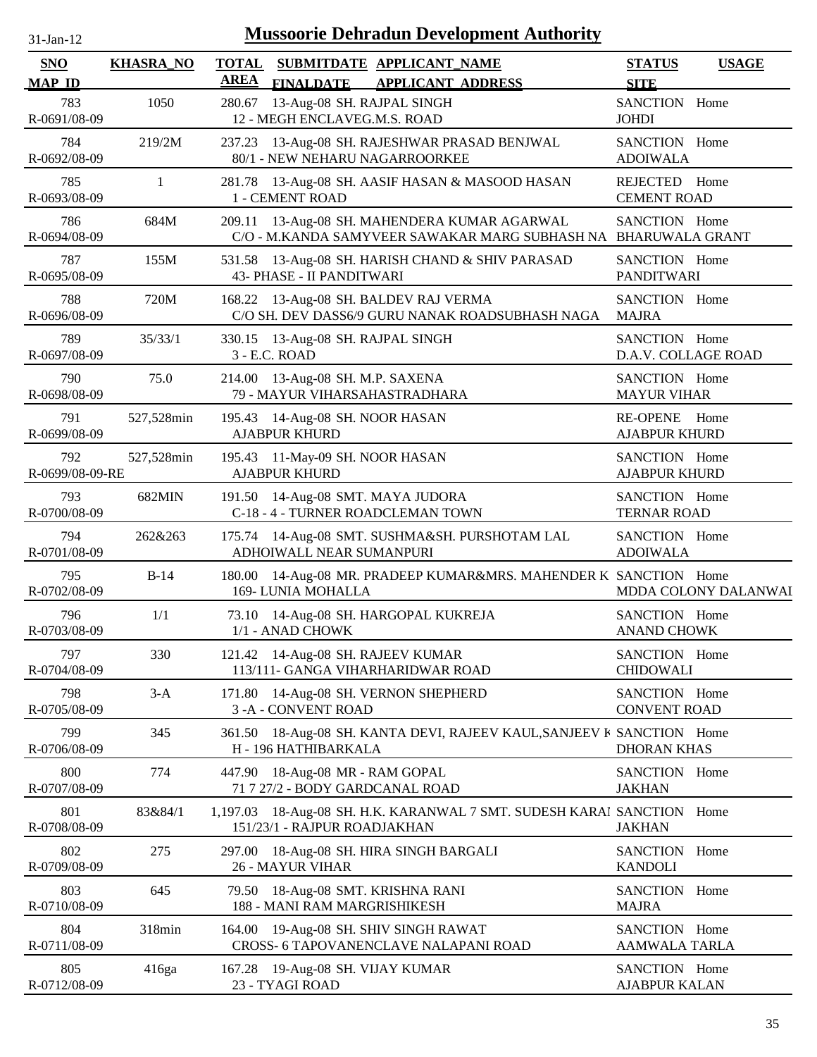| <b>Mussoorie Dehradun Development Authority</b><br>$31$ -Jan-12 |                  |                                                                                                                   |                                         |                      |  |  |
|-----------------------------------------------------------------|------------------|-------------------------------------------------------------------------------------------------------------------|-----------------------------------------|----------------------|--|--|
| <b>SNO</b><br><b>MAP ID</b>                                     | <b>KHASRA_NO</b> | <b>TOTAL</b><br>SUBMITDATE APPLICANT_NAME<br><b>AREA</b><br><b>FINALDATE</b><br><b>APPLICANT ADDRESS</b>          | <b>STATUS</b><br><b>SITE</b>            | <b>USAGE</b>         |  |  |
| 783<br>R-0691/08-09                                             | 1050             | 13-Aug-08 SH. RAJPAL SINGH<br>280.67<br>12 - MEGH ENCLAVEG.M.S. ROAD                                              | SANCTION Home<br><b>JOHDI</b>           |                      |  |  |
| 784<br>R-0692/08-09                                             | 219/2M           | 237.23 13-Aug-08 SH. RAJESHWAR PRASAD BENJWAL<br>80/1 - NEW NEHARU NAGARROORKEE                                   | SANCTION Home<br><b>ADOIWALA</b>        |                      |  |  |
| 785<br>R-0693/08-09                                             | $\mathbf{1}$     | 281.78 13-Aug-08 SH. AASIF HASAN & MASOOD HASAN<br>1 - CEMENT ROAD                                                | REJECTED Home<br><b>CEMENT ROAD</b>     |                      |  |  |
| 786<br>R-0694/08-09                                             | 684M             | 13-Aug-08 SH. MAHENDERA KUMAR AGARWAL<br>209.11<br>C/O - M.KANDA SAMYVEER SAWAKAR MARG SUBHASH NA BHARUWALA GRANT | SANCTION Home                           |                      |  |  |
| 787<br>R-0695/08-09                                             | 155M             | 531.58 13-Aug-08 SH. HARISH CHAND & SHIV PARASAD<br>43- PHASE - II PANDITWARI                                     | SANCTION Home<br><b>PANDITWARI</b>      |                      |  |  |
| 788<br>R-0696/08-09                                             | 720M             | 168.22 13-Aug-08 SH. BALDEV RAJ VERMA<br>C/O SH. DEV DASS6/9 GURU NANAK ROADSUBHASH NAGA                          | SANCTION Home<br><b>MAJRA</b>           |                      |  |  |
| 789<br>R-0697/08-09                                             | 35/33/1          | 330.15 13-Aug-08 SH. RAJPAL SINGH<br>3 - E.C. ROAD                                                                | SANCTION Home<br>D.A.V. COLLAGE ROAD    |                      |  |  |
| 790<br>R-0698/08-09                                             | 75.0             | 214.00 13-Aug-08 SH. M.P. SAXENA<br>79 - MAYUR VIHARSAHASTRADHARA                                                 | SANCTION Home<br><b>MAYUR VIHAR</b>     |                      |  |  |
| 791<br>R-0699/08-09                                             | 527,528min       | 195.43 14-Aug-08 SH. NOOR HASAN<br><b>AJABPUR KHURD</b>                                                           | <b>RE-OPENE</b><br><b>AJABPUR KHURD</b> | Home                 |  |  |
| 792<br>R-0699/08-09-RE                                          | 527,528min       | 195.43 11-May-09 SH. NOOR HASAN<br><b>AJABPUR KHURD</b>                                                           | SANCTION Home<br><b>AJABPUR KHURD</b>   |                      |  |  |
| 793<br>R-0700/08-09                                             | 682MIN           | 191.50 14-Aug-08 SMT. MAYA JUDORA<br>C-18 - 4 - TURNER ROADCLEMAN TOWN                                            | SANCTION Home<br><b>TERNAR ROAD</b>     |                      |  |  |
| 794<br>R-0701/08-09                                             | 262&263          | 175.74 14-Aug-08 SMT. SUSHMA&SH. PURSHOTAM LAL<br>ADHOIWALL NEAR SUMANPURI                                        | SANCTION Home<br><b>ADOIWALA</b>        |                      |  |  |
| 795<br>R-0702/08-09                                             | $B-14$           | 180.00 14-Aug-08 MR. PRADEEP KUMAR&MRS. MAHENDER K SANCTION Home<br>169-LUNIA MOHALLA                             |                                         | MDDA COLONY DALANWAI |  |  |
| 796<br>R-0703/08-09                                             | 1/1              | 73.10 14-Aug-08 SH. HARGOPAL KUKREJA<br>1/1 - ANAD CHOWK                                                          | SANCTION Home<br><b>ANAND CHOWK</b>     |                      |  |  |
| 797<br>R-0704/08-09                                             | 330              | 121.42 14-Aug-08 SH. RAJEEV KUMAR<br>113/111- GANGA VIHARHARIDWAR ROAD                                            | SANCTION Home<br><b>CHIDOWALI</b>       |                      |  |  |
| 798<br>R-0705/08-09                                             | $3-A$            | 14-Aug-08 SH. VERNON SHEPHERD<br>171.80<br>3-A-CONVENT ROAD                                                       | SANCTION Home<br><b>CONVENT ROAD</b>    |                      |  |  |
| 799<br>R-0706/08-09                                             | 345              | 361.50 18-Aug-08 SH. KANTA DEVI, RAJEEV KAUL, SANJEEV K SANCTION Home<br>H - 196 HATHIBARKALA                     | <b>DHORAN KHAS</b>                      |                      |  |  |
| 800<br>R-0707/08-09                                             | 774              | 18-Aug-08 MR - RAM GOPAL<br>447.90<br>71 7 27/2 - BODY GARDCANAL ROAD                                             | SANCTION Home<br><b>JAKHAN</b>          |                      |  |  |
| 801<br>R-0708/08-09                                             | 83&84/1          | 18-Aug-08 SH. H.K. KARANWAL 7 SMT. SUDESH KARAI SANCTION Home<br>1,197.03<br>151/23/1 - RAJPUR ROADJAKHAN         | <b>JAKHAN</b>                           |                      |  |  |
| 802<br>R-0709/08-09                                             | 275              | 18-Aug-08 SH. HIRA SINGH BARGALI<br>297.00<br><b>26 - MAYUR VIHAR</b>                                             | SANCTION Home<br><b>KANDOLI</b>         |                      |  |  |
| 803<br>R-0710/08-09                                             | 645              | 79.50 18-Aug-08 SMT. KRISHNA RANI<br>188 - MANI RAM MARGRISHIKESH                                                 | SANCTION Home<br><b>MAJRA</b>           |                      |  |  |
| 804<br>R-0711/08-09                                             | 318min           | 164.00 19-Aug-08 SH. SHIV SINGH RAWAT<br>CROSS- 6 TAPOVANENCLAVE NALAPANI ROAD                                    | SANCTION Home<br>AAMWALA TARLA          |                      |  |  |
| 805<br>R-0712/08-09                                             | 416ga            | 167.28 19-Aug-08 SH. VIJAY KUMAR<br>23 - TYAGI ROAD                                                               | SANCTION Home<br><b>AJABPUR KALAN</b>   |                      |  |  |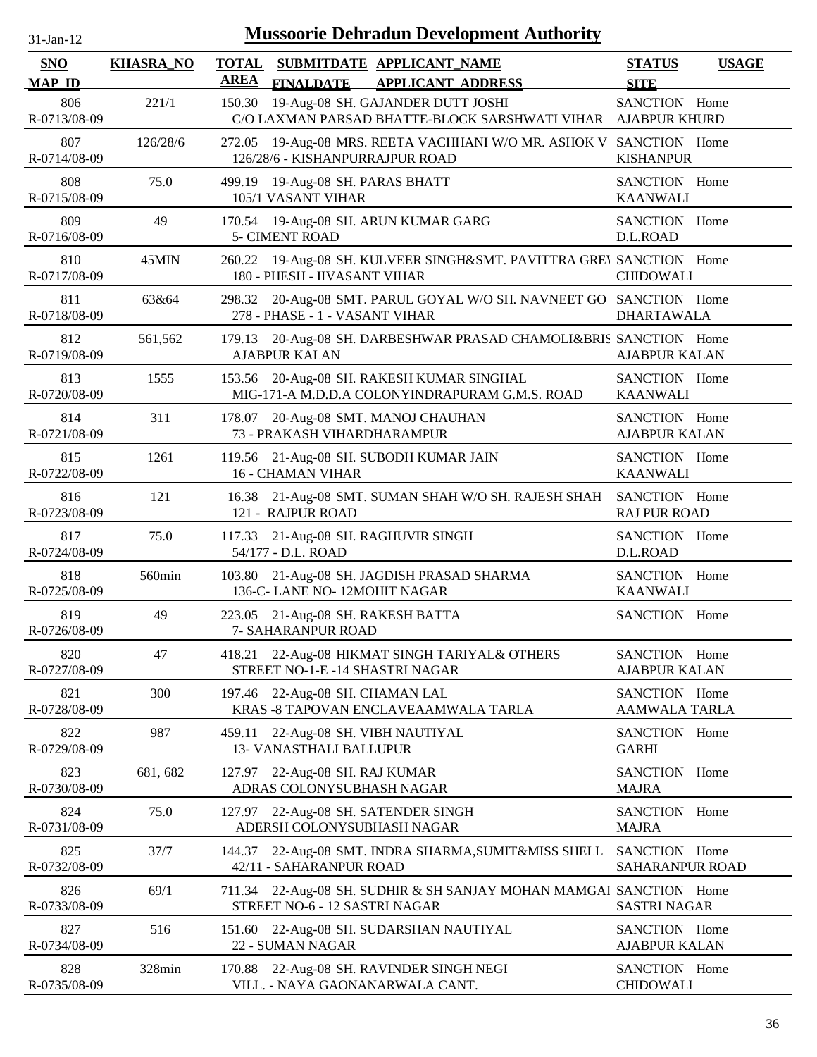| -Jan- |  |
|-------|--|
|       |  |

| <b>SNO</b><br><b>MAP ID</b> | <b>KHASRA_NO</b> | <b>TOTAL</b><br><b>AREA</b><br><b>FINALDATE</b>         | SUBMITDATE APPLICANT NAME<br><b>APPLICANT ADDRESS</b>                                             | <b>STATUS</b><br><b>SITE</b>          | <b>USAGE</b> |
|-----------------------------|------------------|---------------------------------------------------------|---------------------------------------------------------------------------------------------------|---------------------------------------|--------------|
| 806<br>R-0713/08-09         | 221/1            | 150.30                                                  | 19-Aug-08 SH. GAJANDER DUTT JOSHI<br>C/O LAXMAN PARSAD BHATTE-BLOCK SARSHWATI VIHAR AJABPUR KHURD | SANCTION Home                         |              |
| 807<br>R-0714/08-09         | 126/28/6         | 272.05<br>126/28/6 - KISHANPURRAJPUR ROAD               | 19-Aug-08 MRS. REETA VACHHANI W/O MR. ASHOK V SANCTION Home                                       | <b>KISHANPUR</b>                      |              |
| 808<br>R-0715/08-09         | 75.0             | 499.19 19-Aug-08 SH. PARAS BHATT<br>105/1 VASANT VIHAR  |                                                                                                   | SANCTION Home<br><b>KAANWALI</b>      |              |
| 809<br>R-0716/08-09         | 49               | <b>5- CIMENT ROAD</b>                                   | 170.54 19-Aug-08 SH. ARUN KUMAR GARG                                                              | SANCTION Home<br>D.L.ROAD             |              |
| 810<br>R-0717/08-09         | 45MIN            | 260.22<br>180 - PHESH - IIVASANT VIHAR                  | 19-Aug-08 SH. KULVEER SINGH&SMT. PAVITTRA GREV SANCTION Home                                      | <b>CHIDOWALI</b>                      |              |
| 811<br>R-0718/08-09         | 63&64            | 298.32<br>278 - PHASE - 1 - VASANT VIHAR                | 20-Aug-08 SMT. PARUL GOYAL W/O SH. NAVNEET GO SANCTION Home                                       | <b>DHARTAWALA</b>                     |              |
| 812<br>R-0719/08-09         | 561,562          | 179.13<br><b>AJABPUR KALAN</b>                          | 20-Aug-08 SH. DARBESHWAR PRASAD CHAMOLI&BRIS SANCTION Home                                        | <b>AJABPUR KALAN</b>                  |              |
| 813<br>R-0720/08-09         | 1555             |                                                         | 153.56 20-Aug-08 SH. RAKESH KUMAR SINGHAL<br>MIG-171-A M.D.D.A COLONYINDRAPURAM G.M.S. ROAD       | SANCTION Home<br><b>KAANWALI</b>      |              |
| 814<br>R-0721/08-09         | 311              | 73 - PRAKASH VIHARDHARAMPUR                             | 178.07 20-Aug-08 SMT. MANOJ CHAUHAN                                                               | SANCTION Home<br><b>AJABPUR KALAN</b> |              |
| 815<br>R-0722/08-09         | 1261             | <b>16 - CHAMAN VIHAR</b>                                | 119.56 21-Aug-08 SH. SUBODH KUMAR JAIN                                                            | SANCTION Home<br><b>KAANWALI</b>      |              |
| 816<br>R-0723/08-09         | 121              | 121 - RAJPUR ROAD                                       | 16.38 21-Aug-08 SMT. SUMAN SHAH W/O SH. RAJESH SHAH                                               | SANCTION Home<br><b>RAJ PUR ROAD</b>  |              |
| 817<br>R-0724/08-09         | 75.0             | 54/177 - D.L. ROAD                                      | 117.33 21-Aug-08 SH. RAGHUVIR SINGH                                                               | SANCTION Home<br>D.L.ROAD             |              |
| 818<br>R-0725/08-09         | 560min           | 136-C- LANE NO-12MOHIT NAGAR                            | 103.80 21-Aug-08 SH. JAGDISH PRASAD SHARMA                                                        | SANCTION Home<br><b>KAANWALI</b>      |              |
| 819<br>R-0726/08-09         | 49               | 223.05 21-Aug-08 SH. RAKESH BATTA<br>7- SAHARANPUR ROAD |                                                                                                   | SANCTION Home                         |              |
| 820<br>R-0727/08-09         | 47               |                                                         | 418.21 22-Aug-08 HIKMAT SINGH TARIYAL& OTHERS<br>STREET NO-1-E -14 SHASTRI NAGAR                  | SANCTION Home<br><b>AJABPUR KALAN</b> |              |
| 821<br>R-0728/08-09         | 300              | 197.46 22-Aug-08 SH. CHAMAN LAL                         | KRAS -8 TAPOVAN ENCLAVEAAMWALA TARLA                                                              | SANCTION Home<br><b>AAMWALA TARLA</b> |              |
| 822<br>R-0729/08-09         | 987              | 459.11<br><b>13- VANASTHALI BALLUPUR</b>                | 22-Aug-08 SH. VIBH NAUTIYAL                                                                       | SANCTION Home<br><b>GARHI</b>         |              |
| 823<br>R-0730/08-09         | 681, 682         | 127.97<br>ADRAS COLONYSUBHASH NAGAR                     | 22-Aug-08 SH. RAJ KUMAR                                                                           | SANCTION Home<br><b>MAJRA</b>         |              |
| 824<br>R-0731/08-09         | 75.0             | 127.97                                                  | 22-Aug-08 SH. SATENDER SINGH<br>ADERSH COLONYSUBHASH NAGAR                                        | SANCTION Home<br><b>MAJRA</b>         |              |
| 825<br>R-0732/08-09         | 37/7             | 144.37<br>42/11 - SAHARANPUR ROAD                       | 22-Aug-08 SMT. INDRA SHARMA, SUMIT&MISS SHELL                                                     | SANCTION Home<br>SAHARANPUR ROAD      |              |
| 826<br>R-0733/08-09         | 69/1             | STREET NO-6 - 12 SASTRI NAGAR                           | 711.34 22-Aug-08 SH. SUDHIR & SH SANJAY MOHAN MAMGAI SANCTION Home                                | SASTRI NAGAR                          |              |
| 827<br>R-0734/08-09         | 516              | 151.60<br>22 - SUMAN NAGAR                              | 22-Aug-08 SH. SUDARSHAN NAUTIYAL                                                                  | SANCTION Home<br><b>AJABPUR KALAN</b> |              |
| 828<br>R-0735/08-09         | 328min           |                                                         | 170.88 22-Aug-08 SH. RAVINDER SINGH NEGI<br>VILL. - NAYA GAONANARWALA CANT.                       | SANCTION Home<br><b>CHIDOWALI</b>     |              |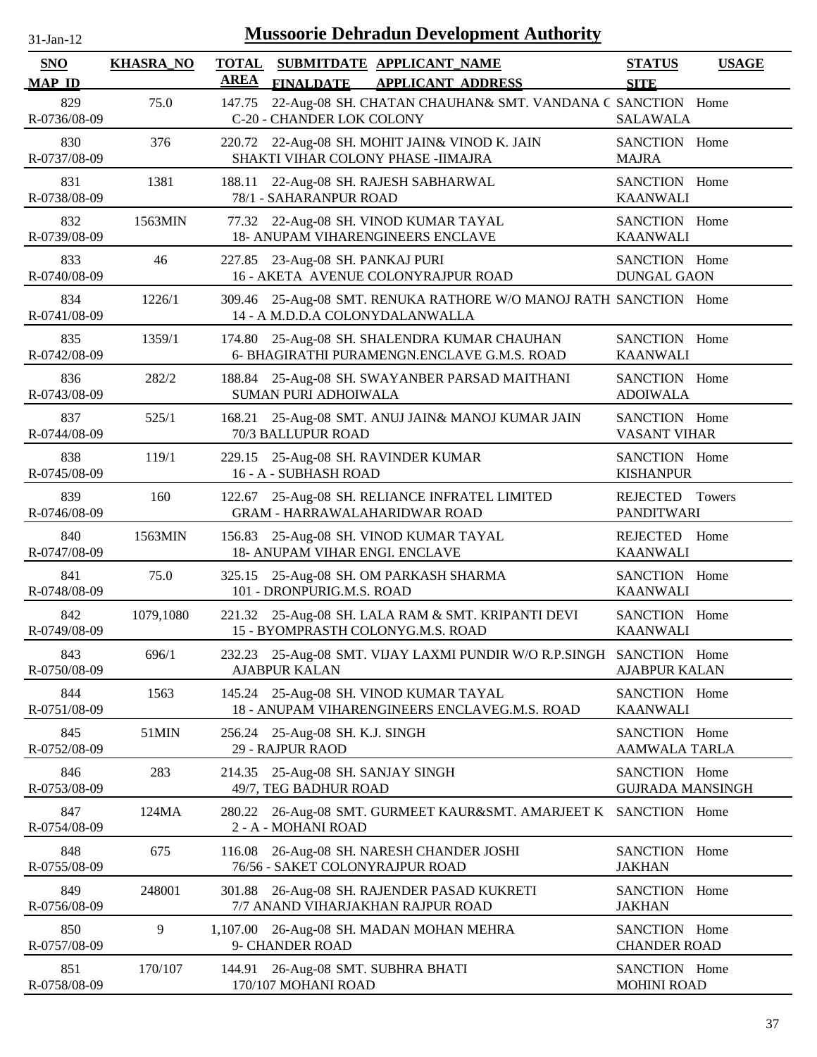| <b>Mussoorie Dehradun Development Authority</b><br>$31-Jan-12$ |                  |                             |                                                                                                      |                                          |               |
|----------------------------------------------------------------|------------------|-----------------------------|------------------------------------------------------------------------------------------------------|------------------------------------------|---------------|
| <b>SNO</b><br><b>MAP ID</b>                                    | <b>KHASRA_NO</b> | <b>TOTAL</b><br><b>AREA</b> | SUBMITDATE APPLICANT NAME<br><b>FINALDATE</b><br><b>APPLICANT ADDRESS</b>                            | <b>STATUS</b><br><b>SITE</b>             | <b>USAGE</b>  |
| 829<br>R-0736/08-09                                            | 75.0             | 147.75                      | 22-Aug-08 SH. CHATAN CHAUHAN& SMT. VANDANA C SANCTION Home<br>C-20 - CHANDER LOK COLONY              | <b>SALAWALA</b>                          |               |
| 830<br>R-0737/08-09                                            | 376              | 220.72                      | 22-Aug-08 SH. MOHIT JAIN& VINOD K. JAIN<br>SHAKTI VIHAR COLONY PHASE - IIMAJRA                       | SANCTION Home<br><b>MAJRA</b>            |               |
| 831<br>R-0738/08-09                                            | 1381             | 188.11                      | 22-Aug-08 SH. RAJESH SABHARWAL<br>78/1 - SAHARANPUR ROAD                                             | SANCTION Home<br><b>KAANWALI</b>         |               |
| 832<br>R-0739/08-09                                            | 1563MIN          |                             | 77.32 22-Aug-08 SH. VINOD KUMAR TAYAL<br><b>18- ANUPAM VIHARENGINEERS ENCLAVE</b>                    | SANCTION Home<br><b>KAANWALI</b>         |               |
| 833<br>R-0740/08-09                                            | 46               | 227.85                      | 23-Aug-08 SH. PANKAJ PURI<br>16 - AKETA AVENUE COLONYRAJPUR ROAD                                     | SANCTION Home<br><b>DUNGAL GAON</b>      |               |
| 834<br>R-0741/08-09                                            | 1226/1           |                             | 309.46 25-Aug-08 SMT. RENUKA RATHORE W/O MANOJ RATH SANCTION Home<br>14 - A M.D.D.A COLONYDALANWALLA |                                          |               |
| 835<br>R-0742/08-09                                            | 1359/1           | 174.80                      | 25-Aug-08 SH. SHALENDRA KUMAR CHAUHAN<br>6- BHAGIRATHI PURAMENGN.ENCLAVE G.M.S. ROAD                 | SANCTION Home<br><b>KAANWALI</b>         |               |
| 836<br>R-0743/08-09                                            | 282/2            |                             | 188.84 25-Aug-08 SH. SWAYANBER PARSAD MAITHANI<br>SUMAN PURI ADHOIWALA                               | SANCTION Home<br><b>ADOIWALA</b>         |               |
| 837<br>R-0744/08-09                                            | 525/1            | 168.21                      | 25-Aug-08 SMT. ANUJ JAIN& MANOJ KUMAR JAIN<br>70/3 BALLUPUR ROAD                                     | SANCTION Home<br><b>VASANT VIHAR</b>     |               |
| 838<br>R-0745/08-09                                            | 119/1            |                             | 229.15 25-Aug-08 SH. RAVINDER KUMAR<br>16 - A - SUBHASH ROAD                                         | SANCTION Home<br><b>KISHANPUR</b>        |               |
| 839<br>R-0746/08-09                                            | 160              | 122.67                      | 25-Aug-08 SH. RELIANCE INFRATEL LIMITED<br><b>GRAM - HARRAWALAHARIDWAR ROAD</b>                      | <b>REJECTED</b><br><b>PANDITWARI</b>     | <b>Towers</b> |
| 840<br>R-0747/08-09                                            | 1563MIN          | 156.83                      | 25-Aug-08 SH. VINOD KUMAR TAYAL<br>18- ANUPAM VIHAR ENGI. ENCLAVE                                    | REJECTED<br><b>KAANWALI</b>              | Home          |
| 841<br>R-0748/08-09                                            | 75.0             | 325.15                      | 25-Aug-08 SH. OM PARKASH SHARMA<br>101 - DRONPURIG.M.S. ROAD                                         | SANCTION Home<br><b>KAANWALI</b>         |               |
| 842<br>R-0749/08-09                                            | 1079,1080        |                             | 221.32 25-Aug-08 SH. LALA RAM & SMT. KRIPANTI DEVI<br>15 - BYOMPRASTH COLONYG.M.S. ROAD              | SANCTION Home<br><b>KAANWALI</b>         |               |
| 843<br>R-0750/08-09                                            | 696/1            | 232.23                      | 25-Aug-08 SMT. VIJAY LAXMI PUNDIR W/O R.P.SINGH<br><b>AJABPUR KALAN</b>                              | SANCTION Home<br><b>AJABPUR KALAN</b>    |               |
| 844<br>R-0751/08-09                                            | 1563             |                             | 145.24 25-Aug-08 SH. VINOD KUMAR TAYAL<br>18 - ANUPAM VIHARENGINEERS ENCLAVEG.M.S. ROAD              | SANCTION Home<br><b>KAANWALI</b>         |               |
| 845<br>R-0752/08-09                                            | 51MIN            |                             | 256.24 25-Aug-08 SH. K.J. SINGH<br>29 - RAJPUR RAOD                                                  | SANCTION Home<br><b>AAMWALA TARLA</b>    |               |
| 846<br>R-0753/08-09                                            | 283              |                             | 214.35 25-Aug-08 SH. SANJAY SINGH<br>49/7, TEG BADHUR ROAD                                           | SANCTION Home<br><b>GUJRADA MANSINGH</b> |               |
| 847<br>R-0754/08-09                                            | 124MA            | 280.22                      | 26-Aug-08 SMT. GURMEET KAUR&SMT. AMARJEET K<br>2 - A - MOHANI ROAD                                   | SANCTION Home                            |               |
| 848<br>R-0755/08-09                                            | 675              | 116.08                      | 26-Aug-08 SH. NARESH CHANDER JOSHI<br>76/56 - SAKET COLONYRAJPUR ROAD                                | SANCTION Home<br><b>JAKHAN</b>           |               |
| 849<br>R-0756/08-09                                            | 248001           | 301.88                      | 26-Aug-08 SH. RAJENDER PASAD KUKRETI<br>7/7 ANAND VIHARJAKHAN RAJPUR ROAD                            | SANCTION Home<br><b>JAKHAN</b>           |               |
| 850<br>R-0757/08-09                                            | 9                |                             | 1,107.00 26-Aug-08 SH. MADAN MOHAN MEHRA<br>9- CHANDER ROAD                                          | SANCTION Home<br><b>CHANDER ROAD</b>     |               |
| 851<br>R-0758/08-09                                            | 170/107          | 144.91                      | 26-Aug-08 SMT. SUBHRA BHATI<br>170/107 MOHANI ROAD                                                   | SANCTION Home<br><b>MOHINI ROAD</b>      |               |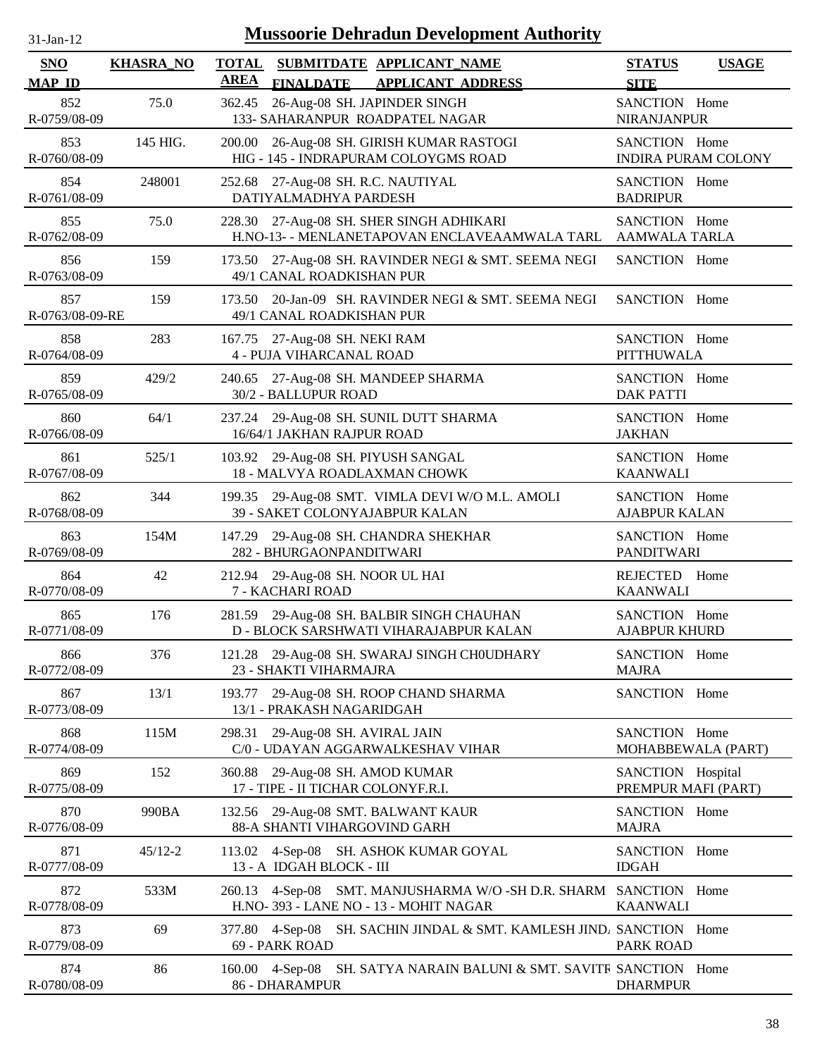| $31$ -Jan-12 |  |
|--------------|--|
|              |  |

| <b>SNO</b>             | <b>KHASRA_NO</b> | <b>TOTAL</b>                                                             | SUBMITDATE APPLICANT_NAME                                                           | <b>STATUS</b>                            | <b>USAGE</b>               |
|------------------------|------------------|--------------------------------------------------------------------------|-------------------------------------------------------------------------------------|------------------------------------------|----------------------------|
| <b>MAP ID</b>          |                  | <b>AREA</b><br><b>FINALDATE</b>                                          | <b>APPLICANT ADDRESS</b>                                                            | <b>SITE</b>                              |                            |
| 852<br>R-0759/08-09    | 75.0             | 362.45<br>133- SAHARANPUR ROADPATEL NAGAR                                | 26-Aug-08 SH. JAPINDER SINGH                                                        | SANCTION Home<br><b>NIRANJANPUR</b>      |                            |
| 853<br>R-0760/08-09    | 145 HIG.         |                                                                          | 200.00 26-Aug-08 SH. GIRISH KUMAR RASTOGI<br>HIG - 145 - INDRAPURAM COLOYGMS ROAD   | SANCTION Home                            | <b>INDIRA PURAM COLONY</b> |
| 854<br>R-0761/08-09    | 248001           | 27-Aug-08 SH. R.C. NAUTIYAL<br>252.68<br>DATIYALMADHYA PARDESH           |                                                                                     | SANCTION Home<br><b>BADRIPUR</b>         |                            |
| 855<br>R-0762/08-09    | 75.0             | 228.30 27-Aug-08 SH. SHER SINGH ADHIKARI                                 | H.NO-13- - MENLANETAPOVAN ENCLAVEAAMWALA TARL                                       | SANCTION Home<br><b>AAMWALA TARLA</b>    |                            |
| 856<br>R-0763/08-09    | 159              | 173.50<br>49/1 CANAL ROADKISHAN PUR                                      | 27-Aug-08 SH. RAVINDER NEGI & SMT. SEEMA NEGI                                       | SANCTION Home                            |                            |
| 857<br>R-0763/08-09-RE | 159              | 173.50<br>49/1 CANAL ROADKISHAN PUR                                      | 20-Jan-09 SH. RAVINDER NEGI & SMT. SEEMA NEGI                                       | SANCTION Home                            |                            |
| 858<br>R-0764/08-09    | 283              | 167.75 27-Aug-08 SH. NEKI RAM<br><b>4 - PUJA VIHARCANAL ROAD</b>         |                                                                                     | SANCTION Home<br><b>PITTHUWALA</b>       |                            |
| 859<br>R-0765/08-09    | 429/2            | 240.65 27-Aug-08 SH. MANDEEP SHARMA<br>30/2 - BALLUPUR ROAD              |                                                                                     | SANCTION Home<br><b>DAK PATTI</b>        |                            |
| 860<br>R-0766/08-09    | 64/1             | 237.24 29-Aug-08 SH. SUNIL DUTT SHARMA<br>16/64/1 JAKHAN RAJPUR ROAD     |                                                                                     | SANCTION Home<br><b>JAKHAN</b>           |                            |
| 861<br>R-0767/08-09    | 525/1            | 103.92 29-Aug-08 SH. PIYUSH SANGAL<br>18 - MALVYA ROADLAXMAN CHOWK       |                                                                                     | SANCTION Home<br><b>KAANWALI</b>         |                            |
| 862<br>R-0768/08-09    | 344              | 39 - SAKET COLONYAJABPUR KALAN                                           | 199.35 29-Aug-08 SMT. VIMLA DEVI W/O M.L. AMOLI                                     | SANCTION Home<br><b>AJABPUR KALAN</b>    |                            |
| 863<br>R-0769/08-09    | 154M             | 147.29 29-Aug-08 SH. CHANDRA SHEKHAR<br>282 - BHURGAONPANDITWARI         |                                                                                     | SANCTION Home<br><b>PANDITWARI</b>       |                            |
| 864<br>R-0770/08-09    | 42               | 212.94 29-Aug-08 SH. NOOR UL HAI<br>7 - KACHARI ROAD                     |                                                                                     | REJECTED Home<br><b>KAANWALI</b>         |                            |
| 865<br>R-0771/08-09    | 176              |                                                                          | 281.59 29-Aug-08 SH. BALBIR SINGH CHAUHAN<br>D - BLOCK SARSHWATI VIHARAJABPUR KALAN | SANCTION Home<br><b>AJABPUR KHURD</b>    |                            |
| 866<br>R-0772/08-09    | 376              | 23 - SHAKTI VIHARMAJRA                                                   | 121.28 29-Aug-08 SH. SWARAJ SINGH CHOUDHARY                                         | SANCTION Home<br><b>MAJRA</b>            |                            |
| 867<br>R-0773/08-09    | 13/1             | 193.77<br>13/1 - PRAKASH NAGARIDGAH                                      | 29-Aug-08 SH. ROOP CHAND SHARMA                                                     | SANCTION Home                            |                            |
| 868<br>R-0774/08-09    | 115M             | 29-Aug-08 SH. AVIRAL JAIN<br>298.31<br>C/0 - UDAYAN AGGARWALKESHAV VIHAR |                                                                                     | SANCTION Home                            | MOHABBEWALA (PART)         |
| 869<br>R-0775/08-09    | 152              | 29-Aug-08 SH. AMOD KUMAR<br>360.88<br>17 - TIPE - II TICHAR COLONYF.R.I. |                                                                                     | SANCTION Hospital<br>PREMPUR MAFI (PART) |                            |
| 870<br>R-0776/08-09    | 990BA            | 132.56 29-Aug-08 SMT. BALWANT KAUR<br>88-A SHANTI VIHARGOVIND GARH       |                                                                                     | SANCTION Home<br><b>MAJRA</b>            |                            |
| 871<br>R-0777/08-09    | $45/12 - 2$      | 113.02<br>13 - A IDGAH BLOCK - III                                       | 4-Sep-08 SH. ASHOK KUMAR GOYAL                                                      | SANCTION Home<br><b>IDGAH</b>            |                            |
| 872<br>R-0778/08-09    | 533M             | H.NO-393 - LANE NO - 13 - MOHIT NAGAR                                    | 260.13 4-Sep-08 SMT. MANJUSHARMA W/O -SH D.R. SHARM SANCTION Home                   | <b>KAANWALI</b>                          |                            |
| 873<br>R-0779/08-09    | 69               | 4-Sep-08<br>377.80<br>69 - PARK ROAD                                     | SH. SACHIN JINDAL & SMT. KAMLESH JIND/ SANCTION Home                                | <b>PARK ROAD</b>                         |                            |
| 874<br>R-0780/08-09    | 86               | 160.00 4-Sep-08<br>86 - DHARAMPUR                                        | SH. SATYA NARAIN BALUNI & SMT. SAVITR SANCTION Home                                 | <b>DHARMPUR</b>                          |                            |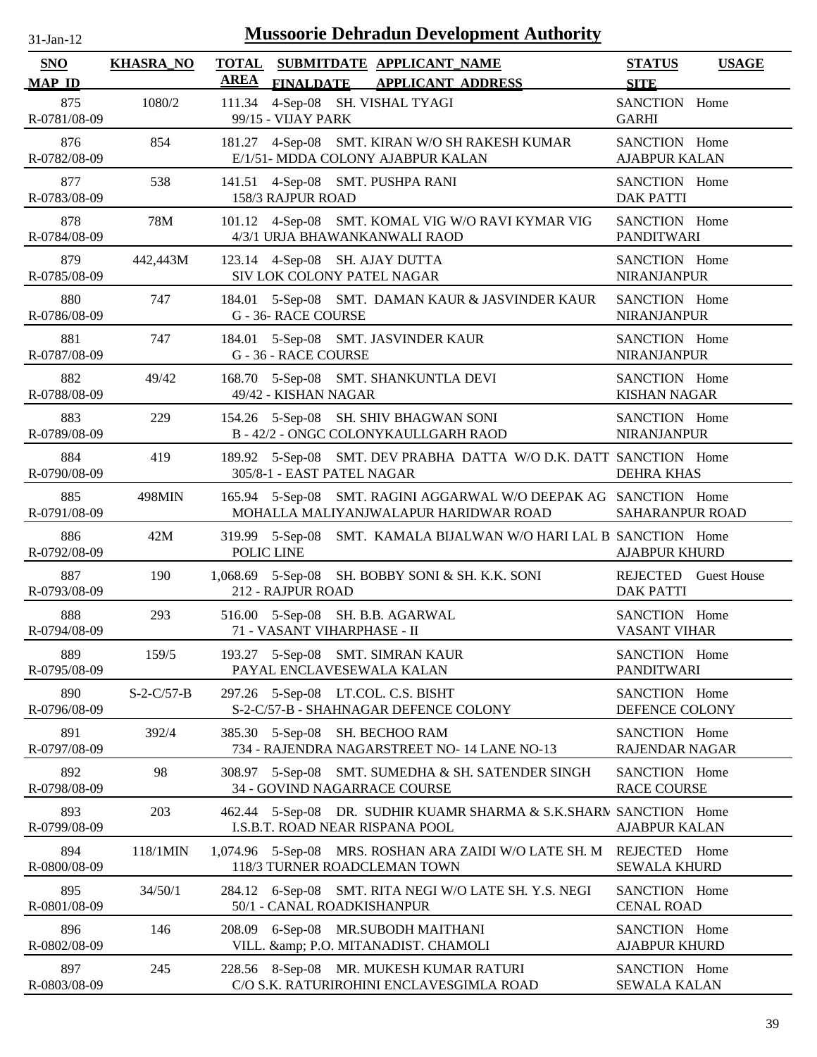| <b>Mussoorie Dehradun Development Authority</b><br>$31$ -Jan-12 |                    |                                                                                                           |                                              |  |  |
|-----------------------------------------------------------------|--------------------|-----------------------------------------------------------------------------------------------------------|----------------------------------------------|--|--|
| <b>SNO</b><br><b>MAP ID</b>                                     | <b>KHASRA_NO</b>   | <b>TOTAL</b><br>SUBMITDATE APPLICANT_NAME<br><b>AREA</b><br><b>FINALDATE</b><br><b>APPLICANT ADDRESS</b>  | <b>STATUS</b><br><b>USAGE</b><br><b>SITE</b> |  |  |
| 875<br>R-0781/08-09                                             | 1080/2             | 4-Sep-08 SH. VISHAL TYAGI<br>111.34<br>99/15 - VIJAY PARK                                                 | SANCTION Home<br><b>GARHI</b>                |  |  |
| 876                                                             | 854                | 181.27 4-Sep-08 SMT. KIRAN W/O SH RAKESH KUMAR                                                            | SANCTION Home                                |  |  |
| R-0782/08-09                                                    |                    | E/1/51- MDDA COLONY AJABPUR KALAN                                                                         | <b>AJABPUR KALAN</b>                         |  |  |
| 877                                                             | 538                | 141.51 4-Sep-08 SMT. PUSHPA RANI                                                                          | SANCTION Home                                |  |  |
| R-0783/08-09                                                    |                    | 158/3 RAJPUR ROAD                                                                                         | <b>DAK PATTI</b>                             |  |  |
| 878                                                             | 78M                | 101.12 4-Sep-08 SMT. KOMAL VIG W/O RAVI KYMAR VIG                                                         | SANCTION Home                                |  |  |
| R-0784/08-09                                                    |                    | 4/3/1 URJA BHAWANKANWALI RAOD                                                                             | <b>PANDITWARI</b>                            |  |  |
| 879                                                             | 442,443M           | 123.14 4-Sep-08 SH. AJAY DUTTA                                                                            | SANCTION Home                                |  |  |
| R-0785/08-09                                                    |                    | SIV LOK COLONY PATEL NAGAR                                                                                | <b>NIRANJANPUR</b>                           |  |  |
| 880<br>R-0786/08-09                                             | 747                | 5-Sep-08 SMT. DAMAN KAUR & JASVINDER KAUR<br>184.01<br>G - 36- RACE COURSE                                | SANCTION Home<br><b>NIRANJANPUR</b>          |  |  |
| 881                                                             | 747                | 184.01 5-Sep-08 SMT. JASVINDER KAUR                                                                       | SANCTION Home                                |  |  |
| R-0787/08-09                                                    |                    | G - 36 - RACE COURSE                                                                                      | <b>NIRANJANPUR</b>                           |  |  |
| 882                                                             | 49/42              | 168.70 5-Sep-08 SMT. SHANKUNTLA DEVI                                                                      | SANCTION Home                                |  |  |
| R-0788/08-09                                                    |                    | 49/42 - KISHAN NAGAR                                                                                      | <b>KISHAN NAGAR</b>                          |  |  |
| 883                                                             | 229                | 154.26 5-Sep-08 SH. SHIV BHAGWAN SONI                                                                     | SANCTION Home                                |  |  |
| R-0789/08-09                                                    |                    | B - 42/2 - ONGC COLONYKAULLGARH RAOD                                                                      | <b>NIRANJANPUR</b>                           |  |  |
| 884<br>R-0790/08-09                                             | 419                | 189.92 5-Sep-08 SMT. DEV PRABHA DATTA W/O D.K. DATT SANCTION Home<br>305/8-1 - EAST PATEL NAGAR           | <b>DEHRA KHAS</b>                            |  |  |
| 885<br>R-0791/08-09                                             | 498MIN             | 165.94 5-Sep-08 SMT. RAGINI AGGARWAL W/O DEEPAK AG SANCTION Home<br>MOHALLA MALIYANJWALAPUR HARIDWAR ROAD | <b>SAHARANPUR ROAD</b>                       |  |  |
| 886<br>R-0792/08-09                                             | 42M                | 319.99 5-Sep-08 SMT. KAMALA BIJALWAN W/O HARI LAL B SANCTION Home<br>POLIC LINE                           | <b>AJABPUR KHURD</b>                         |  |  |
| 887                                                             | 190                | 1,068.69 5-Sep-08 SH. BOBBY SONI & SH. K.K. SONI                                                          | REJECTED Guest House                         |  |  |
| R-0793/08-09                                                    |                    | 212 - RAJPUR ROAD                                                                                         | <b>DAK PATTI</b>                             |  |  |
| 888                                                             | 293                | 516.00 5-Sep-08 SH. B.B. AGARWAL                                                                          | SANCTION Home                                |  |  |
| R-0794/08-09                                                    |                    | 71 - VASANT VIHARPHASE - II                                                                               | <b>VASANT VIHAR</b>                          |  |  |
| 889                                                             | 159/5              | 193.27 5-Sep-08 SMT. SIMRAN KAUR                                                                          | SANCTION Home                                |  |  |
| R-0795/08-09                                                    |                    | PAYAL ENCLAVESEWALA KALAN                                                                                 | <b>PANDITWARI</b>                            |  |  |
| 890                                                             | $S - 2 - C/57 - B$ | 297.26 5-Sep-08 LT.COL. C.S. BISHT                                                                        | SANCTION Home                                |  |  |
| R-0796/08-09                                                    |                    | S-2-C/57-B - SHAHNAGAR DEFENCE COLONY                                                                     | DEFENCE COLONY                               |  |  |
| 891                                                             | 392/4              | 385.30 5-Sep-08 SH. BECHOO RAM                                                                            | SANCTION Home                                |  |  |
| R-0797/08-09                                                    |                    | 734 - RAJENDRA NAGARSTREET NO-14 LANE NO-13                                                               | <b>RAJENDAR NAGAR</b>                        |  |  |
| 892<br>R-0798/08-09                                             | 98                 | 5-Sep-08 SMT. SUMEDHA & SH. SATENDER SINGH<br>308.97<br>34 - GOVIND NAGARRACE COURSE                      | SANCTION Home<br><b>RACE COURSE</b>          |  |  |
| 893<br>R-0799/08-09                                             | 203                | 462.44 5-Sep-08 DR. SUDHIR KUAMR SHARMA & S.K.SHARN SANCTION Home<br>I.S.B.T. ROAD NEAR RISPANA POOL      | <b>AJABPUR KALAN</b>                         |  |  |
| 894                                                             | 118/1MIN           | 1,074.96 5-Sep-08 MRS. ROSHAN ARA ZAIDI W/O LATE SH. M                                                    | REJECTED Home                                |  |  |
| R-0800/08-09                                                    |                    | 118/3 TURNER ROADCLEMAN TOWN                                                                              | <b>SEWALA KHURD</b>                          |  |  |
| 895                                                             | 34/50/1            | 284.12 6-Sep-08 SMT. RITA NEGI W/O LATE SH. Y.S. NEGI                                                     | SANCTION Home                                |  |  |
| R-0801/08-09                                                    |                    | 50/1 - CANAL ROADKISHANPUR                                                                                | <b>CENAL ROAD</b>                            |  |  |
| 896                                                             | 146                | 208.09 6-Sep-08 MR.SUBODH MAITHANI                                                                        | SANCTION Home                                |  |  |
| R-0802/08-09                                                    |                    | VILL. & P.O. MITANADIST. CHAMOLI                                                                          | <b>AJABPUR KHURD</b>                         |  |  |
| 897                                                             | 245                | 228.56 8-Sep-08 MR. MUKESH KUMAR RATURI                                                                   | SANCTION Home                                |  |  |
| R-0803/08-09                                                    |                    | C/O S.K. RATURIROHINI ENCLAVESGIMLA ROAD                                                                  | SEWALA KALAN                                 |  |  |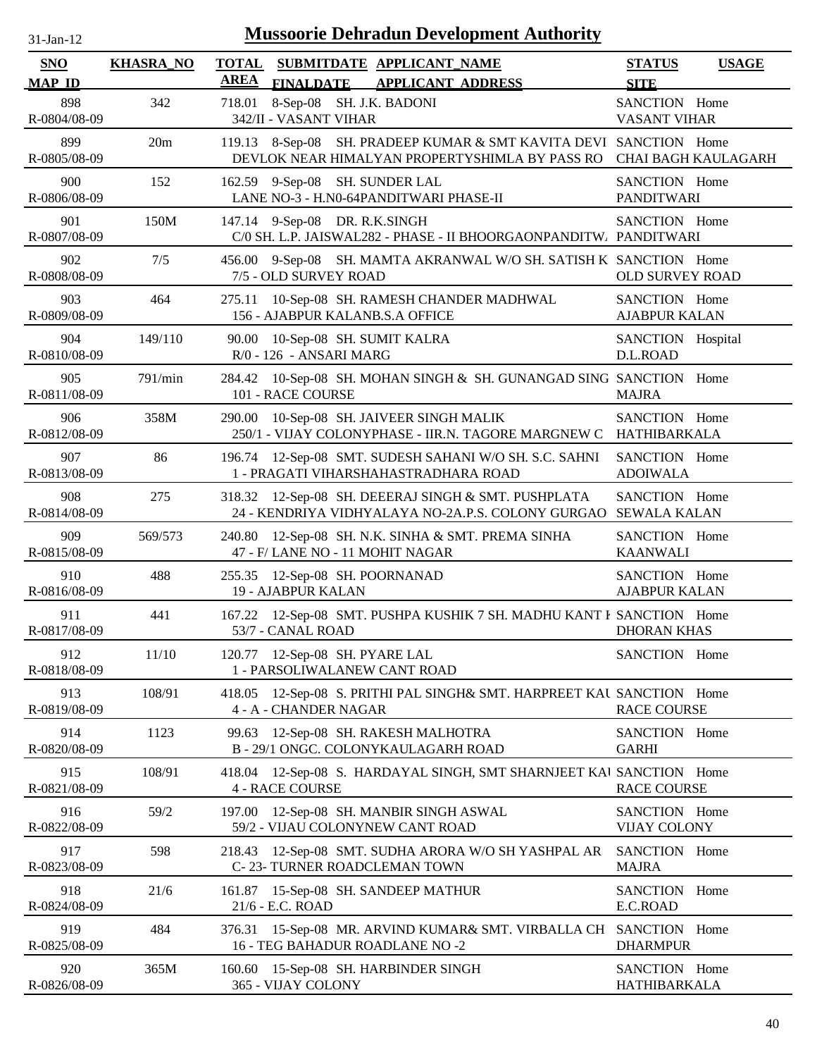| $31-Jan-12$                 |                  | <b>Mussoorie Dehradun Development Authority</b>                                                                       |                                              |
|-----------------------------|------------------|-----------------------------------------------------------------------------------------------------------------------|----------------------------------------------|
| <b>SNO</b><br><b>MAP ID</b> | <b>KHASRA_NO</b> | <b>TOTAL</b><br>SUBMITDATE APPLICANT_NAME<br><b>AREA</b><br><b>FINALDATE</b><br><b>APPLICANT ADDRESS</b>              | <b>STATUS</b><br><b>USAGE</b><br><b>SITE</b> |
| 898<br>R-0804/08-09         | 342              | 8-Sep-08 SH. J.K. BADONI<br>718.01<br>342/II - VASANT VIHAR                                                           | SANCTION Home<br><b>VASANT VIHAR</b>         |
| 899<br>R-0805/08-09         | 20m              | 119.13 8-Sep-08 SH. PRADEEP KUMAR & SMT KAVITA DEVI SANCTION Home<br>DEVLOK NEAR HIMALYAN PROPERTYSHIMLA BY PASS RO   | <b>CHAI BAGH KAULAGARH</b>                   |
| 900<br>R-0806/08-09         | 152              | 162.59 9-Sep-08 SH. SUNDER LAL<br>LANE NO-3 - H.N0-64PANDITWARI PHASE-II                                              | SANCTION Home<br><b>PANDITWARI</b>           |
| 901<br>R-0807/08-09         | 150M             | 147.14 9-Sep-08 DR. R.K.SINGH<br>C/0 SH. L.P. JAISWAL282 - PHASE - II BHOORGAONPANDITW. PANDITWARI                    | SANCTION Home                                |
| 902<br>R-0808/08-09         | 7/5              | 456.00 9-Sep-08 SH. MAMTA AKRANWAL W/O SH. SATISH K SANCTION Home<br>7/5 - OLD SURVEY ROAD                            | <b>OLD SURVEY ROAD</b>                       |
| 903<br>R-0809/08-09         | 464              | 10-Sep-08 SH. RAMESH CHANDER MADHWAL<br>275.11<br>156 - AJABPUR KALANB.S.A OFFICE                                     | SANCTION Home<br><b>AJABPUR KALAN</b>        |
| 904<br>R-0810/08-09         | 149/110          | 10-Sep-08 SH. SUMIT KALRA<br>90.00<br>R/0 - 126 - ANSARI MARG                                                         | SANCTION Hospital<br>D.L.ROAD                |
| 905<br>R-0811/08-09         | 791/min          | 284.42 10-Sep-08 SH. MOHAN SINGH & SH. GUNANGAD SING SANCTION Home<br>101 - RACE COURSE                               | <b>MAJRA</b>                                 |
| 906<br>R-0812/08-09         | 358M             | 10-Sep-08 SH. JAIVEER SINGH MALIK<br>290.00<br>250/1 - VIJAY COLONYPHASE - IIR.N. TAGORE MARGNEW C HATHIBARKALA       | SANCTION Home                                |
| 907<br>R-0813/08-09         | 86               | 196.74 12-Sep-08 SMT. SUDESH SAHANI W/O SH. S.C. SAHNI<br>1 - PRAGATI VIHARSHAHASTRADHARA ROAD                        | SANCTION Home<br><b>ADOIWALA</b>             |
| 908<br>R-0814/08-09         | 275              | 318.32 12-Sep-08 SH. DEEERAJ SINGH & SMT. PUSHPLATA<br>24 - KENDRIYA VIDHYALAYA NO-2A.P.S. COLONY GURGAO SEWALA KALAN | SANCTION Home                                |
| 909<br>R-0815/08-09         | 569/573          | 240.80 12-Sep-08 SH. N.K. SINHA & SMT. PREMA SINHA<br>47 - F/ LANE NO - 11 MOHIT NAGAR                                | SANCTION Home<br><b>KAANWALI</b>             |
| 910<br>R-0816/08-09         | 488              | 255.35 12-Sep-08 SH. POORNANAD<br>19 - AJABPUR KALAN                                                                  | SANCTION Home<br><b>AJABPUR KALAN</b>        |
| 911<br>R-0817/08-09         | 441              | 167.22 12-Sep-08 SMT. PUSHPA KUSHIK 7 SH. MADHU KANT F SANCTION Home<br>53/7 - CANAL ROAD                             | <b>DHORAN KHAS</b>                           |
| 912<br>R-0818/08-09         | 11/10            | 120.77 12-Sep-08 SH. PYARE LAL<br>1 - PARSOLIWALANEW CANT ROAD                                                        | SANCTION Home                                |
| 913<br>R-0819/08-09         | 108/91           | 12-Sep-08 S. PRITHI PAL SINGH& SMT. HARPREET KAU SANCTION Home<br>418.05<br>4 - A - CHANDER NAGAR                     | <b>RACE COURSE</b>                           |
| 914<br>R-0820/08-09         | 1123             | 12-Sep-08 SH. RAKESH MALHOTRA<br>99.63<br>B - 29/1 ONGC. COLONYKAULAGARH ROAD                                         | SANCTION Home<br><b>GARHI</b>                |
| 915<br>R-0821/08-09         | 108/91           | 418.04 12-Sep-08 S. HARDAYAL SINGH, SMT SHARNJEET KAI SANCTION Home<br><b>4 - RACE COURSE</b>                         | <b>RACE COURSE</b>                           |
| 916<br>R-0822/08-09         | 59/2             | 12-Sep-08 SH. MANBIR SINGH ASWAL<br>197.00<br>59/2 - VIJAU COLONYNEW CANT ROAD                                        | SANCTION Home<br>VIJAY COLONY                |
| 917<br>R-0823/08-09         | 598              | 12-Sep-08 SMT. SUDHA ARORA W/O SH YASHPAL AR<br>218.43<br>C-23-TURNER ROADCLEMAN TOWN                                 | SANCTION Home<br><b>MAJRA</b>                |
| 918<br>R-0824/08-09         | 21/6             | 15-Sep-08 SH. SANDEEP MATHUR<br>161.87<br>21/6 - E.C. ROAD                                                            | SANCTION Home<br>E.C.ROAD                    |
| 919<br>R-0825/08-09         | 484              | 376.31 15-Sep-08 MR. ARVIND KUMAR& SMT. VIRBALLA CH SANCTION Home<br>16 - TEG BAHADUR ROADLANE NO -2                  | <b>DHARMPUR</b>                              |
| 920<br>R-0826/08-09         | 365M             | 160.60 15-Sep-08 SH. HARBINDER SINGH<br>365 - VIJAY COLONY                                                            | SANCTION Home<br>HATHIBARKALA                |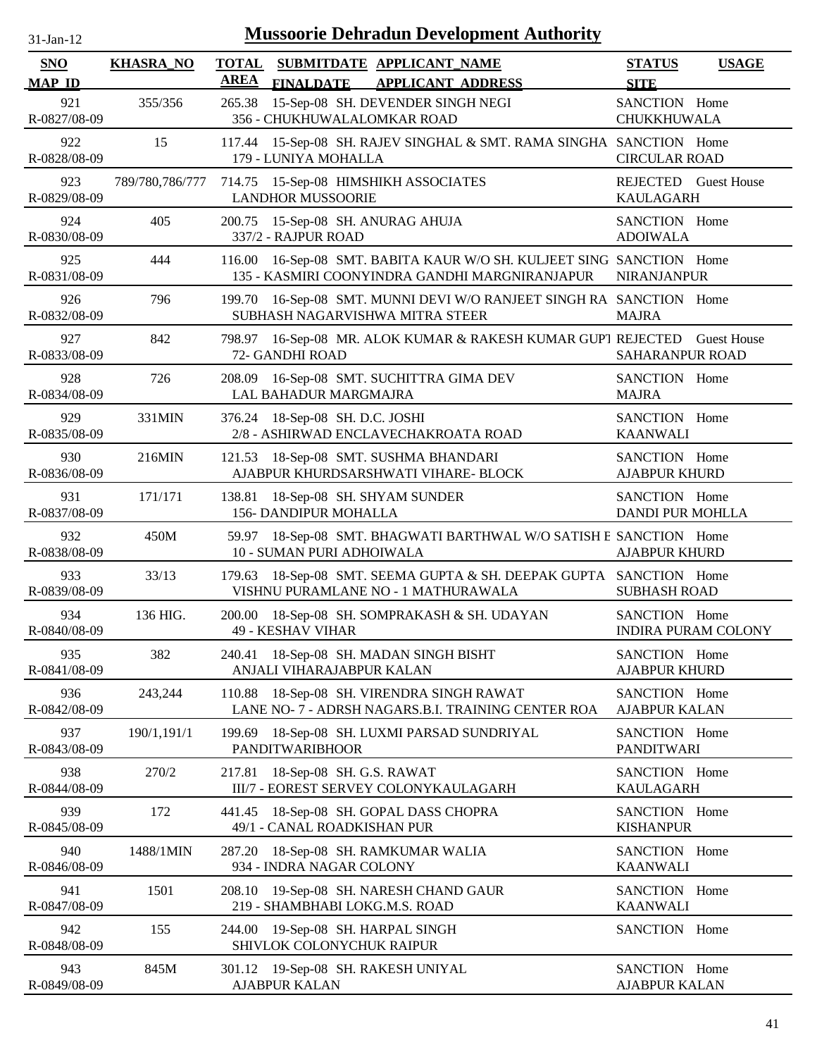| <b>Mussoorie Dehradun Development Authority</b><br>$31$ -Jan-12 |                  |                                                                                                                           |                                              |  |
|-----------------------------------------------------------------|------------------|---------------------------------------------------------------------------------------------------------------------------|----------------------------------------------|--|
| <b>SNO</b><br><b>MAP ID</b>                                     | <b>KHASRA_NO</b> | <b>TOTAL</b><br>SUBMITDATE APPLICANT_NAME<br><b>AREA</b><br><b>APPLICANT ADDRESS</b><br><b>FINALDATE</b>                  | <b>STATUS</b><br><b>USAGE</b><br><b>SITE</b> |  |
| 921<br>R-0827/08-09                                             | 355/356          | 15-Sep-08 SH. DEVENDER SINGH NEGI<br>265.38<br>356 - CHUKHUWALALOMKAR ROAD                                                | SANCTION Home<br>CHUKKHUWALA                 |  |
| 922<br>R-0828/08-09                                             | 15               | 117.44<br>15-Sep-08 SH. RAJEV SINGHAL & SMT. RAMA SINGHA SANCTION Home<br>179 - LUNIYA MOHALLA                            | <b>CIRCULAR ROAD</b>                         |  |
| 923<br>R-0829/08-09                                             | 789/780,786/777  | 714.75 15-Sep-08 HIMSHIKH ASSOCIATES<br><b>LANDHOR MUSSOORIE</b>                                                          | REJECTED Guest House<br><b>KAULAGARH</b>     |  |
| 924<br>R-0830/08-09                                             | 405              | 200.75<br>15-Sep-08 SH. ANURAG AHUJA<br>337/2 - RAJPUR ROAD                                                               | SANCTION Home<br><b>ADOIWALA</b>             |  |
| 925<br>R-0831/08-09                                             | 444              | 16-Sep-08 SMT. BABITA KAUR W/O SH. KULJEET SING SANCTION Home<br>116.00<br>135 - KASMIRI COONYINDRA GANDHI MARGNIRANJAPUR | <b>NIRANJANPUR</b>                           |  |
| 926<br>R-0832/08-09                                             | 796              | 16-Sep-08 SMT. MUNNI DEVI W/O RANJEET SINGH RA SANCTION Home<br>199.70<br>SUBHASH NAGARVISHWA MITRA STEER                 | <b>MAJRA</b>                                 |  |
| 927<br>R-0833/08-09                                             | 842              | 16-Sep-08 MR. ALOK KUMAR & RAKESH KUMAR GUP1 REJECTED<br>798.97<br>72- GANDHI ROAD                                        | <b>Guest House</b><br>SAHARANPUR ROAD        |  |
| 928<br>R-0834/08-09                                             | 726              | 16-Sep-08 SMT. SUCHITTRA GIMA DEV<br>208.09<br>LAL BAHADUR MARGMAJRA                                                      | SANCTION Home<br><b>MAJRA</b>                |  |
| 929<br>R-0835/08-09                                             | 331MIN           | 18-Sep-08 SH. D.C. JOSHI<br>376.24<br>2/8 - ASHIRWAD ENCLAVECHAKROATA ROAD                                                | SANCTION Home<br><b>KAANWALI</b>             |  |
| 930<br>R-0836/08-09                                             | 216MIN           | 18-Sep-08 SMT. SUSHMA BHANDARI<br>121.53<br>AJABPUR KHURDSARSHWATI VIHARE- BLOCK                                          | SANCTION Home<br><b>AJABPUR KHURD</b>        |  |
| 931<br>R-0837/08-09                                             | 171/171          | 138.81<br>18-Sep-08 SH. SHYAM SUNDER<br>156- DANDIPUR MOHALLA                                                             | SANCTION Home<br><b>DANDI PUR MOHLLA</b>     |  |
| 932<br>R-0838/08-09                                             | 450M             | 59.97 18-Sep-08 SMT. BHAGWATI BARTHWAL W/O SATISH E SANCTION Home<br>10 - SUMAN PURI ADHOIWALA                            | <b>AJABPUR KHURD</b>                         |  |
| 933<br>R-0839/08-09                                             | 33/13            | 18-Sep-08 SMT. SEEMA GUPTA & SH. DEEPAK GUPTA SANCTION Home<br>179.63<br>VISHNU PURAMLANE NO - 1 MATHURAWALA              | <b>SUBHASH ROAD</b>                          |  |
| 934<br>R-0840/08-09                                             | 136 HIG.         | 200.00 18-Sep-08 SH. SOMPRAKASH & SH. UDAYAN<br>49 - KESHAV VIHAR                                                         | SANCTION Home<br><b>INDIRA PURAM COLONY</b>  |  |
| 935<br>R-0841/08-09                                             | 382              | 18-Sep-08 SH. MADAN SINGH BISHT<br>240.41<br>ANJALI VIHARAJABPUR KALAN                                                    | SANCTION Home<br><b>AJABPUR KHURD</b>        |  |
| 936<br>R-0842/08-09                                             | 243,244          | 18-Sep-08 SH. VIRENDRA SINGH RAWAT<br>110.88<br>LANE NO- 7 - ADRSH NAGARS.B.I. TRAINING CENTER ROA                        | SANCTION Home<br><b>AJABPUR KALAN</b>        |  |
| 937<br>R-0843/08-09                                             | 190/1,191/1      | 199.69<br>18-Sep-08 SH. LUXMI PARSAD SUNDRIYAL<br><b>PANDITWARIBHOOR</b>                                                  | SANCTION Home<br><b>PANDITWARI</b>           |  |
| 938<br>R-0844/08-09                                             | 270/2            | 217.81<br>18-Sep-08 SH. G.S. RAWAT<br>III/7 - EOREST SERVEY COLONYKAULAGARH                                               | SANCTION Home<br><b>KAULAGARH</b>            |  |
| 939<br>R-0845/08-09                                             | 172              | 18-Sep-08 SH. GOPAL DASS CHOPRA<br>441.45<br>49/1 - CANAL ROADKISHAN PUR                                                  | SANCTION Home<br><b>KISHANPUR</b>            |  |
| 940<br>R-0846/08-09                                             | 1488/1MIN        | 18-Sep-08 SH. RAMKUMAR WALIA<br>287.20<br>934 - INDRA NAGAR COLONY                                                        | SANCTION Home<br><b>KAANWALI</b>             |  |
| 941<br>R-0847/08-09                                             | 1501             | 19-Sep-08 SH. NARESH CHAND GAUR<br>208.10<br>219 - SHAMBHABI LOKG.M.S. ROAD                                               | SANCTION Home<br><b>KAANWALI</b>             |  |
| 942<br>R-0848/08-09                                             | 155              | 19-Sep-08 SH. HARPAL SINGH<br>244.00<br>SHIVLOK COLONYCHUK RAIPUR                                                         | SANCTION Home                                |  |
| 943<br>R-0849/08-09                                             | 845M             | 301.12 19-Sep-08 SH. RAKESH UNIYAL<br><b>AJABPUR KALAN</b>                                                                | SANCTION Home<br><b>AJABPUR KALAN</b>        |  |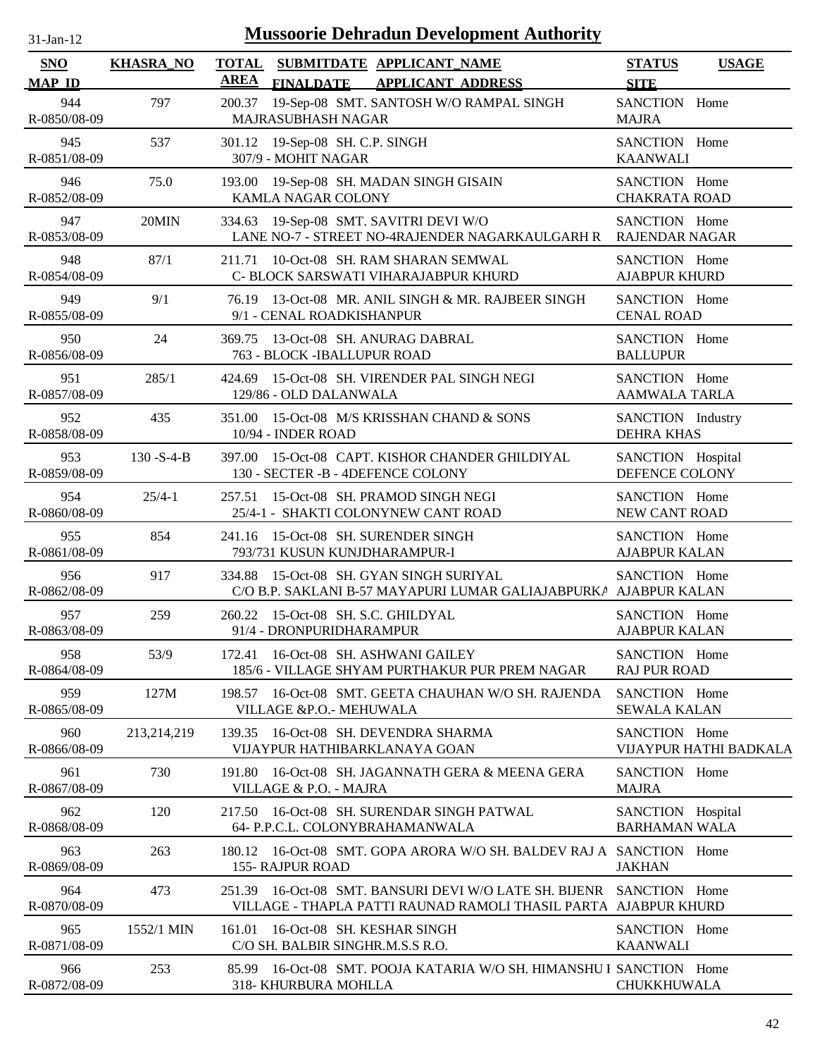| $31$ -Jan-12         |                   | <b>Mussoorie Dehradun Development Authority</b>                                                                                         |                                           |                        |
|----------------------|-------------------|-----------------------------------------------------------------------------------------------------------------------------------------|-------------------------------------------|------------------------|
| SNO<br><b>MAP ID</b> | <b>KHASRA_NO</b>  | <b>TOTAL SUBMITDATE APPLICANT NAME</b><br><b>AREA</b><br><b>FINALDATE</b><br><b>APPLICANT ADDRESS</b>                                   | <b>STATUS</b><br><b>SITE</b>              | <b>USAGE</b>           |
| 944<br>R-0850/08-09  | 797               | 200.37 19-Sep-08 SMT. SANTOSH W/O RAMPAL SINGH<br>MAJRASUBHASH NAGAR                                                                    | SANCTION Home<br><b>MAJRA</b>             |                        |
| 945<br>R-0851/08-09  | 537               | 301.12 19-Sep-08 SH. C.P. SINGH<br>307/9 - MOHIT NAGAR                                                                                  | SANCTION Home<br><b>KAANWALI</b>          |                        |
| 946<br>R-0852/08-09  | 75.0              | 193.00 19-Sep-08 SH. MADAN SINGH GISAIN<br><b>KAMLA NAGAR COLONY</b>                                                                    | SANCTION Home<br><b>CHAKRATA ROAD</b>     |                        |
| 947<br>R-0853/08-09  | 20MIN             | 334.63 19-Sep-08 SMT. SAVITRI DEVI W/O<br>LANE NO-7 - STREET NO-4RAJENDER NAGARKAULGARH R RAJENDAR NAGAR                                | SANCTION Home                             |                        |
| 948<br>R-0854/08-09  | 87/1              | 10-Oct-08 SH. RAM SHARAN SEMWAL<br>211.71<br>C- BLOCK SARSWATI VIHARAJABPUR KHURD                                                       | SANCTION Home<br><b>AJABPUR KHURD</b>     |                        |
| 949<br>R-0855/08-09  | 9/1               | 76.19 13-Oct-08 MR. ANIL SINGH & MR. RAJBEER SINGH<br>9/1 - CENAL ROADKISHANPUR                                                         | SANCTION Home<br><b>CENAL ROAD</b>        |                        |
| 950<br>R-0856/08-09  | 24                | 369.75 13-Oct-08 SH. ANURAG DABRAL<br>763 - BLOCK - IBALLUPUR ROAD                                                                      | SANCTION Home<br><b>BALLUPUR</b>          |                        |
| 951<br>R-0857/08-09  | 285/1             | 424.69 15-Oct-08 SH. VIRENDER PAL SINGH NEGI<br>129/86 - OLD DALANWALA                                                                  | SANCTION Home<br><b>AAMWALA TARLA</b>     |                        |
| 952<br>R-0858/08-09  | 435               | 351.00 15-Oct-08 M/S KRISSHAN CHAND & SONS<br>10/94 - INDER ROAD                                                                        | SANCTION Industry<br><b>DEHRA KHAS</b>    |                        |
| 953<br>R-0859/08-09  | $130 - S - 4 - B$ | 397.00 15-Oct-08 CAPT. KISHOR CHANDER GHILDIYAL<br>130 - SECTER -B - 4DEFENCE COLONY                                                    | SANCTION Hospital<br>DEFENCE COLONY       |                        |
| 954<br>R-0860/08-09  | $25/4-1$          | 257.51 15-Oct-08 SH. PRAMOD SINGH NEGI<br>25/4-1 - SHAKTI COLONYNEW CANT ROAD                                                           | SANCTION Home<br>NEW CANT ROAD            |                        |
| 955<br>R-0861/08-09  | 854               | 241.16 15-Oct-08 SH. SURENDER SINGH<br>793/731 KUSUN KUNJDHARAMPUR-I                                                                    | SANCTION Home<br><b>AJABPUR KALAN</b>     |                        |
| 956<br>R-0862/08-09  | 917               | 334.88 15-Oct-08 SH. GYAN SINGH SURIYAL<br>C/O B.P. SAKLANI B-57 MAYAPURI LUMAR GALIAJABPURKA AJABPUR KALAN                             | SANCTION Home                             |                        |
| 957<br>R-0863/08-09  | 259               | 260.22 15-Oct-08 SH. S.C. GHILDYAL<br>91/4 - DRONPURIDHARAMPUR                                                                          | SANCTION Home<br><b>AJABPUR KALAN</b>     |                        |
| 958<br>R-0864/08-09  | 53/9              | 16-Oct-08 SH. ASHWANI GAILEY<br>172.41<br>185/6 - VILLAGE SHYAM PURTHAKUR PUR PREM NAGAR                                                | SANCTION Home<br><b>RAJ PUR ROAD</b>      |                        |
| 959<br>R-0865/08-09  | 127M              | 16-Oct-08 SMT. GEETA CHAUHAN W/O SH. RAJENDA<br>198.57<br>VILLAGE &P.O.- MEHUWALA                                                       | SANCTION Home<br><b>SEWALA KALAN</b>      |                        |
| 960<br>R-0866/08-09  | 213,214,219       | 16-Oct-08 SH. DEVENDRA SHARMA<br>139.35<br>VIJAYPUR HATHIBARKLANAYA GOAN                                                                | SANCTION Home                             | VIJAYPUR HATHI BADKALA |
| 961<br>R-0867/08-09  | 730               | 16-Oct-08 SH. JAGANNATH GERA & MEENA GERA<br>191.80<br>VILLAGE & P.O. - MAJRA                                                           | SANCTION Home<br><b>MAJRA</b>             |                        |
| 962<br>R-0868/08-09  | 120               | 217.50 16-Oct-08 SH. SURENDAR SINGH PATWAL<br>64- P.P.C.L. COLONYBRAHAMANWALA                                                           | SANCTION Hospital<br><b>BARHAMAN WALA</b> |                        |
| 963<br>R-0869/08-09  | 263               | 180.12 16-Oct-08 SMT, GOPA ARORA W/O SH, BALDEV RAJ A SANCTION Home<br><b>155- RAJPUR ROAD</b>                                          | <b>JAKHAN</b>                             |                        |
| 964<br>R-0870/08-09  | 473               | 251.39 16-Oct-08 SMT, BANSURI DEVI W/O LATE SH, BIJENR SANCTION Home<br>VILLAGE - THAPLA PATTI RAUNAD RAMOLI THASIL PARTA AJABPUR KHURD |                                           |                        |
| 965<br>R-0871/08-09  | 1552/1 MIN        | 161.01 16-Oct-08 SH. KESHAR SINGH<br>C/O SH. BALBIR SINGHR.M.S.S R.O.                                                                   | SANCTION Home<br><b>KAANWALI</b>          |                        |
| 966<br>R-0872/08-09  | 253               | 85.99 16-Oct-08 SMT. POOJA KATARIA W/O SH. HIMANSHU I SANCTION Home<br>318- KHURBURA MOHLLA                                             | CHUKKHUWALA                               |                        |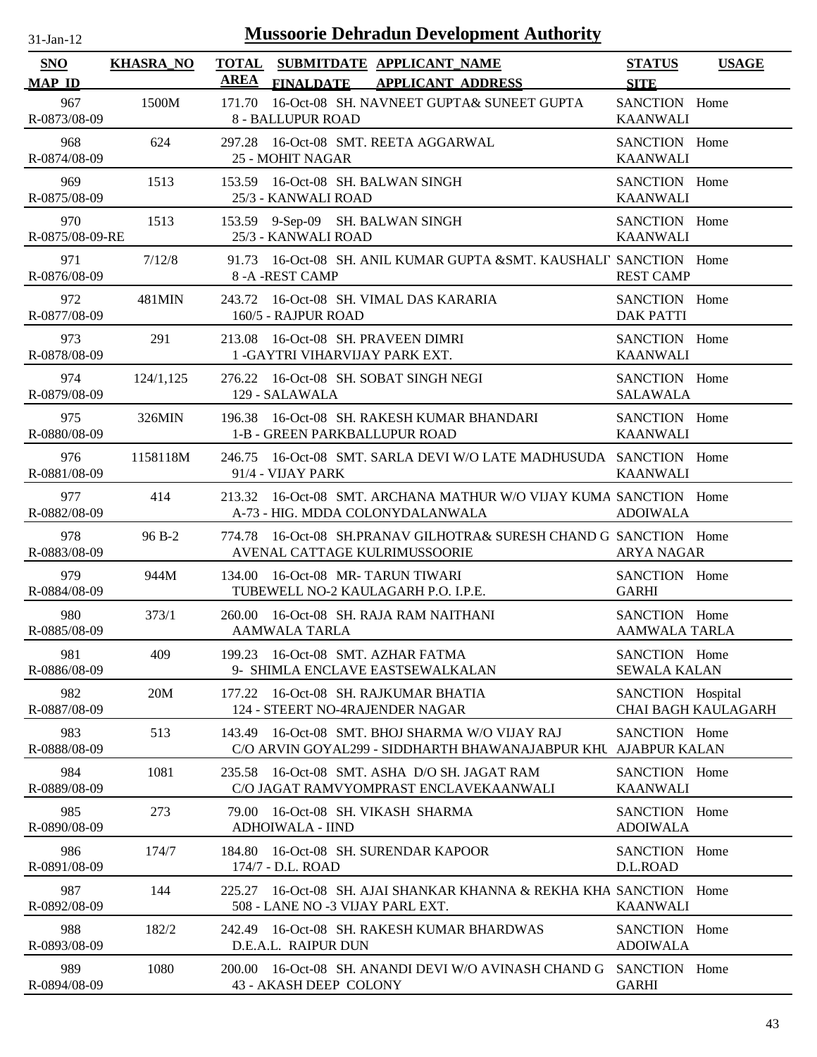| <b>Mussoorie Dehradun Development Authority</b><br>$31$ -Jan-12 |                  |                                                                                                                      |                                       |                     |
|-----------------------------------------------------------------|------------------|----------------------------------------------------------------------------------------------------------------------|---------------------------------------|---------------------|
| <b>SNO</b><br><b>MAP ID</b>                                     | <b>KHASRA_NO</b> | <b>TOTAL</b><br>SUBMITDATE APPLICANT_NAME<br><b>AREA</b><br><b>FINALDATE</b><br><b>APPLICANT ADDRESS</b>             | <b>STATUS</b><br><b>SITE</b>          | <b>USAGE</b>        |
| 967<br>R-0873/08-09                                             | 1500M            | 16-Oct-08 SH. NAVNEET GUPTA& SUNEET GUPTA<br>171.70<br>8 - BALLUPUR ROAD                                             | SANCTION Home<br><b>KAANWALI</b>      |                     |
| 968<br>R-0874/08-09                                             | 624              | 297.28 16-Oct-08 SMT. REETA AGGARWAL<br>25 - MOHIT NAGAR                                                             | SANCTION Home<br><b>KAANWALI</b>      |                     |
| 969<br>R-0875/08-09                                             | 1513             | 153.59 16-Oct-08 SH. BALWAN SINGH<br>25/3 - KANWALI ROAD                                                             | SANCTION Home<br><b>KAANWALI</b>      |                     |
| 970<br>R-0875/08-09-RE                                          | 1513             | 153.59 9-Sep-09 SH. BALWAN SINGH<br>25/3 - KANWALI ROAD                                                              | SANCTION Home<br><b>KAANWALI</b>      |                     |
| 971<br>R-0876/08-09                                             | 7/12/8           | 16-Oct-08 SH. ANIL KUMAR GUPTA &SMT. KAUSHALI' SANCTION Home<br>91.73<br>8-A-REST CAMP                               | <b>REST CAMP</b>                      |                     |
| 972<br>R-0877/08-09                                             | 481MIN           | 243.72 16-Oct-08 SH. VIMAL DAS KARARIA<br>160/5 - RAJPUR ROAD                                                        | SANCTION Home<br><b>DAK PATTI</b>     |                     |
| 973<br>R-0878/08-09                                             | 291              | 16-Oct-08 SH. PRAVEEN DIMRI<br>213.08<br>1 - GAYTRI VIHARVIJAY PARK EXT.                                             | SANCTION Home<br><b>KAANWALI</b>      |                     |
| 974<br>R-0879/08-09                                             | 124/1,125        | 276.22 16-Oct-08 SH. SOBAT SINGH NEGI<br>129 - SALAWALA                                                              | SANCTION Home<br><b>SALAWALA</b>      |                     |
| 975<br>R-0880/08-09                                             | 326MIN           | 196.38 16-Oct-08 SH. RAKESH KUMAR BHANDARI<br>1-B - GREEN PARKBALLUPUR ROAD                                          | SANCTION Home<br><b>KAANWALI</b>      |                     |
| 976<br>R-0881/08-09                                             | 1158118M         | 16-Oct-08 SMT, SARLA DEVI W/O LATE MADHUSUDA SANCTION Home<br>246.75<br>91/4 - VIJAY PARK                            | <b>KAANWALI</b>                       |                     |
| 977<br>R-0882/08-09                                             | 414              | 16-Oct-08 SMT. ARCHANA MATHUR W/O VIJAY KUMA SANCTION Home<br>213.32<br>A-73 - HIG. MDDA COLONYDALANWALA             | <b>ADOIWALA</b>                       |                     |
| 978<br>R-0883/08-09                                             | 96 B-2           | 16-Oct-08 SH.PRANAV GILHOTRA& SURESH CHAND G SANCTION Home<br>774.78<br>AVENAL CATTAGE KULRIMUSSOORIE                | <b>ARYA NAGAR</b>                     |                     |
| 979<br>R-0884/08-09                                             | 944M             | 134.00 16-Oct-08 MR-TARUN TIWARI<br>TUBEWELL NO-2 KAULAGARH P.O. I.P.E.                                              | SANCTION Home<br><b>GARHI</b>         |                     |
| 980<br>R-0885/08-09                                             | 373/1            | 260.00 16-Oct-08 SH, RAJA RAM NAITHANI<br><b>AAMWALA TARLA</b>                                                       | SANCTION Home<br><b>AAMWALA TARLA</b> |                     |
| 981<br>R-0886/08-09                                             | 409              | 199.23 16-Oct-08 SMT. AZHAR FATMA<br>9- SHIMLA ENCLAVE EASTSEWALKALAN                                                | SANCTION Home<br><b>SEWALA KALAN</b>  |                     |
| 982<br>R-0887/08-09                                             | 20M              | 16-Oct-08 SH. RAJKUMAR BHATIA<br>177.22<br>124 - STEERT NO-4RAJENDER NAGAR                                           | SANCTION Hospital                     | CHAI BAGH KAULAGARH |
| 983<br>R-0888/08-09                                             | 513              | 16-Oct-08 SMT. BHOJ SHARMA W/O VIJAY RAJ<br>143.49<br>C/O ARVIN GOYAL299 - SIDDHARTH BHAWANAJABPUR KHU AJABPUR KALAN | SANCTION Home                         |                     |
| 984<br>R-0889/08-09                                             | 1081             | 16-Oct-08 SMT, ASHA D/O SH, JAGAT RAM<br>235.58<br>C/O JAGAT RAMVYOMPRAST ENCLAVEKAANWALI                            | SANCTION Home<br><b>KAANWALI</b>      |                     |
| 985<br>R-0890/08-09                                             | 273              | 16-Oct-08 SH. VIKASH SHARMA<br>79.00<br><b>ADHOIWALA - IIND</b>                                                      | SANCTION Home<br><b>ADOIWALA</b>      |                     |
| 986<br>R-0891/08-09                                             | 174/7            | 16-Oct-08 SH. SURENDAR KAPOOR<br>184.80<br>174/7 - D.L. ROAD                                                         | SANCTION Home<br>D.L.ROAD             |                     |
| 987<br>R-0892/08-09                                             | 144              | 16-Oct-08 SH. AJAI SHANKAR KHANNA & REKHA KHA SANCTION Home<br>225.27<br>508 - LANE NO -3 VIJAY PARL EXT.            | <b>KAANWALI</b>                       |                     |
| 988<br>R-0893/08-09                                             | 182/2            | 242.49 16-Oct-08 SH. RAKESH KUMAR BHARDWAS<br>D.E.A.L. RAIPUR DUN                                                    | SANCTION Home<br><b>ADOIWALA</b>      |                     |
| 989<br>R-0894/08-09                                             | 1080             | 16-Oct-08 SH. ANANDI DEVI W/O AVINASH CHAND G<br>200.00<br>43 - AKASH DEEP COLONY                                    | SANCTION Home<br><b>GARHI</b>         |                     |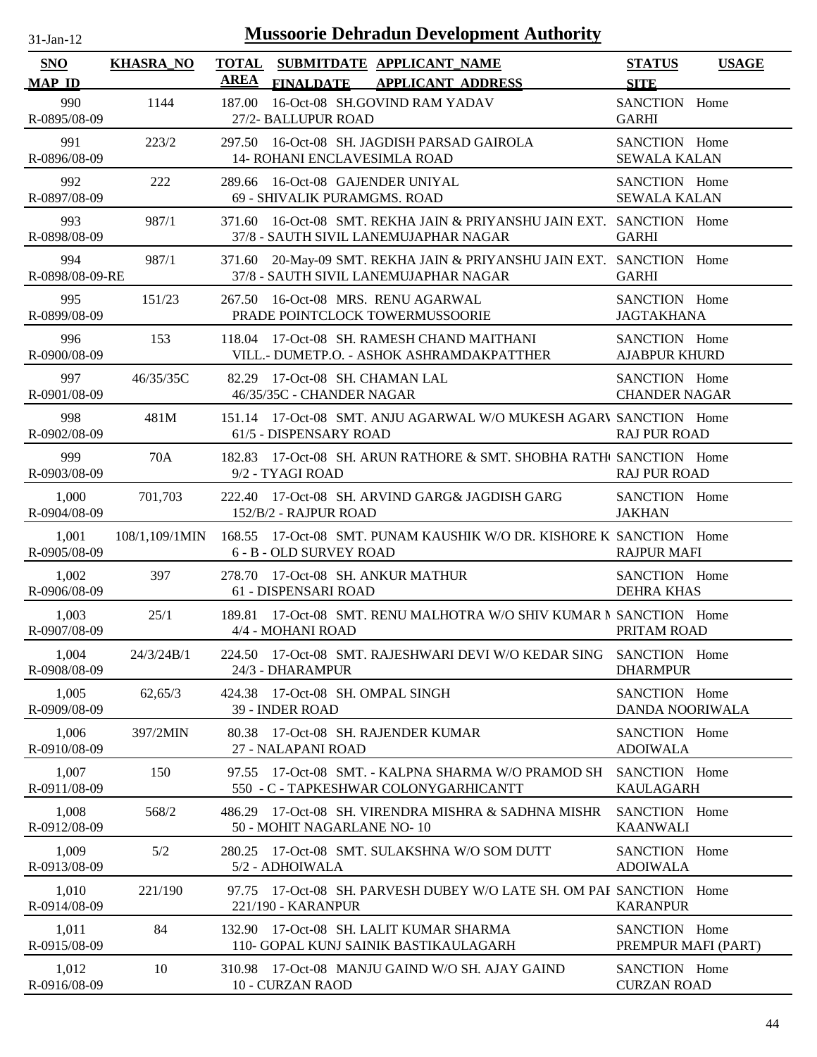| -.ian- |  |
|--------|--|
|        |  |

| <b>SNO</b>             | <b>KHASRA_NO</b> |             |                                                             | TOTAL SUBMITDATE APPLICANT NAME                                                                        | <b>STATUS</b>                         | <b>USAGE</b> |
|------------------------|------------------|-------------|-------------------------------------------------------------|--------------------------------------------------------------------------------------------------------|---------------------------------------|--------------|
| <b>MAP ID</b>          |                  | <b>AREA</b> | <b>FINALDATE</b>                                            | <b>APPLICANT ADDRESS</b>                                                                               | <b>SITE</b>                           |              |
| 990<br>R-0895/08-09    | 1144             | 187.00      | 27/2- BALLUPUR ROAD                                         | 16-Oct-08 SH.GOVIND RAM YADAV                                                                          | SANCTION Home<br><b>GARHI</b>         |              |
| 991<br>R-0896/08-09    | 223/2            | 297.50      | 14- ROHANI ENCLAVESIMLA ROAD                                | 16-Oct-08 SH. JAGDISH PARSAD GAIROLA                                                                   | SANCTION Home<br><b>SEWALA KALAN</b>  |              |
| 992<br>R-0897/08-09    | 222              | 289.66      | 16-Oct-08 GAJENDER UNIYAL<br>69 - SHIVALIK PURAMGMS. ROAD   |                                                                                                        | SANCTION Home<br><b>SEWALA KALAN</b>  |              |
| 993<br>R-0898/08-09    | 987/1            | 371.60      |                                                             | 16-Oct-08 SMT. REKHA JAIN & PRIYANSHU JAIN EXT. SANCTION Home<br>37/8 - SAUTH SIVIL LANEMUJAPHAR NAGAR | <b>GARHI</b>                          |              |
| 994<br>R-0898/08-09-RE | 987/1            | 371.60      |                                                             | 20-May-09 SMT. REKHA JAIN & PRIYANSHU JAIN EXT. SANCTION Home<br>37/8 - SAUTH SIVIL LANEMUJAPHAR NAGAR | <b>GARHI</b>                          |              |
| 995<br>R-0899/08-09    | 151/23           |             |                                                             | 267.50 16-Oct-08 MRS. RENU AGARWAL<br>PRADE POINTCLOCK TOWERMUSSOORIE                                  | SANCTION Home<br><b>JAGTAKHANA</b>    |              |
| 996<br>R-0900/08-09    | 153              |             |                                                             | 118.04 17-Oct-08 SH. RAMESH CHAND MAITHANI<br>VILL.- DUMETP.O. - ASHOK ASHRAMDAKPATTHER                | SANCTION Home<br><b>AJABPUR KHURD</b> |              |
| 997<br>R-0901/08-09    | 46/35/35C        |             | 82.29 17-Oct-08 SH. CHAMAN LAL<br>46/35/35C - CHANDER NAGAR |                                                                                                        | SANCTION Home<br><b>CHANDER NAGAR</b> |              |
| 998<br>R-0902/08-09    | 481M             |             | 61/5 - DISPENSARY ROAD                                      | 151.14 17-Oct-08 SMT. ANJU AGARWAL W/O MUKESH AGARV SANCTION Home                                      | <b>RAJ PUR ROAD</b>                   |              |
| 999<br>R-0903/08-09    | 70A              |             | 9/2 - TYAGI ROAD                                            | 182.83 17-Oct-08 SH. ARUN RATHORE & SMT. SHOBHA RATH SANCTION Home                                     | <b>RAJ PUR ROAD</b>                   |              |
| 1,000<br>R-0904/08-09  | 701,703          |             | 152/B/2 - RAJPUR ROAD                                       | 222.40 17-Oct-08 SH. ARVIND GARG& JAGDISH GARG                                                         | SANCTION Home<br><b>JAKHAN</b>        |              |
| 1,001<br>R-0905/08-09  | 108/1,109/1MIN   |             | 6 - B - OLD SURVEY ROAD                                     | 168.55 17-Oct-08 SMT. PUNAM KAUSHIK W/O DR. KISHORE K SANCTION Home                                    | <b>RAJPUR MAFI</b>                    |              |
| 1,002<br>R-0906/08-09  | 397              | 278.70      | 17-Oct-08 SH. ANKUR MATHUR<br>61 - DISPENSARI ROAD          |                                                                                                        | SANCTION Home<br><b>DEHRA KHAS</b>    |              |
| 1,003<br>R-0907/08-09  | 25/1             | 189.81      | 4/4 - MOHANI ROAD                                           | 17-Oct-08 SMT. RENU MALHOTRA W/O SHIV KUMAR N SANCTION Home                                            | PRITAM ROAD                           |              |
| 1,004<br>R-0908/08-09  | 24/3/24B/1       |             | 24/3 - DHARAMPUR                                            | 224.50 17-Oct-08 SMT. RAJESHWARI DEVI W/O KEDAR SING SANCTION Home                                     | <b>DHARMPUR</b>                       |              |
| 1,005<br>R-0909/08-09  | 62,65/3          |             | 424.38 17-Oct-08 SH. OMPAL SINGH<br>39 - INDER ROAD         |                                                                                                        | SANCTION Home<br>DANDA NOORIWALA      |              |
| 1,006<br>R-0910/08-09  | 397/2MIN         |             | 27 - NALAPANI ROAD                                          | 80.38 17-Oct-08 SH, RAJENDER KUMAR                                                                     | SANCTION Home<br><b>ADOIWALA</b>      |              |
| 1,007<br>R-0911/08-09  | 150              |             |                                                             | 97.55 17-Oct-08 SMT. - KALPNA SHARMA W/O PRAMOD SH<br>550 - C - TAPKESHWAR COLONYGARHICANTT            | SANCTION Home<br><b>KAULAGARH</b>     |              |
| 1,008<br>R-0912/08-09  | 568/2            |             | 50 - MOHIT NAGARLANE NO-10                                  | 486.29 17-Oct-08 SH. VIRENDRA MISHRA & SADHNA MISHR                                                    | SANCTION Home<br><b>KAANWALI</b>      |              |
| 1,009<br>R-0913/08-09  | 5/2              |             | 5/2 - ADHOIWALA                                             | 280.25 17-Oct-08 SMT. SULAKSHNA W/O SOM DUTT                                                           | SANCTION Home<br><b>ADOIWALA</b>      |              |
| 1,010<br>R-0914/08-09  | 221/190          |             | 221/190 - KARANPUR                                          | 97.75 17-Oct-08 SH. PARVESH DUBEY W/O LATE SH. OM PAF SANCTION Home                                    | <b>KARANPUR</b>                       |              |
| 1,011<br>R-0915/08-09  | 84               |             |                                                             | 132.90 17-Oct-08 SH. LALIT KUMAR SHARMA<br>110- GOPAL KUNJ SAINIK BASTIKAULAGARH                       | SANCTION Home<br>PREMPUR MAFI (PART)  |              |
| 1,012<br>R-0916/08-09  | 10               |             | 10 - CURZAN RAOD                                            | 310.98 17-Oct-08 MANJU GAIND W/O SH. AJAY GAIND                                                        | SANCTION Home<br><b>CURZAN ROAD</b>   |              |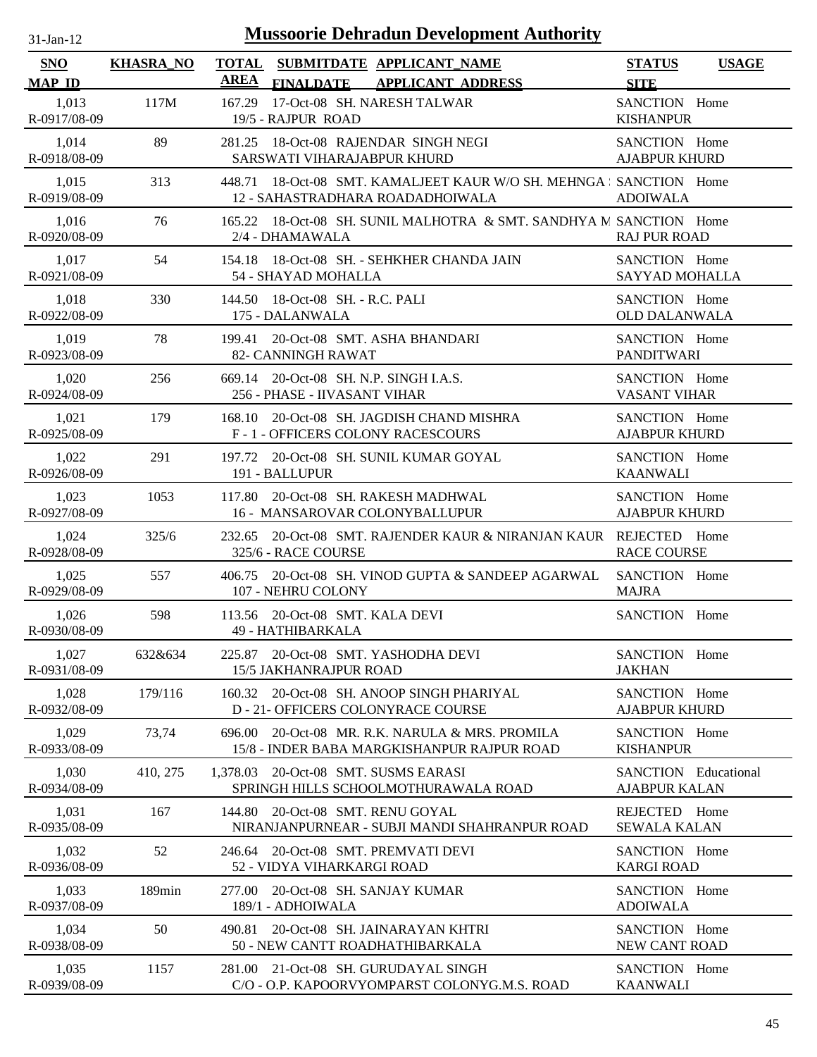| $31$ -Jan-12                |                  | <b>Mussoorie Dehradun Development Authority</b>                                                          |                                              |              |
|-----------------------------|------------------|----------------------------------------------------------------------------------------------------------|----------------------------------------------|--------------|
| <b>SNO</b><br><b>MAP ID</b> | <b>KHASRA_NO</b> | <b>TOTAL</b><br>SUBMITDATE APPLICANT_NAME<br><b>AREA</b><br><b>APPLICANT ADDRESS</b><br><b>FINALDATE</b> | <b>STATUS</b><br><b>SITE</b>                 | <b>USAGE</b> |
| 1,013<br>R-0917/08-09       | 117M             | 17-Oct-08 SH. NARESH TALWAR<br>167.29<br>19/5 - RAJPUR ROAD                                              | SANCTION Home<br><b>KISHANPUR</b>            |              |
| 1,014<br>R-0918/08-09       | 89               | 18-Oct-08 RAJENDAR SINGH NEGI<br>281.25<br>SARSWATI VIHARAJABPUR KHURD                                   | SANCTION Home<br><b>AJABPUR KHURD</b>        |              |
| 1,015<br>R-0919/08-09       | 313              | 448.71 18-Oct-08 SMT. KAMALJEET KAUR W/O SH. MEHNGA ; SANCTION Home<br>12 - SAHASTRADHARA ROADADHOIWALA  | <b>ADOIWALA</b>                              |              |
| 1,016<br>R-0920/08-09       | 76               | 165.22 18-Oct-08 SH. SUNIL MALHOTRA & SMT. SANDHYA M SANCTION Home<br>2/4 - DHAMAWALA                    | <b>RAJ PUR ROAD</b>                          |              |
| 1,017<br>R-0921/08-09       | 54               | 154.18 18-Oct-08 SH. - SEHKHER CHANDA JAIN<br>54 - SHAYAD MOHALLA                                        | SANCTION Home<br>SAYYAD MOHALLA              |              |
| 1,018<br>R-0922/08-09       | 330              | 144.50 18-Oct-08 SH. - R.C. PALI<br>175 - DALANWALA                                                      | SANCTION Home<br><b>OLD DALANWALA</b>        |              |
| 1,019<br>R-0923/08-09       | 78               | 20-Oct-08 SMT. ASHA BHANDARI<br>199.41<br>82- CANNINGH RAWAT                                             | SANCTION Home<br><b>PANDITWARI</b>           |              |
| 1,020<br>R-0924/08-09       | 256              | 20-Oct-08 SH. N.P. SINGH I.A.S.<br>669.14<br>256 - PHASE - IIVASANT VIHAR                                | SANCTION Home<br><b>VASANT VIHAR</b>         |              |
| 1,021<br>R-0925/08-09       | 179              | 20-Oct-08 SH. JAGDISH CHAND MISHRA<br>168.10<br>F - 1 - OFFICERS COLONY RACESCOURS                       | SANCTION Home<br><b>AJABPUR KHURD</b>        |              |
| 1,022<br>R-0926/08-09       | 291              | 197.72 20-Oct-08 SH. SUNIL KUMAR GOYAL<br>191 - BALLUPUR                                                 | SANCTION Home<br><b>KAANWALI</b>             |              |
| 1,023<br>R-0927/08-09       | 1053             | 117.80<br>20-Oct-08 SH. RAKESH MADHWAL<br>16 - MANSAROVAR COLONYBALLUPUR                                 | SANCTION Home<br><b>AJABPUR KHURD</b>        |              |
| 1,024<br>R-0928/08-09       | 325/6            | 20-Oct-08 SMT. RAJENDER KAUR & NIRANJAN KAUR REJECTED Home<br>232.65<br>325/6 - RACE COURSE              | <b>RACE COURSE</b>                           |              |
| 1,025<br>R-0929/08-09       | 557              | 20-Oct-08 SH. VINOD GUPTA & SANDEEP AGARWAL<br>406.75<br>107 - NEHRU COLONY                              | SANCTION Home<br><b>MAJRA</b>                |              |
| 1,026<br>R-0930/08-09       | 598              | 113.56 20-Oct-08 SMT. KALA DEVI<br>49 - HATHIBARKALA                                                     | SANCTION Home                                |              |
| 1,027<br>R-0931/08-09       | 632&634          | 225.87 20-Oct-08 SMT. YASHODHA DEVI<br><b>15/5 JAKHANRAJPUR ROAD</b>                                     | SANCTION Home<br><b>JAKHAN</b>               |              |
| 1,028<br>R-0932/08-09       | 179/116          | 20-Oct-08 SH. ANOOP SINGH PHARIYAL<br>160.32<br>D - 21 - OFFICERS COLONYRACE COURSE                      | SANCTION Home<br><b>AJABPUR KHURD</b>        |              |
| 1,029<br>R-0933/08-09       | 73,74            | 20-Oct-08 MR. R.K. NARULA & MRS. PROMILA<br>696.00<br>15/8 - INDER BABA MARGKISHANPUR RAJPUR ROAD        | SANCTION Home<br><b>KISHANPUR</b>            |              |
| 1,030<br>R-0934/08-09       | 410, 275         | 20-Oct-08 SMT. SUSMS EARASI<br>1,378.03<br>SPRINGH HILLS SCHOOLMOTHURAWALA ROAD                          | SANCTION Educational<br><b>AJABPUR KALAN</b> |              |
| 1,031<br>R-0935/08-09       | 167              | 20-Oct-08 SMT. RENU GOYAL<br>144.80<br>NIRANJANPURNEAR - SUBJI MANDI SHAHRANPUR ROAD                     | REJECTED Home<br><b>SEWALA KALAN</b>         |              |
| 1,032<br>R-0936/08-09       | 52               | 20-Oct-08 SMT. PREMVATI DEVI<br>246.64<br>52 - VIDYA VIHARKARGI ROAD                                     | SANCTION Home<br><b>KARGI ROAD</b>           |              |
| 1,033<br>R-0937/08-09       | 189min           | 20-Oct-08 SH. SANJAY KUMAR<br>277.00<br>189/1 - ADHOIWALA                                                | SANCTION Home<br><b>ADOIWALA</b>             |              |
| 1,034<br>R-0938/08-09       | 50               | 20-Oct-08 SH. JAINARAYAN KHTRI<br>490.81<br>50 - NEW CANTT ROADHATHIBARKALA                              | SANCTION Home<br>NEW CANT ROAD               |              |
| 1,035<br>R-0939/08-09       | 1157             | 281.00 21-Oct-08 SH. GURUDAYAL SINGH<br>C/O - O.P. KAPOORVYOMPARST COLONYG.M.S. ROAD                     | SANCTION Home<br><b>KAANWALI</b>             |              |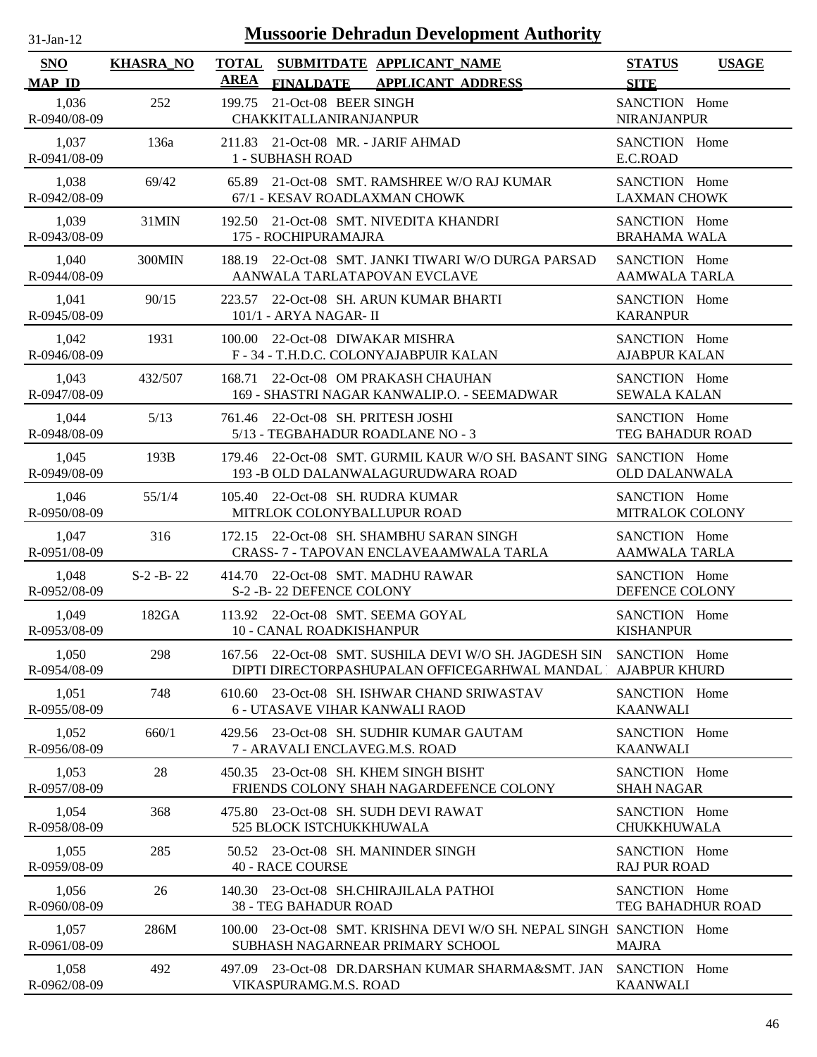| <b>Mussoorie Dehradun Development Authority</b><br>$31$ -Jan-12 |                  |                                                                                                             |                                              |  |
|-----------------------------------------------------------------|------------------|-------------------------------------------------------------------------------------------------------------|----------------------------------------------|--|
| SNO<br><b>MAP ID</b>                                            | <b>KHASRA_NO</b> | <b>TOTAL</b><br>SUBMITDATE APPLICANT_NAME<br><b>AREA</b><br><b>FINALDATE</b><br><b>APPLICANT ADDRESS</b>    | <b>STATUS</b><br><b>USAGE</b><br><b>SITE</b> |  |
| 1,036<br>R-0940/08-09                                           | 252              | 21-Oct-08 BEER SINGH<br>199.75<br>CHAKKITALLANIRANJANPUR                                                    | SANCTION Home<br><b>NIRANJANPUR</b>          |  |
| 1,037                                                           | 136a             | 211.83 21-Oct-08 MR. - JARIF AHMAD                                                                          | SANCTION Home                                |  |
| R-0941/08-09                                                    |                  | 1 - SUBHASH ROAD                                                                                            | E.C.ROAD                                     |  |
| 1,038                                                           | 69/42            | 65.89 21-Oct-08 SMT. RAMSHREE W/O RAJ KUMAR                                                                 | SANCTION Home                                |  |
| R-0942/08-09                                                    |                  | 67/1 - KESAV ROADLAXMAN CHOWK                                                                               | <b>LAXMAN CHOWK</b>                          |  |
| 1,039                                                           | 31MIN            | 192.50 21-Oct-08 SMT. NIVEDITA KHANDRI                                                                      | SANCTION Home                                |  |
| R-0943/08-09                                                    |                  | 175 - ROCHIPURAMAJRA                                                                                        | <b>BRAHAMA WALA</b>                          |  |
| 1,040<br>R-0944/08-09                                           | 300MIN           | 22-Oct-08 SMT. JANKI TIWARI W/O DURGA PARSAD<br>188.19<br>AANWALA TARLATAPOVAN EVCLAVE                      | SANCTION Home<br><b>AAMWALA TARLA</b>        |  |
| 1,041<br>R-0945/08-09                                           | 90/15            | 22-Oct-08 SH. ARUN KUMAR BHARTI<br>223.57<br>101/1 - ARYA NAGAR- II                                         | SANCTION Home<br><b>KARANPUR</b>             |  |
| 1,042                                                           | 1931             | 100.00 22-Oct-08 DIWAKAR MISHRA                                                                             | SANCTION Home                                |  |
| R-0946/08-09                                                    |                  | F - 34 - T.H.D.C. COLONYAJABPUIR KALAN                                                                      | <b>AJABPUR KALAN</b>                         |  |
| 1,043<br>R-0947/08-09                                           | 432/507          | 22-Oct-08 OM PRAKASH CHAUHAN<br>168.71<br>169 - SHASTRI NAGAR KANWALIP.O. - SEEMADWAR                       | SANCTION Home<br><b>SEWALA KALAN</b>         |  |
| 1,044                                                           | 5/13             | 761.46 22-Oct-08 SH. PRITESH JOSHI                                                                          | SANCTION Home                                |  |
| R-0948/08-09                                                    |                  | 5/13 - TEGBAHADUR ROADLANE NO - 3                                                                           | <b>TEG BAHADUR ROAD</b>                      |  |
| 1,045<br>R-0949/08-09                                           | 193B             | 179.46 22-Oct-08 SMT. GURMIL KAUR W/O SH. BASANT SING SANCTION Home<br>193 - BOLD DALANWALAGURUDWARA ROAD   | <b>OLD DALANWALA</b>                         |  |
| 1,046                                                           | 55/1/4           | 105.40 22-Oct-08 SH. RUDRA KUMAR                                                                            | SANCTION Home                                |  |
| R-0950/08-09                                                    |                  | MITRLOK COLONYBALLUPUR ROAD                                                                                 | MITRALOK COLONY                              |  |
| 1,047                                                           | 316              | 172.15 22-Oct-08 SH. SHAMBHU SARAN SINGH                                                                    | SANCTION Home                                |  |
| R-0951/08-09                                                    |                  | CRASS- 7 - TAPOVAN ENCLAVEAAMWALA TARLA                                                                     | <b>AAMWALA TARLA</b>                         |  |
| 1,048                                                           | $S-2 - B - 22$   | 414.70 22-Oct-08 SMT. MADHU RAWAR                                                                           | SANCTION Home                                |  |
| R-0952/08-09                                                    |                  | S-2 -B-22 DEFENCE COLONY                                                                                    | DEFENCE COLONY                               |  |
| 1,049                                                           | 182GA            | 113.92 22-Oct-08 SMT. SEEMA GOYAL                                                                           | SANCTION Home                                |  |
| R-0953/08-09                                                    |                  | 10 - CANAL ROADKISHANPUR                                                                                    | <b>KISHANPUR</b>                             |  |
| 1,050                                                           | 298              | 167.56 22-Oct-08 SMT. SUSHILA DEVI W/O SH. JAGDESH SIN                                                      | SANCTION Home                                |  |
| R-0954/08-09                                                    |                  | DIPTI DIRECTORPASHUPALAN OFFICEGARHWAL MANDAL                                                               | <b>AJABPUR KHURD</b>                         |  |
| 1,051<br>R-0955/08-09                                           | 748              | 23-Oct-08 SH. ISHWAR CHAND SRIWASTAV<br>610.60<br>6 - UTASAVE VIHAR KANWALI RAOD                            | SANCTION Home<br><b>KAANWALI</b>             |  |
| 1,052                                                           | 660/1            | 429.56 23-Oct-08 SH. SUDHIR KUMAR GAUTAM                                                                    | SANCTION Home                                |  |
| R-0956/08-09                                                    |                  | 7 - ARAVALI ENCLAVEG.M.S. ROAD                                                                              | <b>KAANWALI</b>                              |  |
| 1,053<br>R-0957/08-09                                           | 28               | 23-Oct-08 SH. KHEM SINGH BISHT<br>450.35<br>FRIENDS COLONY SHAH NAGARDEFENCE COLONY                         | SANCTION Home<br><b>SHAH NAGAR</b>           |  |
| 1,054<br>R-0958/08-09                                           | 368              | 23-Oct-08 SH. SUDH DEVI RAWAT<br>475.80<br>525 BLOCK ISTCHUKKHUWALA                                         | SANCTION Home<br><b>CHUKKHUWALA</b>          |  |
| 1,055                                                           | 285              | 50.52 23-Oct-08 SH. MANINDER SINGH                                                                          | SANCTION Home                                |  |
| R-0959/08-09                                                    |                  | <b>40 - RACE COURSE</b>                                                                                     | <b>RAJ PUR ROAD</b>                          |  |
| 1,056                                                           | 26               | 140.30 23-Oct-08 SH.CHIRAJILALA PATHOI                                                                      | SANCTION Home                                |  |
| R-0960/08-09                                                    |                  | <b>38 - TEG BAHADUR ROAD</b>                                                                                | TEG BAHADHUR ROAD                            |  |
| 1,057<br>R-0961/08-09                                           | 286M             | 23-Oct-08 SMT, KRISHNA DEVI W/O SH, NEPAL SINGH SANCTION Home<br>100.00<br>SUBHASH NAGARNEAR PRIMARY SCHOOL | <b>MAJRA</b>                                 |  |
| 1,058                                                           | 492              | 497.09 23-Oct-08 DR.DARSHAN KUMAR SHARMA&SMT. JAN                                                           | SANCTION Home                                |  |
| R-0962/08-09                                                    |                  | VIKASPURAMG.M.S. ROAD                                                                                       | <b>KAANWALI</b>                              |  |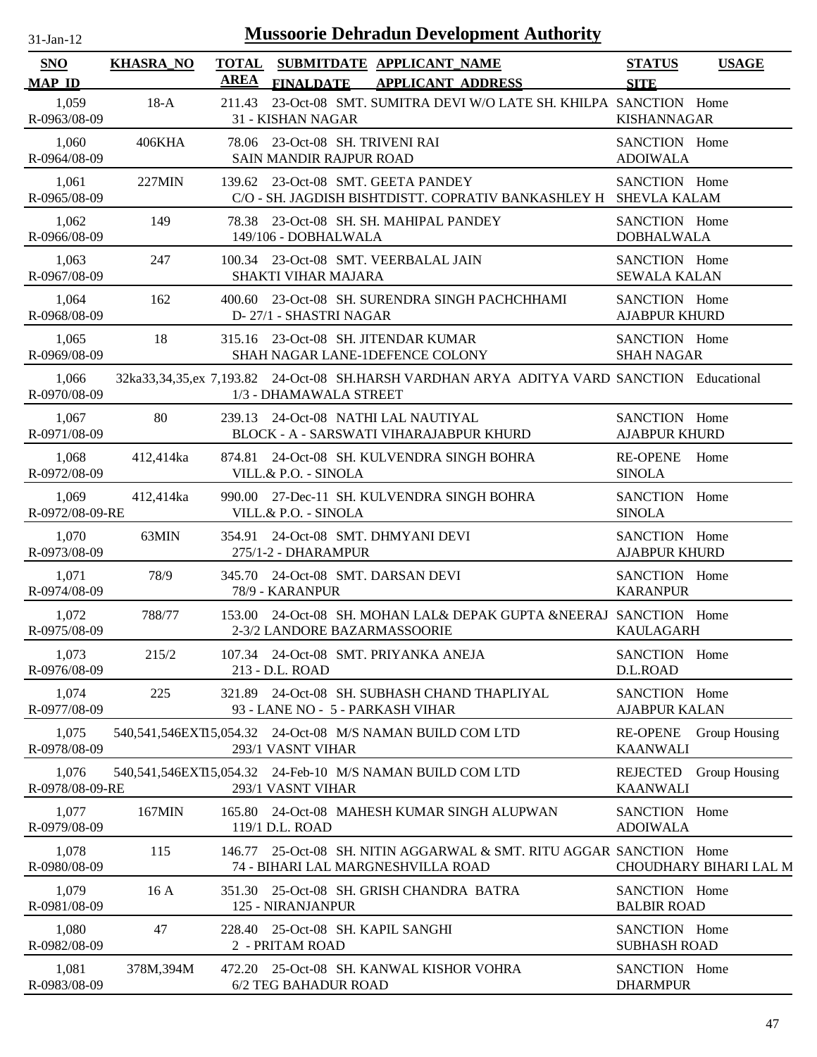| $31$ -Jan-12             |                  |                      | <b>Mussoorie Dehradun Development Authority</b>                                                                     |                                       |                        |
|--------------------------|------------------|----------------------|---------------------------------------------------------------------------------------------------------------------|---------------------------------------|------------------------|
| SNO<br><b>MAP ID</b>     | <b>KHASRA_NO</b> | <b>TOTAL</b><br>AREA | SUBMITDATE APPLICANT_NAME<br><b>APPLICANT ADDRESS</b><br><b>FINALDATE</b>                                           | <b>STATUS</b><br><b>SITE</b>          | <b>USAGE</b>           |
| 1,059<br>R-0963/08-09    | $18-A$           | 211.43               | 23-Oct-08 SMT. SUMITRA DEVI W/O LATE SH. KHILPA SANCTION Home<br>31 - KISHAN NAGAR                                  | <b>KISHANNAGAR</b>                    |                        |
| 1,060<br>R-0964/08-09    | 406KHA           |                      | 78.06 23-Oct-08 SH. TRIVENI RAI<br>SAIN MANDIR RAJPUR ROAD                                                          | SANCTION Home<br><b>ADOIWALA</b>      |                        |
| 1,061<br>R-0965/08-09    | 227MIN           |                      | 139.62 23-Oct-08 SMT. GEETA PANDEY<br>C/O - SH. JAGDISH BISHTDISTT. COPRATIV BANKASHLEY H SHEVLA KALAM              | SANCTION Home                         |                        |
| 1,062<br>R-0966/08-09    | 149              |                      | 78.38 23-Oct-08 SH. SH. MAHIPAL PANDEY<br>149/106 - DOBHALWALA                                                      | SANCTION Home<br><b>DOBHALWALA</b>    |                        |
| 1,063<br>R-0967/08-09    | 247              |                      | 100.34 23-Oct-08 SMT. VEERBALAL JAIN<br>SHAKTI VIHAR MAJARA                                                         | SANCTION Home<br><b>SEWALA KALAN</b>  |                        |
| 1,064<br>R-0968/08-09    | 162              |                      | 400.60 23-Oct-08 SH. SURENDRA SINGH PACHCHHAMI<br>D-27/1 - SHASTRI NAGAR                                            | SANCTION Home<br><b>AJABPUR KHURD</b> |                        |
| 1,065<br>R-0969/08-09    | 18               |                      | 315.16 23-Oct-08 SH. JITENDAR KUMAR<br>SHAH NAGAR LANE-1DEFENCE COLONY                                              | SANCTION Home<br><b>SHAH NAGAR</b>    |                        |
| 1,066<br>R-0970/08-09    |                  |                      | 32ka33,34,35,ex 7,193.82 24-Oct-08 SH.HARSH VARDHAN ARYA ADITYA VARD SANCTION Educational<br>1/3 - DHAMAWALA STREET |                                       |                        |
| 1,067<br>R-0971/08-09    | 80               |                      | 239.13 24-Oct-08 NATHI LAL NAUTIYAL<br>BLOCK - A - SARSWATI VIHARAJABPUR KHURD                                      | SANCTION Home<br><b>AJABPUR KHURD</b> |                        |
| 1,068<br>R-0972/08-09    | 412,414ka        |                      | 874.81 24-Oct-08 SH. KULVENDRA SINGH BOHRA<br>VILL.& P.O. - SINOLA                                                  | RE-OPENE Home<br><b>SINOLA</b>        |                        |
| 1,069<br>R-0972/08-09-RE | 412,414ka        |                      | 990.00 27-Dec-11 SH. KULVENDRA SINGH BOHRA<br>VILL.& P.O. - SINOLA                                                  | SANCTION Home<br><b>SINOLA</b>        |                        |
| 1,070<br>R-0973/08-09    | 63MIN            |                      | 354.91 24-Oct-08 SMT. DHMYANI DEVI<br>275/1-2 - DHARAMPUR                                                           | SANCTION Home<br><b>AJABPUR KHURD</b> |                        |
| 1,071<br>R-0974/08-09    | 78/9             |                      | 345.70 24-Oct-08 SMT. DARSAN DEVI<br>78/9 - KARANPUR                                                                | SANCTION Home<br><b>KARANPUR</b>      |                        |
| 1,072<br>R-0975/08-09    | 788/77           |                      | 153.00 24-Oct-08 SH. MOHAN LAL& DEPAK GUPTA &NEERAJ SANCTION Home<br>2-3/2 LANDORE BAZARMASSOORIE                   | <b>KAULAGARH</b>                      |                        |
| 1,073<br>R-0976/08-09    | 215/2            |                      | 107.34 24-Oct-08 SMT. PRIYANKA ANEJA<br>213 - D.L. ROAD                                                             | SANCTION Home<br>D.L.ROAD             |                        |
| 1,074<br>R-0977/08-09    | 225              |                      | 321.89 24-Oct-08 SH. SUBHASH CHAND THAPLIYAL<br>93 - LANE NO - 5 - PARKASH VIHAR                                    | SANCTION Home<br><b>AJABPUR KALAN</b> |                        |
| 1,075<br>R-0978/08-09    |                  |                      | 540,541,546EXT15,054.32 24-Oct-08 M/S NAMAN BUILD COM LTD<br>293/1 VASNT VIHAR                                      | <b>KAANWALI</b>                       | RE-OPENE Group Housing |
| 1,076<br>R-0978/08-09-RE |                  |                      | 540,541,546EXT15,054.32 24-Feb-10 M/S NAMAN BUILD COM LTD<br>293/1 VASNT VIHAR                                      | <b>REJECTED</b><br><b>KAANWALI</b>    | Group Housing          |
| 1,077<br>R-0979/08-09    | 167MIN           |                      | 165.80 24-Oct-08 MAHESH KUMAR SINGH ALUPWAN<br>119/1 D.L. ROAD                                                      | SANCTION Home<br><b>ADOIWALA</b>      |                        |
| 1,078<br>R-0980/08-09    | 115              |                      | 146.77 25-Oct-08 SH. NITIN AGGARWAL & SMT. RITU AGGAR SANCTION Home<br>74 - BIHARI LAL MARGNESHVILLA ROAD           |                                       | CHOUDHARY BIHARI LAL M |
| 1,079<br>R-0981/08-09    | 16A              |                      | 351.30 25-Oct-08 SH. GRISH CHANDRA BATRA<br>125 - NIRANJANPUR                                                       | SANCTION Home<br><b>BALBIR ROAD</b>   |                        |
| 1,080<br>R-0982/08-09    | 47               |                      | 228.40 25-Oct-08 SH. KAPIL SANGHI<br>2 - PRITAM ROAD                                                                | SANCTION Home<br><b>SUBHASH ROAD</b>  |                        |
| 1,081<br>R-0983/08-09    | 378M,394M        |                      | 472.20 25-Oct-08 SH. KANWAL KISHOR VOHRA<br>6/2 TEG BAHADUR ROAD                                                    | SANCTION Home<br><b>DHARMPUR</b>      |                        |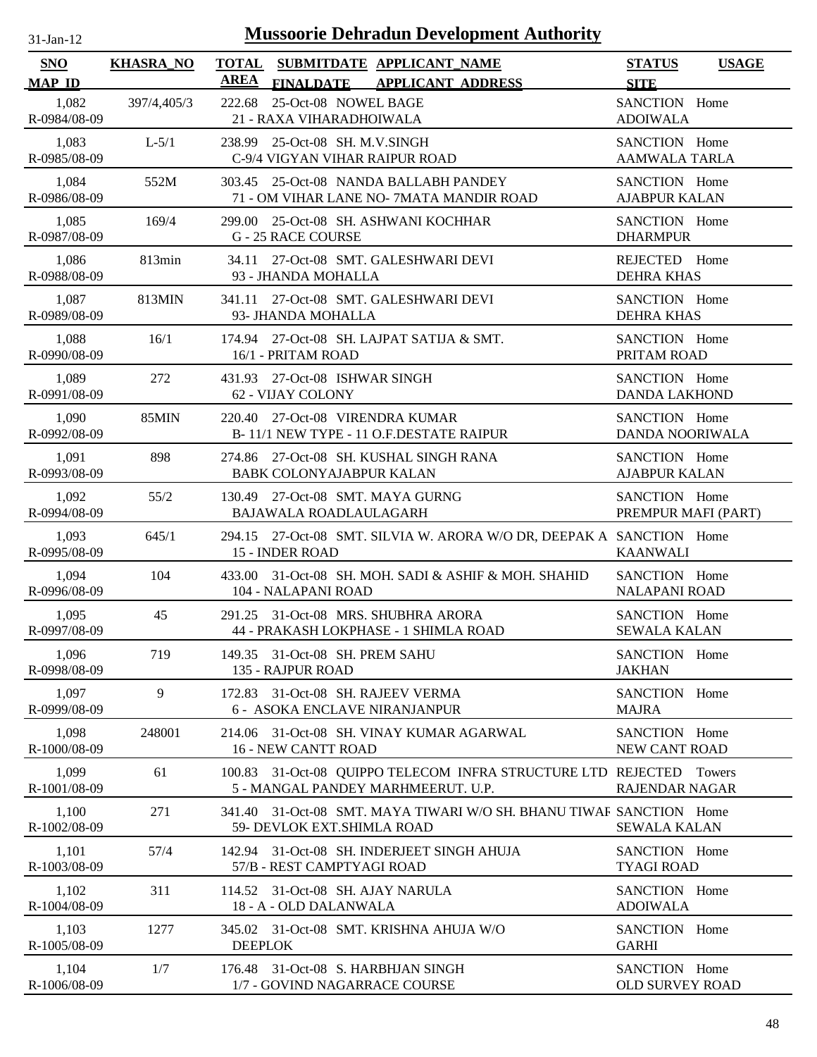| $31 - Jan - 12$ |  |
|-----------------|--|
|                 |  |

| <b>SNO</b>            | <b>KHASRA_NO</b> |                                                                     | TOTAL SUBMITDATE APPLICANT NAME                                                                           | <b>STATUS</b>                           | <b>USAGE</b> |
|-----------------------|------------------|---------------------------------------------------------------------|-----------------------------------------------------------------------------------------------------------|-----------------------------------------|--------------|
| <b>MAP ID</b>         |                  | <b>AREA</b>                                                         | FINALDATE APPLICANT ADDRESS                                                                               | <b>SITE</b>                             |              |
| 1,082<br>R-0984/08-09 | 397/4,405/3      | 222.68 25-Oct-08 NOWEL BAGE<br>21 - RAXA VIHARADHOIWALA             |                                                                                                           | SANCTION Home<br><b>ADOIWALA</b>        |              |
| 1,083<br>R-0985/08-09 | $L-5/1$          | 238.99 25-Oct-08 SH. M.V.SINGH                                      | C-9/4 VIGYAN VIHAR RAIPUR ROAD                                                                            | SANCTION Home<br><b>AAMWALA TARLA</b>   |              |
| 1,084<br>R-0986/08-09 | 552M             |                                                                     | 303.45 25-Oct-08 NANDA BALLABH PANDEY<br>71 - OM VIHAR LANE NO- 7MATA MANDIR ROAD                         | SANCTION Home<br><b>AJABPUR KALAN</b>   |              |
| 1,085<br>R-0987/08-09 | 169/4            | <b>G-25 RACE COURSE</b>                                             | 299.00 25-Oct-08 SH. ASHWANI KOCHHAR                                                                      | SANCTION Home<br><b>DHARMPUR</b>        |              |
| 1,086<br>R-0988/08-09 | 813min           | 93 - JHANDA MOHALLA                                                 | 34.11 27-Oct-08 SMT. GALESHWARI DEVI                                                                      | REJECTED Home<br><b>DEHRA KHAS</b>      |              |
| 1,087<br>R-0989/08-09 | 813MIN           | 93- JHANDA MOHALLA                                                  | 341.11 27-Oct-08 SMT. GALESHWARI DEVI                                                                     | SANCTION Home<br><b>DEHRA KHAS</b>      |              |
| 1,088<br>R-0990/08-09 | 16/1             | 16/1 - PRITAM ROAD                                                  | 174.94 27-Oct-08 SH. LAJPAT SATIJA & SMT.                                                                 | SANCTION Home<br>PRITAM ROAD            |              |
| 1,089<br>R-0991/08-09 | 272              | 431.93 27-Oct-08 ISHWAR SINGH<br>62 - VIJAY COLONY                  |                                                                                                           | SANCTION Home<br><b>DANDA LAKHOND</b>   |              |
| 1,090<br>R-0992/08-09 | 85MIN            | 220.40 27-Oct-08 VIRENDRA KUMAR                                     | B-11/1 NEW TYPE - 11 O.F.DESTATE RAIPUR                                                                   | SANCTION Home<br><b>DANDA NOORIWALA</b> |              |
| 1,091<br>R-0993/08-09 | 898              | <b>BABK COLONYAJABPUR KALAN</b>                                     | 274.86 27-Oct-08 SH. KUSHAL SINGH RANA                                                                    | SANCTION Home<br><b>AJABPUR KALAN</b>   |              |
| 1,092<br>R-0994/08-09 | 55/2             | 130.49 27-Oct-08 SMT. MAYA GURNG<br>BAJAWALA ROADLAULAGARH          |                                                                                                           | SANCTION Home<br>PREMPUR MAFI (PART)    |              |
| 1,093<br>R-0995/08-09 | 645/1            | 15 - INDER ROAD                                                     | 294.15 27-Oct-08 SMT. SILVIA W. ARORA W/O DR, DEEPAK A SANCTION Home                                      | <b>KAANWALI</b>                         |              |
| 1,094<br>R-0996/08-09 | 104              | 104 - NALAPANI ROAD                                                 | 433.00 31-Oct-08 SH, MOH, SADI & ASHIF & MOH, SHAHID                                                      | SANCTION Home<br>NALAPANI ROAD          |              |
| 1,095<br>R-0997/08-09 | 45               |                                                                     | 291.25 31-Oct-08 MRS. SHUBHRA ARORA<br>44 - PRAKASH LOKPHASE - 1 SHIMLA ROAD                              | SANCTION Home<br><b>SEWALA KALAN</b>    |              |
| 1,096<br>R-0998/08-09 | 719              | 149.35 31-Oct-08 SH. PREM SAHU<br>135 - RAJPUR ROAD                 |                                                                                                           | SANCTION Home<br><b>JAKHAN</b>          |              |
| 1,097<br>R-0999/08-09 | 9                | 172.83                                                              | 31-Oct-08 SH. RAJEEV VERMA<br>6 - ASOKA ENCLAVE NIRANJANPUR                                               | SANCTION Home<br><b>MAJRA</b>           |              |
| 1,098<br>R-1000/08-09 | 248001           | <b>16 - NEW CANTT ROAD</b>                                          | 214.06 31-Oct-08 SH, VINAY KUMAR AGARWAL                                                                  | SANCTION Home<br>NEW CANT ROAD          |              |
| 1,099<br>R-1001/08-09 | 61               |                                                                     | 100.83 31-Oct-08 QUIPPO TELECOM INFRA STRUCTURE LTD REJECTED Towers<br>5 - MANGAL PANDEY MARHMEERUT. U.P. | RAJENDAR NAGAR                          |              |
| 1,100<br>R-1002/08-09 | 271              | 59- DEVLOK EXT.SHIMLA ROAD                                          | 341.40 31-Oct-08 SMT. MAYA TIWARI W/O SH. BHANU TIWAR SANCTION Home                                       | <b>SEWALA KALAN</b>                     |              |
| 1,101<br>R-1003/08-09 | 57/4             | 57/B - REST CAMPTYAGI ROAD                                          | 142.94 31-Oct-08 SH. INDERJEET SINGH AHUJA                                                                | SANCTION Home<br><b>TYAGI ROAD</b>      |              |
| 1,102<br>R-1004/08-09 | 311              | 114.52 31-Oct-08 SH. AJAY NARULA<br>18 - A - OLD DALANWALA          |                                                                                                           | SANCTION Home<br><b>ADOIWALA</b>        |              |
| 1,103<br>R-1005/08-09 | 1277             | <b>DEEPLOK</b>                                                      | 345.02 31-Oct-08 SMT. KRISHNA AHUJA W/O                                                                   | SANCTION Home<br><b>GARHI</b>           |              |
| 1,104<br>R-1006/08-09 | 1/7              | 176.48 31-Oct-08 S. HARBHJAN SINGH<br>1/7 - GOVIND NAGARRACE COURSE |                                                                                                           | SANCTION Home<br>OLD SURVEY ROAD        |              |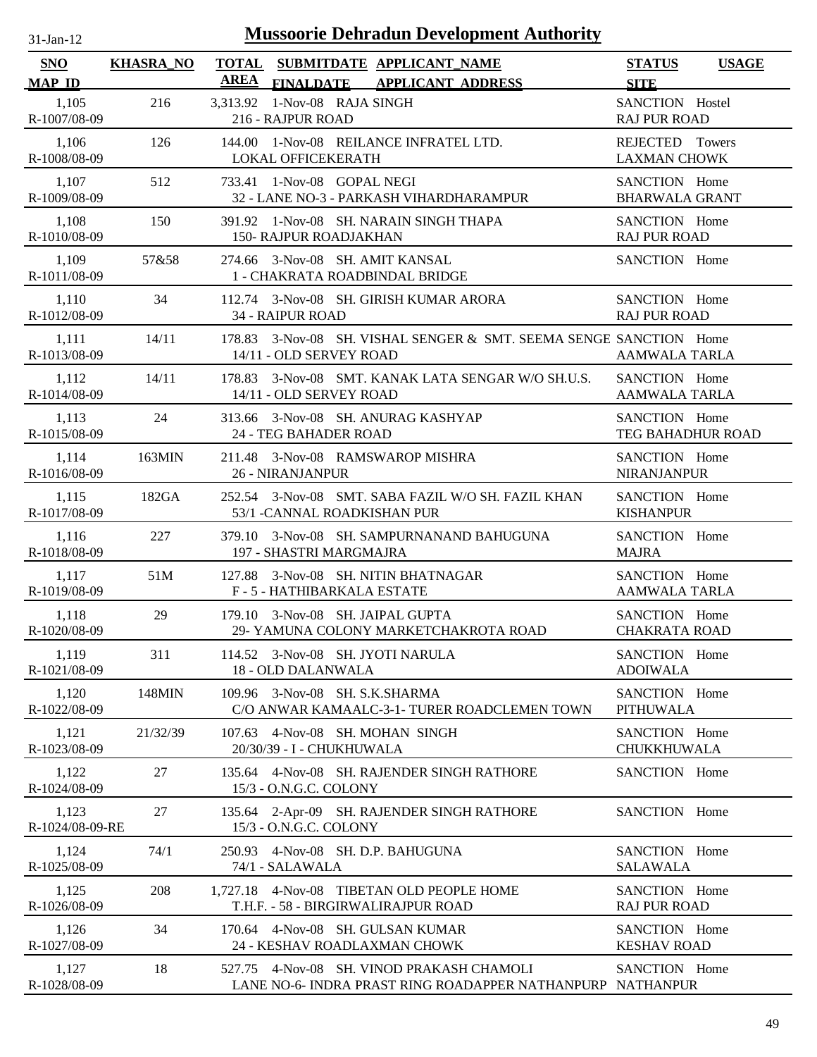| 31-Jan-12                   |                  | <b>Mussoorie Dehradun Development Authority</b>                                                         |                                              |  |
|-----------------------------|------------------|---------------------------------------------------------------------------------------------------------|----------------------------------------------|--|
| <b>SNO</b><br><b>MAP ID</b> | <b>KHASRA_NO</b> | <b>TOTAL</b><br>SUBMITDATE APPLICANT_NAME<br><b>AREA</b><br>FINALDATE APPLICANT ADDRESS                 | <b>STATUS</b><br><b>USAGE</b><br><b>SITE</b> |  |
| 1,105<br>R-1007/08-09       | 216              | 1-Nov-08 RAJA SINGH<br>3.313.92<br>216 - RAJPUR ROAD                                                    | SANCTION Hostel<br><b>RAJ PUR ROAD</b>       |  |
| 1,106<br>R-1008/08-09       | 126              | 144.00 1-Nov-08 REILANCE INFRATEL LTD.<br>LOKAL OFFICEKERATH                                            | REJECTED Towers<br><b>LAXMAN CHOWK</b>       |  |
| 1,107<br>R-1009/08-09       | 512              | 733.41 1-Nov-08 GOPAL NEGI<br>32 - LANE NO-3 - PARKASH VIHARDHARAMPUR                                   | SANCTION Home<br><b>BHARWALA GRANT</b>       |  |
| 1,108<br>R-1010/08-09       | 150              | 391.92 1-Nov-08 SH. NARAIN SINGH THAPA<br><b>150- RAJPUR ROADJAKHAN</b>                                 | SANCTION Home<br><b>RAJ PUR ROAD</b>         |  |
| 1,109<br>R-1011/08-09       | 57&58            | 274.66 3-Nov-08 SH. AMIT KANSAL<br>1 - CHAKRATA ROADBINDAL BRIDGE                                       | SANCTION Home                                |  |
| 1,110<br>R-1012/08-09       | 34               | 112.74 3-Nov-08 SH. GIRISH KUMAR ARORA<br>34 - RAIPUR ROAD                                              | SANCTION Home<br><b>RAJ PUR ROAD</b>         |  |
| 1,111<br>R-1013/08-09       | 14/11            | 3-Nov-08 SH, VISHAL SENGER & SMT, SEEMA SENGE SANCTION Home<br>178.83<br>14/11 - OLD SERVEY ROAD        | <b>AAMWALA TARLA</b>                         |  |
| 1,112<br>R-1014/08-09       | 14/11            | 3-Nov-08 SMT. KANAK LATA SENGAR W/O SH.U.S.<br>178.83<br>14/11 - OLD SERVEY ROAD                        | SANCTION Home<br><b>AAMWALA TARLA</b>        |  |
| 1,113<br>R-1015/08-09       | 24               | 3-Nov-08 SH. ANURAG KASHYAP<br>313.66<br>24 - TEG BAHADER ROAD                                          | SANCTION Home<br>TEG BAHADHUR ROAD           |  |
| 1,114<br>R-1016/08-09       | 163MIN           | 211.48 3-Nov-08 RAMSWAROP MISHRA<br><b>26 - NIRANJANPUR</b>                                             | SANCTION Home<br><b>NIRANJANPUR</b>          |  |
| 1,115<br>R-1017/08-09       | 182GA            | 252.54 3-Nov-08 SMT, SABA FAZIL W/O SH, FAZIL KHAN<br>53/1 - CANNAL ROADKISHAN PUR                      | SANCTION Home<br><b>KISHANPUR</b>            |  |
| 1,116<br>R-1018/08-09       | 227              | 379.10 3-Nov-08 SH. SAMPURNANAND BAHUGUNA<br>197 - SHASTRI MARGMAJRA                                    | SANCTION Home<br><b>MAJRA</b>                |  |
| 1,117<br>R-1019/08-09       | 51M              | 3-Nov-08 SH. NITIN BHATNAGAR<br>127.88<br>F - 5 - HATHIBARKALA ESTATE                                   | SANCTION Home<br><b>AAMWALA TARLA</b>        |  |
| 1,118<br>R-1020/08-09       | 29               | 179.10 3-Nov-08 SH. JAIPAL GUPTA<br>29- YAMUNA COLONY MARKETCHAKROTA ROAD                               | SANCTION Home<br><b>CHAKRATA ROAD</b>        |  |
| 1,119<br>R-1021/08-09       | 311              | 114.52 3-Nov-08 SH. JYOTI NARULA<br>18 - OLD DALANWALA                                                  | SANCTION Home<br><b>ADOIWALA</b>             |  |
| 1,120<br>R-1022/08-09       | 148MIN           | 109.96 3-Nov-08 SH. S.K.SHARMA<br>C/O ANWAR KAMAALC-3-1- TURER ROADCLEMEN TOWN                          | SANCTION Home<br><b>PITHUWALA</b>            |  |
| 1,121<br>R-1023/08-09       | 21/32/39         | 107.63 4-Nov-08 SH. MOHAN SINGH<br>20/30/39 - I - CHUKHUWALA                                            | SANCTION Home<br>CHUKKHUWALA                 |  |
| 1,122<br>R-1024/08-09       | 27               | 4-Nov-08 SH. RAJENDER SINGH RATHORE<br>135.64<br>15/3 - O.N.G.C. COLONY                                 | SANCTION Home                                |  |
| 1,123<br>R-1024/08-09-RE    | 27               | 135.64 2-Apr-09 SH. RAJENDER SINGH RATHORE<br>15/3 - O.N.G.C. COLONY                                    | SANCTION Home                                |  |
| 1,124<br>R-1025/08-09       | 74/1             | 4-Nov-08 SH. D.P. BAHUGUNA<br>250.93<br>74/1 - SALAWALA                                                 | SANCTION Home<br><b>SALAWALA</b>             |  |
| 1,125<br>R-1026/08-09       | 208              | 4-Nov-08 TIBETAN OLD PEOPLE HOME<br>1,727.18<br>T.H.F. - 58 - BIRGIRWALIRAJPUR ROAD                     | SANCTION Home<br><b>RAJ PUR ROAD</b>         |  |
| 1,126<br>R-1027/08-09       | 34               | 170.64 4-Nov-08 SH. GULSAN KUMAR<br>24 - KESHAV ROADLAXMAN CHOWK                                        | SANCTION Home<br><b>KESHAV ROAD</b>          |  |
| 1,127<br>R-1028/08-09       | 18               | 527.75 4-Nov-08 SH. VINOD PRAKASH CHAMOLI<br>LANE NO-6- INDRA PRAST RING ROADAPPER NATHANPURP NATHANPUR | SANCTION Home                                |  |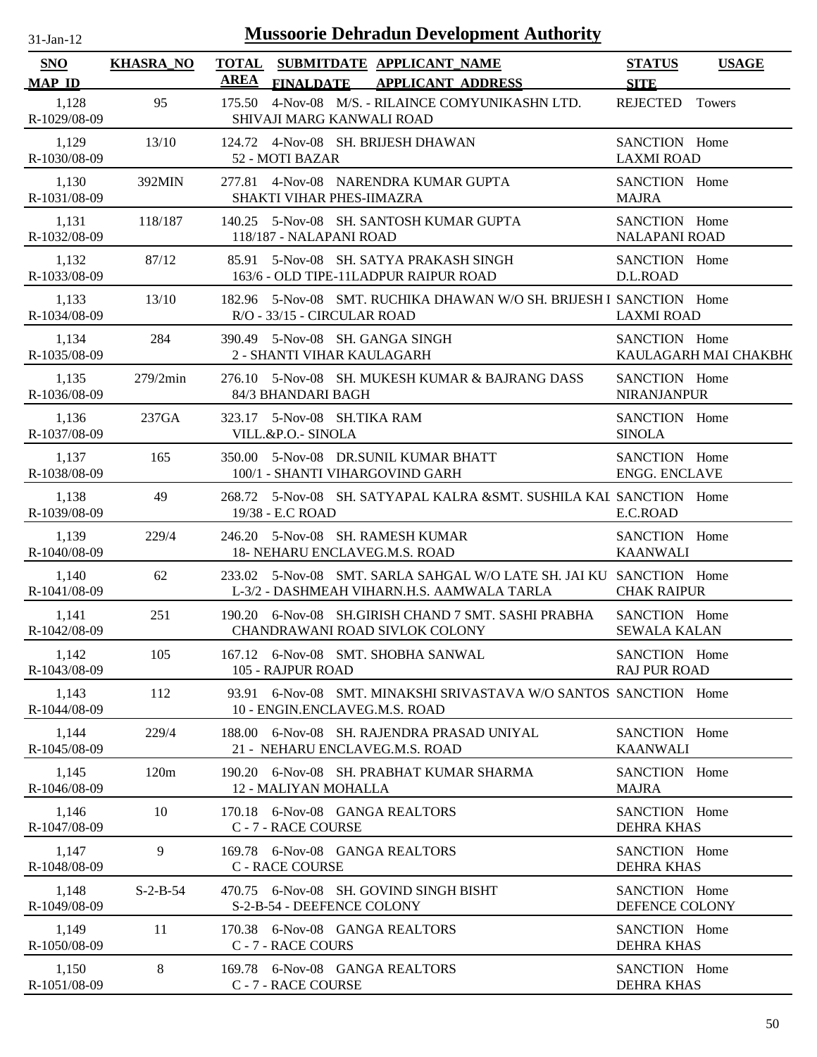| $31$ -Jan-12                | <b>Mussoorie Dehradun Development Authority</b> |             |                                                                                                                   |                                       |                       |
|-----------------------------|-------------------------------------------------|-------------|-------------------------------------------------------------------------------------------------------------------|---------------------------------------|-----------------------|
| <b>SNO</b><br><b>MAP ID</b> | <b>KHASRA_NO</b>                                | <b>AREA</b> | TOTAL SUBMITDATE APPLICANT NAME<br><b>FINALDATE</b><br><b>APPLICANT ADDRESS</b>                                   | <b>STATUS</b><br><b>SITE</b>          | <b>USAGE</b>          |
| 1,128<br>R-1029/08-09       | 95                                              | 175.50      | 4-Nov-08 M/S. - RILAINCE COMYUNIKASHN LTD.<br>SHIVAJI MARG KANWALI ROAD                                           | <b>REJECTED</b>                       | <b>Towers</b>         |
| 1,129<br>R-1030/08-09       | 13/10                                           |             | 124.72 4-Nov-08 SH. BRIJESH DHAWAN<br>52 - MOTI BAZAR                                                             | SANCTION Home<br><b>LAXMI ROAD</b>    |                       |
| 1,130<br>R-1031/08-09       | 392MIN                                          |             | 277.81 4-Nov-08 NARENDRA KUMAR GUPTA<br>SHAKTI VIHAR PHES-IIMAZRA                                                 | SANCTION Home<br><b>MAJRA</b>         |                       |
| 1,131<br>R-1032/08-09       | 118/187                                         |             | 140.25 5-Nov-08 SH, SANTOSH KUMAR GUPTA<br>118/187 - NALAPANI ROAD                                                | SANCTION Home<br><b>NALAPANI ROAD</b> |                       |
| 1,132<br>R-1033/08-09       | 87/12                                           |             | 85.91 5-Nov-08 SH. SATYA PRAKASH SINGH<br>163/6 - OLD TIPE-11LADPUR RAIPUR ROAD                                   | SANCTION Home<br>D.L.ROAD             |                       |
| 1,133<br>R-1034/08-09       | 13/10                                           |             | 182.96 5-Nov-08 SMT, RUCHIKA DHAWAN W/O SH, BRIJESH I SANCTION Home<br>R/O - 33/15 - CIRCULAR ROAD                | <b>LAXMI ROAD</b>                     |                       |
| 1,134<br>R-1035/08-09       | 284                                             |             | 390.49 5-Nov-08 SH, GANGA SINGH<br>2 - SHANTI VIHAR KAULAGARH                                                     | SANCTION Home                         | KAULAGARH MAI CHAKBH( |
| 1,135<br>R-1036/08-09       | 279/2min                                        |             | 276.10 5-Nov-08 SH. MUKESH KUMAR & BAJRANG DASS<br>84/3 BHANDARI BAGH                                             | SANCTION Home<br><b>NIRANJANPUR</b>   |                       |
| 1,136<br>R-1037/08-09       | 237GA                                           |             | 323.17 5-Nov-08 SH.TIKA RAM<br>VILL.&P.O.- SINOLA                                                                 | SANCTION Home<br><b>SINOLA</b>        |                       |
| 1,137<br>R-1038/08-09       | 165                                             |             | 350.00 5-Nov-08 DR.SUNIL KUMAR BHATT<br>100/1 - SHANTI VIHARGOVIND GARH                                           | SANCTION Home<br><b>ENGG. ENCLAVE</b> |                       |
| 1,138<br>R-1039/08-09       | 49                                              |             | 268.72 5-Nov-08 SH. SATYAPAL KALRA &SMT. SUSHILA KAL SANCTION Home<br>19/38 - E.C ROAD                            | E.C.ROAD                              |                       |
| 1,139<br>R-1040/08-09       | 229/4                                           |             | 246.20 5-Nov-08 SH. RAMESH KUMAR<br>18- NEHARU ENCLAVEG.M.S. ROAD                                                 | SANCTION Home<br><b>KAANWALI</b>      |                       |
| 1,140<br>R-1041/08-09       | 62                                              |             | 233.02 5-Nov-08 SMT. SARLA SAHGAL W/O LATE SH. JAI KU SANCTION Home<br>L-3/2 - DASHMEAH VIHARN.H.S. AAMWALA TARLA | <b>CHAK RAIPUR</b>                    |                       |
| 1,141<br>R-1042/08-09       | 251                                             |             | 190.20 6-Nov-08 SH.GIRISH CHAND 7 SMT. SASHI PRABHA<br>CHANDRAWANI ROAD SIVLOK COLONY                             | SANCTION Home<br><b>SEWALA KALAN</b>  |                       |
| 1,142<br>R-1043/08-09       | 105                                             |             | 167.12 6-Nov-08 SMT. SHOBHA SANWAL<br>105 - RAJPUR ROAD                                                           | SANCTION Home<br><b>RAJ PUR ROAD</b>  |                       |
| 1,143<br>R-1044/08-09       | 112                                             |             | 93.91 6-Nov-08 SMT. MINAKSHI SRIVASTAVA W/O SANTOS SANCTION Home<br>10 - ENGIN.ENCLAVEG.M.S. ROAD                 |                                       |                       |
| 1,144<br>R-1045/08-09       | 229/4                                           |             | 188.00 6-Nov-08 SH, RAJENDRA PRASAD UNIYAL<br>21 - NEHARU ENCLAVEG.M.S. ROAD                                      | SANCTION Home<br><b>KAANWALI</b>      |                       |
| 1,145<br>R-1046/08-09       | 120m                                            |             | 190.20 6-Nov-08 SH. PRABHAT KUMAR SHARMA<br>12 - MALIYAN MOHALLA                                                  | SANCTION Home<br><b>MAJRA</b>         |                       |
| 1,146<br>R-1047/08-09       | 10                                              |             | 170.18 6-Nov-08 GANGA REALTORS<br>C - 7 - RACE COURSE                                                             | SANCTION Home<br>DEHRA KHAS           |                       |
| 1,147<br>R-1048/08-09       | 9                                               |             | 169.78 6-Nov-08 GANGA REALTORS<br><b>C - RACE COURSE</b>                                                          | SANCTION Home<br><b>DEHRA KHAS</b>    |                       |
| 1,148<br>R-1049/08-09       | $S-2-B-54$                                      |             | 470.75 6-Nov-08 SH. GOVIND SINGH BISHT<br>S-2-B-54 - DEEFENCE COLONY                                              | SANCTION Home<br>DEFENCE COLONY       |                       |
| 1,149<br>R-1050/08-09       | 11                                              |             | 170.38 6-Nov-08 GANGA REALTORS<br>C - 7 - RACE COURS                                                              | SANCTION Home<br><b>DEHRA KHAS</b>    |                       |
| 1,150<br>R-1051/08-09       | 8                                               |             | 169.78 6-Nov-08 GANGA REALTORS<br>C - 7 - RACE COURSE                                                             | SANCTION Home<br><b>DEHRA KHAS</b>    |                       |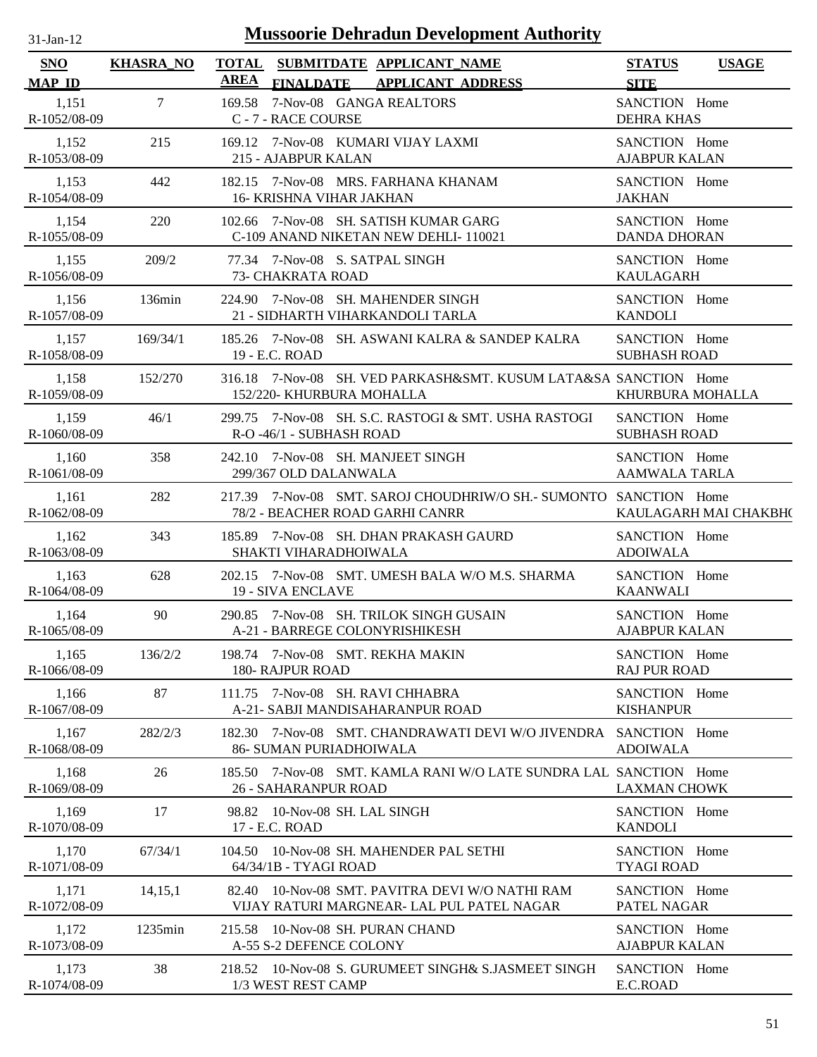| 31-Jan-12                   |                  | <b>Mussoorie Dehradun Development Authority</b>                                                      |                                              |
|-----------------------------|------------------|------------------------------------------------------------------------------------------------------|----------------------------------------------|
| <b>SNO</b><br><b>MAP ID</b> | <b>KHASRA_NO</b> | TOTAL SUBMITDATE APPLICANT NAME<br>AREA<br><b>FINALDATE</b><br><b>APPLICANT ADDRESS</b>              | <b>STATUS</b><br><b>USAGE</b><br><b>SITE</b> |
| 1,151<br>R-1052/08-09       | $\tau$           | 7-Nov-08 GANGA REALTORS<br>169.58<br>C - 7 - RACE COURSE                                             | SANCTION Home<br><b>DEHRA KHAS</b>           |
| 1,152                       | 215              | 169.12 7-Nov-08 KUMARI VIJAY LAXMI                                                                   | SANCTION Home                                |
| R-1053/08-09                |                  | 215 - AJABPUR KALAN                                                                                  | <b>AJABPUR KALAN</b>                         |
| 1,153                       | 442              | 182.15 7-Nov-08 MRS. FARHANA KHANAM                                                                  | SANCTION Home                                |
| R-1054/08-09                |                  | <b>16- KRISHNA VIHAR JAKHAN</b>                                                                      | <b>JAKHAN</b>                                |
| 1,154                       | 220              | 102.66 7-Nov-08 SH. SATISH KUMAR GARG                                                                | SANCTION Home                                |
| R-1055/08-09                |                  | C-109 ANAND NIKETAN NEW DEHLI-110021                                                                 | <b>DANDA DHORAN</b>                          |
| 1,155                       | 209/2            | 77.34 7-Nov-08 S. SATPAL SINGH                                                                       | SANCTION Home                                |
| R-1056/08-09                |                  | 73- CHAKRATA ROAD                                                                                    | <b>KAULAGARH</b>                             |
| 1,156                       | 136min           | 224.90 7-Nov-08 SH. MAHENDER SINGH                                                                   | SANCTION Home                                |
| R-1057/08-09                |                  | 21 - SIDHARTH VIHARKANDOLI TARLA                                                                     | <b>KANDOLI</b>                               |
| 1,157                       | 169/34/1         | 185.26 7-Nov-08 SH. ASWANI KALRA & SANDEP KALRA                                                      | SANCTION Home                                |
| R-1058/08-09                |                  | 19 - E.C. ROAD                                                                                       | <b>SUBHASH ROAD</b>                          |
| 1,158<br>R-1059/08-09       | 152/270          | 316.18 7-Nov-08 SH. VED PARKASH&SMT. KUSUM LATA&SA SANCTION Home<br>152/220- KHURBURA MOHALLA        | KHURBURA MOHALLA                             |
| 1,159                       | 46/1             | 299.75 7-Nov-08 SH, S.C. RASTOGI & SMT, USHA RASTOGI                                                 | SANCTION Home                                |
| R-1060/08-09                |                  | R-O -46/1 - SUBHASH ROAD                                                                             | <b>SUBHASH ROAD</b>                          |
| 1,160                       | 358              | 242.10 7-Nov-08 SH. MANJEET SINGH                                                                    | SANCTION Home                                |
| R-1061/08-09                |                  | 299/367 OLD DALANWALA                                                                                | AAMWALA TARLA                                |
| 1,161<br>R-1062/08-09       | 282              | 217.39 7-Nov-08 SMT. SAROJ CHOUDHRIW/O SH.- SUMONTO SANCTION Home<br>78/2 - BEACHER ROAD GARHI CANRR | KAULAGARH MAI CHAKBH(                        |
| 1,162                       | 343              | 185.89 7-Nov-08 SH. DHAN PRAKASH GAURD                                                               | SANCTION Home                                |
| R-1063/08-09                |                  | SHAKTI VIHARADHOIWALA                                                                                | <b>ADOIWALA</b>                              |
| 1,163                       | 628              | 202.15 7-Nov-08 SMT, UMESH BALA W/O M.S. SHARMA                                                      | SANCTION Home                                |
| R-1064/08-09                |                  | <b>19 - SIVA ENCLAVE</b>                                                                             | <b>KAANWALI</b>                              |
| 1,164                       | 90               | 290.85 7-Nov-08 SH. TRILOK SINGH GUSAIN                                                              | SANCTION Home                                |
| R-1065/08-09                |                  | A-21 - BARREGE COLONYRISHIKESH                                                                       | <b>AJABPUR KALAN</b>                         |
| 1,165                       | 136/2/2          | 198.74 7-Nov-08 SMT. REKHA MAKIN                                                                     | SANCTION Home                                |
| R-1066/08-09                |                  | <b>180- RAJPUR ROAD</b>                                                                              | <b>RAJ PUR ROAD</b>                          |
| 1,166<br>R-1067/08-09       | 87               | 7-Nov-08 SH, RAVI CHHABRA<br>111.75<br>A-21- SABJI MANDISAHARANPUR ROAD                              | SANCTION Home<br><b>KISHANPUR</b>            |
| 1,167                       | 282/2/3          | 182.30 7-Nov-08 SMT. CHANDRAWATI DEVI W/O JIVENDRA                                                   | SANCTION Home                                |
| R-1068/08-09                |                  | 86- SUMAN PURIADHOIWALA                                                                              | <b>ADOIWALA</b>                              |
| 1,168<br>R-1069/08-09       | 26               | 185.50 7-Nov-08 SMT, KAMLA RANI W/O LATE SUNDRA LAL SANCTION Home<br><b>26 - SAHARANPUR ROAD</b>     | <b>LAXMAN CHOWK</b>                          |
| 1,169                       | 17               | 98.82 10-Nov-08 SH. LAL SINGH                                                                        | SANCTION Home                                |
| R-1070/08-09                |                  | 17 - E.C. ROAD                                                                                       | <b>KANDOLI</b>                               |
| 1,170                       | 67/34/1          | 104.50 10-Nov-08 SH. MAHENDER PAL SETHI                                                              | SANCTION Home                                |
| R-1071/08-09                |                  | 64/34/1B - TYAGI ROAD                                                                                | <b>TYAGI ROAD</b>                            |
| 1,171                       | 14, 15, 1        | 82.40 10-Nov-08 SMT. PAVITRA DEVI W/O NATHI RAM                                                      | SANCTION Home                                |
| R-1072/08-09                |                  | VIJAY RATURI MARGNEAR- LAL PUL PATEL NAGAR                                                           | PATEL NAGAR                                  |
| 1,172                       | 1235min          | 215.58 10-Nov-08 SH. PURAN CHAND                                                                     | SANCTION Home                                |
| R-1073/08-09                |                  | A-55 S-2 DEFENCE COLONY                                                                              | <b>AJABPUR KALAN</b>                         |
| 1,173                       | 38               | 218.52 10-Nov-08 S. GURUMEET SINGH& S.JASMEET SINGH                                                  | SANCTION Home                                |
| R-1074/08-09                |                  | 1/3 WEST REST CAMP                                                                                   | E.C.ROAD                                     |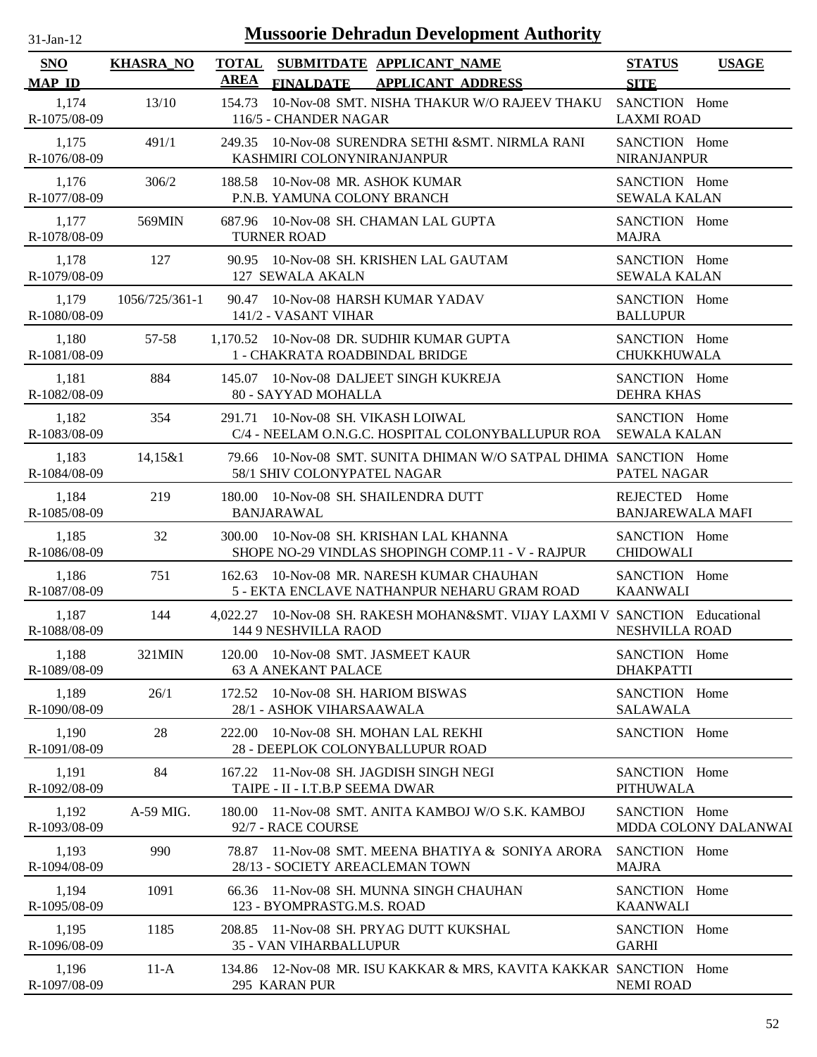| $31-Jan-12$                 |                  |                             | <b>Mussoorie Dehradun Development Authority</b>                                                      |                                          |                      |
|-----------------------------|------------------|-----------------------------|------------------------------------------------------------------------------------------------------|------------------------------------------|----------------------|
| <b>SNO</b><br><b>MAP ID</b> | <b>KHASRA_NO</b> | <b>TOTAL</b><br><b>AREA</b> | SUBMITDATE APPLICANT NAME<br><b>FINALDATE</b><br><b>APPLICANT ADDRESS</b>                            | <b>STATUS</b><br><b>SITE</b>             | <b>USAGE</b>         |
| 1,174<br>R-1075/08-09       | 13/10            | 154.73                      | 10-Nov-08 SMT. NISHA THAKUR W/O RAJEEV THAKU<br>116/5 - CHANDER NAGAR                                | SANCTION Home<br><b>LAXMI ROAD</b>       |                      |
| 1,175<br>R-1076/08-09       | 491/1            |                             | 249.35 10-Nov-08 SURENDRA SETHI & SMT. NIRMLA RANI<br>KASHMIRI COLONYNIRANJANPUR                     | SANCTION Home<br><b>NIRANJANPUR</b>      |                      |
| 1,176<br>R-1077/08-09       | 306/2            |                             | 188.58 10-Nov-08 MR. ASHOK KUMAR<br>P.N.B. YAMUNA COLONY BRANCH                                      | SANCTION Home<br><b>SEWALA KALAN</b>     |                      |
| 1,177<br>R-1078/08-09       | 569MIN           |                             | 687.96 10-Nov-08 SH. CHAMAN LAL GUPTA<br><b>TURNER ROAD</b>                                          | SANCTION Home<br><b>MAJRA</b>            |                      |
| 1,178<br>R-1079/08-09       | 127              |                             | 90.95 10-Nov-08 SH. KRISHEN LAL GAUTAM<br>127 SEWALA AKALN                                           | SANCTION Home<br><b>SEWALA KALAN</b>     |                      |
| 1,179<br>R-1080/08-09       | 1056/725/361-1   | 90.47                       | 10-Nov-08 HARSH KUMAR YADAV<br>141/2 - VASANT VIHAR                                                  | SANCTION Home<br><b>BALLUPUR</b>         |                      |
| 1,180<br>R-1081/08-09       | 57-58            |                             | 1,170.52 10-Nov-08 DR. SUDHIR KUMAR GUPTA<br>1 - CHAKRATA ROADBINDAL BRIDGE                          | SANCTION Home<br>CHUKKHUWALA             |                      |
| 1,181<br>R-1082/08-09       | 884              |                             | 145.07 10-Nov-08 DALJEET SINGH KUKREJA<br>80 - SAYYAD MOHALLA                                        | SANCTION Home<br><b>DEHRA KHAS</b>       |                      |
| 1,182<br>R-1083/08-09       | 354              |                             | 291.71 10-Nov-08 SH. VIKASH LOIWAL<br>C/4 - NEELAM O.N.G.C. HOSPITAL COLONYBALLUPUR ROA SEWALA KALAN | SANCTION Home                            |                      |
| 1,183<br>R-1084/08-09       | 14,15&1          |                             | 79.66 10-Nov-08 SMT. SUNITA DHIMAN W/O SATPAL DHIMA SANCTION Home<br>58/1 SHIV COLONYPATEL NAGAR     | PATEL NAGAR                              |                      |
| 1,184<br>R-1085/08-09       | 219              |                             | 180.00 10-Nov-08 SH. SHAILENDRA DUTT<br><b>BANJARAWAL</b>                                            | REJECTED Home<br><b>BANJAREWALA MAFI</b> |                      |
| 1,185<br>R-1086/08-09       | 32               |                             | 300.00 10-Nov-08 SH. KRISHAN LAL KHANNA<br>SHOPE NO-29 VINDLAS SHOPINGH COMP.11 - V - RAJPUR         | SANCTION Home<br><b>CHIDOWALI</b>        |                      |
| 1,186<br>R-1087/08-09       | 751              | 162.63                      | 10-Nov-08 MR. NARESH KUMAR CHAUHAN<br>5 - EKTA ENCLAVE NATHANPUR NEHARU GRAM ROAD                    | SANCTION Home<br><b>KAANWALI</b>         |                      |
| 1,187<br>R-1088/08-09       | 144              |                             | 4,022.27 10-Nov-08 SH. RAKESH MOHAN&SMT. VIJAY LAXMI V SANCTION Educational<br>144 9 NESHVILLA RAOD  | <b>NESHVILLA ROAD</b>                    |                      |
| 1,188<br>R-1089/08-09       | 321MIN           |                             | 120.00 10-Nov-08 SMT. JASMEET KAUR<br><b>63 A ANEKANT PALACE</b>                                     | SANCTION Home<br><b>DHAKPATTI</b>        |                      |
| 1,189<br>R-1090/08-09       | 26/1             | 172.52                      | 10-Nov-08 SH. HARIOM BISWAS<br>28/1 - ASHOK VIHARSAAWALA                                             | SANCTION Home<br><b>SALAWALA</b>         |                      |
| 1,190<br>R-1091/08-09       | 28               | 222.00                      | 10-Nov-08 SH. MOHAN LAL REKHI<br>28 - DEEPLOK COLONYBALLUPUR ROAD                                    | SANCTION Home                            |                      |
| 1,191<br>R-1092/08-09       | 84               | 167.22                      | 11-Nov-08 SH. JAGDISH SINGH NEGI<br>TAIPE - II - I.T.B.P SEEMA DWAR                                  | SANCTION Home<br><b>PITHUWALA</b>        |                      |
| 1,192<br>R-1093/08-09       | A-59 MIG.        | 180.00                      | 11-Nov-08 SMT. ANITA KAMBOJ W/O S.K. KAMBOJ<br>92/7 - RACE COURSE                                    | SANCTION Home                            | MDDA COLONY DALANWAI |
| 1,193<br>R-1094/08-09       | 990              | 78.87                       | 11-Nov-08 SMT. MEENA BHATIYA & SONIYA ARORA<br>28/13 - SOCIETY AREACLEMAN TOWN                       | SANCTION Home<br><b>MAJRA</b>            |                      |
| 1,194<br>R-1095/08-09       | 1091             | 66.36                       | 11-Nov-08 SH. MUNNA SINGH CHAUHAN<br>123 - BYOMPRASTG.M.S. ROAD                                      | SANCTION Home<br><b>KAANWALI</b>         |                      |
| 1,195<br>R-1096/08-09       | 1185             | 208.85                      | 11-Nov-08 SH. PRYAG DUTT KUKSHAL<br><b>35 - VAN VIHARBALLUPUR</b>                                    | SANCTION Home<br><b>GARHI</b>            |                      |
| 1,196<br>R-1097/08-09       | $11-A$           |                             | 134.86 12-Nov-08 MR. ISU KAKKAR & MRS, KAVITA KAKKAR SANCTION Home<br>295 KARAN PUR                  | <b>NEMI ROAD</b>                         |                      |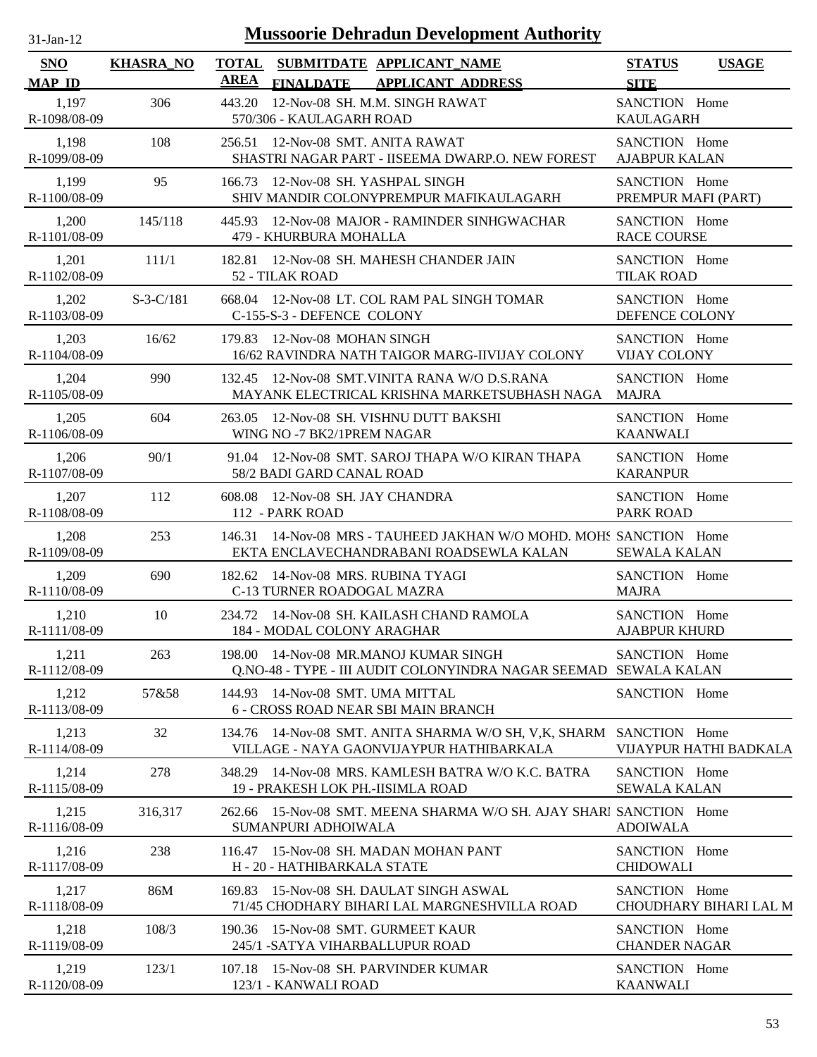| $31-Jan-12$                 |                  |                             | <b>Mussoorie Dehradun Development Authority</b>                                                                  |                                       |                        |
|-----------------------------|------------------|-----------------------------|------------------------------------------------------------------------------------------------------------------|---------------------------------------|------------------------|
| <b>SNO</b><br><b>MAP ID</b> | <b>KHASRA_NO</b> | <b>TOTAL</b><br><b>AREA</b> | SUBMITDATE APPLICANT_NAME<br><b>APPLICANT ADDRESS</b><br><b>FINALDATE</b>                                        | <b>STATUS</b><br><b>SITE</b>          | <b>USAGE</b>           |
| 1,197<br>R-1098/08-09       | 306              | 443.20                      | 12-Nov-08 SH. M.M. SINGH RAWAT<br>570/306 - KAULAGARH ROAD                                                       | SANCTION Home<br><b>KAULAGARH</b>     |                        |
| 1,198<br>R-1099/08-09       | 108              |                             | 256.51 12-Nov-08 SMT. ANITA RAWAT<br>SHASTRI NAGAR PART - IISEEMA DWARP.O. NEW FOREST                            | SANCTION Home<br><b>AJABPUR KALAN</b> |                        |
| 1,199<br>R-1100/08-09       | 95               |                             | 166.73 12-Nov-08 SH. YASHPAL SINGH<br>SHIV MANDIR COLONYPREMPUR MAFIKAULAGARH                                    | SANCTION Home<br>PREMPUR MAFI (PART)  |                        |
| 1,200<br>R-1101/08-09       | 145/118          | 445.93                      | 12-Nov-08 MAJOR - RAMINDER SINHGWACHAR<br>479 - KHURBURA MOHALLA                                                 | SANCTION Home<br><b>RACE COURSE</b>   |                        |
| 1,201<br>R-1102/08-09       | 111/1            |                             | 182.81 12-Nov-08 SH. MAHESH CHANDER JAIN<br>52 - TILAK ROAD                                                      | SANCTION Home<br><b>TILAK ROAD</b>    |                        |
| 1,202<br>R-1103/08-09       | $S-3-C/181$      |                             | 668.04 12-Nov-08 LT. COL RAM PAL SINGH TOMAR<br>C-155-S-3 - DEFENCE COLONY                                       | SANCTION Home<br>DEFENCE COLONY       |                        |
| 1,203<br>R-1104/08-09       | 16/62            |                             | 179.83 12-Nov-08 MOHAN SINGH<br>16/62 RAVINDRA NATH TAIGOR MARG-IIVIJAY COLONY                                   | SANCTION Home<br><b>VIJAY COLONY</b>  |                        |
| 1,204<br>R-1105/08-09       | 990              |                             | 132.45 12-Nov-08 SMT.VINITA RANA W/O D.S.RANA<br>MAYANK ELECTRICAL KRISHNA MARKETSUBHASH NAGA                    | SANCTION Home<br><b>MAJRA</b>         |                        |
| 1,205<br>R-1106/08-09       | 604              |                             | 263.05 12-Nov-08 SH. VISHNU DUTT BAKSHI<br>WING NO -7 BK2/1PREM NAGAR                                            | SANCTION Home<br><b>KAANWALI</b>      |                        |
| 1,206<br>R-1107/08-09       | 90/1             |                             | 91.04 12-Nov-08 SMT, SAROJ THAPA W/O KIRAN THAPA<br>58/2 BADI GARD CANAL ROAD                                    | SANCTION Home<br><b>KARANPUR</b>      |                        |
| 1,207<br>R-1108/08-09       | 112              |                             | 608.08 12-Nov-08 SH. JAY CHANDRA<br>112 - PARK ROAD                                                              | SANCTION Home<br>PARK ROAD            |                        |
| 1,208<br>R-1109/08-09       | 253              |                             | 146.31 14-Nov-08 MRS - TAUHEED JAKHAN W/O MOHD. MOHS SANCTION Home<br>EKTA ENCLAVECHANDRABANI ROADSEWLA KALAN    | <b>SEWALA KALAN</b>                   |                        |
| 1,209<br>R-1110/08-09       | 690              |                             | 182.62 14-Nov-08 MRS. RUBINA TYAGI<br>C-13 TURNER ROADOGAL MAZRA                                                 | SANCTION Home<br><b>MAJRA</b>         |                        |
| 1,210<br>R-1111/08-09       | 10               |                             | 234.72 14-Nov-08 SH, KAILASH CHAND RAMOLA<br>184 - MODAL COLONY ARAGHAR                                          | SANCTION Home<br><b>AJABPUR KHURD</b> |                        |
| 1,211<br>R-1112/08-09       | 263              |                             | 198.00 14-Nov-08 MR.MANOJ KUMAR SINGH<br>Q.NO-48 - TYPE - III AUDIT COLONYINDRA NAGAR SEEMAD SEWALA KALAN        | SANCTION Home                         |                        |
| 1,212<br>R-1113/08-09       | 57&58            |                             | 144.93 14-Nov-08 SMT. UMA MITTAL<br>6 - CROSS ROAD NEAR SBI MAIN BRANCH                                          | SANCTION Home                         |                        |
| 1,213<br>R-1114/08-09       | 32               |                             | 134.76 14-Nov-08 SMT. ANITA SHARMA W/O SH, V, K, SHARM SANCTION Home<br>VILLAGE - NAYA GAONVIJAYPUR HATHIBARKALA |                                       | VIJAYPUR HATHI BADKALA |
| 1,214<br>R-1115/08-09       | 278              | 348.29                      | 14-Nov-08 MRS. KAMLESH BATRA W/O K.C. BATRA<br>19 - PRAKESH LOK PH.-IISIMLA ROAD                                 | SANCTION Home<br><b>SEWALA KALAN</b>  |                        |
| 1,215<br>R-1116/08-09       | 316,317          |                             | 262.66 15-Nov-08 SMT. MEENA SHARMA W/O SH. AJAY SHARI SANCTION Home<br>SUMANPURI ADHOIWALA                       | <b>ADOIWALA</b>                       |                        |
| 1,216<br>R-1117/08-09       | 238              |                             | 116.47 15-Nov-08 SH. MADAN MOHAN PANT<br>H - 20 - HATHIBARKALA STATE                                             | SANCTION Home<br><b>CHIDOWALI</b>     |                        |
| 1,217<br>R-1118/08-09       | 86M              | 169.83                      | 15-Nov-08 SH. DAULAT SINGH ASWAL<br>71/45 CHODHARY BIHARI LAL MARGNESHVILLA ROAD                                 | SANCTION Home                         | CHOUDHARY BIHARI LAL M |
| 1,218<br>R-1119/08-09       | 108/3            |                             | 190.36 15-Nov-08 SMT. GURMEET KAUR<br>245/1 - SATYA VIHARBALLUPUR ROAD                                           | SANCTION Home<br><b>CHANDER NAGAR</b> |                        |
| 1,219<br>R-1120/08-09       | 123/1            |                             | 107.18 15-Nov-08 SH. PARVINDER KUMAR<br>123/1 - KANWALI ROAD                                                     | SANCTION Home<br><b>KAANWALI</b>      |                        |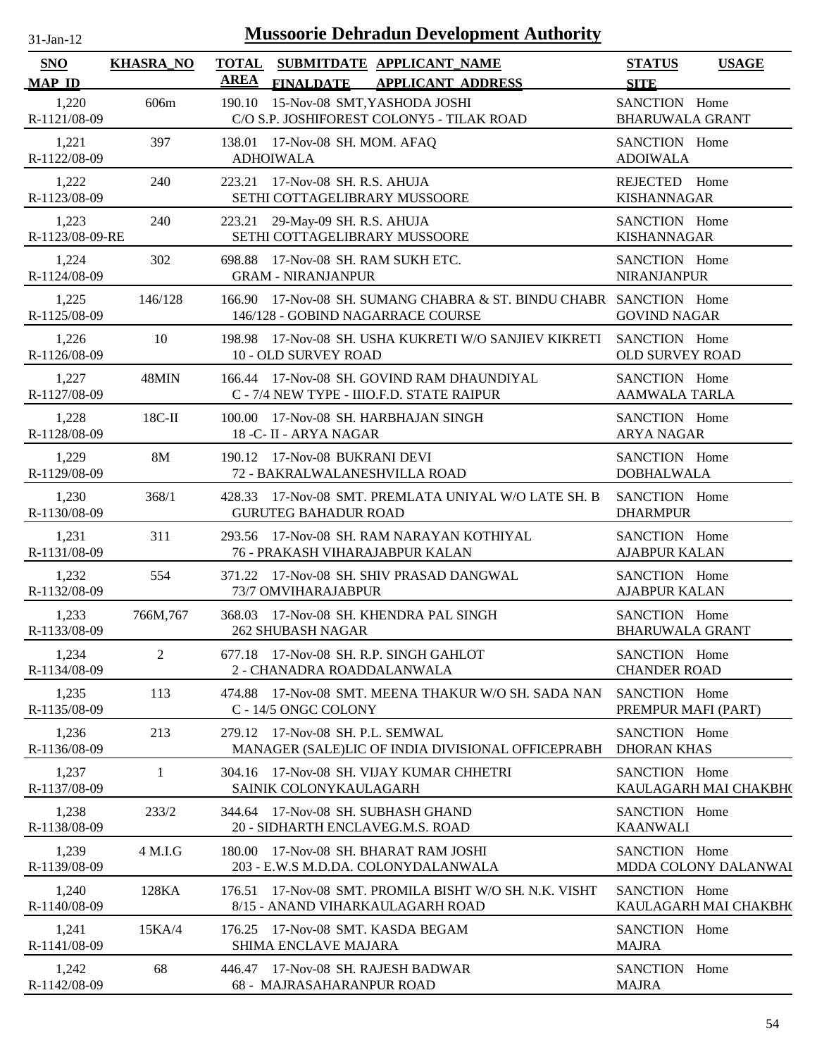| SNO                      | <b>KHASRA_NO</b> | <b>TOTAL</b>     |                                  | SUBMITDATE APPLICANT NAME                                                                               | <b>STATUS</b>                           | <b>USAGE</b>          |
|--------------------------|------------------|------------------|----------------------------------|---------------------------------------------------------------------------------------------------------|-----------------------------------------|-----------------------|
| <b>MAP ID</b>            |                  | <b>AREA</b>      | <b>FINALDATE</b>                 | <b>APPLICANT ADDRESS</b>                                                                                | <b>SITE</b>                             |                       |
| 1,220<br>R-1121/08-09    | 606m             |                  |                                  | 190.10 15-Nov-08 SMT, YASHODA JOSHI<br>C/O S.P. JOSHIFOREST COLONY5 - TILAK ROAD                        | SANCTION Home<br><b>BHARUWALA GRANT</b> |                       |
| 1,221<br>R-1122/08-09    | 397              | <b>ADHOIWALA</b> | 138.01 17-Nov-08 SH. MOM. AFAQ   |                                                                                                         | SANCTION Home<br><b>ADOIWALA</b>        |                       |
| 1,222<br>R-1123/08-09    | 240              |                  | 223.21 17-Nov-08 SH. R.S. AHUJA  | SETHI COTTAGELIBRARY MUSSOORE                                                                           | REJECTED Home<br><b>KISHANNAGAR</b>     |                       |
| 1,223<br>R-1123/08-09-RE | 240              |                  | 223.21 29-May-09 SH. R.S. AHUJA  | SETHI COTTAGELIBRARY MUSSOORE                                                                           | SANCTION Home<br><b>KISHANNAGAR</b>     |                       |
| 1,224<br>R-1124/08-09    | 302              |                  | <b>GRAM - NIRANJANPUR</b>        | 698.88 17-Nov-08 SH. RAM SUKH ETC.                                                                      | SANCTION Home<br><b>NIRANJANPUR</b>     |                       |
| 1,225<br>R-1125/08-09    | 146/128          |                  |                                  | 166.90 17-Nov-08 SH. SUMANG CHABRA & ST. BINDU CHABR SANCTION Home<br>146/128 - GOBIND NAGARRACE COURSE | <b>GOVIND NAGAR</b>                     |                       |
| 1,226<br>R-1126/08-09    | 10               |                  | 10 - OLD SURVEY ROAD             | 198.98 17-Nov-08 SH. USHA KUKRETI W/O SANJIEV KIKRETI                                                   | SANCTION Home<br><b>OLD SURVEY ROAD</b> |                       |
| 1,227<br>R-1127/08-09    | 48MIN            |                  |                                  | 166.44 17-Nov-08 SH. GOVIND RAM DHAUNDIYAL<br>C - 7/4 NEW TYPE - IIIO.F.D. STATE RAIPUR                 | SANCTION Home<br>AAMWALA TARLA          |                       |
| 1,228<br>R-1128/08-09    | $18C-H$          |                  | 18 - C- II - ARYA NAGAR          | 100.00 17-Nov-08 SH. HARBHAJAN SINGH                                                                    | SANCTION Home<br><b>ARYA NAGAR</b>      |                       |
| 1,229<br>R-1129/08-09    | <b>8M</b>        |                  | 190.12 17-Nov-08 BUKRANI DEVI    | 72 - BAKRALWALANESHVILLA ROAD                                                                           | SANCTION Home<br><b>DOBHALWALA</b>      |                       |
| 1,230<br>R-1130/08-09    | 368/1            |                  | <b>GURUTEG BAHADUR ROAD</b>      | 428.33 17-Nov-08 SMT. PREMLATA UNIYAL W/O LATE SH. B                                                    | SANCTION Home<br><b>DHARMPUR</b>        |                       |
| 1,231<br>R-1131/08-09    | 311              |                  |                                  | 293.56 17-Nov-08 SH. RAM NARAYAN KOTHIYAL<br>76 - PRAKASH VIHARAJABPUR KALAN                            | SANCTION Home<br><b>AJABPUR KALAN</b>   |                       |
| 1,232<br>R-1132/08-09    | 554              |                  | 73/7 OMVIHARAJABPUR              | 371.22 17-Nov-08 SH. SHIV PRASAD DANGWAL                                                                | SANCTION Home<br><b>AJABPUR KALAN</b>   |                       |
| 1,233<br>R-1133/08-09    | 766M, 767        |                  | <b>262 SHUBASH NAGAR</b>         | 368.03 17-Nov-08 SH. KHENDRA PAL SINGH                                                                  | SANCTION Home<br><b>BHARUWALA GRANT</b> |                       |
| 1,234<br>R-1134/08-09    | 2                |                  | 2 - CHANADRA ROADDALANWALA       | 677.18 17-Nov-08 SH. R.P. SINGH GAHLOT                                                                  | SANCTION Home<br><b>CHANDER ROAD</b>    |                       |
| 1,235<br>R-1135/08-09    | 113              |                  | C - 14/5 ONGC COLONY             | 474.88 17-Nov-08 SMT. MEENA THAKUR W/O SH. SADA NAN                                                     | SANCTION Home<br>PREMPUR MAFI (PART)    |                       |
| 1,236<br>R-1136/08-09    | 213              |                  | 279.12 17-Nov-08 SH, P.L. SEMWAL | MANAGER (SALE)LIC OF INDIA DIVISIONAL OFFICEPRABH                                                       | SANCTION Home<br><b>DHORAN KHAS</b>     |                       |
| 1,237<br>R-1137/08-09    | 1                |                  | SAINIK COLONYKAULAGARH           | 304.16 17-Nov-08 SH. VIJAY KUMAR CHHETRI                                                                | SANCTION Home                           | KAULAGARH MAI CHAKBH( |
| 1,238<br>R-1138/08-09    | 233/2            |                  |                                  | 344.64 17-Nov-08 SH, SUBHASH GHAND<br>20 - SIDHARTH ENCLAVEG.M.S. ROAD                                  | SANCTION Home<br><b>KAANWALI</b>        |                       |
| 1,239<br>R-1139/08-09    | 4 M.I.G          |                  |                                  | 180.00 17-Nov-08 SH, BHARAT RAM JOSHI<br>203 - E.W.S M.D.DA. COLONYDALANWALA                            | SANCTION Home                           | MDDA COLONY DALANWAI  |
| 1,240<br>R-1140/08-09    | 128KA            | 176.51           |                                  | 17-Nov-08 SMT. PROMILA BISHT W/O SH. N.K. VISHT<br>8/15 - ANAND VIHARKAULAGARH ROAD                     | SANCTION Home                           | KAULAGARH MAI CHAKBH( |
| 1,241<br>R-1141/08-09    | 15KA/4           |                  | <b>SHIMA ENCLAVE MAJARA</b>      | 176.25 17-Nov-08 SMT. KASDA BEGAM                                                                       | SANCTION Home<br><b>MAJRA</b>           |                       |
| 1,242<br>R-1142/08-09    | 68               |                  | 68 - MAJRASAHARANPUR ROAD        | 446.47 17-Nov-08 SH. RAJESH BADWAR                                                                      | SANCTION Home<br><b>MAJRA</b>           |                       |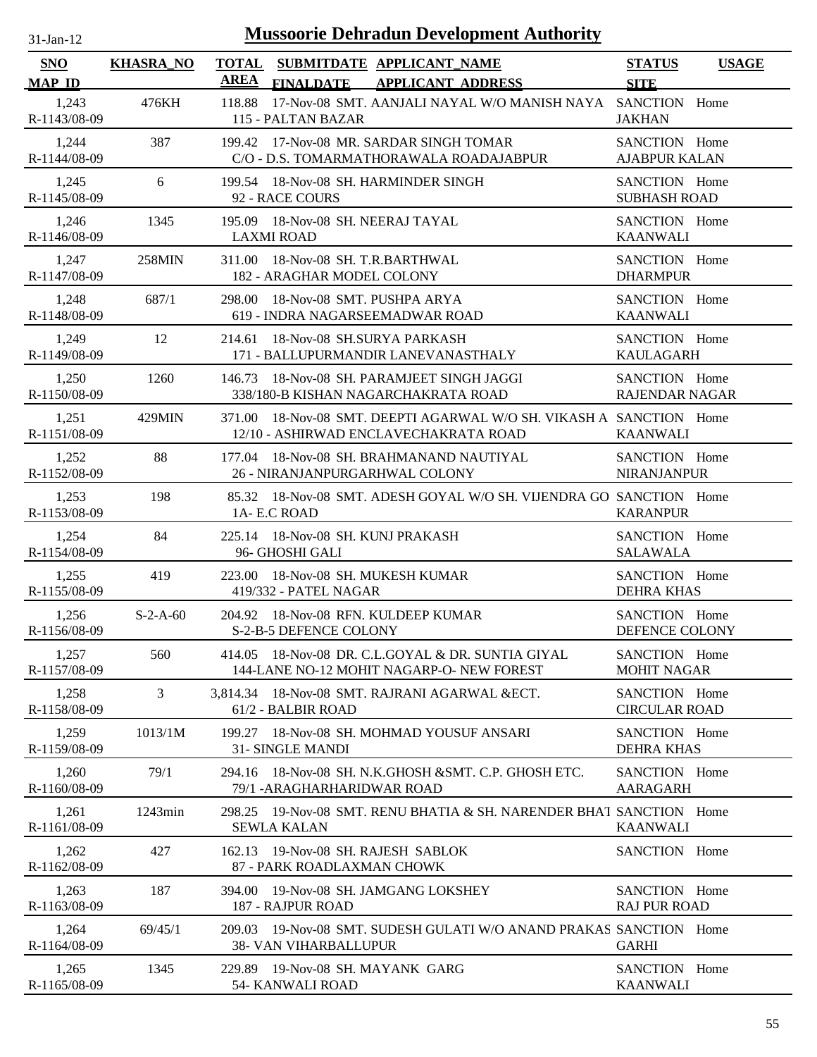| $31$ -Jan-12          |                  | <b>Mussoorie Dehradun Development Authority</b>                                                                 |                                              |
|-----------------------|------------------|-----------------------------------------------------------------------------------------------------------------|----------------------------------------------|
| SNO<br><b>MAP ID</b>  | <b>KHASRA_NO</b> | <b>TOTAL</b><br>SUBMITDATE APPLICANT_NAME<br><b>AREA</b><br><b>FINALDATE</b><br><b>APPLICANT ADDRESS</b>        | <b>STATUS</b><br><b>USAGE</b><br><b>SITE</b> |
| 1,243<br>R-1143/08-09 | 476KH            | 118.88<br>17-Nov-08 SMT. AANJALI NAYAL W/O MANISH NAYA SANCTION Home<br>115 - PALTAN BAZAR                      | <b>JAKHAN</b>                                |
| 1,244<br>R-1144/08-09 | 387              | 199.42 17-Nov-08 MR. SARDAR SINGH TOMAR<br>C/O - D.S. TOMARMATHORAWALA ROADAJABPUR                              | SANCTION Home<br><b>AJABPUR KALAN</b>        |
| 1,245<br>R-1145/08-09 | 6                | 199.54 18-Nov-08 SH. HARMINDER SINGH<br>92 - RACE COURS                                                         | SANCTION Home<br><b>SUBHASH ROAD</b>         |
| 1,246<br>R-1146/08-09 | 1345             | 195.09 18-Nov-08 SH. NEERAJ TAYAL<br><b>LAXMI ROAD</b>                                                          | SANCTION Home<br><b>KAANWALI</b>             |
| 1,247<br>R-1147/08-09 | 258MIN           | 18-Nov-08 SH. T.R.BARTHWAL<br>311.00<br>182 - ARAGHAR MODEL COLONY                                              | SANCTION Home<br><b>DHARMPUR</b>             |
| 1,248<br>R-1148/08-09 | 687/1            | 298.00<br>18-Nov-08 SMT. PUSHPA ARYA<br>619 - INDRA NAGARSEEMADWAR ROAD                                         | SANCTION Home<br><b>KAANWALI</b>             |
| 1,249<br>R-1149/08-09 | 12               | 18-Nov-08 SH.SURYA PARKASH<br>214.61<br>171 - BALLUPURMANDIR LANEVANASTHALY                                     | SANCTION Home<br><b>KAULAGARH</b>            |
| 1,250<br>R-1150/08-09 | 1260             | 18-Nov-08 SH. PARAMJEET SINGH JAGGI<br>146.73<br>338/180-B KISHAN NAGARCHAKRATA ROAD                            | SANCTION Home<br><b>RAJENDAR NAGAR</b>       |
| 1,251<br>R-1151/08-09 | 429MIN           | 18-Nov-08 SMT. DEEPTI AGARWAL W/O SH. VIKASH A SANCTION Home<br>371.00<br>12/10 - ASHIRWAD ENCLAVECHAKRATA ROAD | <b>KAANWALI</b>                              |
| 1,252<br>R-1152/08-09 | 88               | 18-Nov-08 SH. BRAHMANAND NAUTIYAL<br>177.04<br>26 - NIRANJANPURGARHWAL COLONY                                   | SANCTION Home<br><b>NIRANJANPUR</b>          |
| 1,253<br>R-1153/08-09 | 198              | 85.32 18-Nov-08 SMT, ADESH GOYAL W/O SH, VIJENDRA GO SANCTION Home<br>1A- E.C ROAD                              | <b>KARANPUR</b>                              |
| 1,254<br>R-1154/08-09 | 84               | 225.14 18-Nov-08 SH, KUNJ PRAKASH<br>96- GHOSHI GALI                                                            | SANCTION Home<br><b>SALAWALA</b>             |
| 1,255<br>R-1155/08-09 | 419              | 18-Nov-08 SH. MUKESH KUMAR<br>223.00<br>419/332 - PATEL NAGAR                                                   | SANCTION Home<br><b>DEHRA KHAS</b>           |
| 1,256<br>R-1156/08-09 | $S-2-A-60$       | 204.92 18-Nov-08 RFN, KULDEEP KUMAR<br>S-2-B-5 DEFENCE COLONY                                                   | SANCTION Home<br>DEFENCE COLONY              |
| 1,257<br>R-1157/08-09 | 560              | 414.05 18-Nov-08 DR. C.L.GOYAL & DR. SUNTIA GIYAL<br>144-LANE NO-12 MOHIT NAGARP-O-NEW FOREST                   | SANCTION Home<br><b>MOHIT NAGAR</b>          |
| 1,258<br>R-1158/08-09 | $\mathfrak{Z}$   | 3,814.34 18-Nov-08 SMT. RAJRANI AGARWAL & ECT.<br>61/2 - BALBIR ROAD                                            | SANCTION Home<br><b>CIRCULAR ROAD</b>        |
| 1,259<br>R-1159/08-09 | 1013/1M          | 18-Nov-08 SH. MOHMAD YOUSUF ANSARI<br>199.27<br>31- SINGLE MANDI                                                | SANCTION Home<br><b>DEHRA KHAS</b>           |
| 1,260<br>R-1160/08-09 | 79/1             | 18-Nov-08 SH. N.K.GHOSH &SMT. C.P. GHOSH ETC.<br>294.16<br>79/1 - ARAGHARHARIDWAR ROAD                          | SANCTION Home<br>AARAGARH                    |
| 1,261<br>R-1161/08-09 | $1243$ min       | 19-Nov-08 SMT. RENU BHATIA & SH. NARENDER BHAT SANCTION Home<br>298.25<br><b>SEWLA KALAN</b>                    | <b>KAANWALI</b>                              |
| 1,262<br>R-1162/08-09 | 427              | 19-Nov-08 SH. RAJESH SABLOK<br>162.13<br>87 - PARK ROADLAXMAN CHOWK                                             | SANCTION Home                                |
| 1,263<br>R-1163/08-09 | 187              | 19-Nov-08 SH. JAMGANG LOKSHEY<br>394.00<br>187 - RAJPUR ROAD                                                    | SANCTION Home<br><b>RAJ PUR ROAD</b>         |
| 1,264<br>R-1164/08-09 | 69/45/1          | 19-Nov-08 SMT. SUDESH GULATI W/O ANAND PRAKAS SANCTION Home<br>209.03<br><b>38- VAN VIHARBALLUPUR</b>           | <b>GARHI</b>                                 |
| 1,265<br>R-1165/08-09 | 1345             | 229.89 19-Nov-08 SH. MAYANK GARG<br>54- KANWALI ROAD                                                            | SANCTION Home<br><b>KAANWALI</b>             |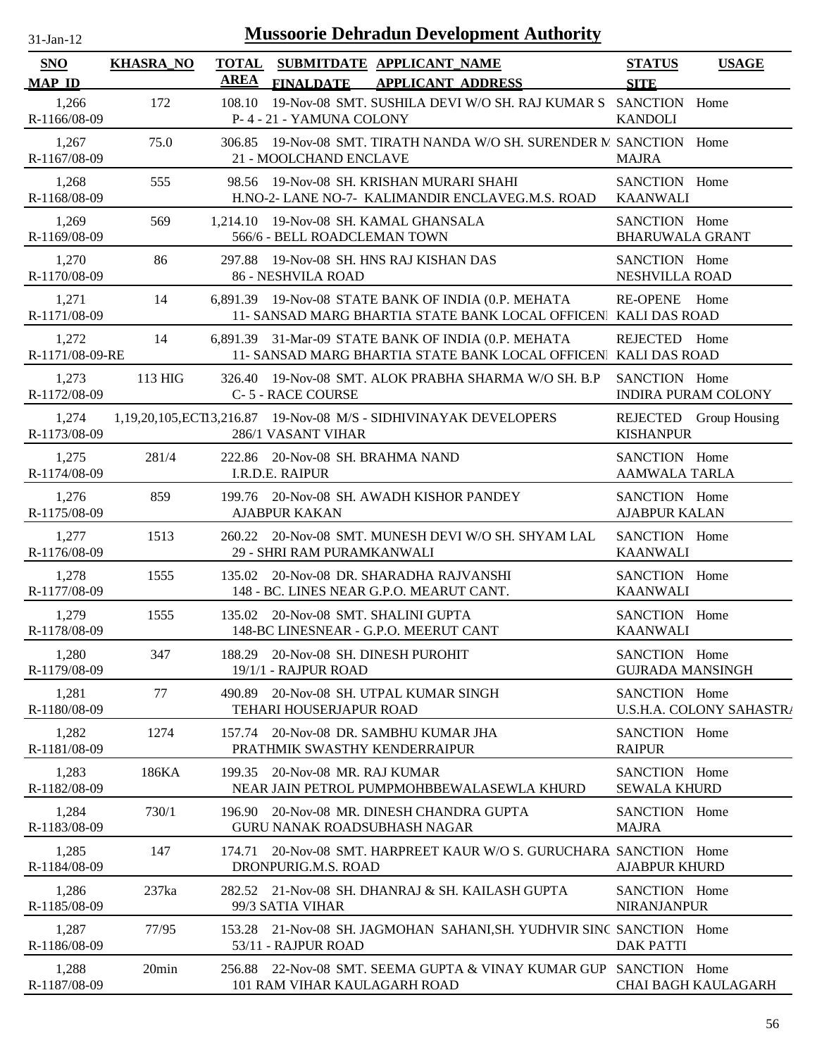| $31-Jan-12$                            |                  |             | <b>Mussoorie Dehradun Development Authority</b>                                                                         |                                                |                            |
|----------------------------------------|------------------|-------------|-------------------------------------------------------------------------------------------------------------------------|------------------------------------------------|----------------------------|
| <b>SNO</b>                             | <b>KHASRA_NO</b> | <b>AREA</b> | TOTAL SUBMITDATE APPLICANT NAME                                                                                         | <b>STATUS</b>                                  | <b>USAGE</b>               |
| <b>MAP ID</b><br>1,266<br>R-1166/08-09 | 172              | 108.10      | <b>APPLICANT ADDRESS</b><br><b>FINALDATE</b><br>19-Nov-08 SMT. SUSHILA DEVI W/O SH. RAJ KUMAR S<br>P-4-21-YAMUNA COLONY | <b>SITE</b><br>SANCTION Home<br><b>KANDOLI</b> |                            |
| 1,267<br>R-1167/08-09                  | 75.0             |             | 306.85 19-Nov-08 SMT. TIRATH NANDA W/O SH. SURENDER M SANCTION Home<br>21 - MOOLCHAND ENCLAVE                           | <b>MAJRA</b>                                   |                            |
| 1,268<br>R-1168/08-09                  | 555              |             | 98.56 19-Nov-08 SH, KRISHAN MURARI SHAHI<br>H.NO-2- LANE NO-7- KALIMANDIR ENCLAVEG.M.S. ROAD                            | SANCTION Home<br><b>KAANWALI</b>               |                            |
| 1,269<br>R-1169/08-09                  | 569              |             | 1,214.10 19-Nov-08 SH. KAMAL GHANSALA<br>566/6 - BELL ROADCLEMAN TOWN                                                   | SANCTION Home<br><b>BHARUWALA GRANT</b>        |                            |
| 1,270<br>R-1170/08-09                  | 86               |             | 297.88 19-Nov-08 SH. HNS RAJ KISHAN DAS<br>86 - NESHVILA ROAD                                                           | SANCTION Home<br>NESHVILLA ROAD                |                            |
| 1,271<br>R-1171/08-09                  | 14               |             | 6,891.39 19-Nov-08 STATE BANK OF INDIA (0.P. MEHATA<br>11- SANSAD MARG BHARTIA STATE BANK LOCAL OFFICEN KALI DAS ROAD   | RE-OPENE Home                                  |                            |
| 1,272<br>R-1171/08-09-RE               | 14               |             | 6,891.39 31-Mar-09 STATE BANK OF INDIA (0.P. MEHATA<br>11- SANSAD MARG BHARTIA STATE BANK LOCAL OFFICEN KALI DAS ROAD   | REJECTED Home                                  |                            |
| 1,273<br>R-1172/08-09                  | 113 HIG          |             | 326.40 19-Nov-08 SMT. ALOK PRABHA SHARMA W/O SH. B.P<br>C-5 - RACE COURSE                                               | SANCTION Home                                  | <b>INDIRA PURAM COLONY</b> |
| 1,274<br>R-1173/08-09                  |                  |             | 1,19,20,105, ECT13,216.87 19-Nov-08 M/S - SIDHIVINAYAK DEVELOPERS<br>286/1 VASANT VIHAR                                 | <b>KISHANPUR</b>                               | REJECTED Group Housing     |
| 1,275<br>R-1174/08-09                  | 281/4            |             | 222.86 20-Nov-08 SH. BRAHMA NAND<br>I.R.D.E. RAIPUR                                                                     | SANCTION Home<br><b>AAMWALA TARLA</b>          |                            |
| 1,276<br>R-1175/08-09                  | 859              |             | 199.76 20-Nov-08 SH. AWADH KISHOR PANDEY<br><b>AJABPUR KAKAN</b>                                                        | SANCTION Home<br><b>AJABPUR KALAN</b>          |                            |
| 1,277<br>R-1176/08-09                  | 1513             |             | 260.22 20-Nov-08 SMT. MUNESH DEVI W/O SH. SHYAM LAL<br>29 - SHRI RAM PURAMKANWALI                                       | SANCTION Home<br><b>KAANWALI</b>               |                            |
| 1,278<br>R-1177/08-09                  | 1555             |             | 135.02 20-Nov-08 DR. SHARADHA RAJVANSHI<br>148 - BC. LINES NEAR G.P.O. MEARUT CANT.                                     | SANCTION Home<br><b>KAANWALI</b>               |                            |
| 1,279<br>R-1178/08-09                  | 1555             |             | 135.02 20-Nov-08 SMT. SHALINI GUPTA<br>148-BC LINESNEAR - G.P.O. MEERUT CANT                                            | SANCTION Home<br><b>KAANWALI</b>               |                            |
| 1,280<br>R-1179/08-09                  | 347              |             | 188.29 20-Nov-08 SH, DINESH PUROHIT<br>19/1/1 - RAJPUR ROAD                                                             | SANCTION Home                                  | <b>GUJRADA MANSINGH</b>    |
| 1,281<br>R-1180/08-09                  | 77               |             | 490.89 20-Nov-08 SH. UTPAL KUMAR SINGH<br>TEHARI HOUSERJAPUR ROAD                                                       | SANCTION Home                                  | U.S.H.A. COLONY SAHASTR/   |
| 1,282<br>R-1181/08-09                  | 1274             |             | 157.74 20-Nov-08 DR. SAMBHU KUMAR JHA<br>PRATHMIK SWASTHY KENDERRAIPUR                                                  | SANCTION Home<br><b>RAIPUR</b>                 |                            |
| 1,283<br>R-1182/08-09                  | 186KA            |             | 199.35 20-Nov-08 MR. RAJ KUMAR<br>NEAR JAIN PETROL PUMPMOHBBEWALASEWLA KHURD                                            | SANCTION Home<br><b>SEWALA KHURD</b>           |                            |
| 1,284<br>R-1183/08-09                  | 730/1            |             | 196.90 20-Nov-08 MR. DINESH CHANDRA GUPTA<br><b>GURU NANAK ROADSUBHASH NAGAR</b>                                        | SANCTION Home<br><b>MAJRA</b>                  |                            |
| 1,285<br>R-1184/08-09                  | 147              |             | 174.71 20-Nov-08 SMT. HARPREET KAUR W/O S. GURUCHARA SANCTION Home<br>DRONPURIG.M.S. ROAD                               | <b>AJABPUR KHURD</b>                           |                            |
| 1,286<br>R-1185/08-09                  | 237ka            |             | 282.52 21-Nov-08 SH. DHANRAJ & SH. KAILASH GUPTA<br>99/3 SATIA VIHAR                                                    | SANCTION Home<br><b>NIRANJANPUR</b>            |                            |
| 1,287<br>R-1186/08-09                  | 77/95            |             | 153.28 21-Nov-08 SH. JAGMOHAN SAHANI, SH. YUDHVIR SINC SANCTION Home<br>53/11 - RAJPUR ROAD                             | <b>DAK PATTI</b>                               |                            |
| 1,288<br>R-1187/08-09                  | 20min            |             | 256.88 22-Nov-08 SMT. SEEMA GUPTA & VINAY KUMAR GUP SANCTION Home<br>101 RAM VIHAR KAULAGARH ROAD                       |                                                | <b>CHAI BAGH KAULAGARH</b> |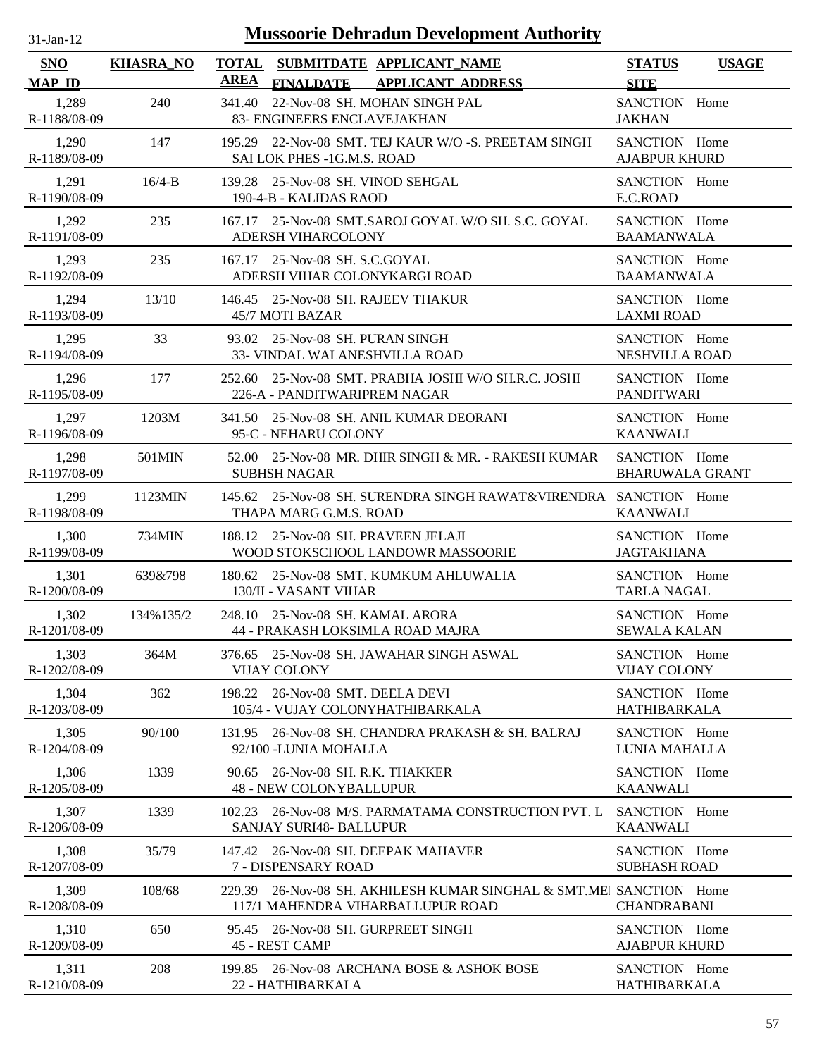| Mussoorie Dehradun Development Authority<br>$31-Jan-12$ |                  |             |                                                                                                   |                                         |              |
|---------------------------------------------------------|------------------|-------------|---------------------------------------------------------------------------------------------------|-----------------------------------------|--------------|
| SNO<br><b>MAP ID</b>                                    | <b>KHASRA_NO</b> | <b>AREA</b> | TOTAL SUBMITDATE APPLICANT NAME<br><b>APPLICANT ADDRESS</b><br><b>FINALDATE</b>                   | <b>STATUS</b><br><b>SITE</b>            | <b>USAGE</b> |
| 1,289<br>R-1188/08-09                                   | 240              | 341.40      | 22-Nov-08 SH. MOHAN SINGH PAL<br>83- ENGINEERS ENCLAVEJAKHAN                                      | SANCTION Home<br><b>JAKHAN</b>          |              |
| 1,290<br>R-1189/08-09                                   | 147              |             | 195.29 22-Nov-08 SMT. TEJ KAUR W/O -S. PREETAM SINGH<br>SAI LOK PHES -1G.M.S. ROAD                | SANCTION Home<br><b>AJABPUR KHURD</b>   |              |
| 1,291<br>R-1190/08-09                                   | $16/4 - B$       |             | 139.28 25-Nov-08 SH. VINOD SEHGAL<br>190-4-B - KALIDAS RAOD                                       | SANCTION Home<br>E.C.ROAD               |              |
| 1,292<br>R-1191/08-09                                   | 235              |             | 167.17 25-Nov-08 SMT.SAROJ GOYAL W/O SH. S.C. GOYAL<br><b>ADERSH VIHARCOLONY</b>                  | SANCTION Home<br><b>BAAMANWALA</b>      |              |
| 1,293<br>R-1192/08-09                                   | 235              |             | 167.17 25-Nov-08 SH, S.C.GOYAL<br>ADERSH VIHAR COLONYKARGI ROAD                                   | SANCTION Home<br><b>BAAMANWALA</b>      |              |
| 1,294<br>R-1193/08-09                                   | 13/10            |             | 146.45 25-Nov-08 SH. RAJEEV THAKUR<br>45/7 MOTI BAZAR                                             | SANCTION Home<br><b>LAXMI ROAD</b>      |              |
| 1,295<br>R-1194/08-09                                   | 33               |             | 93.02 25-Nov-08 SH. PURAN SINGH<br>33- VINDAL WALANESHVILLA ROAD                                  | SANCTION Home<br><b>NESHVILLA ROAD</b>  |              |
| 1,296<br>R-1195/08-09                                   | 177              |             | 252.60 25-Nov-08 SMT. PRABHA JOSHI W/O SH.R.C. JOSHI<br>226-A - PANDITWARIPREM NAGAR              | SANCTION Home<br><b>PANDITWARI</b>      |              |
| 1,297<br>R-1196/08-09                                   | 1203M            |             | 341.50 25-Nov-08 SH. ANIL KUMAR DEORANI<br>95-C - NEHARU COLONY                                   | SANCTION Home<br><b>KAANWALI</b>        |              |
| 1,298<br>R-1197/08-09                                   | 501MIN           |             | 52.00 25-Nov-08 MR. DHIR SINGH & MR. - RAKESH KUMAR<br><b>SUBHSH NAGAR</b>                        | SANCTION Home<br><b>BHARUWALA GRANT</b> |              |
| 1,299<br>R-1198/08-09                                   | 1123MIN          |             | 145.62 25-Nov-08 SH. SURENDRA SINGH RAWAT&VIRENDRA   SANCTION Home<br>THAPA MARG G.M.S. ROAD      | <b>KAANWALI</b>                         |              |
| 1,300<br>R-1199/08-09                                   | 734MIN           |             | 188.12 25-Nov-08 SH. PRAVEEN JELAJI<br>WOOD STOKSCHOOL LANDOWR MASSOORIE                          | SANCTION Home<br><b>JAGTAKHANA</b>      |              |
| 1,301<br>R-1200/08-09                                   | 639&798          |             | 180.62 25-Nov-08 SMT. KUMKUM AHLUWALIA<br>130/II - VASANT VIHAR                                   | SANCTION Home<br><b>TARLA NAGAL</b>     |              |
| 1,302<br>R-1201/08-09                                   | 134%135/2        |             | 248.10 25-Nov-08 SH, KAMAL ARORA<br>44 - PRAKASH LOKSIMLA ROAD MAJRA                              | SANCTION Home<br><b>SEWALA KALAN</b>    |              |
| 1,303<br>R-1202/08-09                                   | 364M             | 376.65      | 25-Nov-08 SH. JAWAHAR SINGH ASWAL<br><b>VIJAY COLONY</b>                                          | SANCTION Home<br><b>VIJAY COLONY</b>    |              |
| 1,304<br>R-1203/08-09                                   | 362              | 198.22      | 26-Nov-08 SMT, DEELA DEVI<br>105/4 - VUJAY COLONYHATHIBARKALA                                     | SANCTION Home<br><b>HATHIBARKALA</b>    |              |
| 1,305<br>R-1204/08-09                                   | 90/100           | 131.95      | 26-Nov-08 SH. CHANDRA PRAKASH & SH. BALRAJ<br>92/100 - LUNIA MOHALLA                              | SANCTION Home<br>LUNIA MAHALLA          |              |
| 1,306<br>R-1205/08-09                                   | 1339             |             | 90.65 26-Nov-08 SH. R.K. THAKKER<br><b>48 - NEW COLONYBALLUPUR</b>                                | SANCTION Home<br><b>KAANWALI</b>        |              |
| 1,307<br>R-1206/08-09                                   | 1339             | 102.23      | 26-Nov-08 M/S. PARMATAMA CONSTRUCTION PVT. L<br><b>SANJAY SURI48- BALLUPUR</b>                    | SANCTION Home<br><b>KAANWALI</b>        |              |
| 1,308<br>R-1207/08-09                                   | 35/79            |             | 147.42 26-Nov-08 SH. DEEPAK MAHAVER<br>7 - DISPENSARY ROAD                                        | SANCTION Home<br><b>SUBHASH ROAD</b>    |              |
| 1,309<br>R-1208/08-09                                   | 108/68           | 229.39      | 26-Nov-08 SH. AKHILESH KUMAR SINGHAL & SMT.MEI SANCTION Home<br>117/1 MAHENDRA VIHARBALLUPUR ROAD | <b>CHANDRABANI</b>                      |              |
| 1,310<br>R-1209/08-09                                   | 650              |             | 95.45 26-Nov-08 SH. GURPREET SINGH<br>45 - REST CAMP                                              | SANCTION Home<br><b>AJABPUR KHURD</b>   |              |
| 1,311<br>R-1210/08-09                                   | 208              | 199.85      | 26-Nov-08 ARCHANA BOSE & ASHOK BOSE<br>22 - HATHIBARKALA                                          | SANCTION Home<br>HATHIBARKALA           |              |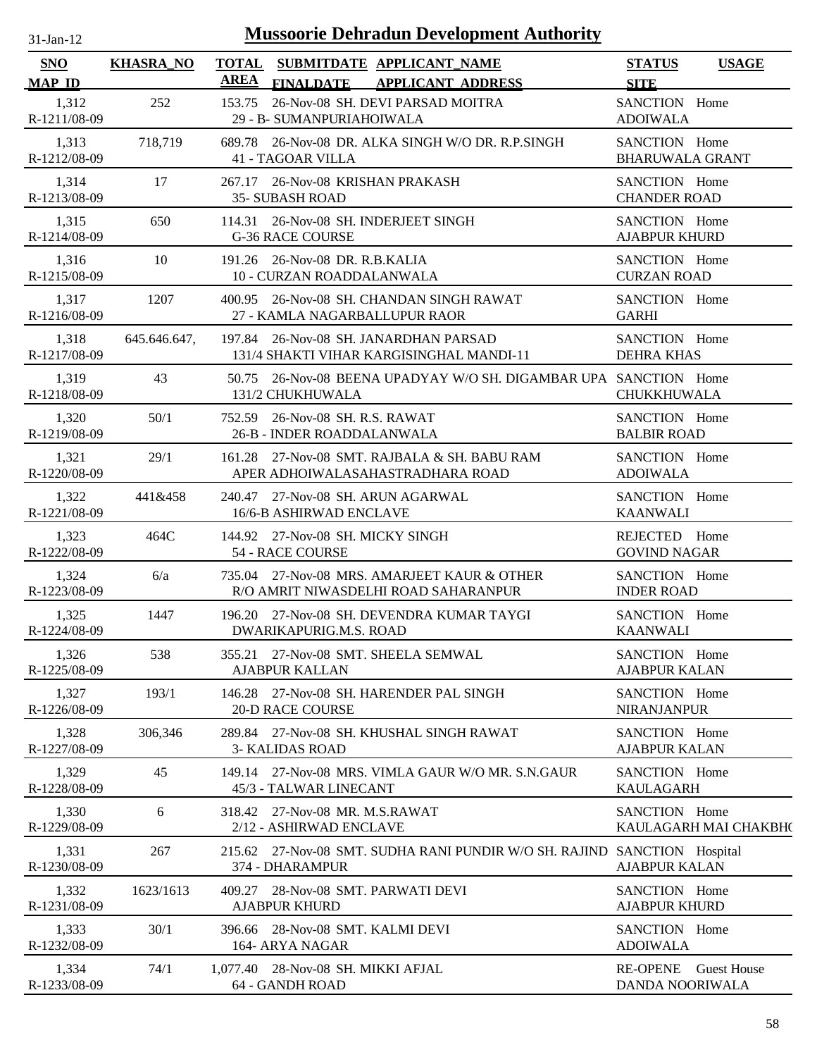| $31$ -Jan-12                | <b>Mussoorie Dehradun Development Authority</b> |        |                                                                                             |                                         |                       |  |
|-----------------------------|-------------------------------------------------|--------|---------------------------------------------------------------------------------------------|-----------------------------------------|-----------------------|--|
| <b>SNO</b><br><b>MAP ID</b> | <b>KHASRA_NO</b>                                | AREA   | TOTAL SUBMITDATE APPLICANT_NAME<br><b>FINALDATE</b><br><b>APPLICANT ADDRESS</b>             | <b>STATUS</b><br><b>SITE</b>            | <b>USAGE</b>          |  |
| 1,312<br>R-1211/08-09       | 252                                             | 153.75 | 26-Nov-08 SH. DEVI PARSAD MOITRA<br>29 - B- SUMANPURIAHOIWALA                               | SANCTION Home<br><b>ADOIWALA</b>        |                       |  |
| 1,313<br>R-1212/08-09       | 718,719                                         |        | 689.78 26-Nov-08 DR. ALKA SINGH W/O DR. R.P.SINGH<br>41 - TAGOAR VILLA                      | SANCTION Home<br><b>BHARUWALA GRANT</b> |                       |  |
| 1,314<br>R-1213/08-09       | 17                                              |        | 267.17 26-Nov-08 KRISHAN PRAKASH<br><b>35- SUBASH ROAD</b>                                  | SANCTION Home<br><b>CHANDER ROAD</b>    |                       |  |
| 1,315<br>R-1214/08-09       | 650                                             |        | 114.31 26-Nov-08 SH. INDERJEET SINGH<br><b>G-36 RACE COURSE</b>                             | SANCTION Home<br><b>AJABPUR KHURD</b>   |                       |  |
| 1,316<br>R-1215/08-09       | 10                                              |        | 191.26 26-Nov-08 DR. R.B.KALIA<br>10 - CURZAN ROADDALANWALA                                 | SANCTION Home<br><b>CURZAN ROAD</b>     |                       |  |
| 1,317<br>R-1216/08-09       | 1207                                            |        | 400.95 26-Nov-08 SH, CHANDAN SINGH RAWAT<br>27 - KAMLA NAGARBALLUPUR RAOR                   | SANCTION Home<br><b>GARHI</b>           |                       |  |
| 1,318<br>R-1217/08-09       | 645.646.647,                                    |        | 197.84 26-Nov-08 SH. JANARDHAN PARSAD<br>131/4 SHAKTI VIHAR KARGISINGHAL MANDI-11           | SANCTION Home<br><b>DEHRA KHAS</b>      |                       |  |
| 1,319<br>R-1218/08-09       | 43                                              |        | 50.75 26-Nov-08 BEENA UPADYAY W/O SH. DIGAMBAR UPA SANCTION Home<br>131/2 CHUKHUWALA        | <b>CHUKKHUWALA</b>                      |                       |  |
| 1,320<br>R-1219/08-09       | 50/1                                            |        | 752.59 26-Nov-08 SH, R.S. RAWAT<br>26-B - INDER ROADDALANWALA                               | SANCTION Home<br><b>BALBIR ROAD</b>     |                       |  |
| 1,321<br>R-1220/08-09       | 29/1                                            |        | 161.28 27-Nov-08 SMT. RAJBALA & SH. BABU RAM<br>APER ADHOIWALASAHASTRADHARA ROAD            | SANCTION Home<br><b>ADOIWALA</b>        |                       |  |
| 1,322<br>R-1221/08-09       | 441&458                                         |        | 240.47 27-Nov-08 SH. ARUN AGARWAL<br>16/6-B ASHIRWAD ENCLAVE                                | SANCTION Home<br><b>KAANWALI</b>        |                       |  |
| 1,323<br>R-1222/08-09       | 464C                                            |        | 144.92 27-Nov-08 SH. MICKY SINGH<br>54 - RACE COURSE                                        | REJECTED Home<br><b>GOVIND NAGAR</b>    |                       |  |
| 1,324<br>R-1223/08-09       | 6/a                                             |        | 735.04 27-Nov-08 MRS. AMARJEET KAUR & OTHER<br>R/O AMRIT NIWASDELHI ROAD SAHARANPUR         | SANCTION Home<br><b>INDER ROAD</b>      |                       |  |
| 1,325<br>R-1224/08-09       | 1447                                            |        | 196.20 27-Nov-08 SH. DEVENDRA KUMAR TAYGI<br><b>DWARIKAPURIG.M.S. ROAD</b>                  | SANCTION Home<br><b>KAANWALI</b>        |                       |  |
| 1,326<br>R-1225/08-09       | 538                                             | 355.21 | 27-Nov-08 SMT. SHEELA SEMWAL<br>AJABPUR KALLAN                                              | SANCTION Home<br><b>AJABPUR KALAN</b>   |                       |  |
| 1,327<br>R-1226/08-09       | 193/1                                           | 146.28 | 27-Nov-08 SH. HARENDER PAL SINGH<br><b>20-D RACE COURSE</b>                                 | SANCTION Home<br><b>NIRANJANPUR</b>     |                       |  |
| 1,328<br>R-1227/08-09       | 306,346                                         |        | 289.84 27-Nov-08 SH. KHUSHAL SINGH RAWAT<br><b>3- KALIDAS ROAD</b>                          | SANCTION Home<br><b>AJABPUR KALAN</b>   |                       |  |
| 1,329<br>R-1228/08-09       | 45                                              |        | 149.14 27-Nov-08 MRS. VIMLA GAUR W/O MR. S.N.GAUR<br>45/3 - TALWAR LINECANT                 | SANCTION Home<br><b>KAULAGARH</b>       |                       |  |
| 1,330<br>R-1229/08-09       | 6                                               |        | 318.42 27-Nov-08 MR. M.S.RAWAT<br>2/12 - ASHIRWAD ENCLAVE                                   | SANCTION Home                           | KAULAGARH MAI CHAKBH( |  |
| 1,331<br>R-1230/08-09       | 267                                             |        | 215.62 27-Nov-08 SMT. SUDHA RANI PUNDIR W/O SH. RAJIND SANCTION Hospital<br>374 - DHARAMPUR | <b>AJABPUR KALAN</b>                    |                       |  |
| 1,332<br>R-1231/08-09       | 1623/1613                                       |        | 409.27 28-Nov-08 SMT. PARWATI DEVI<br><b>AJABPUR KHURD</b>                                  | SANCTION Home<br><b>AJABPUR KHURD</b>   |                       |  |
| 1,333<br>R-1232/08-09       | 30/1                                            |        | 396.66 28-Nov-08 SMT. KALMI DEVI<br>164- ARYA NAGAR                                         | SANCTION Home<br><b>ADOIWALA</b>        |                       |  |
| 1,334<br>R-1233/08-09       | 74/1                                            |        | 1,077.40 28-Nov-08 SH. MIKKI AFJAL<br>64 - GANDH ROAD                                       | <b>RE-OPENE</b><br>DANDA NOORIWALA      | <b>Guest House</b>    |  |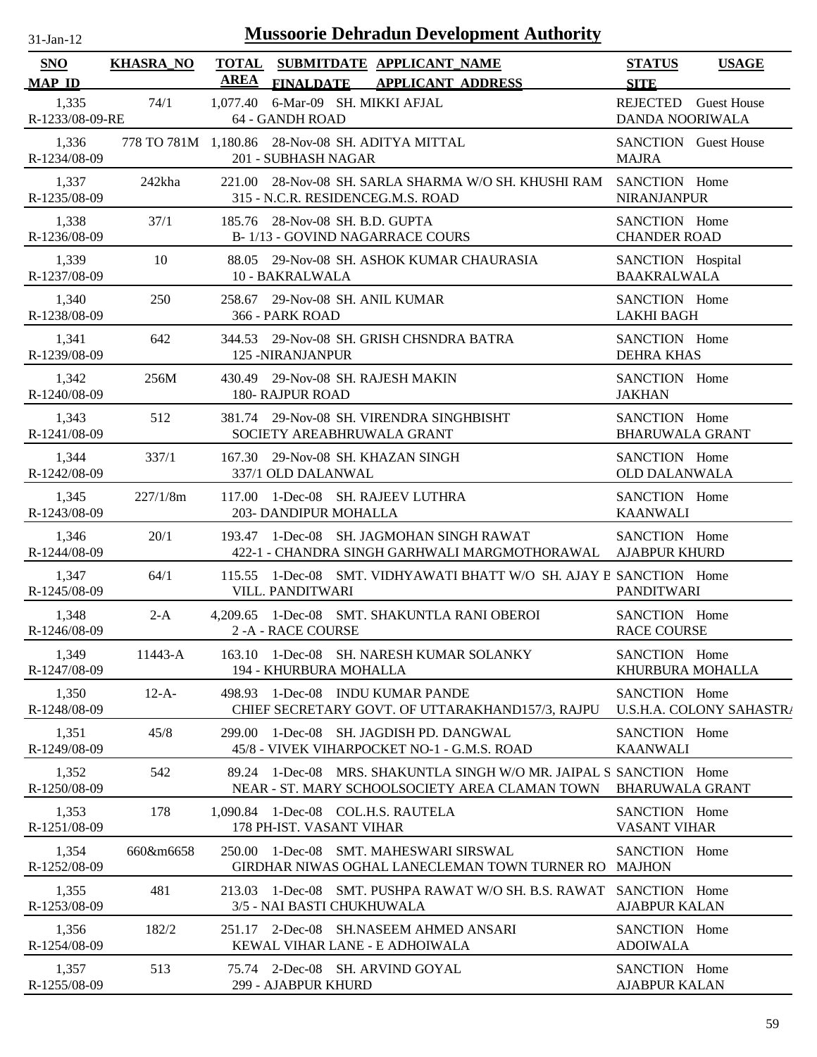| $31$ -Jan-12                |                  | <b>Mussoorie Dehradun Development Authority</b>                                                                      |                                              |
|-----------------------------|------------------|----------------------------------------------------------------------------------------------------------------------|----------------------------------------------|
| <b>SNO</b><br><b>MAP ID</b> | <b>KHASRA_NO</b> | TOTAL SUBMITDATE APPLICANT_NAME<br><b>AREA</b><br><b>FINALDATE</b><br><b>APPLICANT ADDRESS</b>                       | <b>STATUS</b><br><b>USAGE</b><br><b>SITE</b> |
| 1,335                       | 74/1             | 1,077.40 6-Mar-09 SH. MIKKI AFJAL                                                                                    | REJECTED Guest House                         |
| R-1233/08-09-RE             |                  | 64 - GANDH ROAD                                                                                                      | DANDA NOORIWALA                              |
| 1,336                       |                  | 778 TO 781M 1,180.86 28-Nov-08 SH. ADITYA MITTAL                                                                     | <b>SANCTION</b> Guest House                  |
| R-1234/08-09                |                  | 201 - SUBHASH NAGAR                                                                                                  | <b>MAJRA</b>                                 |
| 1,337<br>R-1235/08-09       | 242kha           | 221.00 28-Nov-08 SH. SARLA SHARMA W/O SH. KHUSHI RAM SANCTION Home<br>315 - N.C.R. RESIDENCEG.M.S. ROAD              | <b>NIRANJANPUR</b>                           |
| 1,338                       | 37/1             | 185.76 28-Nov-08 SH. B.D. GUPTA                                                                                      | SANCTION Home                                |
| R-1236/08-09                |                  | B-1/13 - GOVIND NAGARRACE COURS                                                                                      | <b>CHANDER ROAD</b>                          |
| 1,339                       | 10               | 88.05 29-Nov-08 SH. ASHOK KUMAR CHAURASIA                                                                            | SANCTION Hospital                            |
| R-1237/08-09                |                  | 10 - BAKRALWALA                                                                                                      | <b>BAAKRALWALA</b>                           |
| 1,340                       | 250              | 258.67 29-Nov-08 SH, ANIL KUMAR                                                                                      | SANCTION Home                                |
| R-1238/08-09                |                  | 366 - PARK ROAD                                                                                                      | <b>LAKHI BAGH</b>                            |
| 1,341                       | 642              | 344.53 29-Nov-08 SH. GRISH CHSNDRA BATRA                                                                             | SANCTION Home                                |
| R-1239/08-09                |                  | <b>125 -NIRANJANPUR</b>                                                                                              | <b>DEHRA KHAS</b>                            |
| 1,342<br>R-1240/08-09       | 256M             | 29-Nov-08 SH. RAJESH MAKIN<br>430.49<br><b>180- RAJPUR ROAD</b>                                                      | SANCTION Home<br><b>JAKHAN</b>               |
| 1,343                       | 512              | 381.74 29-Nov-08 SH. VIRENDRA SINGHBISHT                                                                             | SANCTION Home                                |
| R-1241/08-09                |                  | SOCIETY AREABHRUWALA GRANT                                                                                           | <b>BHARUWALA GRANT</b>                       |
| 1,344                       | 337/1            | 167.30 29-Nov-08 SH. KHAZAN SINGH                                                                                    | SANCTION Home                                |
| R-1242/08-09                |                  | 337/1 OLD DALANWAL                                                                                                   | <b>OLD DALANWALA</b>                         |
| 1,345                       | 227/1/8m         | 117.00 1-Dec-08 SH. RAJEEV LUTHRA                                                                                    | SANCTION Home                                |
| R-1243/08-09                |                  | 203- DANDIPUR MOHALLA                                                                                                | <b>KAANWALI</b>                              |
| 1,346                       | 20/1             | 193.47 1-Dec-08 SH. JAGMOHAN SINGH RAWAT                                                                             | SANCTION Home                                |
| R-1244/08-09                |                  | 422-1 - CHANDRA SINGH GARHWALI MARGMOTHORAWAL                                                                        | <b>AJABPUR KHURD</b>                         |
| 1,347<br>R-1245/08-09       | 64/1             | 115.55 1-Dec-08 SMT. VIDHYAWATI BHATT W/O SH. AJAY B SANCTION Home<br>VILL. PANDITWARI                               | PANDITWARI                                   |
| 1,348                       | $2-A$            | 4,209.65 1-Dec-08 SMT. SHAKUNTLA RANI OBEROI                                                                         | SANCTION Home                                |
| R-1246/08-09                |                  | 2 - A - RACE COURSE                                                                                                  | <b>RACE COURSE</b>                           |
| 1,349                       | 11443-A          | 163.10 1-Dec-08 SH. NARESH KUMAR SOLANKY                                                                             | SANCTION Home                                |
| R-1247/08-09                |                  | 194 - KHURBURA MOHALLA                                                                                               | KHURBURA MOHALLA                             |
| 1,350                       | $12-A-$          | 498.93 1-Dec-08 INDU KUMAR PANDE                                                                                     | SANCTION Home                                |
| R-1248/08-09                |                  | CHIEF SECRETARY GOVT. OF UTTARAKHAND157/3, RAJPU                                                                     | U.S.H.A. COLONY SAHASTRA                     |
| 1,351<br>R-1249/08-09       | 45/8             | 1-Dec-08 SH. JAGDISH PD. DANGWAL<br>299.00<br>45/8 - VIVEK VIHARPOCKET NO-1 - G.M.S. ROAD                            | SANCTION Home<br><b>KAANWALI</b>             |
| 1,352<br>R-1250/08-09       | 542              | 89.24 1-Dec-08 MRS. SHAKUNTLA SINGH W/O MR. JAIPAL S SANCTION Home<br>NEAR - ST. MARY SCHOOLSOCIETY AREA CLAMAN TOWN | <b>BHARUWALA GRANT</b>                       |
| 1,353                       | 178              | 1,090.84 1-Dec-08 COL.H.S. RAUTELA                                                                                   | SANCTION Home                                |
| R-1251/08-09                |                  | 178 PH-IST. VASANT VIHAR                                                                                             | <b>VASANT VIHAR</b>                          |
| 1,354<br>R-1252/08-09       | 660&m6658        | 250.00 1-Dec-08 SMT. MAHESWARI SIRSWAL<br>GIRDHAR NIWAS OGHAL LANECLEMAN TOWN TURNER RO MAJHON                       | SANCTION Home                                |
| 1,355                       | 481              | 213.03 1-Dec-08 SMT. PUSHPA RAWAT W/O SH. B.S. RAWAT                                                                 | SANCTION Home                                |
| R-1253/08-09                |                  | 3/5 - NAI BASTI CHUKHUWALA                                                                                           | <b>AJABPUR KALAN</b>                         |
| 1,356                       | 182/2            | 251.17 2-Dec-08 SH.NASEEM AHMED ANSARI                                                                               | SANCTION Home                                |
| R-1254/08-09                |                  | KEWAL VIHAR LANE - E ADHOIWALA                                                                                       | <b>ADOIWALA</b>                              |
| 1,357                       | 513              | 75.74 2-Dec-08 SH. ARVIND GOYAL                                                                                      | SANCTION Home                                |
| R-1255/08-09                |                  | 299 - AJABPUR KHURD                                                                                                  | <b>AJABPUR KALAN</b>                         |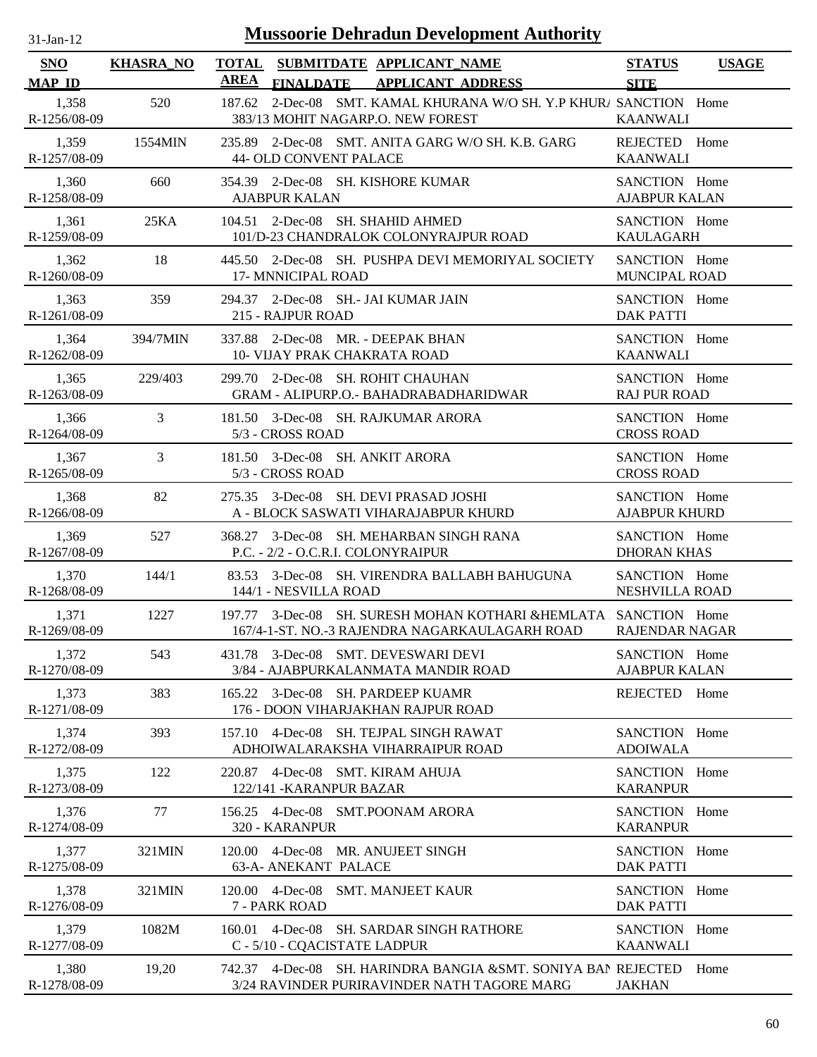| $31$ -Jan-12                | <b>Mussoorie Dehradun Development Authority</b> |                                                                                                                   |                                       |              |  |  |  |
|-----------------------------|-------------------------------------------------|-------------------------------------------------------------------------------------------------------------------|---------------------------------------|--------------|--|--|--|
| <b>SNO</b><br><b>MAP ID</b> | <b>KHASRA_NO</b>                                | <b>TOTAL</b><br>SUBMITDATE APPLICANT NAME<br><b>AREA</b><br><b>FINALDATE</b><br><b>APPLICANT ADDRESS</b>          | <b>STATUS</b><br><b>SITE</b>          | <b>USAGE</b> |  |  |  |
| 1,358<br>R-1256/08-09       | 520                                             | 2-Dec-08 SMT. KAMAL KHURANA W/O SH. Y.P KHUR/ SANCTION Home<br>187.62<br>383/13 MOHIT NAGARP.O. NEW FOREST        | <b>KAANWALI</b>                       |              |  |  |  |
| 1,359<br>R-1257/08-09       | 1554MIN                                         | 235.89 2-Dec-08 SMT. ANITA GARG W/O SH. K.B. GARG<br>44- OLD CONVENT PALACE                                       | REJECTED Home<br><b>KAANWALI</b>      |              |  |  |  |
| 1,360<br>R-1258/08-09       | 660                                             | 354.39 2-Dec-08 SH. KISHORE KUMAR<br><b>AJABPUR KALAN</b>                                                         | SANCTION Home<br><b>AJABPUR KALAN</b> |              |  |  |  |
| 1,361<br>R-1259/08-09       | 25KA                                            | 2-Dec-08 SH. SHAHID AHMED<br>104.51<br>101/D-23 CHANDRALOK COLONYRAJPUR ROAD                                      | SANCTION Home<br><b>KAULAGARH</b>     |              |  |  |  |
| 1,362<br>R-1260/08-09       | 18                                              | 445.50 2-Dec-08 SH. PUSHPA DEVI MEMORIYAL SOCIETY<br>17- MNNICIPAL ROAD                                           | SANCTION Home<br>MUNCIPAL ROAD        |              |  |  |  |
| 1,363<br>R-1261/08-09       | 359                                             | 294.37 2-Dec-08 SH.- JAI KUMAR JAIN<br>215 - RAJPUR ROAD                                                          | SANCTION Home<br><b>DAK PATTI</b>     |              |  |  |  |
| 1,364<br>R-1262/08-09       | 394/7MIN                                        | 337.88 2-Dec-08 MR. - DEEPAK BHAN<br>10- VIJAY PRAK CHAKRATA ROAD                                                 | SANCTION Home<br><b>KAANWALI</b>      |              |  |  |  |
| 1,365<br>R-1263/08-09       | 229/403                                         | 299.70 2-Dec-08 SH. ROHIT CHAUHAN<br><b>GRAM - ALIPURP.O.- BAHADRABADHARIDWAR</b>                                 | SANCTION Home<br><b>RAJ PUR ROAD</b>  |              |  |  |  |
| 1,366<br>R-1264/08-09       | 3                                               | 181.50 3-Dec-08 SH. RAJKUMAR ARORA<br>5/3 - CROSS ROAD                                                            | SANCTION Home<br><b>CROSS ROAD</b>    |              |  |  |  |
| 1,367<br>R-1265/08-09       | 3                                               | 181.50 3-Dec-08 SH. ANKIT ARORA<br>5/3 - CROSS ROAD                                                               | SANCTION Home<br><b>CROSS ROAD</b>    |              |  |  |  |
| 1,368<br>R-1266/08-09       | 82                                              | 275.35 3-Dec-08 SH. DEVI PRASAD JOSHI<br>A - BLOCK SASWATI VIHARAJABPUR KHURD                                     | SANCTION Home<br><b>AJABPUR KHURD</b> |              |  |  |  |
| 1,369<br>R-1267/08-09       | 527                                             | 368.27 3-Dec-08 SH. MEHARBAN SINGH RANA<br>P.C. - 2/2 - O.C.R.I. COLONYRAIPUR                                     | SANCTION Home<br><b>DHORAN KHAS</b>   |              |  |  |  |
| 1,370<br>R-1268/08-09       | 144/1                                           | 83.53<br>3-Dec-08 SH. VIRENDRA BALLABH BAHUGUNA<br>144/1 - NESVILLA ROAD                                          | SANCTION Home<br>NESHVILLA ROAD       |              |  |  |  |
| 1,371<br>R-1269/08-09       | 1227                                            | 197.77 3-Dec-08 SH. SURESH MOHAN KOTHARI &HEMLATA SANCTION Home<br>167/4-1-ST. NO.-3 RAJENDRA NAGARKAULAGARH ROAD | <b>RAJENDAR NAGAR</b>                 |              |  |  |  |
| 1,372<br>R-1270/08-09       | 543                                             | 3-Dec-08 SMT. DEVESWARI DEVI<br>431.78<br>3/84 - AJABPURKALANMATA MANDIR ROAD                                     | SANCTION Home<br><b>AJABPUR KALAN</b> |              |  |  |  |
| 1,373<br>R-1271/08-09       | 383                                             | 3-Dec-08 SH. PARDEEP KUAMR<br>165.22<br>176 - DOON VIHARJAKHAN RAJPUR ROAD                                        | REJECTED                              | Home         |  |  |  |
| 1,374<br>R-1272/08-09       | 393                                             | 157.10 4-Dec-08 SH. TEJPAL SINGH RAWAT<br>ADHOIWALARAKSHA VIHARRAIPUR ROAD                                        | SANCTION Home<br><b>ADOIWALA</b>      |              |  |  |  |
| 1,375<br>R-1273/08-09       | 122                                             | 4-Dec-08 SMT. KIRAM AHUJA<br>220.87<br>122/141 - KARANPUR BAZAR                                                   | SANCTION Home<br><b>KARANPUR</b>      |              |  |  |  |
| 1,376<br>R-1274/08-09       | 77                                              | 156.25 4-Dec-08 SMT.POONAM ARORA<br>320 - KARANPUR                                                                | SANCTION Home<br><b>KARANPUR</b>      |              |  |  |  |
| 1,377<br>R-1275/08-09       | 321MIN                                          | 120.00 4-Dec-08 MR. ANUJEET SINGH<br><b>63-A- ANEKANT PALACE</b>                                                  | SANCTION Home<br><b>DAK PATTI</b>     |              |  |  |  |
| 1,378<br>R-1276/08-09       | 321MIN                                          | 120.00 4-Dec-08<br><b>SMT. MANJEET KAUR</b><br>7 - PARK ROAD                                                      | SANCTION Home<br><b>DAK PATTI</b>     |              |  |  |  |
| 1,379<br>R-1277/08-09       | 1082M                                           | 4-Dec-08 SH. SARDAR SINGH RATHORE<br>160.01<br>C - 5/10 - CQACISTATE LADPUR                                       | SANCTION Home<br><b>KAANWALI</b>      |              |  |  |  |
| 1,380<br>R-1278/08-09       | 19,20                                           | 742.37 4-Dec-08 SH. HARINDRA BANGIA & SMT. SONIYA BAN REJECTED<br>3/24 RAVINDER PURIRAVINDER NATH TAGORE MARG     | <b>JAKHAN</b>                         | Home         |  |  |  |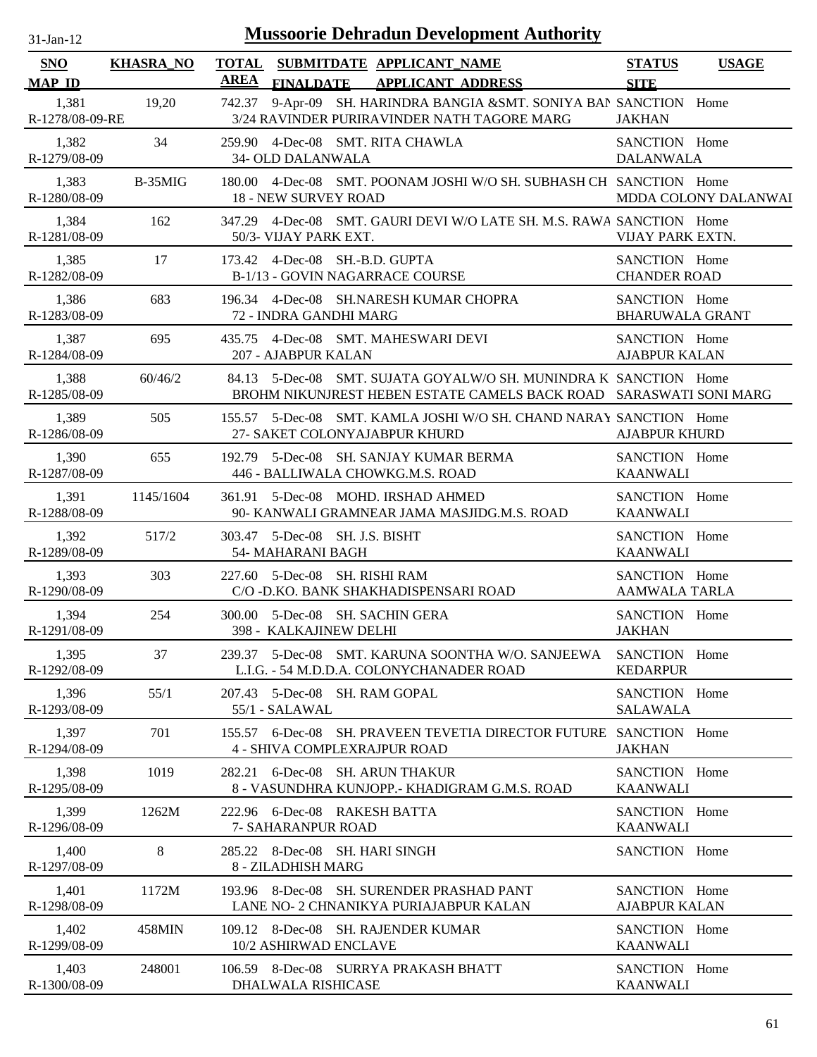| $31$ -Jan-12                | <b>Mussoorie Dehradun Development Authority</b> |             |                                                                                                                                        |                                              |  |  |
|-----------------------------|-------------------------------------------------|-------------|----------------------------------------------------------------------------------------------------------------------------------------|----------------------------------------------|--|--|
| <b>SNO</b><br><b>MAP ID</b> | <b>KHASRA_NO</b>                                | <b>AREA</b> | TOTAL SUBMITDATE APPLICANT NAME<br><b>FINALDATE</b><br><b>APPLICANT ADDRESS</b>                                                        | <b>STATUS</b><br><b>USAGE</b><br><b>SITE</b> |  |  |
| 1,381<br>R-1278/08-09-RE    | 19,20                                           | 742.37      | 9-Apr-09 SH. HARINDRA BANGIA &SMT. SONIYA BAN SANCTION Home<br>3/24 RAVINDER PURIRAVINDER NATH TAGORE MARG                             | <b>JAKHAN</b>                                |  |  |
| 1,382<br>R-1279/08-09       | 34                                              |             | 259.90 4-Dec-08 SMT. RITA CHAWLA<br>34- OLD DALANWALA                                                                                  | SANCTION Home<br><b>DALANWALA</b>            |  |  |
| 1,383<br>R-1280/08-09       | B-35MIG                                         |             | 180.00 4-Dec-08 SMT. POONAM JOSHI W/O SH. SUBHASH CH SANCTION Home<br><b>18 - NEW SURVEY ROAD</b>                                      | MDDA COLONY DALANWAI                         |  |  |
| 1,384<br>R-1281/08-09       | 162                                             | 347.29      | 4-Dec-08 SMT. GAURI DEVI W/O LATE SH. M.S. RAWA SANCTION Home<br>50/3- VIJAY PARK EXT.                                                 | VIJAY PARK EXTN.                             |  |  |
| 1,385<br>R-1282/08-09       | 17                                              |             | 173.42 4-Dec-08 SH.-B.D. GUPTA<br>B-1/13 - GOVIN NAGARRACE COURSE                                                                      | SANCTION Home<br><b>CHANDER ROAD</b>         |  |  |
| 1,386<br>R-1283/08-09       | 683                                             |             | 196.34 4-Dec-08 SH.NARESH KUMAR CHOPRA<br>72 - INDRA GANDHI MARG                                                                       | SANCTION Home<br><b>BHARUWALA GRANT</b>      |  |  |
| 1,387<br>R-1284/08-09       | 695                                             |             | 435.75 4-Dec-08 SMT. MAHESWARI DEVI<br>207 - AJABPUR KALAN                                                                             | SANCTION Home<br><b>AJABPUR KALAN</b>        |  |  |
| 1,388<br>R-1285/08-09       | 60/46/2                                         |             | 84.13 5-Dec-08 SMT. SUJATA GOYALW/O SH. MUNINDRA K SANCTION Home<br>BROHM NIKUNJREST HEBEN ESTATE CAMELS BACK ROAD SARASWATI SONI MARG |                                              |  |  |
| 1,389<br>R-1286/08-09       | 505                                             |             | 155.57 5-Dec-08 SMT. KAMLA JOSHI W/O SH. CHAND NARAY SANCTION Home<br>27- SAKET COLONYAJABPUR KHURD                                    | <b>AJABPUR KHURD</b>                         |  |  |
| 1,390<br>R-1287/08-09       | 655                                             |             | 192.79 5-Dec-08 SH. SANJAY KUMAR BERMA<br>446 - BALLIWALA CHOWKG.M.S. ROAD                                                             | SANCTION Home<br><b>KAANWALI</b>             |  |  |
| 1,391<br>R-1288/08-09       | 1145/1604                                       |             | 361.91 5-Dec-08 MOHD. IRSHAD AHMED<br>90- KANWALI GRAMNEAR JAMA MASJIDG.M.S. ROAD                                                      | SANCTION Home<br><b>KAANWALI</b>             |  |  |
| 1,392<br>R-1289/08-09       | 517/2                                           |             | 303.47 5-Dec-08 SH. J.S. BISHT<br>54- MAHARANI BAGH                                                                                    | SANCTION Home<br><b>KAANWALI</b>             |  |  |
| 1,393<br>R-1290/08-09       | 303                                             |             | 227.60 5-Dec-08 SH. RISHI RAM<br>C/O - D.KO. BANK SHAKHADISPENSARI ROAD                                                                | SANCTION Home<br><b>AAMWALA TARLA</b>        |  |  |
| 1,394<br>R-1291/08-09       | 254                                             |             | 300.00 5-Dec-08 SH. SACHIN GERA<br>398 - KALKAJINEW DELHI                                                                              | SANCTION Home<br><b>JAKHAN</b>               |  |  |
| 1,395<br>R-1292/08-09       | 37                                              |             | 239.37 5-Dec-08 SMT. KARUNA SOONTHA W/O. SANJEEWA<br>L.I.G. - 54 M.D.D.A. COLONYCHANADER ROAD                                          | SANCTION Home<br><b>KEDARPUR</b>             |  |  |
| 1,396<br>R-1293/08-09       | 55/1                                            |             | 207.43 5-Dec-08 SH. RAM GOPAL<br>55/1 - SALAWAL                                                                                        | SANCTION Home<br><b>SALAWALA</b>             |  |  |
| 1,397<br>R-1294/08-09       | 701                                             |             | 155.57 6-Dec-08 SH. PRAVEEN TEVETIA DIRECTOR FUTURE SANCTION Home<br>4 - SHIVA COMPLEXRAJPUR ROAD                                      | <b>JAKHAN</b>                                |  |  |
| 1,398<br>R-1295/08-09       | 1019                                            |             | 282.21 6-Dec-08 SH. ARUN THAKUR<br>8 - VASUNDHRA KUNJOPP. - KHADIGRAM G.M.S. ROAD                                                      | SANCTION Home<br><b>KAANWALI</b>             |  |  |
| 1,399<br>R-1296/08-09       | 1262M                                           |             | 222.96 6-Dec-08 RAKESH BATTA<br>7- SAHARANPUR ROAD                                                                                     | SANCTION Home<br><b>KAANWALI</b>             |  |  |
| 1,400<br>R-1297/08-09       | 8                                               |             | 285.22 8-Dec-08 SH. HARI SINGH<br>8 - ZILADHISH MARG                                                                                   | SANCTION Home                                |  |  |
| 1,401<br>R-1298/08-09       | 1172M                                           |             | 193.96 8-Dec-08 SH. SURENDER PRASHAD PANT<br>LANE NO- 2 CHNANIKYA PURIAJABPUR KALAN                                                    | SANCTION Home<br><b>AJABPUR KALAN</b>        |  |  |
| 1,402<br>R-1299/08-09       | 458MIN                                          |             | 109.12 8-Dec-08 SH. RAJENDER KUMAR<br>10/2 ASHIRWAD ENCLAVE                                                                            | SANCTION Home<br><b>KAANWALI</b>             |  |  |
| 1,403<br>R-1300/08-09       | 248001                                          |             | 106.59 8-Dec-08 SURRYA PRAKASH BHATT<br>DHALWALA RISHICASE                                                                             | SANCTION Home<br><b>KAANWALI</b>             |  |  |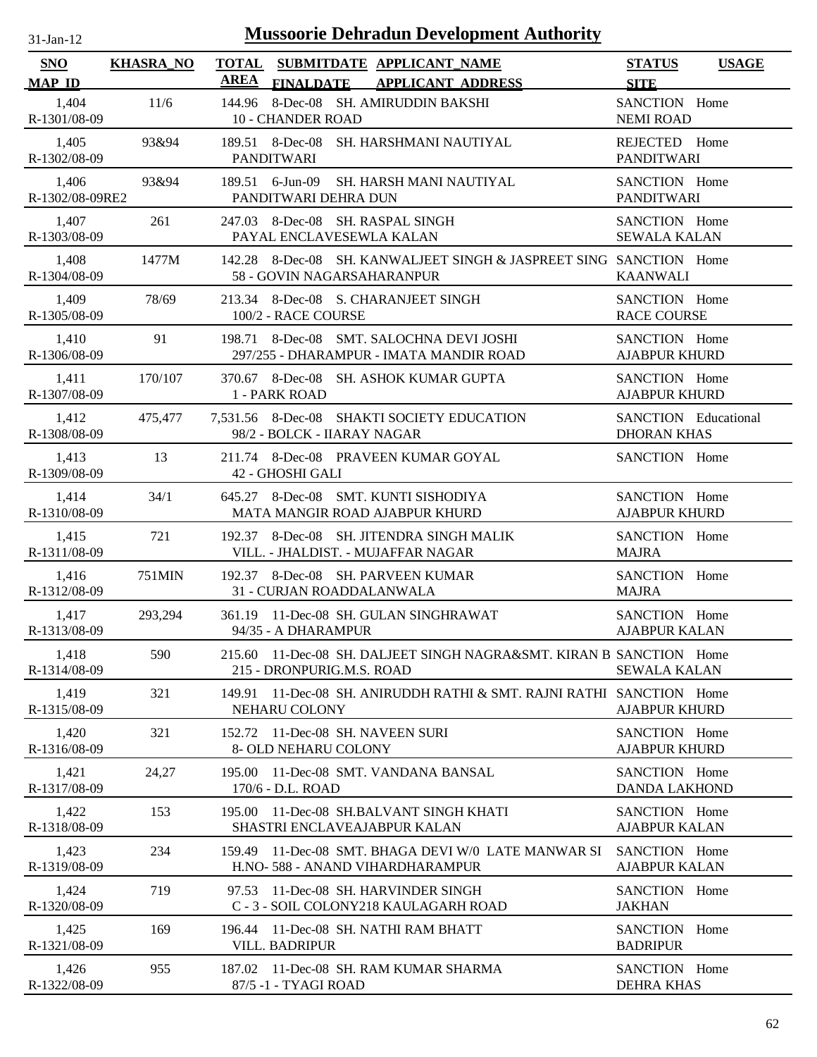| -Jan- |
|-------|
|       |

| SNO                      | <b>KHASRA_NO</b> | TOTAL SUBMITDATE APPLICANT NAME<br><b>AREA</b>                                                   | <b>STATUS</b><br><b>USAGE</b>                     |
|--------------------------|------------------|--------------------------------------------------------------------------------------------------|---------------------------------------------------|
| <b>MAP ID</b>            |                  | FINALDATE APPLICANT ADDRESS                                                                      | <b>SITE</b>                                       |
| 1,404<br>R-1301/08-09    | 11/6             | 144.96 8-Dec-08 SH. AMIRUDDIN BAKSHI<br><b>10 - CHANDER ROAD</b>                                 | SANCTION Home<br><b>NEMI ROAD</b>                 |
| 1,405<br>R-1302/08-09    | 93&94            | 189.51 8-Dec-08 SH. HARSHMANI NAUTIYAL<br><b>PANDITWARI</b>                                      | REJECTED Home<br><b>PANDITWARI</b>                |
| 1,406<br>R-1302/08-09RE2 | 93&94            | 189.51 6-Jun-09 SH. HARSH MANI NAUTIYAL<br>PANDITWARI DEHRA DUN                                  | SANCTION Home<br><b>PANDITWARI</b>                |
| 1,407<br>R-1303/08-09    | 261              | 247.03 8-Dec-08 SH. RASPAL SINGH<br>PAYAL ENCLAVESEWLA KALAN                                     | SANCTION Home<br><b>SEWALA KALAN</b>              |
| 1,408<br>R-1304/08-09    | 1477M            | 142.28 8-Dec-08 SH. KANWALJEET SINGH & JASPREET SING SANCTION Home<br>58 - GOVIN NAGARSAHARANPUR | <b>KAANWALI</b>                                   |
| 1,409<br>R-1305/08-09    | 78/69            | 213.34 8-Dec-08 S. CHARANJEET SINGH<br>100/2 - RACE COURSE                                       | SANCTION Home<br><b>RACE COURSE</b>               |
| 1,410<br>R-1306/08-09    | 91               | 198.71 8-Dec-08 SMT. SALOCHNA DEVI JOSHI<br>297/255 - DHARAMPUR - IMATA MANDIR ROAD              | SANCTION Home<br><b>AJABPUR KHURD</b>             |
| 1,411<br>R-1307/08-09    | 170/107          | 370.67 8-Dec-08 SH. ASHOK KUMAR GUPTA<br>1 - PARK ROAD                                           | SANCTION Home<br><b>AJABPUR KHURD</b>             |
| 1,412<br>R-1308/08-09    | 475,477          | 7,531.56 8-Dec-08 SHAKTI SOCIETY EDUCATION<br>98/2 - BOLCK - IIARAY NAGAR                        | <b>SANCTION</b> Educational<br><b>DHORAN KHAS</b> |
| 1,413<br>R-1309/08-09    | 13               | 211.74 8-Dec-08 PRAVEEN KUMAR GOYAL<br>42 - GHOSHI GALI                                          | SANCTION Home                                     |
| 1,414<br>R-1310/08-09    | 34/1             | 645.27 8-Dec-08 SMT. KUNTI SISHODIYA<br>MATA MANGIR ROAD AJABPUR KHURD                           | SANCTION Home<br><b>AJABPUR KHURD</b>             |
| 1,415<br>R-1311/08-09    | 721              | 192.37 8-Dec-08 SH. JITENDRA SINGH MALIK<br>VILL. - JHALDIST. - MUJAFFAR NAGAR                   | SANCTION Home<br><b>MAJRA</b>                     |
| 1,416<br>R-1312/08-09    | 751MIN           | 192.37 8-Dec-08 SH. PARVEEN KUMAR<br>31 - CURJAN ROADDALANWALA                                   | SANCTION Home<br><b>MAJRA</b>                     |
| 1,417<br>R-1313/08-09    | 293,294          | 361.19 11-Dec-08 SH. GULAN SINGHRAWAT<br>94/35 - A DHARAMPUR                                     | SANCTION Home<br><b>AJABPUR KALAN</b>             |
| 1,418<br>R-1314/08-09    | 590              | 215.60 11-Dec-08 SH. DALJEET SINGH NAGRA&SMT. KIRAN B SANCTION Home<br>215 - DRONPURIG.M.S. ROAD | <b>SEWALA KALAN</b>                               |
| 1,419<br>R-1315/08-09    | 321              | 11-Dec-08 SH. ANIRUDDH RATHI & SMT. RAJNI RATHI SANCTION Home<br>149.91<br>NEHARU COLONY         | <b>AJABPUR KHURD</b>                              |
| 1,420<br>R-1316/08-09    | 321              | 11-Dec-08 SH. NAVEEN SURI<br>152.72<br>8- OLD NEHARU COLONY                                      | SANCTION Home<br><b>AJABPUR KHURD</b>             |
| 1,421<br>R-1317/08-09    | 24,27            | 11-Dec-08 SMT. VANDANA BANSAL<br>195.00<br>170/6 - D.L. ROAD                                     | SANCTION Home<br><b>DANDA LAKHOND</b>             |
| 1,422<br>R-1318/08-09    | 153              | 11-Dec-08 SH.BALVANT SINGH KHATI<br>195.00<br><b>SHASTRI ENCLAVEAJABPUR KALAN</b>                | SANCTION Home<br><b>AJABPUR KALAN</b>             |
| 1,423<br>R-1319/08-09    | 234              | 11-Dec-08 SMT. BHAGA DEVI W/0 LATE MANWAR SI<br>159.49<br>H.NO- 588 - ANAND VIHARDHARAMPUR       | SANCTION Home<br><b>AJABPUR KALAN</b>             |
| 1,424<br>R-1320/08-09    | 719              | 11-Dec-08 SH. HARVINDER SINGH<br>97.53<br>C - 3 - SOIL COLONY218 KAULAGARH ROAD                  | SANCTION Home<br><b>JAKHAN</b>                    |
| 1,425<br>R-1321/08-09    | 169              | 11-Dec-08 SH. NATHI RAM BHATT<br>196.44<br><b>VILL. BADRIPUR</b>                                 | SANCTION Home<br><b>BADRIPUR</b>                  |
| 1,426<br>R-1322/08-09    | 955              | 11-Dec-08 SH. RAM KUMAR SHARMA<br>187.02<br>87/5 -1 - TYAGI ROAD                                 | SANCTION Home<br><b>DEHRA KHAS</b>                |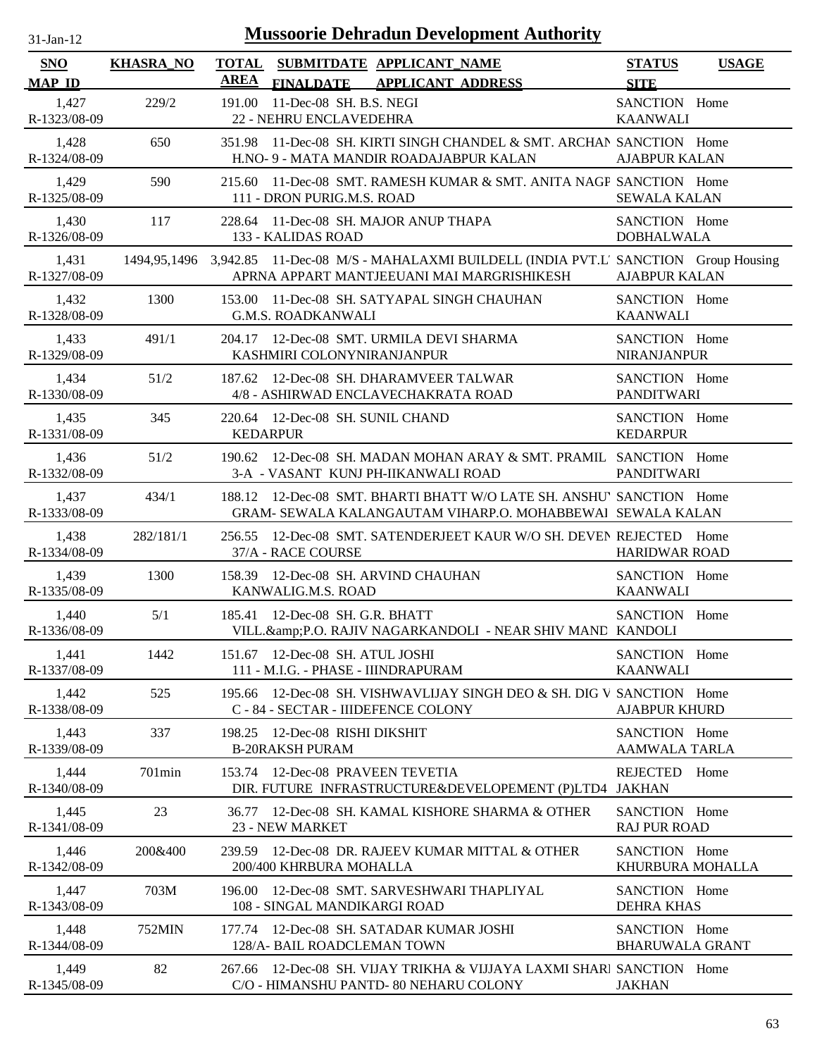| <b>Mussoorie Dehradun Development Authority</b><br>$31$ -Jan-12 |                  |                             |                                                                                                                                             |                                         |              |
|-----------------------------------------------------------------|------------------|-----------------------------|---------------------------------------------------------------------------------------------------------------------------------------------|-----------------------------------------|--------------|
| <b>SNO</b><br><b>MAP ID</b>                                     | <b>KHASRA_NO</b> | <b>TOTAL</b><br><b>AREA</b> | SUBMITDATE APPLICANT_NAME<br><b>FINALDATE</b><br><b>APPLICANT ADDRESS</b>                                                                   | <b>STATUS</b><br><b>SITE</b>            | <b>USAGE</b> |
| 1,427<br>R-1323/08-09                                           | 229/2            | 191.00                      | 11-Dec-08 SH. B.S. NEGI<br>22 - NEHRU ENCLAVEDEHRA                                                                                          | SANCTION Home<br><b>KAANWALI</b>        |              |
| 1,428<br>R-1324/08-09                                           | 650              | 351.98                      | 11-Dec-08 SH. KIRTI SINGH CHANDEL & SMT. ARCHAN SANCTION Home<br>H.NO- 9 - MATA MANDIR ROADAJABPUR KALAN                                    | <b>AJABPUR KALAN</b>                    |              |
| 1,429<br>R-1325/08-09                                           | 590              | 215.60                      | 11-Dec-08 SMT. RAMESH KUMAR & SMT. ANITA NAGP SANCTION Home<br>111 - DRON PURIG.M.S. ROAD                                                   | <b>SEWALA KALAN</b>                     |              |
| 1,430<br>R-1326/08-09                                           | 117              | 228.64                      | 11-Dec-08 SH. MAJOR ANUP THAPA<br>133 - KALIDAS ROAD                                                                                        | SANCTION Home<br><b>DOBHALWALA</b>      |              |
| 1,431<br>R-1327/08-09                                           |                  |                             | 1494,95,1496 3,942.85 11-Dec-08 M/S - MAHALAXMI BUILDELL (INDIA PVT.L' SANCTION Group Housing<br>APRNA APPART MANTJEEUANI MAI MARGRISHIKESH | <b>AJABPUR KALAN</b>                    |              |
| 1,432<br>R-1328/08-09                                           | 1300             | 153.00                      | 11-Dec-08 SH. SATYAPAL SINGH CHAUHAN<br><b>G.M.S. ROADKANWALI</b>                                                                           | SANCTION Home<br><b>KAANWALI</b>        |              |
| 1,433<br>R-1329/08-09                                           | 491/1            | 204.17                      | 12-Dec-08 SMT. URMILA DEVI SHARMA<br>KASHMIRI COLONYNIRANJANPUR                                                                             | SANCTION Home<br><b>NIRANJANPUR</b>     |              |
| 1,434<br>R-1330/08-09                                           | 51/2             | 187.62                      | 12-Dec-08 SH. DHARAMVEER TALWAR<br>4/8 - ASHIRWAD ENCLAVECHAKRATA ROAD                                                                      | SANCTION Home<br><b>PANDITWARI</b>      |              |
| 1,435<br>R-1331/08-09                                           | 345              |                             | 220.64 12-Dec-08 SH. SUNIL CHAND<br><b>KEDARPUR</b>                                                                                         | SANCTION Home<br><b>KEDARPUR</b>        |              |
| 1,436<br>R-1332/08-09                                           | 51/2             | 190.62                      | 12-Dec-08 SH. MADAN MOHAN ARAY & SMT. PRAMIL SANCTION Home<br>3-A - VASANT KUNJ PH-IIKANWALI ROAD                                           | <b>PANDITWARI</b>                       |              |
| 1,437<br>R-1333/08-09                                           | 434/1            | 188.12                      | 12-Dec-08 SMT. BHARTI BHATT W/O LATE SH. ANSHU' SANCTION Home<br>GRAM- SEWALA KALANGAUTAM VIHARP.O. MOHABBEWAI SEWALA KALAN                 |                                         |              |
| 1,438<br>R-1334/08-09                                           | 282/181/1        | 256.55                      | 12-Dec-08 SMT. SATENDERJEET KAUR W/O SH. DEVEN REJECTED Home<br>37/A - RACE COURSE                                                          | <b>HARIDWAR ROAD</b>                    |              |
| 1,439<br>R-1335/08-09                                           | 1300             |                             | 158.39 12-Dec-08 SH. ARVIND CHAUHAN<br>KANWALIG.M.S. ROAD                                                                                   | SANCTION Home<br><b>KAANWALI</b>        |              |
| 1,440<br>R-1336/08-09                                           | 5/1              |                             | 185.41 12-Dec-08 SH, G.R. BHATT<br>VILL.&P.O. RAJIV NAGARKANDOLI - NEAR SHIV MANE KANDOLI                                                   | SANCTION Home                           |              |
| 1,441<br>R-1337/08-09                                           | 1442             |                             | 151.67 12-Dec-08 SH. ATUL JOSHI<br>111 - M.I.G. - PHASE - IIINDRAPURAM                                                                      | SANCTION Home<br><b>KAANWALI</b>        |              |
| 1,442<br>R-1338/08-09                                           | 525              | 195.66                      | 12-Dec-08 SH. VISHWAVLIJAY SINGH DEO & SH. DIG V SANCTION Home<br>C - 84 - SECTAR - IIIDEFENCE COLONY                                       | <b>AJABPUR KHURD</b>                    |              |
| 1,443<br>R-1339/08-09                                           | 337              | 198.25                      | 12-Dec-08 RISHI DIKSHIT<br><b>B-20RAKSH PURAM</b>                                                                                           | SANCTION Home<br><b>AAMWALA TARLA</b>   |              |
| 1,444<br>R-1340/08-09                                           | $701$ min        | 153.74                      | 12-Dec-08 PRAVEEN TEVETIA<br>DIR. FUTURE INFRASTRUCTURE&DEVELOPEMENT (P)LTD4                                                                | REJECTED Home<br><b>JAKHAN</b>          |              |
| 1,445<br>R-1341/08-09                                           | 23               | 36.77                       | 12-Dec-08 SH. KAMAL KISHORE SHARMA & OTHER<br>23 - NEW MARKET                                                                               | SANCTION Home<br><b>RAJ PUR ROAD</b>    |              |
| 1,446<br>R-1342/08-09                                           | 200&400          |                             | 239.59 12-Dec-08 DR. RAJEEV KUMAR MITTAL & OTHER<br>200/400 KHRBURA MOHALLA                                                                 | SANCTION Home<br>KHURBURA MOHALLA       |              |
| 1,447<br>R-1343/08-09                                           | 703M             | 196.00                      | 12-Dec-08 SMT. SARVESHWARI THAPLIYAL<br>108 - SINGAL MANDIKARGI ROAD                                                                        | SANCTION Home<br><b>DEHRA KHAS</b>      |              |
| 1,448<br>R-1344/08-09                                           | 752MIN           | 177.74                      | 12-Dec-08 SH. SATADAR KUMAR JOSHI<br>128/A- BAIL ROADCLEMAN TOWN                                                                            | SANCTION Home<br><b>BHARUWALA GRANT</b> |              |
| 1,449<br>R-1345/08-09                                           | 82               | 267.66                      | 12-Dec-08 SH. VIJAY TRIKHA & VIJJAYA LAXMI SHARI SANCTION Home<br>C/O - HIMANSHU PANTD-80 NEHARU COLONY                                     | <b>JAKHAN</b>                           |              |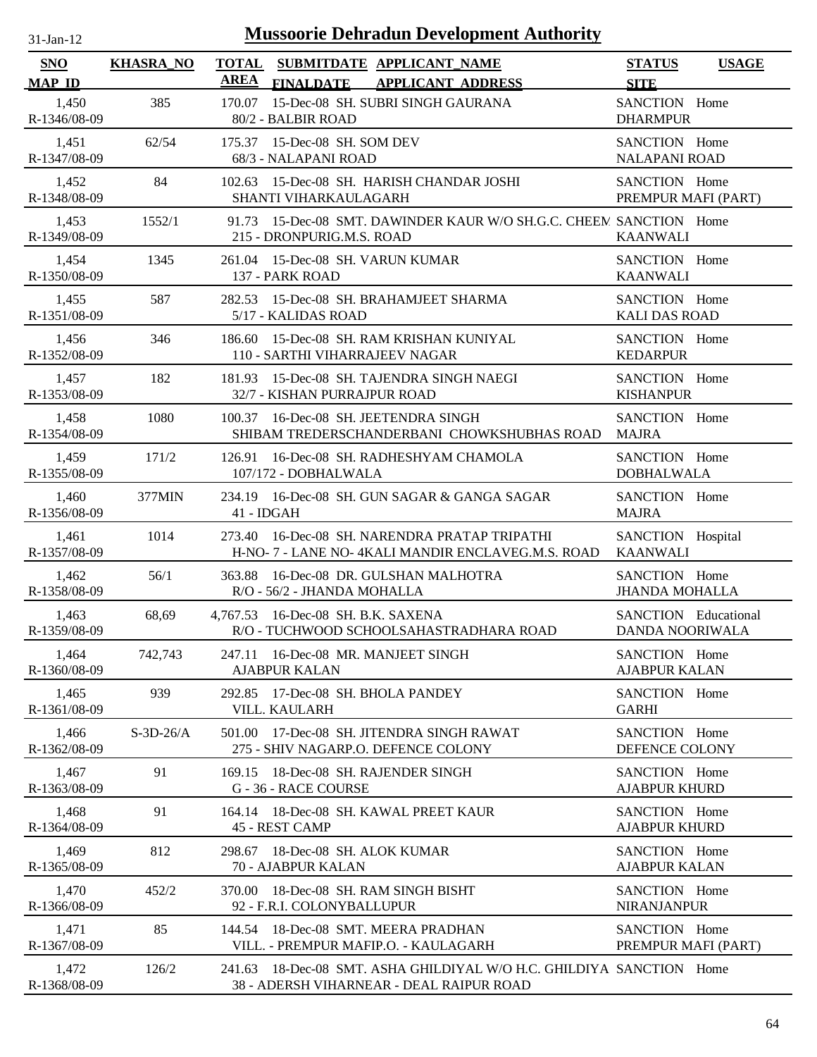| $31$ -Jan-12          | <b>Mussoorie Dehradun Development Authority</b> |                                                                                                                  |                                                       |  |  |
|-----------------------|-------------------------------------------------|------------------------------------------------------------------------------------------------------------------|-------------------------------------------------------|--|--|
| SNO<br><b>MAP ID</b>  | <b>KHASRA_NO</b>                                | <b>TOTAL</b><br>SUBMITDATE APPLICANT_NAME<br><b>AREA</b><br><b>FINALDATE</b><br><b>APPLICANT ADDRESS</b>         | <b>STATUS</b><br><b>USAGE</b><br><b>SITE</b>          |  |  |
| 1,450<br>R-1346/08-09 | 385                                             | 15-Dec-08 SH. SUBRI SINGH GAURANA<br>170.07<br>80/2 - BALBIR ROAD                                                | SANCTION Home<br><b>DHARMPUR</b>                      |  |  |
| 1,451<br>R-1347/08-09 | 62/54                                           | 175.37 15-Dec-08 SH. SOM DEV<br>68/3 - NALAPANI ROAD                                                             | SANCTION Home<br><b>NALAPANI ROAD</b>                 |  |  |
| 1,452<br>R-1348/08-09 | 84                                              | 15-Dec-08 SH. HARISH CHANDAR JOSHI<br>102.63<br>SHANTI VIHARKAULAGARH                                            | SANCTION Home<br>PREMPUR MAFI (PART)                  |  |  |
| 1,453<br>R-1349/08-09 | 1552/1                                          | 15-Dec-08 SMT. DAWINDER KAUR W/O SH.G.C. CHEEM SANCTION Home<br>91.73<br>215 - DRONPURIG.M.S. ROAD               | <b>KAANWALI</b>                                       |  |  |
| 1,454<br>R-1350/08-09 | 1345                                            | 15-Dec-08 SH. VARUN KUMAR<br>261.04<br>137 - PARK ROAD                                                           | SANCTION Home<br><b>KAANWALI</b>                      |  |  |
| 1,455<br>R-1351/08-09 | 587                                             | 282.53<br>15-Dec-08 SH. BRAHAMJEET SHARMA<br>5/17 - KALIDAS ROAD                                                 | SANCTION Home<br><b>KALI DAS ROAD</b>                 |  |  |
| 1,456<br>R-1352/08-09 | 346                                             | 15-Dec-08 SH. RAM KRISHAN KUNIYAL<br>186.60<br>110 - SARTHI VIHARRAJEEV NAGAR                                    | SANCTION Home<br><b>KEDARPUR</b>                      |  |  |
| 1,457<br>R-1353/08-09 | 182                                             | 15-Dec-08 SH. TAJENDRA SINGH NAEGI<br>181.93<br>32/7 - KISHAN PURRAJPUR ROAD                                     | SANCTION Home<br><b>KISHANPUR</b>                     |  |  |
| 1,458<br>R-1354/08-09 | 1080                                            | 16-Dec-08 SH. JEETENDRA SINGH<br>100.37<br>SHIBAM TREDERSCHANDERBANI CHOWKSHUBHAS ROAD                           | SANCTION Home<br><b>MAJRA</b>                         |  |  |
| 1,459<br>R-1355/08-09 | 171/2                                           | 16-Dec-08 SH. RADHESHYAM CHAMOLA<br>126.91<br>107/172 - DOBHALWALA                                               | SANCTION Home<br><b>DOBHALWALA</b>                    |  |  |
| 1,460<br>R-1356/08-09 | 377MIN                                          | 234.19 16-Dec-08 SH. GUN SAGAR & GANGA SAGAR<br>41 - IDGAH                                                       | SANCTION Home<br><b>MAJRA</b>                         |  |  |
| 1,461<br>R-1357/08-09 | 1014                                            | 273.40 16-Dec-08 SH. NARENDRA PRATAP TRIPATHI<br>H-NO- 7 - LANE NO- 4KALI MANDIR ENCLAVEG.M.S. ROAD              | SANCTION Hospital<br><b>KAANWALI</b>                  |  |  |
| 1,462<br>R-1358/08-09 | 56/1                                            | 16-Dec-08 DR. GULSHAN MALHOTRA<br>363.88<br>R/O - 56/2 - JHANDA MOHALLA                                          | SANCTION Home<br><b>JHANDA MOHALLA</b>                |  |  |
| 1.463<br>R-1359/08-09 | 68,69                                           | 4,767.53 16-Dec-08 SH. B.K. SAXENA<br>R/O - TUCHWOOD SCHOOLSAHASTRADHARA ROAD                                    | <b>SANCTION</b> Educational<br><b>DANDA NOORIWALA</b> |  |  |
| 1,464<br>R-1360/08-09 | 742,743                                         | 16-Dec-08 MR. MANJEET SINGH<br>247.11<br><b>AJABPUR KALAN</b>                                                    | SANCTION Home<br><b>AJABPUR KALAN</b>                 |  |  |
| 1,465<br>R-1361/08-09 | 939                                             | 17-Dec-08 SH. BHOLA PANDEY<br>292.85<br>VILL. KAULARH                                                            | SANCTION Home<br><b>GARHI</b>                         |  |  |
| 1,466<br>R-1362/08-09 | $S-3D-26/A$                                     | 17-Dec-08 SH. JITENDRA SINGH RAWAT<br>501.00<br>275 - SHIV NAGARP.O. DEFENCE COLONY                              | SANCTION Home<br>DEFENCE COLONY                       |  |  |
| 1,467<br>R-1363/08-09 | 91                                              | 18-Dec-08 SH. RAJENDER SINGH<br>169.15<br>G - 36 - RACE COURSE                                                   | SANCTION Home<br><b>AJABPUR KHURD</b>                 |  |  |
| 1,468<br>R-1364/08-09 | 91                                              | 164.14 18-Dec-08 SH. KAWAL PREET KAUR<br>45 - REST CAMP                                                          | SANCTION Home<br><b>AJABPUR KHURD</b>                 |  |  |
| 1,469<br>R-1365/08-09 | 812                                             | 18-Dec-08 SH. ALOK KUMAR<br>298.67<br>70 - AJABPUR KALAN                                                         | SANCTION Home<br><b>AJABPUR KALAN</b>                 |  |  |
| 1,470<br>R-1366/08-09 | 452/2                                           | 370.00 18-Dec-08 SH. RAM SINGH BISHT<br>92 - F.R.I. COLONYBALLUPUR                                               | SANCTION Home<br><b>NIRANJANPUR</b>                   |  |  |
| 1,471<br>R-1367/08-09 | 85                                              | 144.54 18-Dec-08 SMT. MEERA PRADHAN<br>VILL. - PREMPUR MAFIP.O. - KAULAGARH                                      | SANCTION Home<br>PREMPUR MAFI (PART)                  |  |  |
| 1,472<br>R-1368/08-09 | 126/2                                           | 241.63 18-Dec-08 SMT. ASHA GHILDIYAL W/O H.C. GHILDIYA SANCTION Home<br>38 - ADERSH VIHARNEAR - DEAL RAIPUR ROAD |                                                       |  |  |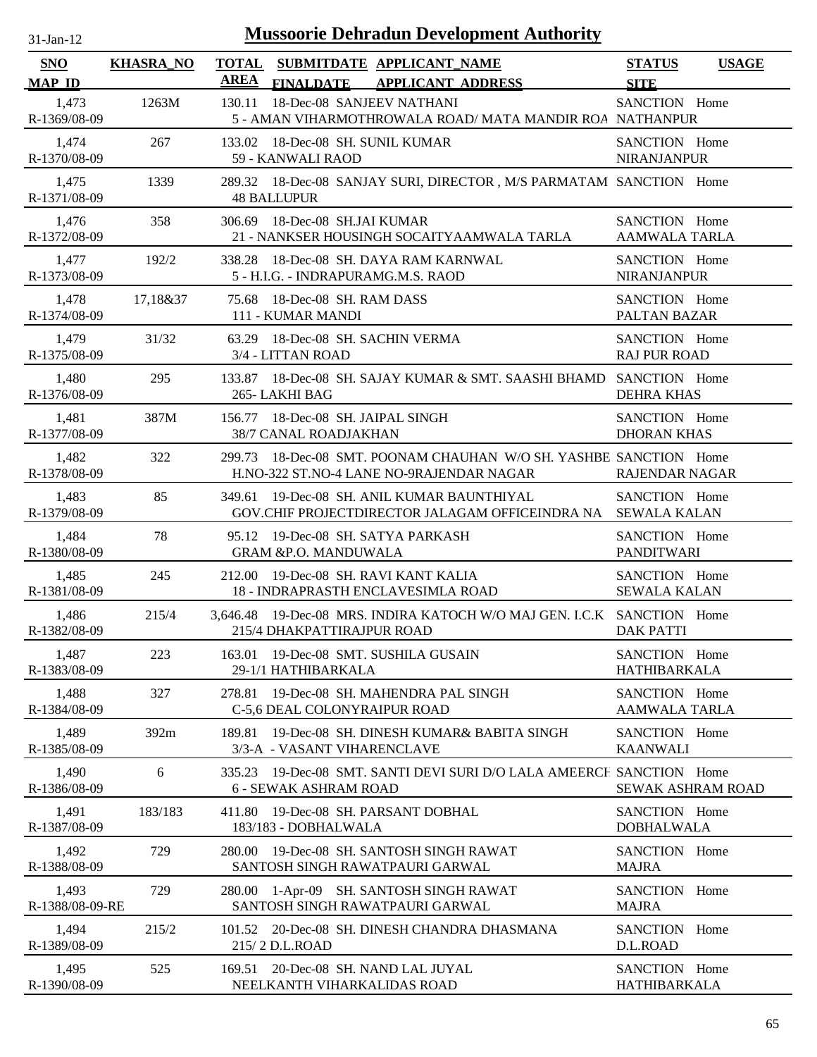| $31-Jan-12$                 | <b>Mussoorie Dehradun Development Authority</b> |             |                                                                                                        |                                       |              |
|-----------------------------|-------------------------------------------------|-------------|--------------------------------------------------------------------------------------------------------|---------------------------------------|--------------|
| <b>SNO</b><br><b>MAP ID</b> | <b>KHASRA_NO</b>                                | <b>AREA</b> | TOTAL SUBMITDATE APPLICANT_NAME<br><b>FINALDATE</b><br><b>APPLICANT ADDRESS</b>                        | <b>STATUS</b><br><b>SITE</b>          | <b>USAGE</b> |
| 1,473<br>R-1369/08-09       | 1263M                                           | 130.11      | 18-Dec-08 SANJEEV NATHANI<br>5 - AMAN VIHARMOTHROWALA ROAD/MATA MANDIR ROA NATHANPUR                   | SANCTION Home                         |              |
| 1,474<br>R-1370/08-09       | 267                                             |             | 133.02 18-Dec-08 SH. SUNIL KUMAR<br>59 - KANWALI RAOD                                                  | SANCTION Home<br><b>NIRANJANPUR</b>   |              |
| 1,475<br>R-1371/08-09       | 1339                                            |             | 289.32 18-Dec-08 SANJAY SURI, DIRECTOR, M/S PARMATAM SANCTION Home<br><b>48 BALLUPUR</b>               |                                       |              |
| 1,476<br>R-1372/08-09       | 358                                             | 306.69      | 18-Dec-08 SH.JAI KUMAR<br>21 - NANKSER HOUSINGH SOCAITYAAMWALA TARLA                                   | SANCTION Home<br><b>AAMWALA TARLA</b> |              |
| 1,477<br>R-1373/08-09       | 192/2                                           | 338.28      | 18-Dec-08 SH. DAYA RAM KARNWAL<br>5 - H.I.G. - INDRAPURAMG.M.S. RAOD                                   | SANCTION Home<br><b>NIRANJANPUR</b>   |              |
| 1,478<br>R-1374/08-09       | 17,18&37                                        |             | 75.68 18-Dec-08 SH, RAM DASS<br>111 - KUMAR MANDI                                                      | SANCTION Home<br>PALTAN BAZAR         |              |
| 1,479<br>R-1375/08-09       | 31/32                                           | 63.29       | 18-Dec-08 SH. SACHIN VERMA<br>3/4 - LITTAN ROAD                                                        | SANCTION Home<br><b>RAJ PUR ROAD</b>  |              |
| 1,480<br>R-1376/08-09       | 295                                             | 133.87      | 18-Dec-08 SH, SAJAY KUMAR & SMT, SAASHI BHAMD SANCTION Home<br>265-LAKHI BAG                           | <b>DEHRA KHAS</b>                     |              |
| 1,481<br>R-1377/08-09       | 387M                                            |             | 156.77 18-Dec-08 SH. JAIPAL SINGH<br>38/7 CANAL ROADJAKHAN                                             | SANCTION Home<br><b>DHORAN KHAS</b>   |              |
| 1,482<br>R-1378/08-09       | 322                                             | 299.73      | 18-Dec-08 SMT. POONAM CHAUHAN W/O SH. YASHBE SANCTION Home<br>H.NO-322 ST.NO-4 LANE NO-9RAJENDAR NAGAR | RAJENDAR NAGAR                        |              |
| 1,483<br>R-1379/08-09       | 85                                              | 349.61      | 19-Dec-08 SH. ANIL KUMAR BAUNTHIYAL<br>GOV.CHIF PROJECTDIRECTOR JALAGAM OFFICEINDRA NA                 | SANCTION Home<br><b>SEWALA KALAN</b>  |              |
| 1,484<br>R-1380/08-09       | 78                                              |             | 95.12 19-Dec-08 SH. SATYA PARKASH<br><b>GRAM &amp;P.O. MANDUWALA</b>                                   | SANCTION Home<br><b>PANDITWARI</b>    |              |
| 1,485<br>R-1381/08-09       | 245                                             | 212.00      | 19-Dec-08 SH. RAVI KANT KALIA<br>18 - INDRAPRASTH ENCLAVESIMLA ROAD                                    | SANCTION Home<br><b>SEWALA KALAN</b>  |              |
| 1,486<br>R-1382/08-09       | 215/4                                           |             | 3,646.48 19-Dec-08 MRS. INDIRA KATOCH W/O MAJ GEN. I.C.K SANCTION Home<br>215/4 DHAKPATTIRAJPUR ROAD   | <b>DAK PATTI</b>                      |              |
| 1,487<br>R-1383/08-09       | 223                                             | 163.01      | 19-Dec-08 SMT. SUSHILA GUSAIN<br>29-1/1 HATHIBARKALA                                                   | SANCTION Home<br><b>HATHIBARKALA</b>  |              |
| 1,488<br>R-1384/08-09       | 327                                             | 278.81      | 19-Dec-08 SH, MAHENDRA PAL SINGH<br>C-5,6 DEAL COLONYRAIPUR ROAD                                       | SANCTION Home<br><b>AAMWALA TARLA</b> |              |
| 1,489<br>R-1385/08-09       | 392m                                            | 189.81      | 19-Dec-08 SH. DINESH KUMAR& BABITA SINGH<br>3/3-A - VASANT VIHARENCLAVE                                | SANCTION Home<br><b>KAANWALI</b>      |              |
| 1,490<br>R-1386/08-09       | 6                                               |             | 335.23 19-Dec-08 SMT. SANTI DEVI SURI D/O LALA AMEERCH SANCTION Home<br><b>6 - SEWAK ASHRAM ROAD</b>   | <b>SEWAK ASHRAM ROAD</b>              |              |
| 1,491<br>R-1387/08-09       | 183/183                                         | 411.80      | 19-Dec-08 SH. PARSANT DOBHAL<br>183/183 - DOBHALWALA                                                   | SANCTION Home<br><b>DOBHALWALA</b>    |              |
| 1,492<br>R-1388/08-09       | 729                                             | 280.00      | 19-Dec-08 SH. SANTOSH SINGH RAWAT<br>SANTOSH SINGH RAWATPAURI GARWAL                                   | SANCTION Home<br><b>MAJRA</b>         |              |
| 1,493<br>R-1388/08-09-RE    | 729                                             | 280.00      | 1-Apr-09 SH. SANTOSH SINGH RAWAT<br>SANTOSH SINGH RAWATPAURI GARWAL                                    | SANCTION Home<br><b>MAJRA</b>         |              |
| 1,494<br>R-1389/08-09       | 215/2                                           |             | 101.52 20-Dec-08 SH. DINESH CHANDRA DHASMANA<br>215/2 D.L.ROAD                                         | SANCTION Home<br>D.L.ROAD             |              |
| 1,495<br>R-1390/08-09       | 525                                             | 169.51      | 20-Dec-08 SH. NAND LAL JUYAL<br>NEELKANTH VIHARKALIDAS ROAD                                            | SANCTION Home<br><b>HATHIBARKALA</b>  |              |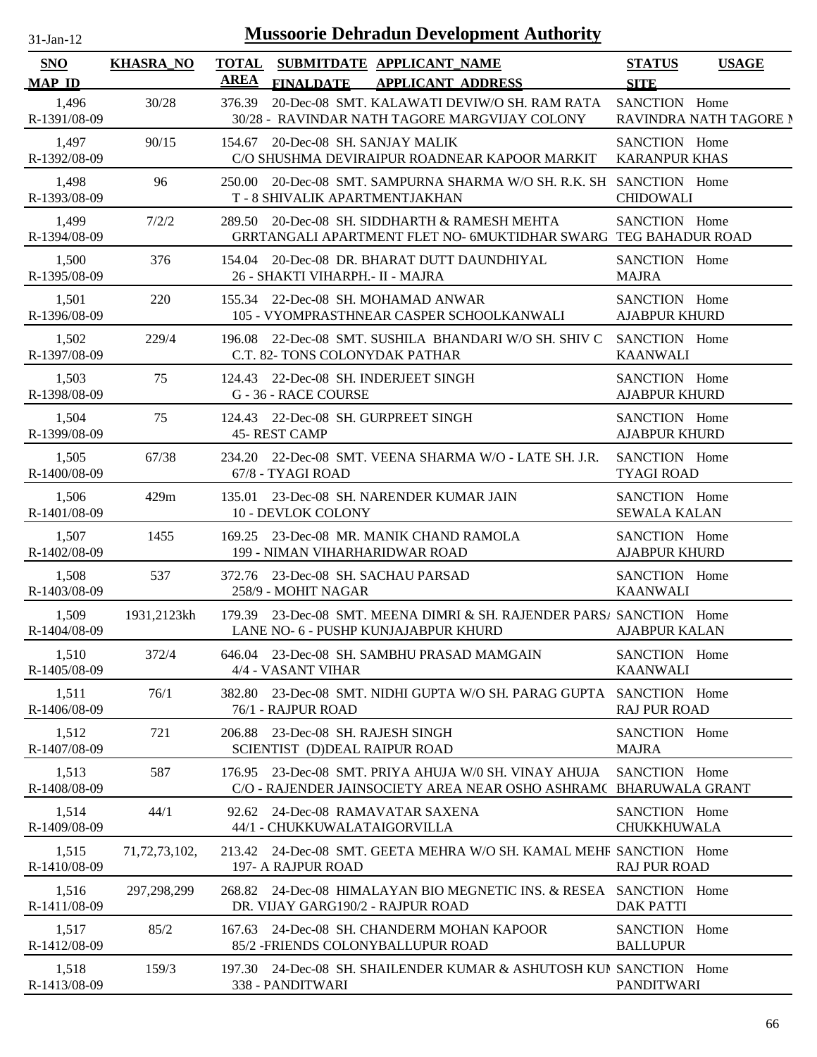| $31-Jan-12$           |                  |                      | <b>Mussoorie Dehradun Development Authority</b>                                                                     |                                       |                        |
|-----------------------|------------------|----------------------|---------------------------------------------------------------------------------------------------------------------|---------------------------------------|------------------------|
| SNO<br><b>MAP ID</b>  | <b>KHASRA_NO</b> | <b>TOTAL</b><br>AREA | SUBMITDATE APPLICANT_NAME<br><b>APPLICANT ADDRESS</b><br><b>FINALDATE</b>                                           | <b>STATUS</b><br><b>SITE</b>          | <b>USAGE</b>           |
| 1,496<br>R-1391/08-09 | 30/28            | 376.39               | 20-Dec-08 SMT. KALAWATI DEVIW/O SH. RAM RATA<br>30/28 - RAVINDAR NATH TAGORE MARGVIJAY COLONY                       | SANCTION Home                         | RAVINDRA NATH TAGORE N |
| 1,497<br>R-1392/08-09 | 90/15            | 154.67               | 20-Dec-08 SH. SANJAY MALIK<br>C/O SHUSHMA DEVIRAIPUR ROADNEAR KAPOOR MARKIT                                         | SANCTION Home<br><b>KARANPUR KHAS</b> |                        |
| 1,498<br>R-1393/08-09 | 96               | 250.00               | 20-Dec-08 SMT. SAMPURNA SHARMA W/O SH. R.K. SH SANCTION Home<br>T - 8 SHIVALIK APARTMENTJAKHAN                      | <b>CHIDOWALI</b>                      |                        |
| 1,499<br>R-1394/08-09 | 7/2/2            | 289.50               | 20-Dec-08 SH. SIDDHARTH & RAMESH MEHTA<br>GRRTANGALI APARTMENT FLET NO-6MUKTIDHAR SWARG TEG BAHADUR ROAD            | SANCTION Home                         |                        |
| 1,500<br>R-1395/08-09 | 376              | 154.04               | 20-Dec-08 DR. BHARAT DUTT DAUNDHIYAL<br>26 - SHAKTI VIHARPH. - II - MAJRA                                           | SANCTION Home<br><b>MAJRA</b>         |                        |
| 1,501<br>R-1396/08-09 | 220              | 155.34               | 22-Dec-08 SH. MOHAMAD ANWAR<br>105 - VYOMPRASTHNEAR CASPER SCHOOLKANWALI                                            | SANCTION Home<br><b>AJABPUR KHURD</b> |                        |
| 1,502<br>R-1397/08-09 | 229/4            | 196.08               | 22-Dec-08 SMT. SUSHILA BHANDARI W/O SH. SHIV C<br>C.T. 82- TONS COLONYDAK PATHAR                                    | SANCTION Home<br><b>KAANWALI</b>      |                        |
| 1,503<br>R-1398/08-09 | 75               | 124.43               | 22-Dec-08 SH. INDERJEET SINGH<br>G - 36 - RACE COURSE                                                               | SANCTION Home<br><b>AJABPUR KHURD</b> |                        |
| 1,504<br>R-1399/08-09 | 75               | 124.43               | 22-Dec-08 SH. GURPREET SINGH<br><b>45- REST CAMP</b>                                                                | SANCTION Home<br><b>AJABPUR KHURD</b> |                        |
| 1,505<br>R-1400/08-09 | 67/38            | 234.20               | 22-Dec-08 SMT. VEENA SHARMA W/O - LATE SH. J.R.<br>67/8 - TYAGI ROAD                                                | SANCTION Home<br><b>TYAGI ROAD</b>    |                        |
| 1,506<br>R-1401/08-09 | 429m             | 135.01               | 23-Dec-08 SH. NARENDER KUMAR JAIN<br>10 - DEVLOK COLONY                                                             | SANCTION Home<br><b>SEWALA KALAN</b>  |                        |
| 1,507<br>R-1402/08-09 | 1455             |                      | 169.25 23-Dec-08 MR. MANIK CHAND RAMOLA<br>199 - NIMAN VIHARHARIDWAR ROAD                                           | SANCTION Home<br><b>AJABPUR KHURD</b> |                        |
| 1,508<br>R-1403/08-09 | 537              | 372.76               | 23-Dec-08 SH. SACHAU PARSAD<br>258/9 - MOHIT NAGAR                                                                  | SANCTION Home<br><b>KAANWALI</b>      |                        |
| 1,509<br>R-1404/08-09 | 1931,2123kh      |                      | 179.39 23-Dec-08 SMT. MEENA DIMRI & SH. RAJENDER PARSA SANCTION Home<br>LANE NO- 6 - PUSHP KUNJAJABPUR KHURD        | <b>AJABPUR KALAN</b>                  |                        |
| 1,510<br>R-1405/08-09 | 372/4            | 646.04               | 23-Dec-08 SH. SAMBHU PRASAD MAMGAIN<br>4/4 - VASANT VIHAR                                                           | SANCTION Home<br><b>KAANWALI</b>      |                        |
| 1,511<br>R-1406/08-09 | 76/1             | 382.80               | 23-Dec-08 SMT. NIDHI GUPTA W/O SH. PARAG GUPTA SANCTION Home<br>76/1 - RAJPUR ROAD                                  | <b>RAJ PUR ROAD</b>                   |                        |
| 1,512<br>R-1407/08-09 | 721              | 206.88               | 23-Dec-08 SH. RAJESH SINGH<br>SCIENTIST (D)DEAL RAIPUR ROAD                                                         | SANCTION Home<br><b>MAJRA</b>         |                        |
| 1,513<br>R-1408/08-09 | 587              | 176.95               | 23-Dec-08 SMT, PRIYA AHUJA W/0 SH, VINAY AHUJA<br>C/O - RAJENDER JAINSOCIETY AREA NEAR OSHO ASHRAMC BHARUWALA GRANT | SANCTION Home                         |                        |
| 1,514<br>R-1409/08-09 | 44/1             | 92.62                | 24-Dec-08 RAMAVATAR SAXENA<br>44/1 - CHUKKUWALATAIGORVILLA                                                          | SANCTION Home<br><b>CHUKKHUWALA</b>   |                        |
| 1,515<br>R-1410/08-09 | 71, 72, 73, 102, | 213.42               | 24-Dec-08 SMT, GEETA MEHRA W/O SH, KAMAL MEHR SANCTION Home<br>197- A RAJPUR ROAD                                   | <b>RAJ PUR ROAD</b>                   |                        |
| 1,516<br>R-1411/08-09 | 297,298,299      | 268.82               | 24-Dec-08 HIMALAYAN BIO MEGNETIC INS. & RESEA SANCTION Home<br>DR. VIJAY GARG190/2 - RAJPUR ROAD                    | <b>DAK PATTI</b>                      |                        |
| 1,517<br>R-1412/08-09 | 85/2             | 167.63               | 24-Dec-08 SH. CHANDERM MOHAN KAPOOR<br>85/2 - FRIENDS COLONYBALLUPUR ROAD                                           | SANCTION Home<br><b>BALLUPUR</b>      |                        |
| 1,518<br>R-1413/08-09 | 159/3            |                      | 197.30 24-Dec-08 SH. SHAILENDER KUMAR & ASHUTOSH KUN SANCTION Home<br>338 - PANDITWARI                              | <b>PANDITWARI</b>                     |                        |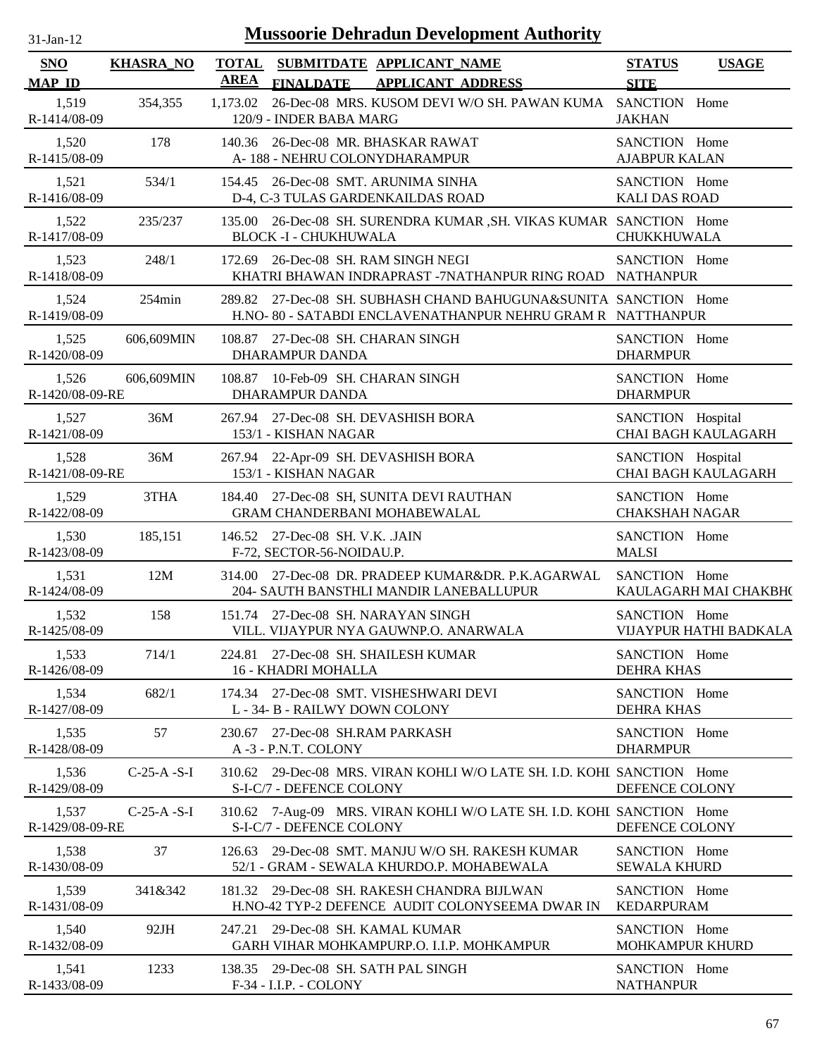| $31$ -Jan-12             |                  | <b>Mussoorie Dehradun Development Authority</b>                                                                                   |                                         |                            |
|--------------------------|------------------|-----------------------------------------------------------------------------------------------------------------------------------|-----------------------------------------|----------------------------|
| SNO<br><b>MAP ID</b>     | <b>KHASRA_NO</b> | <b>TOTAL</b><br>SUBMITDATE APPLICANT_NAME<br><b>AREA</b><br><b>APPLICANT ADDRESS</b><br><b>FINALDATE</b>                          | <b>STATUS</b><br><b>SITE</b>            | <b>USAGE</b>               |
| 1,519<br>R-1414/08-09    | 354,355          | 26-Dec-08 MRS. KUSOM DEVI W/O SH. PAWAN KUMA SANCTION Home<br>1,173.02<br>120/9 - INDER BABA MARG                                 | <b>JAKHAN</b>                           |                            |
| 1,520<br>R-1415/08-09    | 178              | 140.36 26-Dec-08 MR. BHASKAR RAWAT<br>A-188 - NEHRU COLONYDHARAMPUR                                                               | SANCTION Home<br><b>AJABPUR KALAN</b>   |                            |
| 1,521<br>R-1416/08-09    | 534/1            | 154.45 26-Dec-08 SMT. ARUNIMA SINHA<br>D-4, C-3 TULAS GARDENKAILDAS ROAD                                                          | SANCTION Home<br><b>KALI DAS ROAD</b>   |                            |
| 1,522<br>R-1417/08-09    | 235/237          | 135.00 26-Dec-08 SH. SURENDRA KUMAR , SH. VIKAS KUMAR SANCTION Home<br><b>BLOCK -I - CHUKHUWALA</b>                               | CHUKKHUWALA                             |                            |
| 1,523<br>R-1418/08-09    | 248/1            | 172.69 26-Dec-08 SH. RAM SINGH NEGI<br>KHATRI BHAWAN INDRAPRAST -7NATHANPUR RING ROAD NATHANPUR                                   | SANCTION Home                           |                            |
| 1,524<br>R-1419/08-09    | $254\text{min}$  | 27-Dec-08 SH. SUBHASH CHAND BAHUGUNA&SUNITA SANCTION Home<br>289.82<br>H.NO-80 - SATABDI ENCLAVENATHANPUR NEHRU GRAM R NATTHANPUR |                                         |                            |
| 1,525<br>R-1420/08-09    | 606,609MIN       | 108.87 27-Dec-08 SH. CHARAN SINGH<br>DHARAMPUR DANDA                                                                              | SANCTION Home<br><b>DHARMPUR</b>        |                            |
| 1,526<br>R-1420/08-09-RE | 606,609MIN       | 108.87 10-Feb-09 SH. CHARAN SINGH<br><b>DHARAMPUR DANDA</b>                                                                       | SANCTION Home<br><b>DHARMPUR</b>        |                            |
| 1,527<br>R-1421/08-09    | 36M              | 267.94 27-Dec-08 SH. DEVASHISH BORA<br>153/1 - KISHAN NAGAR                                                                       | SANCTION Hospital                       | <b>CHAI BAGH KAULAGARH</b> |
| 1,528<br>R-1421/08-09-RE | 36M              | 267.94 22-Apr-09 SH. DEVASHISH BORA<br>153/1 - KISHAN NAGAR                                                                       | SANCTION Hospital                       | CHAI BAGH KAULAGARH        |
| 1,529<br>R-1422/08-09    | 3THA             | 184.40 27-Dec-08 SH, SUNITA DEVI RAUTHAN<br>GRAM CHANDERBANI MOHABEWALAL                                                          | SANCTION Home<br><b>CHAKSHAH NAGAR</b>  |                            |
| 1,530<br>R-1423/08-09    | 185,151          | 146.52 27-Dec-08 SH. V.K. JAIN<br>F-72, SECTOR-56-NOIDAU.P.                                                                       | SANCTION Home<br><b>MALSI</b>           |                            |
| 1,531<br>R-1424/08-09    | 12M              | 314.00 27-Dec-08 DR. PRADEEP KUMAR&DR. P.K.AGARWAL<br>204- SAUTH BANSTHLI MANDIR LANEBALLUPUR                                     | SANCTION Home                           | KAULAGARH MAI CHAKBH(      |
| 1,532<br>R-1425/08-09    | 158              | 151.74 27-Dec-08 SH. NARAYAN SINGH<br>VILL. VIJAYPUR NYA GAUWNP.O. ANARWALA                                                       | SANCTION Home                           | VIJAYPUR HATHI BADKALA     |
| 1,533<br>R-1426/08-09    | 714/1            | 224.81 27-Dec-08 SH. SHAILESH KUMAR<br>16 - KHADRI MOHALLA                                                                        | SANCTION Home<br><b>DEHRA KHAS</b>      |                            |
| 1,534<br>R-1427/08-09    | 682/1            | 174.34 27-Dec-08 SMT. VISHESHWARI DEVI<br>L - 34- B - RAILWY DOWN COLONY                                                          | SANCTION Home<br><b>DEHRA KHAS</b>      |                            |
| 1,535<br>R-1428/08-09    | 57               | 230.67 27-Dec-08 SH.RAM PARKASH<br>A -3 - P.N.T. COLONY                                                                           | SANCTION Home<br><b>DHARMPUR</b>        |                            |
| 1,536<br>R-1429/08-09    | $C-25-A-S-I$     | 310.62 29-Dec-08 MRS. VIRAN KOHLI W/O LATE SH. I.D. KOHL SANCTION Home<br>S-I-C/7 - DEFENCE COLONY                                | DEFENCE COLONY                          |                            |
| 1,537<br>R-1429/08-09-RE | $C-25-A-S-I$     | 310.62 7-Aug-09 MRS. VIRAN KOHLI W/O LATE SH. I.D. KOHL SANCTION Home<br>S-I-C/7 - DEFENCE COLONY                                 | DEFENCE COLONY                          |                            |
| 1,538<br>R-1430/08-09    | 37               | 29-Dec-08 SMT. MANJU W/O SH. RAKESH KUMAR<br>126.63<br>52/1 - GRAM - SEWALA KHURDO.P. MOHABEWALA                                  | SANCTION Home<br><b>SEWALA KHURD</b>    |                            |
| 1,539<br>R-1431/08-09    | 341&342          | 181.32 29-Dec-08 SH. RAKESH CHANDRA BIJLWAN<br>H.NO-42 TYP-2 DEFENCE AUDIT COLONYSEEMA DWAR IN                                    | SANCTION Home<br><b>KEDARPURAM</b>      |                            |
| 1,540<br>R-1432/08-09    | 92JH             | 29-Dec-08 SH. KAMAL KUMAR<br>247.21<br>GARH VIHAR MOHKAMPURP.O. I.I.P. MOHKAMPUR                                                  | SANCTION Home<br><b>MOHKAMPUR KHURD</b> |                            |
| 1,541<br>R-1433/08-09    | 1233             | 138.35 29-Dec-08 SH. SATH PAL SINGH<br>F-34 - I.I.P. - COLONY                                                                     | SANCTION Home<br><b>NATHANPUR</b>       |                            |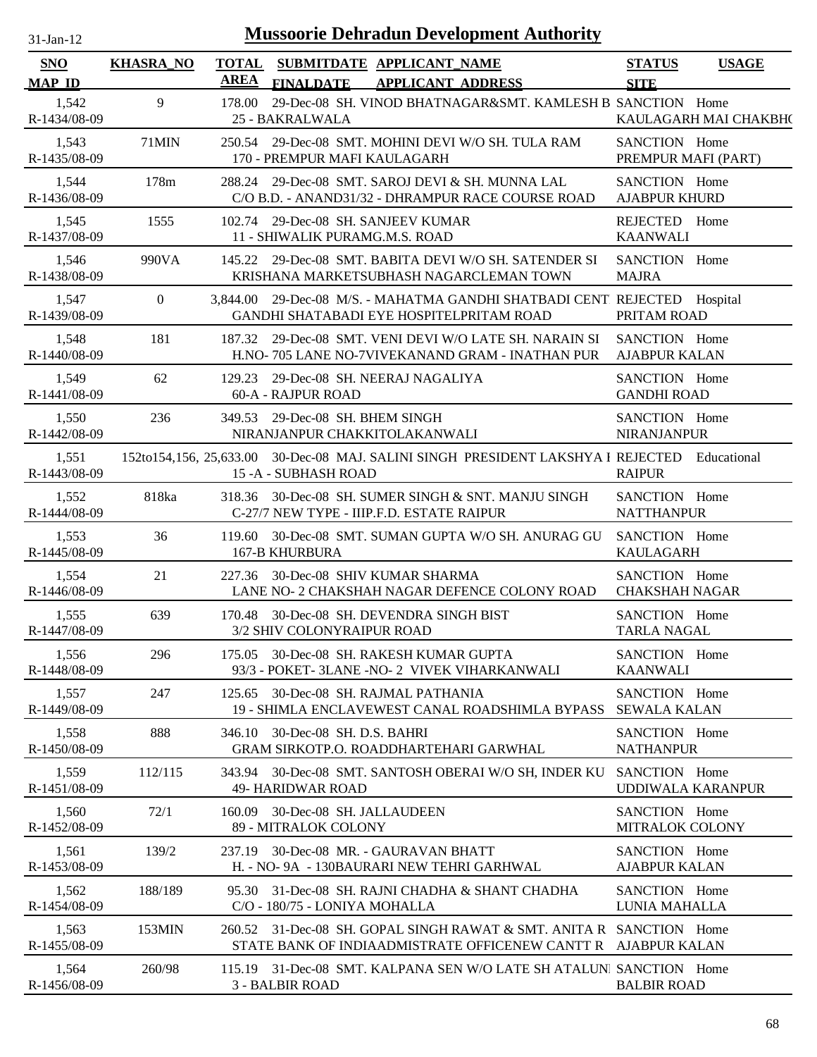| <b>Mussoorie Dehradun Development Authority</b><br>$31-Jan-12$ |                  |        |                                                                                                                                      |                                        |                       |
|----------------------------------------------------------------|------------------|--------|--------------------------------------------------------------------------------------------------------------------------------------|----------------------------------------|-----------------------|
| <b>SNO</b><br><b>MAP ID</b>                                    | <b>KHASRA_NO</b> | AREA   | TOTAL SUBMITDATE APPLICANT_NAME<br><b>FINALDATE</b><br><b>APPLICANT ADDRESS</b>                                                      | <b>STATUS</b><br><b>SITE</b>           | <b>USAGE</b>          |
| 1,542<br>R-1434/08-09                                          | 9                | 178.00 | 29-Dec-08 SH. VINOD BHATNAGAR&SMT. KAMLESH B SANCTION Home<br>25 - BAKRALWALA                                                        |                                        | KAULAGARH MAI CHAKBH( |
| 1,543<br>R-1435/08-09                                          | 71MIN            |        | 250.54 29-Dec-08 SMT. MOHINI DEVI W/O SH. TULA RAM<br>170 - PREMPUR MAFI KAULAGARH                                                   | SANCTION Home<br>PREMPUR MAFI (PART)   |                       |
| 1,544<br>R-1436/08-09                                          | 178m             |        | 288.24 29-Dec-08 SMT, SAROJ DEVI & SH, MUNNA LAL<br>C/O B.D. - ANAND31/32 - DHRAMPUR RACE COURSE ROAD                                | SANCTION Home<br><b>AJABPUR KHURD</b>  |                       |
| 1,545<br>R-1437/08-09                                          | 1555             |        | 102.74 29-Dec-08 SH. SANJEEV KUMAR<br>11 - SHIWALIK PURAMG.M.S. ROAD                                                                 | REJECTED Home<br><b>KAANWALI</b>       |                       |
| 1,546<br>R-1438/08-09                                          | 990VA            |        | 145.22 29-Dec-08 SMT. BABITA DEVI W/O SH. SATENDER SI<br>KRISHANA MARKETSUBHASH NAGARCLEMAN TOWN                                     | SANCTION Home<br><b>MAJRA</b>          |                       |
| 1,547<br>R-1439/08-09                                          | $\overline{0}$   |        | 3,844.00 29-Dec-08 M/S. - MAHATMA GANDHI SHATBADI CENT. REJECTED Hospital<br>GANDHI SHATABADI EYE HOSPITELPRITAM ROAD                | PRITAM ROAD                            |                       |
| 1,548<br>R-1440/08-09                                          | 181              |        | 187.32 29-Dec-08 SMT, VENI DEVI W/O LATE SH, NARAIN SI<br>H.NO- 705 LANE NO-7VIVEKANAND GRAM - INATHAN PUR                           | SANCTION Home<br><b>AJABPUR KALAN</b>  |                       |
| 1,549<br>R-1441/08-09                                          | 62               | 129.23 | 29-Dec-08 SH. NEERAJ NAGALIYA<br>60-A - RAJPUR ROAD                                                                                  | SANCTION Home<br><b>GANDHI ROAD</b>    |                       |
| 1,550<br>R-1442/08-09                                          | 236              |        | 349.53 29-Dec-08 SH, BHEM SINGH<br>NIRANJANPUR CHAKKITOLAKANWALI                                                                     | SANCTION Home<br><b>NIRANJANPUR</b>    |                       |
| 1,551<br>R-1443/08-09                                          |                  |        | 152to154,156, 25,633.00 30-Dec-08 MAJ. SALINI SINGH PRESIDENT LAKSHYA I REJECTED<br>15 - A - SUBHASH ROAD                            | <b>RAIPUR</b>                          | Educational           |
| 1,552<br>R-1444/08-09                                          | 818ka            |        | 318.36 30-Dec-08 SH. SUMER SINGH & SNT. MANJU SINGH<br>C-27/7 NEW TYPE - IIIP.F.D. ESTATE RAIPUR                                     | SANCTION Home<br><b>NATTHANPUR</b>     |                       |
| 1,553<br>R-1445/08-09                                          | 36               | 119.60 | 30-Dec-08 SMT. SUMAN GUPTA W/O SH. ANURAG GU<br>167-B KHURBURA                                                                       | SANCTION Home<br><b>KAULAGARH</b>      |                       |
| 1,554<br>R-1446/08-09                                          | 21               | 227.36 | 30-Dec-08 SHIV KUMAR SHARMA<br>LANE NO- 2 CHAKSHAH NAGAR DEFENCE COLONY ROAD                                                         | SANCTION Home<br><b>CHAKSHAH NAGAR</b> |                       |
| 1,555<br>R-1447/08-09                                          | 639              |        | 170.48 30-Dec-08 SH, DEVENDRA SINGH BIST<br>3/2 SHIV COLONYRAIPUR ROAD                                                               | SANCTION Home<br><b>TARLA NAGAL</b>    |                       |
| 1,556<br>R-1448/08-09                                          | 296              |        | 175.05 30-Dec-08 SH. RAKESH KUMAR GUPTA<br>93/3 - POKET- 3LANE -NO- 2 VIVEK VIHARKANWALI                                             | SANCTION Home<br><b>KAANWALI</b>       |                       |
| 1,557<br>R-1449/08-09                                          | 247              |        | 125.65 30-Dec-08 SH. RAJMAL PATHANIA<br>19 - SHIMLA ENCLAVEWEST CANAL ROADSHIMLA BYPASS                                              | SANCTION Home<br><b>SEWALA KALAN</b>   |                       |
| 1,558<br>R-1450/08-09                                          | 888              | 346.10 | 30-Dec-08 SH, D.S. BAHRI<br><b>GRAM SIRKOTP.O. ROADDHARTEHARI GARWHAL</b>                                                            | SANCTION Home<br><b>NATHANPUR</b>      |                       |
| 1,559<br>R-1451/08-09                                          | 112/115          |        | 343.94 30-Dec-08 SMT. SANTOSH OBERAI W/O SH, INDER KU<br><b>49- HARIDWAR ROAD</b>                                                    | SANCTION Home<br>UDDIWALA KARANPUR     |                       |
| 1,560<br>R-1452/08-09                                          | 72/1             |        | 160.09 30-Dec-08 SH. JALLAUDEEN<br>89 - MITRALOK COLONY                                                                              | SANCTION Home<br>MITRALOK COLONY       |                       |
| 1,561<br>R-1453/08-09                                          | 139/2            |        | 237.19 30-Dec-08 MR. - GAURAVAN BHATT<br>H. - NO-9A - 130BAURARI NEW TEHRI GARHWAL                                                   | SANCTION Home<br><b>AJABPUR KALAN</b>  |                       |
| 1,562<br>R-1454/08-09                                          | 188/189          |        | 95.30 31-Dec-08 SH. RAJNI CHADHA & SHANT CHADHA<br>C/O - 180/75 - LONIYA MOHALLA                                                     | SANCTION Home<br>LUNIA MAHALLA         |                       |
| 1,563<br>R-1455/08-09                                          | 153MIN           |        | 260.52 31-Dec-08 SH. GOPAL SINGH RAWAT & SMT. ANITA R SANCTION Home<br>STATE BANK OF INDIAADMISTRATE OFFICENEW CANTT R AJABPUR KALAN |                                        |                       |
| 1,564<br>R-1456/08-09                                          | 260/98           |        | 115.19 31-Dec-08 SMT, KALPANA SEN W/O LATE SH ATALUNI SANCTION Home<br>3 - BALBIR ROAD                                               | <b>BALBIR ROAD</b>                     |                       |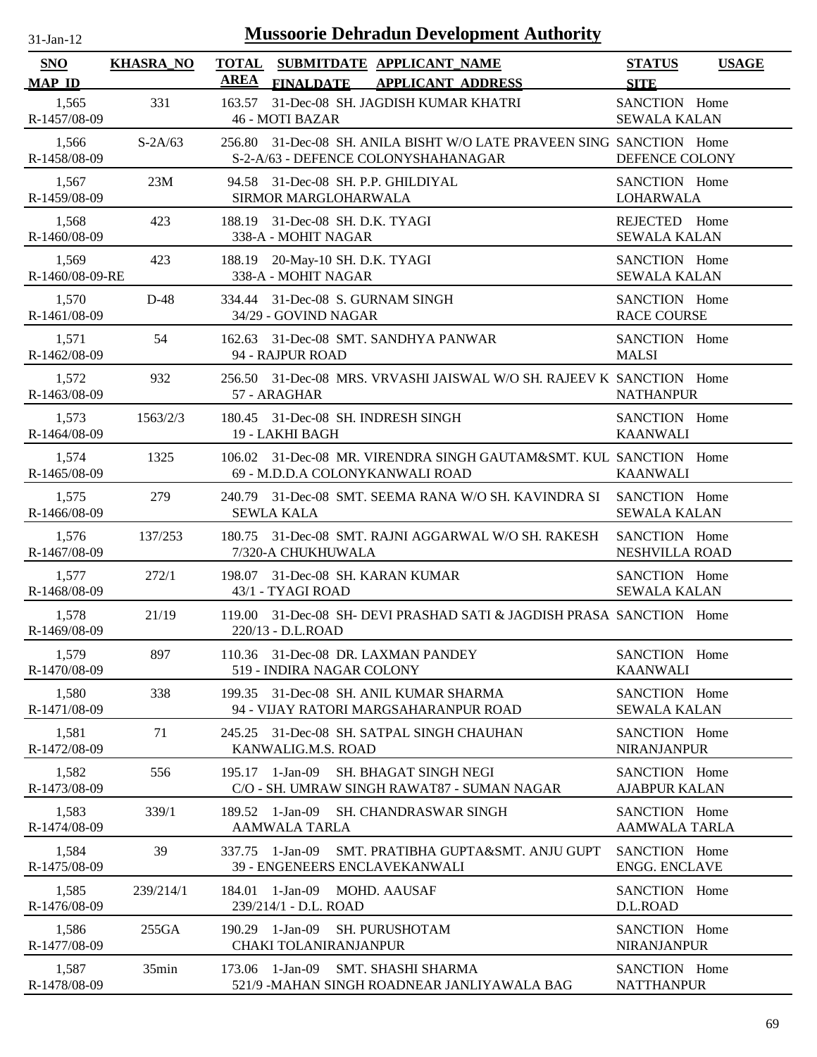| <b>Mussoorie Dehradun Development Authority</b><br>$31$ -Jan-12 |                  |                                                                                                             |                                       |              |
|-----------------------------------------------------------------|------------------|-------------------------------------------------------------------------------------------------------------|---------------------------------------|--------------|
| <b>SNO</b><br><b>MAP ID</b>                                     | <b>KHASRA_NO</b> | <b>TOTAL</b><br>SUBMITDATE APPLICANT_NAME<br><b>AREA</b><br><b>FINALDATE</b><br><b>APPLICANT ADDRESS</b>    | <b>STATUS</b><br><b>SITE</b>          | <b>USAGE</b> |
| 1,565<br>R-1457/08-09                                           | 331              | 163.57<br>31-Dec-08 SH. JAGDISH KUMAR KHATRI<br><b>46 - MOTI BAZAR</b>                                      | SANCTION Home<br><b>SEWALA KALAN</b>  |              |
| 1,566<br>R-1458/08-09                                           | $S-2A/63$        | 256.80 31-Dec-08 SH. ANILA BISHT W/O LATE PRAVEEN SING SANCTION Home<br>S-2-A/63 - DEFENCE COLONYSHAHANAGAR | DEFENCE COLONY                        |              |
| 1,567<br>R-1459/08-09                                           | 23M              | 94.58 31-Dec-08 SH. P.P. GHILDIYAL<br>SIRMOR MARGLOHARWALA                                                  | SANCTION Home<br><b>LOHARWALA</b>     |              |
| 1,568<br>R-1460/08-09                                           | 423              | 188.19 31-Dec-08 SH. D.K. TYAGI<br>338-A - MOHIT NAGAR                                                      | REJECTED Home<br><b>SEWALA KALAN</b>  |              |
| 1,569<br>R-1460/08-09-RE                                        | 423              | 20-May-10 SH. D.K. TYAGI<br>188.19<br>338-A - MOHIT NAGAR                                                   | SANCTION Home<br><b>SEWALA KALAN</b>  |              |
| 1,570<br>R-1461/08-09                                           | $D-48$           | 334.44 31-Dec-08 S. GURNAM SINGH<br>34/29 - GOVIND NAGAR                                                    | SANCTION Home<br><b>RACE COURSE</b>   |              |
| 1,571<br>R-1462/08-09                                           | 54               | 31-Dec-08 SMT. SANDHYA PANWAR<br>162.63<br>94 - RAJPUR ROAD                                                 | SANCTION Home<br><b>MALSI</b>         |              |
| 1,572<br>R-1463/08-09                                           | 932              | 256.50 31-Dec-08 MRS. VRVASHI JAISWAL W/O SH. RAJEEV K SANCTION Home<br>57 - ARAGHAR                        | <b>NATHANPUR</b>                      |              |
| 1,573<br>R-1464/08-09                                           | 1563/2/3         | 180.45 31-Dec-08 SH. INDRESH SINGH<br>19 - LAKHI BAGH                                                       | SANCTION Home<br><b>KAANWALI</b>      |              |
| 1,574<br>R-1465/08-09                                           | 1325             | 106.02 31-Dec-08 MR. VIRENDRA SINGH GAUTAM&SMT. KUL SANCTION Home<br>69 - M.D.D.A COLONYKANWALI ROAD        | <b>KAANWALI</b>                       |              |
| 1,575<br>R-1466/08-09                                           | 279              | 240.79 31-Dec-08 SMT, SEEMA RANA W/O SH, KAVINDRA SI<br><b>SEWLA KALA</b>                                   | SANCTION Home<br><b>SEWALA KALAN</b>  |              |
| 1,576<br>R-1467/08-09                                           | 137/253          | 180.75 31-Dec-08 SMT. RAJNI AGGARWAL W/O SH. RAKESH<br>7/320-A CHUKHUWALA                                   | SANCTION Home<br>NESHVILLA ROAD       |              |
| 1,577<br>R-1468/08-09                                           | 272/1            | 198.07 31-Dec-08 SH. KARAN KUMAR<br>43/1 - TYAGI ROAD                                                       | SANCTION Home<br><b>SEWALA KALAN</b>  |              |
| 1,578<br>R-1469/08-09                                           | 21/19            | 119.00 31-Dec-08 SH- DEVI PRASHAD SATI & JAGDISH PRASA SANCTION Home<br>220/13 - D.L.ROAD                   |                                       |              |
| 1,579<br>R-1470/08-09                                           | 897              | 110.36 31-Dec-08 DR. LAXMAN PANDEY<br>519 - INDIRA NAGAR COLONY                                             | SANCTION Home<br><b>KAANWALI</b>      |              |
| 1,580<br>R-1471/08-09                                           | 338              | 199.35 31-Dec-08 SH. ANIL KUMAR SHARMA<br>94 - VIJAY RATORI MARGSAHARANPUR ROAD                             | SANCTION Home<br><b>SEWALA KALAN</b>  |              |
| 1,581<br>R-1472/08-09                                           | 71               | 31-Dec-08 SH. SATPAL SINGH CHAUHAN<br>245.25<br>KANWALIG.M.S. ROAD                                          | SANCTION Home<br><b>NIRANJANPUR</b>   |              |
| 1,582<br>R-1473/08-09                                           | 556              | 1-Jan-09<br><b>SH. BHAGAT SINGH NEGI</b><br>195.17<br>C/O - SH. UMRAW SINGH RAWAT87 - SUMAN NAGAR           | SANCTION Home<br><b>AJABPUR KALAN</b> |              |
| 1,583<br>R-1474/08-09                                           | 339/1            | 1-Jan-09<br><b>SH. CHANDRASWAR SINGH</b><br>189.52<br>AAMWALA TARLA                                         | SANCTION Home<br><b>AAMWALA TARLA</b> |              |
| 1,584<br>R-1475/08-09                                           | 39               | 1-Jan-09<br>SMT. PRATIBHA GUPTA&SMT. ANJU GUPT<br>337.75<br>39 - ENGENEERS ENCLAVEKANWALI                   | SANCTION Home<br><b>ENGG. ENCLAVE</b> |              |
| 1,585<br>R-1476/08-09                                           | 239/214/1        | 1-Jan-09<br>MOHD. AAUSAF<br>184.01<br>239/214/1 - D.L. ROAD                                                 | SANCTION Home<br>D.L.ROAD             |              |
| 1,586<br>R-1477/08-09                                           | 255GA            | 1-Jan-09<br><b>SH. PURUSHOTAM</b><br>190.29<br><b>CHAKI TOLANIRANJANPUR</b>                                 | SANCTION Home<br><b>NIRANJANPUR</b>   |              |
| 1,587<br>R-1478/08-09                                           | 35min            | 173.06 1-Jan-09<br><b>SMT. SHASHI SHARMA</b><br>521/9 -MAHAN SINGH ROADNEAR JANLIYAWALA BAG                 | SANCTION Home<br><b>NATTHANPUR</b>    |              |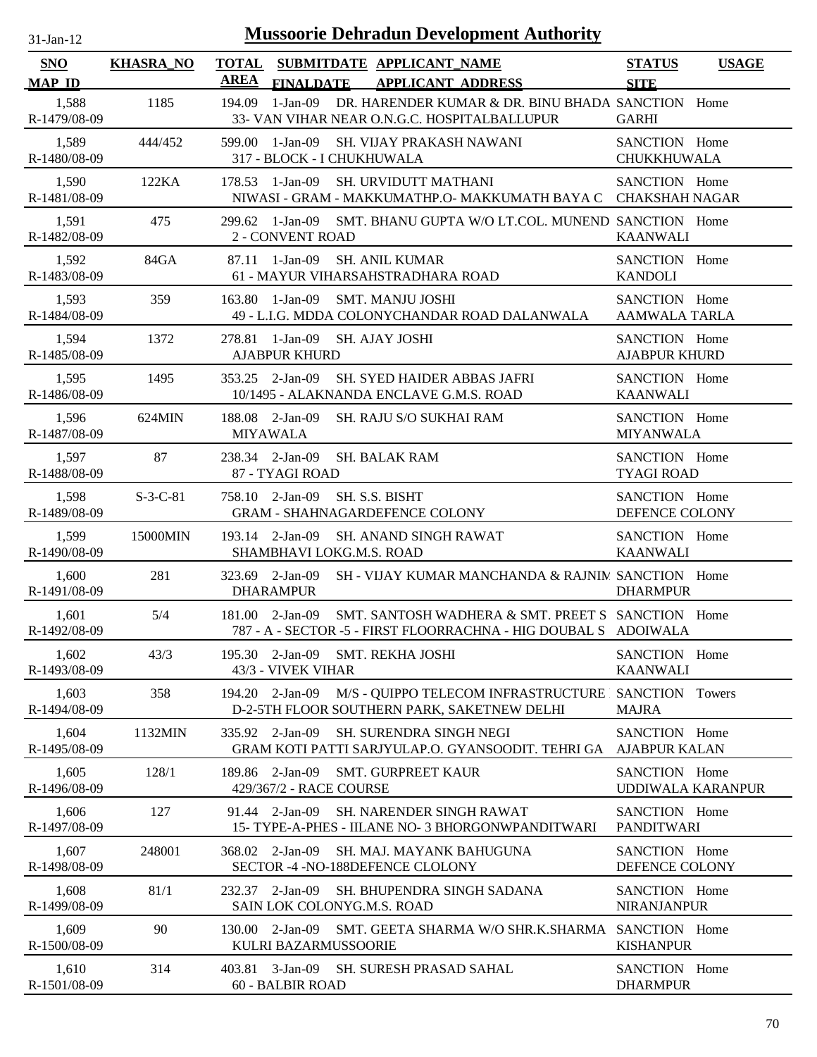| -Jan- |  |
|-------|--|

| <b>SNO</b><br><b>MAP ID</b> | <b>KHASRA_NO</b> | <b>TOTAL</b><br>SUBMITDATE APPLICANT_NAME<br><b>AREA</b><br>FINALDATE APPLICANT ADDRESS                                                 | <b>STATUS</b><br><b>USAGE</b><br><b>SITE</b> |
|-----------------------------|------------------|-----------------------------------------------------------------------------------------------------------------------------------------|----------------------------------------------|
| 1,588<br>R-1479/08-09       | 1185             | 1-Jan-09<br>DR. HARENDER KUMAR & DR. BINU BHADA SANCTION Home<br>194.09<br>33- VAN VIHAR NEAR O.N.G.C. HOSPITALBALLUPUR                 | <b>GARHI</b>                                 |
| 1,589<br>R-1480/08-09       | 444/452          | 599.00 1-Jan-09<br>SH. VIJAY PRAKASH NAWANI<br>317 - BLOCK - I CHUKHUWALA                                                               | SANCTION Home<br><b>CHUKKHUWALA</b>          |
| 1,590<br>R-1481/08-09       | 122KA            | 178.53 1-Jan-09<br><b>SH. URVIDUTT MATHANI</b><br>NIWASI - GRAM - MAKKUMATHP.O- MAKKUMATH BAYA C CHAKSHAH NAGAR                         | SANCTION Home                                |
| 1,591<br>R-1482/08-09       | 475              | 299.62 1-Jan-09 SMT, BHANU GUPTA W/O LT, COL, MUNEND, SANCTION Home<br>2 - CONVENT ROAD                                                 | <b>KAANWALI</b>                              |
| 1,592<br>R-1483/08-09       | 84GA             | 87.11 1-Jan-09<br><b>SH. ANIL KUMAR</b><br>61 - MAYUR VIHARSAHSTRADHARA ROAD                                                            | SANCTION Home<br><b>KANDOLI</b>              |
| 1,593<br>R-1484/08-09       | 359              | 1-Jan-09<br><b>SMT. MANJU JOSHI</b><br>163.80<br>49 - L.I.G. MDDA COLONYCHANDAR ROAD DALANWALA                                          | SANCTION Home<br><b>AAMWALA TARLA</b>        |
| 1,594<br>R-1485/08-09       | 1372             | 278.81 1-Jan-09 SH. AJAY JOSHI<br><b>AJABPUR KHURD</b>                                                                                  | SANCTION Home<br><b>AJABPUR KHURD</b>        |
| 1,595<br>R-1486/08-09       | 1495             | SH. SYED HAIDER ABBAS JAFRI<br>353.25 2-Jan-09<br>10/1495 - ALAKNANDA ENCLAVE G.M.S. ROAD                                               | SANCTION Home<br><b>KAANWALI</b>             |
| 1,596<br>R-1487/08-09       | 624MIN           | 188.08 2-Jan-09<br><b>SH. RAJU S/O SUKHAI RAM</b><br>MIYAWALA                                                                           | SANCTION Home<br><b>MIYANWALA</b>            |
| 1,597<br>R-1488/08-09       | 87               | 238.34 2-Jan-09<br><b>SH. BALAK RAM</b><br>87 - TYAGI ROAD                                                                              | SANCTION Home<br><b>TYAGI ROAD</b>           |
| 1,598<br>R-1489/08-09       | $S-3-C-81$       | SH. S.S. BISHT<br>758.10 2-Jan-09<br><b>GRAM - SHAHNAGARDEFENCE COLONY</b>                                                              | SANCTION Home<br>DEFENCE COLONY              |
| 1,599<br>R-1490/08-09       | 15000MIN         | 193.14 2-Jan-09<br><b>SH. ANAND SINGH RAWAT</b><br>SHAMBHAVI LOKG.M.S. ROAD                                                             | SANCTION Home<br><b>KAANWALI</b>             |
| 1,600<br>R-1491/08-09       | 281              | SH - VIJAY KUMAR MANCHANDA & RAJNIN SANCTION Home<br>323.69 2-Jan-09<br><b>DHARAMPUR</b>                                                | <b>DHARMPUR</b>                              |
| 1,601<br>R-1492/08-09       | 5/4              | 181.00 2-Jan-09<br>SMT. SANTOSH WADHERA & SMT. PREET S SANCTION Home<br>787 - A - SECTOR -5 - FIRST FLOORRACHNA - HIG DOUBAL S ADOIWALA |                                              |
| 1,602<br>R-1493/08-09       | 43/3             | 195.30 2-Jan-09 SMT. REKHA JOSHI<br>43/3 - VIVEK VIHAR                                                                                  | SANCTION Home<br><b>KAANWALI</b>             |
| 1,603<br>R-1494/08-09       | 358              | 194.20 2-Jan-09 M/S - QUIPPO TELECOM INFRASTRUCTURE SANCTION Towers<br>D-2-5TH FLOOR SOUTHERN PARK, SAKETNEW DELHI                      | <b>MAJRA</b>                                 |
| 1,604<br>R-1495/08-09       | 1132MIN          | 335.92 2-Jan-09<br>SH. SURENDRA SINGH NEGI<br>GRAM KOTI PATTI SARJYULAP.O. GYANSOODIT. TEHRI GA                                         | SANCTION Home<br><b>AJABPUR KALAN</b>        |
| 1,605<br>R-1496/08-09       | 128/1            | 189.86 2-Jan-09<br><b>SMT. GURPREET KAUR</b><br>429/367/2 - RACE COURSE                                                                 | SANCTION Home<br>UDDIWALA KARANPUR           |
| 1,606<br>R-1497/08-09       | 127              | SH. NARENDER SINGH RAWAT<br>91.44 2-Jan-09<br>15- TYPE-A-PHES - IILANE NO- 3 BHORGONWPANDITWARI                                         | SANCTION Home<br><b>PANDITWARI</b>           |
| 1,607<br>R-1498/08-09       | 248001           | 368.02 2-Jan-09<br>SH. MAJ. MAYANK BAHUGUNA<br>SECTOR -4 - NO-188DEFENCE CLOLONY                                                        | SANCTION Home<br>DEFENCE COLONY              |
| 1,608<br>R-1499/08-09       | 81/1             | 232.37 2-Jan-09<br>SH. BHUPENDRA SINGH SADANA<br>SAIN LOK COLONYG.M.S. ROAD                                                             | SANCTION Home<br><b>NIRANJANPUR</b>          |
| 1,609<br>R-1500/08-09       | 90               | SMT. GEETA SHARMA W/O SHR.K.SHARMA SANCTION Home<br>130.00 2-Jan-09<br>KULRI BAZARMUSSOORIE                                             | <b>KISHANPUR</b>                             |
| 1,610<br>R-1501/08-09       | 314              | 403.81 3-Jan-09<br>SH. SURESH PRASAD SAHAL<br>60 - BALBIR ROAD                                                                          | SANCTION Home<br><b>DHARMPUR</b>             |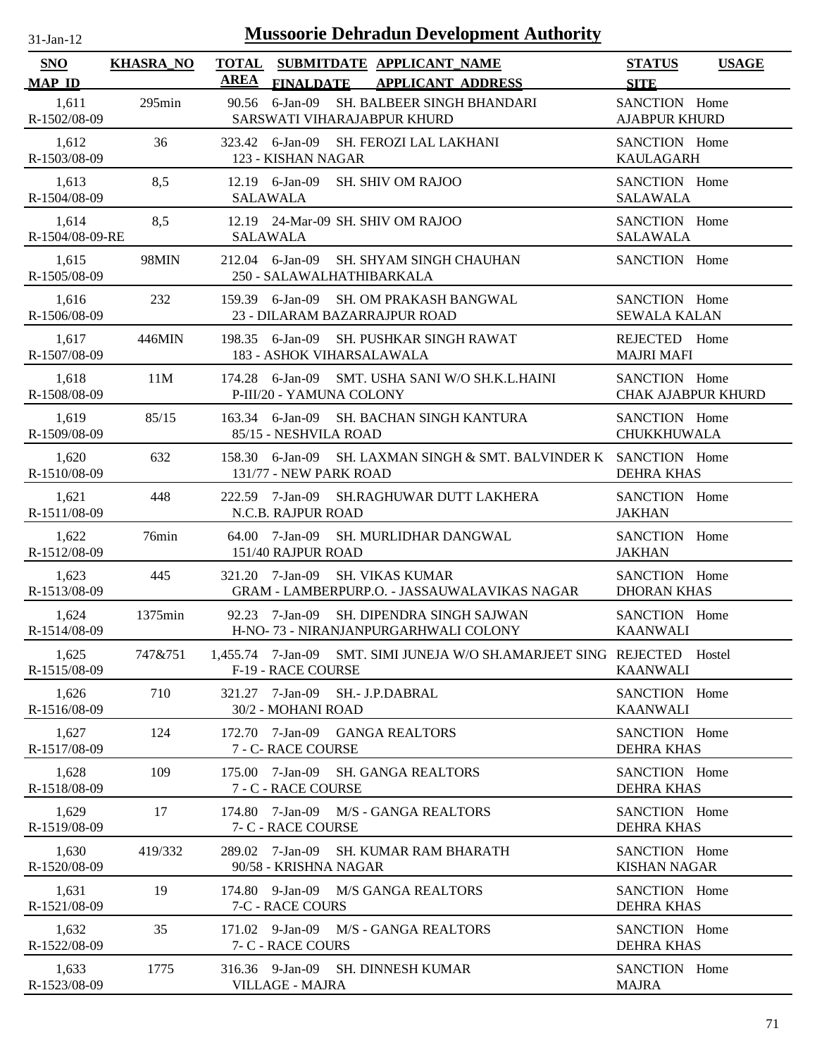| -jan- |  |
|-------|--|

| SNO                   | <b>KHASRA_NO</b> | TOTAL SUBMITDATE APPLICANT NAME<br><b>AREA</b>                                                | <b>STATUS</b><br><b>USAGE</b> |
|-----------------------|------------------|-----------------------------------------------------------------------------------------------|-------------------------------|
| <b>MAP ID</b>         |                  | <b>FINALDATE</b><br><b>APPLICANT ADDRESS</b>                                                  | <b>SITE</b>                   |
| 1,611                 | $295$ min        | 90.56 6-Jan-09 SH. BALBEER SINGH BHANDARI                                                     | SANCTION Home                 |
| R-1502/08-09          |                  | SARSWATI VIHARAJABPUR KHURD                                                                   | <b>AJABPUR KHURD</b>          |
| 1,612                 | 36               | 323.42 6-Jan-09 SH. FEROZI LAL LAKHANI                                                        | SANCTION Home                 |
| R-1503/08-09          |                  | 123 - KISHAN NAGAR                                                                            | <b>KAULAGARH</b>              |
| 1,613                 | 8,5              | 12.19 6-Jan-09 SH. SHIV OM RAJOO                                                              | SANCTION Home                 |
| R-1504/08-09          |                  | <b>SALAWALA</b>                                                                               | <b>SALAWALA</b>               |
| 1,614                 | 8,5              | 12.19 24-Mar-09 SH, SHIV OM RAJOO                                                             | SANCTION Home                 |
| R-1504/08-09-RE       |                  | <b>SALAWALA</b>                                                                               | <b>SALAWALA</b>               |
| 1,615<br>R-1505/08-09 | 98MIN            | 212.04 6-Jan-09 SH. SHYAM SINGH CHAUHAN<br>250 - SALAWALHATHIBARKALA                          | SANCTION Home                 |
| 1,616                 | 232              | 159.39 6-Jan-09 SH. OM PRAKASH BANGWAL                                                        | SANCTION Home                 |
| R-1506/08-09          |                  | 23 - DILARAM BAZARRAJPUR ROAD                                                                 | <b>SEWALA KALAN</b>           |
| 1,617                 | 446MIN           | 198.35 6-Jan-09 SH. PUSHKAR SINGH RAWAT                                                       | REJECTED Home                 |
| R-1507/08-09          |                  | 183 - ASHOK VIHARSALAWALA                                                                     | <b>MAJRI MAFI</b>             |
| 1,618                 | 11M              | 174.28 6-Jan-09 SMT, USHA SANI W/O SH.K.L.HAINI                                               | SANCTION Home                 |
| R-1508/08-09          |                  | P-III/20 - YAMUNA COLONY                                                                      | <b>CHAK AJABPUR KHURD</b>     |
| 1,619                 | 85/15            | 163.34 6-Jan-09 SH. BACHAN SINGH KANTURA                                                      | SANCTION Home                 |
| R-1509/08-09          |                  | 85/15 - NESHVILA ROAD                                                                         | <b>CHUKKHUWALA</b>            |
| 1,620<br>R-1510/08-09 | 632              | 158.30 6-Jan-09 SH. LAXMAN SINGH & SMT. BALVINDER K SANCTION Home<br>131/77 - NEW PARK ROAD   | <b>DEHRA KHAS</b>             |
| 1,621                 | 448              | 222.59 7-Jan-09 SH.RAGHUWAR DUTT LAKHERA                                                      | SANCTION Home                 |
| R-1511/08-09          |                  | N.C.B. RAJPUR ROAD                                                                            | <b>JAKHAN</b>                 |
| 1,622                 | 76min            | 64.00 7-Jan-09 SH. MURLIDHAR DANGWAL                                                          | SANCTION Home                 |
| R-1512/08-09          |                  | 151/40 RAJPUR ROAD                                                                            | <b>JAKHAN</b>                 |
| 1,623                 | 445              | 321.20 7-Jan-09 SH. VIKAS KUMAR                                                               | SANCTION Home                 |
| R-1513/08-09          |                  | <b>GRAM - LAMBERPURP.O. - JASSAUWALAVIKAS NAGAR</b>                                           | <b>DHORAN KHAS</b>            |
| 1,624                 | 1375min          | 92.23 7-Jan-09 SH. DIPENDRA SINGH SAJWAN                                                      | SANCTION Home                 |
| R-1514/08-09          |                  | H-NO-73 - NIRANJANPURGARHWALI COLONY                                                          | <b>KAANWALI</b>               |
| 1,625<br>R-1515/08-09 | 747&751          | 1,455.74 7-Jan-09 SMT. SIMI JUNEJA W/O SH.AMARJEET SING REJECTED Hostel<br>F-19 - RACE COURSE | <b>KAANWALI</b>               |
| 1,626                 | 710              | 321.27 7-Jan-09 SH.- J.P.DABRAL                                                               | SANCTION Home                 |
| R-1516/08-09          |                  | 30/2 - MOHANI ROAD                                                                            | <b>KAANWALI</b>               |
| 1,627                 | 124              | 172.70 7-Jan-09 GANGA REALTORS                                                                | SANCTION Home                 |
| R-1517/08-09          |                  | 7 - C- RACE COURSE                                                                            | <b>DEHRA KHAS</b>             |
| 1,628                 | 109              | 175.00 7-Jan-09 SH. GANGA REALTORS                                                            | SANCTION Home                 |
| R-1518/08-09          |                  | 7 - C - RACE COURSE                                                                           | <b>DEHRA KHAS</b>             |
| 1,629                 | 17               | 174.80 7-Jan-09 M/S - GANGA REALTORS                                                          | SANCTION Home                 |
| R-1519/08-09          |                  | 7- C - RACE COURSE                                                                            | <b>DEHRA KHAS</b>             |
| 1,630                 | 419/332          | 289.02 7-Jan-09 SH. KUMAR RAM BHARATH                                                         | SANCTION Home                 |
| R-1520/08-09          |                  | 90/58 - KRISHNA NAGAR                                                                         | <b>KISHAN NAGAR</b>           |
| 1,631                 | 19               | 174.80 9-Jan-09 M/S GANGA REALTORS                                                            | SANCTION Home                 |
| R-1521/08-09          |                  | 7-C - RACE COURS                                                                              | DEHRA KHAS                    |
| 1,632                 | 35               | 171.02 9-Jan-09 M/S - GANGA REALTORS                                                          | SANCTION Home                 |
| R-1522/08-09          |                  | 7- C - RACE COURS                                                                             | <b>DEHRA KHAS</b>             |
| 1,633                 | 1775             | 316.36 9-Jan-09 SH. DINNESH KUMAR                                                             | SANCTION Home                 |
| R-1523/08-09          |                  | <b>VILLAGE - MAJRA</b>                                                                        | <b>MAJRA</b>                  |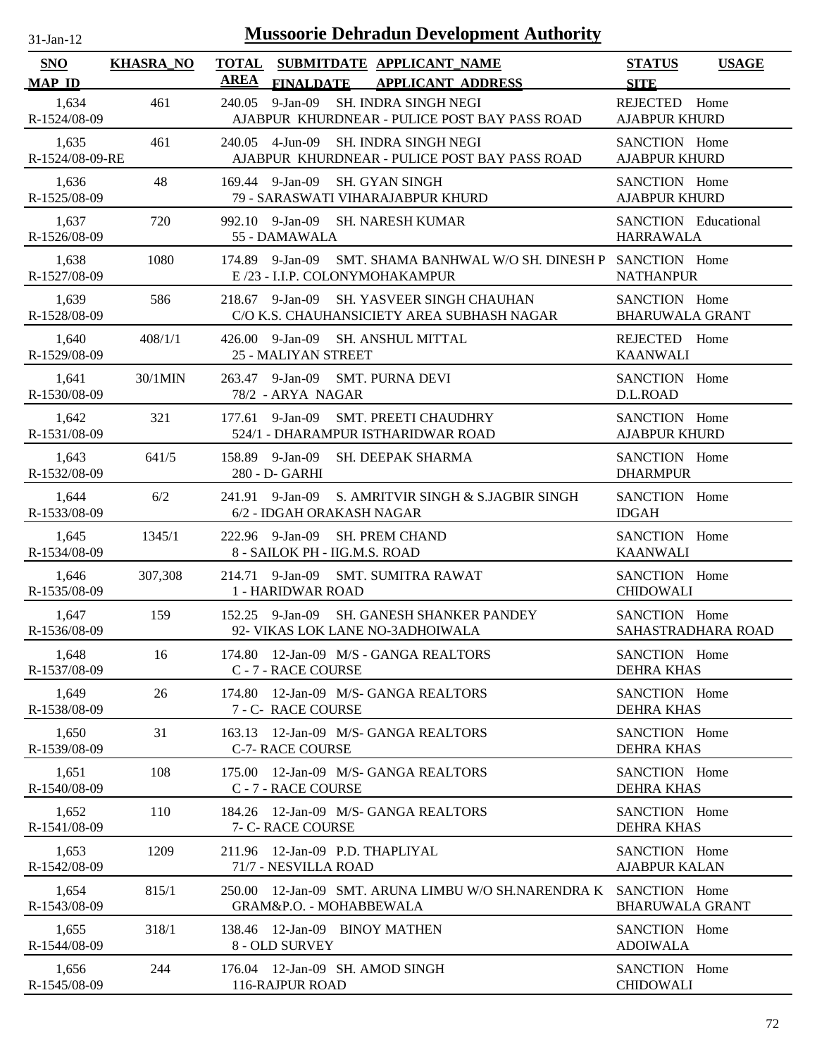| $31-Jan-12$              |                  | <b>Mussoorie Dehradun Development Authority</b>                                                          |                                              |
|--------------------------|------------------|----------------------------------------------------------------------------------------------------------|----------------------------------------------|
| SNO<br><b>MAP ID</b>     | <b>KHASRA_NO</b> | <b>TOTAL</b><br>SUBMITDATE APPLICANT_NAME<br><b>AREA</b><br><b>FINALDATE</b><br><b>APPLICANT ADDRESS</b> | <b>STATUS</b><br><b>USAGE</b><br><b>SITE</b> |
| 1,634<br>R-1524/08-09    | 461              | $9-Jan-09$<br><b>SH. INDRA SINGH NEGI</b><br>240.05<br>AJABPUR KHURDNEAR - PULICE POST BAY PASS ROAD     | REJECTED Home<br><b>AJABPUR KHURD</b>        |
| 1,635<br>R-1524/08-09-RE | 461              | <b>SH. INDRA SINGH NEGI</b><br>240.05 4-Jun-09<br>AJABPUR KHURDNEAR - PULICE POST BAY PASS ROAD          | SANCTION Home<br><b>AJABPUR KHURD</b>        |
| 1,636<br>R-1525/08-09    | 48               | 169.44 9-Jan-09<br>SH. GYAN SINGH<br>79 - SARASWATI VIHARAJABPUR KHURD                                   | SANCTION Home<br><b>AJABPUR KHURD</b>        |
| 1,637<br>R-1526/08-09    | 720              | 992.10 9-Jan-09<br>SH. NARESH KUMAR<br>55 - DAMAWALA                                                     | SANCTION Educational<br><b>HARRAWALA</b>     |
| 1,638<br>R-1527/08-09    | 1080             | 174.89 9-Jan-09<br>SMT. SHAMA BANHWAL W/O SH. DINESH P SANCTION Home<br>E /23 - I.I.P. COLONYMOHAKAMPUR  | <b>NATHANPUR</b>                             |
| 1,639<br>R-1528/08-09    | 586              | 9-Jan-09 SH. YASVEER SINGH CHAUHAN<br>218.67<br>C/O K.S. CHAUHANSICIETY AREA SUBHASH NAGAR               | SANCTION Home<br><b>BHARUWALA GRANT</b>      |
| 1,640<br>R-1529/08-09    | 408/1/1          | 426.00 9-Jan-09<br><b>SH. ANSHUL MITTAL</b><br>25 - MALIYAN STREET                                       | REJECTED Home<br><b>KAANWALI</b>             |
| 1,641<br>R-1530/08-09    | 30/1MIN          | 9-Jan-09<br>SMT. PURNA DEVI<br>263.47<br>78/2 - ARYA NAGAR                                               | SANCTION Home<br>D.L.ROAD                    |
| 1,642<br>R-1531/08-09    | 321              | 9-Jan-09<br><b>SMT. PREETI CHAUDHRY</b><br>177.61<br>524/1 - DHARAMPUR ISTHARIDWAR ROAD                  | SANCTION Home<br><b>AJABPUR KHURD</b>        |
| 1,643<br>R-1532/08-09    | 641/5            | 158.89 9-Jan-09<br>SH. DEEPAK SHARMA<br>280 - D- GARHI                                                   | SANCTION Home<br><b>DHARMPUR</b>             |
| 1,644<br>R-1533/08-09    | 6/2              | S. AMRITVIR SINGH & S.JAGBIR SINGH<br>241.91 9-Jan-09<br>6/2 - IDGAH ORAKASH NAGAR                       | SANCTION Home<br><b>IDGAH</b>                |
| 1,645<br>R-1534/08-09    | 1345/1           | 222.96 9-Jan-09<br>SH. PREM CHAND<br>8 - SAILOK PH - IIG.M.S. ROAD                                       | SANCTION Home<br><b>KAANWALI</b>             |
| 1,646<br>R-1535/08-09    | 307,308          | 214.71 9-Jan-09<br><b>SMT. SUMITRA RAWAT</b><br>1 - HARIDWAR ROAD                                        | SANCTION Home<br><b>CHIDOWALI</b>            |
| 1,647<br>R-1536/08-09    | 159              | 152.25 9-Jan-09 SH. GANESH SHANKER PANDEY<br>92- VIKAS LOK LANE NO-3ADHOIWALA                            | SANCTION Home<br>SAHASTRADHARA ROAD          |
| 1,648<br>R-1537/08-09    | 16               | 174.80 12-Jan-09 M/S - GANGA REALTORS<br>C - 7 - RACE COURSE                                             | SANCTION Home<br><b>DEHRA KHAS</b>           |
| 1,649<br>R-1538/08-09    | 26               | 12-Jan-09 M/S- GANGA REALTORS<br>174.80<br>7 - C- RACE COURSE                                            | SANCTION Home<br><b>DEHRA KHAS</b>           |
| 1,650<br>R-1539/08-09    | 31               | 12-Jan-09 M/S- GANGA REALTORS<br>163.13<br><b>C-7- RACE COURSE</b>                                       | SANCTION Home<br><b>DEHRA KHAS</b>           |
| 1,651<br>R-1540/08-09    | 108              | 12-Jan-09 M/S- GANGA REALTORS<br>175.00<br>C - 7 - RACE COURSE                                           | SANCTION Home<br><b>DEHRA KHAS</b>           |
| 1,652<br>R-1541/08-09    | 110              | 184.26 12-Jan-09 M/S- GANGA REALTORS<br>7- C- RACE COURSE                                                | SANCTION Home<br>DEHRA KHAS                  |
| 1,653<br>R-1542/08-09    | 1209             | 211.96 12-Jan-09 P.D. THAPLIYAL<br>71/7 - NESVILLA ROAD                                                  | SANCTION Home<br><b>AJABPUR KALAN</b>        |
| 1,654<br>R-1543/08-09    | 815/1            | 12-Jan-09 SMT. ARUNA LIMBU W/O SH.NARENDRA K<br>250.00<br>GRAM&P.O. - MOHABBEWALA                        | SANCTION Home<br><b>BHARUWALA GRANT</b>      |
| 1,655<br>R-1544/08-09    | 318/1            | 138.46 12-Jan-09 BINOY MATHEN<br>8 - OLD SURVEY                                                          | SANCTION Home<br><b>ADOIWALA</b>             |
| 1,656<br>R-1545/08-09    | 244              | 176.04 12-Jan-09 SH. AMOD SINGH<br>116-RAJPUR ROAD                                                       | SANCTION Home<br><b>CHIDOWALI</b>            |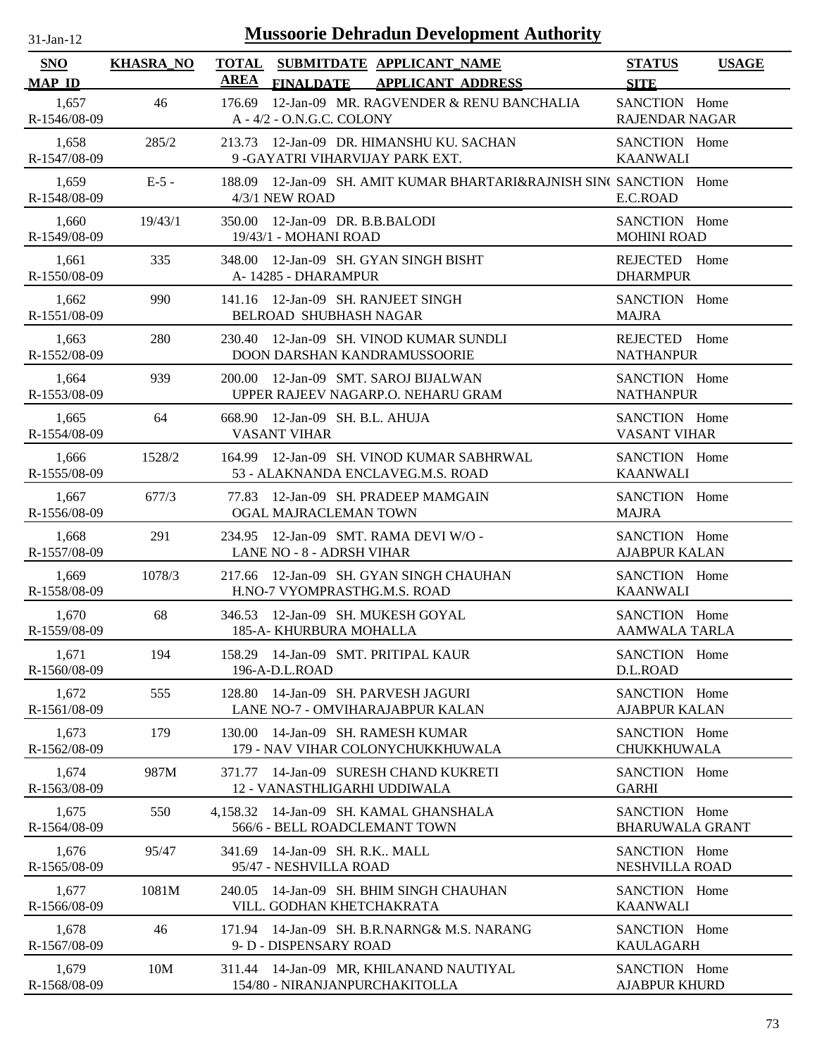| $31-Jan-12$                 | <b>Mussoorie Dehradun Development Authority</b> |                                                                                                          |                                         |              |  |  |
|-----------------------------|-------------------------------------------------|----------------------------------------------------------------------------------------------------------|-----------------------------------------|--------------|--|--|
| <b>SNO</b><br><b>MAP ID</b> | <b>KHASRA_NO</b>                                | <b>TOTAL</b><br>SUBMITDATE APPLICANT_NAME<br><b>AREA</b><br><b>FINALDATE</b><br><b>APPLICANT ADDRESS</b> | <b>STATUS</b><br><b>SITE</b>            | <b>USAGE</b> |  |  |
| 1,657<br>R-1546/08-09       | 46                                              | 12-Jan-09 MR. RAGVENDER & RENU BANCHALIA<br>176.69<br>A - 4/2 - O.N.G.C. COLONY                          | SANCTION Home<br><b>RAJENDAR NAGAR</b>  |              |  |  |
| 1,658<br>R-1547/08-09       | 285/2                                           | 213.73 12-Jan-09 DR. HIMANSHU KU. SACHAN<br>9 - GAYATRI VIHARVIJAY PARK EXT.                             | SANCTION Home<br><b>KAANWALI</b>        |              |  |  |
| 1,659<br>R-1548/08-09       | $E-5$ -                                         | 188.09 12-Jan-09 SH. AMIT KUMAR BHARTARI&RAJNISH SINC SANCTION Home<br>4/3/1 NEW ROAD                    | E.C.ROAD                                |              |  |  |
| 1,660<br>R-1549/08-09       | 19/43/1                                         | 350.00 12-Jan-09 DR. B.B.BALODI<br>19/43/1 - MOHANI ROAD                                                 | SANCTION Home<br><b>MOHINI ROAD</b>     |              |  |  |
| 1,661<br>R-1550/08-09       | 335                                             | 348.00 12-Jan-09 SH. GYAN SINGH BISHT<br>A-14285 - DHARAMPUR                                             | <b>REJECTED</b><br><b>DHARMPUR</b>      | Home         |  |  |
| 1,662<br>R-1551/08-09       | 990                                             | 141.16 12-Jan-09 SH. RANJEET SINGH<br>BELROAD SHUBHASH NAGAR                                             | SANCTION Home<br><b>MAJRA</b>           |              |  |  |
| 1.663<br>R-1552/08-09       | 280                                             | 230.40 12-Jan-09 SH. VINOD KUMAR SUNDLI<br>DOON DARSHAN KANDRAMUSSOORIE                                  | REJECTED Home<br><b>NATHANPUR</b>       |              |  |  |
| 1,664<br>R-1553/08-09       | 939                                             | 200.00 12-Jan-09 SMT. SAROJ BIJALWAN<br>UPPER RAJEEV NAGARP.O. NEHARU GRAM                               | SANCTION Home<br><b>NATHANPUR</b>       |              |  |  |
| 1,665<br>R-1554/08-09       | 64                                              | 668.90 12-Jan-09 SH, B.L. AHUJA<br><b>VASANT VIHAR</b>                                                   | SANCTION Home<br><b>VASANT VIHAR</b>    |              |  |  |
| 1,666<br>R-1555/08-09       | 1528/2                                          | 164.99 12-Jan-09 SH. VINOD KUMAR SABHRWAL<br>53 - ALAKNANDA ENCLAVEG.M.S. ROAD                           | SANCTION Home<br><b>KAANWALI</b>        |              |  |  |
| 1,667<br>R-1556/08-09       | 677/3                                           | 77.83 12-Jan-09 SH. PRADEEP MAMGAIN<br>OGAL MAJRACLEMAN TOWN                                             | SANCTION Home<br><b>MAJRA</b>           |              |  |  |
| 1,668<br>R-1557/08-09       | 291                                             | 12-Jan-09 SMT. RAMA DEVI W/O -<br>234.95<br>LANE NO - 8 - ADRSH VIHAR                                    | SANCTION Home<br><b>AJABPUR KALAN</b>   |              |  |  |
| 1,669<br>R-1558/08-09       | 1078/3                                          | 12-Jan-09 SH. GYAN SINGH CHAUHAN<br>217.66<br>H.NO-7 VYOMPRASTHG.M.S. ROAD                               | SANCTION Home<br><b>KAANWALI</b>        |              |  |  |
| 1,670<br>R-1559/08-09       | 68                                              | 346.53 12-Jan-09 SH. MUKESH GOYAL<br>185-A- KHURBURA MOHALLA                                             | SANCTION Home<br><b>AAMWALA TARLA</b>   |              |  |  |
| 1,671<br>R-1560/08-09       | 194                                             | 158.29 14-Jan-09 SMT. PRITIPAL KAUR<br>196-A-D.L.ROAD                                                    | SANCTION Home<br>D.L.ROAD               |              |  |  |
| 1,672<br>R-1561/08-09       | 555                                             | 14-Jan-09 SH. PARVESH JAGURI<br>128.80<br>LANE NO-7 - OMVIHARAJABPUR KALAN                               | SANCTION Home<br><b>AJABPUR KALAN</b>   |              |  |  |
| 1,673<br>R-1562/08-09       | 179                                             | 14-Jan-09 SH. RAMESH KUMAR<br>130.00<br>179 - NAV VIHAR COLONYCHUKKHUWALA                                | SANCTION Home<br><b>CHUKKHUWALA</b>     |              |  |  |
| 1,674<br>R-1563/08-09       | 987M                                            | 14-Jan-09 SURESH CHAND KUKRETI<br>371.77<br>12 - VANASTHLIGARHI UDDIWALA                                 | SANCTION Home<br><b>GARHI</b>           |              |  |  |
| 1,675<br>R-1564/08-09       | 550                                             | 14-Jan-09 SH. KAMAL GHANSHALA<br>4.158.32<br>566/6 - BELL ROADCLEMANT TOWN                               | SANCTION Home<br><b>BHARUWALA GRANT</b> |              |  |  |
| 1,676<br>R-1565/08-09       | 95/47                                           | 14-Jan-09 SH. R.K., MALL<br>341.69<br>95/47 - NESHVILLA ROAD                                             | SANCTION Home<br>NESHVILLA ROAD         |              |  |  |
| 1,677<br>R-1566/08-09       | 1081M                                           | 14-Jan-09 SH. BHIM SINGH CHAUHAN<br>240.05<br>VILL. GODHAN KHETCHAKRATA                                  | SANCTION Home<br><b>KAANWALI</b>        |              |  |  |
| 1,678<br>R-1567/08-09       | 46                                              | 171.94 14-Jan-09 SH. B.R.NARNG& M.S. NARANG<br>9- D - DISPENSARY ROAD                                    | SANCTION Home<br><b>KAULAGARH</b>       |              |  |  |
| 1,679<br>R-1568/08-09       | 10M                                             | 311.44 14-Jan-09 MR, KHILANAND NAUTIYAL<br>154/80 - NIRANJANPURCHAKITOLLA                                | SANCTION Home<br><b>AJABPUR KHURD</b>   |              |  |  |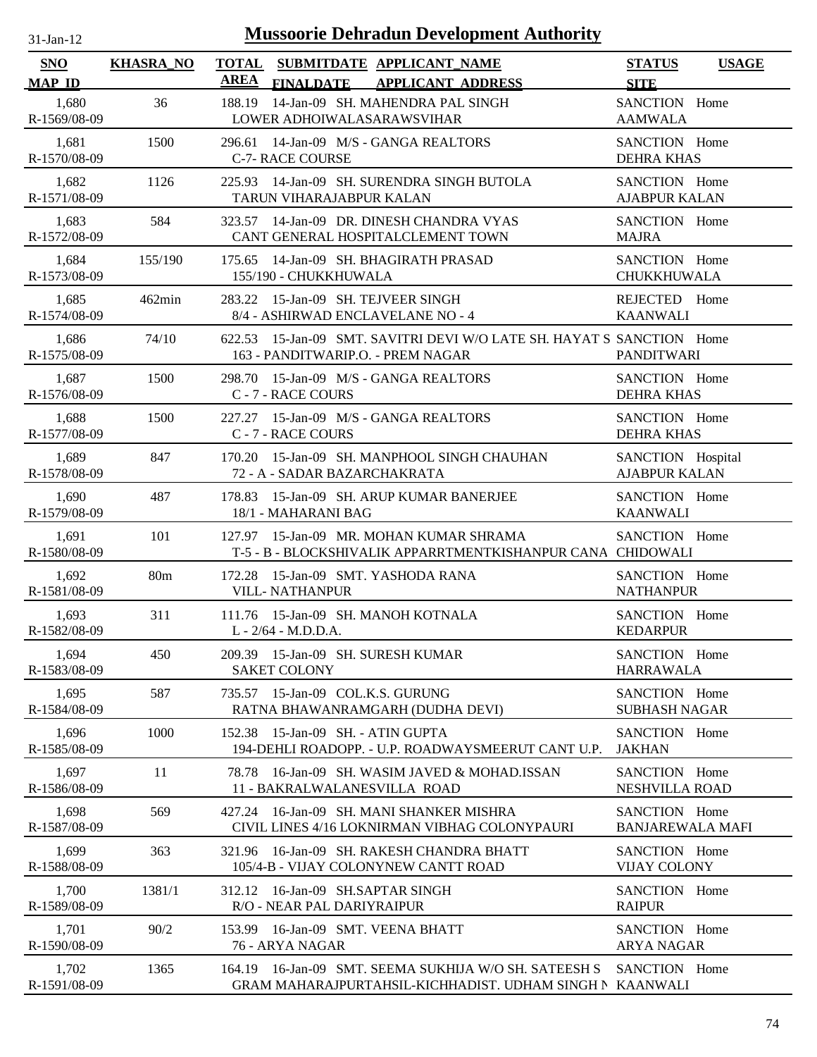| $31 - Jan - 12$ |  |
|-----------------|--|
|                 |  |

| <b>SNO</b>            | <b>KHASRA_NO</b> |             |                                                                         | TOTAL SUBMITDATE APPLICANT NAME                                                                                   | <b>STATUS</b>                             | <b>USAGE</b> |
|-----------------------|------------------|-------------|-------------------------------------------------------------------------|-------------------------------------------------------------------------------------------------------------------|-------------------------------------------|--------------|
| <b>MAP ID</b>         |                  | <b>AREA</b> |                                                                         | FINALDATE APPLICANT ADDRESS                                                                                       | <b>SITE</b>                               |              |
| 1,680<br>R-1569/08-09 | 36               | 188.19      | LOWER ADHOIWALASARAWSVIHAR                                              | 14-Jan-09 SH. MAHENDRA PAL SINGH                                                                                  | SANCTION Home<br><b>AAMWALA</b>           |              |
| 1,681<br>R-1570/08-09 | 1500             |             | <b>C-7- RACE COURSE</b>                                                 | 296.61 14-Jan-09 M/S - GANGA REALTORS                                                                             | SANCTION Home<br><b>DEHRA KHAS</b>        |              |
| 1,682<br>R-1571/08-09 | 1126             |             | TARUN VIHARAJABPUR KALAN                                                | 225.93 14-Jan-09 SH. SURENDRA SINGH BUTOLA                                                                        | SANCTION Home<br><b>AJABPUR KALAN</b>     |              |
| 1,683<br>R-1572/08-09 | 584              | 323.57      |                                                                         | 14-Jan-09 DR. DINESH CHANDRA VYAS<br>CANT GENERAL HOSPITALCLEMENT TOWN                                            | SANCTION Home<br><b>MAJRA</b>             |              |
| 1,684<br>R-1573/08-09 | 155/190          | 175.65      | 155/190 - CHUKKHUWALA                                                   | 14-Jan-09 SH. BHAGIRATH PRASAD                                                                                    | SANCTION Home<br><b>CHUKKHUWALA</b>       |              |
| 1,685<br>R-1574/08-09 | $462$ min        |             | 283.22 15-Jan-09 SH. TEJVEER SINGH<br>8/4 - ASHIRWAD ENCLAVELANE NO - 4 |                                                                                                                   | REJECTED Home<br><b>KAANWALI</b>          |              |
| 1,686<br>R-1575/08-09 | 74/10            |             | 163 - PANDITWARIP.O. - PREM NAGAR                                       | 622.53 15-Jan-09 SMT. SAVITRI DEVI W/O LATE SH. HAYAT S SANCTION Home                                             | <b>PANDITWARI</b>                         |              |
| 1,687<br>R-1576/08-09 | 1500             |             | C - 7 - RACE COURS                                                      | 298.70 15-Jan-09 M/S - GANGA REALTORS                                                                             | SANCTION Home<br><b>DEHRA KHAS</b>        |              |
| 1,688<br>R-1577/08-09 | 1500             | 227.27      | C - 7 - RACE COURS                                                      | 15-Jan-09 M/S - GANGA REALTORS                                                                                    | SANCTION Home<br><b>DEHRA KHAS</b>        |              |
| 1,689<br>R-1578/08-09 | 847              |             | 72 - A - SADAR BAZARCHAKRATA                                            | 170.20 15-Jan-09 SH. MANPHOOL SINGH CHAUHAN                                                                       | SANCTION Hospital<br><b>AJABPUR KALAN</b> |              |
| 1,690<br>R-1579/08-09 | 487              |             | 18/1 - MAHARANI BAG                                                     | 178.83 15-Jan-09 SH. ARUP KUMAR BANERJEE                                                                          | SANCTION Home<br><b>KAANWALI</b>          |              |
| 1,691<br>R-1580/08-09 | 101              |             |                                                                         | 127.97 15-Jan-09 MR. MOHAN KUMAR SHRAMA<br>T-5 - B - BLOCKSHIVALIK APPARRTMENTKISHANPUR CANA CHIDOWALI            | SANCTION Home                             |              |
| 1,692<br>R-1581/08-09 | 80 <sub>m</sub>  |             | 172.28 15-Jan-09 SMT. YASHODA RANA<br><b>VILL- NATHANPUR</b>            |                                                                                                                   | SANCTION Home<br><b>NATHANPUR</b>         |              |
| 1,693<br>R-1582/08-09 | 311              |             | L - 2/64 - M.D.D.A.                                                     | 111.76 15-Jan-09 SH. MANOH KOTNALA                                                                                | SANCTION Home<br><b>KEDARPUR</b>          |              |
| 1,694<br>R-1583/08-09 | 450              |             | 209.39 15-Jan-09 SH. SURESH KUMAR<br><b>SAKET COLONY</b>                |                                                                                                                   | SANCTION Home<br><b>HARRAWALA</b>         |              |
| 1,695<br>R-1584/08-09 | 587              | 735.57      | 15-Jan-09 COL.K.S. GURUNG                                               | RATNA BHAWANRAMGARH (DUDHA DEVI)                                                                                  | SANCTION Home<br><b>SUBHASH NAGAR</b>     |              |
| 1,696<br>R-1585/08-09 | 1000             | 152.38      | 15-Jan-09 SH. - ATIN GUPTA                                              | 194-DEHLI ROADOPP. - U.P. ROADWAYSMEERUT CANT U.P.                                                                | SANCTION Home<br><b>JAKHAN</b>            |              |
| 1.697<br>R-1586/08-09 | 11               | 78.78       | 11 - BAKRALWALANESVILLA ROAD                                            | 16-Jan-09 SH. WASIM JAVED & MOHAD.ISSAN                                                                           | SANCTION Home<br><b>NESHVILLA ROAD</b>    |              |
| 1,698<br>R-1587/08-09 | 569              |             |                                                                         | 427.24 16-Jan-09 SH, MANI SHANKER MISHRA<br>CIVIL LINES 4/16 LOKNIRMAN VIBHAG COLONYPAURI                         | SANCTION Home<br><b>BANJAREWALA MAFI</b>  |              |
| 1,699<br>R-1588/08-09 | 363              |             |                                                                         | 321.96 16-Jan-09 SH. RAKESH CHANDRA BHATT<br>105/4-B - VIJAY COLONYNEW CANTT ROAD                                 | SANCTION Home<br><b>VIJAY COLONY</b>      |              |
| 1,700<br>R-1589/08-09 | 1381/1           |             | 312.12 16-Jan-09 SH.SAPTAR SINGH<br>R/O - NEAR PAL DARIYRAIPUR          |                                                                                                                   | SANCTION Home<br><b>RAIPUR</b>            |              |
| 1,701<br>R-1590/08-09 | 90/2             | 153.99      | 16-Jan-09 SMT. VEENA BHATT<br>76 - ARYA NAGAR                           |                                                                                                                   | SANCTION Home<br><b>ARYA NAGAR</b>        |              |
| 1,702<br>R-1591/08-09 | 1365             |             |                                                                         | 164.19 16-Jan-09 SMT. SEEMA SUKHIJA W/O SH. SATEESH S<br>GRAM MAHARAJPURTAHSIL-KICHHADIST. UDHAM SINGH N KAANWALI | SANCTION Home                             |              |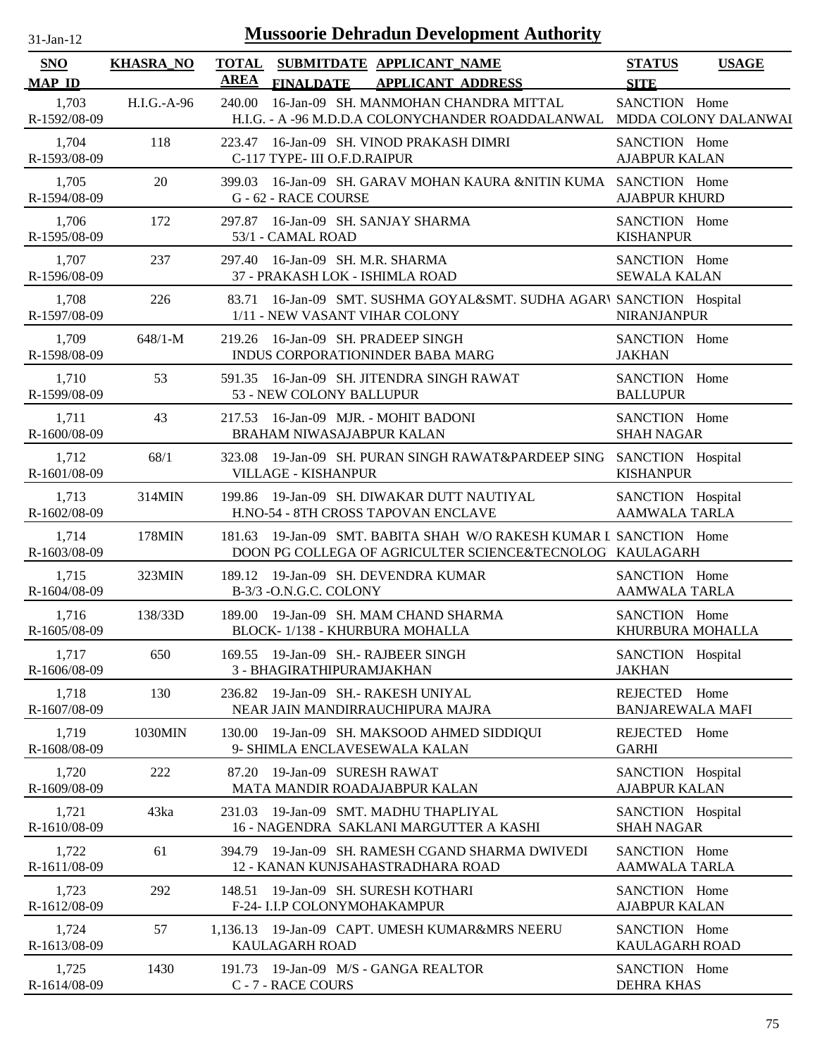| <b>Mussoorie Dehradun Development Authority</b><br>$31$ -Jan-12 |                  |                                                                                                                                |                                              |  |  |
|-----------------------------------------------------------------|------------------|--------------------------------------------------------------------------------------------------------------------------------|----------------------------------------------|--|--|
| SNO<br><b>MAP ID</b>                                            | <b>KHASRA_NO</b> | <b>TOTAL</b><br>SUBMITDATE APPLICANT NAME<br>AREA<br><b>FINALDATE</b><br><b>APPLICANT ADDRESS</b>                              | <b>STATUS</b><br><b>USAGE</b><br><b>SITE</b> |  |  |
| 1,703<br>R-1592/08-09                                           | H.I.G.-A-96      | 16-Jan-09 SH. MANMOHAN CHANDRA MITTAL<br>240.00<br>H.I.G. - A -96 M.D.D.A COLONYCHANDER ROADDALANWAL                           | SANCTION Home<br>MDDA COLONY DALANWAI        |  |  |
| 1,704                                                           | 118              | 223.47 16-Jan-09 SH. VINOD PRAKASH DIMRI                                                                                       | SANCTION Home                                |  |  |
| R-1593/08-09                                                    |                  | C-117 TYPE- III O.F.D.RAIPUR                                                                                                   | <b>AJABPUR KALAN</b>                         |  |  |
| 1,705<br>R-1594/08-09                                           | 20               | 16-Jan-09 SH. GARAV MOHAN KAURA &NITIN KUMA SANCTION Home<br>399.03<br>G - 62 - RACE COURSE                                    | <b>AJABPUR KHURD</b>                         |  |  |
| 1,706                                                           | 172              | 297.87 16-Jan-09 SH. SANJAY SHARMA                                                                                             | SANCTION Home                                |  |  |
| R-1595/08-09                                                    |                  | 53/1 - CAMAL ROAD                                                                                                              | <b>KISHANPUR</b>                             |  |  |
| 1,707                                                           | 237              | 297.40 16-Jan-09 SH. M.R. SHARMA                                                                                               | SANCTION Home                                |  |  |
| R-1596/08-09                                                    |                  | 37 - PRAKASH LOK - ISHIMLA ROAD                                                                                                | <b>SEWALA KALAN</b>                          |  |  |
| 1,708<br>R-1597/08-09                                           | 226              | 16-Jan-09 SMT. SUSHMA GOYAL&SMT. SUDHA AGARI SANCTION Hospital<br>83.71<br>1/11 - NEW VASANT VIHAR COLONY                      | <b>NIRANJANPUR</b>                           |  |  |
| 1,709                                                           | $648/1-M$        | 219.26 16-Jan-09 SH. PRADEEP SINGH                                                                                             | SANCTION Home                                |  |  |
| R-1598/08-09                                                    |                  | INDUS CORPORATIONINDER BABA MARG                                                                                               | <b>JAKHAN</b>                                |  |  |
| 1,710<br>R-1599/08-09                                           | 53               | 16-Jan-09 SH. JITENDRA SINGH RAWAT<br>591.35<br>53 - NEW COLONY BALLUPUR                                                       | SANCTION Home<br><b>BALLUPUR</b>             |  |  |
| 1,711                                                           | 43               | 217.53 16-Jan-09 MJR. - MOHIT BADONI                                                                                           | SANCTION Home                                |  |  |
| R-1600/08-09                                                    |                  | BRAHAM NIWASAJABPUR KALAN                                                                                                      | <b>SHAH NAGAR</b>                            |  |  |
| 1,712                                                           | 68/1             | 323.08 19-Jan-09 SH. PURAN SINGH RAWAT&PARDEEP SING                                                                            | SANCTION Hospital                            |  |  |
| R-1601/08-09                                                    |                  | VILLAGE - KISHANPUR                                                                                                            | <b>KISHANPUR</b>                             |  |  |
| 1,713                                                           | 314MIN           | 199.86 19-Jan-09 SH. DIWAKAR DUTT NAUTIYAL                                                                                     | SANCTION Hospital                            |  |  |
| R-1602/08-09                                                    |                  | H.NO-54 - 8TH CROSS TAPOVAN ENCLAVE                                                                                            | <b>AAMWALA TARLA</b>                         |  |  |
| 1,714<br>R-1603/08-09                                           | 178MIN           | 181.63 19-Jan-09 SMT. BABITA SHAH W/O RAKESH KUMAR L SANCTION Home<br>DOON PG COLLEGA OF AGRICULTER SCIENCE&TECNOLOG KAULAGARH |                                              |  |  |
| 1,715                                                           | 323MIN           | 189.12 19-Jan-09 SH. DEVENDRA KUMAR                                                                                            | SANCTION Home                                |  |  |
| R-1604/08-09                                                    |                  | B-3/3 - O.N.G.C. COLONY                                                                                                        | <b>AAMWALA TARLA</b>                         |  |  |
| 1,716                                                           | 138/33D          | 189.00 19-Jan-09 SH. MAM CHAND SHARMA                                                                                          | SANCTION Home                                |  |  |
| R-1605/08-09                                                    |                  | BLOCK-1/138 - KHURBURA MOHALLA                                                                                                 | KHURBURA MOHALLA                             |  |  |
| 1,717                                                           | 650              | 169.55 19-Jan-09 SH.- RAJBEER SINGH                                                                                            | SANCTION Hospital                            |  |  |
| R-1606/08-09                                                    |                  | 3 - BHAGIRATHIPURAMJAKHAN                                                                                                      | <b>JAKHAN</b>                                |  |  |
| 1,718<br>R-1607/08-09                                           | 130              | 19-Jan-09 SH.- RAKESH UNIYAL<br>236.82<br>NEAR JAIN MANDIRRAUCHIPURA MAJRA                                                     | REJECTED Home<br><b>BANJAREWALA MAFI</b>     |  |  |
| 1,719<br>R-1608/08-09                                           | 1030MIN          | 19-Jan-09 SH. MAKSOOD AHMED SIDDIQUI<br>130.00<br>9- SHIMLA ENCLAVESEWALA KALAN                                                | REJECTED<br>Home<br><b>GARHI</b>             |  |  |
| 1,720<br>R-1609/08-09                                           | 222              | 19-Jan-09 SURESH RAWAT<br>87.20<br>MATA MANDIR ROADAJABPUR KALAN                                                               | SANCTION Hospital<br><b>AJABPUR KALAN</b>    |  |  |
| 1,721<br>R-1610/08-09                                           | 43ka             | 19-Jan-09 SMT. MADHU THAPLIYAL<br>231.03<br>16 - NAGENDRA SAKLANI MARGUTTER A KASHI                                            | SANCTION Hospital<br><b>SHAH NAGAR</b>       |  |  |
| 1,722                                                           | 61               | 394.79 19-Jan-09 SH. RAMESH CGAND SHARMA DWIVEDI                                                                               | SANCTION Home                                |  |  |
| R-1611/08-09                                                    |                  | 12 - KANAN KUNJSAHASTRADHARA ROAD                                                                                              | <b>AAMWALA TARLA</b>                         |  |  |
| 1,723<br>R-1612/08-09                                           | 292              | 19-Jan-09 SH. SURESH KOTHARI<br>148.51<br>F-24- I.I.P COLONYMOHAKAMPUR                                                         | SANCTION Home<br><b>AJABPUR KALAN</b>        |  |  |
| 1,724                                                           | 57               | 1,136.13 19-Jan-09 CAPT. UMESH KUMAR&MRS NEERU                                                                                 | SANCTION Home                                |  |  |
| R-1613/08-09                                                    |                  | KAULAGARH ROAD                                                                                                                 | KAULAGARH ROAD                               |  |  |
| 1,725                                                           | 1430             | 191.73 19-Jan-09 M/S - GANGA REALTOR                                                                                           | SANCTION Home                                |  |  |
| R-1614/08-09                                                    |                  | C - 7 - RACE COURS                                                                                                             | <b>DEHRA KHAS</b>                            |  |  |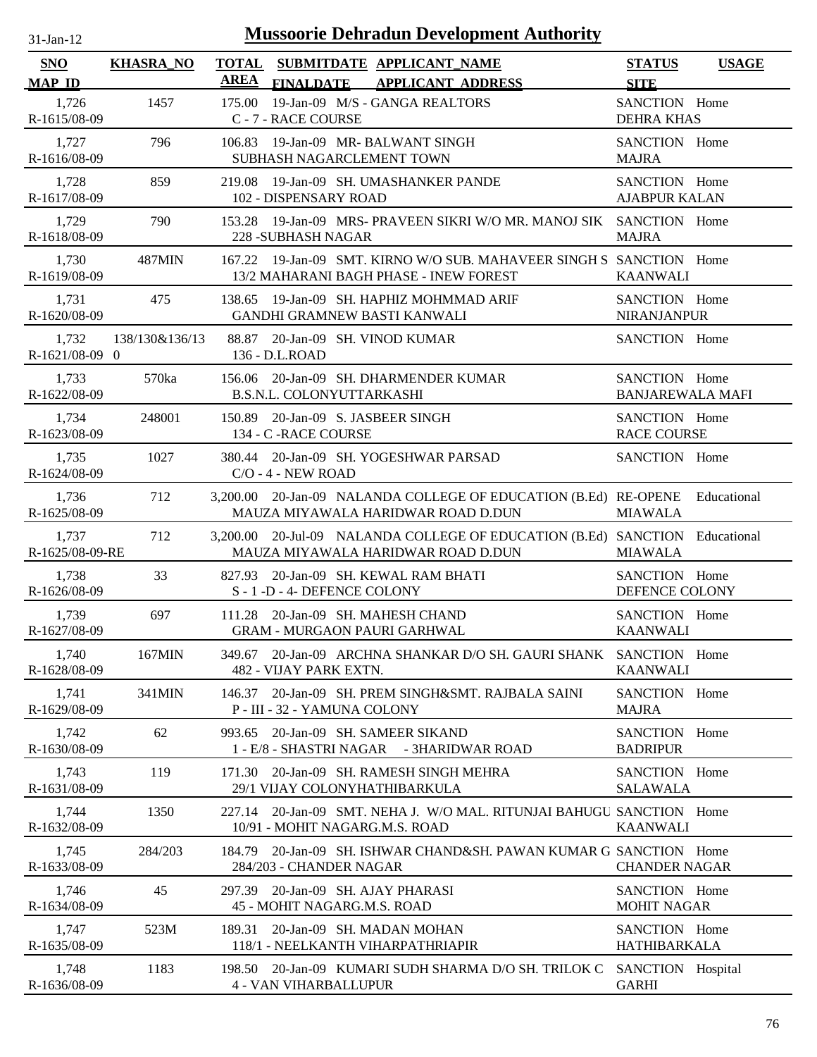| <b>Mussoorie Dehradun Development Authority</b><br>$31$ -Jan-12 |                  |                             |                                                                                                                   |                                          |              |
|-----------------------------------------------------------------|------------------|-----------------------------|-------------------------------------------------------------------------------------------------------------------|------------------------------------------|--------------|
| SNO<br><b>MAP ID</b>                                            | <b>KHASRA_NO</b> | <b>TOTAL</b><br><b>AREA</b> | SUBMITDATE APPLICANT NAME<br><b>FINALDATE</b><br><b>APPLICANT ADDRESS</b>                                         | <b>STATUS</b><br><b>SITE</b>             | <b>USAGE</b> |
| 1,726<br>R-1615/08-09                                           | 1457             | 175.00                      | 19-Jan-09 M/S - GANGA REALTORS<br>C - 7 - RACE COURSE                                                             | SANCTION Home<br><b>DEHRA KHAS</b>       |              |
| 1,727<br>R-1616/08-09                                           | 796              | 106.83                      | 19-Jan-09 MR- BALWANT SINGH<br>SUBHASH NAGARCLEMENT TOWN                                                          | SANCTION Home<br><b>MAJRA</b>            |              |
| 1,728<br>R-1617/08-09                                           | 859              |                             | 219.08 19-Jan-09 SH. UMASHANKER PANDE<br>102 - DISPENSARY ROAD                                                    | SANCTION Home<br><b>AJABPUR KALAN</b>    |              |
| 1,729<br>R-1618/08-09                                           | 790              |                             | 153.28 19-Jan-09 MRS- PRAVEEN SIKRI W/O MR. MANOJ SIK SANCTION Home<br>228 - SUBHASH NAGAR                        | <b>MAJRA</b>                             |              |
| 1,730<br>R-1619/08-09                                           | 487MIN           |                             | 167.22 19-Jan-09 SMT. KIRNO W/O SUB. MAHAVEER SINGH S SANCTION Home<br>13/2 MAHARANI BAGH PHASE - INEW FOREST     | <b>KAANWALI</b>                          |              |
| 1,731<br>R-1620/08-09                                           | 475              |                             | 138.65 19-Jan-09 SH. HAPHIZ MOHMMAD ARIF<br>GANDHI GRAMNEW BASTI KANWALI                                          | SANCTION Home<br><b>NIRANJANPUR</b>      |              |
| 1,732<br>R-1621/08-09 0                                         | 138/130&136/13   |                             | 88.87 20-Jan-09 SH. VINOD KUMAR<br>136 - D.L.ROAD                                                                 | SANCTION Home                            |              |
| 1,733<br>R-1622/08-09                                           | 570ka            |                             | 156.06 20-Jan-09 SH. DHARMENDER KUMAR<br>B.S.N.L. COLONYUTTARKASHI                                                | SANCTION Home<br><b>BANJAREWALA MAFI</b> |              |
| 1,734<br>R-1623/08-09                                           | 248001           |                             | 150.89 20-Jan-09 S. JASBEER SINGH<br>134 - C - RACE COURSE                                                        | SANCTION Home<br><b>RACE COURSE</b>      |              |
| 1,735<br>R-1624/08-09                                           | 1027             | 380.44                      | 20-Jan-09 SH. YOGESHWAR PARSAD<br>$C/O - 4 - NEW$ ROAD                                                            | SANCTION Home                            |              |
| 1,736<br>R-1625/08-09                                           | 712              |                             | 3,200.00 20-Jan-09 NALANDA COLLEGE OF EDUCATION (B.Ed) RE-OPENE<br>MAUZA MIYAWALA HARIDWAR ROAD D.DUN             | <b>MIAWALA</b>                           | Educational  |
| 1,737<br>R-1625/08-09-RE                                        | 712              |                             | 3,200.00 20-Jul-09 NALANDA COLLEGE OF EDUCATION (B.Ed) SANCTION Educational<br>MAUZA MIYAWALA HARIDWAR ROAD D.DUN | <b>MIAWALA</b>                           |              |
| 1,738<br>R-1626/08-09                                           | 33               |                             | 827.93 20-Jan-09 SH. KEWAL RAM BHATI<br>S - 1 -D - 4- DEFENCE COLONY                                              | SANCTION Home<br>DEFENCE COLONY          |              |
| 1,739<br>R-1627/08-09                                           | 697              |                             | 111.28 20-Jan-09 SH. MAHESH CHAND<br><b>GRAM - MURGAON PAURI GARHWAL</b>                                          | SANCTION Home<br><b>KAANWALI</b>         |              |
| 1,740<br>R-1628/08-09                                           | 167MIN           | 349.67                      | 20-Jan-09 ARCHNA SHANKAR D/O SH, GAURI SHANK<br>482 - VIJAY PARK EXTN.                                            | SANCTION Home<br><b>KAANWALI</b>         |              |
| 1,741<br>R-1629/08-09                                           | 341MIN           | 146.37                      | 20-Jan-09 SH. PREM SINGH&SMT. RAJBALA SAINI<br>P - III - 32 - YAMUNA COLONY                                       | SANCTION Home<br><b>MAJRA</b>            |              |
| 1,742<br>R-1630/08-09                                           | 62               | 993.65                      | 20-Jan-09 SH. SAMEER SIKAND<br>1 - E/8 - SHASTRI NAGAR - 3HARIDWAR ROAD                                           | SANCTION Home<br><b>BADRIPUR</b>         |              |
| 1,743<br>R-1631/08-09                                           | 119              | 171.30                      | 20-Jan-09 SH. RAMESH SINGH MEHRA<br>29/1 VIJAY COLONYHATHIBARKULA                                                 | SANCTION Home<br><b>SALAWALA</b>         |              |
| 1,744<br>R-1632/08-09                                           | 1350             | 227.14                      | 20-Jan-09 SMT. NEHA J. W/O MAL. RITUNJAI BAHUGU SANCTION Home<br>10/91 - MOHIT NAGARG.M.S. ROAD                   | <b>KAANWALI</b>                          |              |
| 1,745<br>R-1633/08-09                                           | 284/203          | 184.79                      | 20-Jan-09 SH. ISHWAR CHAND&SH. PAWAN KUMAR G SANCTION Home<br>284/203 - CHANDER NAGAR                             | <b>CHANDER NAGAR</b>                     |              |
| 1,746<br>R-1634/08-09                                           | 45               | 297.39                      | 20-Jan-09 SH. AJAY PHARASI<br>45 - MOHIT NAGARG.M.S. ROAD                                                         | SANCTION Home<br><b>MOHIT NAGAR</b>      |              |
| 1,747<br>R-1635/08-09                                           | 523M             | 189.31                      | 20-Jan-09 SH. MADAN MOHAN<br>118/1 - NEELKANTH VIHARPATHRIAPIR                                                    | SANCTION Home<br><b>HATHIBARKALA</b>     |              |
| 1,748<br>R-1636/08-09                                           | 1183             | 198.50                      | 20-Jan-09 KUMARI SUDH SHARMA D/O SH. TRILOK C<br><b>4 - VAN VIHARBALLUPUR</b>                                     | SANCTION Hospital<br><b>GARHI</b>        |              |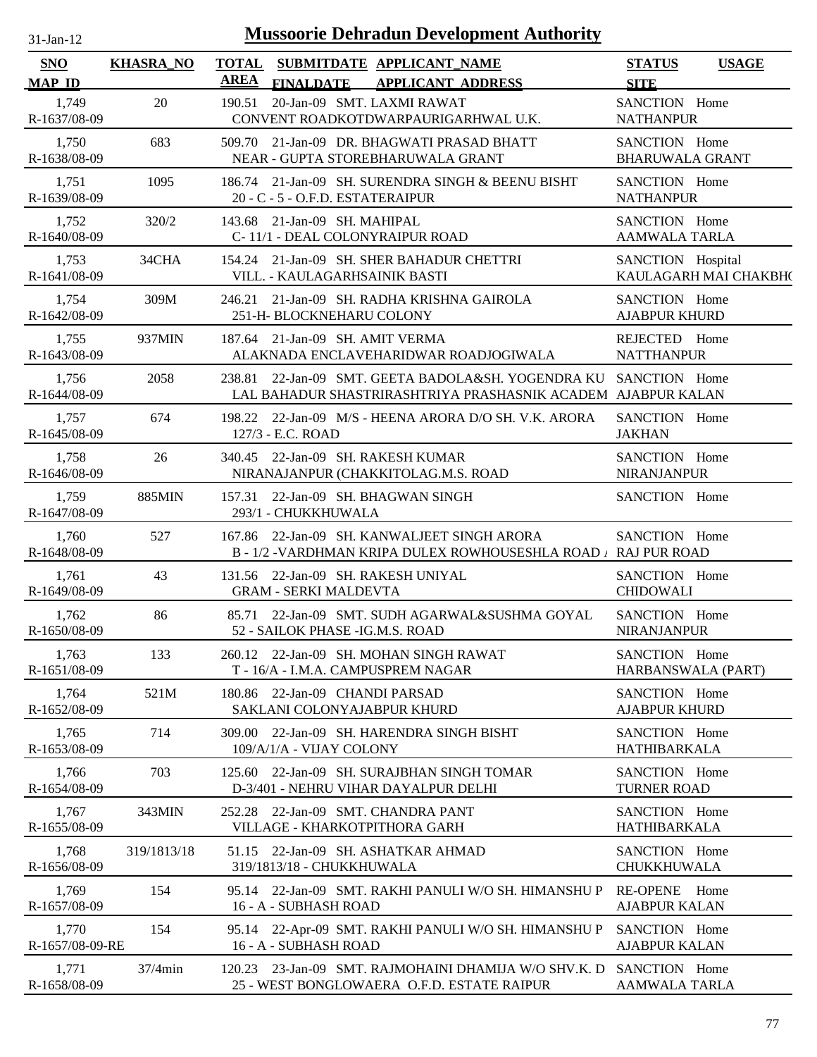| $31$ -Jan-12                |                  |                      | <b>Mussoorie Dehradun Development Authority</b>                                                             |                                         |                       |
|-----------------------------|------------------|----------------------|-------------------------------------------------------------------------------------------------------------|-----------------------------------------|-----------------------|
| <b>SNO</b><br><b>MAP ID</b> | <b>KHASRA_NO</b> | <b>TOTAL</b><br>AREA | SUBMITDATE APPLICANT_NAME<br><b>FINALDATE</b><br><b>APPLICANT ADDRESS</b>                                   | <b>STATUS</b><br><b>SITE</b>            | <b>USAGE</b>          |
| 1,749<br>R-1637/08-09       | 20               | 190.51               | 20-Jan-09 SMT. LAXMI RAWAT<br>CONVENT ROADKOTDWARPAURIGARHWAL U.K.                                          | SANCTION Home<br><b>NATHANPUR</b>       |                       |
| 1,750<br>R-1638/08-09       | 683              | 509.70               | 21-Jan-09 DR. BHAGWATI PRASAD BHATT<br>NEAR - GUPTA STOREBHARUWALA GRANT                                    | SANCTION Home<br><b>BHARUWALA GRANT</b> |                       |
| 1,751<br>R-1639/08-09       | 1095             |                      | 186.74 21-Jan-09 SH. SURENDRA SINGH & BEENU BISHT<br>20 - C - 5 - O.F.D. ESTATERAIPUR                       | SANCTION Home<br><b>NATHANPUR</b>       |                       |
| 1,752<br>R-1640/08-09       | 320/2            |                      | 143.68 21-Jan-09 SH. MAHIPAL<br>C-11/1 - DEAL COLONYRAIPUR ROAD                                             | SANCTION Home<br><b>AAMWALA TARLA</b>   |                       |
| 1,753<br>R-1641/08-09       | 34CHA            |                      | 154.24 21-Jan-09 SH. SHER BAHADUR CHETTRI<br>VILL. - KAULAGARHSAINIK BASTI                                  | SANCTION Hospital                       | KAULAGARH MAI CHAKBH( |
| 1,754<br>R-1642/08-09       | 309M             | 246.21               | 21-Jan-09 SH. RADHA KRISHNA GAIROLA<br>251-H- BLOCKNEHARU COLONY                                            | SANCTION Home<br><b>AJABPUR KHURD</b>   |                       |
| 1,755<br>R-1643/08-09       | 937MIN           |                      | 187.64 21-Jan-09 SH. AMIT VERMA<br>ALAKNADA ENCLAVEHARIDWAR ROADJOGIWALA                                    | REJECTED Home<br><b>NATTHANPUR</b>      |                       |
| 1,756<br>R-1644/08-09       | 2058             | 238.81               | 22-Jan-09 SMT. GEETA BADOLA&SH. YOGENDRA KU<br>LAL BAHADUR SHASTRIRASHTRIYA PRASHASNIK ACADEM AJABPUR KALAN | SANCTION Home                           |                       |
| 1,757<br>R-1645/08-09       | 674              | 127/3 - E.C. ROAD    | 198.22 22-Jan-09 M/S - HEENA ARORA D/O SH. V.K. ARORA                                                       | SANCTION Home<br><b>JAKHAN</b>          |                       |
| 1,758<br>R-1646/08-09       | 26               |                      | 340.45 22-Jan-09 SH. RAKESH KUMAR<br>NIRANAJANPUR (CHAKKITOLAG.M.S. ROAD                                    | SANCTION Home<br><b>NIRANJANPUR</b>     |                       |
| 1,759<br>R-1647/08-09       | 885MIN           | 157.31               | 22-Jan-09 SH. BHAGWAN SINGH<br>293/1 - CHUKKHUWALA                                                          | SANCTION Home                           |                       |
| 1,760<br>R-1648/08-09       | 527              | 167.86               | 22-Jan-09 SH. KANWALJEET SINGH ARORA<br>B - 1/2 -VARDHMAN KRIPA DULEX ROWHOUSESHLA ROAD / RAJ PUR ROAD      | SANCTION Home                           |                       |
| 1,761<br>R-1649/08-09       | 43               |                      | 131.56 22-Jan-09 SH. RAKESH UNIYAL<br><b>GRAM - SERKI MALDEVTA</b>                                          | SANCTION Home<br><b>CHIDOWALI</b>       |                       |
| 1,762<br>R-1650/08-09       | 86               |                      | 85.71 22-Jan-09 SMT. SUDH AGARWAL&SUSHMA GOYAL<br>52 - SAILOK PHASE - IG.M.S. ROAD                          | SANCTION Home<br>NIRANJANPUR            |                       |
| 1,763<br>R-1651/08-09       | 133              |                      | 260.12 22-Jan-09 SH. MOHAN SINGH RAWAT<br>T - 16/A - I.M.A. CAMPUSPREM NAGAR                                | SANCTION Home<br>HARBANSWALA (PART)     |                       |
| 1,764<br>R-1652/08-09       | 521M             |                      | 180.86 22-Jan-09 CHANDI PARSAD<br>SAKLANI COLONYAJABPUR KHURD                                               | SANCTION Home<br><b>AJABPUR KHURD</b>   |                       |
| 1,765<br>R-1653/08-09       | 714              |                      | 309.00 22-Jan-09 SH. HARENDRA SINGH BISHT<br>109/A/1/A - VIJAY COLONY                                       | SANCTION Home<br>HATHIBARKALA           |                       |
| 1,766<br>R-1654/08-09       | 703              | 125.60               | 22-Jan-09 SH. SURAJBHAN SINGH TOMAR<br>D-3/401 - NEHRU VIHAR DAYALPUR DELHI                                 | SANCTION Home<br><b>TURNER ROAD</b>     |                       |
| 1,767<br>R-1655/08-09       | 343MIN           |                      | 252.28 22-Jan-09 SMT. CHANDRA PANT<br>VILLAGE - KHARKOTPITHORA GARH                                         | SANCTION Home<br>HATHIBARKALA           |                       |
| 1,768<br>R-1656/08-09       | 319/1813/18      |                      | 51.15 22-Jan-09 SH. ASHATKAR AHMAD<br>319/1813/18 - CHUKKHUWALA                                             | SANCTION Home<br><b>CHUKKHUWALA</b>     |                       |
| 1,769<br>R-1657/08-09       | 154              |                      | 95.14 22-Jan-09 SMT. RAKHI PANULI W/O SH. HIMANSHU P<br>16 - A - SUBHASH ROAD                               | RE-OPENE Home<br><b>AJABPUR KALAN</b>   |                       |
| 1,770<br>R-1657/08-09-RE    | 154              |                      | 95.14 22-Apr-09 SMT. RAKHI PANULI W/O SH. HIMANSHU P<br>16 - A - SUBHASH ROAD                               | SANCTION Home<br><b>AJABPUR KALAN</b>   |                       |
| 1,771<br>R-1658/08-09       | $37/4$ min       |                      | 120.23 23-Jan-09 SMT. RAJMOHAINI DHAMIJA W/O SHV.K. D<br>25 - WEST BONGLOWAERA O.F.D. ESTATE RAIPUR         | SANCTION Home<br>AAMWALA TARLA          |                       |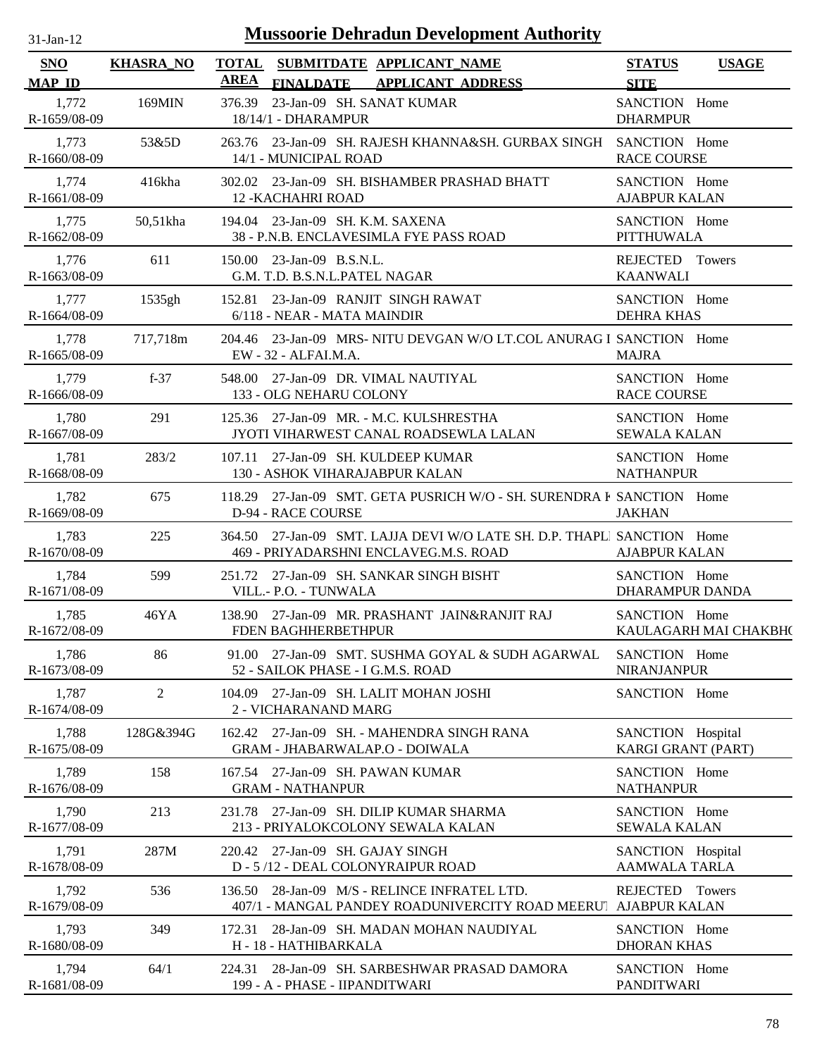| $31-Jan-12$                 | <b>Mussoorie Dehradun Development Authority</b> |                                                                                                                  |                                           |                       |  |  |
|-----------------------------|-------------------------------------------------|------------------------------------------------------------------------------------------------------------------|-------------------------------------------|-----------------------|--|--|
| <b>SNO</b><br><b>MAP ID</b> | <b>KHASRA_NO</b>                                | <b>TOTAL</b><br>SUBMITDATE APPLICANT NAME<br><b>AREA</b><br><b>FINALDATE</b><br><b>APPLICANT ADDRESS</b>         | <b>STATUS</b><br><b>SITE</b>              | <b>USAGE</b>          |  |  |
| 1,772<br>R-1659/08-09       | 169MIN                                          | 23-Jan-09 SH. SANAT KUMAR<br>376.39<br>18/14/1 - DHARAMPUR                                                       | SANCTION Home<br><b>DHARMPUR</b>          |                       |  |  |
| 1,773<br>R-1660/08-09       | 53&5D                                           | 263.76 23-Jan-09 SH, RAJESH KHANNA&SH, GURBAX SINGH<br>14/1 - MUNICIPAL ROAD                                     | SANCTION Home<br><b>RACE COURSE</b>       |                       |  |  |
| 1,774<br>R-1661/08-09       | 416kha                                          | 302.02 23-Jan-09 SH. BISHAMBER PRASHAD BHATT<br><b>12 - KACHAHRI ROAD</b>                                        | SANCTION Home<br><b>AJABPUR KALAN</b>     |                       |  |  |
| 1,775<br>R-1662/08-09       | 50,51kha                                        | 194.04 23-Jan-09 SH, K.M. SAXENA<br>38 - P.N.B. ENCLAVESIMLA FYE PASS ROAD                                       | SANCTION Home<br><b>PITTHUWALA</b>        |                       |  |  |
| 1,776<br>R-1663/08-09       | 611                                             | 150.00 23-Jan-09 B.S.N.L.<br>G.M. T.D. B.S.N.L.PATEL NAGAR                                                       | REJECTED Towers<br><b>KAANWALI</b>        |                       |  |  |
| 1,777<br>R-1664/08-09       | 1535gh                                          | 152.81 23-Jan-09 RANJIT SINGH RAWAT<br>6/118 - NEAR - MATA MAINDIR                                               | SANCTION Home<br><b>DEHRA KHAS</b>        |                       |  |  |
| 1,778<br>R-1665/08-09       | 717,718m                                        | 204.46 23-Jan-09 MRS- NITU DEVGAN W/O LT.COL ANURAG I SANCTION Home<br>EW - 32 - ALFAI.M.A.                      | <b>MAJRA</b>                              |                       |  |  |
| 1,779<br>R-1666/08-09       | $f-37$                                          | 548.00 27-Jan-09 DR. VIMAL NAUTIYAL<br>133 - OLG NEHARU COLONY                                                   | SANCTION Home<br><b>RACE COURSE</b>       |                       |  |  |
| 1,780<br>R-1667/08-09       | 291                                             | 125.36 27-Jan-09 MR. - M.C. KULSHRESTHA<br>JYOTI VIHARWEST CANAL ROADSEWLA LALAN                                 | SANCTION Home<br><b>SEWALA KALAN</b>      |                       |  |  |
| 1,781<br>R-1668/08-09       | 283/2                                           | 107.11 27-Jan-09 SH. KULDEEP KUMAR<br>130 - ASHOK VIHARAJABPUR KALAN                                             | SANCTION Home<br><b>NATHANPUR</b>         |                       |  |  |
| 1,782<br>R-1669/08-09       | 675                                             | 118.29 27-Jan-09 SMT. GETA PUSRICH W/O - SH. SURENDRA F SANCTION Home<br><b>D-94 - RACE COURSE</b>               | <b>JAKHAN</b>                             |                       |  |  |
| 1,783<br>R-1670/08-09       | 225                                             | 364.50 27-Jan-09 SMT. LAJJA DEVI W/O LATE SH. D.P. THAPLI SANCTION Home<br>469 - PRIYADARSHNI ENCLAVEG.M.S. ROAD | <b>AJABPUR KALAN</b>                      |                       |  |  |
| 1,784<br>R-1671/08-09       | 599                                             | 251.72 27-Jan-09 SH. SANKAR SINGH BISHT<br>VILL.- P.O. - TUNWALA                                                 | SANCTION Home<br>DHARAMPUR DANDA          |                       |  |  |
| 1,785<br>R-1672/08-09       | 46YA                                            | 138.90 27-Jan-09 MR. PRASHANT JAIN&RANJIT RAJ<br>FDEN BAGHHERBETHPUR                                             | SANCTION Home                             | KAULAGARH MAI CHAKBH( |  |  |
| 1,786<br>R-1673/08-09       | 86                                              | 91.00 27-Jan-09 SMT. SUSHMA GOYAL & SUDH AGARWAL<br>52 - SAILOK PHASE - I G.M.S. ROAD                            | SANCTION Home<br><b>NIRANJANPUR</b>       |                       |  |  |
| 1,787<br>R-1674/08-09       | $\overline{2}$                                  | 104.09 27-Jan-09 SH. LALIT MOHAN JOSHI<br>2 - VICHARANAND MARG                                                   | SANCTION Home                             |                       |  |  |
| 1,788<br>R-1675/08-09       | 128G&394G                                       | 162.42 27-Jan-09 SH. - MAHENDRA SINGH RANA<br>GRAM - JHABARWALAP.O - DOIWALA                                     | SANCTION Hospital<br>KARGI GRANT (PART)   |                       |  |  |
| 1,789<br>R-1676/08-09       | 158                                             | 167.54 27-Jan-09 SH. PAWAN KUMAR<br><b>GRAM - NATHANPUR</b>                                                      | SANCTION Home<br><b>NATHANPUR</b>         |                       |  |  |
| 1,790<br>R-1677/08-09       | 213                                             | 231.78 27-Jan-09 SH. DILIP KUMAR SHARMA<br>213 - PRIYALOKCOLONY SEWALA KALAN                                     | SANCTION Home<br><b>SEWALA KALAN</b>      |                       |  |  |
| 1,791<br>R-1678/08-09       | 287M                                            | 220.42 27-Jan-09 SH. GAJAY SINGH<br>D - 5/12 - DEAL COLONYRAIPUR ROAD                                            | SANCTION Hospital<br><b>AAMWALA TARLA</b> |                       |  |  |
| 1,792<br>R-1679/08-09       | 536                                             | 28-Jan-09 M/S - RELINCE INFRATEL LTD.<br>136.50<br>407/1 - MANGAL PANDEY ROADUNIVERCITY ROAD MEERU AJABPUR KALAN | REJECTED Towers                           |                       |  |  |
| 1,793<br>R-1680/08-09       | 349                                             | 28-Jan-09 SH. MADAN MOHAN NAUDIYAL<br>172.31<br>H - 18 - HATHIBARKALA                                            | SANCTION Home<br><b>DHORAN KHAS</b>       |                       |  |  |
| 1,794<br>R-1681/08-09       | 64/1                                            | 28-Jan-09 SH. SARBESHWAR PRASAD DAMORA<br>224.31<br>199 - A - PHASE - IIPANDITWARI                               | SANCTION Home<br><b>PANDITWARI</b>        |                       |  |  |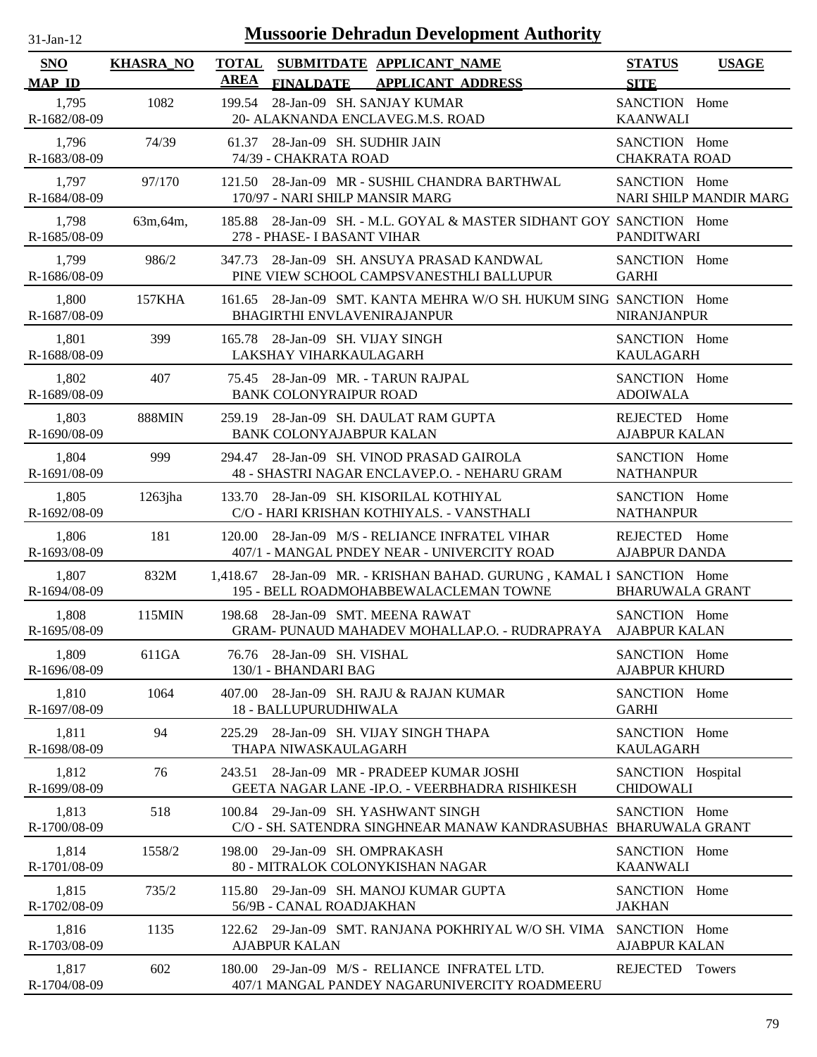| $31$ -Jan-12                | <b>Mussoorie Dehradun Development Authority</b> |             |                                                                                                                 |                                         |                        |
|-----------------------------|-------------------------------------------------|-------------|-----------------------------------------------------------------------------------------------------------------|-----------------------------------------|------------------------|
| <b>SNO</b><br><b>MAP ID</b> | <b>KHASRA_NO</b>                                | <b>AREA</b> | TOTAL SUBMITDATE APPLICANT_NAME<br><b>APPLICANT ADDRESS</b><br><b>FINALDATE</b>                                 | <b>STATUS</b><br><b>SITE</b>            | <b>USAGE</b>           |
| 1,795<br>R-1682/08-09       | 1082                                            | 199.54      | 28-Jan-09 SH. SANJAY KUMAR<br>20- ALAKNANDA ENCLAVEG.M.S. ROAD                                                  | SANCTION Home<br><b>KAANWALI</b>        |                        |
| 1,796<br>R-1683/08-09       | 74/39                                           | 61.37       | 28-Jan-09 SH. SUDHIR JAIN<br>74/39 - CHAKRATA ROAD                                                              | SANCTION Home<br><b>CHAKRATA ROAD</b>   |                        |
| 1,797<br>R-1684/08-09       | 97/170                                          | 121.50      | 28-Jan-09 MR - SUSHIL CHANDRA BARTHWAL<br>170/97 - NARI SHILP MANSIR MARG                                       | SANCTION Home                           | NARI SHILP MANDIR MARG |
| 1,798<br>R-1685/08-09       | 63m, 64m,                                       | 185.88      | 28-Jan-09 SH. - M.L. GOYAL & MASTER SIDHANT GOY SANCTION Home<br>278 - PHASE- I BASANT VIHAR                    | <b>PANDITWARI</b>                       |                        |
| 1,799<br>R-1686/08-09       | 986/2                                           | 347.73      | 28-Jan-09 SH. ANSUYA PRASAD KANDWAL<br>PINE VIEW SCHOOL CAMPSVANESTHLI BALLUPUR                                 | SANCTION Home<br><b>GARHI</b>           |                        |
| 1,800<br>R-1687/08-09       | 157KHA                                          | 161.65      | 28-Jan-09 SMT. KANTA MEHRA W/O SH. HUKUM SING SANCTION Home<br>BHAGIRTHI ENVLAVENIRAJANPUR                      | <b>NIRANJANPUR</b>                      |                        |
| 1,801<br>R-1688/08-09       | 399                                             |             | 165.78 28-Jan-09 SH, VIJAY SINGH<br>LAKSHAY VIHARKAULAGARH                                                      | SANCTION Home<br><b>KAULAGARH</b>       |                        |
| 1,802<br>R-1689/08-09       | 407                                             | 75.45       | 28-Jan-09 MR. - TARUN RAJPAL<br>BANK COLONYRAIPUR ROAD                                                          | SANCTION Home<br><b>ADOIWALA</b>        |                        |
| 1,803<br>R-1690/08-09       | <b>888MIN</b>                                   |             | 259.19 28-Jan-09 SH. DAULAT RAM GUPTA<br><b>BANK COLONYAJABPUR KALAN</b>                                        | REJECTED Home<br><b>AJABPUR KALAN</b>   |                        |
| 1,804<br>R-1691/08-09       | 999                                             | 294.47      | 28-Jan-09 SH. VINOD PRASAD GAIROLA<br>48 - SHASTRI NAGAR ENCLAVEP.O. - NEHARU GRAM                              | SANCTION Home<br><b>NATHANPUR</b>       |                        |
| 1,805<br>R-1692/08-09       | $1263$ jha                                      | 133.70      | 28-Jan-09 SH. KISORILAL KOTHIYAL<br>C/O - HARI KRISHAN KOTHIYALS. - VANSTHALI                                   | SANCTION Home<br><b>NATHANPUR</b>       |                        |
| 1,806<br>R-1693/08-09       | 181                                             | 120.00      | 28-Jan-09 M/S - RELIANCE INFRATEL VIHAR<br>407/1 - MANGAL PNDEY NEAR - UNIVERCITY ROAD                          | REJECTED Home<br><b>AJABPUR DANDA</b>   |                        |
| 1,807<br>R-1694/08-09       | 832M                                            |             | 1,418.67 28-Jan-09 MR. - KRISHAN BAHAD. GURUNG, KAMAL I SANCTION Home<br>195 - BELL ROADMOHABBEWALACLEMAN TOWNE | <b>BHARUWALA GRANT</b>                  |                        |
| 1,808<br>R-1695/08-09       | 115MIN                                          |             | 198.68 28-Jan-09 SMT. MEENA RAWAT<br>GRAM- PUNAUD MAHADEV MOHALLAP.O. - RUDRAPRAYA AJABPUR KALAN                | SANCTION Home                           |                        |
| 1,809<br>R-1696/08-09       | 611GA                                           | 76.76       | 28-Jan-09 SH. VISHAL<br>130/1 - BHANDARI BAG                                                                    | SANCTION Home<br><b>AJABPUR KHURD</b>   |                        |
| 1,810<br>R-1697/08-09       | 1064                                            | 407.00      | 28-Jan-09 SH. RAJU & RAJAN KUMAR<br>18 - BALLUPURUDHIWALA                                                       | SANCTION Home<br><b>GARHI</b>           |                        |
| 1,811<br>R-1698/08-09       | 94                                              | 225.29      | 28-Jan-09 SH. VIJAY SINGH THAPA<br>THAPA NIWASKAULAGARH                                                         | SANCTION Home<br><b>KAULAGARH</b>       |                        |
| 1,812<br>R-1699/08-09       | 76                                              | 243.51      | 28-Jan-09 MR - PRADEEP KUMAR JOSHI<br>GEETA NAGAR LANE - IP.O. - VEERBHADRA RISHIKESH                           | SANCTION Hospital<br><b>CHIDOWALI</b>   |                        |
| 1,813<br>R-1700/08-09       | 518                                             | 100.84      | 29-Jan-09 SH. YASHWANT SINGH<br>C/O - SH. SATENDRA SINGHNEAR MANAW KANDRASUBHAS                                 | SANCTION Home<br><b>BHARUWALA GRANT</b> |                        |
| 1,814<br>R-1701/08-09       | 1558/2                                          |             | 198.00 29-Jan-09 SH. OMPRAKASH<br>80 - MITRALOK COLONYKISHAN NAGAR                                              | SANCTION Home<br><b>KAANWALI</b>        |                        |
| 1,815<br>R-1702/08-09       | 735/2                                           | 115.80      | 29-Jan-09 SH. MANOJ KUMAR GUPTA<br>56/9B - CANAL ROADJAKHAN                                                     | SANCTION Home<br><b>JAKHAN</b>          |                        |
| 1,816<br>R-1703/08-09       | 1135                                            |             | 122.62 29-Jan-09 SMT. RANJANA POKHRIYAL W/O SH. VIMA<br><b>AJABPUR KALAN</b>                                    | SANCTION Home<br><b>AJABPUR KALAN</b>   |                        |
| 1,817<br>R-1704/08-09       | 602                                             | 180.00      | 29-Jan-09 M/S - RELIANCE INFRATEL LTD.<br>407/1 MANGAL PANDEY NAGARUNIVERCITY ROADMEERU                         | REJECTED                                | Towers                 |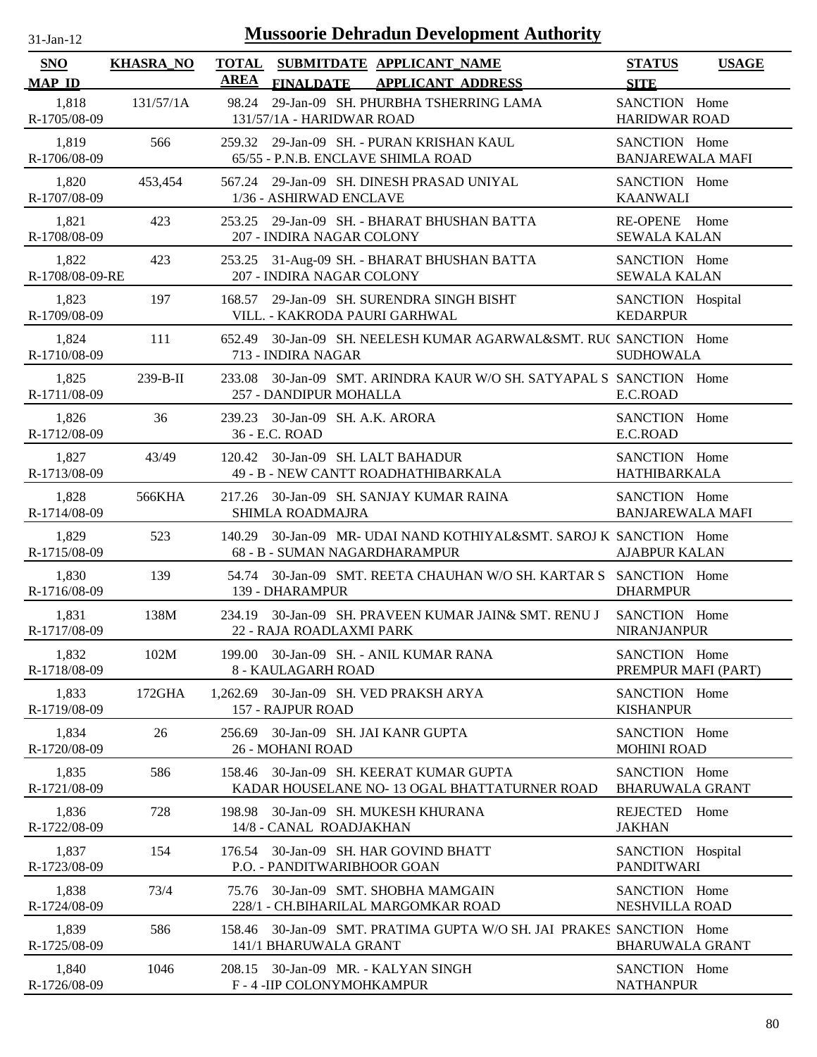| $31$ -Jan-12 |  |
|--------------|--|
|              |  |

| <b>SNO</b><br><b>MAP ID</b> | <b>KHASRA_NO</b> | TOTAL SUBMITDATE APPLICANT_NAME<br><b>AREA</b><br><b>FINALDATE</b><br><b>APPLICANT ADDRESS</b>         | <b>STATUS</b><br><b>SITE</b>             | <b>USAGE</b> |
|-----------------------------|------------------|--------------------------------------------------------------------------------------------------------|------------------------------------------|--------------|
| 1,818<br>R-1705/08-09       | 131/57/1A        | 29-Jan-09 SH. PHURBHA TSHERRING LAMA<br>98.24<br>131/57/1A - HARIDWAR ROAD                             | SANCTION Home<br><b>HARIDWAR ROAD</b>    |              |
| 1,819<br>R-1706/08-09       | 566              | 259.32 29-Jan-09 SH. - PURAN KRISHAN KAUL<br>65/55 - P.N.B. ENCLAVE SHIMLA ROAD                        | SANCTION Home<br><b>BANJAREWALA MAFI</b> |              |
| 1,820<br>R-1707/08-09       | 453,454          | 29-Jan-09 SH. DINESH PRASAD UNIYAL<br>567.24<br>1/36 - ASHIRWAD ENCLAVE                                | SANCTION Home<br><b>KAANWALI</b>         |              |
| 1,821<br>R-1708/08-09       | 423              | 29-Jan-09 SH. - BHARAT BHUSHAN BATTA<br>253.25<br>207 - INDIRA NAGAR COLONY                            | RE-OPENE Home<br><b>SEWALA KALAN</b>     |              |
| 1,822<br>R-1708/08-09-RE    | 423              | 253.25 31-Aug-09 SH. - BHARAT BHUSHAN BATTA<br>207 - INDIRA NAGAR COLONY                               | SANCTION Home<br><b>SEWALA KALAN</b>     |              |
| 1,823<br>R-1709/08-09       | 197              | 168.57 29-Jan-09 SH. SURENDRA SINGH BISHT<br>VILL. - KAKRODA PAURI GARHWAL                             | SANCTION Hospital<br><b>KEDARPUR</b>     |              |
| 1,824<br>R-1710/08-09       | 111              | 30-Jan-09 SH. NEELESH KUMAR AGARWAL&SMT. RUC SANCTION Home<br>652.49<br>713 - INDIRA NAGAR             | <b>SUDHOWALA</b>                         |              |
| 1,825<br>R-1711/08-09       | $239 - B - II$   | 30-Jan-09 SMT. ARINDRA KAUR W/O SH. SATYAPAL S SANCTION Home<br>233.08<br>257 - DANDIPUR MOHALLA       | E.C.ROAD                                 |              |
| 1,826<br>R-1712/08-09       | 36               | 239.23 30-Jan-09 SH. A.K. ARORA<br>36 - E.C. ROAD                                                      | SANCTION Home<br>E.C.ROAD                |              |
| 1,827<br>R-1713/08-09       | 43/49            | 120.42 30-Jan-09 SH. LALT BAHADUR<br>49 - B - NEW CANTT ROADHATHIBARKALA                               | SANCTION Home<br><b>HATHIBARKALA</b>     |              |
| 1,828<br>R-1714/08-09       | 566KHA           | 217.26 30-Jan-09 SH. SANJAY KUMAR RAINA<br>SHIMLA ROADMAJRA                                            | SANCTION Home<br><b>BANJAREWALA MAFI</b> |              |
| 1,829<br>R-1715/08-09       | 523              | 30-Jan-09 MR- UDAI NAND KOTHIYAL&SMT. SAROJ K SANCTION Home<br>140.29<br>68 - B - SUMAN NAGARDHARAMPUR | <b>AJABPUR KALAN</b>                     |              |
| 1,830<br>R-1716/08-09       | 139              | 54.74 30-Jan-09 SMT. REETA CHAUHAN W/O SH. KARTAR S SANCTION Home<br>139 - DHARAMPUR                   | <b>DHARMPUR</b>                          |              |
| 1,831<br>R-1717/08-09       | 138M             | 234.19 30-Jan-09 SH. PRAVEEN KUMAR JAIN& SMT. RENU J<br>22 - RAJA ROADLAXMI PARK                       | SANCTION Home<br>NIRANJANPUR             |              |
| 1,832<br>R-1718/08-09       | 102M             | 199.00 30-Jan-09 SH. - ANIL KUMAR RANA<br>8 - KAULAGARH ROAD                                           | SANCTION Home<br>PREMPUR MAFI (PART)     |              |
| 1,833<br>R-1719/08-09       | 172GHA           | 30-Jan-09 SH. VED PRAKSH ARYA<br>1,262.69<br>157 - RAJPUR ROAD                                         | SANCTION Home<br><b>KISHANPUR</b>        |              |
| 1,834<br>R-1720/08-09       | 26               | 30-Jan-09 SH. JAI KANR GUPTA<br>256.69<br>26 - MOHANI ROAD                                             | SANCTION Home<br><b>MOHINI ROAD</b>      |              |
| 1,835<br>R-1721/08-09       | 586              | 30-Jan-09 SH. KEERAT KUMAR GUPTA<br>158.46<br>KADAR HOUSELANE NO-13 OGAL BHATTATURNER ROAD             | SANCTION Home<br><b>BHARUWALA GRANT</b>  |              |
| 1,836<br>R-1722/08-09       | 728              | 198.98 30-Jan-09 SH. MUKESH KHURANA<br>14/8 - CANAL ROADJAKHAN                                         | REJECTED Home<br><b>JAKHAN</b>           |              |
| 1,837<br>R-1723/08-09       | 154              | 176.54 30-Jan-09 SH, HAR GOVIND BHATT<br>P.O. - PANDITWARIBHOOR GOAN                                   | SANCTION Hospital<br><b>PANDITWARI</b>   |              |
| 1,838<br>R-1724/08-09       | 73/4             | 30-Jan-09 SMT. SHOBHA MAMGAIN<br>75.76<br>228/1 - CH.BIHARILAL MARGOMKAR ROAD                          | SANCTION Home<br><b>NESHVILLA ROAD</b>   |              |
| 1,839<br>R-1725/08-09       | 586              | 30-Jan-09 SMT. PRATIMA GUPTA W/O SH. JAI PRAKES SANCTION Home<br>158.46<br>141/1 BHARUWALA GRANT       | <b>BHARUWALA GRANT</b>                   |              |
| 1,840<br>R-1726/08-09       | 1046             | 208.15 30-Jan-09 MR. - KALYAN SINGH<br>F-4-IIP COLONYMOHKAMPUR                                         | SANCTION Home<br><b>NATHANPUR</b>        |              |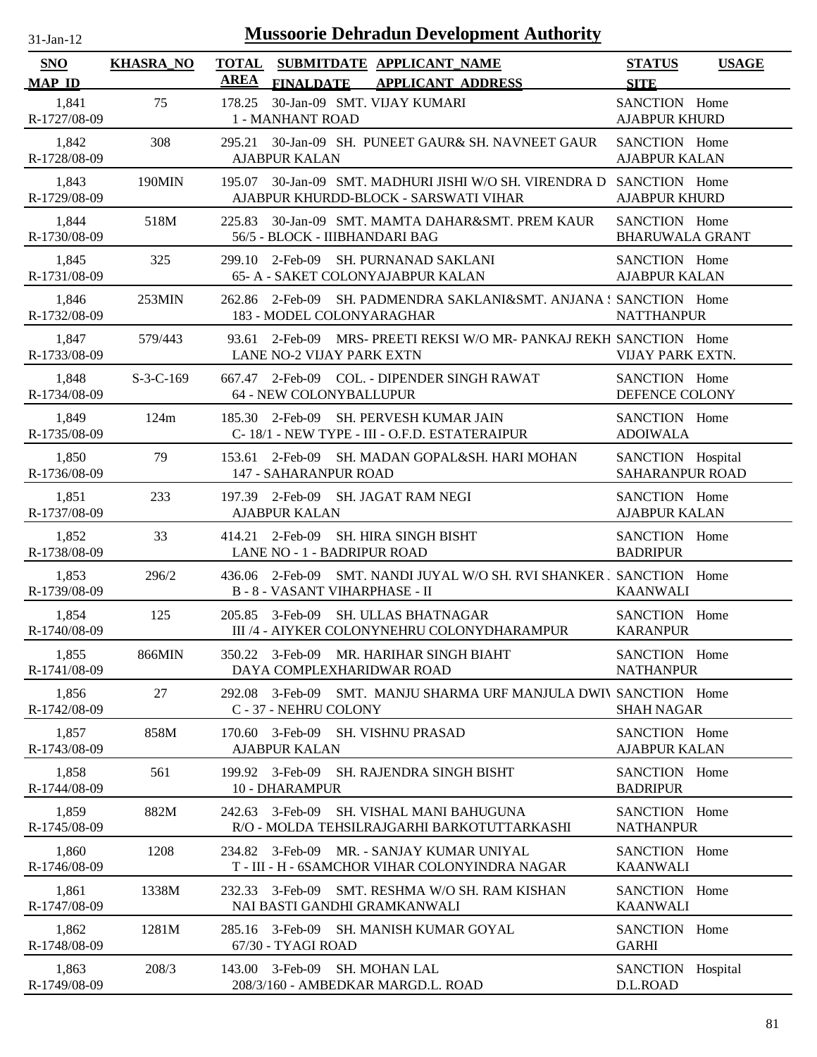| <b>SNO</b><br><b>MAP ID</b> | <b>KHASRA_NO</b> | <b>TOTAL</b><br>SUBMITDATE APPLICANT NAME<br><b>AREA</b><br>FINALDATE APPLICANT ADDRESS                       | <b>STATUS</b><br><b>USAGE</b><br><b>SITE</b> |
|-----------------------------|------------------|---------------------------------------------------------------------------------------------------------------|----------------------------------------------|
| 1,841<br>R-1727/08-09       | 75               | 178.25<br>30-Jan-09 SMT. VIJAY KUMARI<br>1 - MANHANT ROAD                                                     | SANCTION Home<br><b>AJABPUR KHURD</b>        |
| 1,842<br>R-1728/08-09       | 308              | 295.21 30-Jan-09 SH. PUNEET GAUR& SH. NAVNEET GAUR<br><b>AJABPUR KALAN</b>                                    | SANCTION Home<br><b>AJABPUR KALAN</b>        |
| 1,843<br>R-1729/08-09       | 190MIN           | 195.07 30-Jan-09 SMT. MADHURI JISHI W/O SH. VIRENDRA D SANCTION Home<br>AJABPUR KHURDD-BLOCK - SARSWATI VIHAR | <b>AJABPUR KHURD</b>                         |
| 1,844<br>R-1730/08-09       | 518M             | 225.83 30-Jan-09 SMT. MAMTA DAHAR&SMT. PREM KAUR<br>56/5 - BLOCK - IIIBHANDARI BAG                            | SANCTION Home<br><b>BHARUWALA GRANT</b>      |
| 1,845<br>R-1731/08-09       | 325              | 2-Feb-09 SH. PURNANAD SAKLANI<br>299.10<br>65- A - SAKET COLONYAJABPUR KALAN                                  | SANCTION Home<br><b>AJABPUR KALAN</b>        |
| 1,846<br>R-1732/08-09       | 253MIN           | 262.86 2-Feb-09 SH. PADMENDRA SAKLANI&SMT. ANJANA ! SANCTION Home<br>183 - MODEL COLONYARAGHAR                | <b>NATTHANPUR</b>                            |
| 1,847<br>R-1733/08-09       | 579/443          | 2-Feb-09 MRS- PREETI REKSI W/O MR- PANKAJ REKH SANCTION Home<br>93.61<br><b>LANE NO-2 VIJAY PARK EXTN</b>     | VIJAY PARK EXTN.                             |
| 1,848<br>R-1734/08-09       | $S-3-C-169$      | 667.47 2-Feb-09 COL. - DIPENDER SINGH RAWAT<br>64 - NEW COLONYBALLUPUR                                        | SANCTION Home<br>DEFENCE COLONY              |
| 1,849<br>R-1735/08-09       | 124m             | SH. PERVESH KUMAR JAIN<br>185.30 2-Feb-09<br>C-18/1 - NEW TYPE - III - O.F.D. ESTATERAIPUR                    | SANCTION Home<br><b>ADOIWALA</b>             |
| 1,850<br>R-1736/08-09       | 79               | $153.61$ 2-Feb-09<br>SH. MADAN GOPAL&SH. HARI MOHAN<br>147 - SAHARANPUR ROAD                                  | SANCTION Hospital<br><b>SAHARANPUR ROAD</b>  |
| 1,851<br>R-1737/08-09       | 233              | 197.39 2-Feb-09 SH. JAGAT RAM NEGI<br><b>AJABPUR KALAN</b>                                                    | SANCTION Home<br><b>AJABPUR KALAN</b>        |
| 1,852<br>R-1738/08-09       | 33               | <b>SH. HIRA SINGH BISHT</b><br>$414.21 \quad 2\text{-} \text{Feb-09}$<br>LANE NO - 1 - BADRIPUR ROAD          | SANCTION Home<br><b>BADRIPUR</b>             |
| 1,853<br>R-1739/08-09       | 296/2            | 436.06 2-Feb-09 SMT. NANDI JUYAL W/O SH. RVI SHANKER J SANCTION Home<br><b>B-8-VASANT VIHARPHASE - II</b>     | <b>KAANWALI</b>                              |
| 1,854<br>R-1740/08-09       | 125              | 205.85 3-Feb-09 SH. ULLAS BHATNAGAR<br>III /4 - AIYKER COLONYNEHRU COLONYDHARAMPUR                            | SANCTION Home<br><b>KARANPUR</b>             |
| 1,855<br>R-1741/08-09       | 866MIN           | 350.22 3-Feb-09 MR. HARIHAR SINGH BIAHT<br>DAYA COMPLEXHARIDWAR ROAD                                          | SANCTION Home<br><b>NATHANPUR</b>            |
| 1,856<br>R-1742/08-09       | 27               | 292.08 3-Feb-09 SMT. MANJU SHARMA URF MANJULA DWI\ SANCTION Home<br>C - 37 - NEHRU COLONY                     | <b>SHAH NAGAR</b>                            |
| 1,857<br>R-1743/08-09       | 858M             | 3-Feb-09<br><b>SH. VISHNU PRASAD</b><br>170.60<br><b>AJABPUR KALAN</b>                                        | SANCTION Home<br><b>AJABPUR KALAN</b>        |
| 1,858<br>R-1744/08-09       | 561              | 199.92 3-Feb-09<br><b>SH. RAJENDRA SINGH BISHT</b><br>10 - DHARAMPUR                                          | SANCTION Home<br><b>BADRIPUR</b>             |
| 1,859<br>R-1745/08-09       | 882M             | 242.63 3-Feb-09<br>SH. VISHAL MANI BAHUGUNA<br>R/O - MOLDA TEHSILRAJGARHI BARKOTUTTARKASHI                    | SANCTION Home<br><b>NATHANPUR</b>            |
| 1,860<br>R-1746/08-09       | 1208             | 234.82 3-Feb-09<br>MR. - SANJAY KUMAR UNIYAL<br>T - III - H - 6SAMCHOR VIHAR COLONYINDRA NAGAR                | SANCTION Home<br><b>KAANWALI</b>             |
| 1,861<br>R-1747/08-09       | 1338M            | 232.33 3-Feb-09<br>SMT. RESHMA W/O SH. RAM KISHAN<br>NAI BASTI GANDHI GRAMKANWALI                             | SANCTION Home<br><b>KAANWALI</b>             |
| 1,862<br>R-1748/08-09       | 1281M            | 3-Feb-09 SH. MANISH KUMAR GOYAL<br>285.16<br>67/30 - TYAGI ROAD                                               | SANCTION Home<br><b>GARHI</b>                |
| 1,863<br>R-1749/08-09       | 208/3            | 3-Feb-09<br><b>SH. MOHAN LAL</b><br>143.00<br>208/3/160 - AMBEDKAR MARGD.L. ROAD                              | SANCTION Hospital<br>D.L.ROAD                |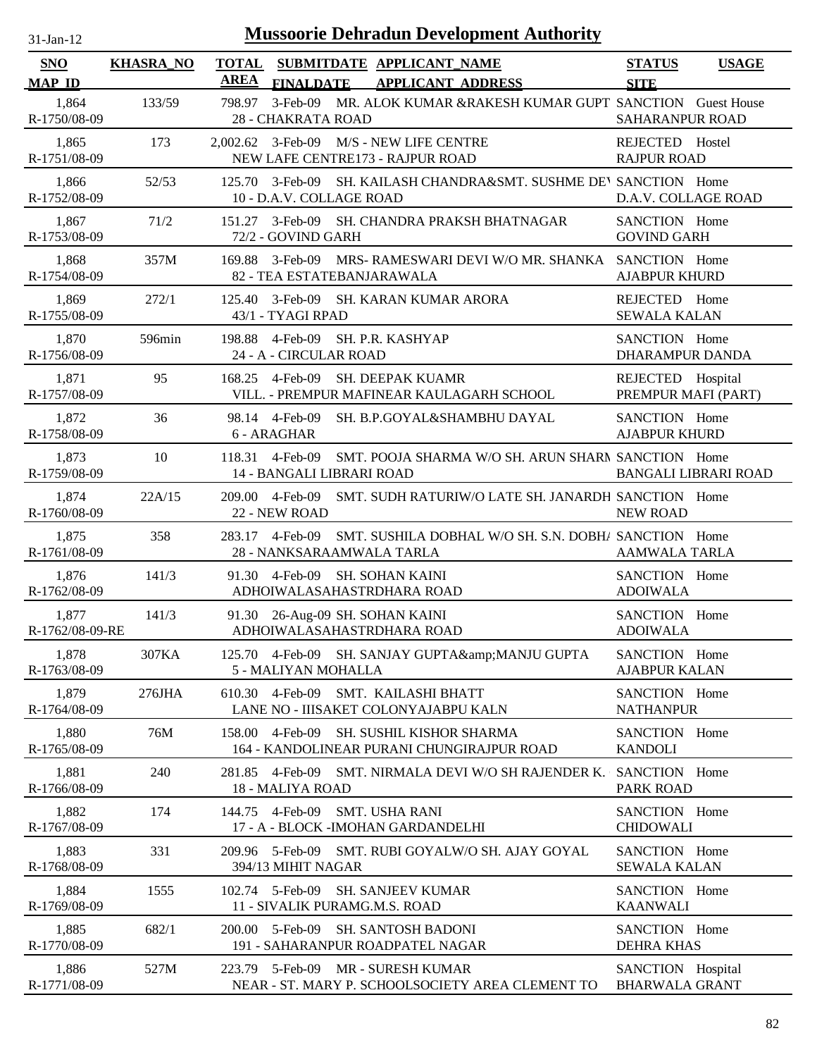| $31-Jan-12$                 |                  | <b>Mussoorie Dehradun Development Authority</b>                                                          |                                              |
|-----------------------------|------------------|----------------------------------------------------------------------------------------------------------|----------------------------------------------|
| <b>SNO</b><br><b>MAP ID</b> | <b>KHASRA_NO</b> | <b>TOTAL</b><br>SUBMITDATE APPLICANT NAME<br><b>AREA</b><br><b>FINALDATE</b><br><b>APPLICANT ADDRESS</b> | <b>STATUS</b><br><b>USAGE</b><br><b>SITE</b> |
| 1,864<br>R-1750/08-09       | 133/59           | 3-Feb-09 MR. ALOK KUMAR &RAKESH KUMAR GUPT SANCTION Guest House<br>798.97<br>28 - CHAKRATA ROAD          | SAHARANPUR ROAD                              |
| 1,865<br>R-1751/08-09       | 173              | 2,002.62 3-Feb-09 M/S - NEW LIFE CENTRE<br>NEW LAFE CENTRE173 - RAJPUR ROAD                              | REJECTED Hostel<br><b>RAJPUR ROAD</b>        |
| 1,866<br>R-1752/08-09       | 52/53            | 125.70 3-Feb-09 SH. KAILASH CHANDRA&SMT, SUSHME DEV SANCTION Home<br>10 - D.A.V. COLLAGE ROAD            | D.A.V. COLLAGE ROAD                          |
| 1,867<br>R-1753/08-09       | 71/2             | 151.27 3-Feb-09 SH. CHANDRA PRAKSH BHATNAGAR<br>72/2 - GOVIND GARH                                       | SANCTION Home<br><b>GOVIND GARH</b>          |
| 1,868<br>R-1754/08-09       | 357M             | MRS- RAMESWARI DEVI W/O MR. SHANKA<br>169.88<br>3-Feb-09<br>82 - TEA ESTATEBANJARAWALA                   | SANCTION Home<br><b>AJABPUR KHURD</b>        |
| 1,869<br>R-1755/08-09       | 272/1            | 3-Feb-09 SH. KARAN KUMAR ARORA<br>125.40<br>43/1 - TYAGI RPAD                                            | REJECTED<br>Home<br><b>SEWALA KALAN</b>      |
| 1,870<br>R-1756/08-09       | 596min           | SH. P.R. KASHYAP<br>198.88<br>4-Feb-09<br>24 - A - CIRCULAR ROAD                                         | SANCTION Home<br><b>DHARAMPUR DANDA</b>      |
| 1,871<br>R-1757/08-09       | 95               | <b>SH. DEEPAK KUAMR</b><br>168.25<br>4-Feb-09<br>VILL. - PREMPUR MAFINEAR KAULAGARH SCHOOL               | REJECTED Hospital<br>PREMPUR MAFI (PART)     |
| 1,872<br>R-1758/08-09       | 36               | 98.14 4-Feb-09<br>SH. B.P.GOYAL&SHAMBHU DAYAL<br>6 - ARAGHAR                                             | SANCTION Home<br><b>AJABPUR KHURD</b>        |
| 1,873<br>R-1759/08-09       | 10               | 118.31 4-Feb-09<br>SMT. POOJA SHARMA W/O SH. ARUN SHARN SANCTION Home<br>14 - BANGALI LIBRARI ROAD       | <b>BANGALI LIBRARI ROAD</b>                  |
| 1,874<br>R-1760/08-09       | 22A/15           | 209.00 4-Feb-09<br>SMT. SUDH RATURIW/O LATE SH. JANARDH SANCTION Home<br>22 - NEW ROAD                   | <b>NEW ROAD</b>                              |
| 1,875<br>R-1761/08-09       | 358              | 4-Feb-09<br>SMT. SUSHILA DOBHAL W/O SH. S.N. DOBH/ SANCTION Home<br>283.17<br>28 - NANKSARAAMWALA TARLA  | <b>AAMWALA TARLA</b>                         |
| 1,876<br>R-1762/08-09       | 141/3            | 91.30 4-Feb-09 SH. SOHAN KAINI<br>ADHOIWALASAHASTRDHARA ROAD                                             | SANCTION Home<br><b>ADOIWALA</b>             |
| 1,877<br>R-1762/08-09-RE    | 141/3            | 91.30 26-Aug-09 SH. SOHAN KAINI<br>ADHOIWALASAHASTRDHARA ROAD                                            | SANCTION Home<br><b>ADOIWALA</b>             |
| 1,878<br>R-1763/08-09       | 307KA            | 125.70 4-Feb-09 SH. SANJAY GUPTA& MANJU GUPTA<br>5 - MALIYAN MOHALLA                                     | SANCTION Home<br><b>AJABPUR KALAN</b>        |
| 1,879<br>R-1764/08-09       | 276JHA           | 4-Feb-09<br>SMT. KAILASHI BHATT<br>610.30<br>LANE NO - IIISAKET COLONYAJABPU KALN                        | SANCTION Home<br><b>NATHANPUR</b>            |
| 1,880<br>R-1765/08-09       | 76M              | SH. SUSHIL KISHOR SHARMA<br>4-Feb-09<br>158.00<br>164 - KANDOLINEAR PURANI CHUNGIRAJPUR ROAD             | SANCTION Home<br><b>KANDOLI</b>              |
| 1,881<br>R-1766/08-09       | 240              | 4-Feb-09<br>SMT. NIRMALA DEVI W/O SH RAJENDER K. SANCTION Home<br>281.85<br>18 - MALIYA ROAD             | <b>PARK ROAD</b>                             |
| 1,882<br>R-1767/08-09       | 174              | <b>SMT. USHA RANI</b><br>144.75 4-Feb-09<br>17 - A - BLOCK - IMOHAN GARDANDELHI                          | SANCTION Home<br><b>CHIDOWALI</b>            |
| 1,883<br>R-1768/08-09       | 331              | 209.96 5-Feb-09<br>SMT. RUBI GOYALW/O SH. AJAY GOYAL<br>394/13 MIHIT NAGAR                               | SANCTION Home<br><b>SEWALA KALAN</b>         |
| 1,884<br>R-1769/08-09       | 1555             | 102.74 5-Feb-09<br><b>SH. SANJEEV KUMAR</b><br>11 - SIVALIK PURAMG.M.S. ROAD                             | SANCTION Home<br><b>KAANWALI</b>             |
| 1,885<br>R-1770/08-09       | 682/1            | 200.00 5-Feb-09<br><b>SH. SANTOSH BADONI</b><br>191 - SAHARANPUR ROADPATEL NAGAR                         | SANCTION Home<br><b>DEHRA KHAS</b>           |
| 1,886<br>R-1771/08-09       | 527M             | 223.79 5-Feb-09<br>MR - SURESH KUMAR<br>NEAR - ST. MARY P. SCHOOLSOCIETY AREA CLEMENT TO                 | SANCTION Hospital<br><b>BHARWALA GRANT</b>   |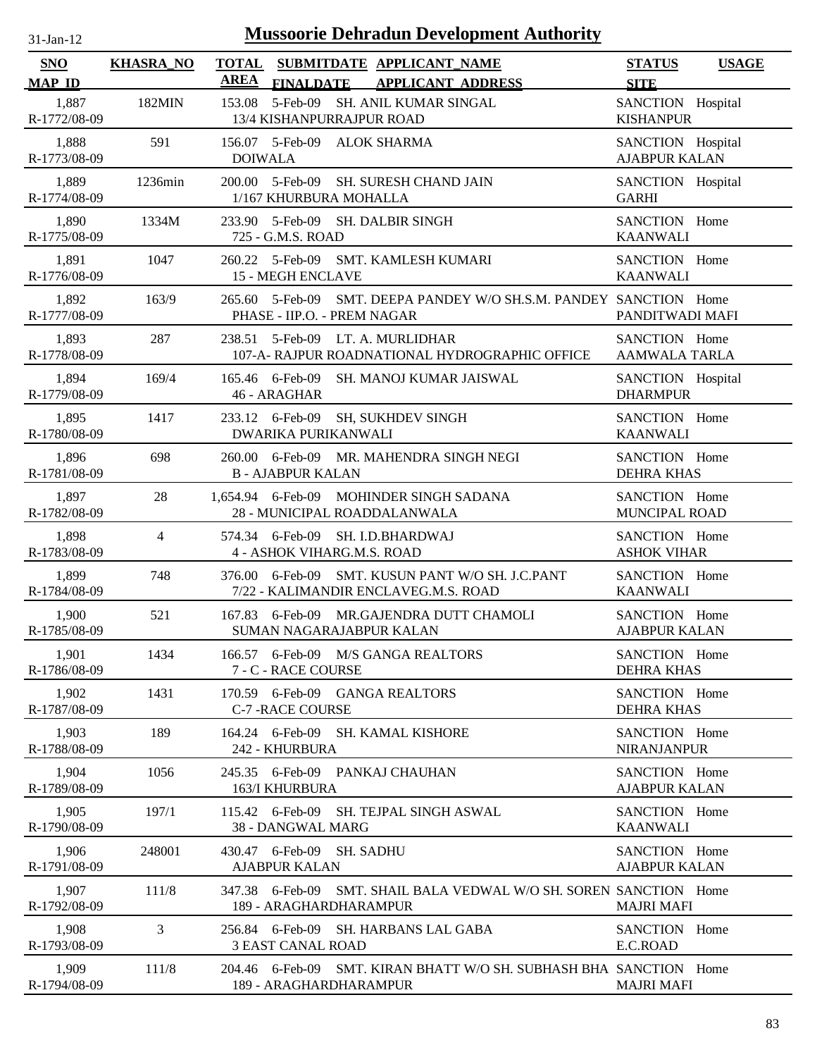| $31-Jan-12$                 |                  | <b>Mussoorie Dehradun Development Authority</b>                                                          |                                           |              |
|-----------------------------|------------------|----------------------------------------------------------------------------------------------------------|-------------------------------------------|--------------|
| <b>SNO</b><br><b>MAP ID</b> | <b>KHASRA_NO</b> | <b>TOTAL</b><br>SUBMITDATE APPLICANT_NAME<br><b>AREA</b><br><b>APPLICANT ADDRESS</b><br><b>FINALDATE</b> | <b>STATUS</b><br><b>SITE</b>              | <b>USAGE</b> |
| 1,887<br>R-1772/08-09       | 182MIN           | 5-Feb-09<br>SH. ANIL KUMAR SINGAL<br>153.08<br>13/4 KISHANPURRAJPUR ROAD                                 | SANCTION Hospital<br><b>KISHANPUR</b>     |              |
| 1,888<br>R-1773/08-09       | 591              | 156.07 5-Feb-09 ALOK SHARMA<br><b>DOIWALA</b>                                                            | SANCTION Hospital<br><b>AJABPUR KALAN</b> |              |
| 1,889<br>R-1774/08-09       | 1236min          | 200.00 5-Feb-09<br>SH. SURESH CHAND JAIN<br>1/167 KHURBURA MOHALLA                                       | SANCTION Hospital<br><b>GARHI</b>         |              |
| 1,890<br>R-1775/08-09       | 1334M            | 5-Feb-09 SH. DALBIR SINGH<br>233.90<br>725 - G.M.S. ROAD                                                 | SANCTION Home<br><b>KAANWALI</b>          |              |
| 1,891<br>R-1776/08-09       | 1047             | 260.22 5-Feb-09<br>SMT. KAMLESH KUMARI<br><b>15 - MEGH ENCLAVE</b>                                       | SANCTION Home<br><b>KAANWALI</b>          |              |
| 1,892<br>R-1777/08-09       | 163/9            | SMT. DEEPA PANDEY W/O SH.S.M. PANDEY SANCTION Home<br>265.60<br>5-Feb-09<br>PHASE - IIP.O. - PREM NAGAR  | PANDITWADI MAFI                           |              |
| 1,893<br>R-1778/08-09       | 287              | 238.51 5-Feb-09 LT. A. MURLIDHAR<br>107-A- RAJPUR ROADNATIONAL HYDROGRAPHIC OFFICE                       | SANCTION Home<br>AAMWALA TARLA            |              |
| 1,894<br>R-1779/08-09       | 169/4            | 165.46 6-Feb-09<br>SH. MANOJ KUMAR JAISWAL<br>46 - ARAGHAR                                               | SANCTION Hospital<br><b>DHARMPUR</b>      |              |
| 1,895<br>R-1780/08-09       | 1417             | 233.12 6-Feb-09<br><b>SH, SUKHDEV SINGH</b><br><b>DWARIKA PURIKANWALI</b>                                | SANCTION Home<br><b>KAANWALI</b>          |              |
| 1,896<br>R-1781/08-09       | 698              | 260.00 6-Feb-09 MR. MAHENDRA SINGH NEGI<br><b>B-AJABPUR KALAN</b>                                        | SANCTION Home<br><b>DEHRA KHAS</b>        |              |
| 1,897<br>R-1782/08-09       | 28               | 1,654.94 6-Feb-09<br>MOHINDER SINGH SADANA<br>28 - MUNICIPAL ROADDALANWALA                               | SANCTION Home<br>MUNCIPAL ROAD            |              |
| 1,898<br>R-1783/08-09       | $\overline{4}$   | 574.34 6-Feb-09<br>SH. I.D.BHARDWAJ<br>4 - ASHOK VIHARG.M.S. ROAD                                        | SANCTION Home<br><b>ASHOK VIHAR</b>       |              |
| 1,899<br>R-1784/08-09       | 748              | 376.00 6-Feb-09<br>SMT. KUSUN PANT W/O SH. J.C.PANT<br>7/22 - KALIMANDIR ENCLAVEG.M.S. ROAD              | SANCTION Home<br><b>KAANWALI</b>          |              |
| 1,900<br>R-1785/08-09       | 521              | 167.83 6-Feb-09 MR.GAJENDRA DUTT CHAMOLI<br>SUMAN NAGARAJABPUR KALAN                                     | SANCTION Home<br><b>AJABPUR KALAN</b>     |              |
| 1,901<br>R-1786/08-09       | 1434             | 166.57 6-Feb-09 M/S GANGA REALTORS<br>7 - C - RACE COURSE                                                | SANCTION Home<br><b>DEHRA KHAS</b>        |              |
| 1,902<br>R-1787/08-09       | 1431             | 170.59 6-Feb-09 GANGA REALTORS<br><b>C-7 - RACE COURSE</b>                                               | SANCTION Home<br><b>DEHRA KHAS</b>        |              |
| 1,903<br>R-1788/08-09       | 189              | 164.24 6-Feb-09<br><b>SH. KAMAL KISHORE</b><br>242 - KHURBURA                                            | SANCTION Home<br><b>NIRANJANPUR</b>       |              |
| 1,904<br>R-1789/08-09       | 1056             | 245.35 6-Feb-09 PANKAJ CHAUHAN<br>163/I KHURBURA                                                         | SANCTION Home<br><b>AJABPUR KALAN</b>     |              |
| 1,905<br>R-1790/08-09       | 197/1            | 115.42 6-Feb-09 SH. TEJPAL SINGH ASWAL<br>38 - DANGWAL MARG                                              | SANCTION Home<br><b>KAANWALI</b>          |              |
| 1,906<br>R-1791/08-09       | 248001           | 430.47 6-Feb-09 SH. SADHU<br><b>AJABPUR KALAN</b>                                                        | SANCTION Home<br><b>AJABPUR KALAN</b>     |              |
| 1,907<br>R-1792/08-09       | 111/8            | 347.38 6-Feb-09<br>SMT. SHAIL BALA VEDWAL W/O SH. SOREN SANCTION Home<br>189 - ARAGHARDHARAMPUR          | <b>MAJRI MAFI</b>                         |              |
| 1,908<br>R-1793/08-09       | 3                | 256.84 6-Feb-09 SH. HARBANS LAL GABA<br><b>3 EAST CANAL ROAD</b>                                         | SANCTION Home<br>E.C.ROAD                 |              |
| 1,909                       | 111/8            | 204.46 6-Feb-09 SMT. KIRAN BHATT W/O SH. SUBHASH BHA SANCTION Home                                       |                                           |              |

189 - ARAGHARDHARAMPUR

R-1794/08-09

MAJRI MAFI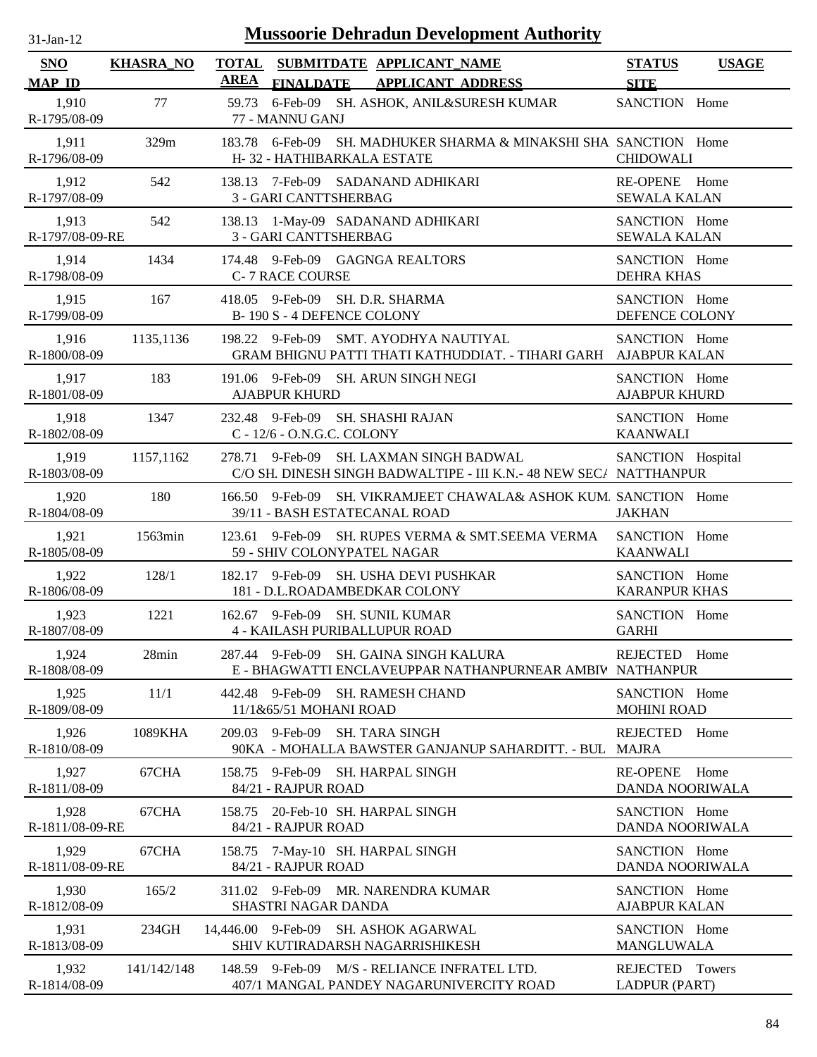| $31-Jan-12$              | <b>Mussoorie Dehradun Development Authority</b> |                                                                                                                   |                                       |              |  |
|--------------------------|-------------------------------------------------|-------------------------------------------------------------------------------------------------------------------|---------------------------------------|--------------|--|
| SNO                      | <b>KHASRA_NO</b>                                | <b>TOTAL</b><br>SUBMITDATE APPLICANT_NAME                                                                         | <b>STATUS</b>                         | <b>USAGE</b> |  |
| <b>MAP ID</b>            |                                                 | <b>AREA</b><br><b>FINALDATE</b><br><b>APPLICANT ADDRESS</b>                                                       | <b>SITE</b>                           |              |  |
| 1,910<br>R-1795/08-09    | 77                                              | 6-Feb-09 SH. ASHOK, ANIL&SURESH KUMAR<br>59.73<br>77 - MANNU GANJ                                                 | SANCTION Home                         |              |  |
| 1,911<br>R-1796/08-09    | 329m                                            | 183.78 6-Feb-09 SH. MADHUKER SHARMA & MINAKSHI SHA SANCTION Home<br>H-32 - HATHIBARKALA ESTATE                    | <b>CHIDOWALI</b>                      |              |  |
| 1,912<br>R-1797/08-09    | 542                                             | 138.13 7-Feb-09 SADANAND ADHIKARI<br>3 - GARI CANTTSHERBAG                                                        | RE-OPENE Home<br>SEWALA KALAN         |              |  |
| 1,913<br>R-1797/08-09-RE | 542                                             | 138.13 1-May-09 SADANAND ADHIKARI<br>3 - GARI CANTTSHERBAG                                                        | SANCTION Home<br><b>SEWALA KALAN</b>  |              |  |
| 1,914<br>R-1798/08-09    | 1434                                            | 174.48 9-Feb-09 GAGNGA REALTORS<br><b>C-7 RACE COURSE</b>                                                         | SANCTION Home<br><b>DEHRA KHAS</b>    |              |  |
| 1,915<br>R-1799/08-09    | 167                                             | 418.05 9-Feb-09 SH. D.R. SHARMA<br>B-190 S-4 DEFENCE COLONY                                                       | SANCTION Home<br>DEFENCE COLONY       |              |  |
| 1,916<br>R-1800/08-09    | 1135,1136                                       | 198.22 9-Feb-09 SMT. AYODHYA NAUTIYAL<br>GRAM BHIGNU PATTI THATI KATHUDDIAT. - TIHARI GARH AJABPUR KALAN          | SANCTION Home                         |              |  |
| 1,917<br>R-1801/08-09    | 183                                             | 9-Feb-09 SH. ARUN SINGH NEGI<br>191.06<br><b>AJABPUR KHURD</b>                                                    | SANCTION Home<br><b>AJABPUR KHURD</b> |              |  |
| 1,918<br>R-1802/08-09    | 1347                                            | 232.48 9-Feb-09 SH. SHASHI RAJAN<br>C - 12/6 - O.N.G.C. COLONY                                                    | SANCTION Home<br><b>KAANWALI</b>      |              |  |
| 1,919<br>R-1803/08-09    | 1157,1162                                       | SH. LAXMAN SINGH BADWAL<br>278.71 9-Feb-09<br>C/O SH. DINESH SINGH BADWALTIPE - III K.N. - 48 NEW SEC/ NATTHANPUR | SANCTION Hospital                     |              |  |
| 1,920<br>R-1804/08-09    | 180                                             | 166.50<br>9-Feb-09<br>SH. VIKRAMJEET CHAWALA& ASHOK KUM. SANCTION Home<br>39/11 - BASH ESTATECANAL ROAD           | <b>JAKHAN</b>                         |              |  |
| 1,921<br>R-1805/08-09    | 1563min                                         | 9-Feb-09<br>SH. RUPES VERMA & SMT.SEEMA VERMA<br>123.61<br>59 - SHIV COLONYPATEL NAGAR                            | SANCTION Home<br><b>KAANWALI</b>      |              |  |
| 1,922<br>R-1806/08-09    | 128/1                                           | 182.17 9-Feb-09 SH. USHA DEVI PUSHKAR<br>181 - D.L.ROADAMBEDKAR COLONY                                            | SANCTION Home<br><b>KARANPUR KHAS</b> |              |  |
| 1,923<br>R-1807/08-09    | 1221                                            | 162.67 9-Feb-09 SH. SUNIL KUMAR<br><b>4 - KAILASH PURIBALLUPUR ROAD</b>                                           | SANCTION Home<br><b>GARHI</b>         |              |  |
| 1,924<br>R-1808/08-09    | 28min                                           | 287.44 9-Feb-09 SH. GAINA SINGH KALURA<br>E - BHAGWATTI ENCLAVEUPPAR NATHANPURNEAR AMBIV NATHANPUR                | REJECTED Home                         |              |  |
| 1,925<br>R-1809/08-09    | 11/1                                            | 442.48 9-Feb-09 SH. RAMESH CHAND<br>11/1&65/51 MOHANI ROAD                                                        | SANCTION Home<br><b>MOHINI ROAD</b>   |              |  |
| 1,926<br>R-1810/08-09    | 1089KHA                                         | 209.03<br>9-Feb-09<br><b>SH. TARA SINGH</b><br>90KA - MOHALLA BAWSTER GANJANUP SAHARDITT. - BUL                   | <b>REJECTED</b><br>MAJRA              | Home         |  |
| 1,927<br>R-1811/08-09    | 67CHA                                           | 158.75 9-Feb-09 SH. HARPAL SINGH<br>84/21 - RAJPUR ROAD                                                           | <b>RE-OPENE</b><br>DANDA NOORIWALA    | Home         |  |
| 1,928<br>R-1811/08-09-RE | 67CHA                                           | 158.75<br>20-Feb-10 SH. HARPAL SINGH<br>84/21 - RAJPUR ROAD                                                       | SANCTION Home<br>DANDA NOORIWALA      |              |  |
| 1,929<br>R-1811/08-09-RE | 67CHA                                           | 7-May-10 SH. HARPAL SINGH<br>158.75<br>84/21 - RAJPUR ROAD                                                        | SANCTION Home<br>DANDA NOORIWALA      |              |  |
| 1,930<br>R-1812/08-09    | 165/2                                           | 311.02 9-Feb-09 MR. NARENDRA KUMAR<br>SHASTRI NAGAR DANDA                                                         | SANCTION Home<br><b>AJABPUR KALAN</b> |              |  |
| 1,931<br>R-1813/08-09    | 234GH                                           | 14,446.00 9-Feb-09 SH. ASHOK AGARWAL<br>SHIV KUTIRADARSH NAGARRISHIKESH                                           | SANCTION Home<br>MANGLUWALA           |              |  |
| 1,932<br>R-1814/08-09    | 141/142/148                                     | 148.59 9-Feb-09 M/S - RELIANCE INFRATEL LTD.<br>407/1 MANGAL PANDEY NAGARUNIVERCITY ROAD                          | REJECTED Towers<br>LADPUR (PART)      |              |  |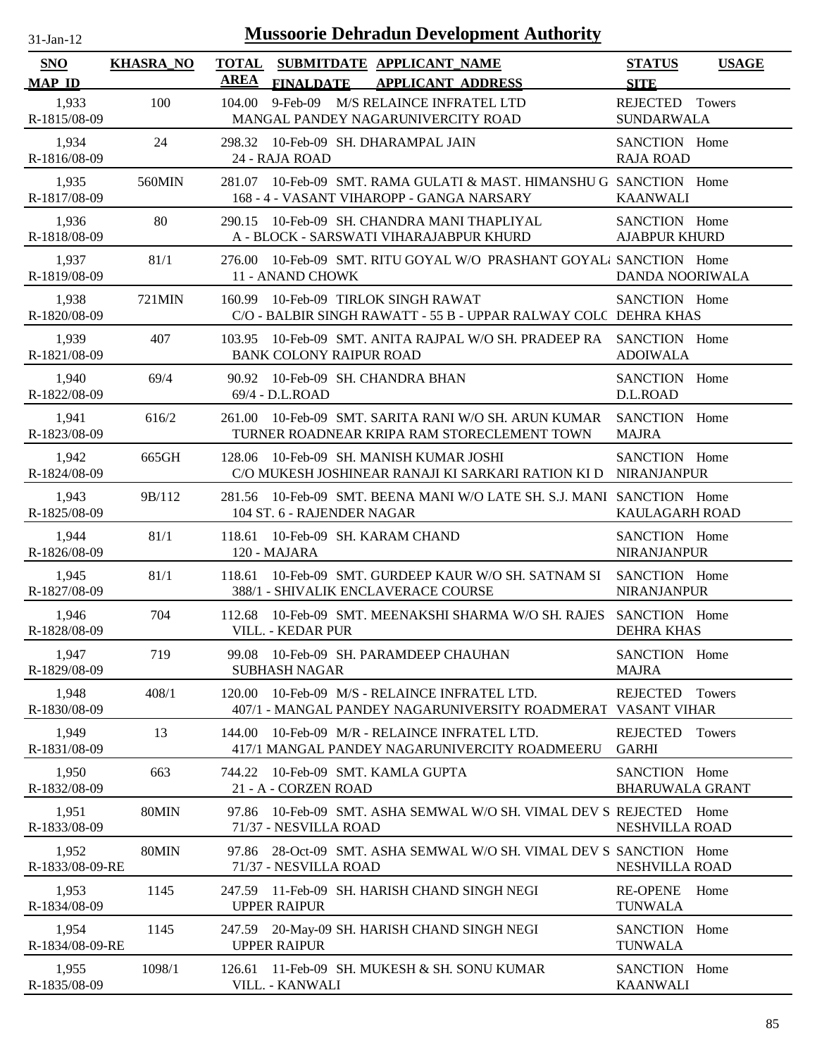| $31$ -Jan-12 |  |
|--------------|--|
|              |  |

| <b>SNO</b>               | <b>KHASRA_NO</b> | <b>TOTAL</b>                  |                                | SUBMITDATE APPLICANT_NAME                                                                                | <b>STATUS</b>                           | <b>USAGE</b>  |
|--------------------------|------------------|-------------------------------|--------------------------------|----------------------------------------------------------------------------------------------------------|-----------------------------------------|---------------|
| <b>MAP ID</b>            |                  | <b>AREA</b>                   | <b>FINALDATE</b>               | <b>APPLICANT ADDRESS</b>                                                                                 | <b>SITE</b>                             |               |
| 1,933<br>R-1815/08-09    | 100              | 104.00                        |                                | 9-Feb-09 M/S RELAINCE INFRATEL LTD<br>MANGAL PANDEY NAGARUNIVERCITY ROAD                                 | REJECTED Towers<br><b>SUNDARWALA</b>    |               |
| 1,934<br>R-1816/08-09    | 24               | 24 - RAJA ROAD                |                                | 298.32 10-Feb-09 SH. DHARAMPAL JAIN                                                                      | SANCTION Home<br><b>RAJA ROAD</b>       |               |
| 1,935<br>R-1817/08-09    | 560MIN           | 281.07                        |                                | 10-Feb-09 SMT. RAMA GULATI & MAST. HIMANSHU G SANCTION Home<br>168 - 4 - VASANT VIHAROPP - GANGA NARSARY | <b>KAANWALI</b>                         |               |
| 1,936<br>R-1818/08-09    | 80               | 290.15                        |                                | 10-Feb-09 SH. CHANDRA MANI THAPLIYAL<br>A - BLOCK - SARSWATI VIHARAJABPUR KHURD                          | SANCTION Home<br><b>AJABPUR KHURD</b>   |               |
| 1,937<br>R-1819/08-09    | 81/1             | 276.00                        | 11 - ANAND CHOWK               | 10-Feb-09 SMT. RITU GOYAL W/O PRASHANT GOYAL, SANCTION Home                                              | <b>DANDA NOORIWALA</b>                  |               |
| 1,938<br>R-1820/08-09    | 721MIN           | 160.99                        |                                | 10-Feb-09 TIRLOK SINGH RAWAT<br>C/O - BALBIR SINGH RAWATT - 55 B - UPPAR RALWAY COLC DEHRA KHAS          | SANCTION Home                           |               |
| 1,939<br>R-1821/08-09    | 407              | 103.95                        | <b>BANK COLONY RAIPUR ROAD</b> | 10-Feb-09 SMT, ANITA RAJPAL W/O SH, PRADEEP RA                                                           | SANCTION Home<br><b>ADOIWALA</b>        |               |
| 1,940<br>R-1822/08-09    | 69/4             | 90.92<br>69/4 - D.L.ROAD      |                                | 10-Feb-09 SH. CHANDRA BHAN                                                                               | SANCTION Home<br>D.L.ROAD               |               |
| 1,941<br>R-1823/08-09    | 616/2            | 261.00                        |                                | 10-Feb-09 SMT. SARITA RANI W/O SH. ARUN KUMAR<br>TURNER ROADNEAR KRIPA RAM STORECLEMENT TOWN             | SANCTION Home<br><b>MAJRA</b>           |               |
| 1,942<br>R-1824/08-09    | 665GH            | 128.06                        |                                | 10-Feb-09 SH. MANISH KUMAR JOSHI<br>C/O MUKESH JOSHINEAR RANAJI KI SARKARI RATION KI D NIRANJANPUR       | SANCTION Home                           |               |
| 1,943<br>R-1825/08-09    | 9B/112           | 281.56                        | 104 ST. 6 - RAJENDER NAGAR     | 10-Feb-09 SMT, BEENA MANI W/O LATE SH, S.J. MANI SANCTION Home                                           | <b>KAULAGARH ROAD</b>                   |               |
| 1,944<br>R-1826/08-09    | 81/1             | 120 - MAJARA                  |                                | 118.61 10-Feb-09 SH. KARAM CHAND                                                                         | SANCTION Home<br>NIRANJANPUR            |               |
| 1,945<br>R-1827/08-09    | 81/1             | 118.61                        |                                | 10-Feb-09 SMT. GURDEEP KAUR W/O SH. SATNAM SI SANCTION Home<br>388/1 - SHIVALIK ENCLAVERACE COURSE       | <b>NIRANJANPUR</b>                      |               |
| 1,946<br>R-1828/08-09    | 704              | 112.68                        | VILL. - KEDAR PUR              | 10-Feb-09 SMT. MEENAKSHI SHARMA W/O SH. RAJES                                                            | SANCTION Home<br><b>DEHRA KHAS</b>      |               |
| 1,947<br>R-1829/08-09    | 719              |                               | <b>SUBHASH NAGAR</b>           | 99.08 10-Feb-09 SH. PARAMDEEP CHAUHAN                                                                    | SANCTION Home<br><b>MAJRA</b>           |               |
| 1,948<br>R-1830/08-09    | 408/1            | 120.00                        |                                | 10-Feb-09 M/S - RELAINCE INFRATEL LTD.<br>407/1 - MANGAL PANDEY NAGARUNIVERSITY ROADMERAT VASANT VIHAR   | <b>REJECTED</b>                         | <b>Towers</b> |
| 1,949<br>R-1831/08-09    | 13               | 144.00                        |                                | 10-Feb-09 M/R - RELAINCE INFRATEL LTD.<br>417/1 MANGAL PANDEY NAGARUNIVERCITY ROADMEERU                  | <b>REJECTED</b><br><b>GARHI</b>         | <b>Towers</b> |
| 1,950<br>R-1832/08-09    | 663              | 744.22                        | 21 - A - CORZEN ROAD           | 10-Feb-09 SMT. KAMLA GUPTA                                                                               | SANCTION Home<br><b>BHARUWALA GRANT</b> |               |
| 1,951<br>R-1833/08-09    | 80MIN            | 97.86                         | 71/37 - NESVILLA ROAD          | 10-Feb-09 SMT. ASHA SEMWAL W/O SH. VIMAL DEV S REJECTED Home                                             | NESHVILLA ROAD                          |               |
| 1,952<br>R-1833/08-09-RE | 80MIN            | 97.86                         | 71/37 - NESVILLA ROAD          | 28-Oct-09 SMT. ASHA SEMWAL W/O SH. VIMAL DEV S SANCTION Home                                             | NESHVILLA ROAD                          |               |
| 1,953<br>R-1834/08-09    | 1145             | 247.59<br><b>UPPER RAIPUR</b> |                                | 11-Feb-09 SH. HARISH CHAND SINGH NEGI                                                                    | <b>RE-OPENE</b><br><b>TUNWALA</b>       | Home          |
| 1,954<br>R-1834/08-09-RE | 1145             | <b>UPPER RAIPUR</b>           |                                | 247.59 20-May-09 SH. HARISH CHAND SINGH NEGI                                                             | SANCTION Home<br><b>TUNWALA</b>         |               |
| 1,955<br>R-1835/08-09    | 1098/1           | 126.61                        | VILL. - KANWALI                | 11-Feb-09 SH. MUKESH & SH. SONU KUMAR                                                                    | SANCTION Home<br><b>KAANWALI</b>        |               |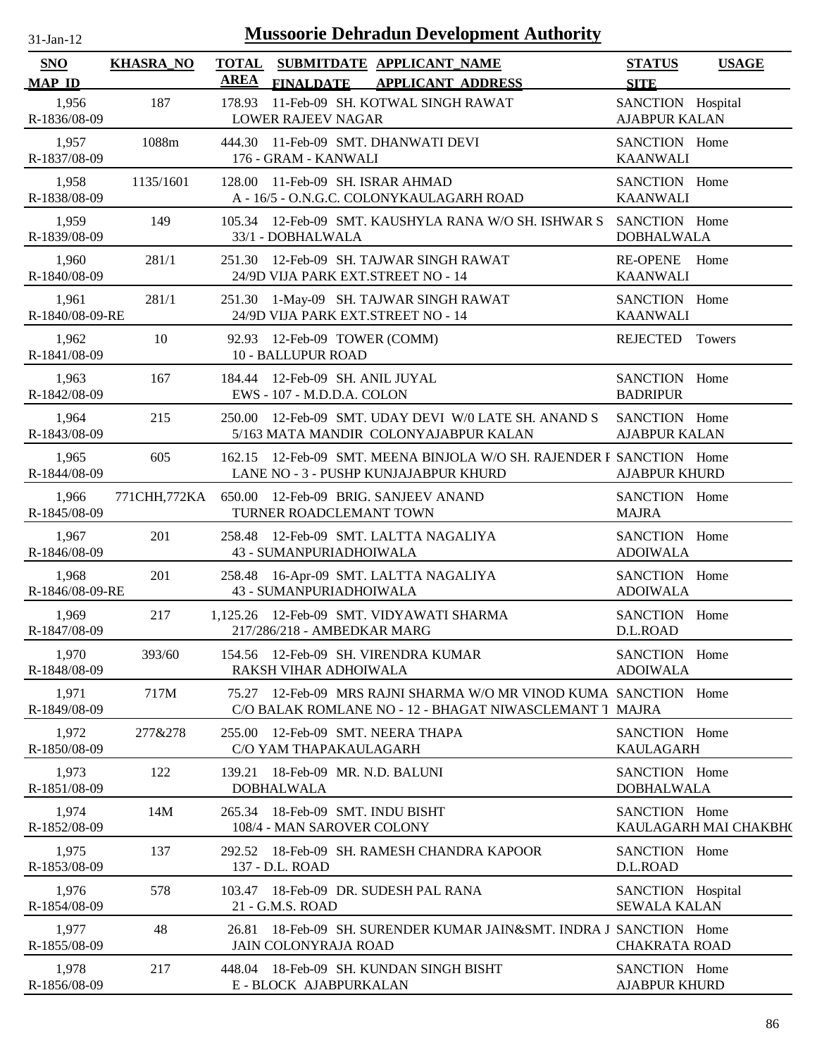| $31$ -Jan-12                |                  |             | <b>Mussoorie Dehradun Development Authority</b>                                                                       |                                           |                       |
|-----------------------------|------------------|-------------|-----------------------------------------------------------------------------------------------------------------------|-------------------------------------------|-----------------------|
| <b>SNO</b><br><b>MAP ID</b> | <b>KHASRA_NO</b> | <b>AREA</b> | TOTAL SUBMITDATE APPLICANT NAME<br><b>FINALDATE</b><br><b>APPLICANT ADDRESS</b>                                       | <b>STATUS</b><br><b>SITE</b>              | <b>USAGE</b>          |
| 1,956<br>R-1836/08-09       | 187              |             | 178.93 11-Feb-09 SH. KOTWAL SINGH RAWAT<br>LOWER RAJEEV NAGAR                                                         | SANCTION Hospital<br><b>AJABPUR KALAN</b> |                       |
| 1,957<br>R-1837/08-09       | 1088m            |             | 444.30 11-Feb-09 SMT. DHANWATI DEVI<br>176 - GRAM - KANWALI                                                           | SANCTION Home<br><b>KAANWALI</b>          |                       |
| 1,958<br>R-1838/08-09       | 1135/1601        |             | 128.00 11-Feb-09 SH. ISRAR AHMAD<br>A - 16/5 - O.N.G.C. COLONYKAULAGARH ROAD                                          | SANCTION Home<br><b>KAANWALI</b>          |                       |
| 1,959<br>R-1839/08-09       | 149              |             | 105.34 12-Feb-09 SMT. KAUSHYLA RANA W/O SH. ISHWAR S<br>33/1 - DOBHALWALA                                             | SANCTION Home<br><b>DOBHALWALA</b>        |                       |
| 1,960<br>R-1840/08-09       | 281/1            |             | 251.30 12-Feb-09 SH. TAJWAR SINGH RAWAT<br>24/9D VIJA PARK EXT.STREET NO - 14                                         | RE-OPENE Home<br><b>KAANWALI</b>          |                       |
| 1,961<br>R-1840/08-09-RE    | 281/1            | 251.30      | 1-May-09 SH. TAJWAR SINGH RAWAT<br>24/9D VIJA PARK EXT.STREET NO - 14                                                 | SANCTION Home<br><b>KAANWALI</b>          |                       |
| 1,962<br>R-1841/08-09       | 10               |             | 92.93 12-Feb-09 TOWER (COMM)<br><b>10 - BALLUPUR ROAD</b>                                                             | REJECTED Towers                           |                       |
| 1,963<br>R-1842/08-09       | 167              |             | 184.44 12-Feb-09 SH. ANIL JUYAL<br>EWS - 107 - M.D.D.A. COLON                                                         | SANCTION Home<br><b>BADRIPUR</b>          |                       |
| 1,964<br>R-1843/08-09       | 215              |             | 250.00 12-Feb-09 SMT. UDAY DEVI W/0 LATE SH. ANAND S<br>5/163 MATA MANDIR COLONYAJABPUR KALAN                         | SANCTION Home<br><b>AJABPUR KALAN</b>     |                       |
| 1,965<br>R-1844/08-09       | 605              |             | 162.15 12-Feb-09 SMT. MEENA BINJOLA W/O SH. RAJENDER F SANCTION Home<br>LANE NO - 3 - PUSHP KUNJAJABPUR KHURD         | <b>AJABPUR KHURD</b>                      |                       |
| 1,966<br>R-1845/08-09       | 771CHH,772KA     |             | 650.00 12-Feb-09 BRIG. SANJEEV ANAND<br>TURNER ROADCLEMANT TOWN                                                       | SANCTION Home<br><b>MAJRA</b>             |                       |
| 1,967<br>R-1846/08-09       | 201              |             | 258.48 12-Feb-09 SMT. LALTTA NAGALIYA<br>43 - SUMANPURIADHOIWALA                                                      | SANCTION Home<br><b>ADOIWALA</b>          |                       |
| 1,968<br>R-1846/08-09-RE    | 201              |             | 258.48 16-Apr-09 SMT. LALTTA NAGALIYA<br>43 - SUMANPURIADHOIWALA                                                      | SANCTION Home<br><b>ADOIWALA</b>          |                       |
| 1,969<br>R-1847/08-09       | 217              |             | 1,125.26 12-Feb-09 SMT. VIDYAWATI SHARMA<br>217/286/218 - AMBEDKAR MARG                                               | SANCTION Home<br>D.L.ROAD                 |                       |
| 1,970<br>R-1848/08-09       | 393/60           |             | 154.56 12-Feb-09 SH. VIRENDRA KUMAR<br>RAKSH VIHAR ADHOIWALA                                                          | SANCTION Home<br><b>ADOIWALA</b>          |                       |
| 1,971<br>R-1849/08-09       | 717M             | 75.27       | 12-Feb-09 MRS RAJNI SHARMA W/O MR VINOD KUMA SANCTION Home<br>C/O BALAK ROMLANE NO - 12 - BHAGAT NIWASCLEMANT 1 MAJRA |                                           |                       |
| 1,972<br>R-1850/08-09       | 277&278          | 255.00      | 12-Feb-09 SMT. NEERA THAPA<br>C/O YAM THAPAKAULAGARH                                                                  | SANCTION Home<br><b>KAULAGARH</b>         |                       |
| 1,973<br>R-1851/08-09       | 122              | 139.21      | 18-Feb-09 MR. N.D. BALUNI<br><b>DOBHALWALA</b>                                                                        | SANCTION Home<br><b>DOBHALWALA</b>        |                       |
| 1,974<br>R-1852/08-09       | 14M              |             | 265.34 18-Feb-09 SMT. INDU BISHT<br>108/4 - MAN SAROVER COLONY                                                        | SANCTION Home                             | KAULAGARH MAI CHAKBH( |
| 1,975<br>R-1853/08-09       | 137              |             | 292.52 18-Feb-09 SH. RAMESH CHANDRA KAPOOR<br>137 - D.L. ROAD                                                         | SANCTION Home<br>D.L.ROAD                 |                       |
| 1,976<br>R-1854/08-09       | 578              |             | 103.47 18-Feb-09 DR. SUDESH PAL RANA<br>21 - G.M.S. ROAD                                                              | SANCTION Hospital<br><b>SEWALA KALAN</b>  |                       |
| 1,977<br>R-1855/08-09       | 48               |             | 26.81 18-Feb-09 SH. SURENDER KUMAR JAIN&SMT. INDRA J SANCTION Home<br><b>JAIN COLONYRAJA ROAD</b>                     | <b>CHAKRATA ROAD</b>                      |                       |
| 1,978<br>R-1856/08-09       | 217              |             | 448.04 18-Feb-09 SH. KUNDAN SINGH BISHT<br>E - BLOCK AJABPURKALAN                                                     | SANCTION Home<br><b>AJABPUR KHURD</b>     |                       |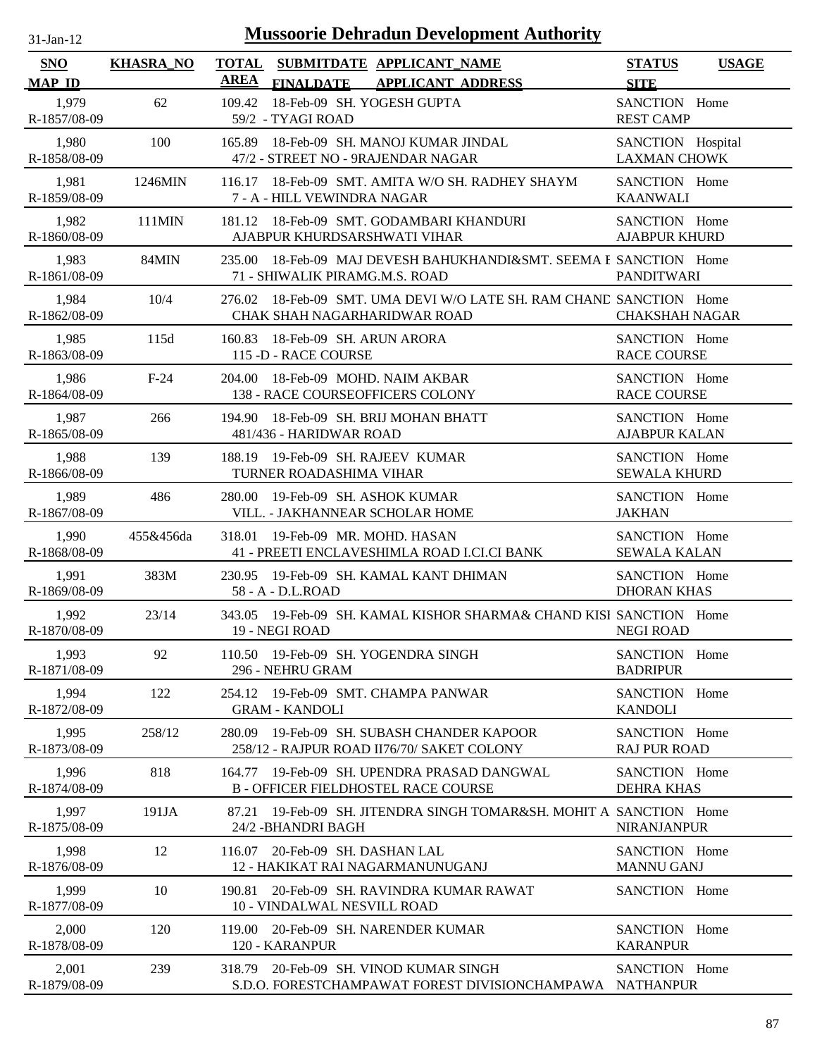| <b>Mussoorie Dehradun Development Authority</b><br>$31$ -Jan-12 |                  |                                                                                                          |                                          |              |
|-----------------------------------------------------------------|------------------|----------------------------------------------------------------------------------------------------------|------------------------------------------|--------------|
| <b>SNO</b><br><b>MAP ID</b>                                     | <b>KHASRA_NO</b> | <b>TOTAL</b><br>SUBMITDATE APPLICANT_NAME<br><b>AREA</b><br><b>FINALDATE</b><br><b>APPLICANT ADDRESS</b> | <b>STATUS</b><br><b>SITE</b>             | <b>USAGE</b> |
| 1,979<br>R-1857/08-09                                           | 62               | 18-Feb-09 SH. YOGESH GUPTA<br>109.42<br>59/2 - TYAGI ROAD                                                | SANCTION Home<br><b>REST CAMP</b>        |              |
| 1,980<br>R-1858/08-09                                           | 100              | 18-Feb-09 SH. MANOJ KUMAR JINDAL<br>165.89<br>47/2 - STREET NO - 9RAJENDAR NAGAR                         | SANCTION Hospital<br><b>LAXMAN CHOWK</b> |              |
| 1,981<br>R-1859/08-09                                           | 1246MIN          | 18-Feb-09 SMT. AMITA W/O SH. RADHEY SHAYM<br>116.17<br>7 - A - HILL VEWINDRA NAGAR                       | SANCTION Home<br><b>KAANWALI</b>         |              |
| 1,982<br>R-1860/08-09                                           | $111$ MIN        | 181.12 18-Feb-09 SMT. GODAMBARI KHANDURI<br>AJABPUR KHURDSARSHWATI VIHAR                                 | SANCTION Home<br><b>AJABPUR KHURD</b>    |              |
| 1,983<br>R-1861/08-09                                           | 84MIN            | 18-Feb-09 MAJ DEVESH BAHUKHANDI&SMT. SEEMA E SANCTION Home<br>235.00<br>71 - SHIWALIK PIRAMG.M.S. ROAD   | <b>PANDITWARI</b>                        |              |
| 1,984<br>R-1862/08-09                                           | 10/4             | 276.02 18-Feb-09 SMT. UMA DEVI W/O LATE SH. RAM CHAND SANCTION Home<br>CHAK SHAH NAGARHARIDWAR ROAD      | <b>CHAKSHAH NAGAR</b>                    |              |
| 1,985<br>R-1863/08-09                                           | 115d             | 160.83<br>18-Feb-09 SH. ARUN ARORA<br>115 -D - RACE COURSE                                               | SANCTION Home<br><b>RACE COURSE</b>      |              |
| 1,986<br>R-1864/08-09                                           | $F-24$           | 18-Feb-09 MOHD. NAIM AKBAR<br>204.00<br>138 - RACE COURSEOFFICERS COLONY                                 | SANCTION Home<br><b>RACE COURSE</b>      |              |
| 1,987<br>R-1865/08-09                                           | 266              | 194.90 18-Feb-09 SH. BRIJ MOHAN BHATT<br>481/436 - HARIDWAR ROAD                                         | SANCTION Home<br><b>AJABPUR KALAN</b>    |              |
| 1,988<br>R-1866/08-09                                           | 139              | 19-Feb-09 SH. RAJEEV KUMAR<br>188.19<br>TURNER ROADASHIMA VIHAR                                          | SANCTION Home<br><b>SEWALA KHURD</b>     |              |
| 1,989<br>R-1867/08-09                                           | 486              | 280.00<br>19-Feb-09 SH. ASHOK KUMAR<br>VILL. - JAKHANNEAR SCHOLAR HOME                                   | SANCTION Home<br><b>JAKHAN</b>           |              |
| 1,990<br>R-1868/08-09                                           | 455&456da        | 318.01<br>19-Feb-09 MR. MOHD. HASAN<br>41 - PREETI ENCLAVESHIMLA ROAD I.CI.CI BANK                       | SANCTION Home<br><b>SEWALA KALAN</b>     |              |
| 1,991<br>R-1869/08-09                                           | 383M             | 230.95 19-Feb-09 SH. KAMAL KANT DHIMAN<br>58 - A - D.L.ROAD                                              | SANCTION Home<br><b>DHORAN KHAS</b>      |              |
| 1,992<br>R-1870/08-09                                           | 23/14            | 343.05 19-Feb-09 SH. KAMAL KISHOR SHARMA& CHAND KISI SANCTION Home<br>19 - NEGI ROAD                     | <b>NEGI ROAD</b>                         |              |
| 1,993<br>R-1871/08-09                                           | 92               | 110.50 19-Feb-09 SH. YOGENDRA SINGH<br>296 - NEHRU GRAM                                                  | SANCTION Home<br><b>BADRIPUR</b>         |              |
| 1,994<br>R-1872/08-09                                           | 122              | 19-Feb-09 SMT. CHAMPA PANWAR<br>254.12<br><b>GRAM - KANDOLI</b>                                          | SANCTION Home<br><b>KANDOLI</b>          |              |
| 1,995<br>R-1873/08-09                                           | 258/12           | 19-Feb-09 SH. SUBASH CHANDER KAPOOR<br>280.09<br>258/12 - RAJPUR ROAD II76/70/ SAKET COLONY              | SANCTION Home<br><b>RAJ PUR ROAD</b>     |              |
| 1,996<br>R-1874/08-09                                           | 818              | 164.77<br>19-Feb-09 SH. UPENDRA PRASAD DANGWAL<br><b>B-OFFICER FIELDHOSTEL RACE COURSE</b>               | SANCTION Home<br><b>DEHRA KHAS</b>       |              |
| 1,997<br>R-1875/08-09                                           | 191JA            | 19-Feb-09 SH. JITENDRA SINGH TOMAR&SH. MOHIT A SANCTION Home<br>87.21<br>24/2 - BHANDRI BAGH             | <b>NIRANJANPUR</b>                       |              |
| 1,998<br>R-1876/08-09                                           | 12               | 20-Feb-09 SH. DASHAN LAL<br>116.07<br>12 - HAKIKAT RAI NAGARMANUNUGANJ                                   | SANCTION Home<br><b>MANNU GANJ</b>       |              |
| 1,999<br>R-1877/08-09                                           | 10               | 20-Feb-09 SH, RAVINDRA KUMAR RAWAT<br>190.81<br>10 - VINDALWAL NESVILL ROAD                              | SANCTION Home                            |              |
| 2,000<br>R-1878/08-09                                           | 120              | 20-Feb-09 SH. NARENDER KUMAR<br>119.00<br>120 - KARANPUR                                                 | SANCTION Home<br><b>KARANPUR</b>         |              |
| 2,001<br>R-1879/08-09                                           | 239              | 20-Feb-09 SH. VINOD KUMAR SINGH<br>318.79<br>S.D.O. FORESTCHAMPAWAT FOREST DIVISIONCHAMPAWA NATHANPUR    | SANCTION Home                            |              |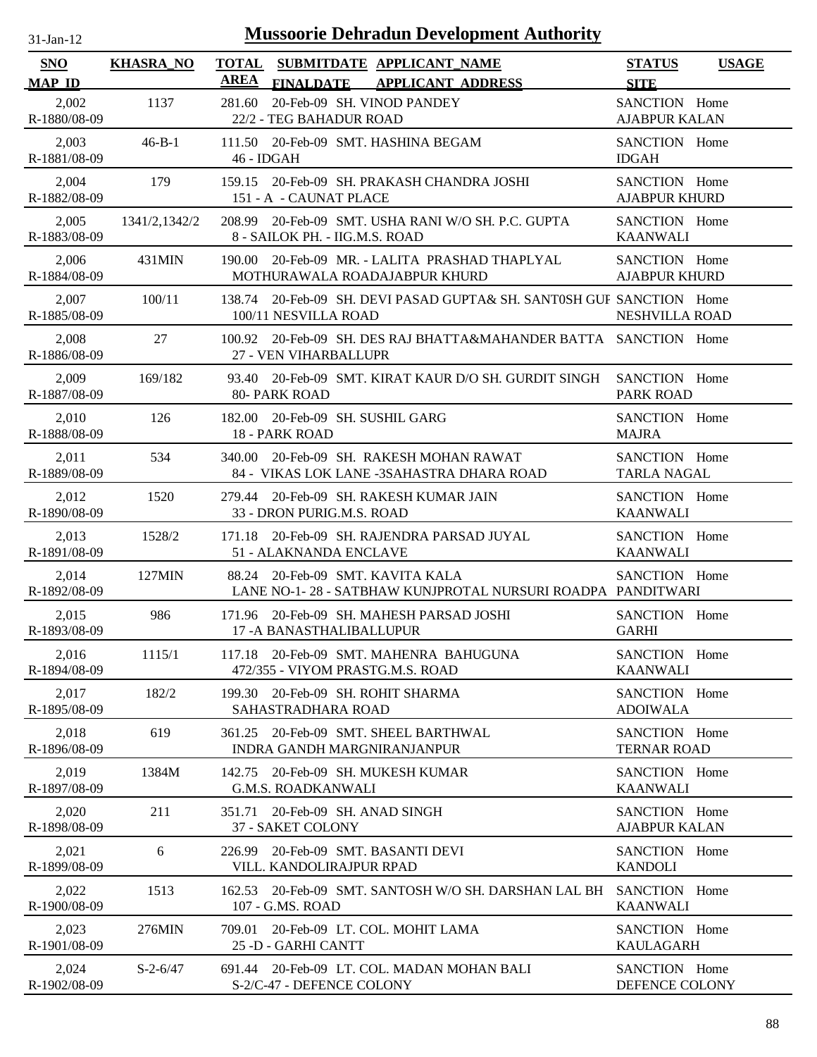| <b>Mussoorie Dehradun Development Authority</b><br>$31$ -Jan-12 |                  |                                                                                                          |                                       |              |
|-----------------------------------------------------------------|------------------|----------------------------------------------------------------------------------------------------------|---------------------------------------|--------------|
| <b>SNO</b><br><b>MAP ID</b>                                     | <b>KHASRA_NO</b> | <b>TOTAL</b><br>SUBMITDATE APPLICANT_NAME<br><b>AREA</b><br><b>APPLICANT ADDRESS</b><br><b>FINALDATE</b> | <b>STATUS</b><br><b>SITE</b>          | <b>USAGE</b> |
| 2,002<br>R-1880/08-09                                           | 1137             | 281.60<br>20-Feb-09 SH. VINOD PANDEY<br>22/2 - TEG BAHADUR ROAD                                          | SANCTION Home<br><b>AJABPUR KALAN</b> |              |
| 2,003<br>R-1881/08-09                                           | $46 - B - 1$     | 111.50 20-Feb-09 SMT. HASHINA BEGAM<br>46 - IDGAH                                                        | SANCTION Home<br><b>IDGAH</b>         |              |
| 2,004<br>R-1882/08-09                                           | 179              | 159.15 20-Feb-09 SH. PRAKASH CHANDRA JOSHI<br>151 - A - CAUNAT PLACE                                     | SANCTION Home<br><b>AJABPUR KHURD</b> |              |
| 2,005<br>R-1883/08-09                                           | 1341/2,1342/2    | 208.99 20-Feb-09 SMT. USHA RANI W/O SH. P.C. GUPTA<br>8 - SAILOK PH. - IIG.M.S. ROAD                     | SANCTION Home<br><b>KAANWALI</b>      |              |
| 2,006<br>R-1884/08-09                                           | 431MIN           | 190.00 20-Feb-09 MR. - LALITA PRASHAD THAPLYAL<br>MOTHURAWALA ROADAJABPUR KHURD                          | SANCTION Home<br><b>AJABPUR KHURD</b> |              |
| 2,007<br>R-1885/08-09                                           | 100/11           | 20-Feb-09 SH. DEVI PASAD GUPTA& SH. SANTOSH GUF SANCTION Home<br>138.74<br>100/11 NESVILLA ROAD          | NESHVILLA ROAD                        |              |
| 2,008<br>R-1886/08-09                                           | 27               | 100.92 20-Feb-09 SH. DES RAJ BHATTA&MAHANDER BATTA SANCTION Home<br>27 - VEN VIHARBALLUPR                |                                       |              |
| 2,009<br>R-1887/08-09                                           | 169/182          | 93.40 20-Feb-09 SMT. KIRAT KAUR D/O SH. GURDIT SINGH<br><b>80- PARK ROAD</b>                             | SANCTION Home<br><b>PARK ROAD</b>     |              |
| 2,010<br>R-1888/08-09                                           | 126              | 182.00 20-Feb-09 SH. SUSHIL GARG<br>18 - PARK ROAD                                                       | SANCTION Home<br><b>MAJRA</b>         |              |
| 2,011<br>R-1889/08-09                                           | 534              | 20-Feb-09 SH. RAKESH MOHAN RAWAT<br>340.00<br>84 - VIKAS LOK LANE -3SAHASTRA DHARA ROAD                  | SANCTION Home<br><b>TARLA NAGAL</b>   |              |
| 2,012<br>R-1890/08-09                                           | 1520             | 279.44 20-Feb-09 SH. RAKESH KUMAR JAIN<br>33 - DRON PURIG.M.S. ROAD                                      | SANCTION Home<br><b>KAANWALI</b>      |              |
| 2,013<br>R-1891/08-09                                           | 1528/2           | 171.18 20-Feb-09 SH. RAJENDRA PARSAD JUYAL<br>51 - ALAKNANDA ENCLAVE                                     | SANCTION Home<br><b>KAANWALI</b>      |              |
| 2,014<br>R-1892/08-09                                           | 127MIN           | 88.24 20-Feb-09 SMT. KAVITA KALA<br>LANE NO-1-28 - SATBHAW KUNJPROTAL NURSURI ROADPA PANDITWARI          | SANCTION Home                         |              |
| 2,015<br>R-1893/08-09                                           | 986              | 171.96 20-Feb-09 SH. MAHESH PARSAD JOSHI<br>17 - A BANASTHALIBALLUPUR                                    | SANCTION Home<br><b>GARHI</b>         |              |
| 2,016<br>R-1894/08-09                                           | 1115/1           | 20-Feb-09 SMT. MAHENRA BAHUGUNA<br>117.18<br>472/355 - VIYOM PRASTG.M.S. ROAD                            | SANCTION Home<br><b>KAANWALI</b>      |              |
| 2,017<br>R-1895/08-09                                           | 182/2            | 20-Feb-09 SH. ROHIT SHARMA<br>199.30<br>SAHASTRADHARA ROAD                                               | SANCTION Home<br><b>ADOIWALA</b>      |              |
| 2,018<br>R-1896/08-09                                           | 619              | 20-Feb-09 SMT. SHEEL BARTHWAL<br>361.25<br>INDRA GANDH MARGNIRANJANPUR                                   | SANCTION Home<br><b>TERNAR ROAD</b>   |              |
| 2,019<br>R-1897/08-09                                           | 1384M            | 142.75 20-Feb-09 SH. MUKESH KUMAR<br><b>G.M.S. ROADKANWALI</b>                                           | SANCTION Home<br><b>KAANWALI</b>      |              |
| 2,020<br>R-1898/08-09                                           | 211              | 20-Feb-09 SH. ANAD SINGH<br>351.71<br>37 - SAKET COLONY                                                  | SANCTION Home<br><b>AJABPUR KALAN</b> |              |
| 2,021<br>R-1899/08-09                                           | 6                | 20-Feb-09 SMT. BASANTI DEVI<br>226.99<br>VILL. KANDOLIRAJPUR RPAD                                        | SANCTION Home<br><b>KANDOLI</b>       |              |
| 2,022<br>R-1900/08-09                                           | 1513             | 20-Feb-09 SMT, SANTOSH W/O SH, DARSHAN LAL BH<br>162.53<br>107 - G.MS. ROAD                              | SANCTION Home<br><b>KAANWALI</b>      |              |
| 2,023<br>R-1901/08-09                                           | 276MIN           | 20-Feb-09 LT. COL. MOHIT LAMA<br>709.01<br>25 -D - GARHI CANTT                                           | SANCTION Home<br><b>KAULAGARH</b>     |              |
| 2,024<br>R-1902/08-09                                           | $S-2-6/47$       | 691.44 20-Feb-09 LT. COL. MADAN MOHAN BALI<br>S-2/C-47 - DEFENCE COLONY                                  | SANCTION Home<br>DEFENCE COLONY       |              |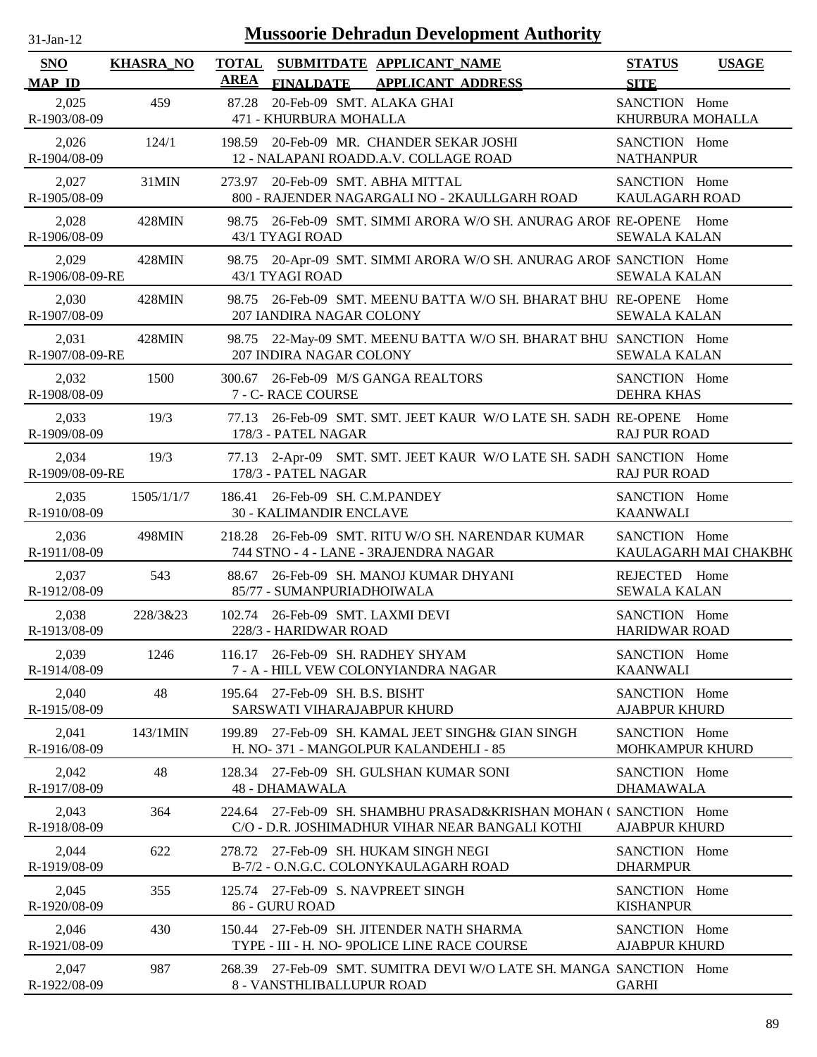| $31$ -Jan-12             |                  |                             | <b>Mussoorie Dehradun Development Authority</b>                                                                     |                                       |                       |
|--------------------------|------------------|-----------------------------|---------------------------------------------------------------------------------------------------------------------|---------------------------------------|-----------------------|
| SNO<br><b>MAP ID</b>     | <b>KHASRA_NO</b> | <b>TOTAL</b><br><b>AREA</b> | SUBMITDATE APPLICANT_NAME<br>FINALDATE APPLICANT ADDRESS                                                            | <b>STATUS</b><br><b>SITE</b>          | <b>USAGE</b>          |
| 2,025<br>R-1903/08-09    | 459              | 87.28                       | 20-Feb-09 SMT. ALAKA GHAI<br>471 - KHURBURA MOHALLA                                                                 | SANCTION Home<br>KHURBURA MOHALLA     |                       |
| 2,026<br>R-1904/08-09    | 124/1            |                             | 198.59 20-Feb-09 MR. CHANDER SEKAR JOSHI<br>12 - NALAPANI ROADD.A.V. COLLAGE ROAD                                   | SANCTION Home<br><b>NATHANPUR</b>     |                       |
| 2,027<br>R-1905/08-09    | 31MIN            |                             | 273.97 20-Feb-09 SMT. ABHA MITTAL<br>800 - RAJENDER NAGARGALI NO - 2KAULLGARH ROAD                                  | SANCTION Home<br>KAULAGARH ROAD       |                       |
| 2,028<br>R-1906/08-09    | 428MIN           |                             | 98.75 26-Feb-09 SMT. SIMMI ARORA W/O SH. ANURAG AROF RE-OPENE Home<br>43/1 TYAGI ROAD                               | <b>SEWALA KALAN</b>                   |                       |
| 2,029<br>R-1906/08-09-RE | 428MIN           |                             | 98.75 20-Apr-09 SMT. SIMMI ARORA W/O SH. ANURAG AROF SANCTION Home<br>43/1 TYAGI ROAD                               | <b>SEWALA KALAN</b>                   |                       |
| 2,030<br>R-1907/08-09    | 428MIN           |                             | 98.75 26-Feb-09 SMT. MEENU BATTA W/O SH. BHARAT BHU RE-OPENE Home<br>207 IANDIRA NAGAR COLONY                       | <b>SEWALA KALAN</b>                   |                       |
| 2,031<br>R-1907/08-09-RE | 428MIN           |                             | 98.75 22-May-09 SMT. MEENU BATTA W/O SH. BHARAT BHU SANCTION Home<br>207 INDIRA NAGAR COLONY                        | <b>SEWALA KALAN</b>                   |                       |
| 2,032<br>R-1908/08-09    | 1500             |                             | 300.67 26-Feb-09 M/S GANGA REALTORS<br>7 - C- RACE COURSE                                                           | SANCTION Home<br><b>DEHRA KHAS</b>    |                       |
| 2,033<br>R-1909/08-09    | 19/3             | 77.13                       | 26-Feb-09 SMT. SMT. JEET KAUR W/O LATE SH. SADH RE-OPENE<br>178/3 - PATEL NAGAR                                     | <b>RAJ PUR ROAD</b>                   | Home                  |
| 2,034<br>R-1909/08-09-RE | 19/3             | 77.13                       | 2-Apr-09 SMT. SMT. JEET KAUR W/O LATE SH. SADH SANCTION Home<br>178/3 - PATEL NAGAR                                 | <b>RAJ PUR ROAD</b>                   |                       |
| 2,035<br>R-1910/08-09    | 1505/1/1/7       |                             | 186.41 26-Feb-09 SH. C.M.PANDEY<br><b>30 - KALIMANDIR ENCLAVE</b>                                                   | SANCTION Home<br><b>KAANWALI</b>      |                       |
| 2,036<br>R-1911/08-09    | 498MIN           |                             | 218.28 26-Feb-09 SMT. RITU W/O SH. NARENDAR KUMAR<br>744 STNO - 4 - LANE - 3RAJENDRA NAGAR                          | SANCTION Home                         | KAULAGARH MAI CHAKBH( |
| 2,037<br>R-1912/08-09    | 543              | 88.67                       | 26-Feb-09 SH. MANOJ KUMAR DHYANI<br>85/77 - SUMANPURIADHOIWALA                                                      | REJECTED Home<br><b>SEWALA KALAN</b>  |                       |
| 2,038<br>R-1913/08-09    | 228/3&23         |                             | 102.74 26-Feb-09 SMT. LAXMI DEVI<br>228/3 - HARIDWAR ROAD                                                           | SANCTION Home<br><b>HARIDWAR ROAD</b> |                       |
| 2,039<br>R-1914/08-09    | 1246             | 116.17                      | 26-Feb-09 SH. RADHEY SHYAM<br>7 - A - HILL VEW COLONYIANDRA NAGAR                                                   | SANCTION Home<br><b>KAANWALI</b>      |                       |
| 2,040<br>R-1915/08-09    | 48               |                             | 195.64 27-Feb-09 SH. B.S. BISHT<br>SARSWATI VIHARAJABPUR KHURD                                                      | SANCTION Home<br><b>AJABPUR KHURD</b> |                       |
| 2,041<br>R-1916/08-09    | 143/1MIN         |                             | 199.89 27-Feb-09 SH. KAMAL JEET SINGH& GIAN SINGH<br>H. NO-371 - MANGOLPUR KALANDEHLI - 85                          | SANCTION Home<br>MOHKAMPUR KHURD      |                       |
| 2,042<br>R-1917/08-09    | 48               |                             | 128.34 27-Feb-09 SH. GULSHAN KUMAR SONI<br>48 - DHAMAWALA                                                           | SANCTION Home<br><b>DHAMAWALA</b>     |                       |
| 2,043<br>R-1918/08-09    | 364              |                             | 224.64 27-Feb-09 SH. SHAMBHU PRASAD&KRISHAN MOHAN (SANCTION Home<br>C/O - D.R. JOSHIMADHUR VIHAR NEAR BANGALI KOTHI | <b>AJABPUR KHURD</b>                  |                       |
| 2,044<br>R-1919/08-09    | 622              |                             | 278.72 27-Feb-09 SH. HUKAM SINGH NEGI<br>B-7/2 - O.N.G.C. COLONYKAULAGARH ROAD                                      | SANCTION Home<br><b>DHARMPUR</b>      |                       |
| 2,045<br>R-1920/08-09    | 355              |                             | 125.74 27-Feb-09 S. NAVPREET SINGH<br>86 - GURU ROAD                                                                | SANCTION Home<br><b>KISHANPUR</b>     |                       |
| 2,046<br>R-1921/08-09    | 430              |                             | 150.44 27-Feb-09 SH. JITENDER NATH SHARMA<br>TYPE - III - H. NO- 9POLICE LINE RACE COURSE                           | SANCTION Home<br><b>AJABPUR KHURD</b> |                       |
| 2,047<br>R-1922/08-09    | 987              |                             | 268.39 27-Feb-09 SMT. SUMITRA DEVI W/O LATE SH. MANGA SANCTION Home<br>8 - VANSTHLIBALLUPUR ROAD                    | <b>GARHI</b>                          |                       |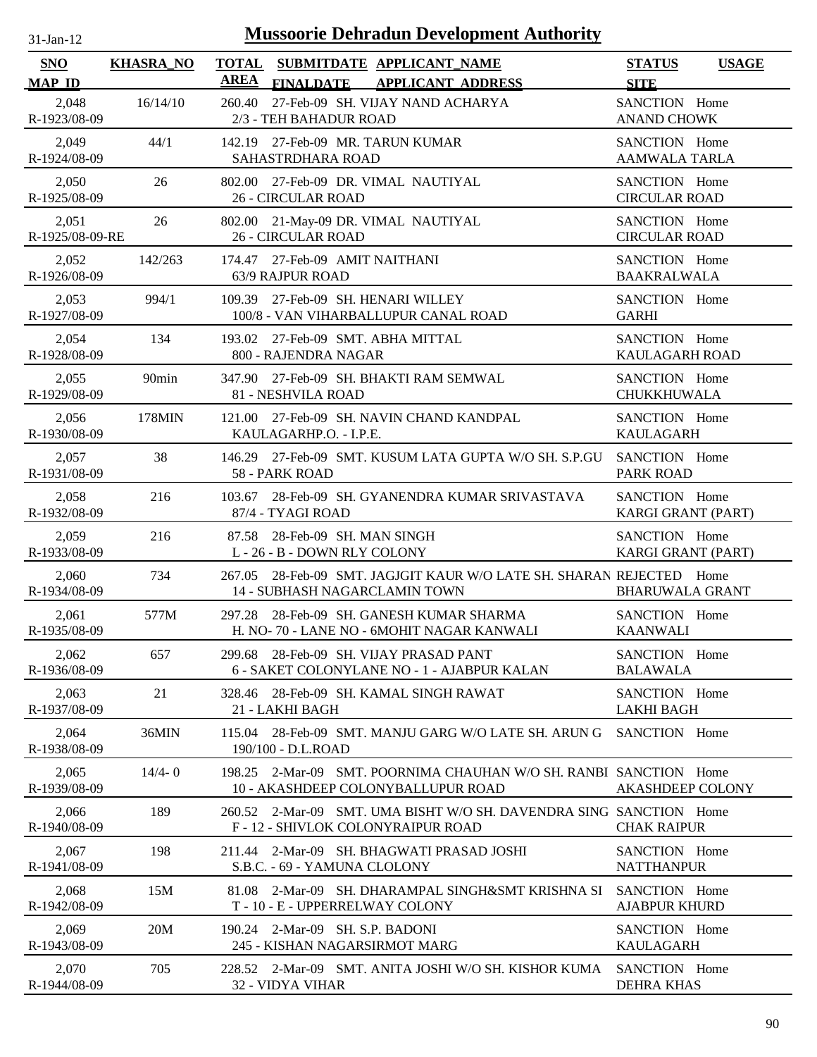| <b>Mussoorie Dehradun Development Authority</b><br>$31$ -Jan-12 |                   |                                                                                                              |                                            |              |
|-----------------------------------------------------------------|-------------------|--------------------------------------------------------------------------------------------------------------|--------------------------------------------|--------------|
| <b>SNO</b><br><b>MAP ID</b>                                     | <b>KHASRA_NO</b>  | <b>TOTAL</b><br>SUBMITDATE APPLICANT NAME<br><b>AREA</b><br><b>FINALDATE</b><br><b>APPLICANT ADDRESS</b>     | <b>STATUS</b><br><b>SITE</b>               | <b>USAGE</b> |
| 2,048<br>R-1923/08-09                                           | 16/14/10          | 27-Feb-09 SH. VIJAY NAND ACHARYA<br>260.40<br>2/3 - TEH BAHADUR ROAD                                         | SANCTION Home<br><b>ANAND CHOWK</b>        |              |
| 2,049<br>R-1924/08-09                                           | 44/1              | 142.19 27-Feb-09 MR. TARUN KUMAR<br>SAHASTRDHARA ROAD                                                        | SANCTION Home<br><b>AAMWALA TARLA</b>      |              |
| 2,050<br>R-1925/08-09                                           | 26                | 802.00 27-Feb-09 DR. VIMAL NAUTIYAL<br>26 - CIRCULAR ROAD                                                    | SANCTION Home<br><b>CIRCULAR ROAD</b>      |              |
| 2,051<br>R-1925/08-09-RE                                        | 26                | 802.00 21-May-09 DR. VIMAL NAUTIYAL<br><b>26 - CIRCULAR ROAD</b>                                             | SANCTION Home<br><b>CIRCULAR ROAD</b>      |              |
| 2,052<br>R-1926/08-09                                           | 142/263           | 174.47 27-Feb-09 AMIT NAITHANI<br>63/9 RAJPUR ROAD                                                           | SANCTION Home<br><b>BAAKRALWALA</b>        |              |
| 2,053<br>R-1927/08-09                                           | 994/1             | 27-Feb-09 SH. HENARI WILLEY<br>109.39<br>100/8 - VAN VIHARBALLUPUR CANAL ROAD                                | SANCTION Home<br><b>GARHI</b>              |              |
| 2,054<br>R-1928/08-09                                           | 134               | 193.02 27-Feb-09 SMT. ABHA MITTAL<br>800 - RAJENDRA NAGAR                                                    | SANCTION Home<br><b>KAULAGARH ROAD</b>     |              |
| 2,055<br>R-1929/08-09                                           | 90 <sub>min</sub> | 347.90 27-Feb-09 SH. BHAKTI RAM SEMWAL<br>81 - NESHVILA ROAD                                                 | SANCTION Home<br><b>CHUKKHUWALA</b>        |              |
| 2,056<br>R-1930/08-09                                           | 178MIN            | 121.00 27-Feb-09 SH. NAVIN CHAND KANDPAL<br>KAULAGARHP.O. - I.P.E.                                           | SANCTION Home<br><b>KAULAGARH</b>          |              |
| 2,057<br>R-1931/08-09                                           | 38                | 146.29 27-Feb-09 SMT. KUSUM LATA GUPTA W/O SH. S.P.GU<br>58 - PARK ROAD                                      | SANCTION Home<br><b>PARK ROAD</b>          |              |
| 2,058<br>R-1932/08-09                                           | 216               | 28-Feb-09 SH. GYANENDRA KUMAR SRIVASTAVA<br>103.67<br>87/4 - TYAGI ROAD                                      | SANCTION Home<br>KARGI GRANT (PART)        |              |
| 2,059<br>R-1933/08-09                                           | 216               | 28-Feb-09 SH. MAN SINGH<br>87.58<br>L - 26 - B - DOWN RLY COLONY                                             | SANCTION Home<br><b>KARGI GRANT (PART)</b> |              |
| 2,060<br>R-1934/08-09                                           | 734               | 267.05 28-Feb-09 SMT. JAGJGIT KAUR W/O LATE SH. SHARAN REJECTED Home<br><b>14 - SUBHASH NAGARCLAMIN TOWN</b> | <b>BHARUWALA GRANT</b>                     |              |
| 2,061<br>R-1935/08-09                                           | 577M              | 297.28 28-Feb-09 SH. GANESH KUMAR SHARMA<br>H. NO- 70 - LANE NO - 6MOHIT NAGAR KANWALI                       | SANCTION Home<br><b>KAANWALI</b>           |              |
| 2,062<br>R-1936/08-09                                           | 657               | 28-Feb-09 SH. VIJAY PRASAD PANT<br>299.68<br>6 - SAKET COLONYLANE NO - 1 - AJABPUR KALAN                     | SANCTION Home<br><b>BALAWALA</b>           |              |
| 2,063<br>R-1937/08-09                                           | 21                | 28-Feb-09 SH. KAMAL SINGH RAWAT<br>328.46<br>21 - LAKHI BAGH                                                 | SANCTION Home<br><b>LAKHI BAGH</b>         |              |
| 2.064<br>R-1938/08-09                                           | 36MIN             | 115.04 28-Feb-09 SMT. MANJU GARG W/O LATE SH. ARUN G<br>190/100 - D.L.ROAD                                   | SANCTION Home                              |              |
| 2,065<br>R-1939/08-09                                           | $14/4 - 0$        | 198.25 2-Mar-09 SMT, POORNIMA CHAUHAN W/O SH, RANBI SANCTION Home<br>10 - AKASHDEEP COLONYBALLUPUR ROAD      | <b>AKASHDEEP COLONY</b>                    |              |
| 2,066<br>R-1940/08-09                                           | 189               | 260.52 2-Mar-09 SMT, UMA BISHT W/O SH, DAVENDRA SING SANCTION Home<br>F - 12 - SHIVLOK COLONYRAIPUR ROAD     | <b>CHAK RAIPUR</b>                         |              |
| 2,067<br>R-1941/08-09                                           | 198               | 211.44 2-Mar-09 SH. BHAGWATI PRASAD JOSHI<br>S.B.C. - 69 - YAMUNA CLOLONY                                    | SANCTION Home<br><b>NATTHANPUR</b>         |              |
| 2,068<br>R-1942/08-09                                           | 15M               | 2-Mar-09 SH. DHARAMPAL SINGH&SMT KRISHNA SI<br>81.08<br>T - 10 - E - UPPERRELWAY COLONY                      | SANCTION Home<br><b>AJABPUR KHURD</b>      |              |
| 2,069<br>R-1943/08-09                                           | 20M               | 190.24 2-Mar-09 SH. S.P. BADONI<br>245 - KISHAN NAGARSIRMOT MARG                                             | SANCTION Home<br><b>KAULAGARH</b>          |              |
| 2,070<br>R-1944/08-09                                           | 705               | 228.52 2-Mar-09 SMT. ANITA JOSHI W/O SH. KISHOR KUMA<br>32 - VIDYA VIHAR                                     | SANCTION Home<br><b>DEHRA KHAS</b>         |              |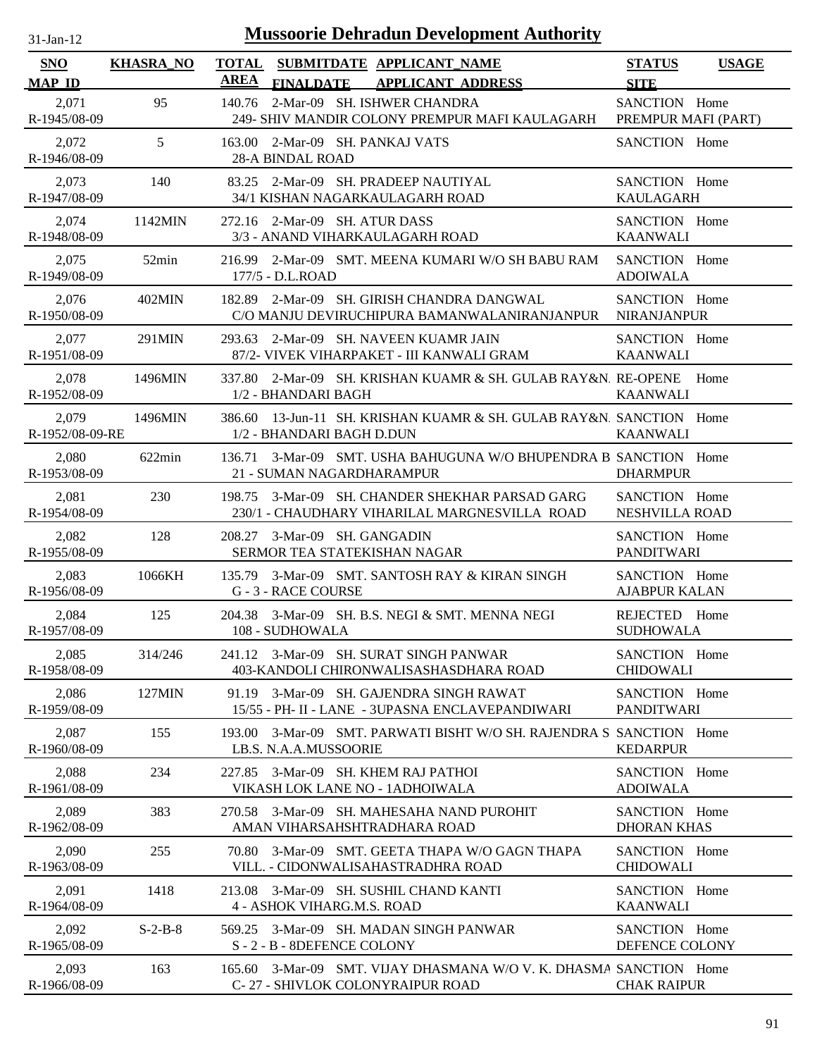| <b>Mussoorie Dehradun Development Authority</b><br>$31-Jan-12$ |                  |             |                                                                                                  |                                       |              |
|----------------------------------------------------------------|------------------|-------------|--------------------------------------------------------------------------------------------------|---------------------------------------|--------------|
| <b>SNO</b><br><b>MAP ID</b>                                    | <b>KHASRA NO</b> | <b>AREA</b> | TOTAL SUBMITDATE APPLICANT NAME<br><b>FINALDATE</b><br><b>APPLICANT ADDRESS</b>                  | <b>STATUS</b><br><b>SITE</b>          | <b>USAGE</b> |
| 2,071<br>R-1945/08-09                                          | 95               | 140.76      | 2-Mar-09 SH. ISHWER CHANDRA<br>249- SHIV MANDIR COLONY PREMPUR MAFI KAULAGARH                    | SANCTION Home<br>PREMPUR MAFI (PART)  |              |
| 2,072<br>R-1946/08-09                                          | 5                | 163.00      | 2-Mar-09 SH. PANKAJ VATS<br><b>28-A BINDAL ROAD</b>                                              | SANCTION Home                         |              |
| 2,073<br>R-1947/08-09                                          | 140              | 83.25       | 2-Mar-09 SH. PRADEEP NAUTIYAL<br>34/1 KISHAN NAGARKAULAGARH ROAD                                 | SANCTION Home<br><b>KAULAGARH</b>     |              |
| 2,074<br>R-1948/08-09                                          | 1142MIN          |             | 272.16 2-Mar-09 SH. ATUR DASS<br>3/3 - ANAND VIHARKAULAGARH ROAD                                 | SANCTION Home<br><b>KAANWALI</b>      |              |
| 2,075<br>R-1949/08-09                                          | 52min            |             | 216.99 2-Mar-09 SMT. MEENA KUMARI W/O SH BABU RAM<br>177/5 - D.L.ROAD                            | SANCTION Home<br><b>ADOIWALA</b>      |              |
| 2,076<br>R-1950/08-09                                          | 402MIN           |             | 182.89 2-Mar-09 SH. GIRISH CHANDRA DANGWAL<br>C/O MANJU DEVIRUCHIPURA BAMANWALANIRANJANPUR       | SANCTION Home<br><b>NIRANJANPUR</b>   |              |
| 2,077<br>R-1951/08-09                                          | 291MIN           |             | 293.63 2-Mar-09 SH, NAVEEN KUAMR JAIN<br>87/2- VIVEK VIHARPAKET - III KANWALI GRAM               | SANCTION Home<br><b>KAANWALI</b>      |              |
| 2,078<br>R-1952/08-09                                          | 1496MIN          | 337.80      | 2-Mar-09 SH, KRISHAN KUAMR & SH, GULAB RAY&N, RE-OPENE<br>1/2 - BHANDARI BAGH                    | <b>KAANWALI</b>                       | Home         |
| 2,079<br>R-1952/08-09-RE                                       | 1496MIN          |             | 386.60 13-Jun-11 SH. KRISHAN KUAMR & SH. GULAB RAY&N. SANCTION Home<br>1/2 - BHANDARI BAGH D.DUN | <b>KAANWALI</b>                       |              |
| 2,080<br>R-1953/08-09                                          | $622\text{min}$  | 136.71      | 3-Mar-09 SMT. USHA BAHUGUNA W/O BHUPENDRA B SANCTION Home<br>21 - SUMAN NAGARDHARAMPUR           | <b>DHARMPUR</b>                       |              |
| 2,081<br>R-1954/08-09                                          | 230              | 198.75      | 3-Mar-09 SH. CHANDER SHEKHAR PARSAD GARG<br>230/1 - CHAUDHARY VIHARILAL MARGNESVILLA ROAD        | SANCTION Home<br>NESHVILLA ROAD       |              |
| 2,082<br>R-1955/08-09                                          | 128              | 208.27      | 3-Mar-09 SH. GANGADIN<br>SERMOR TEA STATEKISHAN NAGAR                                            | SANCTION Home<br><b>PANDITWARI</b>    |              |
| 2,083<br>R-1956/08-09                                          | 1066KH           | 135.79      | 3-Mar-09 SMT. SANTOSH RAY & KIRAN SINGH<br>G - 3 - RACE COURSE                                   | SANCTION Home<br><b>AJABPUR KALAN</b> |              |
| 2,084<br>R-1957/08-09                                          | 125              |             | 204.38 3-Mar-09 SH, B.S. NEGI & SMT, MENNA NEGI<br>108 - SUDHOWALA                               | REJECTED Home<br><b>SUDHOWALA</b>     |              |
| 2,085<br>R-1958/08-09                                          | 314/246          |             | 241.12 3-Mar-09 SH. SURAT SINGH PANWAR<br>403-KANDOLI CHIRONWALISASHASDHARA ROAD                 | SANCTION Home<br><b>CHIDOWALI</b>     |              |
| 2,086<br>R-1959/08-09                                          | 127MIN           | 91.19       | 3-Mar-09 SH. GAJENDRA SINGH RAWAT<br>15/55 - PH- II - LANE - 3UPASNA ENCLAVEPANDIWARI            | SANCTION Home<br><b>PANDITWARI</b>    |              |
| 2,087<br>R-1960/08-09                                          | 155              | 193.00      | 3-Mar-09 SMT. PARWATI BISHT W/O SH. RAJENDRA S SANCTION Home<br>LB.S. N.A.A.MUSSOORIE            | <b>KEDARPUR</b>                       |              |
| 2,088<br>R-1961/08-09                                          | 234              |             | 227.85 3-Mar-09 SH. KHEM RAJ PATHOI<br>VIKASH LOK LANE NO - 1ADHOIWALA                           | SANCTION Home<br><b>ADOIWALA</b>      |              |
| 2,089<br>R-1962/08-09                                          | 383              | 270.58      | 3-Mar-09 SH. MAHESAHA NAND PUROHIT<br>AMAN VIHARSAHSHTRADHARA ROAD                               | SANCTION Home<br><b>DHORAN KHAS</b>   |              |
| 2,090<br>R-1963/08-09                                          | 255              | 70.80       | 3-Mar-09 SMT. GEETA THAPA W/O GAGN THAPA<br>VILL. - CIDONWALISAHASTRADHRA ROAD                   | SANCTION Home<br><b>CHIDOWALI</b>     |              |
| 2,091<br>R-1964/08-09                                          | 1418             |             | 213.08 3-Mar-09 SH. SUSHIL CHAND KANTI<br>4 - ASHOK VIHARG.M.S. ROAD                             | SANCTION Home<br><b>KAANWALI</b>      |              |
| 2,092<br>R-1965/08-09                                          | $S-2-B-8$        | 569.25      | 3-Mar-09 SH. MADAN SINGH PANWAR<br>S-2-B-8DEFENCE COLONY                                         | SANCTION Home<br>DEFENCE COLONY       |              |
| 2,093<br>R-1966/08-09                                          | 163              | 165.60      | 3-Mar-09 SMT, VIJAY DHASMANA W/O V, K, DHASMA SANCTION Home<br>C-27 - SHIVLOK COLONYRAIPUR ROAD  | <b>CHAK RAIPUR</b>                    |              |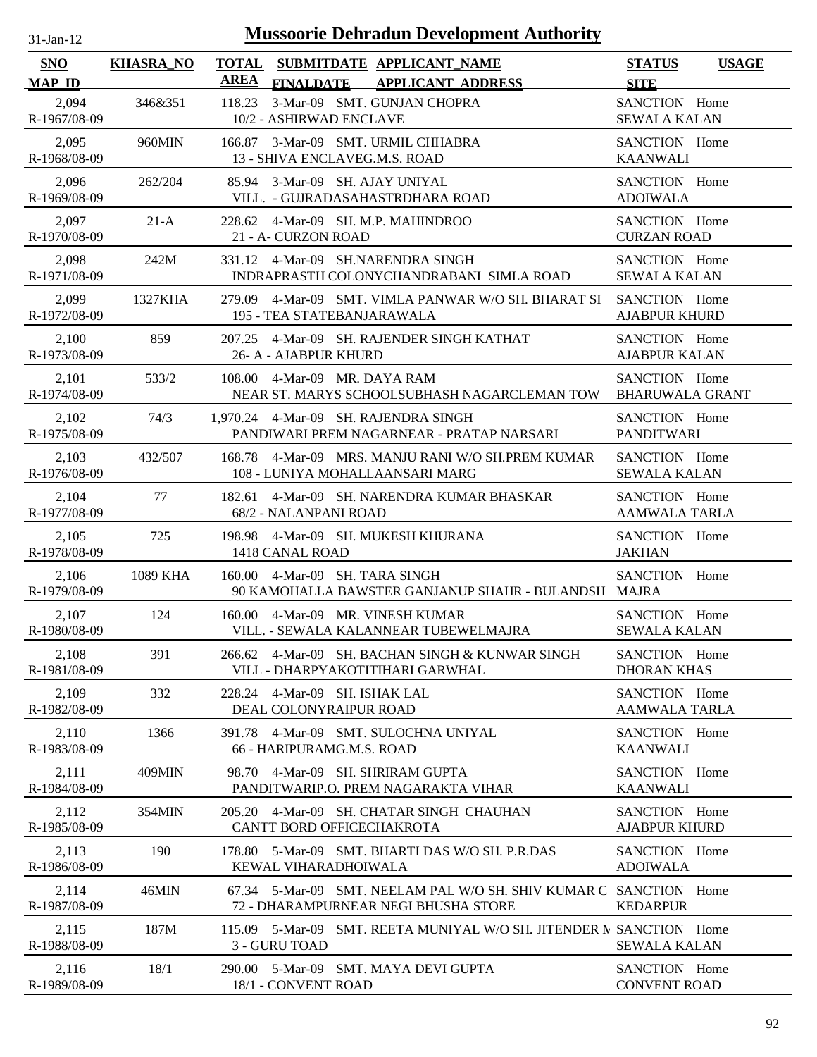| $31$ -Jan-12 |  |
|--------------|--|
|              |  |

| SNO<br><b>MAP ID</b>  | <b>KHASRA_NO</b> | <b>TOTAL</b><br>SUBMITDATE APPLICANT NAME<br>AREA<br><b>FINALDATE</b><br><b>APPLICANT ADDRESS</b>         | <b>STATUS</b><br><b>USAGE</b><br><b>SITE</b> |
|-----------------------|------------------|-----------------------------------------------------------------------------------------------------------|----------------------------------------------|
| 2,094<br>R-1967/08-09 | 346&351          | 3-Mar-09 SMT. GUNJAN CHOPRA<br>118.23<br>10/2 - ASHIRWAD ENCLAVE                                          | SANCTION Home<br><b>SEWALA KALAN</b>         |
| 2,095                 | 960MIN           | 166.87 3-Mar-09 SMT. URMIL CHHABRA                                                                        | SANCTION Home                                |
| R-1968/08-09          |                  | 13 - SHIVA ENCLAVEG.M.S. ROAD                                                                             | <b>KAANWALI</b>                              |
| 2,096                 | 262/204          | 85.94 3-Mar-09 SH. AJAY UNIYAL                                                                            | SANCTION Home                                |
| R-1969/08-09          |                  | VILL. - GUJRADASAHASTRDHARA ROAD                                                                          | <b>ADOIWALA</b>                              |
| 2,097                 | $21-A$           | 228.62 4-Mar-09 SH. M.P. MAHINDROO                                                                        | SANCTION Home                                |
| R-1970/08-09          |                  | 21 - A- CURZON ROAD                                                                                       | <b>CURZAN ROAD</b>                           |
| 2,098                 | 242M             | 331.12 4-Mar-09 SH.NARENDRA SINGH                                                                         | SANCTION Home                                |
| R-1971/08-09          |                  | INDRAPRASTH COLONYCHANDRABANI SIMLA ROAD                                                                  | <b>SEWALA KALAN</b>                          |
| 2,099                 | 1327KHA          | 279.09 4-Mar-09 SMT. VIMLA PANWAR W/O SH. BHARAT SI                                                       | SANCTION Home                                |
| R-1972/08-09          |                  | 195 - TEA STATEBANJARAWALA                                                                                | <b>AJABPUR KHURD</b>                         |
| 2,100                 | 859              | 207.25 4-Mar-09 SH. RAJENDER SINGH KATHAT                                                                 | SANCTION Home                                |
| R-1973/08-09          |                  | 26- A - AJABPUR KHURD                                                                                     | <b>AJABPUR KALAN</b>                         |
| 2,101                 | 533/2            | 108.00 4-Mar-09 MR. DAYA RAM                                                                              | SANCTION Home                                |
| R-1974/08-09          |                  | NEAR ST. MARYS SCHOOLSUBHASH NAGARCLEMAN TOW                                                              | <b>BHARUWALA GRANT</b>                       |
| 2,102                 | 74/3             | 1,970.24 4-Mar-09 SH. RAJENDRA SINGH                                                                      | SANCTION Home                                |
| R-1975/08-09          |                  | PANDIWARI PREM NAGARNEAR - PRATAP NARSARI                                                                 | <b>PANDITWARI</b>                            |
| 2,103                 | 432/507          | 168.78 4-Mar-09 MRS. MANJU RANI W/O SH.PREM KUMAR                                                         | SANCTION Home                                |
| R-1976/08-09          |                  | 108 - LUNIYA MOHALLAANSARI MARG                                                                           | <b>SEWALA KALAN</b>                          |
| 2,104                 | 77               | 182.61 4-Mar-09 SH. NARENDRA KUMAR BHASKAR                                                                | SANCTION Home                                |
| R-1977/08-09          |                  | 68/2 - NALANPANI ROAD                                                                                     | <b>AAMWALA TARLA</b>                         |
| 2,105                 | 725              | 198.98 4-Mar-09 SH. MUKESH KHURANA                                                                        | SANCTION Home                                |
| R-1978/08-09          |                  | 1418 CANAL ROAD                                                                                           | <b>JAKHAN</b>                                |
| 2,106<br>R-1979/08-09 | 1089 KHA         | 160.00 4-Mar-09 SH. TARA SINGH<br>90 KAMOHALLA BAWSTER GANJANUP SHAHR - BULANDSH MAJRA                    | SANCTION Home                                |
| 2,107                 | 124              | 160.00 4-Mar-09 MR. VINESH KUMAR                                                                          | SANCTION Home                                |
| R-1980/08-09          |                  | VILL. - SEWALA KALANNEAR TUBEWELMAJRA                                                                     | <b>SEWALA KALAN</b>                          |
| 2,108                 | 391              | 266.62 4-Mar-09 SH. BACHAN SINGH & KUNWAR SINGH                                                           | SANCTION Home                                |
| R-1981/08-09          |                  | VILL - DHARPYAKOTITIHARI GARWHAL                                                                          | <b>DHORAN KHAS</b>                           |
| 2,109                 | 332              | 228.24 4-Mar-09 SH. ISHAK LAL                                                                             | SANCTION Home                                |
| R-1982/08-09          |                  | DEAL COLONYRAIPUR ROAD                                                                                    | <b>AAMWALA TARLA</b>                         |
| 2,110                 | 1366             | 391.78 4-Mar-09 SMT. SULOCHNA UNIYAL                                                                      | SANCTION Home                                |
| R-1983/08-09          |                  | 66 - HARIPURAMG.M.S. ROAD                                                                                 | <b>KAANWALI</b>                              |
| 2,111<br>R-1984/08-09 | 409MIN           | 4-Mar-09 SH, SHRIRAM GUPTA<br>98.70<br>PANDITWARIP.O. PREM NAGARAKTA VIHAR                                | SANCTION Home<br><b>KAANWALI</b>             |
| 2,112<br>R-1985/08-09 | 354MIN           | 4-Mar-09 SH. CHATAR SINGH CHAUHAN<br>205.20<br>CANTT BORD OFFICECHAKROTA                                  | SANCTION Home<br><b>AJABPUR KHURD</b>        |
| 2,113                 | 190              | 178.80 5-Mar-09 SMT. BHARTI DAS W/O SH. P.R.DAS                                                           | SANCTION Home                                |
| R-1986/08-09          |                  | KEWAL VIHARADHOIWALA                                                                                      | <b>ADOIWALA</b>                              |
| 2,114<br>R-1987/08-09 | 46MIN            | 67.34 5-Mar-09 SMT, NEELAM PAL W/O SH, SHIV KUMAR C SANCTION Home<br>72 - DHARAMPURNEAR NEGI BHUSHA STORE | <b>KEDARPUR</b>                              |
| 2,115<br>R-1988/08-09 | 187M             | 115.09 5-Mar-09 SMT, REETA MUNIYAL W/O SH, JITENDER N SANCTION Home<br>3 - GURU TOAD                      | <b>SEWALA KALAN</b>                          |
| 2,116                 | 18/1             | 290.00 5-Mar-09 SMT. MAYA DEVI GUPTA                                                                      | SANCTION Home                                |
| R-1989/08-09          |                  | 18/1 - CONVENT ROAD                                                                                       | <b>CONVENT ROAD</b>                          |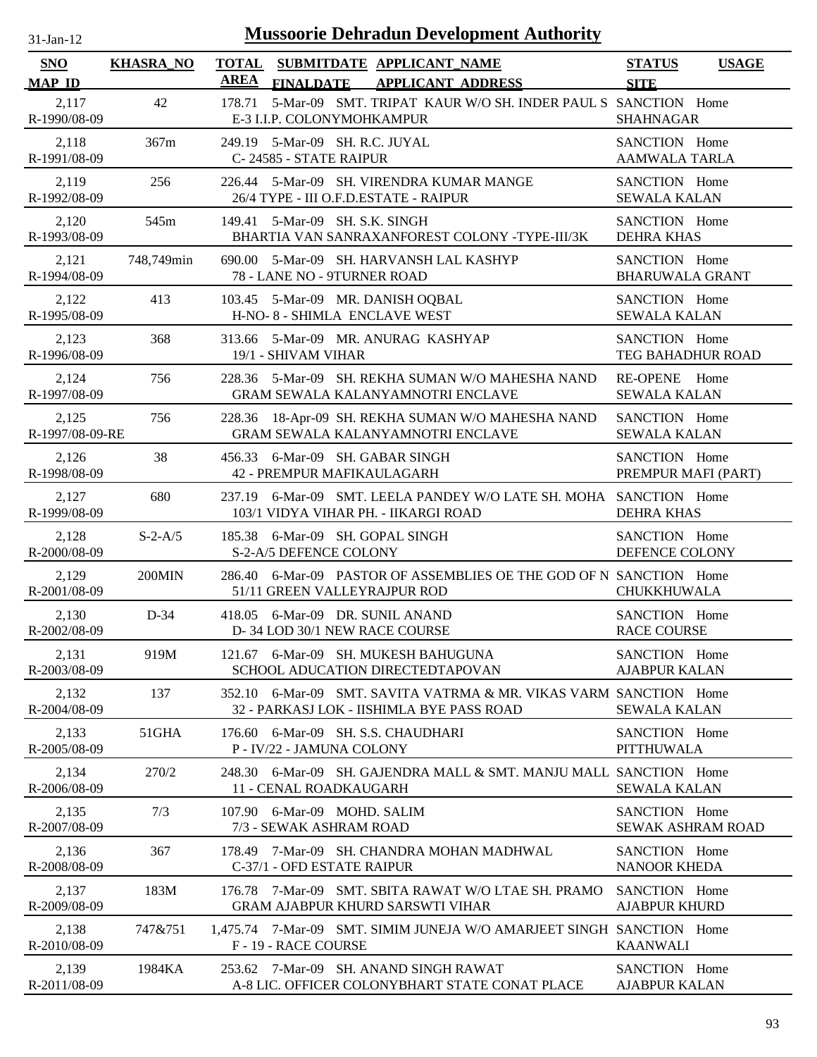| $31-Jan-12$                 |                  |             | <b>Mussoorie Dehradun Development Authority</b>                                                                |                                         |              |
|-----------------------------|------------------|-------------|----------------------------------------------------------------------------------------------------------------|-----------------------------------------|--------------|
| <b>SNO</b><br><b>MAP ID</b> | <b>KHASRA_NO</b> | <b>AREA</b> | TOTAL SUBMITDATE APPLICANT_NAME<br><b>APPLICANT ADDRESS</b><br><b>FINALDATE</b>                                | <b>STATUS</b><br><b>SITE</b>            | <b>USAGE</b> |
| 2,117<br>R-1990/08-09       | 42               | 178.71      | 5-Mar-09 SMT. TRIPAT KAUR W/O SH. INDER PAUL S SANCTION Home<br>E-3 I.I.P. COLONYMOHKAMPUR                     | <b>SHAHNAGAR</b>                        |              |
| 2,118<br>R-1991/08-09       | 367m             | 249.19      | 5-Mar-09 SH. R.C. JUYAL<br>C-24585 - STATE RAIPUR                                                              | SANCTION Home<br><b>AAMWALA TARLA</b>   |              |
| 2,119<br>R-1992/08-09       | 256              |             | 226.44 5-Mar-09 SH. VIRENDRA KUMAR MANGE<br>26/4 TYPE - III O.F.D.ESTATE - RAIPUR                              | SANCTION Home<br><b>SEWALA KALAN</b>    |              |
| 2,120<br>R-1993/08-09       | 545m             | 149.41      | 5-Mar-09 SH. S.K. SINGH<br>BHARTIA VAN SANRAXANFOREST COLONY -TYPE-III/3K                                      | SANCTION Home<br><b>DEHRA KHAS</b>      |              |
| 2,121<br>R-1994/08-09       | 748,749min       |             | 690.00 5-Mar-09 SH. HARVANSH LAL KASHYP<br>78 - LANE NO - 9TURNER ROAD                                         | SANCTION Home<br><b>BHARUWALA GRANT</b> |              |
| 2,122<br>R-1995/08-09       | 413              |             | 103.45 5-Mar-09 MR. DANISH OQBAL<br>H-NO-8 - SHIMLA ENCLAVE WEST                                               | SANCTION Home<br><b>SEWALA KALAN</b>    |              |
| 2,123<br>R-1996/08-09       | 368              |             | 313.66 5-Mar-09 MR. ANURAG KASHYAP<br>19/1 - SHIVAM VIHAR                                                      | SANCTION Home<br>TEG BAHADHUR ROAD      |              |
| 2,124<br>R-1997/08-09       | 756              |             | 228.36 5-Mar-09 SH. REKHA SUMAN W/O MAHESHA NAND<br><b>GRAM SEWALA KALANYAMNOTRI ENCLAVE</b>                   | RE-OPENE Home<br><b>SEWALA KALAN</b>    |              |
| 2,125<br>R-1997/08-09-RE    | 756              |             | 228.36 18-Apr-09 SH. REKHA SUMAN W/O MAHESHA NAND<br>GRAM SEWALA KALANYAMNOTRI ENCLAVE                         | SANCTION Home<br><b>SEWALA KALAN</b>    |              |
| 2,126<br>R-1998/08-09       | 38               |             | 456.33 6-Mar-09 SH. GABAR SINGH<br>42 - PREMPUR MAFIKAULAGARH                                                  | SANCTION Home<br>PREMPUR MAFI (PART)    |              |
| 2,127<br>R-1999/08-09       | 680              |             | 237.19 6-Mar-09 SMT. LEELA PANDEY W/O LATE SH. MOHA SANCTION Home<br>103/1 VIDYA VIHAR PH. - IIKARGI ROAD      | <b>DEHRA KHAS</b>                       |              |
| 2,128<br>R-2000/08-09       | $S-2-A/5$        |             | 185.38 6-Mar-09 SH. GOPAL SINGH<br>S-2-A/5 DEFENCE COLONY                                                      | SANCTION Home<br>DEFENCE COLONY         |              |
| 2,129<br>R-2001/08-09       | 200MIN           | 286.40      | 6-Mar-09 PASTOR OF ASSEMBLIES OE THE GOD OF N SANCTION Home<br>51/11 GREEN VALLEYRAJPUR ROD                    | <b>CHUKKHUWALA</b>                      |              |
| 2,130<br>R-2002/08-09       | $D-34$           |             | 418.05 6-Mar-09 DR. SUNIL ANAND<br>D- 34 LOD 30/1 NEW RACE COURSE                                              | SANCTION Home<br><b>RACE COURSE</b>     |              |
| 2,131<br>R-2003/08-09       | 919M             |             | 121.67 6-Mar-09 SH. MUKESH BAHUGUNA<br>SCHOOL ADUCATION DIRECTEDTAPOVAN                                        | SANCTION Home<br><b>AJABPUR KALAN</b>   |              |
| 2,132<br>R-2004/08-09       | 137              |             | 352.10 6-Mar-09 SMT, SAVITA VATRMA & MR, VIKAS VARM SANCTION Home<br>32 - PARKASJ LOK - IISHIMLA BYE PASS ROAD | <b>SEWALA KALAN</b>                     |              |
| 2,133<br>R-2005/08-09       | 51GHA            |             | 176.60 6-Mar-09 SH. S.S. CHAUDHARI<br>P - IV/22 - JAMUNA COLONY                                                | SANCTION Home<br><b>PITTHUWALA</b>      |              |
| 2,134<br>R-2006/08-09       | 270/2            |             | 248.30 6-Mar-09 SH, GAJENDRA MALL & SMT, MANJU MALL SANCTION Home<br>11 - CENAL ROADKAUGARH                    | <b>SEWALA KALAN</b>                     |              |
| 2,135<br>R-2007/08-09       | 7/3              |             | 107.90 6-Mar-09 MOHD. SALIM<br>7/3 - SEWAK ASHRAM ROAD                                                         | SANCTION Home<br>SEWAK ASHRAM ROAD      |              |
| 2,136<br>R-2008/08-09       | 367              |             | 178.49 7-Mar-09 SH. CHANDRA MOHAN MADHWAL<br>C-37/1 - OFD ESTATE RAIPUR                                        | SANCTION Home<br><b>NANOOR KHEDA</b>    |              |
| 2,137<br>R-2009/08-09       | 183M             | 176.78      | 7-Mar-09 SMT. SBITA RAWAT W/O LTAE SH. PRAMO<br><b>GRAM AJABPUR KHURD SARSWTI VIHAR</b>                        | SANCTION Home<br><b>AJABPUR KHURD</b>   |              |
| 2,138<br>R-2010/08-09       | 747&751          |             | 1,475.74 7-Mar-09 SMT. SIMIM JUNEJA W/O AMARJEET SINGH SANCTION Home<br>F - 19 - RACE COURSE                   | <b>KAANWALI</b>                         |              |
| 2,139<br>R-2011/08-09       | 1984KA           | 253.62      | 7-Mar-09 SH. ANAND SINGH RAWAT<br>A-8 LIC. OFFICER COLONYBHART STATE CONAT PLACE                               | SANCTION Home<br><b>AJABPUR KALAN</b>   |              |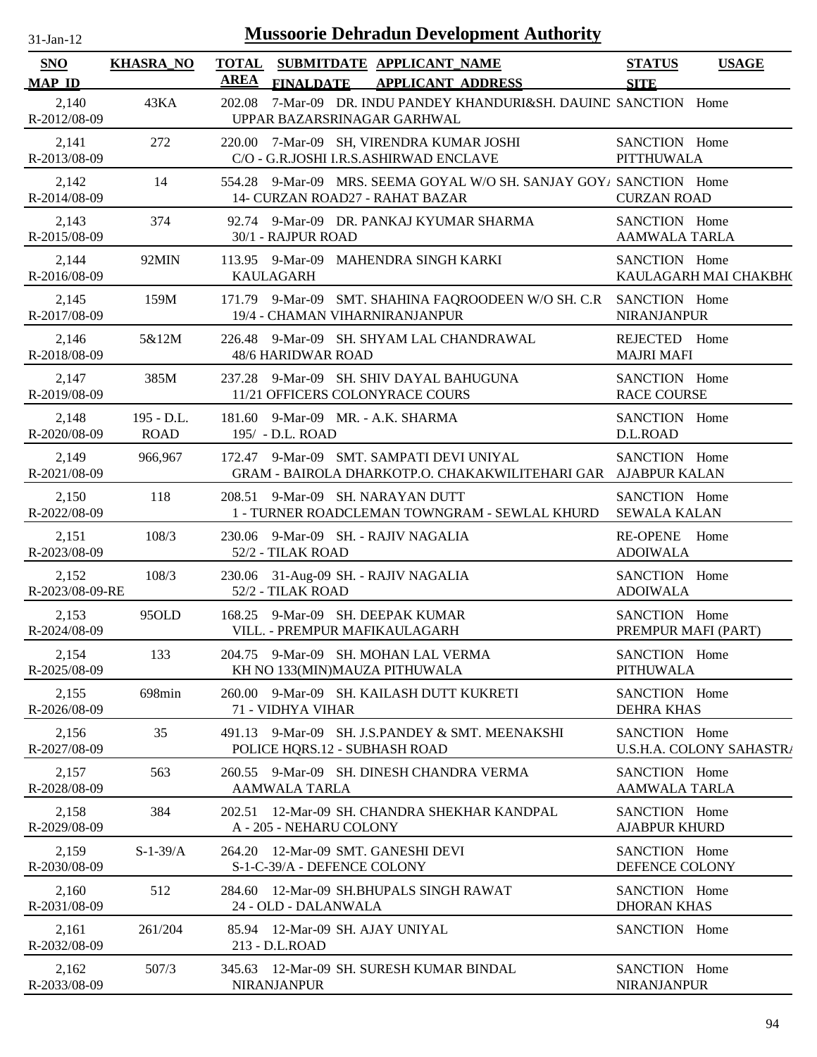| $31$ -Jan-12          | <b>Mussoorie Dehradun Development Authority</b> |                                                                                                           |                               |  |  |
|-----------------------|-------------------------------------------------|-----------------------------------------------------------------------------------------------------------|-------------------------------|--|--|
| <b>SNO</b>            | <b>KHASRA_NO</b>                                | TOTAL SUBMITDATE APPLICANT NAME                                                                           | <b>STATUS</b><br><b>USAGE</b> |  |  |
| <b>MAP ID</b>         |                                                 | AREA<br><b>FINALDATE</b><br><b>APPLICANT ADDRESS</b>                                                      | <b>SITE</b>                   |  |  |
| 2,140<br>R-2012/08-09 | 43KA                                            | 202.08 7-Mar-09 DR. INDU PANDEY KHANDURI&SH. DAUIND SANCTION Home<br>UPPAR BAZARSRINAGAR GARHWAL          |                               |  |  |
| 2,141                 | 272                                             | 220.00 7-Mar-09 SH, VIRENDRA KUMAR JOSHI                                                                  | SANCTION Home                 |  |  |
| R-2013/08-09          |                                                 | C/O - G.R.JOSHI I.R.S.ASHIRWAD ENCLAVE                                                                    | <b>PITTHUWALA</b>             |  |  |
| 2,142<br>R-2014/08-09 | 14                                              | 554.28 9-Mar-09 MRS. SEEMA GOYAL W/O SH. SANJAY GOY/ SANCTION Home<br>14- CURZAN ROAD27 - RAHAT BAZAR     | <b>CURZAN ROAD</b>            |  |  |
| 2,143                 | 374                                             | 92.74 9-Mar-09 DR. PANKAJ KYUMAR SHARMA                                                                   | SANCTION Home                 |  |  |
| R-2015/08-09          |                                                 | 30/1 - RAJPUR ROAD                                                                                        | AAMWALA TARLA                 |  |  |
| 2,144                 | 92MIN                                           | 113.95 9-Mar-09 MAHENDRA SINGH KARKI                                                                      | SANCTION Home                 |  |  |
| R-2016/08-09          |                                                 | <b>KAULAGARH</b>                                                                                          | KAULAGARH MAI CHAKBH(         |  |  |
| 2,145<br>R-2017/08-09 | 159M                                            | 171.79 9-Mar-09 SMT. SHAHINA FAQROODEEN W/O SH. C.R SANCTION Home<br>19/4 - CHAMAN VIHARNIRANJANPUR       | NIRANJANPUR                   |  |  |
| 2,146                 | 5&12M                                           | 226.48 9-Mar-09 SH. SHYAM LAL CHANDRAWAL                                                                  | REJECTED Home                 |  |  |
| R-2018/08-09          |                                                 | 48/6 HARIDWAR ROAD                                                                                        | <b>MAJRI MAFI</b>             |  |  |
| 2,147                 | 385M                                            | 237.28 9-Mar-09 SH. SHIV DAYAL BAHUGUNA                                                                   | SANCTION Home                 |  |  |
| R-2019/08-09          |                                                 | 11/21 OFFICERS COLONYRACE COURS                                                                           | <b>RACE COURSE</b>            |  |  |
| 2,148                 | $195 - D.L.$                                    | 181.60 9-Mar-09 MR. - A.K. SHARMA                                                                         | SANCTION Home                 |  |  |
| R-2020/08-09          | <b>ROAD</b>                                     | 195/ - D.L. ROAD                                                                                          | D.L.ROAD                      |  |  |
| 2,149<br>R-2021/08-09 | 966,967                                         | 172.47 9-Mar-09 SMT. SAMPATI DEVI UNIYAL<br>GRAM - BAIROLA DHARKOTP.O. CHAKAKWILITEHARI GAR AJABPUR KALAN | SANCTION Home                 |  |  |
| 2,150                 | 118                                             | 208.51 9-Mar-09 SH. NARAYAN DUTT                                                                          | SANCTION Home                 |  |  |
| R-2022/08-09          |                                                 | 1 - TURNER ROADCLEMAN TOWNGRAM - SEWLAL KHURD                                                             | <b>SEWALA KALAN</b>           |  |  |
| 2,151                 | 108/3                                           | 230.06 9-Mar-09 SH. - RAJIV NAGALIA                                                                       | RE-OPENE Home                 |  |  |
| R-2023/08-09          |                                                 | 52/2 - TILAK ROAD                                                                                         | <b>ADOIWALA</b>               |  |  |
| 2,152                 | 108/3                                           | 230.06 31-Aug-09 SH. - RAJIV NAGALIA                                                                      | SANCTION Home                 |  |  |
| R-2023/08-09-RE       |                                                 | 52/2 - TILAK ROAD                                                                                         | <b>ADOIWALA</b>               |  |  |
| 2,153                 | 95OLD                                           | 168.25 9-Mar-09 SH. DEEPAK KUMAR                                                                          | SANCTION Home                 |  |  |
| R-2024/08-09          |                                                 | VILL. - PREMPUR MAFIKAULAGARH                                                                             | PREMPUR MAFI (PART)           |  |  |
| 2,154                 | 133                                             | 204.75 9-Mar-09 SH. MOHAN LAL VERMA                                                                       | SANCTION Home                 |  |  |
| R-2025/08-09          |                                                 | KH NO 133(MIN)MAUZA PITHUWALA                                                                             | <b>PITHUWALA</b>              |  |  |
| 2,155                 | 698min                                          | 260.00 9-Mar-09 SH. KAILASH DUTT KUKRETI                                                                  | SANCTION Home                 |  |  |
| R-2026/08-09          |                                                 | 71 - VIDHYA VIHAR                                                                                         | <b>DEHRA KHAS</b>             |  |  |
| 2,156                 | 35                                              | 491.13 9-Mar-09 SH. J.S.PANDEY & SMT. MEENAKSHI                                                           | SANCTION Home                 |  |  |
| R-2027/08-09          |                                                 | POLICE HQRS.12 - SUBHASH ROAD                                                                             | U.S.H.A. COLONY SAHASTRA      |  |  |
| 2,157                 | 563                                             | 260.55 9-Mar-09 SH. DINESH CHANDRA VERMA                                                                  | SANCTION Home                 |  |  |
| R-2028/08-09          |                                                 | <b>AAMWALA TARLA</b>                                                                                      | <b>AAMWALA TARLA</b>          |  |  |
| 2,158                 | 384                                             | 202.51 12-Mar-09 SH. CHANDRA SHEKHAR KANDPAL                                                              | SANCTION Home                 |  |  |
| R-2029/08-09          |                                                 | A - 205 - NEHARU COLONY                                                                                   | <b>AJABPUR KHURD</b>          |  |  |
| 2,159                 | $S-1-39/A$                                      | 264.20 12-Mar-09 SMT. GANESHI DEVI                                                                        | SANCTION Home                 |  |  |
| R-2030/08-09          |                                                 | S-1-C-39/A - DEFENCE COLONY                                                                               | DEFENCE COLONY                |  |  |
| 2,160                 | 512                                             | 284.60 12-Mar-09 SH.BHUPALS SINGH RAWAT                                                                   | SANCTION Home                 |  |  |
| R-2031/08-09          |                                                 | 24 - OLD - DALANWALA                                                                                      | <b>DHORAN KHAS</b>            |  |  |
| 2,161<br>R-2032/08-09 | 261/204                                         | 85.94 12-Mar-09 SH. AJAY UNIYAL<br>213 - D.L.ROAD                                                         | SANCTION Home                 |  |  |
| 2,162                 | 507/3                                           | 345.63 12-Mar-09 SH. SURESH KUMAR BINDAL                                                                  | SANCTION Home                 |  |  |
| R-2033/08-09          |                                                 | <b>NIRANJANPUR</b>                                                                                        | <b>NIRANJANPUR</b>            |  |  |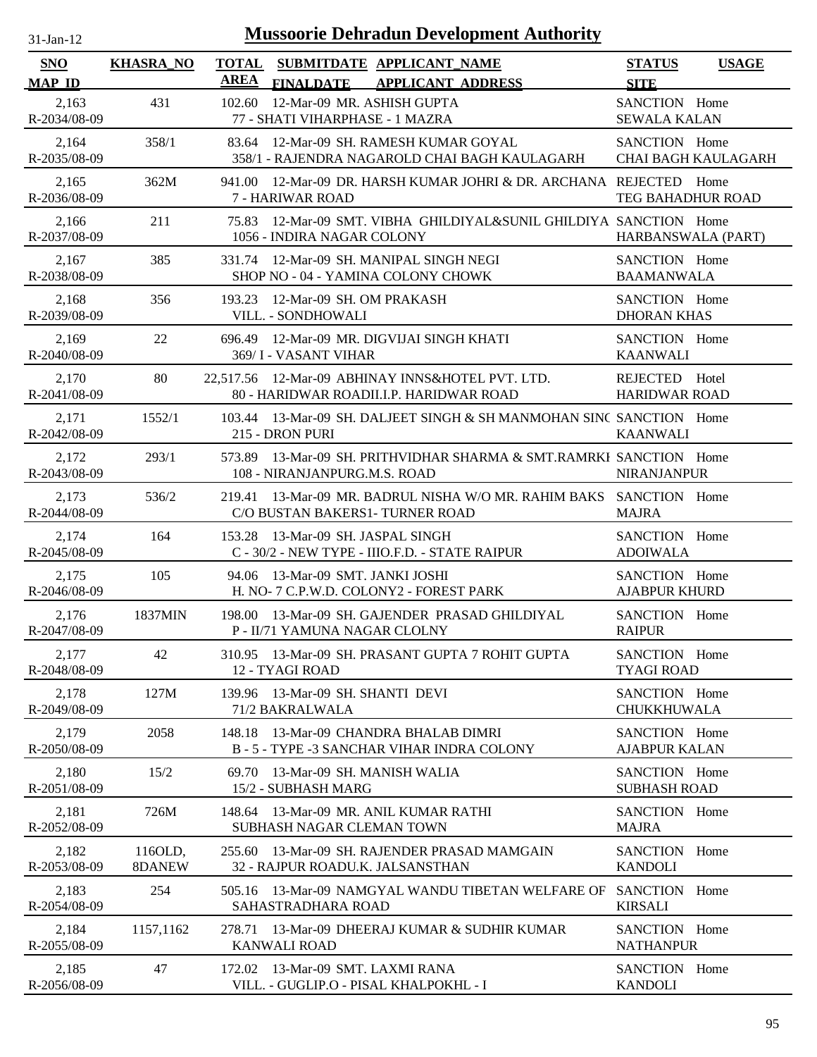| $31$ -Jan-12                |                   | <b>Mussoorie Dehradun Development Authority</b>                                                          |                                              |
|-----------------------------|-------------------|----------------------------------------------------------------------------------------------------------|----------------------------------------------|
| SNO<br><b>MAP ID</b>        | <b>KHASRA_NO</b>  | <b>TOTAL</b><br>SUBMITDATE APPLICANT_NAME<br><b>AREA</b><br><b>FINALDATE</b><br><b>APPLICANT ADDRESS</b> | <b>STATUS</b><br><b>USAGE</b><br><b>SITE</b> |
| 2,163<br>R-2034/08-09       | 431               | 12-Mar-09 MR. ASHISH GUPTA<br>102.60<br>77 - SHATI VIHARPHASE - 1 MAZRA                                  | SANCTION Home<br><b>SEWALA KALAN</b>         |
| 2,164<br>R-2035/08-09       | 358/1             | 12-Mar-09 SH. RAMESH KUMAR GOYAL<br>83.64<br>358/1 - RAJENDRA NAGAROLD CHAI BAGH KAULAGARH               | SANCTION Home<br><b>CHAI BAGH KAULAGARH</b>  |
| 2,165<br>R-2036/08-09       | 362M              | 12-Mar-09 DR. HARSH KUMAR JOHRI & DR. ARCHANA REJECTED Home<br>941.00<br>7 - HARIWAR ROAD                | <b>TEG BAHADHUR ROAD</b>                     |
| 2,166<br>R-2037/08-09       | 211               | 12-Mar-09 SMT. VIBHA GHILDIYAL&SUNIL GHILDIYA SANCTION Home<br>75.83<br>1056 - INDIRA NAGAR COLONY       | HARBANSWALA (PART)                           |
| 2,167<br>R-2038/08-09       | 385               | 12-Mar-09 SH. MANIPAL SINGH NEGI<br>331.74<br>SHOP NO - 04 - YAMINA COLONY CHOWK                         | SANCTION Home<br><b>BAAMANWALA</b>           |
| 2,168<br>R-2039/08-09       | 356               | 12-Mar-09 SH. OM PRAKASH<br>193.23<br>VILL. - SONDHOWALI                                                 | SANCTION Home<br><b>DHORAN KHAS</b>          |
| 2,169<br>$R - 2040/08 - 09$ | 22                | 696.49 12-Mar-09 MR. DIGVIJAI SINGH KHATI<br>369/ I - VASANT VIHAR                                       | SANCTION Home<br><b>KAANWALI</b>             |
| 2,170<br>R-2041/08-09       | 80                | 22,517.56 12-Mar-09 ABHINAY INNS&HOTEL PVT. LTD.<br>80 - HARIDWAR ROADILLP. HARIDWAR ROAD                | REJECTED Hotel<br><b>HARIDWAR ROAD</b>       |
| 2,171<br>R-2042/08-09       | 1552/1            | 103.44 13-Mar-09 SH. DALJEET SINGH & SH MANMOHAN SINC SANCTION Home<br>215 - DRON PURI                   | <b>KAANWALI</b>                              |
| 2,172<br>R-2043/08-09       | 293/1             | 573.89 13-Mar-09 SH. PRITHVIDHAR SHARMA & SMT.RAMRKI SANCTION Home<br>108 - NIRANJANPURG.M.S. ROAD       | <b>NIRANJANPUR</b>                           |
| 2,173<br>R-2044/08-09       | 536/2             | 13-Mar-09 MR. BADRUL NISHA W/O MR. RAHIM BAKS SANCTION Home<br>219.41<br>C/O BUSTAN BAKERS1-TURNER ROAD  | <b>MAJRA</b>                                 |
| 2,174<br>R-2045/08-09       | 164               | 153.28 13-Mar-09 SH. JASPAL SINGH<br>C - 30/2 - NEW TYPE - IIIO.F.D. - STATE RAIPUR                      | SANCTION Home<br><b>ADOIWALA</b>             |
| 2,175<br>R-2046/08-09       | 105               | 94.06 13-Mar-09 SMT, JANKI JOSHI<br>H. NO- 7 C.P.W.D. COLONY2 - FOREST PARK                              | SANCTION Home<br><b>AJABPUR KHURD</b>        |
| 2,176<br>R-2047/08-09       | 1837MIN           | 198.00 13-Mar-09 SH. GAJENDER PRASAD GHILDIYAL<br><b>P - II/71 YAMUNA NAGAR CLOLNY</b>                   | SANCTION Home<br><b>RAIPUR</b>               |
| 2,177<br>R-2048/08-09       | 42                | 310.95 13-Mar-09 SH. PRASANT GUPTA 7 ROHIT GUPTA<br>12 - TYAGI ROAD                                      | SANCTION Home<br><b>TYAGI ROAD</b>           |
| 2,178<br>R-2049/08-09       | 127M              | 139.96 13-Mar-09 SH, SHANTI DEVI<br>71/2 BAKRALWALA                                                      | SANCTION Home<br><b>CHUKKHUWALA</b>          |
| 2,179<br>R-2050/08-09       | 2058              | 13-Mar-09 CHANDRA BHALAB DIMRI<br>148.18<br>B - 5 - TYPE -3 SANCHAR VIHAR INDRA COLONY                   | SANCTION Home<br><b>AJABPUR KALAN</b>        |
| 2,180<br>R-2051/08-09       | 15/2              | 13-Mar-09 SH. MANISH WALIA<br>69.70<br>15/2 - SUBHASH MARG                                               | SANCTION Home<br><b>SUBHASH ROAD</b>         |
| 2,181<br>R-2052/08-09       | 726M              | 13-Mar-09 MR. ANIL KUMAR RATHI<br>148.64<br>SUBHASH NAGAR CLEMAN TOWN                                    | SANCTION Home<br><b>MAJRA</b>                |
| 2,182<br>R-2053/08-09       | 116OLD,<br>8DANEW | 13-Mar-09 SH. RAJENDER PRASAD MAMGAIN<br>255.60<br>32 - RAJPUR ROADU.K. JALSANSTHAN                      | SANCTION Home<br><b>KANDOLI</b>              |
| 2,183<br>R-2054/08-09       | 254               | 505.16 13-Mar-09 NAMGYAL WANDU TIBETAN WELFARE OF<br>SAHASTRADHARA ROAD                                  | SANCTION Home<br><b>KIRSALI</b>              |
| 2,184<br>R-2055/08-09       | 1157,1162         | 13-Mar-09 DHEERAJ KUMAR & SUDHIR KUMAR<br>278.71<br><b>KANWALI ROAD</b>                                  | SANCTION Home<br><b>NATHANPUR</b>            |
| 2,185<br>R-2056/08-09       | 47                | 172.02 13-Mar-09 SMT. LAXMI RANA<br>VILL. - GUGLIP.O - PISAL KHALPOKHL - I                               | SANCTION Home<br><b>KANDOLI</b>              |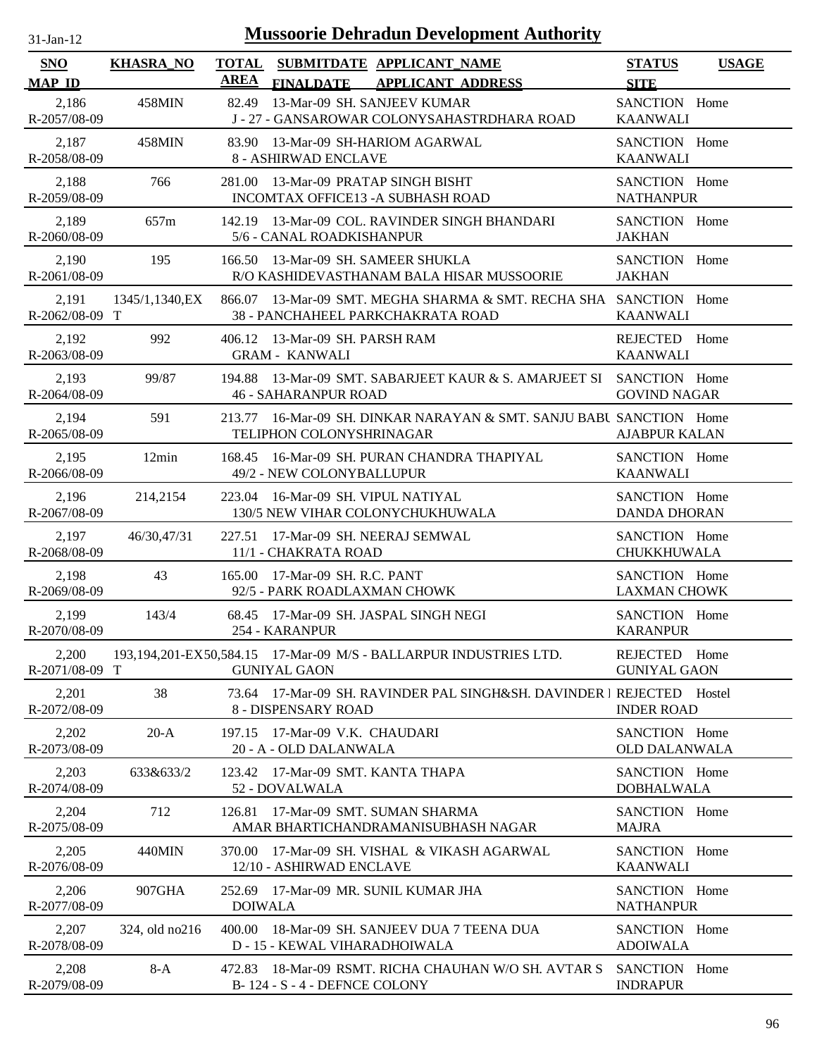| $31 - Jan - 12$ |  |
|-----------------|--|
|                 |  |

| <b>SNO</b><br><b>MAP ID</b> | <b>KHASRA_NO</b> | <b>TOTAL</b><br>AREA | <b>FINALDATE</b>                                               | SUBMITDATE APPLICANT_NAME<br><b>APPLICANT ADDRESS</b>                                                  | <b>STATUS</b><br><b>SITE</b>          | <b>USAGE</b> |
|-----------------------------|------------------|----------------------|----------------------------------------------------------------|--------------------------------------------------------------------------------------------------------|---------------------------------------|--------------|
| 2,186<br>R-2057/08-09       | 458MIN           | 82.49                | 13-Mar-09 SH. SANJEEV KUMAR                                    | J - 27 - GANSAROWAR COLONYSAHASTRDHARA ROAD                                                            | SANCTION Home<br><b>KAANWALI</b>      |              |
| 2,187<br>R-2058/08-09       | 458MIN           |                      | 8 - ASHIRWAD ENCLAVE                                           | 83.90 13-Mar-09 SH-HARIOM AGARWAL                                                                      | SANCTION Home<br><b>KAANWALI</b>      |              |
| 2,188<br>R-2059/08-09       | 766              |                      | 281.00 13-Mar-09 PRATAP SINGH BISHT                            | INCOMTAX OFFICE13 - A SUBHASH ROAD                                                                     | SANCTION Home<br><b>NATHANPUR</b>     |              |
| 2,189<br>R-2060/08-09       | 657m             |                      | 5/6 - CANAL ROADKISHANPUR                                      | 142.19 13-Mar-09 COL. RAVINDER SINGH BHANDARI                                                          | SANCTION Home<br><b>JAKHAN</b>        |              |
| 2,190<br>R-2061/08-09       | 195              |                      | 166.50 13-Mar-09 SH. SAMEER SHUKLA                             | R/O KASHIDEVASTHANAM BALA HISAR MUSSOORIE                                                              | SANCTION Home<br><b>JAKHAN</b>        |              |
| 2,191<br>R-2062/08-09 T     | 1345/1,1340, EX  |                      |                                                                | 866.07 13-Mar-09 SMT. MEGHA SHARMA & SMT. RECHA SHA SANCTION Home<br>38 - PANCHAHEEL PARKCHAKRATA ROAD | <b>KAANWALI</b>                       |              |
| 2,192<br>R-2063/08-09       | 992              |                      | 406.12 13-Mar-09 SH. PARSH RAM<br><b>GRAM - KANWALI</b>        |                                                                                                        | REJECTED Home<br><b>KAANWALI</b>      |              |
| 2,193<br>R-2064/08-09       | 99/87            |                      | <b>46 - SAHARANPUR ROAD</b>                                    | 194.88 13-Mar-09 SMT. SABARJEET KAUR & S. AMARJEET SI SANCTION Home                                    | <b>GOVIND NAGAR</b>                   |              |
| 2,194<br>R-2065/08-09       | 591              |                      | TELIPHON COLONYSHRINAGAR                                       | 213.77 16-Mar-09 SH, DINKAR NARAYAN & SMT, SANJU BABU SANCTION Home                                    | <b>AJABPUR KALAN</b>                  |              |
| 2,195<br>R-2066/08-09       | 12min            | 168.45               | 49/2 - NEW COLONYBALLUPUR                                      | 16-Mar-09 SH. PURAN CHANDRA THAPIYAL                                                                   | SANCTION Home<br><b>KAANWALI</b>      |              |
| 2,196<br>R-2067/08-09       | 214,2154         |                      | 223.04 16-Mar-09 SH. VIPUL NATIYAL                             | 130/5 NEW VIHAR COLONYCHUKHUWALA                                                                       | SANCTION Home<br><b>DANDA DHORAN</b>  |              |
| 2,197<br>R-2068/08-09       | 46/30,47/31      |                      | 227.51 17-Mar-09 SH. NEERAJ SEMWAL<br>11/1 - CHAKRATA ROAD     |                                                                                                        | SANCTION Home<br><b>CHUKKHUWALA</b>   |              |
| 2,198<br>R-2069/08-09       | 43               |                      | 165.00 17-Mar-09 SH, R.C. PANT<br>92/5 - PARK ROADLAXMAN CHOWK |                                                                                                        | SANCTION Home<br><b>LAXMAN CHOWK</b>  |              |
| 2,199<br>R-2070/08-09       | 143/4            |                      | 254 - KARANPUR                                                 | 68.45 17-Mar-09 SH. JASPAL SINGH NEGI                                                                  | SANCTION Home<br><b>KARANPUR</b>      |              |
| 2,200<br>R-2071/08-09 T     |                  |                      | <b>GUNIYAL GAON</b>                                            | 193,194,201-EX50,584.15 17-Mar-09 M/S - BALLARPUR INDUSTRIES LTD.                                      | REJECTED Home<br><b>GUNIYAL GAON</b>  |              |
| 2,201<br>R-2072/08-09       | 38               |                      | 8 - DISPENSARY ROAD                                            | 73.64 17-Mar-09 SH. RAVINDER PAL SINGH&SH. DAVINDER I REJECTED Hostel                                  | <b>INDER ROAD</b>                     |              |
| 2,202<br>R-2073/08-09       | $20-A$           | 197.15               | 17-Mar-09 V.K. CHAUDARI<br>20 - A - OLD DALANWALA              |                                                                                                        | SANCTION Home<br><b>OLD DALANWALA</b> |              |
| 2,203<br>R-2074/08-09       | 633&633/2        |                      | 123.42 17-Mar-09 SMT. KANTA THAPA<br>52 - DOVALWALA            |                                                                                                        | SANCTION Home<br><b>DOBHALWALA</b>    |              |
| 2,204<br>R-2075/08-09       | 712              | 126.81               |                                                                | 17-Mar-09 SMT, SUMAN SHARMA<br>AMAR BHARTICHANDRAMANISUBHASH NAGAR                                     | SANCTION Home<br><b>MAJRA</b>         |              |
| 2,205<br>R-2076/08-09       | 440MIN           | 370.00-              | 12/10 - ASHIRWAD ENCLAVE                                       | 17-Mar-09 SH. VISHAL & VIKASH AGARWAL                                                                  | SANCTION Home<br><b>KAANWALI</b>      |              |
| 2,206<br>R-2077/08-09       | 907GHA           | <b>DOIWALA</b>       |                                                                | 252.69 17-Mar-09 MR. SUNIL KUMAR JHA                                                                   | SANCTION Home<br><b>NATHANPUR</b>     |              |
| 2,207<br>R-2078/08-09       | 324, old no216   |                      | D - 15 - KEWAL VIHARADHOIWALA                                  | 400.00 18-Mar-09 SH. SANJEEV DUA 7 TEENA DUA                                                           | SANCTION Home<br><b>ADOIWALA</b>      |              |
| 2,208<br>R-2079/08-09       | $8-A$            |                      | B-124 - S-4 - DEFNCE COLONY                                    | 472.83 18-Mar-09 RSMT. RICHA CHAUHAN W/O SH. AVTAR S                                                   | SANCTION Home<br><b>INDRAPUR</b>      |              |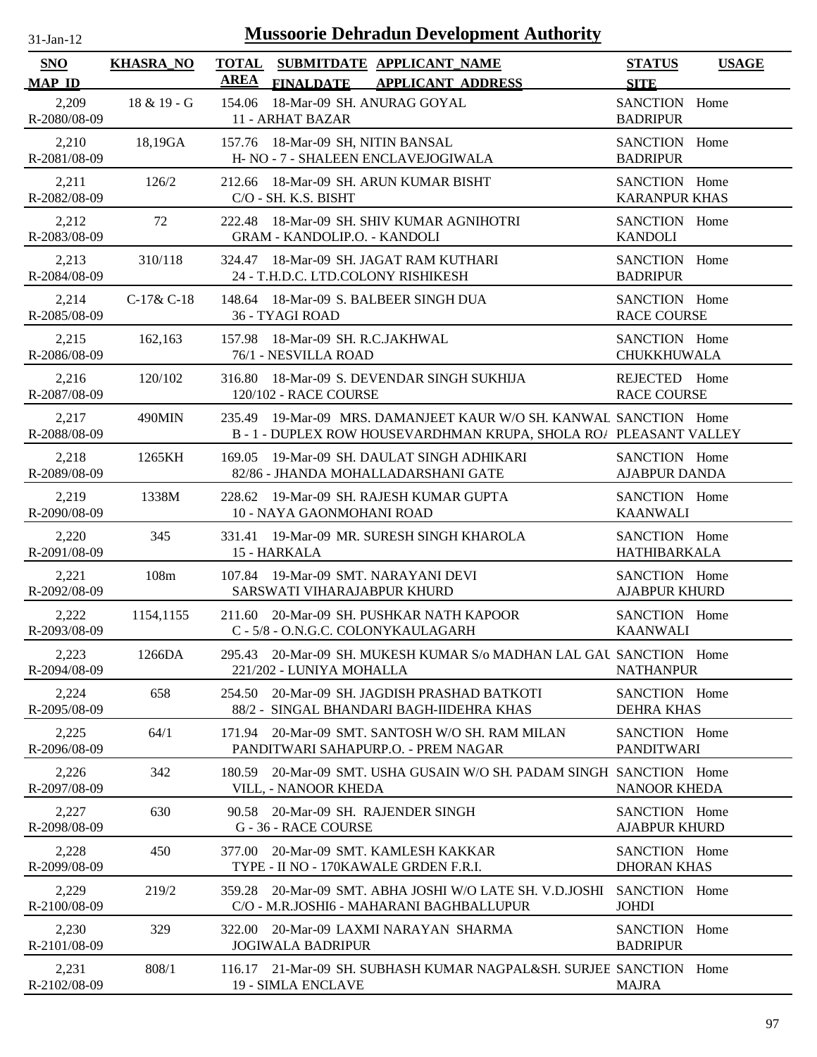| $31 - Jan - 12$ |  |
|-----------------|--|
|                 |  |

| SNO                   | <b>KHASRA_NO</b> | TOTAL SUBMITDATE APPLICANT NAME<br><b>AREA</b>                                                                                     | <b>STATUS</b><br><b>USAGE</b>         |
|-----------------------|------------------|------------------------------------------------------------------------------------------------------------------------------------|---------------------------------------|
| <b>MAP ID</b>         |                  | <b>APPLICANT ADDRESS</b><br><b>FINALDATE</b>                                                                                       | <b>SITE</b>                           |
| 2,209<br>R-2080/08-09 | 18 & 19 - G      | 154.06 18-Mar-09 SH. ANURAG GOYAL<br>11 - ARHAT BAZAR                                                                              | SANCTION Home<br><b>BADRIPUR</b>      |
| 2,210<br>R-2081/08-09 | 18,19GA          | 157.76 18-Mar-09 SH, NITIN BANSAL<br>H- NO - 7 - SHALEEN ENCLAVEJOGIWALA                                                           | SANCTION Home<br><b>BADRIPUR</b>      |
| 2,211<br>R-2082/08-09 | 126/2            | 212.66 18-Mar-09 SH. ARUN KUMAR BISHT<br>C/O - SH. K.S. BISHT                                                                      | SANCTION Home<br><b>KARANPUR KHAS</b> |
| 2,212<br>R-2083/08-09 | 72               | 18-Mar-09 SH. SHIV KUMAR AGNIHOTRI<br>222.48<br><b>GRAM - KANDOLIP.O. - KANDOLI</b>                                                | SANCTION Home<br><b>KANDOLI</b>       |
| 2,213<br>R-2084/08-09 | 310/118          | 324.47 18-Mar-09 SH. JAGAT RAM KUTHARI<br>24 - T.H.D.C. LTD.COLONY RISHIKESH                                                       | SANCTION Home<br><b>BADRIPUR</b>      |
| 2,214<br>R-2085/08-09 | $C-17&C-18$      | 148.64 18-Mar-09 S. BALBEER SINGH DUA<br>36 - TYAGI ROAD                                                                           | SANCTION Home<br><b>RACE COURSE</b>   |
| 2,215<br>R-2086/08-09 | 162,163          | 157.98 18-Mar-09 SH. R.C.JAKHWAL<br>76/1 - NESVILLA ROAD                                                                           | SANCTION Home<br><b>CHUKKHUWALA</b>   |
| 2,216<br>R-2087/08-09 | 120/102          | 316.80 18-Mar-09 S. DEVENDAR SINGH SUKHIJA<br>120/102 - RACE COURSE                                                                | REJECTED Home<br><b>RACE COURSE</b>   |
| 2,217<br>R-2088/08-09 | 490MIN           | 235.49 19-Mar-09 MRS. DAMANJEET KAUR W/O SH. KANWAL SANCTION Home<br>B-1-DUPLEX ROW HOUSEVARDHMAN KRUPA, SHOLA RO/ PLEASANT VALLEY |                                       |
| 2,218<br>R-2089/08-09 | 1265KH           | 19-Mar-09 SH. DAULAT SINGH ADHIKARI<br>169.05<br>82/86 - JHANDA MOHALLADARSHANI GATE                                               | SANCTION Home<br><b>AJABPUR DANDA</b> |
| 2,219<br>R-2090/08-09 | 1338M            | 228.62 19-Mar-09 SH, RAJESH KUMAR GUPTA<br>10 - NAYA GAONMOHANI ROAD                                                               | SANCTION Home<br><b>KAANWALI</b>      |
| 2,220<br>R-2091/08-09 | 345              | 331.41 19-Mar-09 MR. SURESH SINGH KHAROLA<br>15 - HARKALA                                                                          | SANCTION Home<br><b>HATHIBARKALA</b>  |
| 2,221<br>R-2092/08-09 | 108m             | 107.84 19-Mar-09 SMT. NARAYANI DEVI<br>SARSWATI VIHARAJABPUR KHURD                                                                 | SANCTION Home<br><b>AJABPUR KHURD</b> |
| 2,222<br>R-2093/08-09 | 1154,1155        | 211.60 20-Mar-09 SH. PUSHKAR NATH KAPOOR<br>C - 5/8 - O.N.G.C. COLONYKAULAGARH                                                     | SANCTION Home<br><b>KAANWALI</b>      |
| 2,223<br>R-2094/08-09 | 1266DA           | 295.43 20-Mar-09 SH. MUKESH KUMAR S/o MADHAN LAL GAU SANCTION Home<br>221/202 - LUNIYA MOHALLA                                     | <b>NATHANPUR</b>                      |
| 2,224<br>R-2095/08-09 | 658              | 20-Mar-09 SH. JAGDISH PRASHAD BATKOTI<br>254.50<br>88/2 - SINGAL BHANDARI BAGH-IIDEHRA KHAS                                        | SANCTION Home<br><b>DEHRA KHAS</b>    |
| 2,225<br>R-2096/08-09 | 64/1             | 20-Mar-09 SMT. SANTOSH W/O SH. RAM MILAN<br>171.94<br>PANDITWARI SAHAPURP.O. - PREM NAGAR                                          | SANCTION Home<br><b>PANDITWARI</b>    |
| 2,226<br>R-2097/08-09 | 342              | 20-Mar-09 SMT, USHA GUSAIN W/O SH, PADAM SINGH SANCTION Home<br>180.59<br>VILL, - NANOOR KHEDA                                     | <b>NANOOR KHEDA</b>                   |
| 2,227<br>R-2098/08-09 | 630              | 20-Mar-09 SH. RAJENDER SINGH<br>90.58<br>G - 36 - RACE COURSE                                                                      | SANCTION Home<br><b>AJABPUR KHURD</b> |
| 2,228<br>R-2099/08-09 | 450              | 377.00 20-Mar-09 SMT. KAMLESH KAKKAR<br>TYPE - II NO - 170KAWALE GRDEN F.R.I.                                                      | SANCTION Home<br><b>DHORAN KHAS</b>   |
| 2,229<br>R-2100/08-09 | 219/2            | 20-Mar-09 SMT. ABHA JOSHI W/O LATE SH. V.D.JOSHI<br>359.28<br>C/O - M.R.JOSHI6 - MAHARANI BAGHBALLUPUR                             | SANCTION Home<br><b>JOHDI</b>         |
| 2,230<br>R-2101/08-09 | 329              | 322.00<br>20-Mar-09 LAXMI NARAYAN SHARMA<br><b>JOGIWALA BADRIPUR</b>                                                               | SANCTION Home<br><b>BADRIPUR</b>      |
| 2,231<br>R-2102/08-09 | 808/1            | 116.17 21-Mar-09 SH. SUBHASH KUMAR NAGPAL&SH. SURJEE SANCTION Home<br>19 - SIMLA ENCLAVE                                           | <b>MAJRA</b>                          |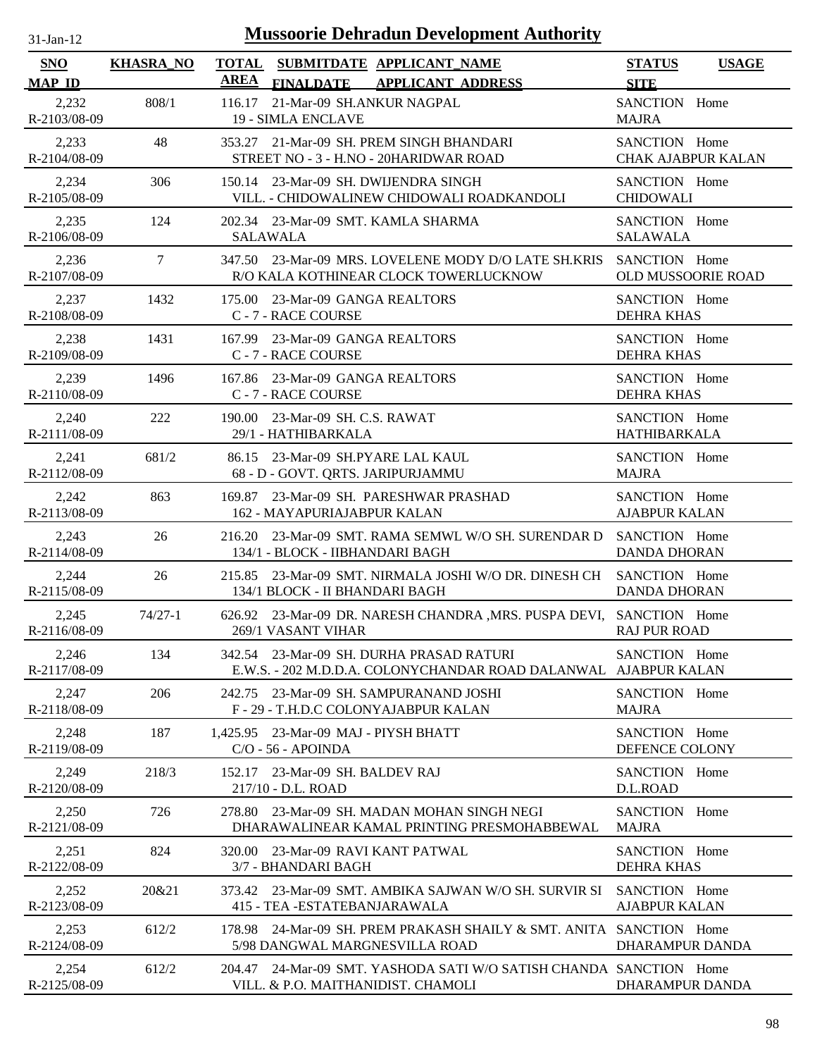| $31$ -Jan-12          |                  | <b>Mussoorie Dehradun Development Authority</b>                                                                |                                              |
|-----------------------|------------------|----------------------------------------------------------------------------------------------------------------|----------------------------------------------|
| SNO<br><b>MAP ID</b>  | <b>KHASRA_NO</b> | <b>TOTAL</b><br>SUBMITDATE APPLICANT NAME<br><b>AREA</b><br><b>FINALDATE</b><br><b>APPLICANT ADDRESS</b>       | <b>STATUS</b><br><b>USAGE</b><br><b>SITE</b> |
| 2,232<br>R-2103/08-09 | 808/1            | 116.17<br>21-Mar-09 SH.ANKUR NAGPAL<br><b>19 - SIMLA ENCLAVE</b>                                               | SANCTION Home<br><b>MAJRA</b>                |
| 2,233<br>R-2104/08-09 | 48               | 353.27 21-Mar-09 SH. PREM SINGH BHANDARI<br>STREET NO - 3 - H.NO - 20HARIDWAR ROAD                             | SANCTION Home<br><b>CHAK AJABPUR KALAN</b>   |
| 2,234<br>R-2105/08-09 | 306              | 150.14 23-Mar-09 SH. DWIJENDRA SINGH<br>VILL. - CHIDOWALINEW CHIDOWALI ROADKANDOLI                             | SANCTION Home<br><b>CHIDOWALI</b>            |
| 2,235<br>R-2106/08-09 | 124              | 202.34 23-Mar-09 SMT. KAMLA SHARMA<br><b>SALAWALA</b>                                                          | SANCTION Home<br><b>SALAWALA</b>             |
| 2,236<br>R-2107/08-09 | 7                | 347.50 23-Mar-09 MRS. LOVELENE MODY D/O LATE SH.KRIS<br>R/O KALA KOTHINEAR CLOCK TOWERLUCKNOW                  | SANCTION Home<br>OLD MUSSOORIE ROAD          |
| 2,237<br>R-2108/08-09 | 1432             | 175.00 23-Mar-09 GANGA REALTORS<br>C - 7 - RACE COURSE                                                         | SANCTION Home<br><b>DEHRA KHAS</b>           |
| 2,238<br>R-2109/08-09 | 1431             | 23-Mar-09 GANGA REALTORS<br>167.99<br>C - 7 - RACE COURSE                                                      | SANCTION Home<br><b>DEHRA KHAS</b>           |
| 2,239<br>R-2110/08-09 | 1496             | 167.86 23-Mar-09 GANGA REALTORS<br>C - 7 - RACE COURSE                                                         | SANCTION Home<br><b>DEHRA KHAS</b>           |
| 2,240<br>R-2111/08-09 | 222              | 190.00 23-Mar-09 SH, C.S. RAWAT<br>29/1 - HATHIBARKALA                                                         | SANCTION Home<br>HATHIBARKALA                |
| 2,241<br>R-2112/08-09 | 681/2            | 23-Mar-09 SH.PYARE LAL KAUL<br>86.15<br>68 - D - GOVT. QRTS. JARIPURJAMMU                                      | SANCTION Home<br><b>MAJRA</b>                |
| 2,242<br>R-2113/08-09 | 863              | 23-Mar-09 SH. PARESHWAR PRASHAD<br>169.87<br>162 - MAYAPURIAJABPUR KALAN                                       | SANCTION Home<br><b>AJABPUR KALAN</b>        |
| 2,243<br>R-2114/08-09 | 26               | 23-Mar-09 SMT. RAMA SEMWL W/O SH. SURENDAR D<br>216.20<br>134/1 - BLOCK - IIBHANDARI BAGH                      | SANCTION Home<br><b>DANDA DHORAN</b>         |
| 2,244<br>R-2115/08-09 | 26               | 215.85 23-Mar-09 SMT. NIRMALA JOSHI W/O DR. DINESH CH<br>134/1 BLOCK - II BHANDARI BAGH                        | SANCTION Home<br><b>DANDA DHORAN</b>         |
| 2,245<br>R-2116/08-09 | $74/27 - 1$      | 626.92 23-Mar-09 DR. NARESH CHANDRA , MRS. PUSPA DEVI, SANCTION Home<br>269/1 VASANT VIHAR                     | <b>RAJ PUR ROAD</b>                          |
| 2,246<br>R-2117/08-09 | 134              | 23-Mar-09 SH. DURHA PRASAD RATURI<br>342.54<br>E.W.S. - 202 M.D.D.A. COLONYCHANDAR ROAD DALANWAL AJABPUR KALAN | SANCTION Home                                |
| 2,247<br>R-2118/08-09 | 206              | 23-Mar-09 SH. SAMPURANAND JOSHI<br>242.75<br>F - 29 - T.H.D.C COLONYAJABPUR KALAN                              | SANCTION Home<br><b>MAJRA</b>                |
| 2,248<br>R-2119/08-09 | 187              | 23-Mar-09 MAJ - PIYSH BHATT<br>1,425.95<br>$C/O - 56 - APOINDA$                                                | SANCTION Home<br>DEFENCE COLONY              |
| 2,249<br>R-2120/08-09 | 218/3            | 23-Mar-09 SH, BALDEV RAJ<br>152.17<br>217/10 - D.L. ROAD                                                       | SANCTION Home<br>D.L.ROAD                    |
| 2,250<br>R-2121/08-09 | 726              | 23-Mar-09 SH. MADAN MOHAN SINGH NEGI<br>278.80<br>DHARAWALINEAR KAMAL PRINTING PRESMOHABBEWAL                  | SANCTION Home<br><b>MAJRA</b>                |
| 2,251<br>R-2122/08-09 | 824              | 23-Mar-09 RAVI KANT PATWAL<br>320.00<br>3/7 - BHANDARI BAGH                                                    | SANCTION Home<br><b>DEHRA KHAS</b>           |
| 2,252<br>R-2123/08-09 | 20&21            | 23-Mar-09 SMT. AMBIKA SAJWAN W/O SH. SURVIR SI<br>373.42<br>415 - TEA - ESTATEBANJARAWALA                      | SANCTION Home<br><b>AJABPUR KALAN</b>        |
| 2,253<br>R-2124/08-09 | 612/2            | 24-Mar-09 SH. PREM PRAKASH SHAILY & SMT. ANITA SANCTION Home<br>178.98<br>5/98 DANGWAL MARGNESVILLA ROAD       | DHARAMPUR DANDA                              |
| 2,254<br>R-2125/08-09 | 612/2            | 24-Mar-09 SMT. YASHODA SATI W/O SATISH CHANDA SANCTION Home<br>204.47<br>VILL. & P.O. MAITHANIDIST. CHAMOLI    | DHARAMPUR DANDA                              |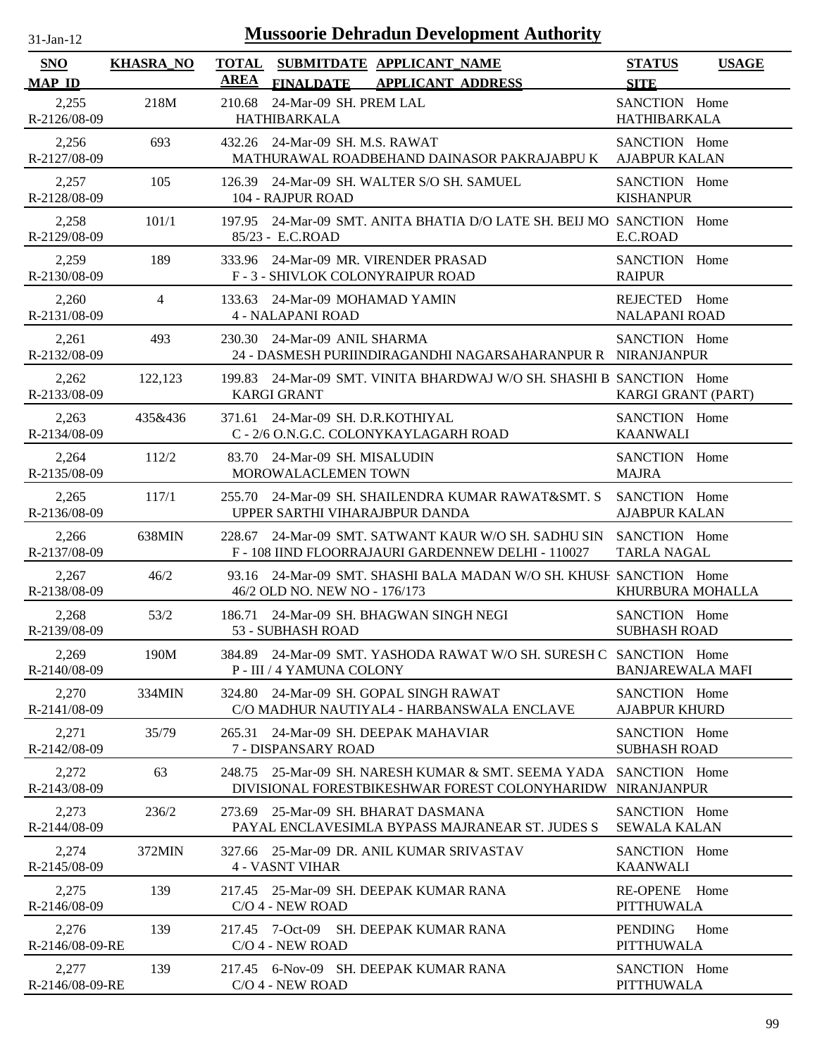| $31$ -Jan-12             |                  | <b>Mussoorie Dehradun Development Authority</b>                                                                      |                                              |
|--------------------------|------------------|----------------------------------------------------------------------------------------------------------------------|----------------------------------------------|
| SNO<br><b>MAP ID</b>     | <b>KHASRA_NO</b> | <b>TOTAL</b><br>SUBMITDATE APPLICANT NAME<br><b>AREA</b><br><b>FINALDATE</b><br><b>APPLICANT ADDRESS</b>             | <b>STATUS</b><br><b>USAGE</b><br><b>SITE</b> |
| 2,255<br>R-2126/08-09    | 218M             | 24-Mar-09 SH. PREM LAL<br>210.68<br>HATHIBARKALA                                                                     | SANCTION Home<br><b>HATHIBARKALA</b>         |
| 2,256<br>R-2127/08-09    | 693              | 432.26 24-Mar-09 SH, M.S. RAWAT<br>MATHURAWAL ROADBEHAND DAINASOR PAKRAJABPU K                                       | SANCTION Home<br><b>AJABPUR KALAN</b>        |
| 2,257<br>R-2128/08-09    | 105              | 126.39 24-Mar-09 SH. WALTER S/O SH. SAMUEL<br>104 - RAJPUR ROAD                                                      | SANCTION Home<br><b>KISHANPUR</b>            |
| 2,258<br>R-2129/08-09    | 101/1            | 24-Mar-09 SMT. ANITA BHATIA D/O LATE SH. BEIJ MO SANCTION Home<br>197.95<br>85/23 - E.C.ROAD                         | E.C.ROAD                                     |
| 2,259<br>R-2130/08-09    | 189              | 24-Mar-09 MR. VIRENDER PRASAD<br>333.96<br>F - 3 - SHIVLOK COLONYRAIPUR ROAD                                         | SANCTION Home<br><b>RAIPUR</b>               |
| 2,260<br>R-2131/08-09    | $\overline{4}$   | 24-Mar-09 MOHAMAD YAMIN<br>133.63<br><b>4 - NALAPANI ROAD</b>                                                        | REJECTED Home<br><b>NALAPANI ROAD</b>        |
| 2,261<br>R-2132/08-09    | 493              | 230.30 24-Mar-09 ANIL SHARMA<br>24 - DASMESH PURIINDIRAGANDHI NAGARSAHARANPUR R NIRANJANPUR                          | SANCTION Home                                |
| 2,262<br>R-2133/08-09    | 122,123          | 24-Mar-09 SMT, VINITA BHARDWAJ W/O SH, SHASHI B, SANCTION Home<br>199.83<br><b>KARGI GRANT</b>                       | KARGI GRANT (PART)                           |
| 2,263<br>R-2134/08-09    | 435&436          | 371.61 24-Mar-09 SH. D.R.KOTHIYAL<br>C - 2/6 O.N.G.C. COLONYKAYLAGARH ROAD                                           | SANCTION Home<br><b>KAANWALI</b>             |
| 2,264<br>R-2135/08-09    | 112/2            | 24-Mar-09 SH. MISALUDIN<br>83.70<br>MOROWALACLEMEN TOWN                                                              | SANCTION Home<br><b>MAJRA</b>                |
| 2,265<br>R-2136/08-09    | 117/1            | 255.70 24-Mar-09 SH. SHAILENDRA KUMAR RAWAT&SMT. S<br>UPPER SARTHI VIHARAJBPUR DANDA                                 | SANCTION Home<br><b>AJABPUR KALAN</b>        |
| 2,266<br>R-2137/08-09    | 638MIN           | 228.67 24-Mar-09 SMT, SATWANT KAUR W/O SH, SADHU SIN<br>F-108 IIND FLOORRAJAURI GARDENNEW DELHI-110027               | SANCTION Home<br>TARLA NAGAL                 |
| 2,267<br>R-2138/08-09    | 46/2             | 93.16 24-Mar-09 SMT. SHASHI BALA MADAN W/O SH. KHUSE SANCTION Home<br>46/2 OLD NO. NEW NO - 176/173                  | KHURBURA MOHALLA                             |
| 2,268<br>R-2139/08-09    | 53/2             | 186.71 24-Mar-09 SH, BHAGWAN SINGH NEGI<br>53 - SUBHASH ROAD                                                         | SANCTION Home<br><b>SUBHASH ROAD</b>         |
| 2,269<br>R-2140/08-09    | 190M             | 384.89 24-Mar-09 SMT. YASHODA RAWAT W/O SH. SURESH C SANCTION Home<br>P - III / 4 YAMUNA COLONY                      | <b>BANJAREWALA MAFI</b>                      |
| 2,270<br>R-2141/08-09    | 334MIN           | 24-Mar-09 SH. GOPAL SINGH RAWAT<br>324.80<br>C/O MADHUR NAUTIYAL4 - HARBANSWALA ENCLAVE                              | SANCTION Home<br><b>AJABPUR KHURD</b>        |
| 2,271<br>R-2142/08-09    | 35/79            | 24-Mar-09 SH. DEEPAK MAHAVIAR<br>265.31<br>7 - DISPANSARY ROAD                                                       | SANCTION Home<br><b>SUBHASH ROAD</b>         |
| 2,272<br>R-2143/08-09    | 63               | 25-Mar-09 SH. NARESH KUMAR & SMT. SEEMA YADA<br>248.75<br>DIVISIONAL FORESTBIKESHWAR FOREST COLONYHARIDW NIRANJANPUR | SANCTION Home                                |
| 2,273<br>R-2144/08-09    | 236/2            | 25-Mar-09 SH. BHARAT DASMANA<br>273.69<br>PAYAL ENCLAVESIMLA BYPASS MAJRANEAR ST. JUDES S                            | SANCTION Home<br><b>SEWALA KALAN</b>         |
| 2,274<br>R-2145/08-09    | 372MIN           | 25-Mar-09 DR. ANIL KUMAR SRIVASTAV<br>327.66<br><b>4 - VASNT VIHAR</b>                                               | SANCTION Home<br><b>KAANWALI</b>             |
| 2,275<br>R-2146/08-09    | 139              | 217.45 25-Mar-09 SH. DEEPAK KUMAR RANA<br>C/O 4 - NEW ROAD                                                           | <b>RE-OPENE</b><br>Home<br><b>PITTHUWALA</b> |
| 2,276<br>R-2146/08-09-RE | 139              | 217.45 7-Oct-09<br>SH. DEEPAK KUMAR RANA<br>C/O 4 - NEW ROAD                                                         | <b>PENDING</b><br>Home<br><b>PITTHUWALA</b>  |
| 2,277<br>R-2146/08-09-RE | 139              | 217.45 6-Nov-09 SH. DEEPAK KUMAR RANA<br>C/O 4 - NEW ROAD                                                            | SANCTION Home<br><b>PITTHUWALA</b>           |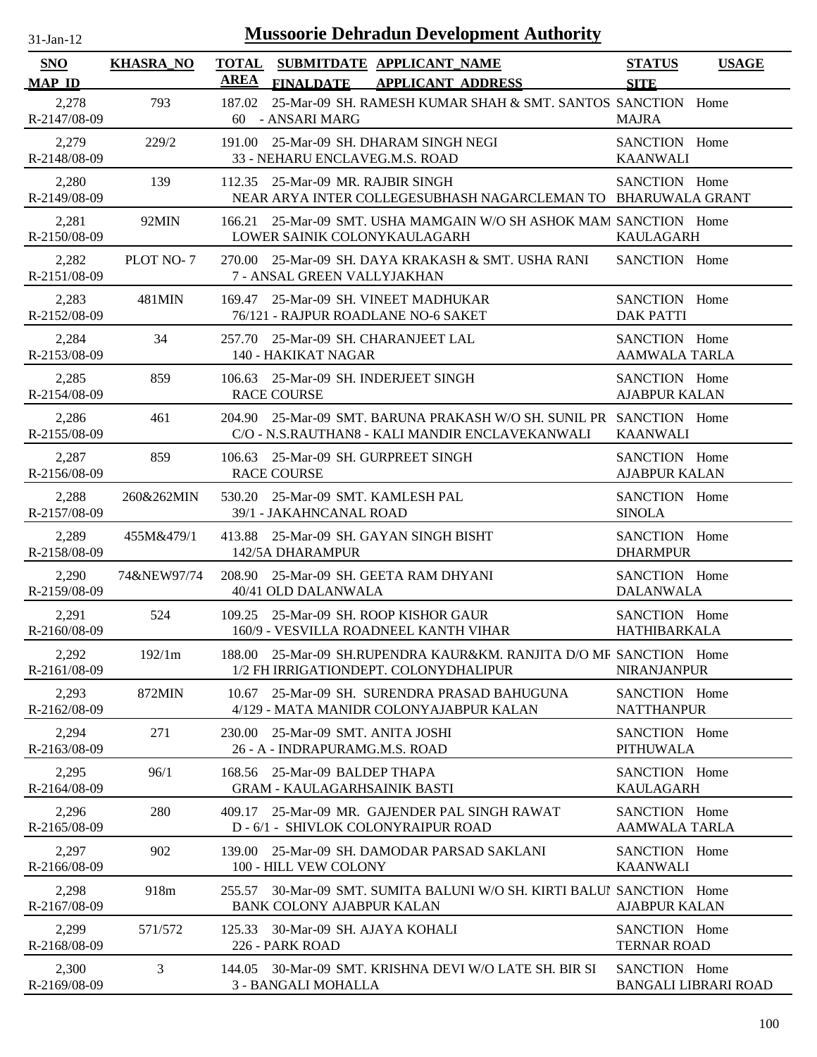| $31-Jan-12$                 |                  |                             | <b>Mussoorie Dehradun Development Authority</b>                                                                        |                                       |                             |
|-----------------------------|------------------|-----------------------------|------------------------------------------------------------------------------------------------------------------------|---------------------------------------|-----------------------------|
| <b>SNO</b><br><b>MAP ID</b> | <b>KHASRA_NO</b> | <b>TOTAL</b><br><b>AREA</b> | SUBMITDATE APPLICANT_NAME<br><b>APPLICANT ADDRESS</b><br><b>FINALDATE</b>                                              | <b>STATUS</b><br><b>SITE</b>          | <b>USAGE</b>                |
| 2,278<br>R-2147/08-09       | 793              | 187.02<br>60                | 25-Mar-09 SH. RAMESH KUMAR SHAH & SMT. SANTOS SANCTION Home<br>- ANSARI MARG                                           | <b>MAJRA</b>                          |                             |
| 2,279<br>R-2148/08-09       | 229/2            |                             | 191.00 25-Mar-09 SH. DHARAM SINGH NEGI<br>33 - NEHARU ENCLAVEG.M.S. ROAD                                               | SANCTION Home<br><b>KAANWALI</b>      |                             |
| 2,280<br>R-2149/08-09       | 139              |                             | 112.35 25-Mar-09 MR. RAJBIR SINGH<br>NEAR ARYA INTER COLLEGESUBHASH NAGARCLEMAN TO BHARUWALA GRANT                     | SANCTION Home                         |                             |
| 2,281<br>R-2150/08-09       | 92MIN            | 166.21                      | 25-Mar-09 SMT, USHA MAMGAIN W/O SH ASHOK MAM SANCTION Home<br>LOWER SAINIK COLONYKAULAGARH                             | <b>KAULAGARH</b>                      |                             |
| 2,282<br>R-2151/08-09       | PLOT NO-7        |                             | 270.00 25-Mar-09 SH. DAYA KRAKASH & SMT. USHA RANI<br>7 - ANSAL GREEN VALLYJAKHAN                                      | SANCTION Home                         |                             |
| 2,283<br>R-2152/08-09       | 481MIN           | 169.47                      | 25-Mar-09 SH. VINEET MADHUKAR<br>76/121 - RAJPUR ROADLANE NO-6 SAKET                                                   | SANCTION Home<br><b>DAK PATTI</b>     |                             |
| 2,284<br>R-2153/08-09       | 34               |                             | 257.70 25-Mar-09 SH. CHARANJEET LAL<br>140 - HAKIKAT NAGAR                                                             | SANCTION Home<br><b>AAMWALA TARLA</b> |                             |
| 2,285<br>R-2154/08-09       | 859              | 106.63                      | 25-Mar-09 SH. INDERJEET SINGH<br><b>RACE COURSE</b>                                                                    | SANCTION Home<br><b>AJABPUR KALAN</b> |                             |
| 2,286<br>R-2155/08-09       | 461              |                             | 204.90 25-Mar-09 SMT. BARUNA PRAKASH W/O SH. SUNIL PR SANCTION Home<br>C/O - N.S.RAUTHAN8 - KALI MANDIR ENCLAVEKANWALI | <b>KAANWALI</b>                       |                             |
| 2,287<br>R-2156/08-09       | 859              | 106.63                      | 25-Mar-09 SH. GURPREET SINGH<br><b>RACE COURSE</b>                                                                     | SANCTION Home<br><b>AJABPUR KALAN</b> |                             |
| 2,288<br>R-2157/08-09       | 260&262MIN       | 530.20                      | 25-Mar-09 SMT. KAMLESH PAL<br>39/1 - JAKAHNCANAL ROAD                                                                  | SANCTION Home<br><b>SINOLA</b>        |                             |
| 2,289<br>R-2158/08-09       | 455M&479/1       | 413.88                      | 25-Mar-09 SH. GAYAN SINGH BISHT<br>142/5A DHARAMPUR                                                                    | SANCTION Home<br><b>DHARMPUR</b>      |                             |
| 2,290<br>R-2159/08-09       | 74&NEW97/74      | 208.90                      | 25-Mar-09 SH, GEETA RAM DHYANI<br>40/41 OLD DALANWALA                                                                  | SANCTION Home<br><b>DALANWALA</b>     |                             |
| 2,291<br>R-2160/08-09       | 524              |                             | 109.25 25-Mar-09 SH, ROOP KISHOR GAUR<br>160/9 - VESVILLA ROADNEEL KANTH VIHAR                                         | SANCTION Home<br><b>HATHIBARKALA</b>  |                             |
| 2,292<br>R-2161/08-09       | 192/1m           |                             | 188.00 25-Mar-09 SH.RUPENDRA KAUR&KM. RANJITA D/O MR SANCTION Home<br>1/2 FH IRRIGATIONDEPT. COLONYDHALIPUR            | <b>NIRANJANPUR</b>                    |                             |
| 2,293<br>R-2162/08-09       | 872MIN           | 10.67                       | 25-Mar-09 SH. SURENDRA PRASAD BAHUGUNA<br>4/129 - MATA MANIDR COLONYAJABPUR KALAN                                      | SANCTION Home<br><b>NATTHANPUR</b>    |                             |
| 2,294<br>R-2163/08-09       | 271              | 230.00                      | 25-Mar-09 SMT. ANITA JOSHI<br>26 - A - INDRAPURAMG.M.S. ROAD                                                           | SANCTION Home<br><b>PITHUWALA</b>     |                             |
| 2,295<br>R-2164/08-09       | 96/1             |                             | 168.56 25-Mar-09 BALDEP THAPA<br><b>GRAM - KAULAGARHSAINIK BASTI</b>                                                   | SANCTION Home<br><b>KAULAGARH</b>     |                             |
| 2,296<br>R-2165/08-09       | 280              | 409.17                      | 25-Mar-09 MR. GAJENDER PAL SINGH RAWAT<br>D - 6/1 - SHIVLOK COLONYRAIPUR ROAD                                          | SANCTION Home<br><b>AAMWALA TARLA</b> |                             |
| 2,297<br>R-2166/08-09       | 902              |                             | 139.00 25-Mar-09 SH, DAMODAR PARSAD SAKLANI<br>100 - HILL VEW COLONY                                                   | SANCTION Home<br><b>KAANWALI</b>      |                             |
| 2,298<br>R-2167/08-09       | 918m             | 255.57                      | 30-Mar-09 SMT. SUMITA BALUNI W/O SH. KIRTI BALUI SANCTION Home<br><b>BANK COLONY AJABPUR KALAN</b>                     | <b>AJABPUR KALAN</b>                  |                             |
| 2,299<br>R-2168/08-09       | 571/572          | 125.33                      | 30-Mar-09 SH. AJAYA KOHALI<br>226 - PARK ROAD                                                                          | SANCTION Home<br><b>TERNAR ROAD</b>   |                             |
| 2,300<br>R-2169/08-09       | 3                | 144.05                      | 30-Mar-09 SMT. KRISHNA DEVI W/O LATE SH. BIR SI<br>3 - BANGALI MOHALLA                                                 | SANCTION Home                         | <b>BANGALI LIBRARI ROAD</b> |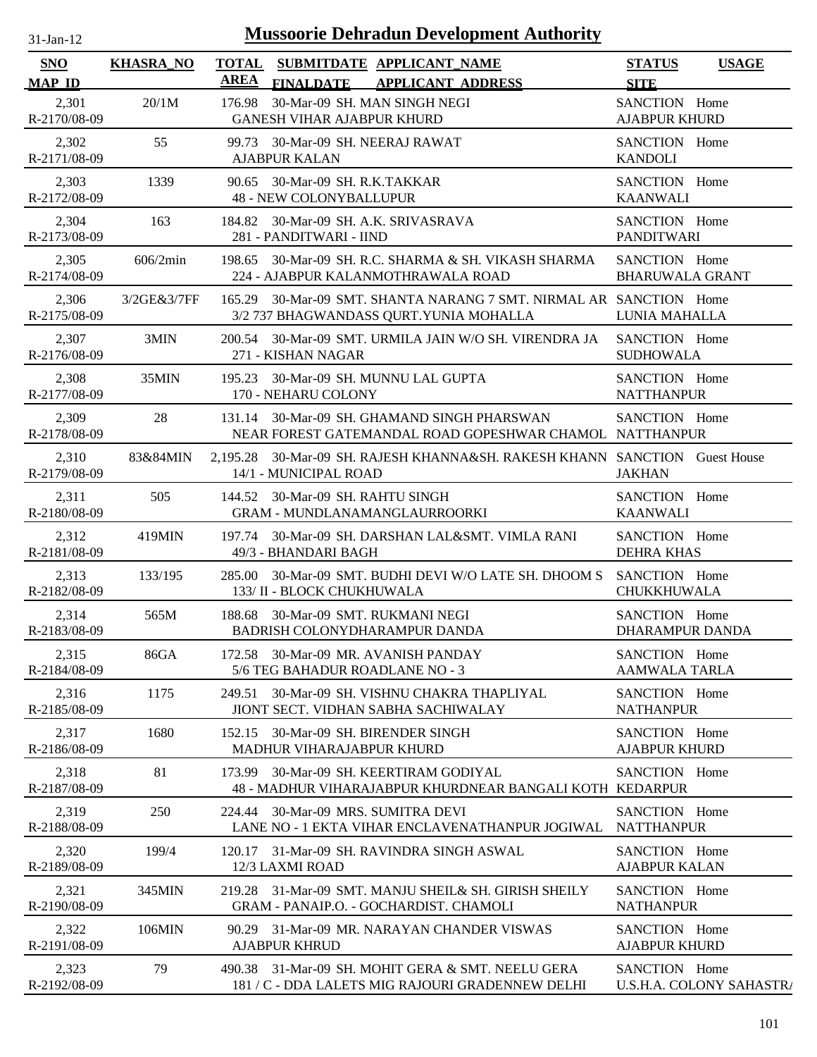| -.ian- |  |
|--------|--|
|        |  |

| <b>SNO</b><br><b>MAP ID</b> | <b>KHASRA_NO</b> | <b>TOTAL</b><br>AREA                                             | <b>FINALDATE</b> | SUBMITDATE APPLICANT NAME<br><b>APPLICANT ADDRESS</b>                                                  | <b>STATUS</b><br><b>SITE</b>            | <b>USAGE</b>             |
|-----------------------------|------------------|------------------------------------------------------------------|------------------|--------------------------------------------------------------------------------------------------------|-----------------------------------------|--------------------------|
| 2,301<br>R-2170/08-09       | 20/1M            | 176.98<br><b>GANESH VIHAR AJABPUR KHURD</b>                      |                  | 30-Mar-09 SH. MAN SINGH NEGI                                                                           | SANCTION Home<br><b>AJABPUR KHURD</b>   |                          |
| 2,302<br>R-2171/08-09       | 55               | <b>AJABPUR KALAN</b>                                             |                  | 99.73 30-Mar-09 SH. NEERAJ RAWAT                                                                       | SANCTION Home<br><b>KANDOLI</b>         |                          |
| 2,303<br>R-2172/08-09       | 1339             | 90.65 30-Mar-09 SH. R.K.TAKKAR<br><b>48 - NEW COLONYBALLUPUR</b> |                  |                                                                                                        | SANCTION Home<br><b>KAANWALI</b>        |                          |
| 2,304<br>R-2173/08-09       | 163              | 281 - PANDITWARI - IIND                                          |                  | 184.82 30-Mar-09 SH. A.K. SRIVASRAVA                                                                   | SANCTION Home<br><b>PANDITWARI</b>      |                          |
| 2,305<br>R-2174/08-09       | 606/2min         |                                                                  |                  | 198.65 30-Mar-09 SH. R.C. SHARMA & SH. VIKASH SHARMA<br>224 - AJABPUR KALANMOTHRAWALA ROAD             | SANCTION Home<br><b>BHARUWALA GRANT</b> |                          |
| 2,306<br>R-2175/08-09       | 3/2GE&3/7FF      | 165.29                                                           |                  | 30-Mar-09 SMT. SHANTA NARANG 7 SMT. NIRMAL AR SANCTION Home<br>3/2 737 BHAGWANDASS QURT. YUNIA MOHALLA | LUNIA MAHALLA                           |                          |
| 2,307<br>R-2176/08-09       | 3MIN             | 271 - KISHAN NAGAR                                               |                  | 200.54 30-Mar-09 SMT. URMILA JAIN W/O SH. VIRENDRA JA                                                  | SANCTION Home<br><b>SUDHOWALA</b>       |                          |
| 2,308<br>R-2177/08-09       | 35MIN            | 170 - NEHARU COLONY                                              |                  | 195.23 30-Mar-09 SH. MUNNU LAL GUPTA                                                                   | SANCTION Home<br><b>NATTHANPUR</b>      |                          |
| 2,309<br>R-2178/08-09       | 28               |                                                                  |                  | 131.14 30-Mar-09 SH. GHAMAND SINGH PHARSWAN<br>NEAR FOREST GATEMANDAL ROAD GOPESHWAR CHAMOL NATTHANPUR | SANCTION Home                           |                          |
| 2,310<br>R-2179/08-09       | 83&84MIN         | 14/1 - MUNICIPAL ROAD                                            |                  | 2,195.28 30-Mar-09 SH. RAJESH KHANNA&SH. RAKESH KHANN SANCTION Guest House                             | <b>JAKHAN</b>                           |                          |
| 2,311<br>R-2180/08-09       | 505              | 144.52 30-Mar-09 SH. RAHTU SINGH                                 |                  | <b>GRAM - MUNDLANAMANGLAURROORKI</b>                                                                   | SANCTION Home<br><b>KAANWALI</b>        |                          |
| 2,312<br>R-2181/08-09       | 419MIN           | 49/3 - BHANDARI BAGH                                             |                  | 197.74 30-Mar-09 SH. DARSHAN LAL&SMT. VIMLA RANI                                                       | SANCTION Home<br><b>DEHRA KHAS</b>      |                          |
| 2,313<br>R-2182/08-09       | 133/195          | 133/ II - BLOCK CHUKHUWALA                                       |                  | 285.00 30-Mar-09 SMT. BUDHI DEVI W/O LATE SH. DHOOM S SANCTION Home                                    | CHUKKHUWALA                             |                          |
| 2,314<br>R-2183/08-09       | 565M             |                                                                  |                  | 188.68 30-Mar-09 SMT. RUKMANI NEGI<br>BADRISH COLONYDHARAMPUR DANDA                                    | SANCTION Home<br>DHARAMPUR DANDA        |                          |
| 2,315<br>R-2184/08-09       | 86GA             |                                                                  |                  | 172.58 30-Mar-09 MR. AVANISH PANDAY<br>5/6 TEG BAHADUR ROADLANE NO - 3                                 | SANCTION Home<br><b>AAMWALA TARLA</b>   |                          |
| 2,316<br>R-2185/08-09       | 1175             |                                                                  |                  | 249.51 30-Mar-09 SH. VISHNU CHAKRA THAPLIYAL<br>JIONT SECT. VIDHAN SABHA SACHIWALAY                    | SANCTION Home<br><b>NATHANPUR</b>       |                          |
| 2,317<br>R-2186/08-09       | 1680             | MADHUR VIHARAJABPUR KHURD                                        |                  | 152.15 30-Mar-09 SH. BIRENDER SINGH                                                                    | SANCTION Home<br><b>AJABPUR KHURD</b>   |                          |
| 2,318<br>R-2187/08-09       | 81               |                                                                  |                  | 173.99 30-Mar-09 SH, KEERTIRAM GODIYAL<br>48 - MADHUR VIHARAJABPUR KHURDNEAR BANGALI KOTH KEDARPUR     | SANCTION Home                           |                          |
| 2,319<br>R-2188/08-09       | 250              | 224.44                                                           |                  | 30-Mar-09 MRS, SUMITRA DEVI<br>LANE NO - 1 EKTA VIHAR ENCLAVENATHANPUR JOGIWAL                         | SANCTION Home<br><b>NATTHANPUR</b>      |                          |
| 2,320<br>R-2189/08-09       | 199/4            | 12/3 LAXMI ROAD                                                  |                  | 120.17 31-Mar-09 SH. RAVINDRA SINGH ASWAL                                                              | SANCTION Home<br><b>AJABPUR KALAN</b>   |                          |
| 2,321<br>R-2190/08-09       | 345MIN           |                                                                  |                  | 219.28 31-Mar-09 SMT, MANJU SHEIL& SH, GIRISH SHEILY<br>GRAM - PANAIP.O. - GOCHARDIST. CHAMOLI         | SANCTION Home<br><b>NATHANPUR</b>       |                          |
| 2,322<br>R-2191/08-09       | 106MIN           | <b>AJABPUR KHRUD</b>                                             |                  | 90.29 31-Mar-09 MR. NARAYAN CHANDER VISWAS                                                             | SANCTION Home<br><b>AJABPUR KHURD</b>   |                          |
| 2,323<br>R-2192/08-09       | 79               |                                                                  |                  | 490.38 31-Mar-09 SH. MOHIT GERA & SMT. NEELU GERA<br>181 / C - DDA LALETS MIG RAJOURI GRADENNEW DELHI  | SANCTION Home                           | U.S.H.A. COLONY SAHASTRA |